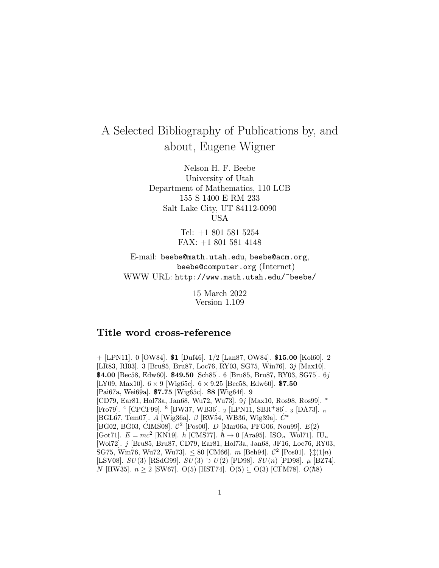## A Selected Bibliography of Publications by, and about, Eugene Wigner

Nelson H. F. Beebe University of Utah Department of Mathematics, 110 LCB 155 S 1400 E RM 233 Salt Lake City, UT 84112-0090 USA

> Tel: +1 801 581 5254 FAX: +1 801 581 4148

E-mail: beebe@math.utah.edu, beebe@acm.org, beebe@computer.org (Internet) WWW URL: http://www.math.utah.edu/~beebe/

> 15 March 2022 Version 1.109

## Title word cross-reference

 $+$  [LPN11]. 0 [OW84]. \$1 [Duf46]. 1/2 [Lan87, OW84]. \$15.00 [Kol60]. 2 [LR83, RI03]. 3 [Bru85, Bru87, Loc76, RY03, SG75, Win76]. 3j [Max10]. \$4.00 [Bec58, Edw60]. \$49.50 [Sch85]. 6 [Bru85, Bru87, RY03, SG75]. 6j [LY09, Max10].  $6 \times 9$  [Wig65c].  $6 \times 9.25$  [Bec58, Edw60]. \$7.50 [Pai67a, Wei69a]. \$7.75 [Wig65c]. \$8 [Wig64f]. 9 [CD79, Ear81, Hol73a, Jan68, Wu72, Wu73]. 9j [Max10, Ros98, Ros99]. <sup>∗</sup> [Fro79]. <sup>4</sup> [CPCF99]. <sup>8</sup> [BW37, WB36]. <sub>2</sub> [LPN11, SBR<sup>+</sup>86]. <sub>3</sub> [DA73]. <sub>n</sub> [BGL67, Tem07]. A [Wig36a]. β [RW54, WB36, Wig39a]. C<sup>∗</sup> [BG02, BG03, CIMS08]. C<sup>2</sup> [Pos00]. D [Mar06a, PFG06, Nou99]. E(2) [Got71].  $E = mc^2$  [KN19]. h [CMS77].  $\hbar \rightarrow 0$  [Ara95]. ISO<sub>n</sub> [Wol71]. IU<sub>n</sub> [Wol72]. j [Bru85, Bru87, CD79, Ear81, Hol73a, Jan68, JF16, Loc76, RY03, SG75, Win76, Wu72, Wu73].  $\leq 80$  [CM66]. m [Beh94].  $C^2$  [Pos01]. } $\downarrow$ (1|n) [LSV08].  $SU(3)$  [RSdG99].  $SU(3) \supset U(2)$  [PD98].  $SU(n)$  [PD98].  $\mu$  [BZ74]. N [HW35].  $n \ge 2$  [SW67]. O(5) [HST74]. O(5) ⊆ O(3) [CFM78]. O( $\hbar$ 8)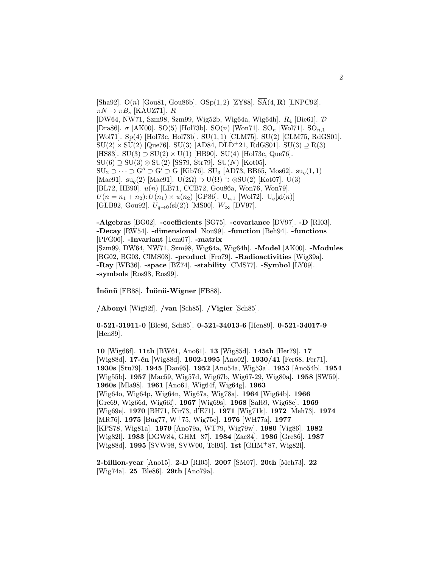[Sha92].  $O(n)$  [Gou81, Gou86b].  $OSp(1, 2)$  [ZY88].  $\overline{SA}(4, R)$  [LNPC92].  $\pi N \to \pi B_s$  [KAUZ71]. R [DW64, NW71, Szm98, Szm99, Wig52b, Wig64a, Wig64h]. R<sup>4</sup> [Bie61]. D [Dra86].  $\sigma$  [AK00]. SO(5) [Hol73b]. SO(n) [Won71]. SO<sub>n</sub> [Wol71]. SO<sub>n,1</sub> [Wol71]. Sp(4) [Hol73c, Hol73b]. SU(1, 1) [CLM75]. SU(2) [CLM75, RdGS01].  $SU(2) \times SU(2)$  [Que76]. SU(3) [AD84, DLD<sup>+</sup>21, RdGS01]. SU(3)  $\supseteq$  R(3)] [HS83]. SU(3)  $\supset$  SU(2)  $\times$  U(1) [HB90]. SU(4) [Hol73c, Que76].  $SU(6) \supseteq SU(3) \otimes SU(2)$  [SS79, Str79].  $SU(N)$  [Kot05].  $\text{SU}_2 \supset \cdots \supset \text{G}'' \supset \text{G}$  [Kib76].  $\text{SU}_3$  [AD73, BB65, Mos62].  $\text{su}_q(1,1)$ [Mae91]. su<sub>q</sub>(2) [Mae91]. U(2 $\Omega$ ) ⊃ U( $\Omega$ ) ⊃ ⊗SU(2) [Kot07]. U(3) [BL72, HB90]. u(n) [LB71, CCB72, Gou86a, Won76, Won79].  $U(n = n_1 + n_2): U(n_1) \times u(n_2)$  [GP86].  $U_{n,1}$  [Wol72].  $U_q[\text{gl}(n)]$ [GLB92, Gou92].  $U_{q\to 0}(\text{sl}(2))$  [MS00].  $W_{\infty}$  [DV97].

-Algebras [BG02]. -coefficients [SG75]. -covariance [DV97]. -D [RI03]. -Decay [RW54]. -dimensional [Nou99]. -function [Beh94]. -functions [PFG06]. -Invariant [Tem07]. -matrix [Szm99, DW64, NW71, Szm98, Wig64a, Wig64h]. -Model [AK00]. -Modules [BG02, BG03, CIMS08]. -product [Fro79]. -Radioactivities [Wig39a]. -Ray [WB36]. -space [BZ74]. -stability [CMS77]. -Symbol [LY09]. -symbols [Ros98, Ros99].

 $\,$ İnönü  $\,$ [FB88].  $\,$ İnönü-Wigner  $\,$ [FB88].

/Abonyi [Wig92f]. /van [Sch85]. /Vigier [Sch85].

0-521-31911-0 [Ble86, Sch85]. 0-521-34013-6 [Hen89]. 0-521-34017-9 [Hen89].

10 [Wig66f]. 11th [BW61, Ano61]. 13 [Wig85d]. 145th [Her79]. 17 [Wig88d]. 17-én [Wig88d]. 1902-1995 [Ano02]. 1930/41 [Fer68, Fer71]. 1930s [Stu79]. 1945 [Dan95]. 1952 [Ano54a, Wig53a]. 1953 [Ano54b]. 1954 [Wig55b]. 1957 [Mac59, Wig57d, Wig67b, Wig67-29, Wig80a]. 1958 [SW59]. 1960s [Mla98]. 1961 [Ano61, Wig64f, Wig64g]. 1963 [Wig64o, Wig64p, Wig64n, Wig67a, Wig78a]. 1964 [Wig64b]. 1966 [Gre69, Wig66d, Wig66f]. 1967 [Wig69s]. 1968 [Sal69, Wig68e]. 1969 [Wig69e]. 1970 [BH71, Kir73, d'E71]. 1971 [Wig71k]. 1972 [Meh73]. 1974 [MR76]. 1975 [Bug77, W<sup>+</sup>75, Wig75c]. 1976 [WH77a]. 1977 [KPS78, Wig81a]. 1979 [Ano79a, WT79, Wig79w]. 1980 [Vig86]. 1982 [Wig82l]. 1983 [DGW84, GHM<sup>+</sup>87]. 1984 [Zac84]. 1986 [Gre86]. 1987 [Wig88d]. 1995 [SVW98, SVW00, Tel95]. 1st [GHM<sup>+</sup>87, Wig82l].

2-billion-year [Ano15]. 2-D [RI05]. 2007 [SM07]. 20th [Meh73]. 22 [Wig74a]. 25 [Ble86]. 29th [Ano79a].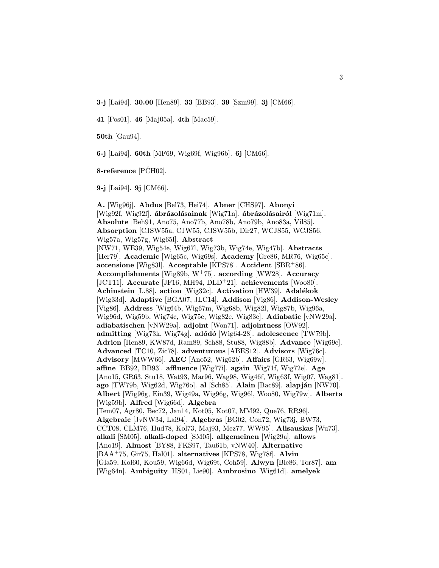3-j [Lai94]. 30.00 [Hen89]. 33 [BB93]. 39 [Szm99]. 3j [CM66].

41 [Pos01]. 46 [Maj05a]. 4th [Mac59].

50th [Gau94].

6-j [Lai94]. 60th [MF69, Wig69f, Wig96b]. 6j [CM66].

 $8$ -reference [PCH02].

9-j [Lai94]. 9j [CM66].

A. [Wig96j]. Abdus [Bel73, Hei74]. Abner [CHS97]. Abonyi [Wig92f, Wig92f]. ábrázolásainak [Wig71n]. ábrázolásairól [Wig71m]. Absolute [Beh91, Ano75, Ano77b, Ano78b, Ano79b, Ano83a, Vil85]. Absorption [CJSW55a, CJW55, CJSW55b, Dir27, WCJS55, WCJS56, Wig57a, Wig57g, Wig65l]. Abstract [NW71, WE39, Wig54e, Wig67l, Wig73b, Wig74e, Wig47b]. Abstracts [Her79]. Academic [Wig65c, Wig69s]. Academy [Gre86, MR76, Wig65c]. accensione [Wig83l]. Acceptable [KPS78]. Accident [SBR<sup>+</sup>86]. Accomplishments [Wig89b, W<sup>+</sup>75]. according [WW28]. Accuracy [JCT11]. Accurate [JF16, MH94, DLD<sup>+</sup>21]. achievements [Woo80]. Achinstein [L.88]. action [Wig32c]. Activation [HW39]. Adalékok [Wig33d]. Adaptive [BGA07, JLC14]. Addison [Vig86]. Addison-Wesley [Vig86]. Address [Wig64b, Wig67m, Wig68b, Wig82l, Wig87b, Wig96a, Wig96d, Wig59b, Wig74c, Wig75c, Wig82e, Wig83e]. Adiabatic [vNW29a]. adiabatischen [vNW29a]. adjoint [Won71]. adjointness [OW92]. admitting [Wig73k, Wig74g]. adódó [Wig64-28]. adolescence [TW79b]. Adrien [Hen89, KW87d, Ram89, Sch88, Stu88, Wig88b]. Advance [Wig69e]. Advanced [TC10, Zic78]. adventurous [ABES12]. Advisors [Wig76c]. Advisory [MWW66]. AEC [Ano52, Wig62b]. Affairs [GR63, Wig69w]. affine [BB92, BB93]. affluence [Wig77i]. again [Wig71f, Wig72e]. Age [Ano15, GR63, Stu18, Wat93, Mar96, Wag98, Wig46f, Wig63f, Wig07, Wag81]. ago  $[TW79b, Wig62d, Wig760]$ . al  $[Sch85]$ . Alain  $[Bac89]$ . alapján  $[NW70]$ . Albert [Wig96g, Ein39, Wig49a, Wig96g, Wig96l, Woo80, Wig79w]. Alberta [Wig59b]. Alfred [Wig66d]. Algebra [Tem07, Agr80, Bec72, Jan14, Kot05, Kot07, MM92, Que76, RR96]. Algebraic [JvNW34, Lai94]. Algebras [BG02, Con72, Wig73j, BW73, CCT08, CLM76, Hud78, Kol73, Maj93, Mez77, WW95]. Alisauskas [Wu73]. alkali [SM05]. alkali-doped [SM05]. allgemeinen [Wig29a]. allows [Ano19]. Almost [BY88, FKS97, Tau61b, vNW40]. Alternative [BAA<sup>+</sup>75, Gir75, Hal01]. alternatives [KPS78, Wig78f]. Alvin [Gla59, Kol60, Kou59, Wig66d, Wig69t, Coh59]. Alwyn [Ble86, Tor87]. am [Wig64n]. Ambiguity [HS01, Lie90]. Ambrosino [Wig61d]. amelyek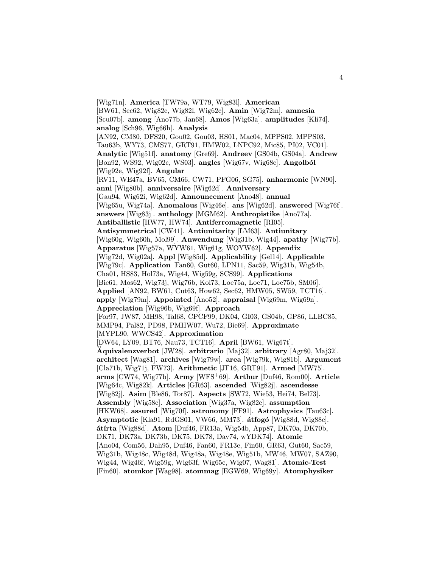[Wig71n]. America [TW79a, WT79, Wig83l]. American [BW61, Sec62, Wig82e, Wig82l, Wig62c]. Amin [Wig72m]. amnesia [Scu07b]. among [Ano77b, Jan68]. Amos [Wig63a]. amplitudes [Kli74]. analog [Sch96, Wig66h]. Analysis [AN92, CM80, DFS20, Gou02, Gou03, HS01, Mac04, MPPS02, MPPS03, Tau63b, WY73, CMS77, GRT91, HMW02, LNPC92, Mic85, PI02, VC01]. Analytic [Wig51f]. anatomy [Gre69]. Andreev [GS04b, GS04a]. Andrew [Bon92, WS92, Wig02c, WS03]. angles [Wig67v, Wig68c]. Angolból [Wig92e, Wig92f]. Angular [RV11, WE47a, BV65, CM66, CW71, PFG06, SG75]. anharmonic [WN90]. anni [Wig80b]. anniversaire [Wig62d]. Anniversary [Gau94, Wig62i, Wig62d]. Announcement [Ano48]. annual [Wig65u, Wig74a]. Anomalous [Wig46e]. ans [Wig62d]. answered [Wig76f]. answers [Wig83j]. anthology [MGM62]. Anthropistike [Ano77a]. Antiballistic [HW77, HW74]. Antiferromagnetic [RI05]. Antisymmetrical [CW41]. Antiunitarity [LM63]. Antiunitary [Wig60g, Wig60h, Mol99]. Anwendung [Wig31b, Wig44]. apathy [Wig77b]. Apparatus [Wig57a, WYW61, Wig61g, WOYW62]. Appendix [Wig72d, Wig02a]. Appl [Wig85d]. Applicability [Gel14]. Applicable [Wig79c]. Application [Fan60, Gut60, LPN11, Sac59, Wig31b, Wig54b, Cha01, HS83, Hol73a, Wig44, Wig59g, SCS99]. Applications [Bie61, Mos62, Wig73j, Wig76b, Kol73, Loe75a, Loe71, Loe75b, SM06]. Applied [AN92, BW61, Cut63, How62, Sec62, HMW05, SW59, TCT16]. apply [Wig79m]. Appointed [Ano52]. appraisal [Wig69m, Wig69n]. Appreciation [Wig96b, Wig69f]. Approach [For97, JW87, MH98, Tal68, CPCF99, DK04, GI03, GS04b, GP86, LLBC85, MMP94, Pal82, PD98, PMHW07, Wu72, Bie69]. Approximate [MYPL90, WWCS42]. Approximation [DW64, LY09, BT76, Nau73, TCT16]. April [BW61, Wig67t].  $\ddot{A}$ quivalenzverbot [JW28]. arbitrario [Maj32]. arbitrary [Agr80, Maj32]. architect [Wag81]. archives [Wig79w]. area [Wig79k, Wig81b]. Argument [Cla71b, Wig71j, FW73]. Arithmetic [JF16, GRT91]. Armed [MW75].  $\textbf{arms}$  [CW74, Wig77b]. Army [WFS+69]. Arthur [Duf46, Rom00]. Article [Wig64c, Wig82k]. Articles [GR63]. ascended [Wig82j]. ascendesse [Wig82j]. Asim [Ble86, Tor87]. Aspects [SW72, Wie53, Hei74, Bel73]. Assembly [Wig58c]. Association [Wig37a, Wig82e]. assumption [HKW68]. assured [Wig70f]. astronomy [FF91]. Astrophysics [Tau63c]. Asymptotic [Kla91, RdGS01, VW66, MM73]. átfogó [Wig88d, Wig88e]. átírta [Wig88d]. Atom [Duf46, FR13a, Wig54b, App87, DK70a, DK70b, DK71, DK73a, DK73b, DK75, DK78, Dav74, wYDK74]. Atomic [Ano04, Com56, Dah95, Duf46, Fan60, FR13e, Fin60, GR63, Gut60, Sac59, Wig31b, Wig48c, Wig48d, Wig48a, Wig48e, Wig51b, MW46, MW07, SAZ90, Wig44, Wig46f, Wig59g, Wig63f, Wig65c, Wig07, Wag81]. Atomic-Test [Fin60]. atomkor [Wag98]. atommag [EGW69, Wig69y]. Atomphysiker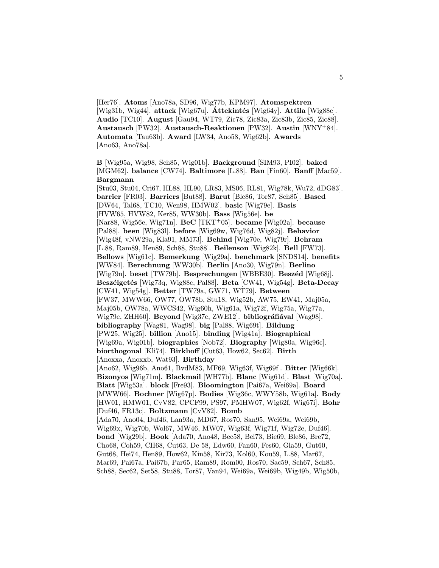[Her76]. Atoms [Ano78a, SD96, Wig77b, KPM97]. Atomspektren [Wig31b, Wig44]. attack [Wig67u].  $\acute{$ Attekintés [Wig64y]. Attila [Wig88c]. Audio [TC10]. August [Gau94, WT79, Zic78, Zic83a, Zic83b, Zic85, Zic88]. Austausch [PW32]. Austausch-Reaktionen [PW32]. Austin [WNY<sup>+</sup>84]. Automata [Tau63b]. Award [LW34, Ano58, Wig62b]. Awards [Ano63, Ano78a].

B [Wig95a, Wig98, Sch85, Wig01b]. Background [SIM93, PI02]. baked [MGM62]. balance [CW74]. Baltimore [L.88]. Ban [Fin60]. Banff [Mac59]. Bargmann

[Stu03, Stu04, Cri67, HL88, HL90, LR83, MS06, RL81, Wig78k, Wu72, dDG83]. barrier [FR03]. Barriers [But88]. Barut [Ble86, Tor87, Sch85]. Based [DW64, Tal68, TC10, Wen98, HMW02]. basic [Wig79e]. Basis [HVW65, HVW82, Ker85, WW30b]. Bass [Wig56e]. be [Nar88, Wig56e, Wig71n].  $\text{BeC}$  [TKT<sup>+</sup>05]. became [Wig02a]. because [Pal88]. been [Wig83l]. before [Wig69w, Wig76d, Wig82j]. Behavior [Wig48f, vNW29a, Kla91, MM73]. Behind [Wig70e, Wig79r]. Behram [L.88, Ram89, Hen89, Sch88, Stu88]. Beilenson [Wig82k]. Bell [FW73]. Bellows [Wig61c]. Bemerkung [Wig29a]. benchmark [SNDS14]. benefits [WW84]. Berechnung [WW30b]. Berlin [Ano30, Wig79n]. Berlino [Wig79n]. beset [TW79b]. Besprechungen [WBBE30]. Beszéd [Wig68j]. Beszélgetés [Wig73q, Wig88c, Pal88]. Beta [CW41, Wig54g]. Beta-Decay [CW41, Wig54g]. Better [TW79a, GW71, WT79]. Between [FW37, MWW66, OW77, OW78b, Stu18, Wig52b, AW75, EW41, Maj05a, Maj05b, OW78a, WWCS42, Wig60h, Wig61a, Wig72f, Wig75a, Wig77a, Wig79e, ZHH60]. Beyond [Wig37c, ZWE12]. bibliográfiával [Wag98]. bibliography [Wag81, Wag98]. big [Pal88, Wig69t]. Bildung [PW25, Wig25]. billion [Ano15]. binding [Wig41a]. Biographical [Wig69a, Wig01b]. biographies [Nob72]. Biography [Wig80a, Wig96c]. biorthogonal [Kli74]. Birkhoff [Cut63, How62, Sec62]. Birth [Anoxxa, Anoxxb, Wat93]. Birthday [Ano62, Wig96b, Ano61, BvdM83, MF69, Wig63f, Wig69f]. Bitter [Wig66k]. Bizonyos [Wig71m]. Blackmail [WH77b]. Blanc [Wig61d]. Blast [Wig70a]. Blatt [Wig53a]. block [Fre93]. Bloomington [Pai67a, Wei69a]. Board [MWW66]. Bochner [Wig67p]. Bodies [Wig36c, WWY58b, Wig61a]. Body [HW01, HMW01, CvV82, CPCF99, PS97, PMHW07, Wig62f, Wig67i]. Bohr [Duf46, FR13c]. Boltzmann [CvV82]. Bomb [Ada70, Ano04, Duf46, Lan93a, MD67, Ros70, San95, Wei69a, Wei69b, Wig69x, Wig70b, Wol67, MW46, MW07, Wig63f, Wig71f, Wig72e, Duf46]. bond [Wig29b]. Book [Ada70, Ano48, Bec58, Bel73, Bie69, Ble86, Bre72, Cho68, Coh59, CH68, Cut63, De 58, Edw60, Fan60, Fes60, Gla59, Gut60, Gut68, Hei74, Hen89, How62, Kin58, Kir73, Kol60, Kou59, L.88, Mar67, Mar69, Pai67a, Pai67b, Par65, Ram89, Rom00, Ros70, Sac59, Sch67, Sch85, Sch88, Sec62, Set58, Stu88, Tor87, Van94, Wei69a, Wei69b, Wig49b, Wig50b,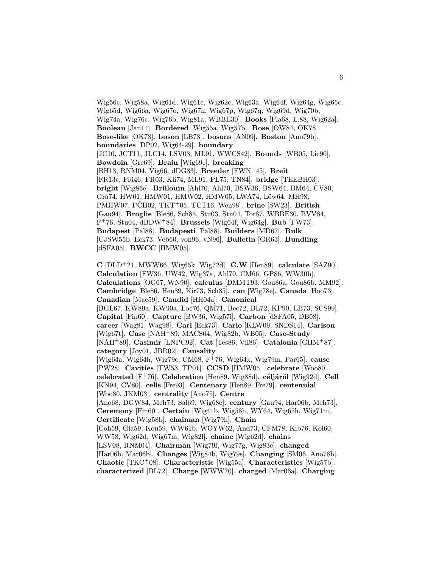Wig56c, Wig58a, Wig61d, Wig61e, Wig62c, Wig63a, Wig64f, Wig64g, Wig65c, Wig65d, Wig66a, Wig67o, Wig67n, Wig67p, Wig67q, Wig69d, Wig70b, Wig74a, Wig76c, Wig76b, Wig81a, WBBE30]. Books [Fla68, L.88, Wig62a]. Boolean [Jan14]. Bordered [Wig55a, Wig57b]. Bose [OW84, OK78]. Bose-like [OK78]. boson [LB73]. bosons [AN09]. Boston [Ano79b]. boundaries [DP02, Wig64-29]. boundary [JC10, JCT11, JLC14, LSV08, ML91, WWCS42]. Bounds [WB05, Lie90]. Bowdoin [Gre69]. Brain [Wig69e]. breaking [BH13, RNM04, Vig66, dDG83]. Breeder [FWN<sup>+</sup>45]. Breit [FR13c, Flü46, FR03, Kli74, ML91, PL75, TN84]. bridge [TEEBH03]. bright [Wig86e]. Brillouin [Ahl70, Ahl70, BSW36, BSW64, BM64, CV80, Gra74, HW01, HMW01, HMW02, HMW05, LWA74, Löw64, MH98, PMHW07, PČH02, TKT+05, TCT16, Wen98]. brine [SW23]. British [Gau94]. Broglie [Ble86, Sch85, Stu03, Stu04, Tor87, WBBE30, BVV84,  $F^+76$ , Stu04, dBDW<sup>+</sup>84. Brussels [Wig64f, Wig64g]. Bub [FW73]. Budapest [Pal88]. Budapesti [Pal88]. Builders [MD67]. Bulk [CJSW55b, Eck73, Veb60, von96, vN96]. Bulletin [GR63]. Bundling [dSFA05]. BWCC [HMW05].

 $C$  [DLD<sup>+</sup>21, MWW66, Wig65k, Wig72d].  $C.W$  [Hen89]. calculate [SAZ90]. Calculation [FW36, UW42, Wig37a, Ahl70, CM66, GP86, WW30b]. Calculations [OG07, WN90]. calculus [DMMT93, Gou86a, Gou86b, MM92]. Cambridge [Ble86, Hen89, Kir73, Sch85]. can [Wig78e]. Canada [Hoo73]. Canadian [Mac59]. Candid [HH04a]. Canonical [BGL67, KW89a, KW90a, Loc76, QM71, Bec72, BL72, KP90, LB73, SCS99]. Capital [Fin60]. Capture [BW36, Wig57i]. Carbon [dSFA05, DB08]. career [Wag81, Wag98]. Carl [Eck73]. Carlo [KLW09, SNDS14]. Carlson [Wig67t]. Case [NAH<sup>+</sup>89, MACS04, Wig82b, WB05]. Case-Study [NAH<sup>+</sup>89]. Casimir [LNPC92]. Cat [Tes86, Vil86]. Catalonia [GHM<sup>+</sup>87]. category [Joy01, JBR02]. Causality [Wig64a, Wig64h, Wig79c, CM68, F<sup>+</sup>76, Wig64x, Wig79m, Par65]. cause [PW28]. Cavities [TW53, TP01]. CCSD [HMW05]. celebrate [Woo80]. celebrated  $[F^+76]$ . Celebration  $[Hen89, Wig88d]$ . céljáról  $[Wig92d]$ . Cell [KN94, CV80]. cells [Fre93]. Centenary [Hen89, Fre79]. centennial [Woo80, JKM03]. centrality [Ano75]. Centre [Ano68, DGW84, Meh73, Sal69, Wig68e]. century [Gau94, Har06b, Meh73]. Ceremony [Fin60]. Certain [Wig41b, Wig58h, WY64, Wig65h, Wig71m]. Certificate [Wig58b]. chaiman [Wig79h]. Chain [Coh59, Gla59, Kou59, WW61b, WOYW62, And73, CFM78, Kib76, Kol60, WW58, Wig62d, Wig67m, Wig82l]. chaine [Wig62d]. chains [LSV08, RNM04]. Chairman [Wig79f, Wig77g, Wig83e]. changed [Har06b, Mar06b]. Changes [Wig84b, Wig79s]. Changing [SM06, Ano78b]. Chaotic [TKC<sup>+</sup>08]. Characteristic [Wig55a]. Characteristics [Wig57b]. characterized [BL72]. Charge [WWW70]. charged [Mar06a]. Charging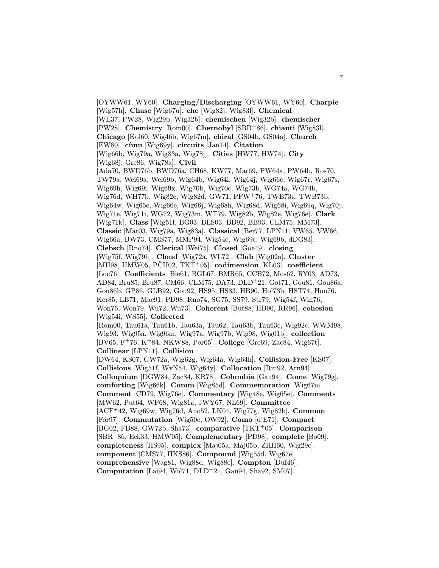[OYWW61, WY60]. Charging/Discharging [OYWW61, WY60]. Charpie [Wig57h]. Chase [Wig67u]. che [Wig82j, Wig83l]. Chemical [WE37, PW28, Wig29b, Wig32b]. chemischen [Wig32b]. chemischer [PW28]. Chemistry [Rom00]. Chernobyl [SBR<sup>+</sup>86]. chianti [Wig83l]. Chicago [Kol60, Wig46b, Wig67m]. chiral [GS04b, GS04a]. Church [EW80]. címu [Wig69y]. circuits [Jan14]. Citation [Wig66b, Wig79a, Wig83a, Wig78j]. Cities [HW77, HW74]. City [Wig68j, Gre86, Wig78a]. Civil [Ada70, BWD76b, BWD76a, CH68, KW77, Mar69, PW64a, PW64b, Ros70, TW79a, Wei69a, Wei69b, Wig64b, Wig64i, Wig64j, Wig66c, Wig67r, Wig67s, Wig69h, Wig69i, Wig69x, Wig70b, Wig70c, Wig73b, WG74a, WG74b, Wig76d, WH77b, Wig82c, Wig82d, GW71, PFW<sup>+</sup>76, TWB73a, TWB73b, Wig64w, Wig65e, Wig66e, Wig66j, Wig68h, Wig68d, Wig68i, Wig69q, Wig70j, Wig71e, Wig71i, WG72, Wig73m, WT79, Wig82b, Wig82e, Wig76e]. Clark [Wig71k]. Class [Wig51f, BG03, BLS03, BB92, BB93, CLM75, MM73]. Classic [Mar03, Wig79a, Wig83a]. Classical [Ber77, LPN11, VW65, VW66, Wig66a, BW73, CMS77, MMP94, Wig54c, Wig69c, Wig69b, dDG83]. Clebsch [Rno74]. Clerical [Wei75]. Closed [Goe49]. closing [Wig75f, Wig79h]. Cloud [Wig72a, WL72]. Club [Wig02a]. Cluster  $[MH98, HMW05, PCH02, TKT+05]$ . codimension  $[KL03]$ . coefficient [Loc76]. Coefficients [Bie61, BGL67, BMR65, CCB72, Mos62, RY03, AD73, AD84, Bru85, Bru87, CM66, CLM75, DA73, DLD<sup>+</sup>21, Got71, Gou81, Gou86a, Gou86b, GP86, GLB92, Gou92, HS95, HS83, HB90, Hol73b, HST74, Hon76, Ker85, LB71, Mae91, PD98, Rno74, SG75, SS79, Str79, Wig54f, Win76, Won76, Won79, Wu72, Wu73]. Coherent [But88, HB90, RR96]. cohesion [Wig54i, WS55]. Collected [Rom00, Tau61a, Tau61b, Tau63a, Tau62, Tau63b, Tau63c, Wig92c, WWM98, Wig93, Wig95a, Wig96m, Wig97a, Wig97b, Wig98, Wig01b]. collection [BV65, F<sup>+</sup>76, K<sup>+</sup>84, NKW88, Por65]. College [Gre69, Zac84, Wig67t]. Collinear [LPN11]. Collision [DW64, KS07, GW72a, Wig62g, Wig64a, Wig64h]. Collision-Free [KS07]. Collisions [Wig51f, WvN54, Wig64y]. Collocation [Rin92, Arn94]. Colloquium [DGW84, Zac84, KR78]. Columbia [Gau94]. Come [Wig79g]. comforting [Wig66k]. Comm [Wig85d]. Commemoration [Wig67m]. Comment [CD79, Wig76e]. Commentary [Wig48e, Wig65e]. Comments [MW62, Put64, WF68, Wig81a, JWY67, NL69]. Committee [ACF<sup>+</sup>42, Wig69w, Wig76d, Ano52, LK04, Wig77g, Wig82b]. Common [For97]. Commutation [Wig50c, OW92]. Como [d'E71]. Compact [BG02, FB88, GW72b, Sha73]. comparative [TKT<sup>+</sup>05]. Comparison [SBR<sup>+</sup>86, Eck33, HMW05]. Complementary [PD98]. complete [Bo09]. completeness [HS95]. complex [Maj05a, Maj05b, ZHH60, Wig29c]. component [CMS77, HKS86]. Compound [Wig55d, Wig67e]. comprehensive [Wag81, Wig88d, Wig88e]. Compton [Duf46]. Computation [Lai94, Wol71, DLD<sup>+</sup>21, Gau94, Sha92, SM07].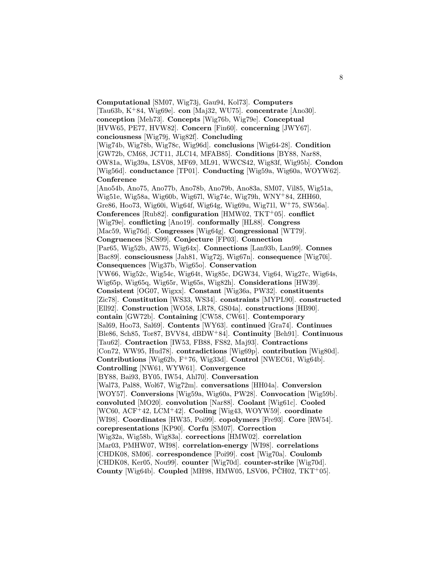Computational [SM07, Wig73j, Gau94, Kol73]. Computers [Tau63b, K<sup>+</sup>84, Wig69e]. con [Maj32, WU75]. concentrate [Ano30]. conception [Meh73]. Concepts [Wig76b, Wig79e]. Conceptual [HVW65, PE77, HVW82]. Concern [Fin60]. concerning [JWY67]. conciousness [Wig79j, Wig82f]. Concluding [Wig74b, Wig78b, Wig78c, Wig96d]. conclusions [Wig64-28]. Condition [GW72b, CM68, JCT11, JLC14, MFAB85]. Conditions [BY88, Nar88, OW81a, Wig39a, LSV08, MF69, ML91, WWCS42, Wig83f, Wig95b]. Condon [Wig56d]. conductance [TP01]. Conducting [Wig59a, Wig60a, WOYW62]. **Conference** [Ano54b, Ano75, Ano77b, Ano78b, Ano79b, Ano83a, SM07, Vil85, Wig51a, Wig51e, Wig58a, Wig60b, Wig67l, Wig74c, Wig79h, WNY<sup>+</sup>84, ZHH60, Gre86, Hoo73, Wig60i, Wig64f, Wig64g, Wig69u, Wig71l, W<sup>+</sup>75, SW56a]. Conferences [Rub82]. configuration [HMW02,  $TKT^+05$ ]. conflict [Wig79e]. conflicting [Ano19]. conformally [HL88]. Congress [Mac59, Wig76d]. Congresses [Wig64g]. Congressional [WT79]. Congruences [SCS99]. Conjecture [FP03]. Connection [Par65, Wig52b, AW75, Wig64x]. Connections [Lan93b, Lan99]. Connes [Bac89]. consciousness [Jah81, Wig72j, Wig67n]. consequence [Wig70i]. Consequences [Wig37b, Wig65o]. Conservation [VW66, Wig52c, Wig54c, Wig64t, Wig85c, DGW34, Vig64, Wig27c, Wig64s, Wig65p, Wig65q, Wig65r, Wig65s, Wig82h]. Considerations [HW39]. Consistent [OG07, Wigxx]. Constant [Wig36a, PW32]. constituents [Zic78]. Constitution [WS33, WS34]. constraints [MYPL90]. constructed [Ell92]. Construction [WO58, LR78, GS04a]. constructions [HB90]. contain [GW72b]. Containing [CW58, CW61]. Contemporary [Sal69, Hoo73, Sal69]. Contents [WY63]. continued [Gra74]. Continues [Ble86, Sch85, Tor87, BVV84, dBDW<sup>+</sup>84]. Continuity [Beh91]. Continuous [Tau62]. Contraction [IW53, FB88, FS82, Maj93]. Contractions [Con72, WW95, Hud78]. contradictions [Wig69p]. contribution [Wig80d]. Contributions [Wig62b,  $F^{+}76$ , Wig33d]. Control [NWEC61, Wig64b]. Controlling [NW61, WYW61]. Convergence [BY88, Bai93, BY05, IW54, Ahl70]. Conversation [Wal73, Pal88, Wol67, Wig72m]. conversations [HH04a]. Conversion [WOY57]. Conversions [Wig59a, Wig60a, PW28]. Convocation [Wig59b]. convoluted [MO20]. convolution [Nar88]. Coolant [Wig61c]. Cooled [WC60, ACF<sup>+</sup>42, LCM<sup>+</sup>42]. Cooling [Wig43, WOYW59]. coordinate [WI98]. Coordinates [HW35, Poi99]. copolymers [Fre93]. Core [RW54]. corepresentations [KP90]. Corfu [SM07]. Correction [Wig32a, Wig58b, Wig83a]. corrections [HMW02]. correlation [Mar03, PMHW07, WI98]. correlation-energy [WI98]. correlations [CHDK08, SM06]. correspondence [Poi99]. cost [Wig70a]. Coulomb [CHDK08, Ker05, Nou99]. counter [Wig70d]. counter-strike [Wig70d]. County [Wig64b]. Coupled [MH98, HMW05, LSV06, PČH02, TKT+05].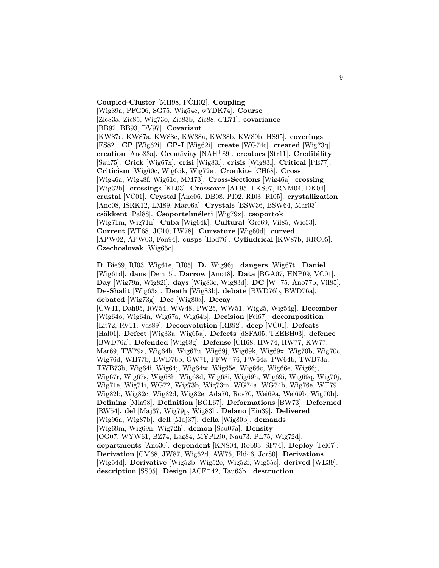Coupled-Cluster [MH98, PCH02]. Coupling [Wig39a, PFG06, SG75, Wig54e, wYDK74]. Course .<br>[Zic83a, Zic85, Wig73o, Zic83b, Zic88, d'E71]. **covariance** [BB92, BB93, DV97]. Covariant [KW87c, KW87a, KW88c, KW88a, KW88b, KW89b, HS95]. coverings [FS82]. CP [Wig62i]. CP-I [Wig62i]. create [WG74c]. created [Wig73q]. creation [Ano83a]. Creativity [NAH<sup>+</sup>89]. creators [Str11]. Credibility [Sau75]. Crick [Wig67x]. crisi [Wig83l]. crisis [Wig83l]. Critical [PE77]. Criticism [Wig60c, Wig65k, Wig72e]. Cronkite [CH68]. Cross [Wig46a, Wig48f, Wig61e, MM73]. Cross-Sections [Wig46a]. crossing [Wig32b]. crossings [KL03]. Crossover [AF95, FKS97, RNM04, DK04]. crustal [VC01]. Crystal [Ano06, DB08, PI02, RI03, RI05]. crystallization [Ano08, ISRK12, LM89, Mar06a]. Crystals [BSW36, BSW64, Mar03]. csökkent [Pal88]. Csoportelméleti [Wig79x]. csoportok [Wig71m, Wig71n]. Cuba [Wig64k]. Cultural [Gre69, Vil85, Wie53]. Current [WF68, JC10, LW78]. Curvature [Wig60d]. curved [APW02, APW03, Fon94]. cusps [Hod76]. Cylindrical [KW87b, RRC05]. Czechoslovak [Wig65c].

D [Bie69, RI03, Wig61e, RI05]. D. [Wig96j]. dangers [Wig67t]. Daniel [Wig61d]. dans [Dem15]. Darrow [Ano48]. Data [BGA07, HNP09, VC01]. Day [Wig79n, Wig82i]. days [Wig83c, Wig83d]. DC [W<sup>+</sup>75, Ano77b, Vil85]. De-Shalit [Wig63a]. Death [Wig83b]. debate [BWD76b, BWD76a]. debated [Wig73g]. Dec [Wig80a]. Decay [CW41, Dah95, RW54, WW48, PW25, WW51, Wig25, Wig54g]. December [Wig64o, Wig64n, Wig67a, Wig64p]. Decision [Fel67]. decomposition [Lit72, RV11, Vas89]. Deconvolution [RB92]. deep [VC01]. Defeats [Hal01]. Defect [Wig33a, Wig65a]. Defects [dSFA05, TEEBH03]. defence [BWD76a]. Defended [Wig68g]. Defense [CH68, HW74, HW77, KW77, Mar69, TW79a, Wig64b, Wig67u, Wig69j, Wig69k, Wig69x, Wig70b, Wig70c, Wig76d, WH77b, BWD76b, GW71, PFW<sup>+</sup>76, PW64a, PW64b, TWB73a, TWB73b, Wig64i, Wig64j, Wig64w, Wig65e, Wig66c, Wig66e, Wig66j, Wig67r, Wig67s, Wig68h, Wig68d, Wig68i, Wig69h, Wig69i, Wig69q, Wig70j, Wig71e, Wig71i, WG72, Wig73b, Wig73m, WG74a, WG74b, Wig76e, WT79, Wig82b, Wig82c, Wig82d, Wig82e, Ada70, Ros70, Wei69a, Wei69b, Wig70b]. Defining [Mla98]. Definition [BGL67]. Deformations [BW73]. Deformed [RW54]. del [Maj37, Wig79p, Wig83l]. Delano [Ein39]. Delivered [Wig96a, Wig87b]. dell [Maj37]. della [Wig80b]. demands [Wig69m, Wig69n, Wig72h]. demon [Scu07a]. Density [OG07, WYW61, BZ74, Lag84, MYPL90, Nau73, PL75, Wig72d]. departments [Ano30]. dependent [KNS04, Rob93, SP74]. Deploy [Fel67]. Derivation [CM68, JW87, Wig52d, AW75, Flü46, Jor80]. Derivations [Wig54d]. Derivative [Wig52b, Wig52e, Wig52f, Wig55c]. derived [WE39]. description [SS05]. Design [ACF<sup>+</sup>42, Tau63b]. destruction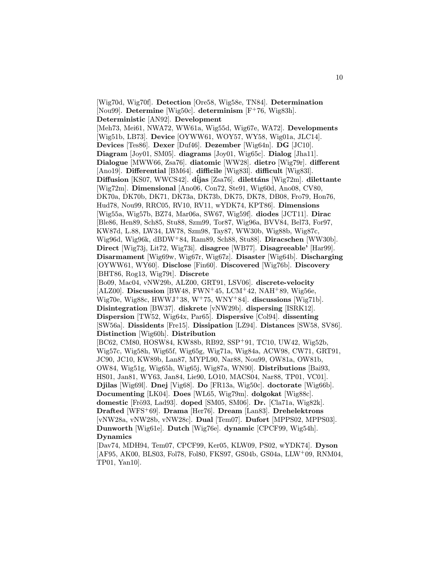[Wig70d, Wig70f]. Detection [Ore58, Wig58e, TN84]. Determination [Nou99]. Determine [Wig50c]. determinism [F<sup>+</sup>76, Wig83h]. Deterministic [AN92]. Development [Meh73, Mei61, NWA72, WW61a, Wig55d, Wig67e, WA72]. Developments [Wig51b, LB73]. Device [OYWW61, WOY57, WY58, Wig01a, JLC14]. Devices [Tes86]. Dexer [Duf46]. Dezember [Wig64n]. DG [JC10]. Diagram [Joy01, SM05]. diagrams [Joy01, Wig65c]. Dialog [Jha11]. Dialogue [MWW66, Zsa76]. diatomic [WW28]. dietro [Wig79r]. different [Ano19]. Differential [BM64]. difficile [Wig83l]. difficult [Wig83l]. Diffusion [KS07, WWCS42]. díjas [Zsa76]. dilettáns [Wig72m]. dilettante [Wig72m]. Dimensional [Ano06, Con72, Ste91, Wig60d, Ano08, CV80, DK70a, DK70b, DK71, DK73a, DK73b, DK75, DK78, DB08, Fro79, Hon76, Hud78, Nou99, RRC05, RV10, RV11, wYDK74, KPT86]. Dimensions [Wig55a, Wig57b, BZ74, Mar06a, SW67, Wig59f]. diodes [JCT11]. Dirac [Ble86, Hen89, Sch85, Stu88, Szm99, Tor87, Wig96a, BVV84, Bel73, For97, KW87d, L.88, LW34, LW78, Szm98, Tay87, WW30b, Wig88b, Wig87c, Wig96d, Wig96k, dBDW<sup>+</sup>84, Ram89, Sch88, Stu88]. Diracschen [WW30b]. Direct [Wig73j, Lit72, Wig73i]. disagree [WB77]. Disagreeable' [Har99]. Disarmament [Wig69w, Wig67r, Wig67z]. Disaster [Wig64b]. Discharging [OYWW61, WY60]. Disclose [Fin60]. Discovered [Wig76b]. Discovery [BHT86, Rog13, Wig79t]. Discrete [Bo09, Mac04, vNW29b, ALZ00, GRT91, LSV06]. discrete-velocity [ALZ00]. Discussion [BW48, FWN<sup>+</sup>45, LCM<sup>+</sup>42, NAH<sup>+</sup>89, Wig56e, Wig70e, Wig88c, HWWJ+38, W+75, WNY+84. discussions [Wig71b]. Disintegration [BW37]. diskrete [vNW29b]. dispersing [ISRK12]. Dispersion [TW52, Wig64x, Par65]. Dispersive [Col94]. dissenting [SW56a]. Dissidents [Fre15]. Dissipation [LZ94]. Distances [SW58, SV86]. Distinction [Wig60h]. Distribution [BC62, CM80, HOSW84, KW88b, RB92, SSP<sup>+</sup>91, TC10, UW42, Wig52b, Wig57c, Wig58h, Wig65f, Wig65g, Wig71a, Wig84a, ACW98, CW71, GRT91, JC90, JC10, KW89b, Lan87, MYPL90, Nar88, Nou99, OW81a, OW81b, OW84, Wig51g, Wig65h, Wig65j, Wig87a, WN90]. Distributions [Bai93, HS01, Jan81, WY63, Jan84, Lie90, LO10, MACS04, Nar88, TP01, VC01]. Djilas [Wig69l]. Dnej [Vig68]. Do [FR13a, Wig50c]. doctorate [Wig66b]. Documenting [LK04]. Does [WL65, Wig79m]. dolgokat [Wig88c]. domestic [Frö93, Lad93]. doped [SM05, SM06]. Dr. [Cla71a, Wig82k]. Drafted [WFS<sup>+</sup>69]. Drama [Her76]. Dream [Lan83]. Drehelektrons [vNW28a, vNW28b, vNW28c]. Dual [Tem07]. Dufort [MPPS02, MPPS03]. Dunworth [Wig61e]. Dutch [Wig76e]. dynamic [CPCF99, Wig54h]. Dynamics [Dav74, MDH94, Tem07, CPCF99, Ker05, KLW09, PS02, wYDK74]. Dyson

[AF95, AK00, BLS03, Fol78, Fol80, FKS97, GS04b, GS04a, LLW<sup>+</sup>09, RNM04, TP01, Yan10].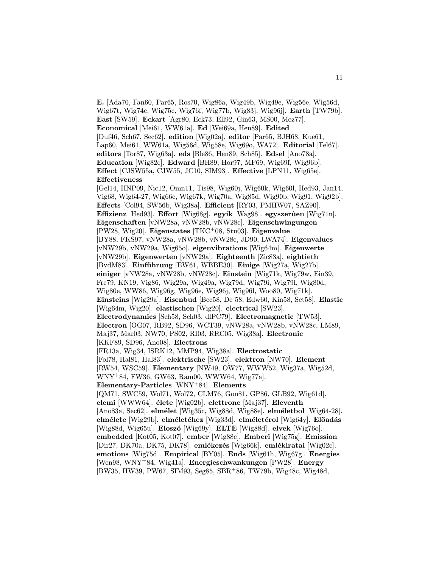E. [Ada70, Fan60, Par65, Ros70, Wig86a, Wig49b, Wig49e, Wig56e, Wig56d, Wig67t, Wig74c, Wig75c, Wig76f, Wig77b, Wig83j, Wig96j]. Earth [TW79b]. East [SW59]. Eckart [Agr80, Eck73, Ell92, Gin63, MS00, Mez77]. Economical [Mei61, WW61a]. Ed [Wei69a, Hen89]. Edited [Duf46, Sch67, Sec62]. edition [Wig02a]. editor [Par65, BJH68, Kue61, Lap60, Mei61, WW61a, Wig56d, Wig58e, Wig69o, WA72]. Editorial [Fel67]. editors [Tor87, Wig63a]. eds [Ble86, Hen89, Sch85]. Edsel [Ano78a]. Education [Wig82e]. Edward [BH89, Hor97, MF69, Wig69f, Wig96b]. Effect [CJSW55a, CJW55, JC10, SIM93]. Effective [LPN11, Wig65e]. Effectiveness [Gel14, HNP09, Nic12, Omn11, Tis98, Wig60j, Wig60k, Wig60l, Hed93, Jan14, Vig68, Wig64-27, Wig66e, Wig67k, Wig70a, Wig85d, Wig90b, Wig91, Wig92b]. Effects [Col94, SW56b, Wig38a]. Efficient [RY03, PMHW07, SAZ90]. Effizienz [Hed93]. Effort [Wig68g]. egyik [Wag98]. egyszerûen [Wig71n]. Eigenschaften [vNW28a, vNW28b, vNW28c]. Eigenschwingungen [PW28, Wig20]. Eigenstates [TKC<sup>+</sup>08, Stu03]. Eigenvalue [BY88, FKS97, vNW28a, vNW28b, vNW28c, JD90, LWA74]. Eigenvalues [vNW29b, vNW29a, Wig65o]. eigenvibrations [Wig64m]. Eigenwerte [vNW29b]. Eigenwerten [vNW29a]. Eighteenth [Zic83a]. eightieth [BvdM83]. Einführung [EW61, WBBE30]. Einige [Wig27a, Wig27b]. einiger [vNW28a, vNW28b, vNW28c]. Einstein [Wig71k, Wig79w, Ein39, Fre79, KN19, Vig86, Wig29a, Wig49a, Wig79d, Wig79i, Wig79l, Wig80d, Wig80e, WW86, Wig96g, Wig96e, Wig96j, Wig96l, Woo80, Wig71k]. Einsteins [Wig29a]. Eisenbud [Bec58, De 58, Edw60, Kin58, Set58]. Elastic [Wig64m, Wig20]. elastischen [Wig20]. electrical [SW23]. Electrodynamics [Sch58, Sch03, dlPC79]. Electromagnetic [TW53]. Electron [OG07, RB92, SD96, WCT39, vNW28a, vNW28b, vNW28c, LM89, Maj37, Mar03, NW70, PS02, RI03, RRC05, Wig38a]. Electronic [KKF89, SD96, Ano08]. Electrons [FR13a, Wig34, ISRK12, MMP94, Wig38a]. Electrostatic [Fol78, Hal81, Hal83]. elektrische [SW23]. elektron [NW70]. Element [RW54, WSC59]. Elementary [NW49, OW77, WWW52, Wig37a, Wig52d, WNY<sup>+</sup>84, FW36, GW63, Ram00, WWW64, Wig77a]. Elementary-Particles [WNY<sup>+</sup>84]. Elements [QM71, SWC59, Wol71, Wol72, CLM76, Gou81, GP86, GLB92, Wig61d]. elemi [WWW64]. élete [Wig02b]. elettrone [Maj37]. Eleventh [Ano83a, Sec62]. elmélet [Wig35c, Wig88d, Wig88e]. elméletbol [Wig64-28]. elmélete [Wig29b]. elméletéhez [Wig33d]. elméletérol [Wig64y]. Elöadás [Wig88d, Wig65u]. Eloszó [Wig69y]. ELTE [Wig88d]. elvek [Wig76o]. embedded [Kot05, Kot07]. ember [Wig88c]. Emberi [Wig75g]. Emission [Dir27, DK70a, DK75, DK78]. emlékezés [Wig66k]. emlékiratai [Wig02c]. emotions [Wig75d]. Empirical [BY05]. Ends [Wig61h, Wig67g]. Energies [Wen98, WNY<sup>+</sup>84, Wig41a]. Energieschwankungen [PW28]. Energy [BW35, HW39, PW67, SIM93, Seg85, SBR<sup>+</sup>86, TW79b, Wig48c, Wig48d,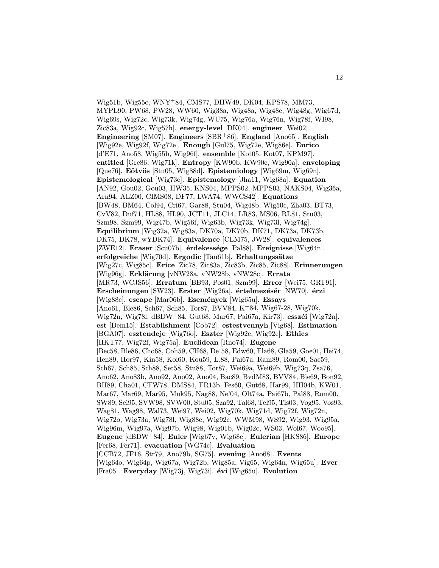Wig51b, Wig55c, WNY<sup>+</sup>84, CMS77, DHW49, DK04, KPS78, MM73, MYPL90, PW68, PW28, WW60, Wig38a, Wig48a, Wig48e, Wig48g, Wig67d, Wig69s, Wig72c, Wig73k, Wig74g, WU75, Wig76a, Wig76n, Wig78f, WI98, Zic83a, Wig92c, Wig57h]. energy-level [DK04]. engineer [Wei02]. Engineering [SM07]. Engineers [SBR+86]. England [Ano65]. English [Wig92e, Wig92f, Wig72e]. Enough [Gul75, Wig72e, Wig86e]. Enrico [d'E71, Ano58, Wig55b, Wig96f]. ensemble [Kot05, Kot07, KPM97]. entitled [Gre86, Wig71k]. Entropy [KW90b, KW90c, Wig90a]. enveloping [Que76]. Eötvös [Stu05, Wig88d]. Epistemiology [Wig69m, Wig69n]. Epistemological [Wig73c]. Epistemology [Jha11, Wig68a]. Equation [AN92, Gou02, Gou03, HW35, KNS04, MPPS02, MPPS03, NAKS04, Wig36a, Arn94, ALZ00, CIMS08, DF77, LWA74, WWCS42]. Equations [BW48, BM64, Col94, Cri67, Gar88, Stu04, Wig48b, Wig50c, Zha03, BT73, CvV82, Duf71, HL88, HL90, JCT11, JLC14, LR83, MS06, RL81, Stu03, Szm98, Szm99, Wig47b, Wig56f, Wig63b, Wig73k, Wig73l, Wig74g]. Equilibrium [Wig32a, Wig83a, DK70a, DK70b, DK71, DK73a, DK73b, DK75, DK78, wYDK74]. Equivalence [CLM75, JW28]. equivalences [ZWE12]. Eraser [Scu07b]. érdekessége [Pal88]. Ereignisse [Wig64n]. erfolgreiche [Wig70d]. Ergodic [Tau61b]. Erhaltungssätze [Wig27c, Wig85c]. Erice [Zic78, Zic83a, Zic83b, Zic85, Zic88]. Erinnerungen [Wig96g]. Erklärung [vNW28a, vNW28b, vNW28c]. Errata [MR73, WCJS56]. Erratum [BB93, Pos01, Szm99]. Error [Wei75, GRT91]. Erscheinungen [SW23]. Erster [Wig26a]. értelmezésér [NW70]. érzi [Wig88c]. escape [Mar06b]. Események [Wig65u]. Essays [Ano61, Ble86, Sch67, Sch85, Tor87, BVV84, K<sup>+</sup>84, Wig67-28, Wig70k, Wig72n, Wig78l, dBDW<sup>+</sup>84, Gut68, Mar67, Pai67a, Kir73l. esszéi [Wig72n]. est [Dem15]. Establishment [Cob72]. estestvennyh [Vig68]. Estimation [BGA07]. esztendeje [Wig76o]. Eszter [Wig92e, Wig92e]. Ethics [HKT77, Wig72f, Wig75a]. Euclidean [Rno74]. Eugene [Bec58, Ble86, Cho68, Coh59, CH68, De 58, Edw60, Fla68, Gla59, Goe01, Hei74, Hen89, Hor97, Kin58, Kol60, Kou59, L.88, Pai67a, Ram89, Rom00, Sac59, Sch67, Sch85, Sch88, Set58, Stu88, Tor87, Wei69a, Wei69b, Wig73q, Zsa76, Ano62, Ano83b, Ano92, Ano02, Ano04, Bac89, BvdM83, BVV84, Bie69, Bon92, BH89, Cha01, CFW78, DMS84, FR13b, Fes60, Gut68, Har99, HH04b, KW01, Mar67, Mar69, Mar95, Muk95, Nag88, Ne'04, Olt74a, Pai67b, Pal88, Rom00, SW89, Sei95, SVW98, SVW00, Stu05, Sza92, Tal68, Tel95, Tis03, Vog95, Vos93, Wag81, Wag98, Wal73, Wei97, Wei02, Wig70k, Wig71d, Wig72f, Wig72n, Wig72o, Wig73a, Wig78l, Wig88c, Wig92c, WWM98, WS92, Wig93, Wig95a, Wig96m, Wig97a, Wig97b, Wig98, Wig01b, Wig02c, WS03, Wol67, Woo95]. Eugene [dBDW<sup>+</sup>84]. Euler [Wig67v, Wig68c]. Eulerian [HKS86]. Europe [Fer68, Fer71]. evacuation [WG74c]. Evaluation [CCB72, JF16, Str79, Ano79b, SG75]. evening [Ano68]. Events  $[Wig640, Wig64p, Wig67a, Wig72b, Wig85a, Vig65, Wig64n, Wig65u]$ . Ever [Fra05]. Everyday [Wig73j, Wig73i].  $\acute{e}vi$  [Wig65u]. Evolution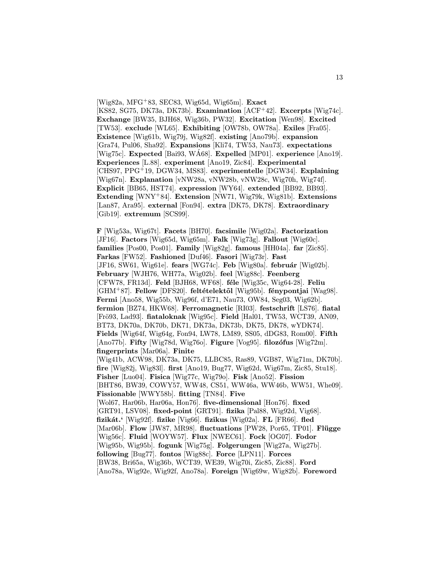$[Wig82a, MFG+83, SECS3, Wig65d, Wig65m]$ . **Exact** [KS82, SG75, DK73a, DK73b]. Examination [ACF<sup>+</sup>42]. Excerpts [Wig74c]. Exchange [BW35, BJH68, Wig36b, PW32]. Excitation [Wen98]. Excited [TW53]. exclude [WL65]. Exhibiting [OW78b, OW78a]. Exiles [Fra05]. Existence [Wig61b, Wig79j, Wig82f]. existing [Ano79b]. expansion [Gra74, Pul06, Sha92]. Expansions [Kli74, TW53, Nau73]. expectations [Wig75c]. Expected [Bai93, WA68]. Expelled [MP01]. experience [Ano19]. Experiences [L.88]. experiment [Ano19, Zic84]. Experimental [CHS97, PPG<sup>+</sup>19, DGW34, MS83]. experimentelle [DGW34]. Explaining [Wig67n]. Explanation [vNW28a, vNW28b, vNW28c, Wig70h, Wig74f]. Explicit [BB65, HST74]. expression [WY64]. extended [BB92, BB93]. Extending [WNY<sup>+</sup>84]. Extension [NW71, Wig79k, Wig81b]. Extensions [Lan87, Ara95]. external [Fon94]. extra [DK75, DK78]. Extraordinary [Gib19]. extremum [SCS99].

F [Wig53a, Wig67t]. Facets [BH70]. facsimile [Wig02a]. Factorization [JF16]. Factors [Wig65d, Wig65m]. Falk [Wig73g]. Fallout [Wig60c]. families [Pos00, Pos01]. Family [Wig82g]. famous [HH04a]. far [Zic85]. Farkas [FW52]. Fashioned [Duf46]. Fasori [Wig73r]. Fast [JF16, SW61, Wig61e]. fears [WG74c]. Feb [Wig80a]. február [Wig02b]. February [WJH76, WH77a, Wig02b]. feel [Wig88c]. Feenberg [CFW78, FR13d]. Feld [BJH68, WF68]. féle [Wig35c, Wig64-28]. Feliu [GHM<sup>+</sup>87]. Fellow [DFS20]. feltételektől [Wig95b]. fénypontjai [Wag98]. Fermi [Ano58, Wig55b, Wig96f, d'E71, Nau73, OW84, Seg03, Wig62b]. fermion [BZ74, HKW68]. Ferromagnetic [RI03]. festschrift [LS76]. fiatal [Frö93, Lad93]. fiataloknak [Wig95c]. Field [Hal01, TW53, WCT39, AN09, BT73, DK70a, DK70b, DK71, DK73a, DK73b, DK75, DK78, wYDK74]. Fields [Wig64f, Wig64g, Fon94, LW78, LM89, SS05, dDG83, Rom00]. Fifth [Ano77b]. Fifty [Wig78d, Wig76o]. Figure [Vog95]. filozófus [Wig72m]. fingerprints [Mar06a]. Finite [Wig41b, ACW98, DK73a, DK75, LLBC85, Ras89, VGB87, Wig71m, DK70b]. fire [Wig82j, Wig83l]. first [Ano19, Bug77, Wig62d, Wig67m, Zic85, Stu18]. Fisher [Luo04]. Fisica [Wig77c, Wig79o]. Fisk [Ano52]. Fission [BHT86, BW39, COWY57, WW48, CS51, WW46a, WW46b, WW51, Whe09]. Fissionable [WWY58b]. fitting [TN84]. Five [Wol67, Har06b, Har06a, Hon76]. five-dimensional [Hon76]. fixed [GRT91, LSV08]. fixed-point [GRT91]. fizika [Pal88, Wig92d, Vig68]. fizikát.' [Wig92f]. fizike [Vig66]. fizikus [Wig02a]. FL [FR66]. fled [Mar06b]. Flow [JW87, MR98]. fluctuations [PW28, Por65, TP01]. Flügge [Wig56c]. Fluid [WOYW57]. Flux [NWEC61]. Fock [OG07]. Fodor [Wig95b, Wig95b]. fogunk [Wig75g]. Folgerungen [Wig27a, Wig27b]. following [Bug77]. fontos [Wig88c]. Force [LPN11]. Forces [BW38, Bri65a, Wig36b, WCT39, WE39, Wig70i, Zic85, Zic88]. Ford [Ano78a, Wig92e, Wig92f, Ano78a]. Foreign [Wig69w, Wig82b]. Foreword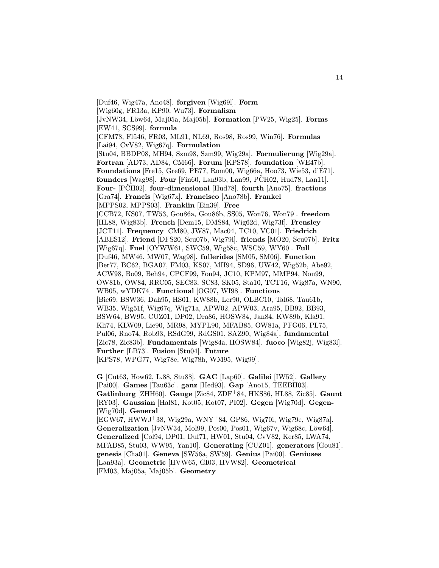[Duf46, Wig47a, Ano48]. forgiven [Wig69l]. Form [Wig60g, FR13a, KP90, Wu73]. Formalism  $[JvNW34, L\ddot{o}w64, Mai05a, Mai05b]$ . Formation  $[PW25, Wiq25]$ . Forms [EW41, SCS99]. formula [CFM78, Flü46, FR03, ML91, NL69, Ros98, Ros99, Win76]. Formulas [Lai94, CvV82, Wig67q]. Formulation [Stu04, BBDP08, MH94, Szm98, Szm99, Wig29a]. Formulierung [Wig29a]. Fortran [AD73, AD84, CM66]. Forum [KPS78]. foundation [WE47b]. Foundations [Fre15, Gre69, PE77, Rom00, Wig66a, Hoo73, Wie53, d'E71]. founders [Wag98]. Four [Fin60, Lan93b, Lan99, PCH02, Hud78, Lan11]. Four- [PCH02]. four-dimensional [Hud78]. fourth [Ano75]. fractions [Gra74]. Francis [Wig67x]. Francisco [Ano78b]. Frankel [MPPS02, MPPS03]. Franklin [Ein39]. Free [CCB72, KS07, TW53, Gou86a, Gou86b, SS05, Won76, Won79]. freedom [HL88, Wig83b]. French [Dem15, DMS84, Wig62d, Wig73f]. Frensley [JCT11]. Frequency [CM80, JW87, Mac04, TC10, VC01]. Friedrich [ABES12]. Friend [DFS20, Scu07b, Wig79l]. friends [MO20, Scu07b]. Fritz [Wig67q]. Fuel [OYWW61, SWC59, Wig58c, WSC59, WY60]. Full [Duf46, MW46, MW07, Wag98]. fullerides [SM05, SM06]. Function [Ber77, BC62, BGA07, FM03, KS07, MH94, SD96, UW42, Wig52b, Abe92, ACW98, Bo09, Beh94, CPCF99, Fon94, JC10, KPM97, MMP94, Nou99, OW81b, OW84, RRC05, SEC83, SC83, SK05, Sta10, TCT16, Wig87a, WN90, WB05, wYDK74]. Functional [OG07, WI98]. Functions [Bie69, BSW36, Dah95, HS01, KW88b, Ler90, OLBC10, Tal68, Tau61b, WB35, Wig51f, Wig67q, Wig71a, APW02, APW03, Ara95, BB92, BB93, BSW64, BW95, CUZ01, DP02, Dra86, HOSW84, Jan84, KW89b, Kla91, Kli74, KLW09, Lie90, MR98, MYPL90, MFAB85, OW81a, PFG06, PL75, Pul06, Rno74, Rob93, RSdG99, RdGS01, SAZ90, Wig84a]. fundamental [Zic78, Zic83b]. Fundamentals [Wig84a, HOSW84]. fuoco [Wig82j, Wig83l]. Further [LB73]. Fusion [Stu04]. Future [KPS78, WPG77, Wig78e, Wig78h, WM95, Wig99].

G [Cut63, How62, L.88, Stu88]. GAC [Lap60]. Galilei [IW52]. Gallery [Pai00]. Games [Tau63c]. ganz [Hed93]. Gap [Ano15, TEEBH03]. Gatlinburg [ZHH60]. Gauge [Zic84, ZDF<sup>+</sup>84, HKS86, HL88, Zic85]. Gaunt [RY03]. Gaussian [Hal81, Kot05, Kot07, PI02]. Gegen [Wig70d]. Gegen- [Wig70d]. General [EGW67, HWWJ<sup>+</sup>38, Wig29a, WNY<sup>+</sup>84, GP86, Wig70i, Wig79e, Wig87a]. Generalization [JvNW34, Mol99, Pos00, Pos01, Wig67v, Wig68c, Löw64]. Generalized [Col94, DP01, Duf71, HW01, Stu04, CvV82, Ker85, LWA74, MFAB85, Stu03, WW95, Yan10]. Generating [CUZ01]. generators [Gou81]. genesis [Cha01]. Geneva [SW56a, SW59]. Genius [Pai00]. Geniuses [Lan93a]. Geometric [HVW65, GI03, HVW82]. Geometrical [FM03, Maj05a, Maj05b]. Geometry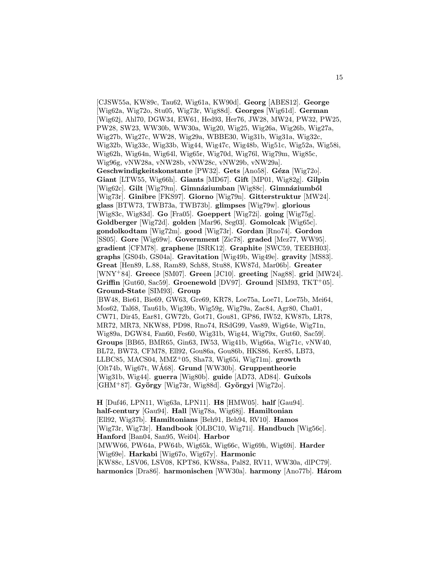[CJSW55a, KW89c, Tau62, Wig61a, KW90d]. Georg [ABES12]. George [Wig62a, Wig72o, Stu05, Wig73r, Wig88d]. Georges [Wig61d]. German [Wig62j, Ahl70, DGW34, EW61, Hed93, Her76, JW28, MW24, PW32, PW25, PW28, SW23, WW30b, WW30a, Wig20, Wig25, Wig26a, Wig26b, Wig27a, Wig27b, Wig27c, WW28, Wig29a, WBBE30, Wig31b, Wig31a, Wig32c, Wig32b, Wig33c, Wig33b, Wig44, Wig47c, Wig48b, Wig51c, Wig52a, Wig58i, Wig62h, Wig64n, Wig64l, Wig65r, Wig70d, Wig76l, Wig79m, Wig85c, Wig96g, vNW28a, vNW28b, vNW28c, vNW29b, vNW29a]. Geschwindigkeitskonstante [PW32]. Gets [Ano58]. Géza [Wig72o]. Giant [LTW55, Wig66h]. Giants [MD67]. Gift [MP01, Wig82g]. Gilpin [Wig62c]. Gilt [Wig79m]. Gimnáziumban [Wig88c]. Gimnáziumból [Wig73r]. Ginibre [FKS97]. Giorno [Wig79n]. Gitterstruktur [MW24]. glass [BTW73, TWB73a, TWB73b]. glimpses [Wig79w]. glorious [Wig83c, Wig83d]. Go [Fra05]. Goeppert [Wig72i]. going [Wig75g]. Goldberger [Wig72d]. golden [Mar96, Seg03]. Gomolcak [Wig65c]. gondolkodtam [Wig72m]. good [Wig73r]. Gordan [Rno74]. Gordon [SS05]. Gore [Wig69w]. Government [Zic78]. graded [Mez77, WW95]. gradient [CFM78]. graphene [ISRK12]. Graphite [SWC59, TEEBH03]. graphs [GS04b, GS04a]. Gravitation [Wig49b, Wig49e]. gravity [MS83]. Great [Hen89, L.88, Ram89, Sch88, Stu88, KW87d, Mar06b]. Greater [WNY<sup>+</sup>84]. Greece [SM07]. Green [JC10]. greeting [Nag88]. grid [MW24]. Griffin [Gut60, Sac59]. Groenewold [DV97]. Ground [SIM93, TKT<sup>+</sup>05]. Ground-State [SIM93]. Group [BW48, Bie61, Bie69, GW63, Gre69, KR78, Loe75a, Loe71, Loe75b, Mei64, Mos62, Tal68, Tau61b, Wig39b, Wig59g, Wig79a, Zac84, Agr80, Cha01, CW71, Dir45, Ear81, GW72b, Got71, Gou81, GP86, IW52, KW87b, LR78, MR72, MR73, NKW88, PD98, Rno74, RSdG99, Vas89, Wig64e, Wig71n, Wig89a, DGW84, Fan60, Fes60, Wig31b, Wig44, Wig79x, Gut60, Sac59]. Groups [BB65, BMR65, Gin63, IW53, Wig41b, Wig66a, Wig71c, vNW40, BL72, BW73, CFM78, Ell92, Gou86a, Gou86b, HKS86, Ker85, LB73, LLBC85, MACS04, MMZ<sup>+</sup>05, Sha73, Wig65i, Wig71m]. growth  $[Olt74b, Wig67t, WAG8]$ . Grund  $[WW30b]$ . Gruppentheorie  $[Wig31b, Wig44]$ . guerra  $[Wig80b]$ . guide  $[AD73, AD84]$ . Guíxols [GHM<sup>+</sup>87]. György [Wig73r, Wig88d]. Györgyi [Wig72o].

H [Duf46, LPN11, Wig63a, LPN11]. H8 [HMW05]. half [Gau94]. half-century [Gau94]. Hall [Wig78a, Wig68j]. Hamiltonian [Ell92, Wig37b]. Hamiltonians [Beh91, Beh94, RV10]. Hamos [Wig73r, Wig73r]. Handbook [OLBC10, Wig71i]. Handbuch [Wig56c]. Hanford [Ban04, San95, Wei04]. Harbor [MWW66, PW64a, PW64b, Wig65k, Wig66c, Wig69h, Wig69i]. Harder [Wig69e]. Harkabi [Wig67o, Wig67y]. Harmonic [KW88c, LSV06, LSV08, KPT86, KW88a, Pal82, RV11, WW30a, dlPC79]. harmonics [Dra86]. harmonischen [WW30a]. harmony [Ano77b]. Három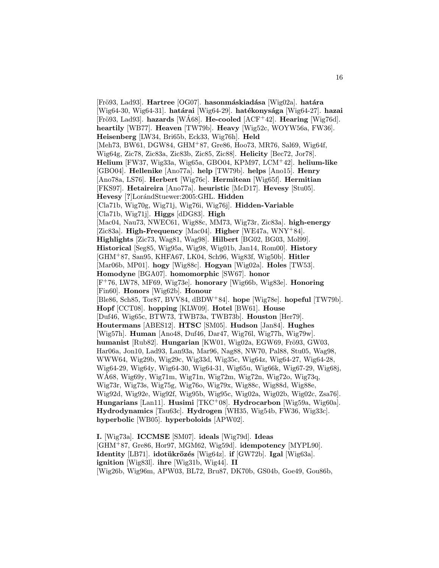[Frö93, Lad93]. Hartree [OG07]. hasonmáskiadása [Wig02a]. határa [Wig64-30, Wig64-31]. határai [Wig64-29]. hatékonysága [Wig64-27]. hazai [Frö93, Lad93]. hazards [WA68]. He-cooled  $[ACF<sup>+</sup>42]$ . Hearing [Wig76d]. heartily [WB77]. Heaven [TW79b]. Heavy [Wig52c, WOYW56a, FW36]. Heisenberg [LW34, Bri65b, Eck33, Wig76h]. Held [Meh73, BW61, DGW84, GHM<sup>+</sup>87, Gre86, Hoo73, MR76, Sal69, Wig64f, Wig64g, Zic78, Zic83a, Zic83b, Zic85, Zic88]. Helicity [Bec72, Jor78]. Helium [FW37, Wig33a, Wig65a, GBO04, KPM97, LCM<sup>+</sup>42]. helium-like [GBO04]. Hellenike [Ano77a]. help [TW79b]. helps [Ano15]. Henry [Ano78a, LS76]. Herbert [Wig76c]. Hermitean [Wig65f]. Hermitian [FKS97]. Hetaireira [Ano77a]. heuristic [McD17]. Hevesy [Stu05]. Hevesy [?]LorándStuewer:2005:GHL. Hidden [Cla71b, Wig70g, Wig71j, Wig76i, Wig76j]. Hidden-Variable [Cla71b, Wig71j]. **Higgs** [dDG83]. **High** [Mac04, Nau73, NWEC61, Wig88c, MM73, Wig73r, Zic83a]. high-energy [Zic83a]. High-Frequency [Mac04]. Higher [WE47a, WNY<sup>+</sup>84]. Highlights [Zic73, Wag81, Wag98]. Hilbert [BG02, BG03, Mol99]. Historical [Seg85, Wig95a, Wig98, Wig01b, Jan14, Rom00]. History [GHM<sup>+</sup>87, San95, KHFA67, LK04, Sch96, Wig83f, Wig50b]. Hitler [Mar06b, MP01]. hogy [Wig88c]. Hogyan [Wig02a]. Holes [TW53]. Homodyne [BGA07]. homomorphic [SW67]. honor [F<sup>+</sup>76, LW78, MF69, Wig73e]. honorary [Wig66b, Wig83e]. Honoring [Fin60]. Honors [Wig62b]. Honour [Ble86, Sch85, Tor87, BVV84, dBDW<sup>+</sup>84]. hope [Wig78e]. hopeful [TW79b]. Hopf [CCT08]. hopping [KLW09]. Hotel [BW61]. House [Duf46, Wig65c, BTW73, TWB73a, TWB73b]. Houston [Her79]. Houtermans [ABES12]. HTSC [SM05]. Hudson [Jan84]. Hughes [Wig57h]. Human [Ano48, Duf46, Dar47, Wig76l, Wig77h, Wig79w]. humanist [Rub82]. Hungarian [KW01, Wig02a, EGW69, Frö93, GW03, Har06a, Jon10, Lad93, Lan93a, Mar96, Nag88, NW70, Pal88, Stu05, Wag98, WWW64, Wig29b, Wig29c, Wig33d, Wig35c, Wig64z, Wig64-27, Wig64-28, Wig64-29, Wig64y, Wig64-30, Wig64-31, Wig65u, Wig66k, Wig67-29, Wig68j, WA68, Wig69y, Wig71m, Wig71n, Wig72m, Wig72n, Wig72o, Wig73q, ´ Wig73r, Wig73s, Wig75g, Wig76o, Wig79x, Wig88c, Wig88d, Wig88e, Wig92d, Wig92e, Wig92f, Wig95b, Wig95c, Wig02a, Wig02b, Wig02c, Zsa76]. Hungarians [Lan11]. Husimi [TKC<sup>+</sup>08]. Hydrocarbon [Wig59a, Wig60a]. Hydrodynamics [Tau63c]. Hydrogen [WH35, Wig54b, FW36, Wig33c]. hyperbolic [WB05]. hyperboloids [APW02].

I. [Wig73a]. ICCMSE [SM07]. ideals [Wig79d]. Ideas [GHM<sup>+</sup>87, Gre86, Hor97, MGM62, Wig59d]. idempotency [MYPL90]. Identity [LB71]. idotükrözés [Wig64z]. if [GW72b]. Igal [Wig63a]. ignition [Wig83l]. ihre [Wig31b, Wig44]. II [Wig26b, Wig96m, APW03, BL72, Bru87, DK70b, GS04b, Goe49, Gou86b,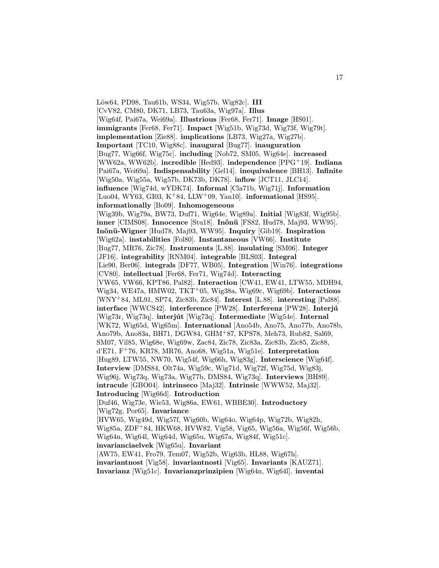Löw64, PD98, Tau61b, WS34, Wig57b, Wig82c]. III [CvV82, CM80, DK71, LB73, Tau63a, Wig97a]. Illus [Wig64f, Pai67a, Wei69a]. Illustrious [Fer68, Fer71]. Image [HS01]. immigrants [Fer68, Fer71]. Impact [Wig51b, Wig73d, Wig73f, Wig79t]. implementation [Zie88]. implications [LB73, Wig27a, Wig27b]. Important [TC10, Wig88c]. inaugural [Bug77]. inauguration [Bug77, Wig66f, Wig75c]. including [Nob72, SM05, Wig64e]. increased [WW62a, WW62b]. incredible [Hed93]. independence [PPG<sup>+</sup>19]. Indiana [Pai67a, Wei69a]. Indispensability [Gel14]. inequivalence [BH13]. Infinite [Wig50a, Wig55a, Wig57b, DK73b, DK78]. inflow [JCT11, JLC14]. influence [Wig74d, wYDK74]. Informal [Cla71b, Wig71j]. Information [Luo04, WY63, GI03, K<sup>+</sup>84, LLW<sup>+</sup>09, Yan10]. **informational** [HS95]. informationally [Bo09]. Inhomogeneous [Wig39b, Wig79a, BW73, Duf71, Wig64e, Wig89a]. Initial [Wig83f, Wig95b]. inner [CIMS08]. Innocence [Stu18]. Inönü [FS82, Hud78, Maj93, WW95]. Inönü-Wigner [Hud78, Maj93, WW95]. Inquiry [Gib19]. Inspiration [Wig62a]. instabilities [Fol80]. Instantaneous [VW66]. Institute [Bug77, MR76, Zic78]. Instruments [L.88]. insulating [SM06]. Integer [JF16]. integrability [RNM04]. integrable [BLS03]. Integral [Lie90, Ber06]. integrals [DF77, WB05]. Integration [Win76]. integrations [CV80]. intellectual [Fer68, Fer71, Wig74d]. Interacting [VW65, VW66, KPT86, Pal82]. Interaction [CW41, EW41, LTW55, MDH94, Wig34, WE47a, HMW02, TKT<sup>+</sup>05, Wig38a, Wig69c, Wig69b]. **Interactions** [WNY<sup>+</sup>84, ML91, SP74, Zic83b, Zic84]. Interest [L.88]. interesting [Pal88]. interface [WWCS42]. interference [PW28]. Interferenz [PW28]. Interjú [Wig73r, Wig73q]. interjút [Wig73q]. Intermediate [Wig54e]. Internal [WK72, Wig65d, Wig65m]. International [Ano54b, Ano75, Ano77b, Ano78b, Ano79b, Ano83a, BH71, DGW84, GHM<sup>+</sup>87, KPS78, Meh73, Rub82, Sal69, SM07, Vil85, Wig68e, Wig69w, Zac84, Zic78, Zic83a, Zic83b, Zic85, Zic88, d'E71, F<sup>+</sup>76, KR78, MR76, Ano68, Wig51a, Wig51e]. Interpretation [Hug89, LTW55, NW70, Wig54f, Wig66h, Wig83g]. Interscience [Wig64f]. Interview [DMS84, Olt74a, Wig59c, Wig71d, Wig72f, Wig75d, Wig83j, Wig96j, Wig73q, Wig73a, Wig77b, DMS84, Wig73q]. Interviews [BH89]. intracule [GBO04]. intrinseco [Maj32]. Intrinsic [WWW52, Maj32]. Introducing [Wig66d]. Introduction [Duf46, Wig73e, Wie53, Wig86a, EW61, WBBE30]. Introductory [Wig72g, Por65]. Invariance [HVW65, Wig49d, Wig57f, Wig60b, Wig64o, Wig64p, Wig72b, Wig82h, Wig85a, ZDF<sup>+</sup>84, HKW68, HVW82, Vig58, Vig65, Wig56a, Wig56f, Wig56b, Wig64n, Wig64l, Wig64d, Wig65u, Wig67a, Wig84f, Wig51c]. invarianciaelvek [Wig65u]. Invariant [AW75, EW41, Fro79, Tem07, Wig52b, Wig63b, HL88, Wig67h]. invariantnost [Vig58]. invariantnosti [Vig65]. Invariants [KAUZ71].

Invarianz [Wig51c]. Invarianzprinzipien [Wig64n, Wig64l]. inventai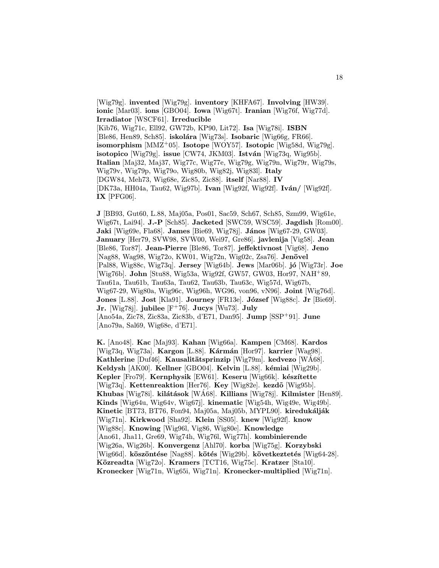[Wig79g]. invented [Wig79g]. inventory [KHFA67]. Involving [HW39]. ionic [Mar03]. ions [GBO04]. Iowa [Wig67t]. Iranian [Wig76f, Wig77d]. Irradiator [WSCF61]. Irreducible [Kib76, Wig71c, Ell92, GW72b, KP90, Lit72]. Isa [Wig78i]. ISBN [Ble86, Hen89, Sch85]. iskolára [Wig73s]. Isobaric [Wig66g, FR66]. isomorphism  $[MMZ^+05]$ . Isotope  $[WOY57]$ . Isotopic  $[Wig58d, Wig79g]$ . isotopico [Wig79g]. issue [CW74, JKM03]. István [Wig73q, Wig95b]. Italian [Maj32, Maj37, Wig77c, Wig77e, Wig79g, Wig79n, Wig79r, Wig79s, Wig79v, Wig79p, Wig79o, Wig80b, Wig82j, Wig83l]. Italy [DGW84, Meh73, Wig68e, Zic85, Zic88]. itself [Nar88]. IV [DK73a, HH04a, Tau62, Wig97b]. Ivan [Wig92f, Wig92f]. Iván/ [Wig92f]. IX [PFG06].

J [BB93, Gut60, L.88, Maj05a, Pos01, Sac59, Sch67, Sch85, Szm99, Wig61e, Wig67t, Lai94]. J.-P [Sch85]. Jacketed [SWC59, WSC59]. Jagdish [Rom00]. Jaki [Wig69e, Fla68]. James [Bie69, Wig78j]. János [Wig67-29, GW03]. January [Her79, SVW98, SVW00, Wei97, Gre86]. javlenija [Vig58]. Jean [Ble86, Tor87]. Jean-Pierre [Ble86, Tor87]. jeffektivnost [Vig68]. Jeno [Nag88, Wag98, Wig72o, KW01, Wig72n, Wig02c, Zsa76]. Jenövel [Pal88, Wig88c, Wig73q]. Jersey [Wig64b]. Jews [Mar06b]. jó [Wig73r]. Joe [Wig76b]. John [Stu88, Wig53a, Wig92f, GW57, GW03, Hor97, NAH<sup>+</sup>89, Tau61a, Tau61b, Tau63a, Tau62, Tau63b, Tau63c, Wig57d, Wig67b, Wig67-29, Wig80a, Wig96c, Wig96h, WG96, von96, vN96]. Joint [Wig76d]. Jones [L.88]. Jost [Kla91]. Journey [FR13e]. József [Wig88c]. Jr [Bie69]. Jr. [Wig78j]. jubilee  $[F^+76]$ . Jucys [Wu73]. July [Ano54a, Zic78, Zic83a, Zic83b, d'E71, Dan95]. Jump [SSP<sup>+</sup>91]. June [Ano79a, Sal69, Wig68e, d'E71].

K. [Ano48]. Kac [Maj93]. Kahan [Wig66a]. Kampen [CM68]. Kardos [Wig73q, Wig73a]. Kargon [L.88]. Kármán [Hor97]. karrier [Wag98]. Kathlerine [Duf46]. Kausalitätsprinzip [Wig79m]. kedvezo [WA68]. Keldysh [AK00]. Kellner [GBO04]. Kelvin [L.88]. kémiai [Wig29b]. Kepler [Fro79]. Kernphysik [EW61]. Keseru [Wig66k]. készítette [Wig73q]. Kettenreaktion [Her76]. Key [Wig82e]. kezdő [Wig95b]. Khubas [Wig78i]. kilátások [WÁ68]. Killians [Wig78j]. Kilmister [Hen89]. Kinds [Wig64u, Wig64v, Wig67j]. kinematic [Wig54h, Wig49e, Wig49b]. Kinetic [BT73, BT76, Fon94, Maj05a, Maj05b, MYPL90]. kiredukálják [Wig71n]. Kirkwood [Sha92]. Klein [SS05]. knew [Wig92f]. know [Wig88c]. Knowing [Wig96l, Vig86, Wig80e]. Knowledge [Ano61, Jha11, Gre69, Wig74h, Wig76l, Wig77h]. kombinierende [Wig26a, Wig26b]. Konvergenz [Ahl70]. korba [Wig75g]. Korzybski [Wig66d]. köszöntése [Nag88]. kötés [Wig29b]. következtetés [Wig64-28]. Közreadta [Wig72o]. Kramers [TCT16, Wig75c]. Kratzer [Sta10]. Kronecker [Wig71n, Wig65i, Wig71n]. Kronecker-multiplied [Wig71n].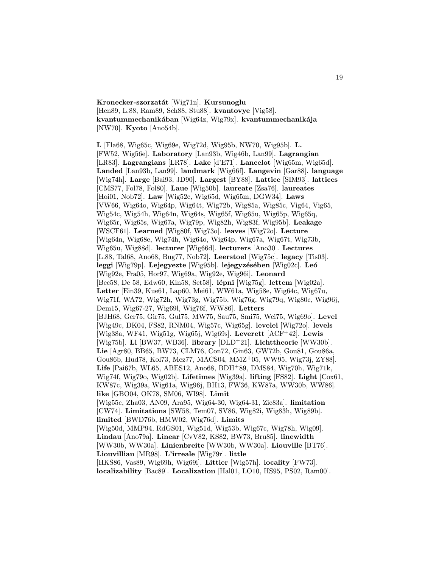Kronecker-szorzatát [Wig71n]. Kursunoglu [Hen89, L.88, Ram89, Sch88, Stu88]. kvantovye [Vig58]. kvantummechanikában [Wig64z, Wig79x]. kvantummechanikája [NW70]. Kyoto [Ano54b].

L [Fla68, Wig65c, Wig69e, Wig72d, Wig95b, NW70, Wig95b]. L. [FW52, Wig56e]. Laboratory [Lan93b, Wig46b, Lan99]. Lagrangian [LR83]. Lagrangians [LR78]. Lake [d'E71]. Lancelot [Wig65m, Wig65d]. Landed [Lan93b, Lan99]. landmark [Wig66f]. Langevin [Gar88]. language [Wig74h]. Large [Bai93, JD90]. Largest [BY88]. Lattice [SIM93]. lattices [CMS77, Fol78, Fol80]. Laue [Wig50b]. laureate [Zsa76]. laureates [Hoi01, Nob72]. Law [Wig52c, Wig65d, Wig65m, DGW34]. Laws [VW66, Wig64o, Wig64p, Wig64t, Wig72b, Wig85a, Wig85c, Vig64, Vig65, Wig54c, Wig54h, Wig64n, Wig64s, Wig65f, Wig65u, Wig65p, Wig65q, Wig65r, Wig65s, Wig67a, Wig79p, Wig82h, Wig83f, Wig95b]. Leakage [WSCF61]. Learned [Wig80f, Wig73o]. leaves [Wig72o]. Lecture [Wig64n, Wig68e, Wig74h, Wig64o, Wig64p, Wig67a, Wig67t, Wig73b, Wig65u, Wig88d]. lecturer [Wig66d]. lecturers [Ano30]. Lectures [L.88, Tal68, Ano68, Bug77, Nob72]. Leerstoel [Wig75c]. legacy [Tis03]. leggi [Wig79p]. Lejegyezte [Wig95b]. lejegyzésében [Wig02c]. Leó [Wig92e, Fra05, Hor97, Wig69a, Wig92e, Wig96i]. Leonard [Bec58, De 58, Edw60, Kin58, Set58]. lépni [Wig75g]. lettem [Wig02a]. Letter [Ein39, Kue61, Lap60, Mei61, WW61a, Wig58e, Wig64c, Wig67u, Wig71f, WA72, Wig72h, Wig73g, Wig75b, Wig76g, Wig79q, Wig80c, Wig96j, Dem15, Wig67-27, Wig69l, Wig76f, WW86]. Letters [BJH68, Ger75, Gir75, Gul75, MW75, Sau75, Smi75, Wei75, Wig69o]. Level [Wig49c, DK04, FS82, RNM04, Wig57c, Wig65g]. levelei [Wig72o]. levels [Wig38a, WF41, Wig51g, Wig65j, Wig69s]. Leverett [ACF<sup>+</sup>42]. Lewis [Wig75b]. Li [BW37, WB36]. library [DLD<sup>+</sup>21]. Lichttheorie [WW30b]. Lie [Agr80, BB65, BW73, CLM76, Con72, Gin63, GW72b, Gou81, Gou86a, Gou86b, Hud78, Kol73, Mez77, MACS04, MMZ<sup>+</sup>05, WW95, Wig73j, ZY88]. Life [Pai67b, WL65, ABES12, Ano68, BDH<sup>+</sup>89, DMS84, Wig70h, Wig71k, Wig74f, Wig79o, Wig02b]. Lifetimes [Wig39a]. lifting [FS82]. Light [Cox61, KW87c, Wig39a, Wig61a, Wig96j, BH13, FW36, KW87a, WW30b, WW86]. like [GBO04, OK78, SM06, WI98]. Limit [Wig55c, Zha03, AN09, Ara95, Wig64-30, Wig64-31, Zic83a]. limitation [CW74]. Limitations [SW58, Tem07, SV86, Wig82i, Wig83h, Wig89b]. limited [BWD76b, HMW02, Wig76d]. Limits [Wig50d, MMP94, RdGS01, Wig51d, Wig53b, Wig67c, Wig78h, Wig09]. Lindau [Ano79a]. Linear [CvV82, KS82, BW73, Bru85]. linewidth [WW30b, WW30a]. Linienbreite [WW30b, WW30a]. Liouville [BT76]. Liouvillian [MR98]. L'irreale [Wig79r]. little [HKS86, Vas89, Wig69h, Wig69i]. Littler [Wig57h]. locality [FW73]. localizability [Bac89]. Localization [Hal01, LO10, HS95, PS02, Ram00].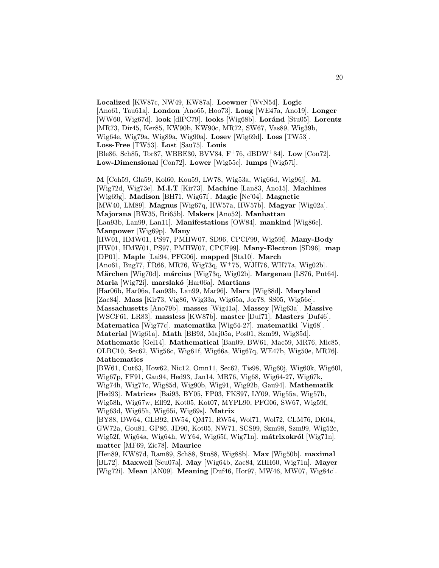Localized [KW87c, NW49, KW87a]. Loewner [WvN54]. Logic [Ano61, Tau61a]. London [Ano65, Hoo73]. Long [WE47a, Ano19]. Longer [WW60, Wig67d]. look [dlPC79]. looks [Wig68b]. Loránd [Stu05]. Lorentz [MR73, Dir45, Ker85, KW90b, KW90c, MR72, SW67, Vas89, Wig39b, Wig64e, Wig79a, Wig89a, Wig90a]. Losev [Wig69d]. Loss [TW53]. Loss-Free [TW53]. Lost [Sau75]. Louis [Ble86, Sch85, Tor87, WBBE30, BVV84, F<sup>+</sup>76, dBDW<sup>+</sup>84]. Low [Con72]. Low-Dimensional [Con72]. Lower [Wig55c]. lumps [Wig57i].

M [Coh59, Gla59, Kol60, Kou59, LW78, Wig53a, Wig66d, Wig96j]. M. [Wig72d, Wig73e]. M.I.T [Kir73]. Machine [Lan83, Ano15]. Machines [Wig69g]. Madison [BH71, Wig67l]. Magic [Ne'04]. Magnetic [MW40, LM89]. Magnus [Wig67q, HW57a, HW57b]. Magyar [Wig02a]. Majorana [BW35, Bri65b]. Makers [Ano52]. Manhattan [Lan93b, Lan99, Lan11]. Manifestations [OW84]. mankind [Wig86e]. Manpower [Wig69p]. Many [HW01, HMW01, PS97, PMHW07, SD96, CPCF99, Wig59f]. Many-Body [HW01, HMW01, PS97, PMHW07, CPCF99]. Many-Electron [SD96]. map [DP01]. Maple [Lai94, PFG06]. mapped [Sta10]. March [Ano61, Bug77, FR66, MR76, Wig73q, W<sup>+</sup>75, WJH76, WH77a, Wig02b]. Märchen [Wig70d]. március [Wig73q, Wig02b]. Margenau [LS76, Put64]. Maria [Wig72i]. marslakó [Har06a]. Martians [Har06b, Har06a, Lan93b, Lan99, Mar96]. Marx [Wig88d]. Maryland [Zac84]. Mass [Kir73, Vig86, Wig33a, Wig65a, Jor78, SS05, Wig56e]. Massachusetts [Ano79b]. masses [Wig41a]. Massey [Wig63a]. Massive [WSCF61, LR83]. massless [KW87b]. master [Duf71]. Masters [Duf46]. Matematica [Wig77c]. matematika [Wig64-27]. matematiki [Vig68]. Material [Wig61a]. Math [BB93, Maj05a, Pos01, Szm99, Wig85d]. Mathematic [Gel14]. Mathematical [Ban09, BW61, Mac59, MR76, Mic85, OLBC10, Sec62, Wig56c, Wig61f, Wig66a, Wig67q, WE47b, Wig50e, MR76]. Mathematics [BW61, Cut63, How62, Nic12, Omn11, Sec62, Tis98, Wig60j, Wig60k, Wig60l, Wig67p, FF91, Gau94, Hed93, Jan14, MR76, Vig68, Wig64-27, Wig67k, Wig74h, Wig77c, Wig85d, Wig90b, Wig91, Wig92b, Gau94]. Mathematik [Hed93]. Matrices [Bai93, BY05, FP03, FKS97, LY09, Wig55a, Wig57b, Wig58h, Wig67w, Ell92, Kot05, Kot07, MYPL90, PFG06, SW67, Wig59f, Wig63d, Wig65h, Wig65i, Wig69s]. Matrix [BY88, DW64, GLB92, IW54, QM71, RW54, Wol71, Wol72, CLM76, DK04, GW72a, Gou81, GP86, JD90, Kot05, NW71, SCS99, Szm98, Szm99, Wig52e, Wig52f, Wig64a, Wig64h, WY64, Wig65f, Wig71n]. mátrixokról [Wig71n]. matter [MF69, Zic78]. Maurice [Hen89, KW87d, Ram89, Sch88, Stu88, Wig88b]. Max [Wig50b]. maximal

[BL72]. Maxwell [Scu07a]. May [Wig64b, Zac84, ZHH60, Wig71n]. Mayer [Wig72i]. Mean [AN09]. Meaning [Duf46, Hor97, MW46, MW07, Wig84c].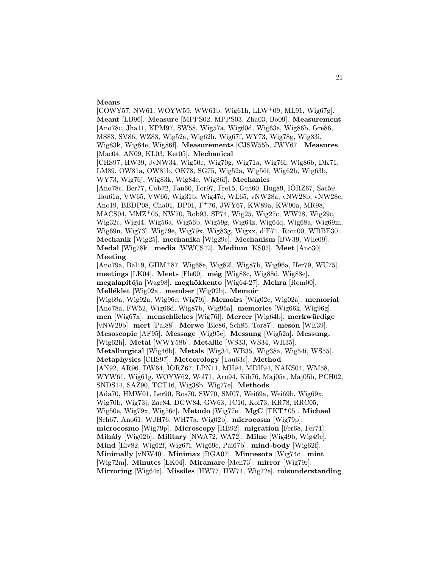## Means

[COWY57, NW61, WOYW59, WW61b, Wig61h, LLW<sup>+</sup>09, ML91, Wig67g]. Meant [LB96]. Measure [MPPS02, MPPS03, Zha03, Bo09]. Measurement [Ano78c, Jha11, KPM97, SW58, Wig57a, Wig60d, Wig63e, Wig86b, Gre86, MS83, SV86, WZ83, Wig52a, Wig62h, Wig67f, WY73, Wig78g, Wig83i, Wig83k, Wig84e, Wig86f]. Measurements [CJSW55b, JWY67]. Measures [Mac04, AN09, KL03, Ker05]. Mechanical [CHS97, HW39, JvNW34, Wig50c, Wig70g, Wig71a, Wig76i, Wig86b, DK71, LM89, OW81a, OW81b, OK78, SG75, Wig52a, Wig56f, Wig62h, Wig63b, WY73, Wig76j, Wig83k, Wig84e, Wig86f]. Mechanics [Ano78c, Ber77, Cob72, Fan60, For97, Fre15, Gut60, Hug89, IORZ67, Sac59, ¨ Tau61a, VW65, VW66, Wig31b, Wig47c, WL65, vNW28a, vNW28b, vNW28c, Ano19, BBDP08, Cha01, DP01, F<sup>+</sup>76, JWY67, KW89a, KW90a, MR98, MACS04, MMZ<sup>+</sup>05, NW70, Rob93, SP74, Wig25, Wig27c, WW28, Wig29c, Wig32c, Wig44, Wig56a, Wig56b, Wig59g, Wig64z, Wig64q, Wig68a, Wig69m, Wig69n, Wig73l, Wig79e, Wig79x, Wig83g, Wigxx, d'E71, Rom00, WBBE30]. Mechanik [Wig25]. mechanika [Wig29c]. Mechanism [BW39, Whe09]. Medal [Wig78k]. media [WWCS42]. Medium [KS07]. Meet [Ano30]. Meeting [Ano79a, Bal19, GHM<sup>+</sup>87, Wig68e, Wig82l, Wig87b, Wig96a, Her79, WU75]. meetings [LK04]. Meets [Fle00].  $\text{még}$  [Wig88c, Wig88d, Wig88e]. megalapítója [Wag98]. meghökkento [Wig64-27]. Mehra [Rom00]. Melléklet [Wig02a]. member [Wig02b]. Memoir [Wig69a, Wig92a, Wig96e, Wig79i]. Memoirs [Wig02c, Wig02a]. memorial [Ano78a, FW52, Wig66d, Wig87b, Wig96a]. memories [Wig66k, Wig96g]. men  $[Wig67x]$ . menschliches  $[Wig76]$ . Mercer  $[Wig64b]$ . merkwürdige [vNW29b]. mert [Pal88]. Merwe [Ble86, Sch85, Tor87]. meson [WE39]. Mesoscopic [AF95]. Message [Wig95c]. Messung [Wig52a]. Messung. [Wig62h]. Metal [WWY58b]. Metallic [WS33, WS34, WH35]. Metallurgical [Wig46b]. Metals [Wig34, WB35, Wig38a, Wig54i, WS55]. Metaphysics [CHS97]. Meteorology [Tau63c]. Method [AN92, AR96, DW64, IORZ67, LPN11, MH94, MDH94, NAKS04, WM58,  $WYW61$ ,  $Wig61g$ ,  $WOYW62$ ,  $Wol71$ ,  $Arn94$ ,  $Kib76$ ,  $Maj05a$ ,  $Maj05b$ ,  $PCH02$ , SNDS14, SAZ90, TCT16, Wig38b, Wig77e]. Methods [Ada70, HMW01, Ler90, Ros70, SW70, SM07, Wei69a, Wei69b, Wig69x, Wig70b, Wig73j, Zac84, DGW84, GW63, JC10, Kol73, KR78, RRC05, Wig50e, Wig79x, Wig56c]. Metodo [Wig77e]. MgC [TKT<sup>+</sup>05]. Michael [Sch67, Ano61, WJH76, WH77a, Wig02b]. microcosm [Wig79p]. microcosmo [Wig79p]. Microscopy [RB92]. migration [Fer68, Fer71]. Mihály [Wig02b]. Military [NWA72, WA72]. Milne [Wig49b, Wig49e]. Mind [Elv82, Wig62f, Wig67i, Wig69e, Pai67b]. mind-body [Wig62f]. Minimally [vNW40]. Minimax [BGA07]. Minnesota [Wig74c]. mint [Wig72m]. Minutes [LK04]. Miramare [Meh73]. mirror [Wig79r]. Mirroring [Wig64z]. Missiles [HW77, HW74, Wig72e]. misunderstanding

21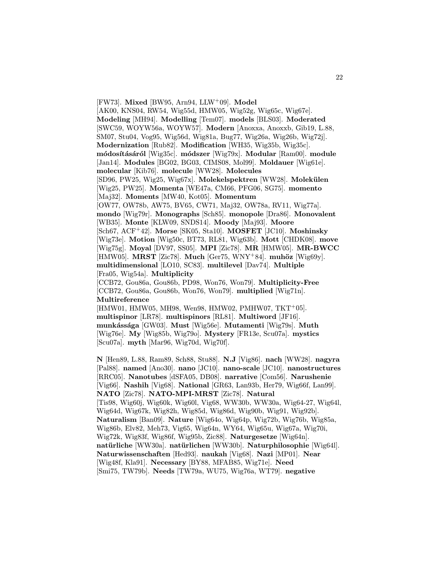[FW73]. Mixed [BW95, Arn94, LLW+09]. Model

[AK00, KNS04, RW54, Wig55d, HMW05, Wig52g, Wig65c, Wig67e]. Modeling [MH94]. Modelling [Tem07]. models [BLS03]. Moderated [SWC59, WOYW56a, WOYW57]. Modern [Anoxxa, Anoxxb, Gib19, L.88, SM07, Stu04, Vog95, Wig56d, Wig81a, Bug77, Wig26a, Wig26b, Wig72j]. Modernization [Rub82]. Modification [WH35, Wig35b, Wig35c]. módosításáról [Wig35c]. módszer [Wig79x]. Modular [Ram00]. module [Jan14]. Modules [BG02, BG03, CIMS08, Mol99]. Moldauer [Wig61e]. molecular [Kib76]. molecule [WW28]. Molecules  $[SD96, PW25, Wig25, Wig67x]$ . Molekelspektren  $[WW28]$ . Molekülen [Wig25, PW25]. Momenta [WE47a, CM66, PFG06, SG75]. momento [Maj32]. Moments [MW40, Kot05]. Momentum [OW77, OW78b, AW75, BV65, CW71, Maj32, OW78a, RV11, Wig77a]. mondo [Wig79r]. Monographs [Sch85]. monopole [Dra86]. Monovalent [WB35]. Monte [KLW09, SNDS14]. Moody [Maj93]. Moore [Sch67, ACF<sup>+</sup>42]. Morse [SK05, Sta10]. MOSFET [JC10]. Moshinsky [Wig73e]. Motion [Wig50c, BT73, RL81, Wig63b]. Mott [CHDK08]. move [Wig75g]. Moyal [DV97, SS05]. MPI [Zic78]. MR [HMW05]. MR-BWCC [HMW05]. MRST [Zic78]. Much [Ger75, WNY+84]. muhöz [Wig69y]. multidimensional [LO10, SC83]. multilevel [Dav74]. Multiple [Fra05, Wig54a]. Multiplicity [CCB72, Gou86a, Gou86b, PD98, Won76, Won79]. Multiplicity-Free [CCB72, Gou86a, Gou86b, Won76, Won79]. multiplied [Wig71n]. Multireference [HMW01, HMW05, MH98, Wen98, HMW02, PMHW07, TKT<sup>+</sup>05]. multispinor [LR78]. multispinors [RL81]. Multiword [JF16]. munkássága [GW03]. Must [Wig56e]. Mutamenti [Wig79s]. Muth [Wig76e]. My [Wig85b, Wig79o]. Mystery [FR13e, Scu07a]. mystics [Scu07a]. myth [Mar96, Wig70d, Wig70f].

N [Hen89, L.88, Ram89, Sch88, Stu88]. N.J [Vig86]. nach [WW28]. nagyra [Pal88]. named [Ano30]. nano [JC10]. nano-scale [JC10]. nanostructures [RRC05]. Nanotubes [dSFA05, DB08]. narrative [Com56]. Narushenie [Vig66]. Nashih [Vig68]. National [GR63, Lan93b, Her79, Wig66f, Lan99]. NATO [Zic78]. NATO-MPI-MRST [Zic78]. Natural [Tis98, Wig60j, Wig60k, Wig60l, Vig68, WW30b, WW30a, Wig64-27, Wig64l, Wig64d, Wig67k, Wig82h, Wig85d, Wig86d, Wig90b, Wig91, Wig92b]. Naturalism [Ban09]. Nature [Wig64o, Wig64p, Wig72b, Wig76b, Wig85a, Wig86b, Elv82, Meh73, Vig65, Wig64n, WY64, Wig65u, Wig67a, Wig70i, Wig72k, Wig83f, Wig86f, Wig95b, Zic88]. Naturgesetze [Wig64n]. natürliche [WW30a]. natürlichen [WW30b]. Naturphilosophie [Wig64l]. Naturwissenschaften [Hed93]. naukah [Vig68]. Nazi [MP01]. Near [Wig48f, Kla91]. Necessary [BY88, MFAB85, Wig71e]. Need [Smi75, TW79b]. Needs [TW79a, WU75, Wig76a, WT79]. negative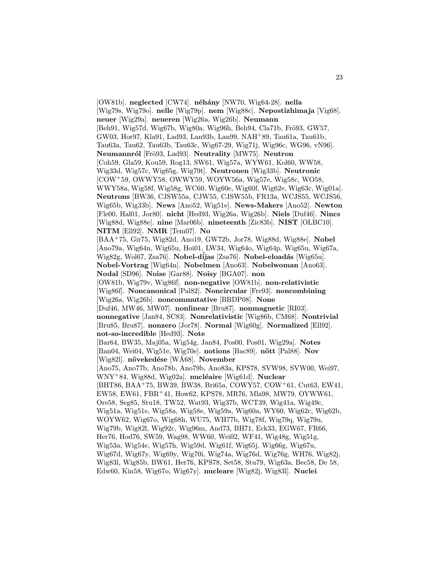[OW81b]. neglected [CW74]. néhány [NW70, Wig64-28]. nella [Wig79s, Wig79o]. nelle [Wig79p]. nem [Wig88c]. Nepostizhimaja [Vig68]. neuer [Wig29a]. neueren [Wig26a, Wig26b]. Neumann [Beh91, Wig57d, Wig67b, Wig80a, Wig96h, Beh94, Cla71b, Frö93, GW57, GW03, Hor97, Kla91, Lad93, Lan93b, Lan99, NAH<sup>+</sup>89, Tau61a, Tau61b, Tau63a, Tau62, Tau63b, Tau63c, Wig67-29, Wig71j, Wig96c, WG96, vN96]. Neumannról [Frö93, Lad93]. Neutrality [MW75]. Neutron [Coh59, Gla59, Kou59, Rog13, SW61, Wig57a, WYW61, Kol60, WW58, Wig33d, Wig57c, Wig65g, Wig79t]. Neutronen [Wig33b]. Neutronic [COW<sup>+</sup>59, OWWY58, OWWY59, WOYW56a, Wig57e, Wig58c, WO58, WWY58a, Wig58f, Wig58g, WC60, Wig60e, Wig60f, Wig62e, Wig63c, Wig01a]. Neutrons [BW36, CJSW55a, CJW55, CJSW55b, FR13a, WCJS55, WCJS56, Wig65b, Wig33b]. News [Ano52, Wig51e]. News-Makers [Ano52]. Newton [Fle00, Hal01, Jor80]. nicht [Hed93, Wig26a, Wig26b]. Niels [Duf46]. Nincs [Wig88d, Wig88e]. nine [Mar06b]. nineteenth [Zic83b]. NIST [OLBC10]. NITM [Ell92]. NMR [Tem07]. No [BAA<sup>+</sup>75, Gir75, Wig82d, Ano19, GW72b, Jor78, Wig88d, Wig88e]. Nobel [Ano79a, Wig64n, Wig65u, Hoi01, LW34, Wig64o, Wig64p, Wig65u, Wig67a, Wig82g, Wol67, Zsa76]. Nobel-díjas [Zsa76]. Nobel-eloadás [Wig65u]. Nobel-Vortrag [Wig64n]. Nobelmen [Ano63]. Nobelwoman [Ano63]. Nodal [SD96]. Noise [Gar88]. Noisy [BGA07]. non [OW81b, Wig79v, Wig86f]. non-negative [OW81b]. non-relativistic [Wig86f]. Noncanonical [Pal82]. Noncircular [Fre93]. noncombining [Wig26a, Wig26b]. noncommutative [BBDP08]. None [Duf46, MW46, MW07]. nonlinear [Bru87]. nonmagnetic [RI03]. nonnegative [Jan84, SC83]. Nonrelativistic [Wig86b, CM68]. Nontrivial [Bru85, Bru87]. nonzero [Jor78]. Normal [Wig60g]. Normalized [Ell92]. not-so-incredible [Hed93]. Note [Bar64, BW35, Maj05a, Wig54g, Jan84, Pos00, Pos01, Wig29a]. Notes [Ban04, Wei04, Wig51e, Wig70e]. notions [Bac89]. nött [Pal88]. Nov  $[Wig82]$ . növekedése  $[WA68]$ . November [Ano75, Ano77b, Ano78b, Ano79b, Ano83a, KPS78, SVW98, SVW00, Wei97,  $WNY+84$ , Wig88d, Wig02a]. nucléaire [Wig61d]. Nuclear [BHT86, BAA<sup>+</sup>75, BW39, BW38, Bri65a, COWY57, COW<sup>+</sup>61, Cut63, EW41, EW58, EW61, FBR<sup>+</sup>41, How62, KPS78, MR76, Mla98, MW79, OYWW61, Ore58, Seg85, Stu18, TW52, Wat93, Wig37b, WCT39, Wig41a, Wig49c, Wig51a, Wig51e, Wig58a, Wig58e, Wig59a, Wig60a, WY60, Wig62c, Wig62b, WOYW62, Wig67o, Wig68h, WU75, WH77b, Wig78f, Wig79q, Wig79u, Wig79b, Wig82l, Wig92c, Wig96m, And73, BH71, Eck33, EGW67, FR66, Her76, Hod76, SW59, Wag98, WW60, Wei02, WF41, Wig48g, Wig51g, Wig53a, Wig54e, Wig57h, Wig59d, Wig61f, Wig65j, Wig66g, Wig67u, Wig67d, Wig67y, Wig69y, Wig70i, Wig74a, Wig76d, Wig76g, WH76, Wig82j, Wig83l, Wig85b, BW61, Her76, KPS78, Set58, Stu79, Wig63a, Bec58, De 58, Edw60, Kin58, Wig67o, Wig67y]. nucleare [Wig82j, Wig83l]. Nuclei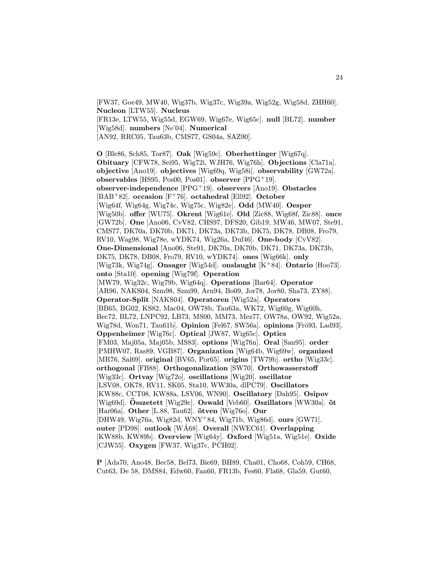[FW37, Goe49, MW40, Wig37b, Wig37c, Wig39a, Wig52g, Wig58d, ZHH60]. Nucleon [LTW55]. Nucleus [FR13e, LTW55, Wig55d, EGW69, Wig67e, Wig65c]. null [BL72]. number [Wig58d]. numbers [Ne'04]. Numerical [AN92, RRC05, Tau63b, CMS77, GS04a, SAZ90].

O [Ble86, Sch85, Tor87]. Oak [Wig59c]. Oberhettinger [Wig67q]. Obituary [CFW78, Sei95, Wig72i, WJH76, Wig76h]. Objections [Cla71a]. objective [Ano19]. objectives [Wig69q, Wig58i]. observability [GW72a]. observables [HS95, Pos00, Pos01]. observer [PPG<sup>+</sup>19]. observer-independence [PPG<sup>+</sup>19]. observers [Ano19]. Obstacles [BAB<sup>+</sup>82]. occasion [F<sup>+</sup>76]. octahedral [Ell92]. October [Wig64f, Wig64g, Wig74c, Wig75c, Wig82e]. Odd [MW40]. Oesper [Wig50b]. offer [WU75]. Okrent [Wig61e]. Old [Zic88, Wig68f, Zic88]. once [GW72b]. One [Ano06, CvV82, CHS97, DFS20, Gib19, MW46, MW07, Ste91, CMS77, DK70a, DK70b, DK71, DK73a, DK73b, DK75, DK78, DB08, Fro79, RV10, Wag98, Wig78e, wYDK74, Wig26a, Duf46]. One-body [CvV82]. One-Dimensional [Ano06, Ste91, DK70a, DK70b, DK71, DK73a, DK73b, DK75, DK78, DB08, Fro79, RV10, wYDK74]. ones [Wig66k]. only [Wig73k, Wig74g]. Onsager [Wig54d]. onslaught [K<sup>+</sup>84]. Ontario [Hoo73]. onto [Sta10]. opening [Wig79f]. Operation [MW79, Wig32c, Wig79b, Wig64q]. Operations [Bar64]. Operator [AR96, NAKS04, Szm98, Szm99, Arn94, Bo09, Jor78, Jor80, Sha73, ZY88]. Operator-Split [NAKS04]. Operatoren [Wig52a]. Operators [BB65, BG02, KS82, Mac04, OW78b, Tau63a, WK72, Wig60g, Wig60h, Bec72, BL72, LNPC92, LB73, MS00, MM73, Mez77, OW78a, OW92, Wig52a, Wig78d, Won71, Tau61b]. Opinion [Fel67, SW56a]. opinions [Frö93, Lad93]. Oppenheimer [Wig76c]. Optical [JW87, Wig65c]. Optics [FM03, Maj05a, Maj05b, MS83]. options [Wig76n]. Oral [San95]. order [PMHW07, Ras89, VGB87]. Organization [Wig64b, Wig69w]. organized [MR76, Sal69]. original [BV65, Por65]. origins [TW79b]. ortho [Wig33c]. orthogonal [FB88]. Orthogonalization [SW70]. Orthowasserstoff [Wig33c]. Ortvay [Wig72o]. oscillations [Wig20]. oscillator [LSV08, OK78, RV11, SK05, Sta10, WW30a, dlPC79]. Oscillators [KW88c, CCT08, KW88a, LSV06, WN90]. Oscillatory [Dah95]. Osipov  $[\text{Wig69d}]$ . Összetett  $[\text{Wig29c}]$ . Oswald  $[\text{Veb60}]$ . Oszillators  $[\text{WW30a}]$ . öt [Har06a]. Other [L.88, Tau62].  $\ddot{o}$ tven [Wig76o]. Our [DHW49, Wig76a, Wig82d, WNY<sup>+</sup>84, Wig71b, Wig86d]. ours [GW71]. outer [PD98]. outlook [WA68]. Overall [NWEC61]. Overlapping [KW88b, KW89b]. Overview [Wig64y]. Oxford [Wig51a, Wig51e]. Oxide [CJW55]. Oxygen [FW37, Wig37c, PCH02].

P [Ada70, Ano48, Bec58, Bel73, Bie69, BH89, Cha01, Cho68, Coh59, CH68, Cut63, De 58, DMS84, Edw60, Fan60, FR13b, Fes60, Fla68, Gla59, Gut60,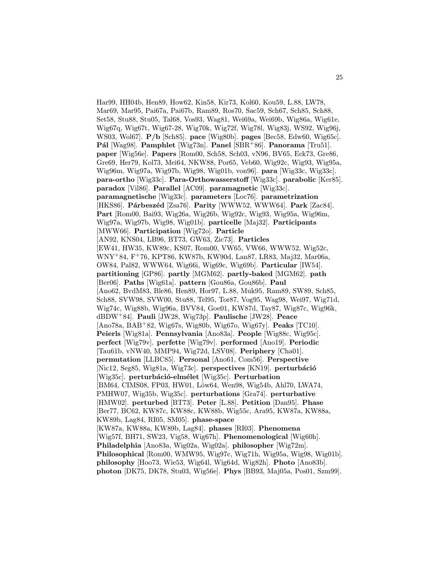Har99, HH04b, Hen89, How62, Kin58, Kir73, Kol60, Kou59, L.88, LW78, Mar69, Mar95, Pai67a, Pai67b, Ram89, Ros70, Sac59, Sch67, Sch85, Sch88, Set58, Stu88, Stu05, Tal68, Vos93, Wag81, Wei69a, Wei69b, Wig86a, Wig61e, Wig67q, Wig67t, Wig67-28, Wig70k, Wig72f, Wig78l, Wig83j, WS92, Wig96j, WS03, Wol67]. P/b [Sch85]. pace [Wig80b]. pages [Bec58, Edw60, Wig65c]. Pál [Wag98]. Pamphlet [Wig73n]. Panel [SBR+86]. Panorama [Tru51]. paper [Wig56e]. Papers [Rom00, Sch58, Sch03, vN96, BV65, Eck73, Gre86, Gre69, Her79, Kol73, Mei64, NKW88, Por65, Veb60, Wig92c, Wig93, Wig95a, Wig96m, Wig97a, Wig97b, Wig98, Wig01b, von96]. para [Wig33c, Wig33c]. para-ortho [Wig33c]. Para-Orthowasserstoff [Wig33c]. parabolic [Ker85]. paradox [Vil86]. Parallel [AC09]. paramagnetic [Wig33c]. paramagnetische [Wig33c]. parameters [Loc76]. parametrization [HKS86]. Párbeszéd [Zsa76]. Parity [WWW52, WWW64]. Park [Zac84]. Part [Rom00, Bai93, Wig26a, Wig26b, Wig92c, Wig93, Wig95a, Wig96m, Wig97a, Wig97b, Wig98, Wig01b]. particelle [Maj32]. Participants [MWW66]. Participation [Wig72o]. Particle [AN92, KNS04, LB96, BT73, GW63, Zic73]. Particles [EW41, HW35, KW89c, KS07, Rom00, VW65, VW66, WWW52, Wig52c, WNY<sup>+</sup>84, F<sup>+</sup>76, KPT86, KW87b, KW90d, Lan87, LR83, Maj32, Mar06a, OW84, Pal82, WWW64, Wig66i, Wig69c, Wig69b]. Particular [IW54]. partitioning [GP86]. partly [MGM62]. partly-baked [MGM62]. path [Ber06]. Paths [Wig61a]. pattern [Gou86a, Gou86b]. Paul [Ano62, BvdM83, Ble86, Hen89, Hor97, L.88, Muk95, Ram89, SW89, Sch85, Sch88, SVW98, SVW00, Stu88, Tel95, Tor87, Vog95, Wag98, Wei97, Wig71d, Wig74c, Wig88b, Wig96a, BVV84, Goe01, KW87d, Tay87, Wig87c, Wig96k, dBDW<sup>+</sup>84]. Pauli [JW28, Wig73p]. Paulische [JW28]. Peace  $[Ano78a, BAB<sup>+</sup>82, Wig67s, Wig80b, Wig67o, Wig67v]$ . **Peaks** [TC10]. Peierls [Wig81a]. Pennsylvania [Ano83a]. People [Wig88c, Wig95c]. perfect [Wig79v]. perfette [Wig79v]. performed [Ano19]. Periodic [Tau61b, vNW40, MMP94, Wig72d, LSV08]. Periphery [Cha01]. permutation [LLBC85]. Personal [Ano61, Com56]. Perspective [Nic12, Seg85, Wig81a, Wig73c]. perspectives [KN19]. perturbáció  $[Wig35c]$ . perturbáció-elmélet  $[Wig35c]$ . Perturbation [BM64, CIMS08, FP03, HW01, Löw64, Wen98, Wig54b, Ahl70, LWA74, PMHW07, Wig35b, Wig35c]. perturbations [Gra74]. perturbative [HMW02]. perturbed [BT73]. Peter [L.88]. Petition [Dan95]. Phase [Ber77, BC62, KW87c, KW88c, KW88b, Wig55c, Ara95, KW87a, KW88a, KW89b, Lag84, RI05, SM05]. phase-space [KW87a, KW88a, KW89b, Lag84]. phases [RI03]. Phenomena [Wig57f, BH71, SW23, Vig58, Wig67h]. Phenomenological [Wig60h]. Philadelphia [Ano83a, Wig02a, Wig02a]. philosopher [Wig72m]. Philosophical [Rom00, WMW95, Wig97c, Wig71h, Wig95a, Wig98, Wig01b]. philosophy [Hoo73, Wie53, Wig64l, Wig64d, Wig82h]. Photo [Ano83b]. photon [DK75, DK78, Stu03, Wig56e]. Phys [BB93, Maj05a, Pos01, Szm99].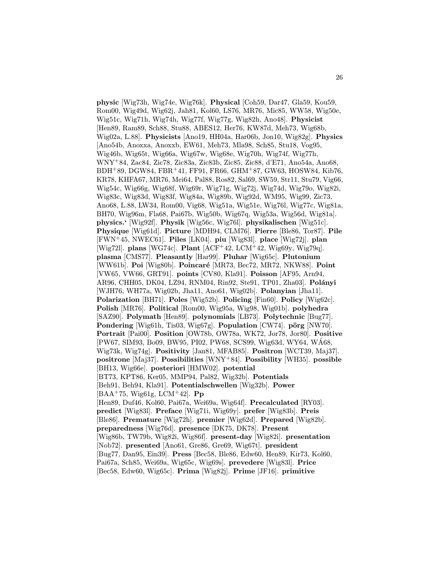physic [Wig73h, Wig74e, Wig76k]. Physical [Coh59, Dar47, Gla59, Kou59, Rom00, Wig49d, Wig62j, Jah81, Kol60, LS76, MR76, Mic85, WW58, Wig50e, Wig51c, Wig71h, Wig74h, Wig77f, Wig77g, Wig82h, Ano48]. Physicist [Hen89, Ram89, Sch88, Stu88, ABES12, Her76, KW87d, Meh73, Wig68b, Wig02a, L.88]. Physicists [Ano19, HH04a, Har06b, Jon10, Wig82g]. Physics [Ano54b, Anoxxa, Anoxxb, EW61, Meh73, Mla98, Sch85, Stu18, Vog95, Wig46b, Wig65t, Wig66a, Wig67w, Wig68e, Wig70h, Wig74f, Wig77h, WNY<sup>+</sup>84, Zac84, Zic78, Zic83a, Zic83b, Zic85, Zic88, d'E71, Ano54a, Ano68, BDH<sup>+</sup>89, DGW84, FBR<sup>+</sup>41, FF91, FR66, GHM<sup>+</sup>87, GW63, HOSW84, Kib76, KR78, KHFA67, MR76, Mei64, Pal88, Ros82, Sal69, SW59, Str11, Stu79, Vig66, Wig54c, Wig66g, Wig68f, Wig69r, Wig71g, Wig72j, Wig74d, Wig79o, Wig82i, Wig83c, Wig83d, Wig83f, Wig84a, Wig89b, Wig92d, WM95, Wig99, Zic73, Ano68, L.88, LW34, Rom00, Vig68, Wig51a, Wig51e, Wig76l, Wig77c, Wig81a, BH70, Wig96m, Fla68, Pai67b, Wig50b, Wig67q, Wig53a, Wig56d, Wig81a]. physics.' [Wig92f]. Physik [Wig56c, Wig76l]. physikalischen [Wig51c]. Physique [Wig61d]. Picture [MDH94, CLM76]. Pierre [Ble86, Tor87]. Pile [FWN<sup>+</sup>45, NWEC61]. Piles [LK04]. piu [Wig83l]. place [Wig72j]. plan [Wig72l]. plans [WG74c]. Plant [ACF<sup>+</sup>42, LCM<sup>+</sup>42, Wig69y, Wig79q]. plasma [CMS77]. Pleasantly [Har99]. Pluhar [Wig65c]. Plutonium [WW61b]. Poi [Wig80b]. Poincaré [MR73, Bec72, MR72, NKW88]. Point [VW65, VW66, GRT91]. points [CV80, Kla91]. Poisson [AF95, Arn94, AR96, CHH05, DK04, LZ94, RNM04, Rin92, Ste91, TP01, Zha03]. Polányi [WJH76, WH77a, Wig02b, Jha11, Ano61, Wig02b]. Polanyian [Jha11]. Polarization [BH71]. Poles [Wig52b]. Policing [Fin60]. Policy [Wig62c]. Polish [MR76]. Political [Rom00, Wig95a, Wig98, Wig01b]. polyhedra [SAZ90]. Polymath [Hen89]. polynomials [LB73]. Polytechnic [Bug77]. **Pondering** [Wig61h, Tis03, Wig67g]. **Population** [CW74]. **pörg** [NW70]. Portrait [Pai00]. Position [OW78b, OW78a, WK72, Jor78, Jor80]. Positive [PW67, SIM93, Bo09, BW95, PI02, PW68, SCS99, Wig63d, WY64, WA68, ´ Wig73k, Wig74g]. Positivity [Jan81, MFAB85]. Positron [WCT39, Maj37]. positrone [Maj37]. Possibilities [WNY+84]. Possibility [WH35]. possible [BH13, Wig66e]. posteriori [HMW02]. potential [BT73, KPT86, Ker05, MMP94, Pal82, Wig32b]. Potentials [Beh91, Beh94, Kla91]. Potentialschwellen [Wig32b]. Power [BAA<sup>+</sup>75, Wig61g, LCM<sup>+</sup>42]. **Pp** [Hen89, Duf46, Kol60, Pai67a, Wei69a, Wig64f]. Precalculated [RY03]. predict [Wig83l]. Preface [Wig71i, Wig69y]. prefer [Wig83b]. Preis [Ble86]. Premature [Wig72h]. premier [Wig62d]. Prepared [Wig82b]. preparedness [Wig76d]. presence [DK75, DK78]. Present [Wig86b, TW79b, Wig82i, Wig86f]. present-day [Wig82i]. presentation [Nob72]. presented [Ano61, Gre86, Gre69, Wig67t]. president [Bug77, Dan95, Ein39]. Press [Bec58, Ble86, Edw60, Hen89, Kir73, Kol60, Pai67a, Sch85, Wei69a, Wig65c, Wig69s]. prevedere [Wig83l]. Price [Bec58, Edw60, Wig65c]. Prima [Wig82j]. Prime [JF16]. primitive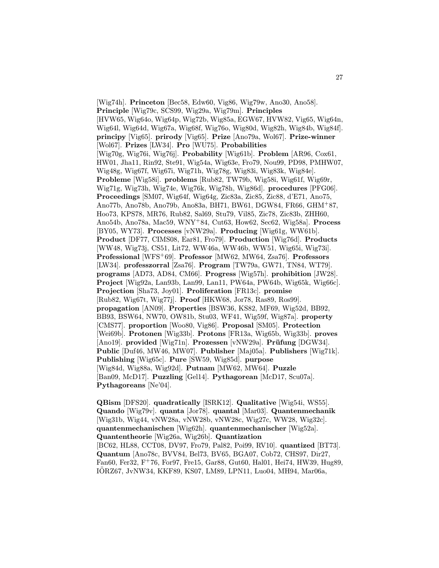[Wig74h]. Princeton [Bec58, Edw60, Vig86, Wig79w, Ano30, Ano58]. Principle [Wig79c, SCS99, Wig29a, Wig79m]. Principles [HVW65, Wig64o, Wig64p, Wig72b, Wig85a, EGW67, HVW82, Vig65, Wig64n, Wig64l, Wig64d, Wig67a, Wig68f, Wig76o, Wig80d, Wig82h, Wig84b, Wig84f]. principy [Vig65]. prirody [Vig65]. Prize [Ano79a, Wol67]. Prize-winner [Wol67]. Prizes [LW34]. Pro [WU75]. Probabilities [Wig70g, Wig76i, Wig76j]. Probability [Wig61b]. Problem [AR96, Cox61, HW01, Jha11, Rin92, Ste91, Wig54a, Wig63e, Fro79, Nou99, PD98, PMHW07, Wig48g, Wig67f, Wig67i, Wig71h, Wig78g, Wig83i, Wig83k, Wig84e]. Probleme [Wig58i]. problems [Rub82, TW79b, Wig58i, Wig61f, Wig69r, Wig71g, Wig73h, Wig74e, Wig76k, Wig78h, Wig86d]. procedures [PFG06]. Proceedings [SM07, Wig64f, Wig64g, Zic83a, Zic85, Zic88, d'E71, Ano75, Ano77b, Ano78b, Ano79b, Ano83a, BH71, BW61, DGW84, FR66, GHM<sup>+</sup>87, Hoo73, KPS78, MR76, Rub82, Sal69, Stu79, Vil85, Zic78, Zic83b, ZHH60, Ano54b, Ano78a, Mac59, WNY<sup>+</sup>84, Cut63, How62, Sec62, Wig58a]. Process [BY05, WY73]. Processes [vNW29a]. Producing [Wig61g, WW61b]. Product [DF77, CIMS08, Ear81, Fro79]. Production [Wig76d]. Products [WW48, Wig73j, CS51, Lit72, WW46a, WW46b, WW51, Wig65i, Wig73i]. Professional [WFS<sup>+</sup>69]. Professor [MW62, MW64, Zsa76]. Professors [LW34]. professzorral [Zsa76]. Program [TW79a, GW71, TN84, WT79]. programs [AD73, AD84, CM66]. Progress [Wig57h]. prohibition [JW28]. Project [Wig92a, Lan93b, Lan99, Lan11, PW64a, PW64b, Wig65k, Wig66c]. Projection [Sha73, Joy01]. Proliferation [FR13c]. promise [Rub82, Wig67t, Wig77j]. Proof [HKW68, Jor78, Ras89, Ros99]. propagation [AN09]. Properties [BSW36, KS82, MF69, Wig52d, BB92, BB93, BSW64, NW70, OW81b, Stu03, WF41, Wig59f, Wig87a]. property [CMS77]. proportion [Woo80, Vig86]. Proposal [SM05]. Protection [Wei69b]. Protonen [Wig33b]. Protons [FR13a, Wig65b, Wig33b]. proves [Ano19]. provided [Wig71n]. Prozessen [vNW29a]. Prüfung [DGW34]. Public [Duf46, MW46, MW07]. Publisher [Maj05a]. Publishers [Wig71k]. Publishing [Wig65c]. Pure [SW59, Wig85d]. purpose [Wig84d, Wig88a, Wig92d]. Putnam [MW62, MW64]. Puzzle [Ban09, McD17]. Puzzling [Gel14]. Pythagorean [McD17, Scu07a]. Pythagoreans [Ne'04].

QBism [DFS20]. quadratically [ISRK12]. Qualitative [Wig54i, WS55]. Quando [Wig79v]. quanta [Jor78]. quantal [Mar03]. Quantenmechanik [Wig31b, Wig44, vNW28a, vNW28b, vNW28c, Wig27c, WW28, Wig32c]. quantenmechanischen [Wig62h]. quantenmechanischer [Wig52a]. Quantentheorie [Wig26a, Wig26b]. Quantization [BC62, HL88, CCT08, DV97, Fro79, Pal82, Poi99, RV10]. quantized [BT73]. Quantum [Ano78c, BVV84, Bel73, BV65, BGA07, Cob72, CHS97, Dir27, Fan60, Fer32, F<sup>+</sup>76, For97, Fre15, Gar88, Gut60, Hal01, Hei74, HW39, Hug89, IORZ67, JvNW34, KKF89, KS07, LM89, LPN11, Luo04, MH94, Mar06a, ¨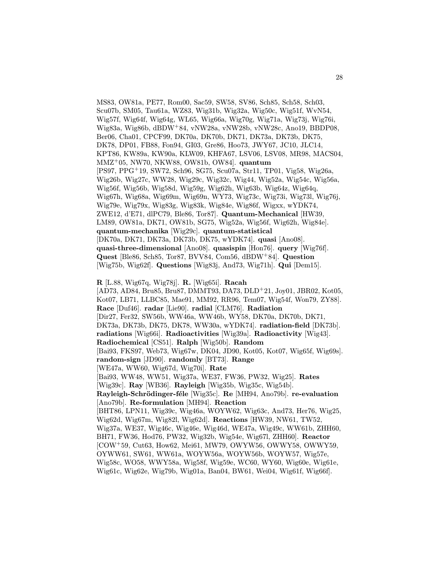MS83, OW81a, PE77, Rom00, Sac59, SW58, SV86, Sch85, Sch58, Sch03, Scu07b, SM05, Tau61a, WZ83, Wig31b, Wig32a, Wig50c, Wig51f, WvN54, Wig57f, Wig64f, Wig64g, WL65, Wig66a, Wig70g, Wig71a, Wig73j, Wig76i, Wig83a, Wig86b, dBDW<sup>+</sup>84, vNW28a, vNW28b, vNW28c, Ano19, BBDP08, Ber06, Cha01, CPCF99, DK70a, DK70b, DK71, DK73a, DK73b, DK75, DK78, DP01, FB88, Fon94, GI03, Gre86, Hoo73, JWY67, JC10, JLC14, KPT86, KW89a, KW90a, KLW09, KHFA67, LSV06, LSV08, MR98, MACS04, MMZ<sup>+</sup>05, NW70, NKW88, OW81b, OW84]. quantum [PS97, PPG<sup>+</sup>19, SW72, Sch96, SG75, Scu07a, Str11, TP01, Vig58, Wig26a, Wig26b, Wig27c, WW28, Wig29c, Wig32c, Wig44, Wig52a, Wig54c, Wig56a, Wig56f, Wig56b, Wig58d, Wig59g, Wig62h, Wig63b, Wig64z, Wig64q, Wig67h, Wig68a, Wig69m, Wig69n, WY73, Wig73c, Wig73i, Wig73l, Wig76j, Wig79e, Wig79x, Wig83g, Wig83k, Wig84e, Wig86f, Wigxx, wYDK74, ZWE12, d'E71, dlPC79, Ble86, Tor87]. Quantum-Mechanical [HW39, LM89, OW81a, DK71, OW81b, SG75, Wig52a, Wig56f, Wig62h, Wig84e]. quantum-mechanika [Wig29c]. quantum-statistical [DK70a, DK71, DK73a, DK73b, DK75, wYDK74]. quasi [Ano08]. quasi-three-dimensional [Ano08]. quasispin [Hon76]. query [Wig76f]. Quest [Ble86, Sch85, Tor87, BVV84, Com56, dBDW<sup>+</sup>84]. Question [Wig75b, Wig62f]. Questions [Wig83j, And73, Wig71h]. Qui [Dem15].

R [L.88, Wig67q, Wig78j]. R. [Wig65i]. Racah [AD73, AD84, Bru85, Bru87, DMMT93, DA73, DLD<sup>+</sup>21, Joy01, JBR02, Kot05, Kot07, LB71, LLBC85, Mae91, MM92, RR96, Tem07, Wig54f, Won79, ZY88]. Race [Duf46]. radar [Lie90]. radial [CLM76]. Radiation [Dir27, Fer32, SW56b, WW46a, WW46b, WY58, DK70a, DK70b, DK71, DK73a, DK73b, DK75, DK78, WW30a, wYDK74]. radiation-field [DK73b]. radiations [Wig66i]. Radioactivities [Wig39a]. Radioactivity [Wig43]. Radiochemical [CS51]. Ralph [Wig50b]. Random [Bai93, FKS97, Web73, Wig67w, DK04, JD90, Kot05, Kot07, Wig65f, Wig69s]. random-sign [JD90]. randomly [BT73]. Range [WE47a, WW60, Wig67d, Wig70i]. Rate [Bai93, WW48, WW51, Wig37a, WE37, FW36, PW32, Wig25]. Rates [Wig39c]. Ray [WB36]. Rayleigh [Wig35b, Wig35c, Wig54b]. Rayleigh-Schrödinger-féle [Wig35c]. Re [MH94, Ano79b]. re-evaluation [Ano79b]. Re-formulation [MH94]. Reaction [BHT86, LPN11, Wig39c, Wig46a, WOYW62, Wig63c, And73, Her76, Wig25, Wig62d, Wig67m, Wig82l, Wig62d]. Reactions [HW39, NW61, TW52, Wig37a, WE37, Wig46c, Wig46e, Wig46d, WE47a, Wig49c, WW61b, ZHH60, BH71, FW36, Hod76, PW32, Wig32b, Wig54e, Wig67l, ZHH60]. Reactor [COW<sup>+</sup>59, Cut63, How62, Mei61, MW79, OWYW56, OWWY58, OWWY59, OYWW61, SW61, WW61a, WOYW56a, WOYW56b, WOYW57, Wig57e, Wig58c, WO58, WWY58a, Wig58f, Wig59e, WC60, WY60, Wig60e, Wig61e, Wig61c, Wig62e, Wig79b, Wig01a, Ban04, BW61, Wei04, Wig61f, Wig66f].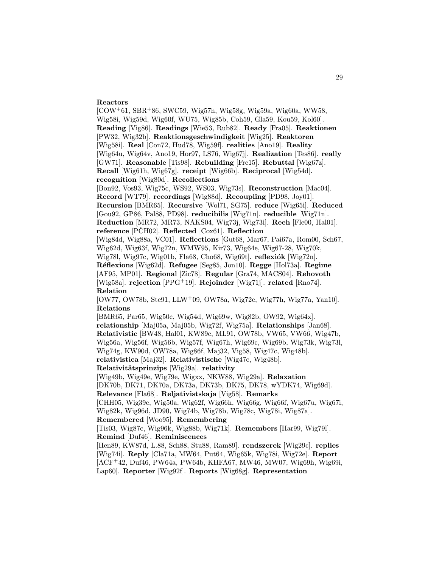## Reactors

 $[COW^+61, SBR^+86, SWC59, Wig57h, Wig58g, Wig59a, Wig60a, WW58,$ Wig58i, Wig59d, Wig60f, WU75, Wig85b, Coh59, Gla59, Kou59, Kol60]. Reading [Vig86]. Readings [Wie53, Rub82]. Ready [Fra05]. Reaktionen [PW32, Wig32b]. Reaktionsgeschwindigkeit [Wig25]. Reaktoren [Wig58i]. Real [Con72, Hud78, Wig59f]. realities [Ano19]. Reality [Wig64u, Wig64v, Ano19, Hor97, LS76, Wig67j]. Realization [Tes86]. really [GW71]. Reasonable [Tis98]. Rebuilding [Fre15]. Rebuttal [Wig67z]. Recall [Wig61h, Wig67g]. receipt [Wig66b]. Reciprocal [Wig54d]. recognition [Wig80d]. Recollections [Bon92, Vos93, Wig75c, WS92, WS03, Wig73s]. Reconstruction [Mac04]. Record [WT79]. recordings [Wig88d]. Recoupling [PD98, Joy01]. Recursion [BMR65]. Recursive [Wol71, SG75]. reduce [Wig65i]. Reduced [Gou92, GP86, Pal88, PD98]. reducibilis [Wig71n]. reducible [Wig71n]. Reduction [MR72, MR73, NAKS04, Wig73j, Wig73i]. Reeh [Fle00, Hal01]. reference  $[PCH02]$ . Reflected  $[Cox61]$ . Reflection [Wig84d, Wig88a, VC01]. Reflections [Gut68, Mar67, Pai67a, Rom00, Sch67, Wig62d, Wig63f, Wig72n, WMW95, Kir73, Wig64e, Wig67-28, Wig70k, Wig78l, Wig97c, Wig01b, Fla68, Cho68, Wig69t]. reflexiók [Wig72n]. Réflexions [Wig62d]. Refugee [Seg85, Jon10]. Regge [Hol73a]. Regime [AF95, MP01]. Regional [Zic78]. Regular [Gra74, MACS04]. Rehovoth [Wig58a]. rejection [PPG<sup>+</sup>19]. Rejoinder [Wig71j]. related [Rno74]. Relation [OW77, OW78b, Ste91, LLW<sup>+</sup>09, OW78a, Wig72c, Wig77h, Wig77a, Yan10]. Relations [BMR65, Par65, Wig50c, Wig54d, Wig69w, Wig82b, OW92, Wig64x]. relationship [Maj05a, Maj05b, Wig72f, Wig75a]. Relationships [Jan68]. Relativistic [BW48, Hal01, KW89c, ML91, OW78b, VW65, VW66, Wig47b, Wig56a, Wig56f, Wig56b, Wig57f, Wig67h, Wig69c, Wig69b, Wig73k, Wig73l, Wig74g, KW90d, OW78a, Wig86f, Maj32, Vig58, Wig47c, Wig48b]. relativistica [Maj32]. Relativistische [Wig47c, Wig48b]. Relativitätsprinzips [Wig29a]. relativity [Wig49b, Wig49e, Wig79e, Wigxx, NKW88, Wig29a]. Relaxation [DK70b, DK71, DK70a, DK73a, DK73b, DK75, DK78, wYDK74, Wig69d]. Relevance [Fla68]. Reljativistskaja [Vig58]. Remarks [CHH05, Wig39c, Wig50a, Wig62f, Wig66h, Wig66g, Wig66f, Wig67u, Wig67i, Wig82k, Wig96d, JD90, Wig74b, Wig78b, Wig78c, Wig78i, Wig87a]. Remembered [Woo95]. Remembering [Tis03, Wig87c, Wig96k, Wig88b, Wig71k]. Remembers [Har99, Wig79l]. Remind [Duf46]. Reminiscences [Hen89, KW87d, L.88, Sch88, Stu88, Ram89]. rendszerek [Wig29c]. replies [Wig74i]. Reply [Cla71a, MW64, Put64, Wig65k, Wig78i, Wig72e]. Report [ACF<sup>+</sup>42, Duf46, PW64a, PW64b, KHFA67, MW46, MW07, Wig69h, Wig69i, Lap60]. Reporter [Wig92f]. Reports [Wig68g]. Representation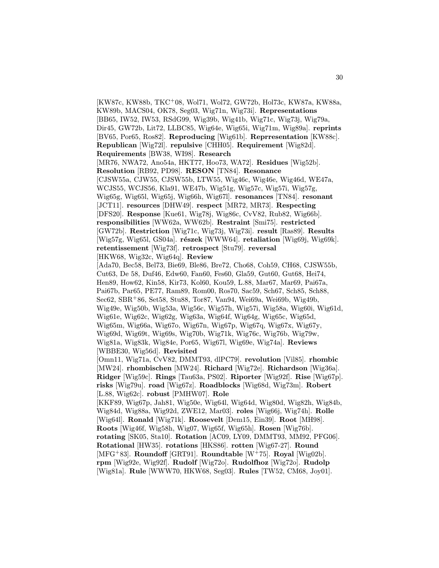[KW87c, KW88b, TKC<sup>+</sup>08, Wol71, Wol72, GW72b, Hol73c, KW87a, KW88a, KW89b, MACS04, OK78, Seg03, Wig71n, Wig73i]. Representations [BB65, IW52, IW53, RSdG99, Wig39b, Wig41b, Wig71c, Wig73j, Wig79a, Dir45, GW72b, Lit72, LLBC85, Wig64e, Wig65i, Wig71m, Wig89a]. reprints [BV65, Por65, Ros82]. Reproducing [Wig61b]. Reprresentation [KW88c]. Republican [Wig72l]. repulsive [CHH05]. Requirement [Wig82d]. Requirements [BW38, WI98]. Research [MR76, NWA72, Ano54a, HKT77, Hoo73, WA72]. Residues [Wig52b]. Resolution [RB92, PD98]. RESON [TN84]. Resonance [CJSW55a, CJW55, CJSW55b, LTW55, Wig46c, Wig46e, Wig46d, WE47a, WCJS55, WCJS56, Kla91, WE47b, Wig51g, Wig57c, Wig57i, Wig57g, Wig65g, Wig65l, Wig65j, Wig66h, Wig67l]. resonances [TN84]. resonant [JCT11]. resources [DHW49]. respect [MR72, MR73]. Respecting [DFS20]. Response [Kue61, Wig78j, Wig86c, CvV82, Rub82, Wig66b]. responsibilities [WW62a, WW62b]. Restraint [Smi75]. restricted [GW72b]. Restriction [Wig71c, Wig73j, Wig73i]. result [Ras89]. Results [Wig57g, Wig65l, GS04a]. részek [WWW64]. retaliation [Wig69j, Wig69k]. retentissement [Wig73f]. retrospect [Stu79]. reversal [HKW68, Wig32c, Wig64q]. Review [Ada70, Bec58, Bel73, Bie69, Ble86, Bre72, Cho68, Coh59, CH68, CJSW55b, Cut63, De 58, Duf46, Edw60, Fan60, Fes60, Gla59, Gut60, Gut68, Hei74, Hen89, How62, Kin58, Kir73, Kol60, Kou59, L.88, Mar67, Mar69, Pai67a, Pai67b, Par65, PE77, Ram89, Rom00, Ros70, Sac59, Sch67, Sch85, Sch88, Sec62, SBR<sup>+</sup>86, Set58, Stu88, Tor87, Van94, Wei69a, Wei69b, Wig49b, Wig49e, Wig50b, Wig53a, Wig56c, Wig57h, Wig57i, Wig58a, Wig60i, Wig61d, Wig61e, Wig62c, Wig62g, Wig63a, Wig64f, Wig64g, Wig65c, Wig65d, Wig65m, Wig66a, Wig67o, Wig67n, Wig67p, Wig67q, Wig67x, Wig67y, Wig69d, Wig69t, Wig69s, Wig70b, Wig71k, Wig76c, Wig76b, Wig79w, Wig81a, Wig83k, Wig84e, Por65, Wig67l, Wig69e, Wig74a]. Reviews [WBBE30, Wig56d]. Revisited [Omn11, Wig71a, CvV82, DMMT93, dlPC79]. revolution [Vil85]. rhombic [MW24]. rhombischen [MW24]. Richard [Wig72e]. Richardson [Wig36a]. Ridger [Wig59c]. Rings [Tau63a, PS02]. Riporter [Wig92f]. Rise [Wig67p]. risks [Wig79u]. road [Wig67z]. Roadblocks [Wig68d, Wig73m]. Robert [L.88, Wig62c]. robust [PMHW07]. Role [KKF89, Wig67p, Jah81, Wig50e, Wig64l, Wig64d, Wig80d, Wig82h, Wig84b, Wig84d, Wig88a, Wig92d, ZWE12, Mar03]. roles [Wig66j, Wig74h]. Rolle [Wig64l]. Ronald [Wig71k]. Roosevelt [Dem15, Ein39]. Root [MH98]. Roots [Wig46f, Wig58h, Wig07, Wig65f, Wig65h]. Rosen [Wig76b]. rotating [SK05, Sta10]. Rotation [AC09, LY09, DMMT93, MM92, PFG06]. Rotational [HW35]. rotations [HKS86]. rotten [Wig67-27]. Round [MFG<sup>+</sup>83]. Roundoff [GRT91]. Roundtable  $[W^+75]$ . Royal [Wig02b]. rpm [Wig92e, Wig92f]. Rudolf [Wig72o]. Rudolfhoz [Wig72o]. Rudolp [Wig81a]. Rule [WWW70, HKW68, Seg03]. Rules [TW52, CM68, Joy01].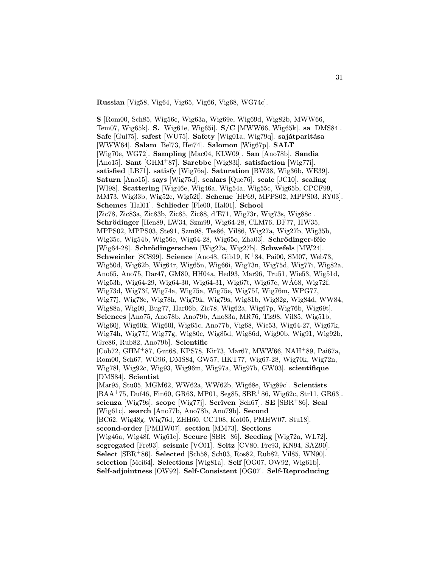Russian [Vig58, Vig64, Vig65, Vig66, Vig68, WG74c].

S [Rom00, Sch85, Wig56c, Wig63a, Wig69e, Wig69d, Wig82b, MWW66, Tem07, Wig65k]. S. [Wig61e, Wig65i]. S/C [MWW66, Wig65k]. sa [DMS84]. Safe [Gul75]. safest [WU75]. Safety [Wig01a, Wig79q]. sajátparitása [WWW64]. Salam [Bel73, Hei74]. Salomon [Wig67p]. SALT [Wig70e, WG72]. Sampling [Mac04, KLW09]. San [Ano78b]. Sandia [Ano15]. Sant [GHM<sup>+</sup>87]. Sarebbe [Wig83l]. satisfaction [Wig77i]. satisfied [LB71]. satisfy [Wig76a]. Saturation [BW38, Wig36b, WE39]. Saturn [Ano15]. says [Wig75d]. scalars [Que76]. scale [JC10]. scaling [WI98]. Scattering [Wig46e, Wig46a, Wig54a, Wig55c, Wig65b, CPCF99, MM73, Wig33b, Wig52e, Wig52f]. Scheme [HP69, MPPS02, MPPS03, RY03]. Schemes [Hal01]. Schlieder [Fle00, Hal01]. School [Zic78, Zic83a, Zic83b, Zic85, Zic88, d'E71, Wig73r, Wig73s, Wig88c]. Schrödinger [Hen89, LW34, Szm99, Wig64-28, CLM76, DF77, HW35, MPPS02, MPPS03, Ste91, Szm98, Tes86, Vil86, Wig27a, Wig27b, Wig35b, Wig35c, Wig54b, Wig56e, Wig64-28, Wig65o, Zha03. Schrödinger-féle [Wig64-28]. Schrödingerschen [Wig27a, Wig27b]. Schwefels [MW24]. Schweinler [SCS99]. Science [Ano48, Gib19, K<sup>+</sup>84, Pai00, SM07, Web73, Wig50d, Wig62b, Wig64r, Wig65n, Wig66i, Wig73n, Wig75d, Wig77i, Wig82a, Ano65, Ano75, Dar47, GM80, HH04a, Hed93, Mar96, Tru51, Wie53, Wig51d, Wig53b, Wig64-29, Wig64-30, Wig64-31, Wig67t, Wig67c, WA68, Wig72f, ´ Wig73d, Wig73f, Wig74a, Wig75a, Wig75e, Wig75f, Wig76m, WPG77, Wig77j, Wig78e, Wig78h, Wig79k, Wig79s, Wig81b, Wig82g, Wig84d, WW84, Wig88a, Wig09, Bug77, Har06b, Zic78, Wig62a, Wig67p, Wig76b, Wig69t]. Sciences [Ano75, Ano78b, Ano79b, Ano83a, MR76, Tis98, Vil85, Wig51b, Wig60j, Wig60k, Wig60l, Wig65c, Ano77b, Vig68, Wie53, Wig64-27, Wig67k, Wig74h, Wig77f, Wig77g, Wig80c, Wig85d, Wig86d, Wig90b, Wig91, Wig92b, Gre86, Rub82, Ano79b]. Scientific [Cob72, GHM<sup>+</sup>87, Gut68, KPS78, Kir73, Mar67, MWW66, NAH<sup>+</sup>89, Pai67a, Rom00, Sch67, WG96, DMS84, GW57, HKT77, Wig67-28, Wig70k, Wig72n, Wig78l, Wig92c, Wig93, Wig96m, Wig97a, Wig97b, GW03]. scientifique [DMS84]. Scientist [Mar95, Stu05, MGM62, WW62a, WW62b, Wig68e, Wig89c]. Scientists [BAA<sup>+</sup>75, Duf46, Fin60, GR63, MP01, Seg85, SBR<sup>+</sup>86, Wig62c, Str11, GR63]. scienza [Wig79s]. scope [Wig77j]. Scriven [Sch67]. SE [SBR<sup>+</sup>86]. Seal [Wig61c]. search [Ano77b, Ano78b, Ano79b]. Second [BC62, Wig48g, Wig76d, ZHH60, CCT08, Kot05, PMHW07, Stu18]. second-order [PMHW07]. section [MM73]. Sections [Wig46a, Wig48f, Wig61e]. Secure [SBR<sup>+</sup>86]. Seeding [Wig72a, WL72]. segregated [Fre93]. seismic [VC01]. Seitz [CV80, Fre93, KN94, SAZ90]. Select [SBR<sup>+</sup>86]. Selected [Sch58, Sch03, Ros82, Rub82, Vil85, WN90]. selection [Mei64]. Selections [Wig81a]. Self [OG07, OW92, Wig61b]. Self-adjointness [OW92]. Self-Consistent [OG07]. Self-Reproducing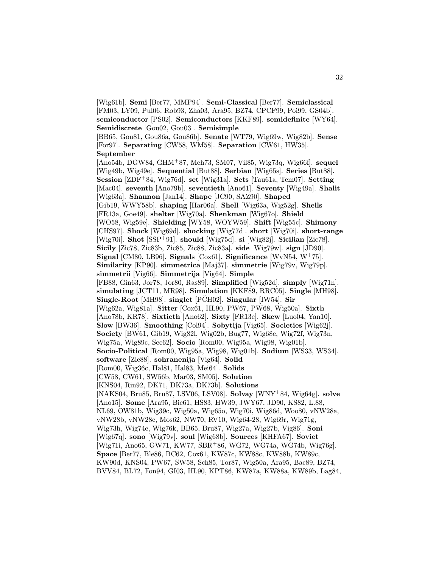[Wig61b]. Semi [Ber77, MMP94]. Semi-Classical [Ber77]. Semiclassical [FM03, LY09, Pul06, Rob93, Zha03, Ara95, BZ74, CPCF99, Poi99, GS04b]. semiconductor [PS02]. Semiconductors [KKF89]. semidefinite [WY64]. Semidiscrete [Gou02, Gou03]. Semisimple [BB65, Gou81, Gou86a, Gou86b]. Senate [WT79, Wig69w, Wig82b]. Sense [For97]. Separating [CW58, WM58]. Separation [CW61, HW35]. September [Ano54b, DGW84, GHM<sup>+</sup>87, Meh73, SM07, Vil85, Wig73q, Wig66f]. sequel [Wig49b, Wig49e]. Sequential [But88]. Serbian [Wig65s]. Series [But88]. Session [ZDF<sup>+</sup>84, Wig76d]. set [Wig31a]. Sets [Tau61a, Tem07]. Setting [Mac04]. seventh [Ano79b]. seventieth [Ano61]. Seventy [Wig49a]. Shalit [Wig63a]. Shannon [Jan14]. Shape [JC90, SAZ90]. Shaped [Gib19, WWY58b]. shaping [Har06a]. Shell [Wig63a, Wig52g]. Shells [FR13a, Goe49]. shelter [Wig70a]. Shenkman [Wig67o]. Shield [WO58, Wig59e]. Shielding [WY58, WOYW59]. Shift [Wig55c]. Shimony [CHS97]. Shock [Wig69d]. shocking [Wig77d]. short [Wig70i]. short-range [Wig70i]. Shot  $[SSP+91]$ . should [Wig75d]. si [Wig82j]. Sicilian [Zic78]. Sicily [Zic78, Zic83b, Zic85, Zic88, Zic83a]. side [Wig79w]. sign [JD90]. Signal [CM80, LB96]. Signals [Cox61]. Significance [WvN54, W<sup>+</sup>75]. Similarity [KP90]. simmetrica [Maj37]. simmetrie [Wig79v, Wig79p]. simmetrii [Vig66]. Simmetrija [Vig64]. Simple [FB88, Gin63, Jor78, Jor80, Ras89]. Simplified [Wig52d]. simply [Wig71n]. simulating [JCT11, MR98]. Simulation [KKF89, RRC05]. Single [MH98]. Single-Root [MH98]. singlet  $[\tilde{PCH02}]$ . Singular [IW54]. Sir [Wig62a, Wig81a]. Sitter [Cox61, HL90, PW67, PW68, Wig50a]. Sixth [Ano78b, KR78]. Sixtieth [Ano62]. Sixty [FR13e]. Skew [Luo04, Yan10]. Slow [BW36]. Smoothing [Col94]. Sobytija [Vig65]. Societies [Wig62j]. Society [BW61, Gib19, Wig82l, Wig02b, Bug77, Wig68e, Wig72f, Wig73n, Wig75a, Wig89c, Sec62]. Socio [Rom00, Wig95a, Wig98, Wig01b]. Socio-Political [Rom00, Wig95a, Wig98, Wig01b]. Sodium [WS33, WS34]. software [Zie88]. sohranenija [Vig64]. Solid [Rom00, Wig36c, Hal81, Hal83, Mei64]. Solids [CW58, CW61, SW56b, Mar03, SM05]. Solution [KNS04, Rin92, DK71, DK73a, DK73b]. Solutions [NAKS04, Bru85, Bru87, LSV06, LSV08]. Solvay [WNY<sup>+</sup>84, Wig64g]. solve [Ano15]. Some [Ara95, Bie61, HS83, HW39, JWY67, JD90, KS82, L.88, NL69, OW81b, Wig39c, Wig50a, Wig65o, Wig70i, Wig86d, Woo80, vNW28a, vNW28b, vNW28c, Mos62, NW70, RV10, Wig64-28, Wig69r, Wig71g, Wig73h, Wig74e, Wig76k, BB65, Bru87, Wig27a, Wig27b, Vig86]. Soni [Wig67q]. sono [Wig79v]. soul [Wig68b]. Sources [KHFA67]. Soviet [Wig71i, Ano65, GW71, KW77, SBR<sup>+</sup>86, WG72, WG74a, WG74b, Wig76g]. Space [Ber77, Ble86, BC62, Cox61, KW87c, KW88c, KW88b, KW89c, KW90d, KNS04, PW67, SW58, Sch85, Tor87, Wig50a, Ara95, Bac89, BZ74, BVV84, BL72, Fon94, GI03, HL90, KPT86, KW87a, KW88a, KW89b, Lag84,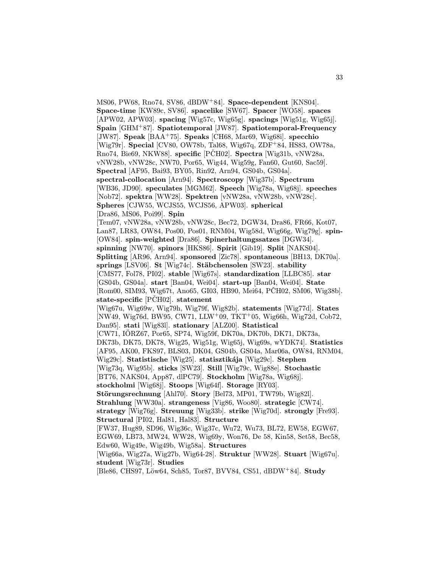MS06, PW68, Rno74, SV86, dBDW<sup>+</sup>84]. Space-dependent [KNS04]. Space-time [KW89c, SV86]. spacelike [SW67]. Spacer [WO58]. spaces [APW02, APW03]. spacing [Wig57c, Wig65g]. spacings [Wig51g, Wig65j]. Spain [GHM<sup>+</sup>87]. Spatiotemporal [JW87]. Spatiotemporal-Frequency [JW87]. Speak  $[BAA<sup>+</sup>75]$ . Speaks [CH68, Mar69, Wig68i]. specchio [Wig79r]. Special [CV80, OW78b, Tal68, Wig67q, ZDF<sup>+</sup>84, HS83, OW78a, Rno74, Bie69, NKW88. specific [PČH02]. Spectra [Wig31b, vNW28a, vNW28b, vNW28c, NW70, Por65, Wig44, Wig59g, Fan60, Gut60, Sac59]. Spectral [AF95, Bai93, BY05, Rin92, Arn94, GS04b, GS04a]. spectral-collocation [Arn94]. Spectroscopy [Wig37b]. Spectrum [WB36, JD90]. speculates [MGM62]. Speech [Wig78a, Wig68j]. speeches [Nob72]. spektra [WW28]. Spektren [vNW28a, vNW28b, vNW28c]. Spheres [CJW55, WCJS55, WCJS56, APW03]. spherical [Dra86, MS06, Poi99]. Spin [Tem07, vNW28a, vNW28b, vNW28c, Bec72, DGW34, Dra86, FR66, Kot07, Lan87, LR83, OW84, Pos00, Pos01, RNM04, Wig58d, Wig66g, Wig79g]. spin- [OW84]. spin-weighted [Dra86]. Spinerhaltungssatzes [DGW34]. spinning [NW70]. spinors [HKS86]. Spirit [Gib19]. Split [NAKS04]. Splitting [AR96, Arn94]. sponsored [Zic78]. spontaneous [BH13, DK70a]. springs [LSV06]. St [Wig74c]. Stäbchensolen [SW23]. stability [CMS77, Fol78, PI02]. stable [Wig67s]. standardization [LLBC85]. star [GS04b, GS04a]. start [Ban04, Wei04]. start-up [Ban04, Wei04]. State [Rom00, SIM93, Wig67t, Ano65, GI03, HB90, Mei64, PCH02, SM06, Wig38b]. state-specific  $[\tilde{PCH02}]$ . statement [Wig67u, Wig69w, Wig79h, Wig79f, Wig82b]. statements [Wig77d]. States [NW49, Wig76d, BW95, CW71, LLW<sup>+</sup>09, TKT<sup>+</sup>05, Wig66h, Wig72d, Cob72, Dan95]. stati [Wig83l]. stationary [ALZ00]. Statistical [CW71, IORZ67, Por65, SP74, Wig59f, DK70a, DK70b, DK71, DK73a, ¨ DK73b, DK75, DK78, Wig25, Wig51g, Wig65j, Wig69s, wYDK74]. Statistics [AF95, AK00, FKS97, BLS03, DK04, GS04b, GS04a, Mar06a, OW84, RNM04, Wig29c]. Statistische [Wig25]. statisztikája [Wig29c]. Stephen [Wig73q, Wig95b]. sticks [SW23]. Still [Wig79c, Wig88e]. Stochastic [BT76, NAKS04, App87, dlPC79]. Stockholm [Wig78a, Wig68j]. stockholmi [Wig68j]. Stoops [Wig64f]. Storage [RY03]. Störungsrechnung [Ahl70]. Story [Bel73, MP01, TW79b, Wig82l]. Strahlung [WW30a]. strangeness [Vig86, Woo80]. strategic [CW74]. strategy [Wig76g]. Streuung [Wig33b]. strike [Wig70d]. strongly [Fre93]. Structural [PI02, Hal81, Hal83]. Structure [FW37, Hug89, SD96, Wig36c, Wig37c, Wu72, Wu73, BL72, EW58, EGW67, EGW69, LB73, MW24, WW28, Wig69y, Won76, De 58, Kin58, Set58, Bec58, Edw60, Wig49e, Wig49b, Wig58a]. Structures [Wig66a, Wig27a, Wig27b, Wig64-28]. Struktur [WW28]. Stuart [Wig67u]. student [Wig73r]. Studies [Ble86, CHS97, Löw64, Sch85, Tor87, BVV84, CS51, dBDW+84]. Study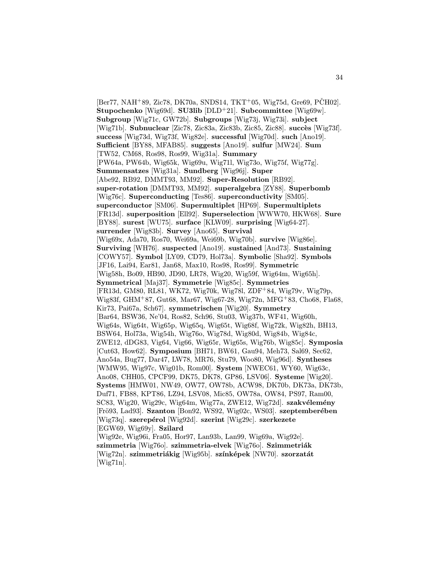$[Ber 77, NAH<sup>+</sup>89, Zic78, DK70a, SNDS14, TKT<sup>+</sup>05, Wig75d, Gre69, PČH02].$ Stupochenko [Wig69d]. SU3lib [DLD<sup>+</sup>21]. Subcommittee [Wig69w]. Subgroup [Wig71c, GW72b]. Subgroups [Wig73j, Wig73i]. subject [Wig71b]. Subnuclear [Zic78, Zic83a, Zic83b, Zic85, Zic88]. succès [Wig73f]. success [Wig73d, Wig73f, Wig82e]. successful [Wig70d]. such [Ano19]. Sufficient [BY88, MFAB85]. suggests [Ano19]. sulfur [MW24]. Sum [TW52, CM68, Ros98, Ros99, Wig31a]. Summary [PW64a, PW64b, Wig65k, Wig69u, Wig71l, Wig73o, Wig75f, Wig77g]. Summensatzes [Wig31a]. Sundberg [Wig96j]. Super [Abe92, RB92, DMMT93, MM92]. Super-Resolution [RB92]. super-rotation [DMMT93, MM92]. superalgebra [ZY88]. Superbomb [Wig76c]. Superconducting [Tes86]. superconductivity [SM05]. superconductor [SM06]. Supermultiplet [HP69]. Supermultiplets [FR13d]. superposition [Ell92]. Superselection [WWW70, HKW68]. Sure [BY88]. surest [WU75]. surface [KLW09]. surprising [Wig64-27]. surrender [Wig83b]. Survey [Ano65]. Survival [Wig69x, Ada70, Ros70, Wei69a, Wei69b, Wig70b]. survive [Wig86e]. Surviving [WH76]. suspected [Ano19]. sustained [And73]. Sustaining [COWY57]. Symbol [LY09, CD79, Hol73a]. Symbolic [Sha92]. Symbols [JF16, Lai94, Ear81, Jan68, Max10, Ros98, Ros99]. Symmetric [Wig58h, Bo09, HB90, JD90, LR78, Wig20, Wig59f, Wig64m, Wig65h]. Symmetrical [Maj37]. Symmetrie [Wig85c]. Symmetries [FR13d, GM80, RL81, WK72, Wig70k, Wig78l, ZDF<sup>+</sup>84, Wig79v, Wig79p, Wig83f, GHM<sup>+</sup>87, Gut68, Mar67, Wig67-28, Wig72n, MFG<sup>+</sup>83, Cho68, Fla68, Kir73, Pai67a, Sch67]. symmetrischen [Wig20]. Symmetry [Bar64, BSW36, Ne'04, Ros82, Sch96, Stu03, Wig37b, WF41, Wig60h, Wig64s, Wig64t, Wig65p, Wig65q, Wig65t, Wig68f, Wig72k, Wig82h, BH13, BSW64, Hol73a, Wig54h, Wig76o, Wig78d, Wig80d, Wig84b, Wig84c, ZWE12, dDG83, Vig64, Vig66, Wig65r, Wig65s, Wig76b, Wig85c]. Symposia [Cut63, How62]. Symposium [BH71, BW61, Gau94, Meh73, Sal69, Sec62, Ano54a, Bug77, Dar47, LW78, MR76, Stu79, Woo80, Wig96d]. Syntheses [WMW95, Wig97c, Wig01b, Rom00]. System [NWEC61, WY60, Wig63c, Ano08, CHH05, CPCF99, DK75, DK78, GP86, LSV06]. Systeme [Wig20]. Systems [HMW01, NW49, OW77, OW78b, ACW98, DK70b, DK73a, DK73b, Duf71, FB88, KPT86, LZ94, LSV08, Mic85, OW78a, OW84, PS97, Ram00, SC83, Wig20, Wig29c, Wig64m, Wig77a, ZWE12, Wig72d]. szakvélemény [Frö93, Lad93]. Szanton [Bon92, WS92, Wig02c, WS03]. szeptemberében  $[Wig73q]$ . szerepérol  $[Wig92d]$ . szerint  $[Wig29c]$ . szerkezete [EGW69, Wig69y]. Szilard [Wig92e, Wig96i, Fra05, Hor97, Lan93b, Lan99, Wig69a, Wig92e]. szimmetria [Wig76o]. szimmetria-elvek [Wig76o]. Szimmetriák [Wig72n]. szimmetriákig [Wig95b]. színképek [NW70]. szorzatát

[Wig71n].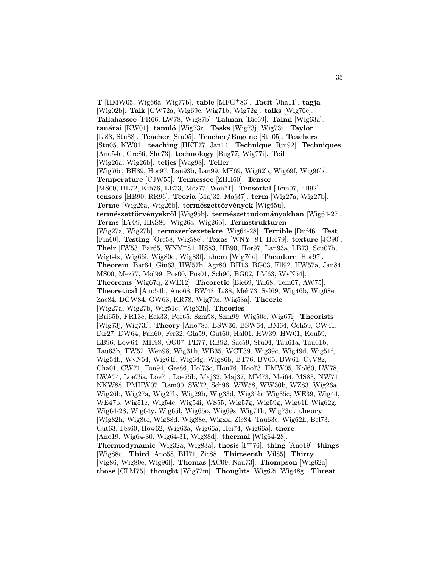$T$  [HMW05, Wig66a, Wig77b]. table [MFG<sup>+</sup>83]. Tacit [Jha11]. tagja [Wig02b]. Talk [GW72a, Wig69c, Wig71b, Wig72g]. talks [Wig70e]. Tallahassee [FR66, LW78, Wig87b]. Talman [Bie69]. Talmi [Wig63a]. tanárai [KW01]. tanuló [Wig73r]. Tasks [Wig73j, Wig73i]. Taylor [L.88, Stu88]. Teacher [Stu05]. Teacher/Eugene [Stu05]. Teachers [Stu05, KW01]. teaching [HKT77, Jan14]. Technique [Rin92]. Techniques [Ano54a, Gre86, Sha73]. technology [Bug77, Wig77i]. Teil [Wig26a, Wig26b]. teljes [Wag98]. Teller [Wig76c, BH89, Hor97, Lan93b, Lan99, MF69, Wig62b, Wig69f, Wig96b]. Temperature [CJW55]. Tennessee [ZHH60]. Tensor [MS00, BL72, Kib76, LB73, Mez77, Won71]. Tensorial [Tem07, Ell92]. tensors [HB90, RR96]. Teoria [Maj32, Maj37]. term [Wig27a, Wig27b]. Terme [Wig26a, Wig26b]. természettörvények [Wig65u]. természettörvényekről [Wig95b]. természettudományokban [Wig64-27]. Terms [LY09, HKS86, Wig26a, Wig26b]. Termstrukturen [Wig27a, Wig27b]. termszerkezetekre [Wig64-28]. Terrible [Duf46]. Test [Fin60]. Testing [Ore58, Wig58e]. Texas [WNY<sup>+</sup>84, Her79]. texture [JC90]. Their [IW53, Par65, WNY<sup>+</sup>84, HS83, HB90, Hor97, Lan93a, LB73, Scu07b, Wig64x, Wig66i, Wig80d, Wig83f]. them [Wig76a]. Theodore [Hor97]. Theorem [Bar64, Gin63, HW57b, Agr80, BH13, BG03, Ell92, HW57a, Jan84, MS00, Mez77, Mol99, Pos00, Pos01, Sch96, BG02, LM63, WvN54]. Theorems [Wig67q, ZWE12]. Theoretic [Bie69, Tal68, Tem07, AW75]. Theoretical [Ano54b, Ano68, BW48, L.88, Meh73, Sal69, Wig46b, Wig68e, Zac84, DGW84, GW63, KR78, Wig79x, Wig53a]. Theorie [Wig27a, Wig27b, Wig51c, Wig62h]. Theories [Bri65b, FR13c, Eck33, Por65, Szm98, Szm99, Wig50e, Wig67l]. Theorists [Wig73j, Wig73i]. Theory [Ano78c, BSW36, BSW64, BM64, Coh59, CW41, Dir27, DW64, Fan60, Fer32, Gla59, Gut60, Hal01, HW39, HW01, Kou59, LB96, Löw64, MH98, OG07, PE77, RB92, Sac59, Stu04, Tau61a, Tau61b, Tau63b, TW52, Wen98, Wig31b, WB35, WCT39, Wig39c, Wig49d, Wig51f, Wig54b, WvN54, Wig64f, Wig64g, Wig86b, BT76, BV65, BW61, CvV82, Cha01, CW71, Fon94, Gre86, Hol73c, Hon76, Hoo73, HMW05, Kol60, LW78, LWA74, Loe75a, Loe71, Loe75b, Maj32, Maj37, MM73, Mei64, MS83, NW71, NKW88, PMHW07, Ram00, SW72, Sch96, WW58, WW30b, WZ83, Wig26a, Wig26b, Wig27a, Wig27b, Wig29b, Wig33d, Wig35b, Wig35c, WE39, Wig44, WE47b, Wig51c, Wig54e, Wig54i, WS55, Wig57g, Wig59g, Wig61f, Wig62g, Wig64-28, Wig64y, Wig65l, Wig65o, Wig69s, Wig71h, Wig73c]. theory [Wig82h, Wig86f, Wig88d, Wig88e, Wigxx, Zic84, Tau63c, Wig62h, Bel73, Cut63, Fes60, How62, Wig63a, Wig66a, Hei74, Wig66a]. there [Ano19, Wig64-30, Wig64-31, Wig88d]. thermal [Wig64-28]. Thermodynamic [Wig32a, Wig83a]. thesis  $[F<sup>+</sup>76]$ . thing [Ano19]. things [Wig88c]. Third [Ano58, BH71, Zic88]. Thirteenth [Vil85]. Thirty [Vig86, Wig80e, Wig96l]. Thomas [AC09, Nau73]. Thompson [Wig62a]. those [CLM75]. thought [Wig72m]. Thoughts [Wig62i, Wig48g]. Threat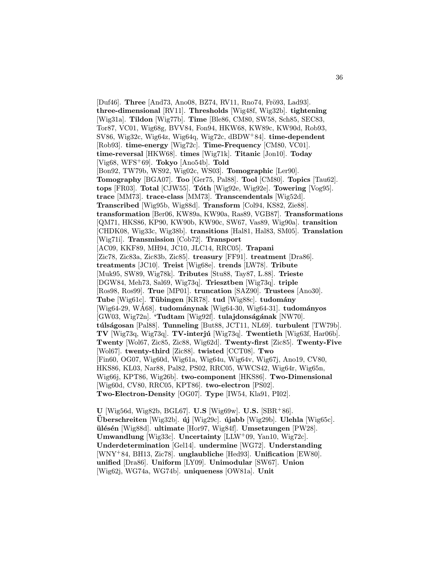[Duf46]. Three [And73, Ano08, BZ74, RV11, Rno74, Frö93, Lad93]. three-dimensional [RV11]. Thresholds [Wig48f, Wig32b]. tightening [Wig31a]. Tildon [Wig77b]. Time [Ble86, CM80, SW58, Sch85, SEC83, Tor87, VC01, Wig68g, BVV84, Fon94, HKW68, KW89c, KW90d, Rob93, SV86, Wig32c, Wig64z, Wig64q, Wig72c, dBDW<sup>+</sup>84]. time-dependent [Rob93]. time-energy [Wig72c]. Time-Frequency [CM80, VC01]. time-reversal [HKW68]. times [Wig71k]. Titanic [Jon10]. Today [Vig68, WFS<sup>+</sup>69]. **Tokyo** [Ano54b]. **Told** [Bon92, TW79b, WS92, Wig02c, WS03]. Tomographic [Ler90]. Tomography [BGA07]. Too [Ger75, Pal88]. Tool [CM80]. Topics [Tau62]. tops [FR03]. Total [CJW55]. Tóth [Wig92e, Wig92e]. Towering [Vog95]. trace [MM73]. trace-class [MM73]. Transcendentals [Wig52d]. Transcribed [Wig95b, Wig88d]. Transform [Col94, KS82, Zie88]. transformation [Ber06, KW89a, KW90a, Ras89, VGB87]. Transformations [QM71, HKS86, KP90, KW90b, KW90c, SW67, Vas89, Wig90a]. transition [CHDK08, Wig33c, Wig38b]. transitions [Hal81, Hal83, SM05]. Translation [Wig71i]. Transmission [Cob72]. Transport [AC09, KKF89, MH94, JC10, JLC14, RRC05]. Trapani [Zic78, Zic83a, Zic83b, Zic85]. treasury [FF91]. treatment [Dra86]. treatments [JC10]. Treist [Wig68e]. trends [LW78]. Tribute [Muk95, SW89, Wig78k]. Tributes [Stu88, Tay87, L.88]. Trieste [DGW84, Meh73, Sal69, Wig73q]. Triesztben [Wig73q]. triple [Ros98, Ros99]. True [MP01]. truncation [SAZ90]. Trustees [Ano30]. Tube [Wig61c]. Tübingen [KR78]. tud [Wig88c]. tudomány  $[Wig64-29, WAG8]$ . tudománynak  $[Wig64-30, Wig64-31]$ . tudományos  $[GW03, Wig72n]$ . 'Tudtam  $[Wig92f]$ . tulajdonságának  $[NW70]$ . túlságosan [Pal88]. Tunneling [But88, JCT11, NL69]. turbulent [TW79b]. TV [Wig73q, Wig73q]. TV-interjú [Wig73q]. Twentieth [Wig63f, Har06b]. Twenty [Wol67, Zic85, Zic88, Wig62d]. Twenty-first [Zic85]. Twenty-Five [Wol67]. twenty-third [Zic88]. twisted [CCT08]. Two [Fin60, OG07, Wig60d, Wig61a, Wig64u, Wig64v, Wig67j, Ano19, CV80, HKS86, KL03, Nar88, Pal82, PS02, RRC05, WWCS42, Wig64r, Wig65n, Wig66j, KPT86, Wig26b]. two-component [HKS86]. Two-Dimensional [Wig60d, CV80, RRC05, KPT86]. two-electron [PS02]. Two-Electron-Density [OG07]. Type [IW54, Kla91, PI02].

U [Wig56d, Wig82b, BGL67]. U.S [Wig69w]. U.S. [SBR<sup>+</sup>86].  $\text{Überschreiten}$  [Wig32b].  $\text{új}$  [Wig29c].  $\text{újabb}$  [Wig29b]. Ulehla [Wig65c]. ülésén [Wig88d]. ultimate [Hor97, Wig84f]. Umsetzungen [PW28]. Umwandlung [Wig33c]. Uncertainty [LLW<sup>+</sup>09, Yan10, Wig72c]. Underdetermination [Gel14]. undermine [WG72]. Understanding [WNY<sup>+</sup>84, BH13, Zic78]. unglaubliche [Hed93]. Unification [EW80]. unified [Dra86]. Uniform [LY09]. Unimodular [SW67]. Union [Wig62j, WG74a, WG74b]. uniqueness [OW81a]. Unit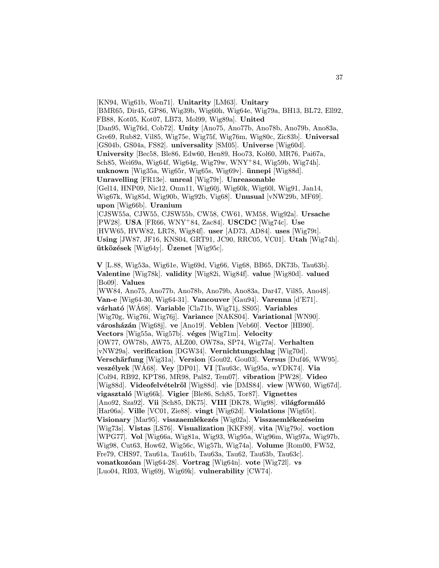[KN94, Wig61b, Won71]. Unitarity [LM63]. Unitary [BMR65, Dir45, GP86, Wig39b, Wig60h, Wig64e, Wig79a, BH13, BL72, Ell92, FB88, Kot05, Kot07, LB73, Mol99, Wig89a]. United [Dan95, Wig76d, Cob72]. Unity [Ano75, Ano77b, Ano78b, Ano79b, Ano83a, Gre69, Rub82, Vil85, Wig75e, Wig75f, Wig76m, Wig80c, Zic83b]. Universal [GS04b, GS04a, FS82]. universality [SM05]. Universe [Wig60d]. University [Bec58, Ble86, Edw60, Hen89, Hoo73, Kol60, MR76, Pai67a, Sch85, Wei69a, Wig64f, Wig64g, Wig79w, WNY<sup>+</sup>84, Wig59b, Wig74h]. unknown [Wig35a, Wig65r, Wig65s, Wig69v].  $\boldsymbol{\text{ünnepi}}$  [Wig88d]. Unravelling [FR13e]. unreal [Wig79r]. Unreasonable [Gel14, HNP09, Nic12, Omn11, Wig60j, Wig60k, Wig60l, Wig91, Jan14, Wig67k, Wig85d, Wig90b, Wig92b, Vig68]. Unusual [vNW29b, MF69]. upon [Wig66b]. Uranium [CJSW55a, CJW55, CJSW55b, CW58, CW61, WM58, Wig92a]. Ursache [PW28]. USA [FR66, WNY<sup>+</sup>84, Zac84]. USCDC [Wig74c]. Use [HVW65, HVW82, LR78, Wig84f]. user [AD73, AD84]. uses [Wig79t]. Using [JW87, JF16, KNS04, GRT91, JC90, RRC05, VC01]. Utah [Wig74h].  $\ddot{\textbf{u}}$  utközések [Wig64y].  $\ddot{\textbf{U}}$ zenet [Wig95c].

V [L.88, Wig53a, Wig61e, Wig69d, Vig66, Vig68, BB65, DK73b, Tau63b]. Valentine [Wig78k]. validity [Wig82i, Wig84f]. value [Wig80d]. valued [Bo09]. Values [WW84, Ano75, Ano77b, Ano78b, Ano79b, Ano83a, Dar47, Vil85, Ano48]. Van-e [Wig64-30, Wig64-31]. Vancouver [Gau94]. Varenna [d'E71]. várható [WÁ68]. Variable [Cla71b, Wig71j, SS05]. Variables [Wig70g, Wig76i, Wig76j]. Variance [NAKS04]. Variational [WN90]. városházán [Wig68j]. ve [Ano19]. Veblen [Veb60]. Vector [HB90]. Vectors [Wig55a, Wig57b]. véges [Wig71m]. Velocity [OW77, OW78b, AW75, ALZ00, OW78a, SP74, Wig77a]. Verhalten [vNW29a]. verification [DGW34]. Vernichtungschlag [Wig70d]. Verschärfung [Wig31a]. Version [Gou02, Gou03]. Versus [Duf46, WW95]. veszélyek [WÁ68]. Vey [DP01]. VI [Tau63c, Wig95a, wYDK74]. Via [Col94, RB92, KPT86, MR98, Pal82, Tem07]. vibration [PW28]. Video [Wig88d]. Videofelvételröl [Wig88d]. vie [DMS84]. view [WW60, Wig67d]. vigasztaló [Wig66k]. Vigier [Ble86, Sch85, Tor87]. Vignettes [Ano92, Sza92]. Vii [Sch85, DK75]. VIII [DK78, Wig98]. világformáló [Har06a]. Ville [VC01, Zie88]. vingt [Wig62d]. Violations [Wig65t]. Visionary [Mar95]. visszaemlékezés [Wig02a]. Visszaemlékezéseim [Wig73s]. Vistas [LS76]. Visualization [KKF89]. vita [Wig79o]. voction [WPG77]. Vol [Wig66a, Wig81a, Wig93, Wig95a, Wig96m, Wig97a, Wig97b, Wig98, Cut63, How62, Wig56c, Wig57h, Wig74a]. Volume [Rom00, FW52, Fre79, CHS97, Tau61a, Tau61b, Tau63a, Tau62, Tau63b, Tau63c]. vonatkozóan [Wig64-28]. Vortrag [Wig64n]. vote [Wig72l]. vs [Luo04, RI03, Wig69j, Wig69k]. vulnerability [CW74].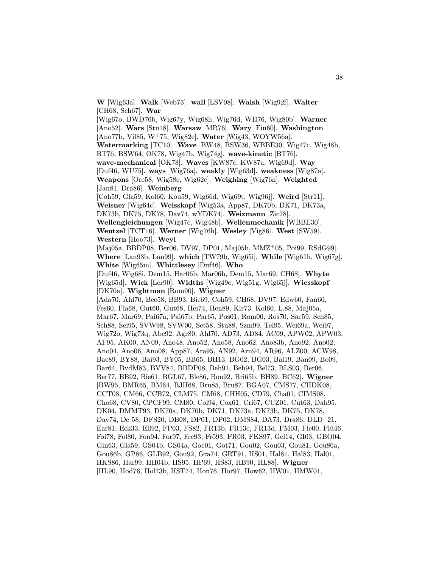W [Wig63a]. Walk [Web73]. wall [LSV08]. Walsh [Wig92f]. Walter [CH68, Sch67]. War

 $[Wig670, BWD76b, Wig67y, Wig68h, Wig76d, WH76, Wig80b]$ . Warner [Ano52]. Wars [Stu18]. Warsaw [MR76]. Wary [Fin60]. Washington  $[Ano77b, Vil85, W<sup>+</sup>75, Wig82e]$ . Water  $[Wig43, WOYW56a]$ . Watermarking [TC10]. Wave [BW48, BSW36, WBBE30, Wig47c, Wig48b, BT76, BSW64, OK78, Wig47b, Wig74g]. wave-kinetic [BT76]. wave-mechanical [OK78]. Waves [KW87c, KW87a, Wig69d]. Way [Duf46, WU75]. ways [Wig76a]. weakly [Wig63d]. weakness [Wig87a]. Weapons [Ore58, Wig58e, Wig62c]. Weighing [Wig76n]. Weighted [Jan81, Dra86]. Weinberg [Coh59, Gla59, Kol60, Kou59, Wig66d, Wig69t, Wig96j]. Weird [Str11]. Weisner [Wig64c]. Weisskopf [Wig53a, App87, DK70b, DK71, DK73a, DK73b, DK75, DK78, Dav74, wYDK74]. Weizmann [Zic78]. Wellengleichungen [Wig47c, Wig48b]. Wellenmechanik [WBBE30]. Wentzel [TCT16]. Werner [Wig76h]. Wesley [Vig86]. West [SW59]. Western [Hoo73]. Weyl [Maj05a, BBDP08, Ber06, DV97, DP01, Maj05b, MMZ<sup>+</sup>05, Poi99, RSdG99]. Where [Lan93b, Lan99]. which [TW79b, Wig65i]. While [Wig61h, Wig67g]. White [Wig65m]. Whittlesey [Duf46]. Who [Duf46, Wig68i, Dem15, Har06b, Mar06b, Dem15, Mar69, CH68]. Whyte [Wig65d]. Wick [Ler90]. Widths [Wig49c, Wig51g, Wig65j]. Wiesskopf [DK70a]. Wightman [Rom00]. Wigner [Ada70, Ahl70, Bec58, BB93, Bie69, Coh59, CH68, DV97, Edw60, Fan60, Fes60, Fla68, Gut60, Gut68, Hei74, Hen89, Kir73, Kol60, L.88, Maj05a, Mar67, Mar69, Pai67a, Pai67b, Par65, Pos01, Rom00, Ros70, Sac59, Sch85, Sch88, Sei95, SVW98, SVW00, Set58, Stu88, Szm99, Tel95, Wei69a, Wei97, Wig72o, Wig73q, Abe92, Agr80, Ahl70, AD73, AD84, AC09, APW02, APW03, AF95, AK00, AN09, Ano48, Ano52, Ano58, Ano62, Ano83b, Ano92, Ano02, Ano04, Ano06, Ano08, App87, Ara95, AN92, Arn94, AR96, ALZ00, ACW98, Bac89, BY88, Bai93, BY05, BB65, BH13, BG02, BG03, Bal19, Ban09, Bo09, Bar64, BvdM83, BVV84, BBDP08, Beh91, Beh94, Bel73, BLS03, Ber06, Ber77, BB92, Bie61, BGL67, Ble86, Bon92, Bri65b, BH89, BC62]. Wigner [BW95, BMR65, BM64, BJH68, Bru85, Bru87, BGA07, CMS77, CHDK08, CCT08, CM66, CCB72, CLM75, CM68, CHH05, CD79, Cha01, CIMS08, Cho68, CV80, CPCF99, CM80, Col94, Cox61, Cri67, CUZ01, Cut63, Dah95, DK04, DMMT93, DK70a, DK70b, DK71, DK73a, DK73b, DK75, DK78, Dav74, De 58, DFS20, DB08, DP01, DP02, DMS84, DA73, Dra86, DLD<sup>+</sup>21, Ear81, Eck33, Ell92, FP03, FS82, FR13b, FR13c, FR13d, FM03, Fle00, Flü46, Fol78, Fol80, Fon94, For97, Fre93, Frö93, FR03, FKS97, Gel14, GI03, GBO04, Gin63, Gla59, GS04b, GS04a, Goe01, Got71, Gou02, Gou03, Gou81, Gou86a, Gou86b, GP86, GLB92, Gou92, Gra74, GRT91, HS01, Hal81, Hal83, Hal01, HKS86, Har99, HH04b, HS95, HP69, HS83, HB90, HL88]. Wigner [HL90, Hod76, Hol73b, HST74, Hon76, Hor97, How62, HW01, HMW01,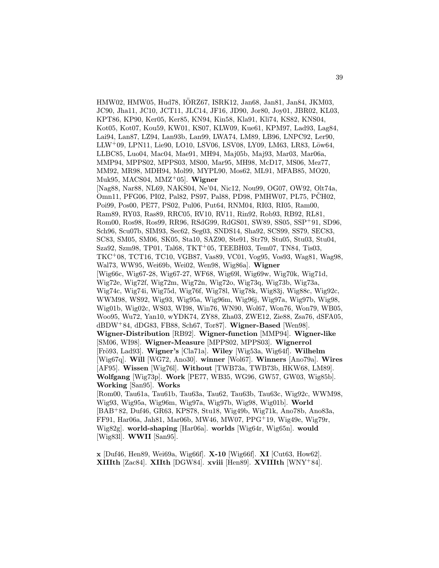HMW02, HMW05, Hud78, IORZ67, ISRK12, Jan68, Jan81, Jan84, JKM03, ¨ JC90, Jha11, JC10, JCT11, JLC14, JF16, JD90, Jor80, Joy01, JBR02, KL03, KPT86, KP90, Ker05, Ker85, KN94, Kin58, Kla91, Kli74, KS82, KNS04, Kot05, Kot07, Kou59, KW01, KS07, KLW09, Kue61, KPM97, Lad93, Lag84, Lai94, Lan87, LZ94, Lan93b, Lan99, LWA74, LM89, LB96, LNPC92, Ler90, LLW<sup>+</sup>09, LPN11, Lie90, LO10, LSV06, LSV08, LY09, LM63, LR83, Löw64, LLBC85, Luo04, Mac04, Mae91, MH94, Maj05b, Maj93, Mar03, Mar06a, MMP94, MPPS02, MPPS03, MS00, Mar95, MH98, McD17, MS06, Mez77, MM92, MR98, MDH94, Mol99, MYPL90, Mos62, ML91, MFAB85, MO20, Muk95, MACS04, MMZ<sup>+</sup>05]. Wigner [Nag88, Nar88, NL69, NAKS04, Ne'04, Nic12, Nou99, OG07, OW92, Olt74a, Omn11, PFG06, PI02, Pal82, PS97, Pal88, PD98, PMHW07, PL75, PCH02, Poi99, Pos00, PE77, PS02, Pul06, Put64, RNM04, RI03, RI05, Ram00, Ram89, RY03, Ras89, RRC05, RV10, RV11, Rin92, Rob93, RB92, RL81, Rom00, Ros98, Ros99, RR96, RSdG99, RdGS01, SW89, SS05, SSP<sup>+</sup>91, SD96, Sch96, Scu07b, SIM93, Sec62, Seg03, SNDS14, Sha92, SCS99, SS79, SEC83, SC83, SM05, SM06, SK05, Sta10, SAZ90, Ste91, Str79, Stu05, Stu03, Stu04, Sza92, Szm98, TP01, Tal68, TKT<sup>+</sup>05, TEEBH03, Tem07, TN84, Tis03, TKC<sup>+</sup>08, TCT16, TC10, VGB87, Vas89, VC01, Vog95, Vos93, Wag81, Wag98, Wal73, WW95, Wei69b, Wei02, Wen98, Wig86a]. Wigner [Wig66c, Wig67-28, Wig67-27, WF68, Wig69l, Wig69w, Wig70k, Wig71d, Wig72e, Wig72f, Wig72m, Wig72n, Wig72o, Wig73q, Wig73b, Wig73a, Wig74c, Wig74i, Wig75d, Wig76f, Wig78l, Wig78k, Wig83j, Wig88c, Wig92c, WWM98, WS92, Wig93, Wig95a, Wig96m, Wig96j, Wig97a, Wig97b, Wig98, Wig01b, Wig02c, WS03, WI98, Win76, WN90, Wol67, Won76, Won79, WB05, Woo95, Wu72, Yan10, wYDK74, ZY88, Zha03, ZWE12, Zie88, Zsa76, dSFA05,  $dBDW+84$ ,  $dDG83$ , FB88, Sch67, Tor87. Wigner-Based [Wen98]. Wigner-Distribution [RB92]. Wigner-function [MMP94]. Wigner-like [SM06, WI98]. Wigner-Measure [MPPS02, MPPS03]. Wignerrol [Frö93, Lad93]. Wigner's [Cla71a]. Wiley [Wig53a, Wig64f]. Wilhelm [Wig67q]. Will [WG72, Ano30]. winner [Wol67]. Winners [Ano79a]. Wires [AF95]. Wissen [Wig76l]. Without [TWB73a, TWB73b, HKW68, LM89]. Wolfgang [Wig73p]. Work [PE77, WB35, WG96, GW57, GW03, Wig85b]. Working [San95]. Works [Rom00, Tau61a, Tau61b, Tau63a, Tau62, Tau63b, Tau63c, Wig92c, WWM98, Wig93, Wig95a, Wig96m, Wig97a, Wig97b, Wig98, Wig01b]. World [BAB<sup>+</sup>82, Duf46, GR63, KPS78, Stu18, Wig49b, Wig71k, Ano78b, Ano83a, FF91, Har06a, Jah81, Mar06b, MW46, MW07, PPG<sup>+</sup>19, Wig49e, Wig79r, Wig82g]. world-shaping [Har06a]. worlds [Wig64r, Wig65n]. would [Wig83l]. WWII [San95].

x [Duf46, Hen89, Wei69a, Wig66f]. X-10 [Wig66f]. XI [Cut63, How62]. XIIIth [Zac84]. XIIth [DGW84]. xviii [Hen89]. XVIIIth [WNY<sup>+</sup>84].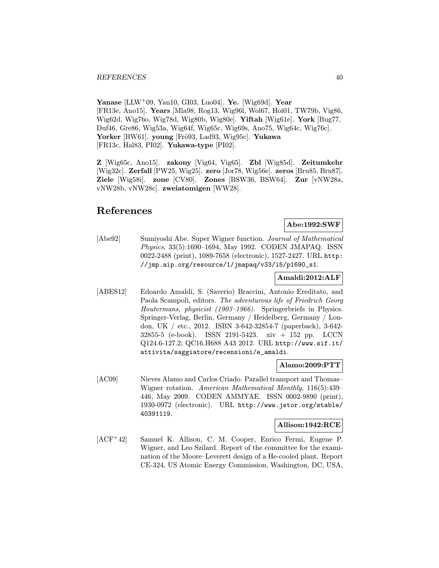Yanase  $[LLW^+09, \text{Yan10}, \text{GI03}, \text{Lu04}]$ . Ye.  $[\text{Wig69d}]$ . Year [FR13e, Ano15]. Years [Mla98, Rog13, Wig96l, Wol67, Hoi01, TW79b, Vig86, Wig62d, Wig76o, Wig78d, Wig80b, Wig80e]. Yiftah [Wig61e]. York [Bug77, Duf46, Gre86, Wig53a, Wig64f, Wig65c, Wig69s, Ano75, Wig64c, Wig76c]. Yorker [BW61]. young [Frö93, Lad93, Wig95c]. Yukawa [FR13c, Hal83, PI02]. Yukawa-type [PI02].

Z [Wig65c, Ano15]. zakony [Vig64, Vig65]. Zbl [Wig85d]. Zeitumkehr [Wig32c]. Zerfall [PW25, Wig25]. zero [Jor78, Wig56e]. zeros [Bru85, Bru87]. Ziele [Wig58i]. zone [CV80]. Zones [BSW36, BSW64]. Zur [vNW28a, vNW28b, vNW28c]. zweiatomigen [WW28].

# References

## Abe:1992:SWF

[Abe92] Sumiyoshi Abe. Super Wigner function. Journal of Mathematical Physics, 33(5):1690–1694, May 1992. CODEN JMAPAQ. ISSN 0022-2488 (print), 1089-7658 (electronic), 1527-2427. URL http: //jmp.aip.org/resource/1/jmapaq/v33/i5/p1690\_s1.

## Amaldi:2012:ALF

[ABES12] Edoardo Amaldi, S. (Saverio) Braccini, Antonio Ereditato, and Paola Scampoli, editors. The adventurous life of Friedrich Georg Houtermans, physicist (1903–1966). Springerbriefs in Physics. Springer-Verlag, Berlin, Germany / Heidelberg, Germany / London, UK / etc., 2012. ISBN 3-642-32854-7 (paperback), 3-642- 32855-5 (e-book). ISSN 2191-5423. xiv + 152 pp. LCCN Q124.6-127.2; QC16.H688 A43 2012. URL http://www.sif.it/ attivita/saggiatore/recensioni/e\_amaldi.

## Alamo:2009:PTT

[AC09] Nieves Alamo and Carlos Criado. Parallel transport and Thomas– Wigner rotation. American Mathematical Monthly, 116(5):439– 446, May 2009. CODEN AMMYAE. ISSN 0002-9890 (print), 1930-0972 (electronic). URL http://www.jstor.org/stable/ 40391119.

## Allison:1942:RCE

[ACF<sup>+</sup>42] Samuel K. Allison, C. M. Cooper, Enrico Fermi, Eugene P. Wigner, and Leo Szilard. Report of the committee for the examination of the Moore–Leverett design of a He-cooled plant. Report CE-324, US Atomic Energy Commission, Washington, DC, USA,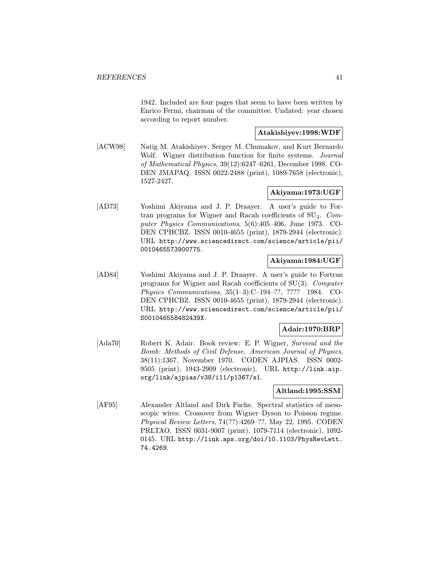1942. Included are four pages that seem to have been written by Enrico Fermi, chairman of the committee. Undated: year chosen according to report number.

## Atakishiyev:1998:WDF

[ACW98] Natig M. Atakishiyev, Sergey M. Chumakov, and Kurt Bernardo Wolf. Wigner distribution function for finite systems. *Journal* of Mathematical Physics, 39(12):6247–6261, December 1998. CO-DEN JMAPAQ. ISSN 0022-2488 (print), 1089-7658 (electronic), 1527-2427.

## Akiyama:1973:UGF

[AD73] Yoshimi Akiyama and J. P. Draayer. A user's guide to Fortran programs for Wigner and Racah coefficients of SU3. Computer Physics Communications, 5(6):405–406, June 1973. CO-DEN CPHCBZ. ISSN 0010-4655 (print), 1879-2944 (electronic). URL http://www.sciencedirect.com/science/article/pii/ 0010465573900775.

## Akiyama:1984:UGF

[AD84] Yoshimi Akiyama and J. P. Draayer. A user's guide to Fortran programs for Wigner and Racah coefficients of SU(3). Computer Physics Communications, 35(1–3):C–194–??, ???? 1984. CO-DEN CPHCBZ. ISSN 0010-4655 (print), 1879-2944 (electronic). URL http://www.sciencedirect.com/science/article/pii/ S001046558482439X.

## Adair:1970:BRP

[Ada70] Robert K. Adair. Book review: E. P. Wigner, Survival and the Bomb: Methods of Civil Defense. American Journal of Physics, 38(11):1367, November 1970. CODEN AJPIAS. ISSN 0002- 9505 (print), 1943-2909 (electronic). URL http://link.aip. org/link/ajpias/v38/i11/p1367/s1.

## Altland:1995:SSM

[AF95] Alexander Altland and Dirk Fuchs. Spectral statistics of mesoscopic wires: Crossover from Wigner–Dyson to Poisson regime. Physical Review Letters, 74(??):4269–??, May 22, 1995. CODEN PRLTAO. ISSN 0031-9007 (print), 1079-7114 (electronic), 1092- 0145. URL http://link.aps.org/doi/10.1103/PhysRevLett. 74.4269.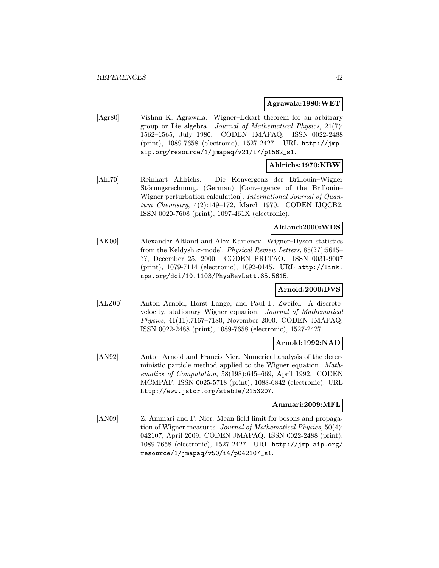#### Agrawala:1980:WET

[Agr80] Vishnu K. Agrawala. Wigner–Eckart theorem for an arbitrary group or Lie algebra. Journal of Mathematical Physics, 21(7): 1562–1565, July 1980. CODEN JMAPAQ. ISSN 0022-2488 (print), 1089-7658 (electronic), 1527-2427. URL http://jmp. aip.org/resource/1/jmapaq/v21/i7/p1562\_s1.

## Ahlrichs:1970:KBW

[Ahl70] Reinhart Ahlrichs. Die Konvergenz der Brillouin–Wigner Störungsrechnung. (German) [Convergence of the Brillouin– Wigner perturbation calculation]. International Journal of Quantum Chemistry, 4(2):149–172, March 1970. CODEN IJQCB2. ISSN 0020-7608 (print), 1097-461X (electronic).

## Altland:2000:WDS

[AK00] Alexander Altland and Alex Kamenev. Wigner–Dyson statistics from the Keldysh  $\sigma$ -model. Physical Review Letters, 85(??):5615-??, December 25, 2000. CODEN PRLTAO. ISSN 0031-9007 (print), 1079-7114 (electronic), 1092-0145. URL http://link. aps.org/doi/10.1103/PhysRevLett.85.5615.

## Arnold:2000:DVS

[ALZ00] Anton Arnold, Horst Lange, and Paul F. Zweifel. A discretevelocity, stationary Wigner equation. Journal of Mathematical Physics, 41(11):7167–7180, November 2000. CODEN JMAPAQ. ISSN 0022-2488 (print), 1089-7658 (electronic), 1527-2427.

#### Arnold:1992:NAD

[AN92] Anton Arnold and Francis Nier. Numerical analysis of the deterministic particle method applied to the Wigner equation. Mathematics of Computation, 58(198):645–669, April 1992. CODEN MCMPAF. ISSN 0025-5718 (print), 1088-6842 (electronic). URL http://www.jstor.org/stable/2153207.

#### Ammari:2009:MFL

[AN09] Z. Ammari and F. Nier. Mean field limit for bosons and propagation of Wigner measures. Journal of Mathematical Physics, 50(4): 042107, April 2009. CODEN JMAPAQ. ISSN 0022-2488 (print), 1089-7658 (electronic), 1527-2427. URL http://jmp.aip.org/ resource/1/jmapaq/v50/i4/p042107\_s1.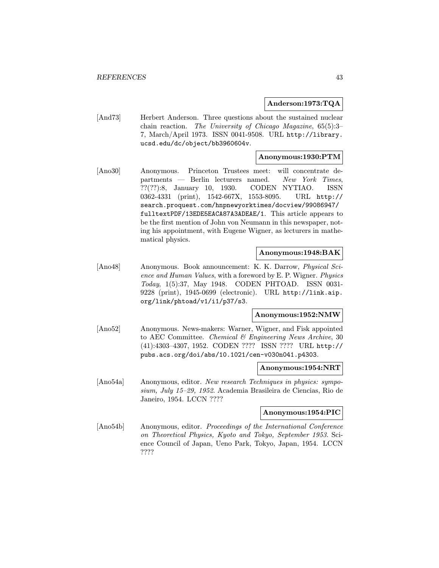#### Anderson:1973:TQA

[And73] Herbert Anderson. Three questions about the sustained nuclear chain reaction. The University of Chicago Magazine, 65(5):3– 7, March/April 1973. ISSN 0041-9508. URL http://library. ucsd.edu/dc/object/bb3960604v.

### Anonymous:1930:PTM

[Ano30] Anonymous. Princeton Trustees meet: will concentrate departments — Berlin lecturers named. New York Times, ??(??):8, January 10, 1930. CODEN NYTIAO. ISSN 0362-4331 (print), 1542-667X, 1553-8095. URL http:// search.proquest.com/hnpnewyorktimes/docview/99086947/ fulltextPDF/13EDE5EACA87A3ADEAE/1. This article appears to be the first mention of John von Neumann in this newspaper, noting his appointment, with Eugene Wigner, as lecturers in mathematical physics.

### Anonymous:1948:BAK

[Ano48] Anonymous. Book announcement: K. K. Darrow, Physical Science and Human Values, with a foreword by E. P. Wigner. Physics Today, 1(5):37, May 1948. CODEN PHTOAD. ISSN 0031- 9228 (print), 1945-0699 (electronic). URL http://link.aip. org/link/phtoad/v1/i1/p37/s3.

#### Anonymous:1952:NMW

[Ano52] Anonymous. News-makers: Warner, Wigner, and Fisk appointed to AEC Committee. Chemical & Engineering News Archive, 30 (41):4303–4307, 1952. CODEN ???? ISSN ???? URL http:// pubs.acs.org/doi/abs/10.1021/cen-v030n041.p4303.

#### Anonymous:1954:NRT

[Ano54a] Anonymous, editor. New research Techniques in physics: symposium, July 15–29, 1952. Academia Brasileira de Ciencias, Rio de Janeiro, 1954. LCCN ????

## Anonymous:1954:PIC

[Ano54b] Anonymous, editor. Proceedings of the International Conference on Theoretical Physics, Kyoto and Tokyo, September 1953. Science Council of Japan, Ueno Park, Tokyo, Japan, 1954. LCCN ????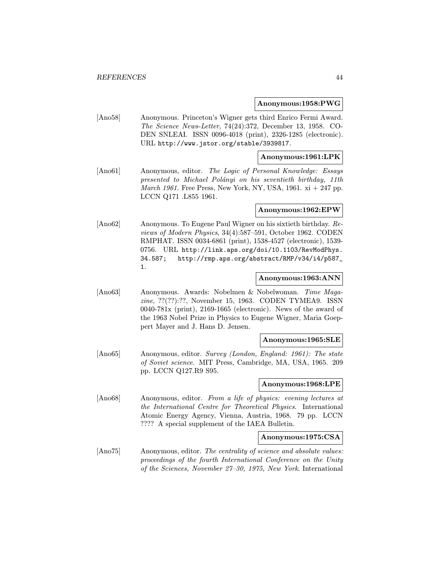#### Anonymous:1958:PWG

[Ano58] Anonymous. Princeton's Wigner gets third Enrico Fermi Award. The Science News-Letter, 74(24):372, December 13, 1958. CO-DEN SNLEAI. ISSN 0096-4018 (print), 2326-1285 (electronic). URL http://www.jstor.org/stable/3939817.

### Anonymous:1961:LPK

[Ano61] Anonymous, editor. The Logic of Personal Knowledge: Essays presented to Michael Polányi on his seventieth birthday, 11th March 1961. Free Press, New York, NY, USA, 1961.  $xi + 247$  pp. LCCN Q171 .L855 1961.

#### Anonymous:1962:EPW

[Ano62] Anonymous. To Eugene Paul Wigner on his sixtieth birthday. Reviews of Modern Physics, 34(4):587–591, October 1962. CODEN RMPHAT. ISSN 0034-6861 (print), 1538-4527 (electronic), 1539- 0756. URL http://link.aps.org/doi/10.1103/RevModPhys. 34.587; http://rmp.aps.org/abstract/RMP/v34/i4/p587\_ 1.

#### Anonymous:1963:ANN

[Ano63] Anonymous. Awards: Nobelmen & Nobelwoman. Time Magazine, ??(??):??, November 15, 1963. CODEN TYMEA9. ISSN 0040-781x (print), 2169-1665 (electronic). News of the award of the 1963 Nobel Prize in Physics to Eugene Wigner, Maria Goeppert Mayer and J. Hans D. Jensen.

#### Anonymous:1965:SLE

[Ano65] Anonymous, editor. Survey (London, England: 1961): The state of Soviet science. MIT Press, Cambridge, MA, USA, 1965. 209 pp. LCCN Q127.R9 S95.

#### Anonymous:1968:LPE

[Ano68] Anonymous, editor. From a life of physics: evening lectures at the International Centre for Theoretical Physics. International Atomic Energy Agency, Vienna, Austria, 1968. 79 pp. LCCN ???? A special supplement of the IAEA Bulletin.

#### Anonymous:1975:CSA

[Ano75] Anonymous, editor. The centrality of science and absolute values: proceedings of the fourth International Conference on the Unity of the Sciences, November 27–30, 1975, New York. International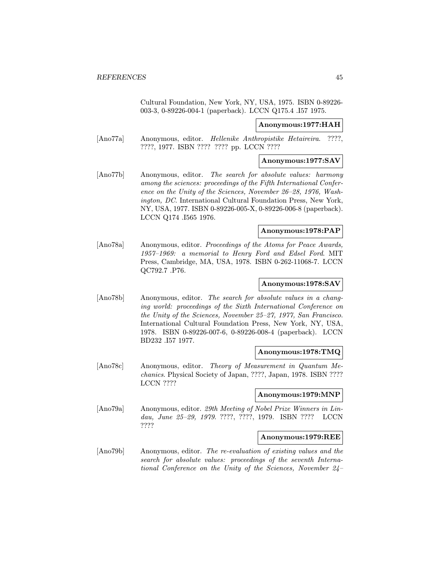Cultural Foundation, New York, NY, USA, 1975. ISBN 0-89226- 003-3, 0-89226-004-1 (paperback). LCCN Q175.4 .I57 1975.

#### Anonymous:1977:HAH

[Ano77a] Anonymous, editor. Hellenike Anthropistike Hetaireira. ????, ????, 1977. ISBN ???? ???? pp. LCCN ????

#### Anonymous:1977:SAV

[Ano77b] Anonymous, editor. The search for absolute values: harmony among the sciences: proceedings of the Fifth International Conference on the Unity of the Sciences, November 26–28, 1976, Washington, DC. International Cultural Foundation Press, New York, NY, USA, 1977. ISBN 0-89226-005-X, 0-89226-006-8 (paperback). LCCN Q174 .I565 1976.

#### Anonymous:1978:PAP

[Ano78a] Anonymous, editor. Proceedings of the Atoms for Peace Awards, 1957–1969: a memorial to Henry Ford and Edsel Ford. MIT Press, Cambridge, MA, USA, 1978. ISBN 0-262-11068-7. LCCN QC792.7 .P76.

## Anonymous:1978:SAV

[Ano78b] Anonymous, editor. The search for absolute values in a changing world: proceedings of the Sixth International Conference on the Unity of the Sciences, November 25–27, 1977, San Francisco. International Cultural Foundation Press, New York, NY, USA, 1978. ISBN 0-89226-007-6, 0-89226-008-4 (paperback). LCCN BD232 .I57 1977.

#### Anonymous:1978:TMQ

[Ano78c] Anonymous, editor. Theory of Measurement in Quantum Mechanics. Physical Society of Japan, ????, Japan, 1978. ISBN ???? LCCN ????

#### Anonymous:1979:MNP

[Ano79a] Anonymous, editor. 29th Meeting of Nobel Prize Winners in Lindau, June 25–29, 1979. ????, ????, 1979. ISBN ???? LCCN ????

### Anonymous:1979:REE

[Ano79b] Anonymous, editor. The re-evaluation of existing values and the search for absolute values: proceedings of the seventh International Conference on the Unity of the Sciences, November 24–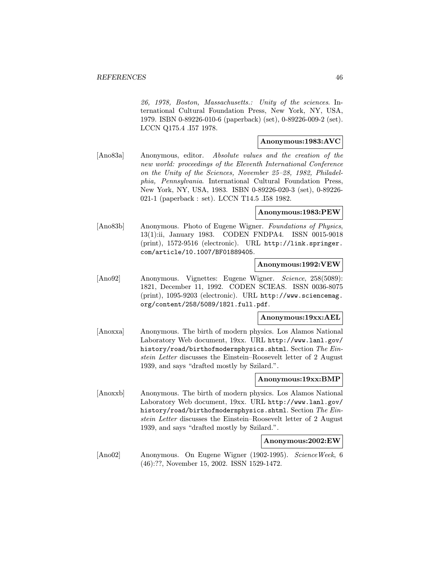26, 1978, Boston, Massachusetts.: Unity of the sciences. International Cultural Foundation Press, New York, NY, USA, 1979. ISBN 0-89226-010-6 (paperback) (set), 0-89226-009-2 (set). LCCN Q175.4 .I57 1978.

## Anonymous:1983:AVC

[Ano83a] Anonymous, editor. Absolute values and the creation of the new world: proceedings of the Eleventh International Conference on the Unity of the Sciences, November 25–28, 1982, Philadelphia, Pennsylvania. International Cultural Foundation Press, New York, NY, USA, 1983. ISBN 0-89226-020-3 (set), 0-89226- 021-1 (paperback : set). LCCN T14.5 .I58 1982.

#### Anonymous:1983:PEW

[Ano83b] Anonymous. Photo of Eugene Wigner. Foundations of Physics, 13(1):ii, January 1983. CODEN FNDPA4. ISSN 0015-9018 (print), 1572-9516 (electronic). URL http://link.springer. com/article/10.1007/BF01889405.

### Anonymous:1992:VEW

[Ano92] Anonymous. Vignettes: Eugene Wigner. Science, 258(5089): 1821, December 11, 1992. CODEN SCIEAS. ISSN 0036-8075 (print), 1095-9203 (electronic). URL http://www.sciencemag. org/content/258/5089/1821.full.pdf.

Anonymous:19xx:AEL

[Anoxxa] Anonymous. The birth of modern physics. Los Alamos National Laboratory Web document, 19xx. URL http://www.lanl.gov/ history/road/birthofmodernphysics.shtml. Section The Einstein Letter discusses the Einstein–Roosevelt letter of 2 August 1939, and says "drafted mostly by Szilard.".

### Anonymous:19xx:BMP

[Anoxxb] Anonymous. The birth of modern physics. Los Alamos National Laboratory Web document, 19xx. URL http://www.lanl.gov/ history/road/birthofmodernphysics.shtml. Section The Einstein Letter discusses the Einstein–Roosevelt letter of 2 August 1939, and says "drafted mostly by Szilard.".

#### Anonymous:2002:EW

[Ano02] Anonymous. On Eugene Wigner (1902-1995). ScienceWeek, 6 (46):??, November 15, 2002. ISSN 1529-1472.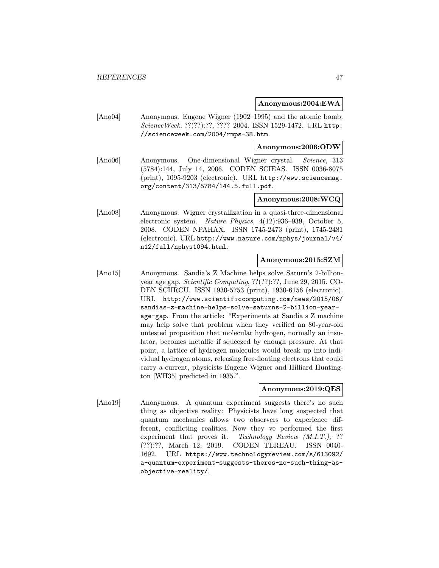#### Anonymous:2004:EWA

[Ano04] Anonymous. Eugene Wigner (1902–1995) and the atomic bomb. ScienceWeek, ??(??):??, ???? 2004. ISSN 1529-1472. URL http: //scienceweek.com/2004/rmps-38.htm.

#### Anonymous:2006:ODW

[Ano06] Anonymous. One-dimensional Wigner crystal. Science, 313 (5784):144, July 14, 2006. CODEN SCIEAS. ISSN 0036-8075 (print), 1095-9203 (electronic). URL http://www.sciencemag. org/content/313/5784/144.5.full.pdf.

### Anonymous:2008:WCQ

[Ano08] Anonymous. Wigner crystallization in a quasi-three-dimensional electronic system. Nature Physics, 4(12):936–939, October 5, 2008. CODEN NPAHAX. ISSN 1745-2473 (print), 1745-2481 (electronic). URL http://www.nature.com/nphys/journal/v4/ n12/full/nphys1094.html.

### Anonymous:2015:SZM

[Ano15] Anonymous. Sandia's Z Machine helps solve Saturn's 2-billionyear age gap. Scientific Computing, ??(??):??, June 29, 2015. CO-DEN SCHRCU. ISSN 1930-5753 (print), 1930-6156 (electronic). URL http://www.scientificcomputing.com/news/2015/06/ sandias-z-machine-helps-solve-saturns-2-billion-yearage-gap. From the article: "Experiments at Sandia s Z machine may help solve that problem when they verified an 80-year-old untested proposition that molecular hydrogen, normally an insulator, becomes metallic if squeezed by enough pressure. At that point, a lattice of hydrogen molecules would break up into individual hydrogen atoms, releasing free-floating electrons that could carry a current, physicists Eugene Wigner and Hilliard Huntington [WH35] predicted in 1935.".

### Anonymous:2019:QES

[Ano19] Anonymous. A quantum experiment suggests there's no such thing as objective reality: Physicists have long suspected that quantum mechanics allows two observers to experience different, conflicting realities. Now they ve performed the first experiment that proves it. Technology Review  $(M.I.T.)$ , ?? (??):??, March 12, 2019. CODEN TEREAU. ISSN 0040- 1692. URL https://www.technologyreview.com/s/613092/ a-quantum-experiment-suggests-theres-no-such-thing-asobjective-reality/.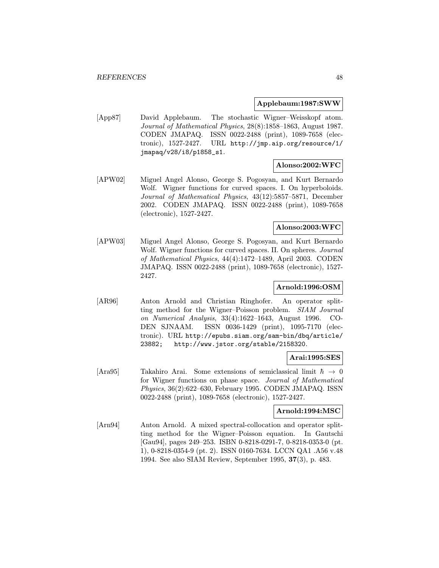#### Applebaum:1987:SWW

[App87] David Applebaum. The stochastic Wigner–Weisskopf atom. Journal of Mathematical Physics, 28(8):1858–1863, August 1987. CODEN JMAPAQ. ISSN 0022-2488 (print), 1089-7658 (electronic), 1527-2427. URL http://jmp.aip.org/resource/1/ jmapaq/v28/i8/p1858\_s1.

### Alonso:2002:WFC

[APW02] Miguel Angel Alonso, George S. Pogosyan, and Kurt Bernardo Wolf. Wigner functions for curved spaces. I. On hyperboloids. Journal of Mathematical Physics, 43(12):5857–5871, December 2002. CODEN JMAPAQ. ISSN 0022-2488 (print), 1089-7658 (electronic), 1527-2427.

## Alonso:2003:WFC

[APW03] Miguel Angel Alonso, George S. Pogosyan, and Kurt Bernardo Wolf. Wigner functions for curved spaces. II. On spheres. Journal of Mathematical Physics, 44(4):1472–1489, April 2003. CODEN JMAPAQ. ISSN 0022-2488 (print), 1089-7658 (electronic), 1527- 2427.

### Arnold:1996:OSM

[AR96] Anton Arnold and Christian Ringhofer. An operator splitting method for the Wigner–Poisson problem. SIAM Journal on Numerical Analysis, 33(4):1622–1643, August 1996. CO-DEN SJNAAM. ISSN 0036-1429 (print), 1095-7170 (electronic). URL http://epubs.siam.org/sam-bin/dbq/article/ 23882; http://www.jstor.org/stable/2158320.

#### Arai:1995:SES

[Ara95] Takahiro Arai. Some extensions of semiclassical limit  $\hbar \rightarrow 0$ for Wigner functions on phase space. Journal of Mathematical Physics, 36(2):622–630, February 1995. CODEN JMAPAQ. ISSN 0022-2488 (print), 1089-7658 (electronic), 1527-2427.

#### Arnold:1994:MSC

[Arn94] Anton Arnold. A mixed spectral-collocation and operator splitting method for the Wigner–Poisson equation. In Gautschi [Gau94], pages 249–253. ISBN 0-8218-0291-7, 0-8218-0353-0 (pt. 1), 0-8218-0354-9 (pt. 2). ISSN 0160-7634. LCCN QA1 .A56 v.48 1994. See also SIAM Review, September 1995, 37(3), p. 483.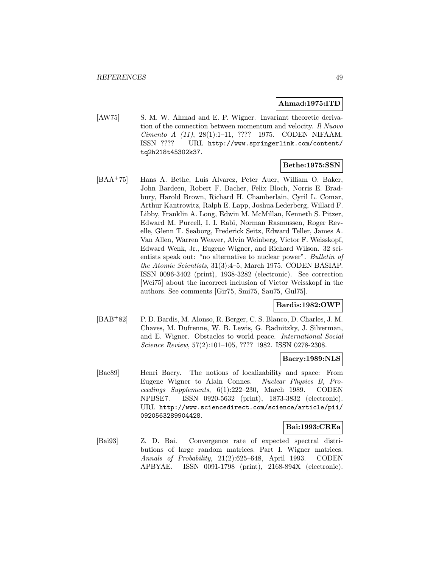#### Ahmad:1975:ITD

[AW75] S. M. W. Ahmad and E. P. Wigner. Invariant theoretic derivation of the connection between momentum and velocity. Il Nuovo Cimento A (11), 28(1):1–11, ???? 1975. CODEN NIFAAM. ISSN ???? URL http://www.springerlink.com/content/ tq2h218t45302k37.

## Bethe:1975:SSN

[BAA<sup>+</sup>75] Hans A. Bethe, Luis Alvarez, Peter Auer, William O. Baker, John Bardeen, Robert F. Bacher, Felix Bloch, Norris E. Bradbury, Harold Brown, Richard H. Chamberlain, Cyril L. Comar, Arthur Kantrowitz, Ralph E. Lapp, Joshua Lederberg, Willard F. Libby, Franklin A. Long, Edwin M. McMillan, Kenneth S. Pitzer, Edward M. Purcell, I. I. Rabi, Norman Rasmussen, Roger Revelle, Glenn T. Seaborg, Frederick Seitz, Edward Teller, James A. Van Allen, Warren Weaver, Alvin Weinberg, Victor F. Weisskopf, Edward Wenk, Jr., Eugene Wigner, and Richard Wilson. 32 scientists speak out: "no alternative to nuclear power". Bulletin of the Atomic Scientists, 31(3):4–5, March 1975. CODEN BASIAP. ISSN 0096-3402 (print), 1938-3282 (electronic). See correction [Wei75] about the incorrect inclusion of Victor Weisskopf in the authors. See comments [Gir75, Smi75, Sau75, Gul75].

#### Bardis:1982:OWP

[BAB<sup>+</sup>82] P. D. Bardis, M. Alonso, R. Berger, C. S. Blanco, D. Charles, J. M. Chaves, M. Dufrenne, W. B. Lewis, G. Radnitzky, J. Silverman, and E. Wigner. Obstacles to world peace. International Social Science Review, 57(2):101–105, ???? 1982. ISSN 0278-2308.

### Bacry:1989:NLS

[Bac89] Henri Bacry. The notions of localizability and space: From Eugene Wigner to Alain Connes. Nuclear Physics B, Proceedings Supplements, 6(1):222–230, March 1989. CODEN NPBSE7. ISSN 0920-5632 (print), 1873-3832 (electronic). URL http://www.sciencedirect.com/science/article/pii/ 0920563289904428.

### Bai:1993:CREa

[Bai93] Z. D. Bai. Convergence rate of expected spectral distributions of large random matrices. Part I. Wigner matrices. Annals of Probability, 21(2):625–648, April 1993. CODEN APBYAE. ISSN 0091-1798 (print), 2168-894X (electronic).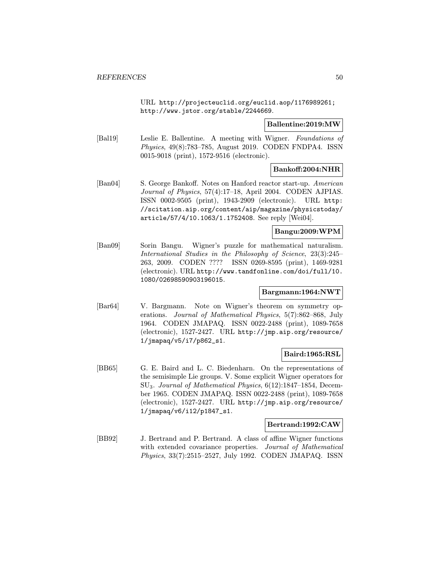URL http://projecteuclid.org/euclid.aop/1176989261; http://www.jstor.org/stable/2244669.

#### Ballentine:2019:MW

[Bal19] Leslie E. Ballentine. A meeting with Wigner. Foundations of Physics, 49(8):783–785, August 2019. CODEN FNDPA4. ISSN 0015-9018 (print), 1572-9516 (electronic).

### Bankoff:2004:NHR

[Ban04] S. George Bankoff. Notes on Hanford reactor start-up. American Journal of Physics, 57(4):17–18, April 2004. CODEN AJPIAS. ISSN 0002-9505 (print), 1943-2909 (electronic). URL http: //scitation.aip.org/content/aip/magazine/physicstoday/ article/57/4/10.1063/1.1752408. See reply [Wei04].

#### Bangu:2009:WPM

[Ban09] Sorin Bangu. Wigner's puzzle for mathematical naturalism. International Studies in the Philosophy of Science, 23(3):245– 263, 2009. CODEN ???? ISSN 0269-8595 (print), 1469-9281 (electronic). URL http://www.tandfonline.com/doi/full/10. 1080/02698590903196015.

### Bargmann:1964:NWT

[Bar64] V. Bargmann. Note on Wigner's theorem on symmetry operations. Journal of Mathematical Physics, 5(7):862–868, July 1964. CODEN JMAPAQ. ISSN 0022-2488 (print), 1089-7658 (electronic), 1527-2427. URL http://jmp.aip.org/resource/ 1/jmapaq/v5/i7/p862\_s1.

### Baird:1965:RSL

[BB65] G. E. Baird and L. C. Biedenharn. On the representations of the semisimple Lie groups. V. Some explicit Wigner operators for SU3. Journal of Mathematical Physics, 6(12):1847–1854, December 1965. CODEN JMAPAQ. ISSN 0022-2488 (print), 1089-7658 (electronic), 1527-2427. URL http://jmp.aip.org/resource/ 1/jmapaq/v6/i12/p1847\_s1.

#### Bertrand:1992:CAW

[BB92] J. Bertrand and P. Bertrand. A class of affine Wigner functions with extended covariance properties. Journal of Mathematical Physics, 33(7):2515–2527, July 1992. CODEN JMAPAQ. ISSN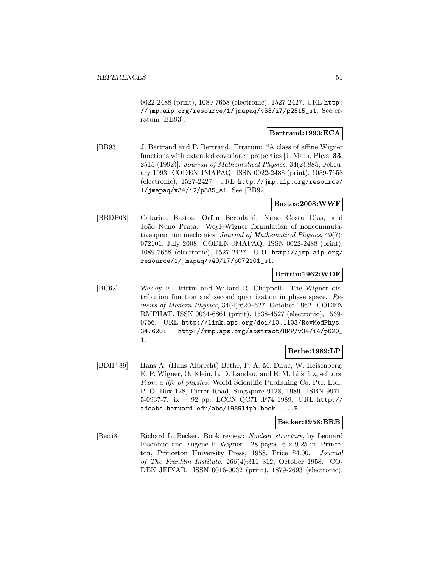0022-2488 (print), 1089-7658 (electronic), 1527-2427. URL http: //jmp.aip.org/resource/1/jmapaq/v33/i7/p2515\_s1. See erratum [BB93].

## Bertrand:1993:ECA

[BB93] J. Bertrand and P. Bertrand. Erratum: "A class of affine Wigner functions with extended covariance properties [J. Math. Phys. 33, 2515 (1992)]. Journal of Mathematical Physics, 34(2):885, February 1993. CODEN JMAPAQ. ISSN 0022-2488 (print), 1089-7658 (electronic), 1527-2427. URL http://jmp.aip.org/resource/ 1/jmapaq/v34/i2/p885\_s1. See [BB92].

#### Bastos:2008:WWF

[BBDP08] Catarina Bastos, Orfeu Bertolami, Nuno Costa Dias, and João Nuno Prata. Weyl–Wigner formulation of noncommutative quantum mechanics. Journal of Mathematical Physics, 49(7): 072101, July 2008. CODEN JMAPAQ. ISSN 0022-2488 (print), 1089-7658 (electronic), 1527-2427. URL http://jmp.aip.org/ resource/1/jmapaq/v49/i7/p072101\_s1.

## Brittin:1962:WDF

[BC62] Wesley E. Brittin and Willard R. Chappell. The Wigner distribution function and second quantization in phase space. Reviews of Modern Physics, 34(4):620–627, October 1962. CODEN RMPHAT. ISSN 0034-6861 (print), 1538-4527 (electronic), 1539- 0756. URL http://link.aps.org/doi/10.1103/RevModPhys. 34.620; http://rmp.aps.org/abstract/RMP/v34/i4/p620\_ 1.

### Bethe:1989:LP

[BDH<sup>+</sup>89] Hans A. (Hans Albrecht) Bethe, P. A. M. Dirac, W. Heisenberg, E. P. Wigner, O. Klein, L. D. Landau, and E. M. Lifshitz, editors. From a life of physics. World Scientific Publishing Co. Pte. Ltd., P. O. Box 128, Farrer Road, Singapore 9128, 1989. ISBN 9971- 5-0937-7. ix + 92 pp. LCCN QC71 .F74 1989. URL http:// adsabs.harvard.edu/abs/1989liph.book.....B.

#### Becker:1958:BRB

[Bec58] Richard L. Becker. Book review: Nuclear structure, by Leonard Eisenbud and Eugene P. Wigner. 128 pages,  $6 \times 9.25$  in. Princeton, Princeton University Press, 1958. Price \$4.00. Journal of The Franklin Institute, 266(4):311–312, October 1958. CO-DEN JFINAB. ISSN 0016-0032 (print), 1879-2693 (electronic).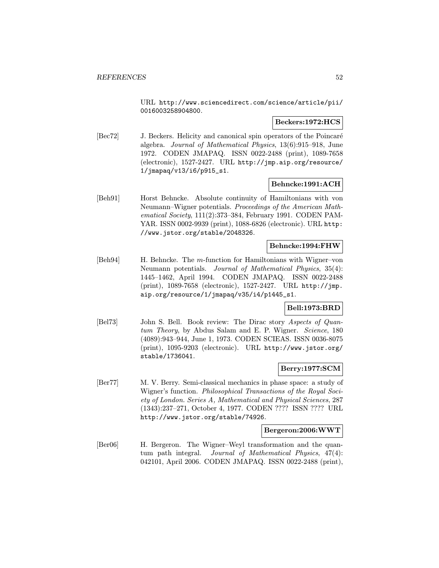URL http://www.sciencedirect.com/science/article/pii/ 0016003258904800.

### Beckers:1972:HCS

[Bec72] J. Beckers. Helicity and canonical spin operators of the Poincaré algebra. Journal of Mathematical Physics, 13(6):915–918, June 1972. CODEN JMAPAQ. ISSN 0022-2488 (print), 1089-7658 (electronic), 1527-2427. URL http://jmp.aip.org/resource/ 1/jmapaq/v13/i6/p915\_s1.

### Behncke:1991:ACH

[Beh91] Horst Behncke. Absolute continuity of Hamiltonians with von Neumann–Wigner potentials. Proceedings of the American Mathematical Society, 111(2):373–384, February 1991. CODEN PAM-YAR. ISSN 0002-9939 (print), 1088-6826 (electronic). URL http: //www.jstor.org/stable/2048326.

## Behncke:1994:FHW

[Beh94] H. Behncke. The m-function for Hamiltonians with Wigner–von Neumann potentials. Journal of Mathematical Physics, 35(4): 1445–1462, April 1994. CODEN JMAPAQ. ISSN 0022-2488 (print), 1089-7658 (electronic), 1527-2427. URL http://jmp. aip.org/resource/1/jmapaq/v35/i4/p1445\_s1.

## Bell:1973:BRD

[Bel73] John S. Bell. Book review: The Dirac story Aspects of Quantum Theory, by Abdus Salam and E. P. Wigner. Science, 180 (4089):943–944, June 1, 1973. CODEN SCIEAS. ISSN 0036-8075 (print), 1095-9203 (electronic). URL http://www.jstor.org/ stable/1736041.

## Berry:1977:SCM

[Ber77] M. V. Berry. Semi-classical mechanics in phase space: a study of Wigner's function. Philosophical Transactions of the Royal Society of London. Series A, Mathematical and Physical Sciences, 287 (1343):237–271, October 4, 1977. CODEN ???? ISSN ???? URL http://www.jstor.org/stable/74926.

### Bergeron:2006:WWT

[Ber06] H. Bergeron. The Wigner–Weyl transformation and the quantum path integral. Journal of Mathematical Physics, 47(4): 042101, April 2006. CODEN JMAPAQ. ISSN 0022-2488 (print),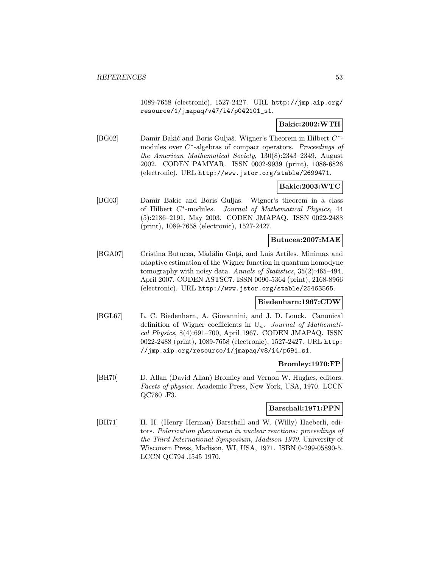1089-7658 (electronic), 1527-2427. URL http://jmp.aip.org/ resource/1/jmapaq/v47/i4/p042101\_s1.

## Bakic:2002:WTH

[BG02] Damir Bakić and Boris Guljaš. Wigner's Theorem in Hilbert  $C^*$ modules over C<sup>∗</sup>-algebras of compact operators. Proceedings of the American Mathematical Society, 130(8):2343–2349, August 2002. CODEN PAMYAR. ISSN 0002-9939 (print), 1088-6826 (electronic). URL http://www.jstor.org/stable/2699471.

## Bakic:2003:WTC

[BG03] Damir Bakic and Boris Guljas. Wigner's theorem in a class of Hilbert C<sup>∗</sup>-modules. Journal of Mathematical Physics, 44 (5):2186–2191, May 2003. CODEN JMAPAQ. ISSN 0022-2488 (print), 1089-7658 (electronic), 1527-2427.

## Butucea:2007:MAE

[BGA07] Cristina Butucea, Mădălin Guță, and Luis Artiles. Minimax and adaptive estimation of the Wigner function in quantum homodyne tomography with noisy data. Annals of Statistics, 35(2):465–494, April 2007. CODEN ASTSC7. ISSN 0090-5364 (print), 2168-8966 (electronic). URL http://www.jstor.org/stable/25463565.

### Biedenharn:1967:CDW

[BGL67] L. C. Biedenharn, A. Giovannini, and J. D. Louck. Canonical definition of Wigner coefficients in  $U_n$ . Journal of Mathematical Physics, 8(4):691–700, April 1967. CODEN JMAPAQ. ISSN 0022-2488 (print), 1089-7658 (electronic), 1527-2427. URL http: //jmp.aip.org/resource/1/jmapaq/v8/i4/p691\_s1.

### Bromley:1970:FP

[BH70] D. Allan (David Allan) Bromley and Vernon W. Hughes, editors. Facets of physics. Academic Press, New York, USA, 1970. LCCN QC780 .F3.

#### Barschall:1971:PPN

[BH71] H. H. (Henry Herman) Barschall and W. (Willy) Haeberli, editors. Polarization phenomena in nuclear reactions: proceedings of the Third International Symposium, Madison 1970. University of Wisconsin Press, Madison, WI, USA, 1971. ISBN 0-299-05890-5. LCCN QC794 .I545 1970.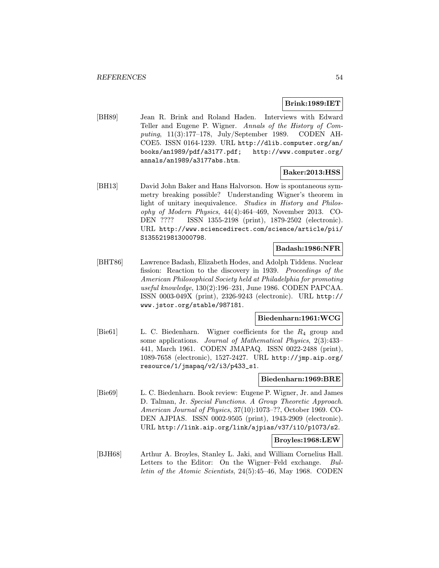#### Brink:1989:IET

[BH89] Jean R. Brink and Roland Haden. Interviews with Edward Teller and Eugene P. Wigner. Annals of the History of Computing, 11(3):177–178, July/September 1989. CODEN AH-COE5. ISSN 0164-1239. URL http://dlib.computer.org/an/ books/an1989/pdf/a3177.pdf; http://www.computer.org/ annals/an1989/a3177abs.htm.

## Baker:2013:HSS

[BH13] David John Baker and Hans Halvorson. How is spontaneous symmetry breaking possible? Understanding Wigner's theorem in light of unitary inequivalence. Studies in History and Philosophy of Modern Physics, 44(4):464–469, November 2013. CO-DEN ???? ISSN 1355-2198 (print), 1879-2502 (electronic). URL http://www.sciencedirect.com/science/article/pii/ S1355219813000798.

## Badash:1986:NFR

[BHT86] Lawrence Badash, Elizabeth Hodes, and Adolph Tiddens. Nuclear fission: Reaction to the discovery in 1939. Proceedings of the American Philosophical Society held at Philadelphia for promoting useful knowledge, 130(2):196–231, June 1986. CODEN PAPCAA. ISSN 0003-049X (print), 2326-9243 (electronic). URL http:// www.jstor.org/stable/987181.

#### Biedenharn:1961:WCG

[Bie61] L. C. Biedenharn. Wigner coefficients for the  $R_4$  group and some applications. Journal of Mathematical Physics, 2(3):433– 441, March 1961. CODEN JMAPAQ. ISSN 0022-2488 (print), 1089-7658 (electronic), 1527-2427. URL http://jmp.aip.org/ resource/1/jmapaq/v2/i3/p433\_s1.

### Biedenharn:1969:BRE

[Bie69] L. C. Biedenharn. Book review: Eugene P. Wigner, Jr. and James D. Talman, Jr. Special Functions. A Group Theoretic Approach. American Journal of Physics, 37(10):1073–??, October 1969. CO-DEN AJPIAS. ISSN 0002-9505 (print), 1943-2909 (electronic). URL http://link.aip.org/link/ajpias/v37/i10/p1073/s2.

#### Broyles:1968:LEW

[BJH68] Arthur A. Broyles, Stanley L. Jaki, and William Cornelius Hall. Letters to the Editor: On the Wigner–Feld exchange. Bulletin of the Atomic Scientists, 24(5):45–46, May 1968. CODEN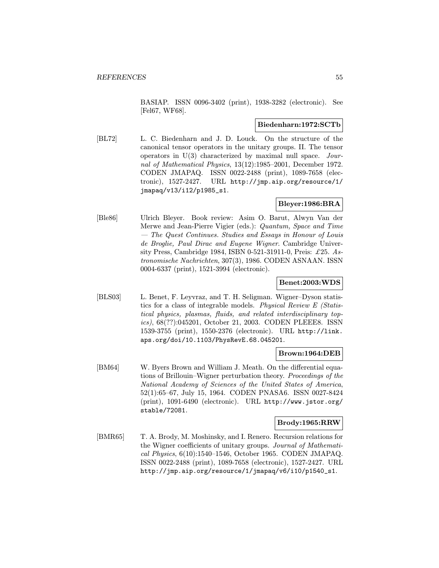BASIAP. ISSN 0096-3402 (print), 1938-3282 (electronic). See [Fel67, WF68].

#### Biedenharn:1972:SCTb

[BL72] L. C. Biedenharn and J. D. Louck. On the structure of the canonical tensor operators in the unitary groups. II. The tensor operators in U(3) characterized by maximal null space. Journal of Mathematical Physics, 13(12):1985–2001, December 1972. CODEN JMAPAQ. ISSN 0022-2488 (print), 1089-7658 (electronic), 1527-2427. URL http://jmp.aip.org/resource/1/ jmapaq/v13/i12/p1985\_s1.

## Bleyer:1986:BRA

[Ble86] Ulrich Bleyer. Book review: Asim O. Barut, Alwyn Van der Merwe and Jean-Pierre Vigier (eds.): Quantum, Space and Time — The Quest Continues. Studies and Essays in Honour of Louis de Broglie, Paul Dirac and Eugene Wigner. Cambridge University Press, Cambridge 1984, ISBN 0-521-31911-0, Preis: £25. Astronomische Nachrichten, 307(3), 1986. CODEN ASNAAN. ISSN 0004-6337 (print), 1521-3994 (electronic).

## Benet:2003:WDS

[BLS03] L. Benet, F. Leyvraz, and T. H. Seligman. Wigner–Dyson statistics for a class of integrable models. Physical Review E (Statistical physics, plasmas, fluids, and related interdisciplinary topics), 68(??):045201, October 21, 2003. CODEN PLEEE8. ISSN 1539-3755 (print), 1550-2376 (electronic). URL http://link. aps.org/doi/10.1103/PhysRevE.68.045201.

### Brown:1964:DEB

[BM64] W. Byers Brown and William J. Meath. On the differential equations of Brillouin–Wigner perturbation theory. Proceedings of the National Academy of Sciences of the United States of America, 52(1):65–67, July 15, 1964. CODEN PNASA6. ISSN 0027-8424 (print), 1091-6490 (electronic). URL http://www.jstor.org/ stable/72081.

### Brody:1965:RRW

[BMR65] T. A. Brody, M. Moshinsky, and I. Renero. Recursion relations for the Wigner coefficients of unitary groups. Journal of Mathematical Physics, 6(10):1540–1546, October 1965. CODEN JMAPAQ. ISSN 0022-2488 (print), 1089-7658 (electronic), 1527-2427. URL http://jmp.aip.org/resource/1/jmapaq/v6/i10/p1540\_s1.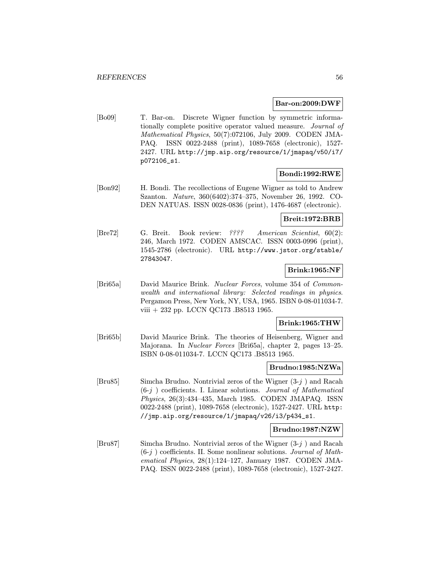#### Bar-on:2009:DWF

[Bo09] T. Bar-on. Discrete Wigner function by symmetric informationally complete positive operator valued measure. Journal of Mathematical Physics, 50(7):072106, July 2009. CODEN JMA-PAQ. ISSN 0022-2488 (print), 1089-7658 (electronic), 1527- 2427. URL http://jmp.aip.org/resource/1/jmapaq/v50/i7/ p072106\_s1.

### Bondi:1992:RWE

[Bon92] H. Bondi. The recollections of Eugene Wigner as told to Andrew Szanton. Nature, 360(6402):374–375, November 26, 1992. CO-DEN NATUAS. ISSN 0028-0836 (print), 1476-4687 (electronic).

#### Breit:1972:BRB

[Bre72] G. Breit. Book review: ???? American Scientist, 60(2): 246, March 1972. CODEN AMSCAC. ISSN 0003-0996 (print), 1545-2786 (electronic). URL http://www.jstor.org/stable/ 27843047.

#### Brink:1965:NF

[Bri65a] David Maurice Brink. Nuclear Forces, volume 354 of Commonwealth and international library: Selected readings in physics. Pergamon Press, New York, NY, USA, 1965. ISBN 0-08-011034-7. viii + 232 pp. LCCN QC173 .B8513 1965.

### Brink:1965:THW

[Bri65b] David Maurice Brink. The theories of Heisenberg, Wigner and Majorana. In Nuclear Forces [Bri65a], chapter 2, pages 13–25. ISBN 0-08-011034-7. LCCN QC173 .B8513 1965.

#### Brudno:1985:NZWa

[Bru85] Simcha Brudno. Nontrivial zeros of the Wigner (3-j ) and Racah  $(6-j)$  coefficients. I. Linear solutions. Journal of Mathematical Physics, 26(3):434–435, March 1985. CODEN JMAPAQ. ISSN 0022-2488 (print), 1089-7658 (electronic), 1527-2427. URL http: //jmp.aip.org/resource/1/jmapaq/v26/i3/p434\_s1.

#### Brudno:1987:NZW

[Bru87] Simcha Brudno. Nontrivial zeros of the Wigner (3-j ) and Racah  $(6-j)$  coefficients. II. Some nonlinear solutions. *Journal of Math*ematical Physics, 28(1):124–127, January 1987. CODEN JMA-PAQ. ISSN 0022-2488 (print), 1089-7658 (electronic), 1527-2427.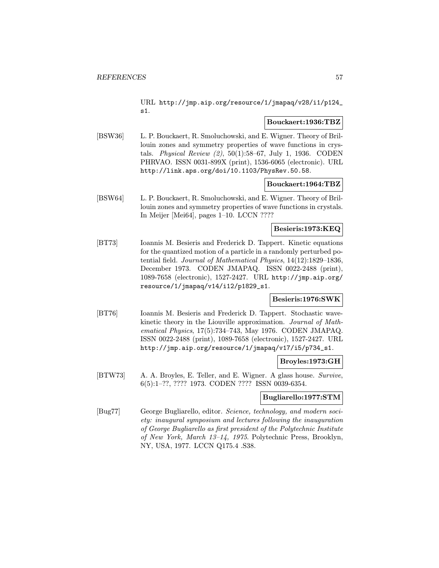URL http://jmp.aip.org/resource/1/jmapaq/v28/i1/p124\_ s1.

### Bouckaert:1936:TBZ

[BSW36] L. P. Bouckaert, R. Smoluchowski, and E. Wigner. Theory of Brillouin zones and symmetry properties of wave functions in crystals. Physical Review (2), 50(1):58–67, July 1, 1936. CODEN PHRVAO. ISSN 0031-899X (print), 1536-6065 (electronic). URL http://link.aps.org/doi/10.1103/PhysRev.50.58.

### Bouckaert:1964:TBZ

[BSW64] L. P. Bouckaert, R. Smoluchowski, and E. Wigner. Theory of Brillouin zones and symmetry properties of wave functions in crystals. In Meijer [Mei64], pages 1–10. LCCN ????

### Besieris:1973:KEQ

[BT73] Ioannis M. Besieris and Frederick D. Tappert. Kinetic equations for the quantized motion of a particle in a randomly perturbed potential field. Journal of Mathematical Physics, 14(12):1829–1836, December 1973. CODEN JMAPAQ. ISSN 0022-2488 (print), 1089-7658 (electronic), 1527-2427. URL http://jmp.aip.org/ resource/1/jmapaq/v14/i12/p1829\_s1.

## Besieris:1976:SWK

[BT76] Ioannis M. Besieris and Frederick D. Tappert. Stochastic wavekinetic theory in the Liouville approximation. Journal of Mathematical Physics, 17(5):734–743, May 1976. CODEN JMAPAQ. ISSN 0022-2488 (print), 1089-7658 (electronic), 1527-2427. URL http://jmp.aip.org/resource/1/jmapaq/v17/i5/p734\_s1.

### Broyles:1973:GH

[BTW73] A. A. Broyles, E. Teller, and E. Wigner. A glass house. Survive, 6(5):1–??, ???? 1973. CODEN ???? ISSN 0039-6354.

## Bugliarello:1977:STM

[Bug77] George Bugliarello, editor. Science, technology, and modern society: inaugural symposium and lectures following the inauguration of George Bugliarello as first president of the Polytechnic Institute of New York, March 13–14, 1975. Polytechnic Press, Brooklyn, NY, USA, 1977. LCCN Q175.4 .S38.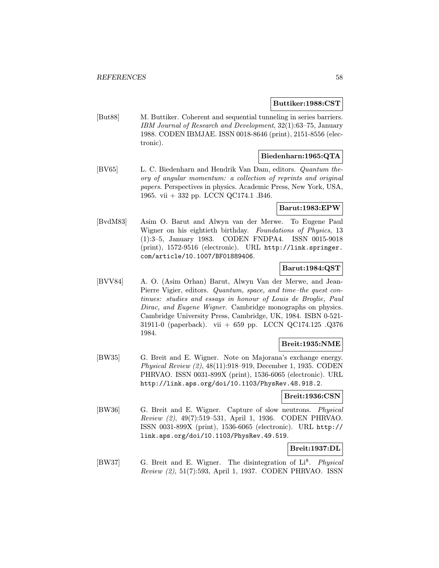### Buttiker:1988:CST

[But88] M. Buttiker. Coherent and sequential tunneling in series barriers. IBM Journal of Research and Development, 32(1):63–75, January 1988. CODEN IBMJAE. ISSN 0018-8646 (print), 2151-8556 (electronic).

## Biedenharn:1965:QTA

[BV65] L. C. Biedenharn and Hendrik Van Dam, editors. Quantum theory of angular momentum: a collection of reprints and original papers. Perspectives in physics. Academic Press, New York, USA, 1965. vii + 332 pp. LCCN QC174.1 .B46.

### Barut:1983:EPW

[BvdM83] Asim O. Barut and Alwyn van der Merwe. To Eugene Paul Wigner on his eightieth birthday. Foundations of Physics, 13 (1):3–5, January 1983. CODEN FNDPA4. ISSN 0015-9018 (print), 1572-9516 (electronic). URL http://link.springer. com/article/10.1007/BF01889406.

## Barut:1984:QST

[BVV84] A. O. (Asim Orhan) Barut, Alwyn Van der Merwe, and Jean-Pierre Vigier, editors. Quantum, space, and time–the quest continues: studies and essays in honour of Louis de Broglie, Paul Dirac, and Eugene Wigner. Cambridge monographs on physics. Cambridge University Press, Cambridge, UK, 1984. ISBN 0-521- 31911-0 (paperback). vii + 659 pp. LCCN QC174.125 .Q376 1984.

### Breit:1935:NME

[BW35] G. Breit and E. Wigner. Note on Majorana's exchange energy. Physical Review (2), 48(11):918–919, December 1, 1935. CODEN PHRVAO. ISSN 0031-899X (print), 1536-6065 (electronic). URL http://link.aps.org/doi/10.1103/PhysRev.48.918.2.

### Breit:1936:CSN

[BW36] G. Breit and E. Wigner. Capture of slow neutrons. Physical Review (2), 49(7):519–531, April 1, 1936. CODEN PHRVAO. ISSN 0031-899X (print), 1536-6065 (electronic). URL http:// link.aps.org/doi/10.1103/PhysRev.49.519.

## Breit:1937:DL

[BW37] G. Breit and E. Wigner. The disintegration of Li<sup>8</sup>. Physical Review (2), 51(7):593, April 1, 1937. CODEN PHRVAO. ISSN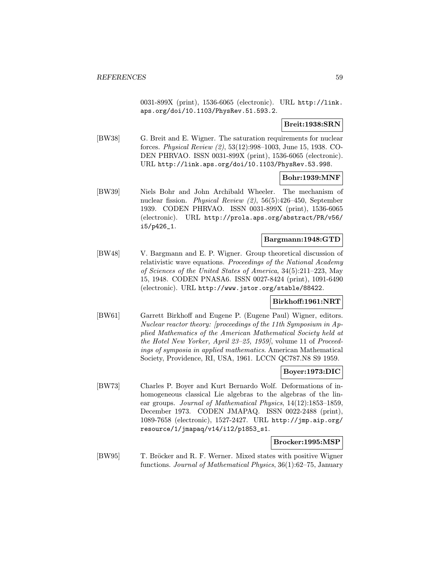0031-899X (print), 1536-6065 (electronic). URL http://link. aps.org/doi/10.1103/PhysRev.51.593.2.

### Breit:1938:SRN

[BW38] G. Breit and E. Wigner. The saturation requirements for nuclear forces. Physical Review (2), 53(12):998–1003, June 15, 1938. CO-DEN PHRVAO. ISSN 0031-899X (print), 1536-6065 (electronic). URL http://link.aps.org/doi/10.1103/PhysRev.53.998.

### Bohr:1939:MNF

[BW39] Niels Bohr and John Archibald Wheeler. The mechanism of nuclear fission. Physical Review (2), 56(5):426–450, September 1939. CODEN PHRVAO. ISSN 0031-899X (print), 1536-6065 (electronic). URL http://prola.aps.org/abstract/PR/v56/ i5/p426\_1.

#### Bargmann:1948:GTD

[BW48] V. Bargmann and E. P. Wigner. Group theoretical discussion of relativistic wave equations. Proceedings of the National Academy of Sciences of the United States of America, 34(5):211–223, May 15, 1948. CODEN PNASA6. ISSN 0027-8424 (print), 1091-6490 (electronic). URL http://www.jstor.org/stable/88422.

### Birkhoff:1961:NRT

[BW61] Garrett Birkhoff and Eugene P. (Eugene Paul) Wigner, editors. Nuclear reactor theory: [proceedings of the 11th Symposium in Applied Mathematics of the American Mathematical Society held at the Hotel New Yorker, April 23–25, 1959], volume 11 of Proceedings of symposia in applied mathematics. American Mathematical Society, Providence, RI, USA, 1961. LCCN QC787.N8 S9 1959.

### Boyer:1973:DIC

[BW73] Charles P. Boyer and Kurt Bernardo Wolf. Deformations of inhomogeneous classical Lie algebras to the algebras of the linear groups. Journal of Mathematical Physics, 14(12):1853–1859, December 1973. CODEN JMAPAQ. ISSN 0022-2488 (print), 1089-7658 (electronic), 1527-2427. URL http://jmp.aip.org/ resource/1/jmapaq/v14/i12/p1853\_s1.

#### Brocker:1995:MSP

[BW95] T. Bröcker and R. F. Werner. Mixed states with positive Wigner functions. Journal of Mathematical Physics, 36(1):62–75, January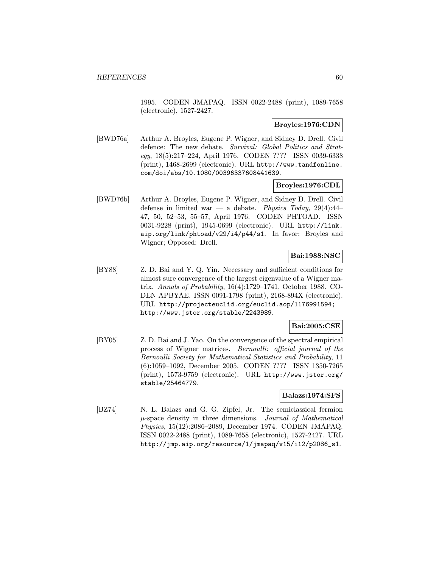1995. CODEN JMAPAQ. ISSN 0022-2488 (print), 1089-7658 (electronic), 1527-2427.

### Broyles:1976:CDN

[BWD76a] Arthur A. Broyles, Eugene P. Wigner, and Sidney D. Drell. Civil defence: The new debate. Survival: Global Politics and Strategy, 18(5):217–224, April 1976. CODEN ???? ISSN 0039-6338 (print), 1468-2699 (electronic). URL http://www.tandfonline. com/doi/abs/10.1080/00396337608441639.

## Broyles:1976:CDL

[BWD76b] Arthur A. Broyles, Eugene P. Wigner, and Sidney D. Drell. Civil defense in limited war — a debate. Physics Today,  $29(4):44-$ 47, 50, 52–53, 55–57, April 1976. CODEN PHTOAD. ISSN 0031-9228 (print), 1945-0699 (electronic). URL http://link. aip.org/link/phtoad/v29/i4/p44/s1. In favor: Broyles and Wigner; Opposed: Drell.

## Bai:1988:NSC

[BY88] Z. D. Bai and Y. Q. Yin. Necessary and sufficient conditions for almost sure convergence of the largest eigenvalue of a Wigner matrix. Annals of Probability, 16(4):1729–1741, October 1988. CO-DEN APBYAE. ISSN 0091-1798 (print), 2168-894X (electronic). URL http://projecteuclid.org/euclid.aop/1176991594; http://www.jstor.org/stable/2243989.

### Bai:2005:CSE

[BY05] Z. D. Bai and J. Yao. On the convergence of the spectral empirical process of Wigner matrices. Bernoulli: official journal of the Bernoulli Society for Mathematical Statistics and Probability, 11 (6):1059–1092, December 2005. CODEN ???? ISSN 1350-7265 (print), 1573-9759 (electronic). URL http://www.jstor.org/ stable/25464779.

### Balazs:1974:SFS

[BZ74] N. L. Balazs and G. G. Zipfel, Jr. The semiclassical fermion  $\mu$ -space density in three dimensions. Journal of Mathematical Physics, 15(12):2086–2089, December 1974. CODEN JMAPAQ. ISSN 0022-2488 (print), 1089-7658 (electronic), 1527-2427. URL http://jmp.aip.org/resource/1/jmapaq/v15/i12/p2086\_s1.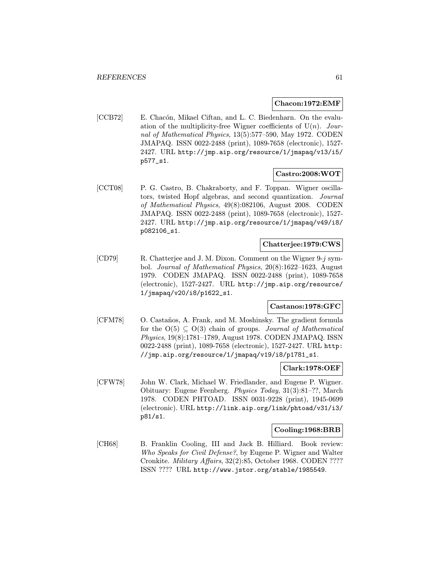#### Chacon:1972:EMF

[CCB72] E. Chacón, Mikael Ciftan, and L. C. Biedenharn. On the evaluation of the multiplicity-free Wigner coefficients of  $U(n)$ . Journal of Mathematical Physics, 13(5):577–590, May 1972. CODEN JMAPAQ. ISSN 0022-2488 (print), 1089-7658 (electronic), 1527- 2427. URL http://jmp.aip.org/resource/1/jmapaq/v13/i5/ p577\_s1.

### Castro:2008:WOT

[CCT08] P. G. Castro, B. Chakraborty, and F. Toppan. Wigner oscillators, twisted Hopf algebras, and second quantization. Journal of Mathematical Physics, 49(8):082106, August 2008. CODEN JMAPAQ. ISSN 0022-2488 (print), 1089-7658 (electronic), 1527- 2427. URL http://jmp.aip.org/resource/1/jmapaq/v49/i8/ p082106\_s1.

## Chatterjee:1979:CWS

[CD79] R. Chatterjee and J. M. Dixon. Comment on the Wigner 9-j symbol. Journal of Mathematical Physics, 20(8):1622–1623, August 1979. CODEN JMAPAQ. ISSN 0022-2488 (print), 1089-7658 (electronic), 1527-2427. URL http://jmp.aip.org/resource/ 1/jmapaq/v20/i8/p1622\_s1.

#### Castanos:1978:GFC

[CFM78] O. Castaños, A. Frank, and M. Moshinsky. The gradient formula for the  $O(5) \subseteq O(3)$  chain of groups. *Journal of Mathematical* Physics, 19(8):1781–1789, August 1978. CODEN JMAPAQ. ISSN 0022-2488 (print), 1089-7658 (electronic), 1527-2427. URL http: //jmp.aip.org/resource/1/jmapaq/v19/i8/p1781\_s1.

#### Clark:1978:OEF

[CFW78] John W. Clark, Michael W. Friedlander, and Eugene P. Wigner. Obituary: Eugene Feenberg. Physics Today, 31(3):81–??, March 1978. CODEN PHTOAD. ISSN 0031-9228 (print), 1945-0699 (electronic). URL http://link.aip.org/link/phtoad/v31/i3/ p81/s1.

## Cooling:1968:BRB

[CH68] B. Franklin Cooling, III and Jack B. Hilliard. Book review: Who Speaks for Civil Defense?, by Eugene P. Wigner and Walter Cronkite. Military Affairs, 32(2):85, October 1968. CODEN ???? ISSN ???? URL http://www.jstor.org/stable/1985549.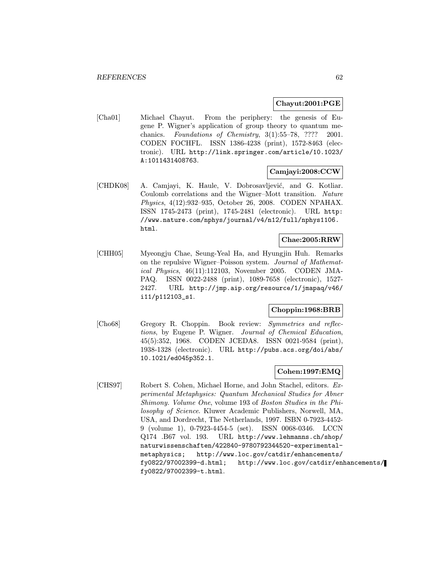#### Chayut:2001:PGE

[Cha01] Michael Chayut. From the periphery: the genesis of Eugene P. Wigner's application of group theory to quantum mechanics. Foundations of Chemistry, 3(1):55–78, ???? 2001. CODEN FOCHFL. ISSN 1386-4238 (print), 1572-8463 (electronic). URL http://link.springer.com/article/10.1023/ A:1011431408763.

## Camjayi:2008:CCW

[CHDK08] A. Camjayi, K. Haule, V. Dobrosavljević, and G. Kotliar. Coulomb correlations and the Wigner–Mott transition. Nature Physics, 4(12):932–935, October 26, 2008. CODEN NPAHAX. ISSN 1745-2473 (print), 1745-2481 (electronic). URL http: //www.nature.com/nphys/journal/v4/n12/full/nphys1106. html.

#### Chae:2005:RRW

[CHH05] Myeongju Chae, Seung-Yeal Ha, and Hyungjin Huh. Remarks on the repulsive Wigner–Poisson system. Journal of Mathematical Physics, 46(11):112103, November 2005. CODEN JMA-PAQ. ISSN 0022-2488 (print), 1089-7658 (electronic), 1527- 2427. URL http://jmp.aip.org/resource/1/jmapaq/v46/ i11/p112103\_s1.

## Choppin:1968:BRB

[Cho68] Gregory R. Choppin. Book review: Symmetries and reflections, by Eugene P. Wigner. Journal of Chemical Education, 45(5):352, 1968. CODEN JCEDA8. ISSN 0021-9584 (print), 1938-1328 (electronic). URL http://pubs.acs.org/doi/abs/ 10.1021/ed045p352.1.

#### Cohen:1997:EMQ

[CHS97] Robert S. Cohen, Michael Horne, and John Stachel, editors. Experimental Metaphysics: Quantum Mechanical Studies for Abner Shimony. Volume One, volume 193 of Boston Studies in the Philosophy of Science. Kluwer Academic Publishers, Norwell, MA, USA, and Dordrecht, The Netherlands, 1997. ISBN 0-7923-4452- 9 (volume 1), 0-7923-4454-5 (set). ISSN 0068-0346. LCCN Q174 .B67 vol. 193. URL http://www.lehmanns.ch/shop/ naturwissenschaften/422840-9780792344520-experimentalmetaphysics; http://www.loc.gov/catdir/enhancements/ fy0822/97002399-d.html; http://www.loc.gov/catdir/enhancements/ fy0822/97002399-t.html.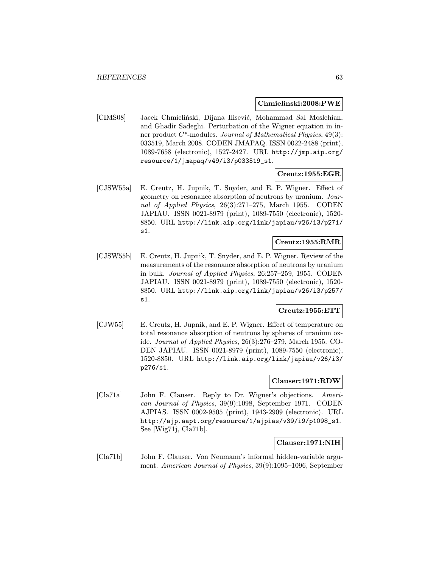#### Chmielinski:2008:PWE

[CIMS08] Jacek Chmieliński, Dijana Ilisević, Mohammad Sal Moslehian, and Ghadir Sadeghi. Perturbation of the Wigner equation in inner product C<sup>∗</sup>-modules. Journal of Mathematical Physics, 49(3): 033519, March 2008. CODEN JMAPAQ. ISSN 0022-2488 (print), 1089-7658 (electronic), 1527-2427. URL http://jmp.aip.org/ resource/1/jmapaq/v49/i3/p033519\_s1.

#### Creutz:1955:EGR

[CJSW55a] E. Creutz, H. Jupnik, T. Snyder, and E. P. Wigner. Effect of geometry on resonance absorption of neutrons by uranium. Journal of Applied Physics, 26(3):271–275, March 1955. CODEN JAPIAU. ISSN 0021-8979 (print), 1089-7550 (electronic), 1520- 8850. URL http://link.aip.org/link/japiau/v26/i3/p271/ s1.

### Creutz:1955:RMR

[CJSW55b] E. Creutz, H. Jupnik, T. Snyder, and E. P. Wigner. Review of the measurements of the resonance absorption of neutrons by uranium in bulk. Journal of Applied Physics, 26:257–259, 1955. CODEN JAPIAU. ISSN 0021-8979 (print), 1089-7550 (electronic), 1520- 8850. URL http://link.aip.org/link/japiau/v26/i3/p257/ s1.

### Creutz:1955:ETT

[CJW55] E. Creutz, H. Jupnik, and E. P. Wigner. Effect of temperature on total resonance absorption of neutrons by spheres of uranium oxide. Journal of Applied Physics, 26(3):276–279, March 1955. CO-DEN JAPIAU. ISSN 0021-8979 (print), 1089-7550 (electronic), 1520-8850. URL http://link.aip.org/link/japiau/v26/i3/ p276/s1.

### Clauser:1971:RDW

[Cla71a] John F. Clauser. Reply to Dr. Wigner's objections. American Journal of Physics, 39(9):1098, September 1971. CODEN AJPIAS. ISSN 0002-9505 (print), 1943-2909 (electronic). URL http://ajp.aapt.org/resource/1/ajpias/v39/i9/p1098\_s1. See [Wig71j, Cla71b].

#### Clauser:1971:NIH

[Cla71b] John F. Clauser. Von Neumann's informal hidden-variable argument. American Journal of Physics, 39(9):1095–1096, September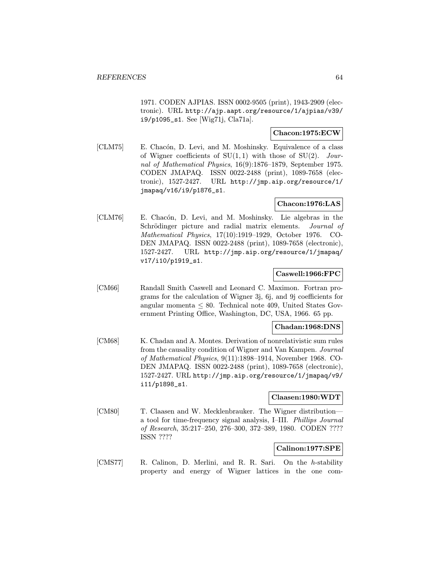1971. CODEN AJPIAS. ISSN 0002-9505 (print), 1943-2909 (electronic). URL http://ajp.aapt.org/resource/1/ajpias/v39/ i9/p1095\_s1. See [Wig71j, Cla71a].

### Chacon:1975:ECW

[CLM75] E. Chacón, D. Levi, and M. Moshinsky. Equivalence of a class of Wigner coefficients of  $SU(1,1)$  with those of  $SU(2)$ . Journal of Mathematical Physics, 16(9):1876–1879, September 1975. CODEN JMAPAQ. ISSN 0022-2488 (print), 1089-7658 (electronic), 1527-2427. URL http://jmp.aip.org/resource/1/ jmapaq/v16/i9/p1876\_s1.

## Chacon:1976:LAS

[CLM76] E. Chacón, D. Levi, and M. Moshinsky. Lie algebras in the Schrödinger picture and radial matrix elements. *Journal of* Mathematical Physics, 17(10):1919–1929, October 1976. CO-DEN JMAPAQ. ISSN 0022-2488 (print), 1089-7658 (electronic), 1527-2427. URL http://jmp.aip.org/resource/1/jmapaq/ v17/i10/p1919\_s1.

### Caswell:1966:FPC

[CM66] Randall Smith Caswell and Leonard C. Maximon. Fortran programs for the calculation of Wigner 3j, 6j, and 9j coefficients for angular momenta  $\leq 80$ . Technical note 409, United States Government Printing Office, Washington, DC, USA, 1966. 65 pp.

#### Chadan:1968:DNS

[CM68] K. Chadan and A. Montes. Derivation of nonrelativistic sum rules from the causality condition of Wigner and Van Kampen. Journal of Mathematical Physics, 9(11):1898–1914, November 1968. CO-DEN JMAPAQ. ISSN 0022-2488 (print), 1089-7658 (electronic), 1527-2427. URL http://jmp.aip.org/resource/1/jmapaq/v9/ i11/p1898\_s1.

### Claasen:1980:WDT

[CM80] T. Claasen and W. Mecklenbrauker. The Wigner distribution a tool for time-frequency signal analysis, I–III. Phillips Journal of Research, 35:217–250, 276–300, 372–389, 1980. CODEN ???? ISSN ????

## Calinon:1977:SPE

[CMS77] R. Calinon, D. Merlini, and R. R. Sari. On the h-stability property and energy of Wigner lattices in the one com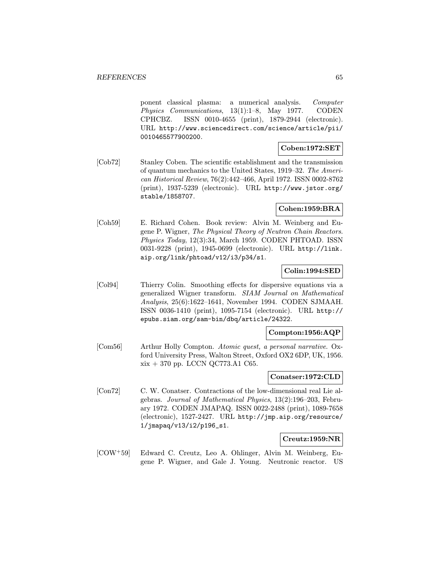ponent classical plasma: a numerical analysis. Computer Physics Communications, 13(1):1–8, May 1977. CODEN CPHCBZ. ISSN 0010-4655 (print), 1879-2944 (electronic). URL http://www.sciencedirect.com/science/article/pii/ 0010465577900200.

## Coben:1972:SET

[Cob72] Stanley Coben. The scientific establishment and the transmission of quantum mechanics to the United States, 1919–32. The American Historical Review, 76(2):442–466, April 1972. ISSN 0002-8762 (print), 1937-5239 (electronic). URL http://www.jstor.org/ stable/1858707.

### Cohen:1959:BRA

[Coh59] E. Richard Cohen. Book review: Alvin M. Weinberg and Eugene P. Wigner, The Physical Theory of Neutron Chain Reactors. Physics Today, 12(3):34, March 1959. CODEN PHTOAD. ISSN 0031-9228 (print), 1945-0699 (electronic). URL http://link. aip.org/link/phtoad/v12/i3/p34/s1.

## Colin:1994:SED

[Col94] Thierry Colin. Smoothing effects for dispersive equations via a generalized Wigner transform. SIAM Journal on Mathematical Analysis, 25(6):1622–1641, November 1994. CODEN SJMAAH. ISSN 0036-1410 (print), 1095-7154 (electronic). URL http:// epubs.siam.org/sam-bin/dbq/article/24322.

### Compton:1956:AQP

[Com56] Arthur Holly Compton. Atomic quest, a personal narrative. Oxford University Press, Walton Street, Oxford OX2 6DP, UK, 1956.  $xix + 370$  pp. LCCN QC773.A1 C65.

### Conatser:1972:CLD

[Con72] C. W. Conatser. Contractions of the low-dimensional real Lie algebras. Journal of Mathematical Physics, 13(2):196–203, February 1972. CODEN JMAPAQ. ISSN 0022-2488 (print), 1089-7658 (electronic), 1527-2427. URL http://jmp.aip.org/resource/ 1/jmapaq/v13/i2/p196\_s1.

### Creutz:1959:NR

[COW<sup>+</sup>59] Edward C. Creutz, Leo A. Ohlinger, Alvin M. Weinberg, Eugene P. Wigner, and Gale J. Young. Neutronic reactor. US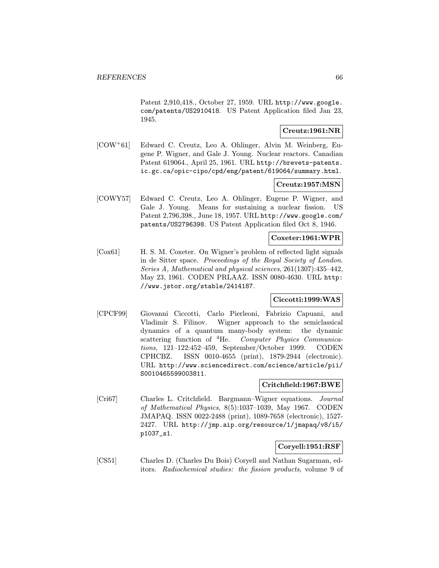Patent 2,910,418., October 27, 1959. URL http://www.google. com/patents/US2910418. US Patent Application filed Jan 23, 1945.

## Creutz:1961:NR

[COW<sup>+</sup>61] Edward C. Creutz, Leo A. Ohlinger, Alvin M. Weinberg, Eugene P. Wigner, and Gale J. Young. Nuclear reactors. Canadian Patent 619064., April 25, 1961. URL http://brevets-patents. ic.gc.ca/opic-cipo/cpd/eng/patent/619064/summary.html.

#### Creutz:1957:MSN

[COWY57] Edward C. Creutz, Leo A. Ohlinger, Eugene P. Wigner, and Gale J. Young. Means for sustaining a nuclear fission. US Patent 2,796,398., June 18, 1957. URL http://www.google.com/ patents/US2796398. US Patent Application filed Oct 8, 1946.

### Coxeter:1961:WPR

[Cox61] H. S. M. Coxeter. On Wigner's problem of reflected light signals in de Sitter space. Proceedings of the Royal Society of London. Series A, Mathematical and physical sciences, 261(1307):435–442, May 23, 1961. CODEN PRLAAZ. ISSN 0080-4630. URL http: //www.jstor.org/stable/2414187.

## Ciccotti:1999:WAS

[CPCF99] Giovanni Ciccotti, Carlo Pierleoni, Fabrizio Capuani, and Vladimir S. Filinov. Wigner approach to the semiclassical dynamics of a quantum many-body system: the dynamic scattering function of <sup>4</sup>He. Computer Physics Communications, 121–122:452–459, September/October 1999. CODEN CPHCBZ. ISSN 0010-4655 (print), 1879-2944 (electronic). URL http://www.sciencedirect.com/science/article/pii/ S0010465599003811.

### Critchfield:1967:BWE

[Cri67] Charles L. Critchfield. Bargmann–Wigner equations. Journal of Mathematical Physics, 8(5):1037–1039, May 1967. CODEN JMAPAQ. ISSN 0022-2488 (print), 1089-7658 (electronic), 1527- 2427. URL http://jmp.aip.org/resource/1/jmapaq/v8/i5/ p1037\_s1.

#### Coryell:1951:RSF

[CS51] Charles D. (Charles Du Bois) Coryell and Nathan Sugarman, editors. Radiochemical studies: the fission products, volume 9 of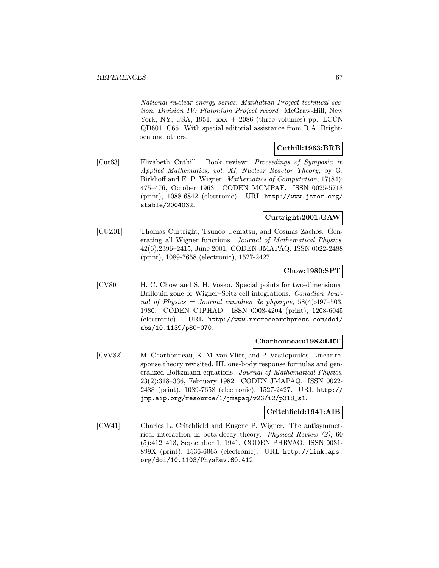National nuclear energy series. Manhattan Project technical section. Division IV: Plutonium Project record. McGraw-Hill, New York, NY, USA,  $1951. \,$  xxx + 2086 (three volumes) pp. LCCN QD601 .C65. With special editorial assistance from R.A. Brightsen and others.

## Cuthill:1963:BRB

[Cut63] Elizabeth Cuthill. Book review: Proceedings of Symposia in Applied Mathematics, vol. XI, Nuclear Reactor Theory, by G. Birkhoff and E. P. Wigner. *Mathematics of Computation*, 17(84): 475–476, October 1963. CODEN MCMPAF. ISSN 0025-5718 (print), 1088-6842 (electronic). URL http://www.jstor.org/ stable/2004032.

## Curtright:2001:GAW

[CUZ01] Thomas Curtright, Tsuneo Uematsu, and Cosmas Zachos. Generating all Wigner functions. Journal of Mathematical Physics, 42(6):2396–2415, June 2001. CODEN JMAPAQ. ISSN 0022-2488 (print), 1089-7658 (electronic), 1527-2427.

## Chow:1980:SPT

[CV80] H. C. Chow and S. H. Vosko. Special points for two-dimensional Brillouin zone or Wigner–Seitz cell integrations. Canadian Journal of Physics = Journal canadien de physique,  $58(4):497-503$ , 1980. CODEN CJPHAD. ISSN 0008-4204 (print), 1208-6045 (electronic). URL http://www.nrcresearchpress.com/doi/ abs/10.1139/p80-070.

## Charbonneau:1982:LRT

[CvV82] M. Charbonneau, K. M. van Vliet, and P. Vasilopoulos. Linear response theory revisited. III. one-body response formulas and generalized Boltzmann equations. Journal of Mathematical Physics, 23(2):318–336, February 1982. CODEN JMAPAQ. ISSN 0022- 2488 (print), 1089-7658 (electronic), 1527-2427. URL http:// jmp.aip.org/resource/1/jmapaq/v23/i2/p318\_s1.

### Critchfield:1941:AIB

[CW41] Charles L. Critchfield and Eugene P. Wigner. The antisymmetrical interaction in beta-decay theory. Physical Review (2), 60 (5):412–413, September 1, 1941. CODEN PHRVAO. ISSN 0031- 899X (print), 1536-6065 (electronic). URL http://link.aps. org/doi/10.1103/PhysRev.60.412.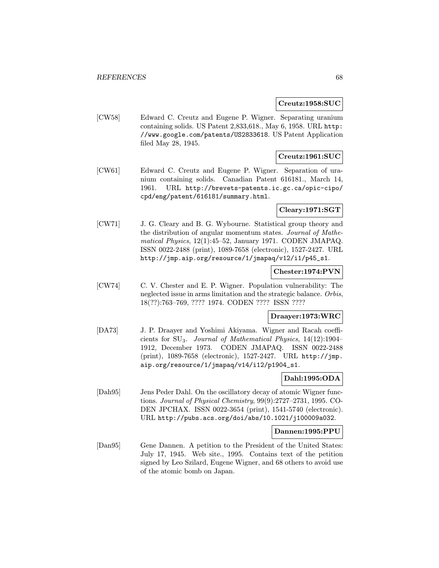#### $\rm Creatz:1958: SUC$

[CW58] Edward C. Creutz and Eugene P. Wigner. Separating uranium containing solids. US Patent 2,833,618., May 6, 1958. URL http: //www.google.com/patents/US2833618. US Patent Application filed May 28, 1945.

## Creutz:1961:SUC

[CW61] Edward C. Creutz and Eugene P. Wigner. Separation of uranium containing solids. Canadian Patent 616181., March 14, 1961. URL http://brevets-patents.ic.gc.ca/opic-cipo/ cpd/eng/patent/616181/summary.html.

## Cleary:1971:SGT

[CW71] J. G. Cleary and B. G. Wybourne. Statistical group theory and the distribution of angular momentum states. Journal of Mathematical Physics, 12(1):45–52, January 1971. CODEN JMAPAQ. ISSN 0022-2488 (print), 1089-7658 (electronic), 1527-2427. URL http://jmp.aip.org/resource/1/jmapaq/v12/i1/p45\_s1.

## Chester:1974:PVN

[CW74] C. V. Chester and E. P. Wigner. Population vulnerability: The neglected issue in arms limitation and the strategic balance. Orbis, 18(??):763–769, ???? 1974. CODEN ???? ISSN ????

### Draayer:1973:WRC

[DA73] J. P. Draayer and Yoshimi Akiyama. Wigner and Racah coefficients for  $SU_3$ . Journal of Mathematical Physics, 14(12):1904– 1912, December 1973. CODEN JMAPAQ. ISSN 0022-2488 (print), 1089-7658 (electronic), 1527-2427. URL http://jmp. aip.org/resource/1/jmapaq/v14/i12/p1904\_s1.

### Dahl:1995:ODA

[Dah95] Jens Peder Dahl. On the oscillatory decay of atomic Wigner functions. Journal of Physical Chemistry, 99(9):2727–2731, 1995. CO-DEN JPCHAX. ISSN 0022-3654 (print), 1541-5740 (electronic). URL http://pubs.acs.org/doi/abs/10.1021/j100009a032.

#### Dannen:1995:PPU

[Dan95] Gene Dannen. A petition to the President of the United States: July 17, 1945. Web site., 1995. Contains text of the petition signed by Leo Szilard, Eugene Wigner, and 68 others to avoid use of the atomic bomb on Japan.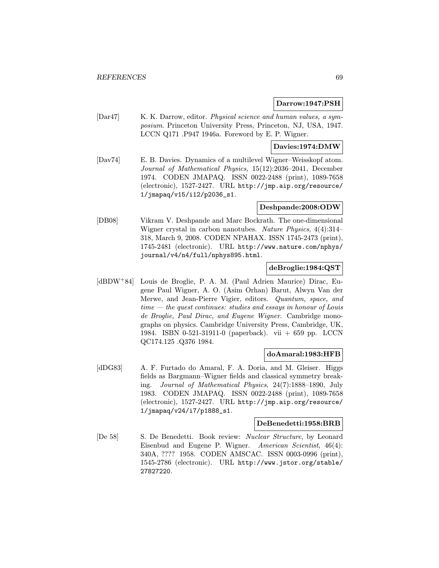#### Darrow:1947:PSH

[Dar47] K. K. Darrow, editor. Physical science and human values, a symposium. Princeton University Press, Princeton, NJ, USA, 1947. LCCN Q171 .P947 1946a. Foreword by E. P. Wigner.

### Davies:1974:DMW

[Dav74] E. B. Davies. Dynamics of a multilevel Wigner–Weisskopf atom. Journal of Mathematical Physics, 15(12):2036–2041, December 1974. CODEN JMAPAQ. ISSN 0022-2488 (print), 1089-7658 (electronic), 1527-2427. URL http://jmp.aip.org/resource/ 1/jmapaq/v15/i12/p2036\_s1.

### Deshpande:2008:ODW

[DB08] Vikram V. Deshpande and Marc Bockrath. The one-dimensional Wigner crystal in carbon nanotubes. Nature Physics, 4(4):314– 318, March 9, 2008. CODEN NPAHAX. ISSN 1745-2473 (print), 1745-2481 (electronic). URL http://www.nature.com/nphys/ journal/v4/n4/full/nphys895.html.

## deBroglie:1984:QST

[dBDW<sup>+</sup>84] Louis de Broglie, P. A. M. (Paul Adrien Maurice) Dirac, Eugene Paul Wigner, A. O. (Asim Orhan) Barut, Alwyn Van der Merwe, and Jean-Pierre Vigier, editors. Quantum, space, and time — the quest continues: studies and essays in honour of Louis de Broglie, Paul Dirac, and Eugene Wigner. Cambridge monographs on physics. Cambridge University Press, Cambridge, UK, 1984. ISBN 0-521-31911-0 (paperback). vii + 659 pp. LCCN QC174.125 .Q376 1984.

### doAmaral:1983:HFB

[dDG83] A. F. Furtado do Amaral, F. A. Doria, and M. Gleiser. Higgs fields as Bargmann–Wigner fields and classical symmetry breaking. Journal of Mathematical Physics, 24(7):1888–1890, July 1983. CODEN JMAPAQ. ISSN 0022-2488 (print), 1089-7658 (electronic), 1527-2427. URL http://jmp.aip.org/resource/ 1/jmapaq/v24/i7/p1888\_s1.

#### DeBenedetti:1958:BRB

[De 58] S. De Benedetti. Book review: Nuclear Structure, by Leonard Eisenbud and Eugene P. Wigner. American Scientist, 46(4): 340A, ???? 1958. CODEN AMSCAC. ISSN 0003-0996 (print), 1545-2786 (electronic). URL http://www.jstor.org/stable/ 27827220.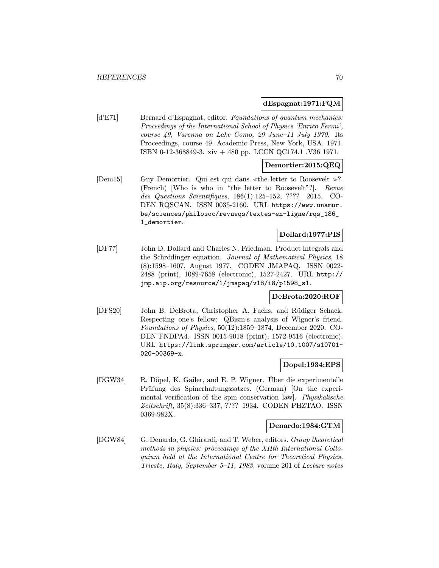## dEspagnat:1971:FQM

[d'E71] Bernard d'Espagnat, editor. Foundations of quantum mechanics: Proceedings of the International School of Physics 'Enrico Fermi', course 49, Varenna on Lake Como, 29 June–11 July 1970. Its Proceedings, course 49. Academic Press, New York, USA, 1971. ISBN 0-12-368849-3. xiv + 480 pp. LCCN QC174.1 .V36 1971.

## Demortier:2015:QEQ

 $\text{[Dem15]}$  Guy Demortier. Qui est qui dans «the letter to Roosevelt »?. (French) [Who is who in "the letter to Roosevelt"?]. Revue des Questions Scientifiques, 186(1):125–152, ???? 2015. CO-DEN RQSCAN. ISSN 0035-2160. URL https://www.unamur. be/sciences/philosoc/revueqs/textes-en-ligne/rqs\_186\_ 1\_demortier.

## Dollard:1977:PIS

[DF77] John D. Dollard and Charles N. Friedman. Product integrals and the Schrödinger equation. Journal of Mathematical Physics, 18 (8):1598–1607, August 1977. CODEN JMAPAQ. ISSN 0022- 2488 (print), 1089-7658 (electronic), 1527-2427. URL http:// jmp.aip.org/resource/1/jmapaq/v18/i8/p1598\_s1.

### DeBrota:2020:ROF

[DFS20] John B. DeBrota, Christopher A. Fuchs, and Rüdiger Schack. Respecting one's fellow: QBism's analysis of Wigner's friend. Foundations of Physics, 50(12):1859–1874, December 2020. CO-DEN FNDPA4. ISSN 0015-9018 (print), 1572-9516 (electronic). URL https://link.springer.com/article/10.1007/s10701- 020-00369-x.

## Dopel:1934:EPS

[DGW34] R. Döpel, K. Gailer, and E. P. Wigner. Uber die experimentelle Prüfung des Spinerhaltungssatzes. (German) [On the experimental verification of the spin conservation law]. Physikalische Zeitschrift, 35(8):336–337, ???? 1934. CODEN PHZTAO. ISSN 0369-982X.

### Denardo:1984:GTM

[DGW84] G. Denardo, G. Ghirardi, and T. Weber, editors. Group theoretical methods in physics: proceedings of the XIIth International Colloquium held at the International Centre for Theoretical Physics, Trieste, Italy, September 5–11, 1983, volume 201 of Lecture notes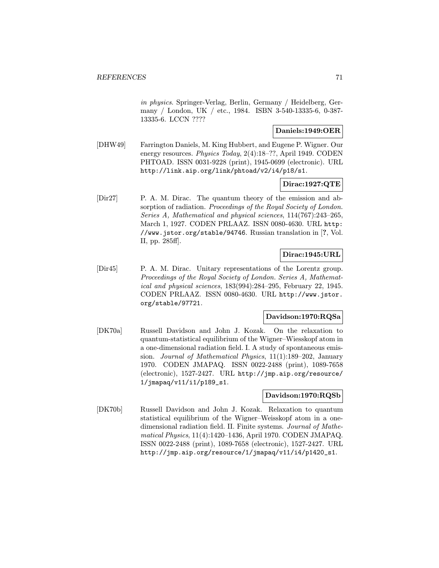in physics. Springer-Verlag, Berlin, Germany / Heidelberg, Germany / London, UK / etc., 1984. ISBN 3-540-13335-6, 0-387- 13335-6. LCCN ????

## Daniels:1949:OER

[DHW49] Farrington Daniels, M. King Hubbert, and Eugene P. Wigner. Our energy resources. Physics Today, 2(4):18–??, April 1949. CODEN PHTOAD. ISSN 0031-9228 (print), 1945-0699 (electronic). URL http://link.aip.org/link/phtoad/v2/i4/p18/s1.

## Dirac:1927:QTE

[Dir27] P. A. M. Dirac. The quantum theory of the emission and absorption of radiation. Proceedings of the Royal Society of London. Series A, Mathematical and physical sciences, 114(767):243–265, March 1, 1927. CODEN PRLAAZ. ISSN 0080-4630. URL http: //www.jstor.org/stable/94746. Russian translation in [?, Vol. II, pp. 285ff].

## Dirac:1945:URL

[Dir45] P. A. M. Dirac. Unitary representations of the Lorentz group. Proceedings of the Royal Society of London. Series A, Mathematical and physical sciences, 183(994):284–295, February 22, 1945. CODEN PRLAAZ. ISSN 0080-4630. URL http://www.jstor. org/stable/97721.

### Davidson:1970:RQSa

[DK70a] Russell Davidson and John J. Kozak. On the relaxation to quantum-statistical equilibrium of the Wigner–Wiesskopf atom in a one-dimensional radiation field. I. A study of spontaneous emission. Journal of Mathematical Physics, 11(1):189–202, January 1970. CODEN JMAPAQ. ISSN 0022-2488 (print), 1089-7658 (electronic), 1527-2427. URL http://jmp.aip.org/resource/ 1/jmapaq/v11/i1/p189\_s1.

### Davidson:1970:RQSb

[DK70b] Russell Davidson and John J. Kozak. Relaxation to quantum statistical equilibrium of the Wigner–Weisskopf atom in a onedimensional radiation field. II. Finite systems. Journal of Mathematical Physics, 11(4):1420–1436, April 1970. CODEN JMAPAQ. ISSN 0022-2488 (print), 1089-7658 (electronic), 1527-2427. URL http://jmp.aip.org/resource/1/jmapaq/v11/i4/p1420\_s1.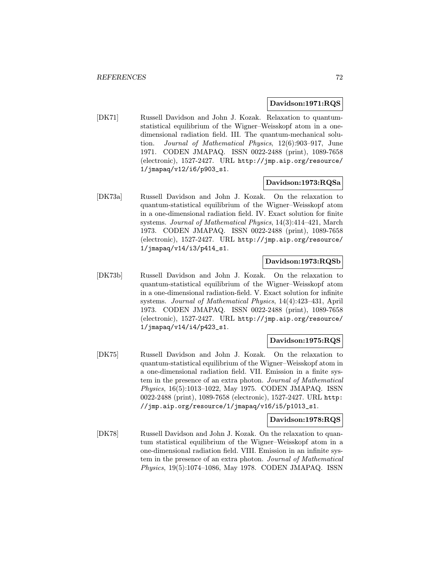#### Davidson:1971:RQS

[DK71] Russell Davidson and John J. Kozak. Relaxation to quantumstatistical equilibrium of the Wigner–Weisskopf atom in a onedimensional radiation field. III. The quantum-mechanical solution. Journal of Mathematical Physics, 12(6):903–917, June 1971. CODEN JMAPAQ. ISSN 0022-2488 (print), 1089-7658 (electronic), 1527-2427. URL http://jmp.aip.org/resource/ 1/jmapaq/v12/i6/p903\_s1.

#### Davidson:1973:RQSa

[DK73a] Russell Davidson and John J. Kozak. On the relaxation to quantum-statistical equilibrium of the Wigner–Weisskopf atom in a one-dimensional radiation field. IV. Exact solution for finite systems. Journal of Mathematical Physics, 14(3):414–421, March 1973. CODEN JMAPAQ. ISSN 0022-2488 (print), 1089-7658 (electronic), 1527-2427. URL http://jmp.aip.org/resource/ 1/jmapaq/v14/i3/p414\_s1.

### Davidson:1973:RQSb

[DK73b] Russell Davidson and John J. Kozak. On the relaxation to quantum-statistical equilibrium of the Wigner–Weisskopf atom in a one-dimensional radiation-field. V. Exact solution for infinite systems. Journal of Mathematical Physics, 14(4):423–431, April 1973. CODEN JMAPAQ. ISSN 0022-2488 (print), 1089-7658 (electronic), 1527-2427. URL http://jmp.aip.org/resource/ 1/jmapaq/v14/i4/p423\_s1.

### Davidson:1975:RQS

[DK75] Russell Davidson and John J. Kozak. On the relaxation to quantum-statistical equilibrium of the Wigner–Weisskopf atom in a one-dimensional radiation field. VII. Emission in a finite system in the presence of an extra photon. Journal of Mathematical Physics, 16(5):1013–1022, May 1975. CODEN JMAPAQ. ISSN 0022-2488 (print), 1089-7658 (electronic), 1527-2427. URL http: //jmp.aip.org/resource/1/jmapaq/v16/i5/p1013\_s1.

#### Davidson:1978:RQS

[DK78] Russell Davidson and John J. Kozak. On the relaxation to quantum statistical equilibrium of the Wigner–Weisskopf atom in a one-dimensional radiation field. VIII. Emission in an infinite system in the presence of an extra photon. Journal of Mathematical Physics, 19(5):1074–1086, May 1978. CODEN JMAPAQ. ISSN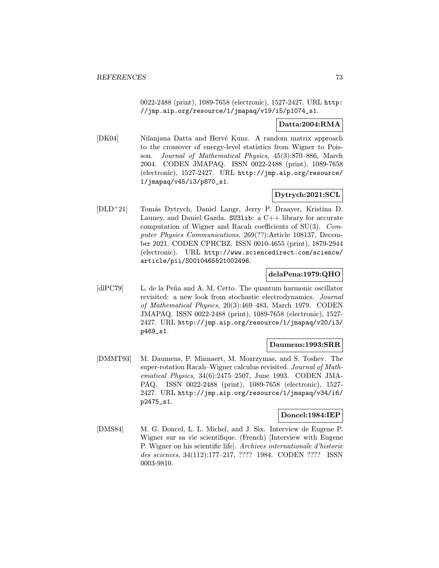0022-2488 (print), 1089-7658 (electronic), 1527-2427. URL http: //jmp.aip.org/resource/1/jmapaq/v19/i5/p1074\_s1.

## Datta:2004:RMA

[DK04] Nilanjana Datta and Hervé Kunz. A random matrix approach to the crossover of energy-level statistics from Wigner to Poisson. Journal of Mathematical Physics, 45(3):870–886, March 2004. CODEN JMAPAQ. ISSN 0022-2488 (print), 1089-7658 (electronic), 1527-2427. URL http://jmp.aip.org/resource/ 1/jmapaq/v45/i3/p870\_s1.

# Dytrych:2021:SCL

[DLD<sup>+</sup>21] Tomás Dytrych, Daniel Langr, Jerry P. Draayer, Kristina D. Launey, and Daniel Gazda. SU31ib: a  $C++$  library for accurate computation of Wigner and Racah coefficients of SU(3). Computer Physics Communications, 269(??):Article 108137, December 2021. CODEN CPHCBZ. ISSN 0010-4655 (print), 1879-2944 (electronic). URL http://www.sciencedirect.com/science/ article/pii/S0010465521002496.

## delaPena:1979:QHO

[dlPC79] L. de la Peña and A. M. Cetto. The quantum harmonic oscillator revisited: a new look from stochastic electrodynamics. Journal of Mathematical Physics, 20(3):469–483, March 1979. CODEN JMAPAQ. ISSN 0022-2488 (print), 1089-7658 (electronic), 1527- 2427. URL http://jmp.aip.org/resource/1/jmapaq/v20/i3/ p469\_s1.

## Daumens:1993:SRR

[DMMT93] M. Daumens, P. Minnaert, M. Mozrzymas, and S. Toshev. The super-rotation Racah–Wigner calculus revisited. Journal of Mathematical Physics, 34(6):2475–2507, June 1993. CODEN JMA-PAQ. ISSN 0022-2488 (print), 1089-7658 (electronic), 1527- 2427. URL http://jmp.aip.org/resource/1/jmapaq/v34/i6/ p2475\_s1.

# Doncel:1984:IEP

[DMS84] M. G. Doncel, L. L. Michel, and J. Six. Interview de Eugene P. Wigner sur sa vie scientifique. (French) [Interview with Eugene P. Wigner on his scientific life]. Archives internationale d'historie des sciences, 34(112):177–217, ???? 1984. CODEN ???? ISSN 0003-9810.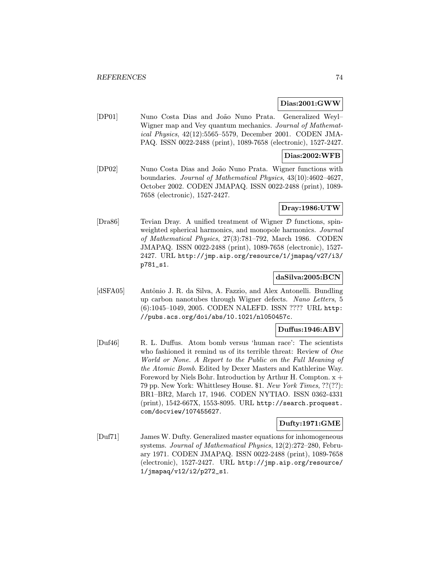#### Dias:2001:GWW

[DP01] Nuno Costa Dias and João Nuno Prata. Generalized Weyl-Wigner map and Vey quantum mechanics. Journal of Mathematical Physics, 42(12):5565–5579, December 2001. CODEN JMA-PAQ. ISSN 0022-2488 (print), 1089-7658 (electronic), 1527-2427.

## Dias:2002:WFB

[DP02] Nuno Costa Dias and Jo˜ao Nuno Prata. Wigner functions with boundaries. Journal of Mathematical Physics, 43(10):4602–4627, October 2002. CODEN JMAPAQ. ISSN 0022-2488 (print), 1089- 7658 (electronic), 1527-2427.

## Dray:1986:UTW

[Dra86] Tevian Dray. A unified treatment of Wigner D functions, spinweighted spherical harmonics, and monopole harmonics. Journal of Mathematical Physics, 27(3):781–792, March 1986. CODEN JMAPAQ. ISSN 0022-2488 (print), 1089-7658 (electronic), 1527- 2427. URL http://jmp.aip.org/resource/1/jmapaq/v27/i3/ p781\_s1.

## daSilva:2005:BCN

[dSFA05] Antônio J. R. da Silva, A. Fazzio, and Alex Antonelli. Bundling up carbon nanotubes through Wigner defects. Nano Letters, 5 (6):1045–1049, 2005. CODEN NALEFD. ISSN ???? URL http: //pubs.acs.org/doi/abs/10.1021/nl050457c.

### Duffus:1946:ABV

[Duf46] R. L. Duffus. Atom bomb versus 'human race': The scientists who fashioned it remind us of its terrible threat: Review of One World or None. A Report to the Public on the Full Meaning of the Atomic Bomb. Edited by Dexer Masters and Kathlerine Way. Foreword by Niels Bohr. Introduction by Arthur H. Compton.  $x +$ 79 pp. New York: Whittlesey House. \$1. New York Times, ??(??): BR1–BR2, March 17, 1946. CODEN NYTIAO. ISSN 0362-4331 (print), 1542-667X, 1553-8095. URL http://search.proquest. com/docview/107455627.

## Dufty:1971:GME

[Duf71] James W. Dufty. Generalized master equations for inhomogeneous systems. Journal of Mathematical Physics, 12(2):272–280, February 1971. CODEN JMAPAQ. ISSN 0022-2488 (print), 1089-7658 (electronic), 1527-2427. URL http://jmp.aip.org/resource/ 1/jmapaq/v12/i2/p272\_s1.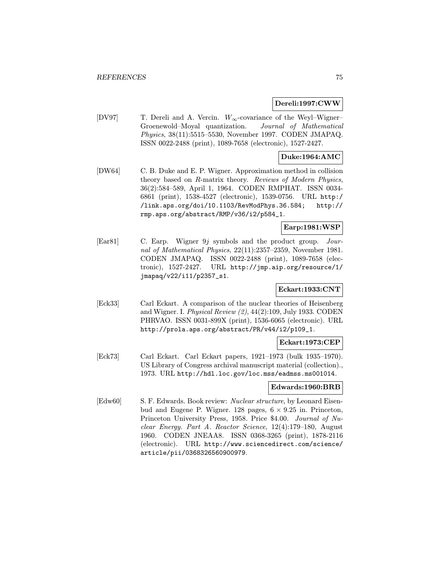## Dereli:1997:CWW

[DV97] T. Dereli and A. Vercin. W∞-covariance of the Weyl–Wigner– Groenewold–Moyal quantization. Journal of Mathematical Physics, 38(11):5515–5530, November 1997. CODEN JMAPAQ. ISSN 0022-2488 (print), 1089-7658 (electronic), 1527-2427.

## Duke:1964:AMC

[DW64] C. B. Duke and E. P. Wigner. Approximation method in collision theory based on R-matrix theory. Reviews of Modern Physics, 36(2):584–589, April 1, 1964. CODEN RMPHAT. ISSN 0034- 6861 (print), 1538-4527 (electronic), 1539-0756. URL http:/ /link.aps.org/doi/10.1103/RevModPhys.36.584; http:// rmp.aps.org/abstract/RMP/v36/i2/p584\_1.

## Earp:1981:WSP

[Ear81] C. Earp. Wigner 9j symbols and the product group. Journal of Mathematical Physics, 22(11):2357–2359, November 1981. CODEN JMAPAQ. ISSN 0022-2488 (print), 1089-7658 (electronic), 1527-2427. URL http://jmp.aip.org/resource/1/ jmapaq/v22/i11/p2357\_s1.

## Eckart:1933:CNT

[Eck33] Carl Eckart. A comparison of the nuclear theories of Heisenberg and Wigner. I. Physical Review (2), 44(2):109, July 1933. CODEN PHRVAO. ISSN 0031-899X (print), 1536-6065 (electronic). URL http://prola.aps.org/abstract/PR/v44/i2/p109\_1.

## Eckart:1973:CEP

[Eck73] Carl Eckart. Carl Eckart papers, 1921–1973 (bulk 1935–1970). US Library of Congress archival manuscript material (collection)., 1973. URL http://hdl.loc.gov/loc.mss/eadmss.ms001014.

#### Edwards:1960:BRB

[Edw60] S. F. Edwards. Book review: Nuclear structure, by Leonard Eisenbud and Eugene P. Wigner. 128 pages,  $6 \times 9.25$  in. Princeton, Princeton University Press, 1958. Price \$4.00. Journal of Nuclear Energy. Part A. Reactor Science, 12(4):179–180, August 1960. CODEN JNEAA8. ISSN 0368-3265 (print), 1878-2116 (electronic). URL http://www.sciencedirect.com/science/ article/pii/0368326560900979.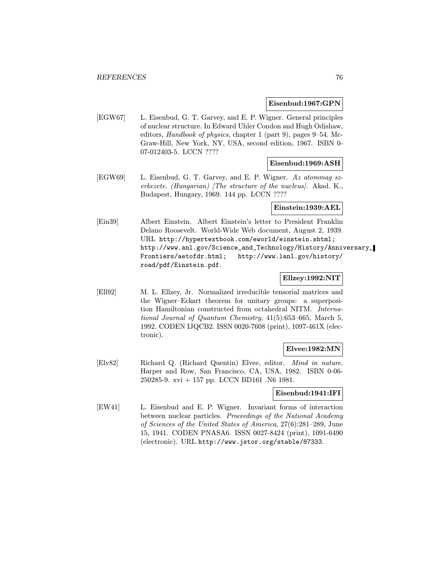#### Eisenbud:1967:GPN

[EGW67] L. Eisenbud, G. T. Garvey, and E. P. Wigner. General principles of nuclear structure. In Edward Uhler Condon and Hugh Odishaw, editors, Handbook of physics, chapter 1 (part 9), pages 9–54. Mc-Graw-Hill, New York, NY, USA, second edition, 1967. ISBN 0- 07-012403-5. LCCN ????

## Eisenbud:1969:ASH

[EGW69] L. Eisenbud, G. T. Garvey, and E. P. Wigner. Az atommag szerkezete. (Hungarian) [The structure of the nucleus]. Akad. K., Budapest, Hungary, 1969. 144 pp. LCCN ????

#### Einstein:1939:AEL

[Ein39] Albert Einstein. Albert Einstein's letter to President Franklin Delano Roosevelt. World-Wide Web document, August 2, 1939. URL http://hypertextbook.com/eworld/einstein.shtml; http://www.anl.gov/Science\_and\_Technology/History/Anniversary\_ Frontiers/aetofdr.html; http://www.lanl.gov/history/ road/pdf/Einstein.pdf.

## Ellzey:1992:NIT

[Ell92] M. L. Ellzey, Jr. Normalized irreducible tensorial matrices and the Wigner–Eckart theorem for unitary groups: a superposition Hamiltonian constructed from octahedral NITM. International Journal of Quantum Chemistry, 41(5):653–665, March 5, 1992. CODEN IJQCB2. ISSN 0020-7608 (print), 1097-461X (electronic).

## Elvee:1982:MN

[Elv82] Richard Q. (Richard Quentin) Elvee, editor. Mind in nature. Harper and Row, San Francisco, CA, USA, 1982. ISBN 0-06- 250285-9. xvi + 157 pp. LCCN BD161 .N6 1981.

## Eisenbud:1941:IFI

[EW41] L. Eisenbud and E. P. Wigner. Invariant forms of interaction between nuclear particles. Proceedings of the National Academy of Sciences of the United States of America, 27(6):281–289, June 15, 1941. CODEN PNASA6. ISSN 0027-8424 (print), 1091-6490 (electronic). URL http://www.jstor.org/stable/87333.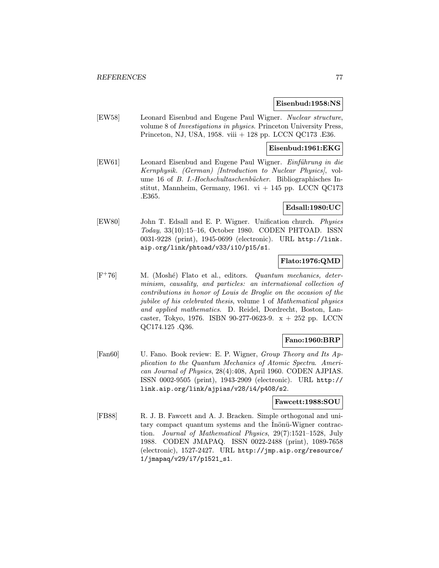#### Eisenbud:1958:NS

[EW58] Leonard Eisenbud and Eugene Paul Wigner. Nuclear structure, volume 8 of Investigations in physics. Princeton University Press, Princeton, NJ, USA, 1958. viii + 128 pp. LCCN QC173 .E36.

## Eisenbud:1961:EKG

[EW61] Leonard Eisenbud and Eugene Paul Wigner. Einführung in die Kernphysik. (German) [Introduction to Nuclear Physics], volume 16 of *B. I.-Hochschultaschenbücher*. Bibliographisches Institut, Mannheim, Germany, 1961. vi  $+$  145 pp. LCCN QC173 .E365.

### Edsall:1980:UC

[EW80] John T. Edsall and E. P. Wigner. Unification church. Physics Today, 33(10):15–16, October 1980. CODEN PHTOAD. ISSN 0031-9228 (print), 1945-0699 (electronic). URL http://link. aip.org/link/phtoad/v33/i10/p15/s1.

# Flato:1976:QMD

 $[F<sup>+</sup>76]$  M. (Moshé) Flato et al., editors. Quantum mechanics, determinism, causality, and particles: an international collection of contributions in honor of Louis de Broglie on the occasion of the jubilee of his celebrated thesis, volume 1 of Mathematical physics and applied mathematics. D. Reidel, Dordrecht, Boston, Lancaster, Tokyo, 1976. ISBN 90-277-0623-9.  $x + 252$  pp. LCCN QC174.125 .Q36.

## Fano:1960:BRP

[Fan60] U. Fano. Book review: E. P. Wigner, Group Theory and Its Application to the Quantum Mechanics of Atomic Spectra. American Journal of Physics, 28(4):408, April 1960. CODEN AJPIAS. ISSN 0002-9505 (print), 1943-2909 (electronic). URL http:// link.aip.org/link/ajpias/v28/i4/p408/s2.

# Fawcett:1988:SOU

[FB88] R. J. B. Fawcett and A. J. Bracken. Simple orthogonal and unitary compact quantum systems and the Inönü-Wigner contraction. Journal of Mathematical Physics, 29(7):1521–1528, July 1988. CODEN JMAPAQ. ISSN 0022-2488 (print), 1089-7658 (electronic), 1527-2427. URL http://jmp.aip.org/resource/ 1/jmapaq/v29/i7/p1521\_s1.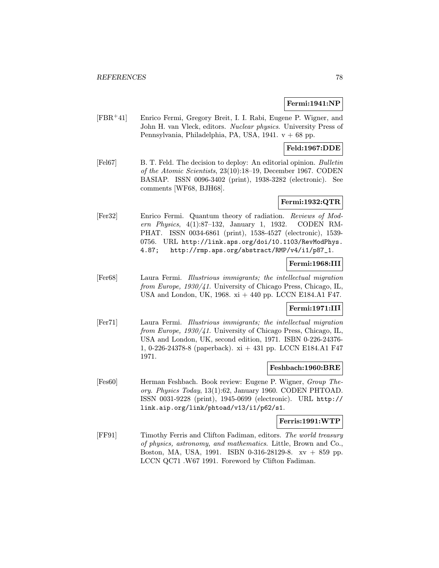## Fermi:1941:NP

[FBR<sup>+</sup>41] Enrico Fermi, Gregory Breit, I. I. Rabi, Eugene P. Wigner, and John H. van Vleck, editors. Nuclear physics. University Press of Pennsylvania, Philadelphia, PA, USA, 1941. v + 68 pp.

## Feld:1967:DDE

[Fel67] B. T. Feld. The decision to deploy: An editorial opinion. Bulletin of the Atomic Scientists, 23(10):18–19, December 1967. CODEN BASIAP. ISSN 0096-3402 (print), 1938-3282 (electronic). See comments [WF68, BJH68].

## Fermi:1932:QTR

[Fer32] Enrico Fermi. Quantum theory of radiation. Reviews of Modern Physics, 4(1):87–132, January 1, 1932. CODEN RM-PHAT. ISSN 0034-6861 (print), 1538-4527 (electronic), 1539- 0756. URL http://link.aps.org/doi/10.1103/RevModPhys. 4.87; http://rmp.aps.org/abstract/RMP/v4/i1/p87\_1.

## Fermi:1968:III

[Fer68] Laura Fermi. Illustrious immigrants; the intellectual migration from Europe, 1930/41. University of Chicago Press, Chicago, IL, USA and London, UK, 1968. xi + 440 pp. LCCN E184.A1 F47.

## Fermi:1971:III

[Fer71] Laura Fermi. Illustrious immigrants; the intellectual migration from Europe, 1930/41. University of Chicago Press, Chicago, IL, USA and London, UK, second edition, 1971. ISBN 0-226-24376- 1, 0-226-24378-8 (paperback). xi + 431 pp. LCCN E184.A1 F47 1971.

## Feshbach:1960:BRE

[Fes60] Herman Feshbach. Book review: Eugene P. Wigner, Group Theory. Physics Today, 13(1):62, January 1960. CODEN PHTOAD. ISSN 0031-9228 (print), 1945-0699 (electronic). URL http:// link.aip.org/link/phtoad/v13/i1/p62/s1.

## Ferris:1991:WTP

[FF91] Timothy Ferris and Clifton Fadiman, editors. The world treasury of physics, astronomy, and mathematics. Little, Brown and Co., Boston, MA, USA, 1991. ISBN 0-316-28129-8. xv + 859 pp. LCCN QC71 .W67 1991. Foreword by Clifton Fadiman.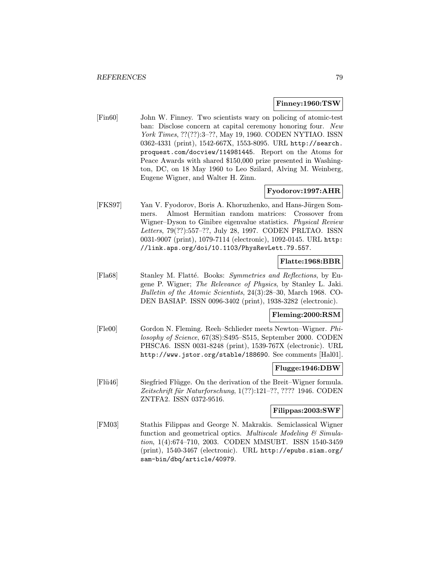#### Finney:1960:TSW

[Fin60] John W. Finney. Two scientists wary on policing of atomic-test ban: Disclose concern at capital ceremony honoring four. New York Times, ??(??):3-??, May 19, 1960. CODEN NYTIAO. ISSN 0362-4331 (print), 1542-667X, 1553-8095. URL http://search. proquest.com/docview/114981445. Report on the Atoms for Peace Awards with shared \$150,000 prize presented in Washington, DC, on 18 May 1960 to Leo Szilard, Alving M. Weinberg, Eugene Wigner, and Walter H. Zinn.

## Fyodorov:1997:AHR

[FKS97] Yan V. Fyodorov, Boris A. Khoruzhenko, and Hans-Jürgen Sommers. Almost Hermitian random matrices: Crossover from Wigner–Dyson to Ginibre eigenvalue statistics. Physical Review Letters, 79(??):557–??, July 28, 1997. CODEN PRLTAO. ISSN 0031-9007 (print), 1079-7114 (electronic), 1092-0145. URL http: //link.aps.org/doi/10.1103/PhysRevLett.79.557.

## Flatte:1968:BBR

[Fla68] Stanley M. Flatté. Books: Symmetries and Reflections, by Eugene P. Wigner; The Relevance of Physics, by Stanley L. Jaki. Bulletin of the Atomic Scientists, 24(3):28–30, March 1968. CO-DEN BASIAP. ISSN 0096-3402 (print), 1938-3282 (electronic).

## Fleming:2000:RSM

[Fle00] Gordon N. Fleming. Reeh–Schlieder meets Newton–Wigner. Philosophy of Science, 67(3S):S495–S515, September 2000. CODEN PHSCA6. ISSN 0031-8248 (print), 1539-767X (electronic). URL http://www.jstor.org/stable/188690. See comments [Hal01].

#### Flugge:1946:DBW

[Flü46] Siegfried Flügge. On the derivation of the Breit–Wigner formula. Zeitschrift für Naturforschung, 1(??):121-??, ???? 1946. CODEN ZNTFA2. ISSN 0372-9516.

## Filippas:2003:SWF

[FM03] Stathis Filippas and George N. Makrakis. Semiclassical Wigner function and geometrical optics. Multiscale Modeling  $\mathcal C$  Simulation, 1(4):674–710, 2003. CODEN MMSUBT. ISSN 1540-3459 (print), 1540-3467 (electronic). URL http://epubs.siam.org/ sam-bin/dbq/article/40979.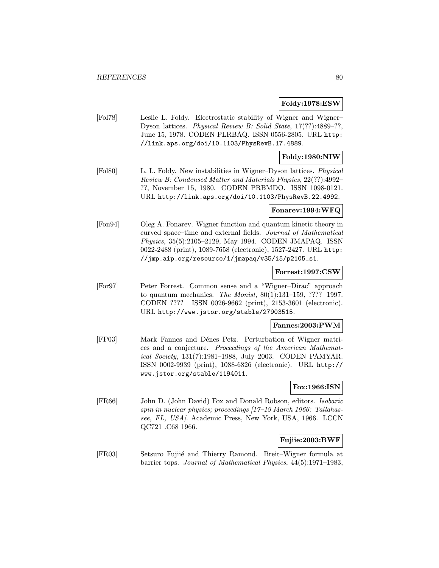## Foldy:1978:ESW

[Fol78] Leslie L. Foldy. Electrostatic stability of Wigner and Wigner– Dyson lattices. Physical Review B: Solid State, 17(??):4889–??, June 15, 1978. CODEN PLRBAQ. ISSN 0556-2805. URL http: //link.aps.org/doi/10.1103/PhysRevB.17.4889.

## Foldy:1980:NIW

[Fol80] L. L. Foldy. New instabilities in Wigner–Dyson lattices. Physical Review B: Condensed Matter and Materials Physics, 22(??):4992– ??, November 15, 1980. CODEN PRBMDO. ISSN 1098-0121. URL http://link.aps.org/doi/10.1103/PhysRevB.22.4992.

## Fonarev:1994:WFQ

[Fon94] Oleg A. Fonarev. Wigner function and quantum kinetic theory in curved space–time and external fields. Journal of Mathematical Physics, 35(5):2105–2129, May 1994. CODEN JMAPAQ. ISSN 0022-2488 (print), 1089-7658 (electronic), 1527-2427. URL http: //jmp.aip.org/resource/1/jmapaq/v35/i5/p2105\_s1.

#### Forrest:1997:CSW

[For97] Peter Forrest. Common sense and a "Wigner–Dirac" approach to quantum mechanics. The Monist, 80(1):131–159, ???? 1997. CODEN ???? ISSN 0026-9662 (print), 2153-3601 (electronic). URL http://www.jstor.org/stable/27903515.

#### Fannes:2003:PWM

[FP03] Mark Fannes and Dénes Petz. Perturbation of Wigner matrices and a conjecture. Proceedings of the American Mathematical Society, 131(7):1981–1988, July 2003. CODEN PAMYAR. ISSN 0002-9939 (print), 1088-6826 (electronic). URL http:// www.jstor.org/stable/1194011.

## Fox:1966:ISN

[FR66] John D. (John David) Fox and Donald Robson, editors. Isobaric spin in nuclear physics; proceedings [17–19 March 1966: Tallahassee, FL, USA]. Academic Press, New York, USA, 1966. LCCN QC721 .C68 1966.

### Fujiie:2003:BWF

[FR03] Setsuro Fujiié and Thierry Ramond. Breit–Wigner formula at barrier tops. Journal of Mathematical Physics, 44(5):1971–1983,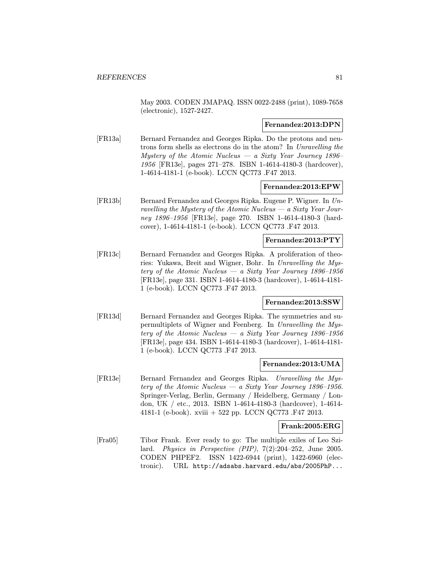May 2003. CODEN JMAPAQ. ISSN 0022-2488 (print), 1089-7658 (electronic), 1527-2427.

### Fernandez:2013:DPN

[FR13a] Bernard Fernandez and Georges Ripka. Do the protons and neutrons form shells as electrons do in the atom? In Unravelling the Mystery of the Atomic Nucleus — a Sixty Year Journey 1896– 1956 [FR13e], pages 271–278. ISBN 1-4614-4180-3 (hardcover), 1-4614-4181-1 (e-book). LCCN QC773 .F47 2013.

#### Fernandez:2013:EPW

[FR13b] Bernard Fernandez and Georges Ripka. Eugene P. Wigner. In Unravelling the Mystery of the Atomic Nucleus  $-a$  Sixty Year Journey 1896–1956 [FR13e], page 270. ISBN 1-4614-4180-3 (hardcover), 1-4614-4181-1 (e-book). LCCN QC773 .F47 2013.

### Fernandez:2013:PTY

[FR13c] Bernard Fernandez and Georges Ripka. A proliferation of theories: Yukawa, Breit and Wigner, Bohr. In Unravelling the Mystery of the Atomic Nucleus — a Sixty Year Journey  $1896-1956$ [FR13e], page 331. ISBN 1-4614-4180-3 (hardcover), 1-4614-4181- 1 (e-book). LCCN QC773 .F47 2013.

## Fernandez:2013:SSW

[FR13d] Bernard Fernandez and Georges Ripka. The symmetries and supermultiplets of Wigner and Feenberg. In Unravelling the Mystery of the Atomic Nucleus — a Sixty Year Journey 1896–1956 [FR13e], page 434. ISBN 1-4614-4180-3 (hardcover), 1-4614-4181- 1 (e-book). LCCN QC773 .F47 2013.

### Fernandez:2013:UMA

[FR13e] Bernard Fernandez and Georges Ripka. Unravelling the Mystery of the Atomic Nucleus — a Sixty Year Journey 1896–1956. Springer-Verlag, Berlin, Germany / Heidelberg, Germany / London, UK / etc., 2013. ISBN 1-4614-4180-3 (hardcover), 1-4614- 4181-1 (e-book). xviii + 522 pp. LCCN QC773 .F47 2013.

## Frank:2005:ERG

[Fra05] Tibor Frank. Ever ready to go: The multiple exiles of Leo Szilard. Physics in Perspective (PIP), 7(2):204–252, June 2005. CODEN PHPEF2. ISSN 1422-6944 (print), 1422-6960 (electronic). URL http://adsabs.harvard.edu/abs/2005PhP...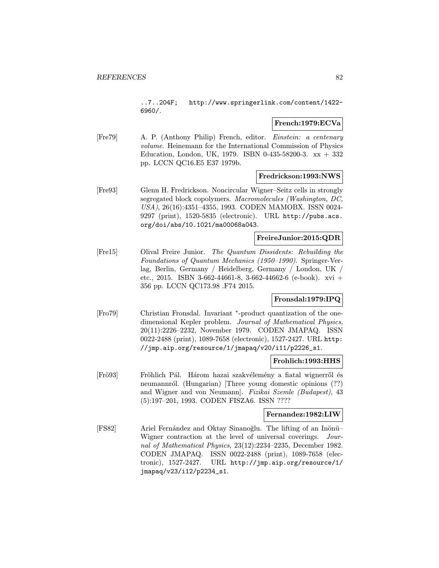..7..204F; http://www.springerlink.com/content/1422- 6960/.

#### French:1979:ECVa

[Fre79] A. P. (Anthony Philip) French, editor. Einstein: a centenary volume. Heinemann for the International Commission of Physics Education, London, UK, 1979. ISBN 0-435-58200-3.  $xx + 332$ pp. LCCN QC16.E5 E37 1979b.

### Fredrickson:1993:NWS

[Fre93] Glenn H. Fredrickson. Noncircular Wigner–Seitz cells in strongly segregated block copolymers. Macromolecules (Washington, DC, USA), 26(16):4351–4355, 1993. CODEN MAMOBX. ISSN 0024- 9297 (print), 1520-5835 (electronic). URL http://pubs.acs. org/doi/abs/10.1021/ma00068a043.

## FreireJunior:2015:QDR

[Fre15] Olival Freire Junior. The Quantum Dissidents: Rebuilding the Foundations of Quantum Mechanics (1950–1990). Springer-Verlag, Berlin, Germany / Heidelberg, Germany / London, UK / etc., 2015. ISBN 3-662-44661-8, 3-662-44662-6 (e-book). xvi + 356 pp. LCCN QC173.98 .F74 2015.

## Fronsdal:1979:IPQ

[Fro79] Christian Fronsdal. Invariant <sup>∗</sup>-product quantization of the onedimensional Kepler problem. Journal of Mathematical Physics, 20(11):2226–2232, November 1979. CODEN JMAPAQ. ISSN 0022-2488 (print), 1089-7658 (electronic), 1527-2427. URL http: //jmp.aip.org/resource/1/jmapaq/v20/i11/p2226\_s1.

## Frohlich:1993:HHS

[Frö93] Fröhlich Pál. Három hazai szakvélemény a fiatal wignerről és neumannról. (Hungarian) [Three young domestic opinions (??) and Wigner and von Neumann]. Fizikai Szemle (Budapest), 43 (5):197–201, 1993. CODEN FISZA6. ISSN ????

## Fernandez:1982:LIW

[FS82] Ariel Fernández and Oktay Sinanoğlu. The lifting of an Inönü-Wigner contraction at the level of universal coverings. Journal of Mathematical Physics, 23(12):2234–2235, December 1982. CODEN JMAPAQ. ISSN 0022-2488 (print), 1089-7658 (electronic), 1527-2427. URL http://jmp.aip.org/resource/1/ jmapaq/v23/i12/p2234\_s1.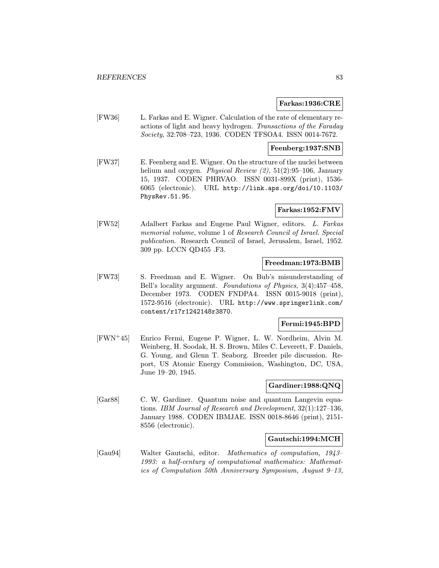#### Farkas:1936:CRE

[FW36] L. Farkas and E. Wigner. Calculation of the rate of elementary reactions of light and heavy hydrogen. Transactions of the Faraday Society, 32:708–723, 1936. CODEN TFSOA4. ISSN 0014-7672.

## Feenberg:1937:SNB

[FW37] E. Feenberg and E. Wigner. On the structure of the nuclei between helium and oxygen. Physical Review  $(2)$ , 51 $(2)$ :95-106, January 15, 1937. CODEN PHRVAO. ISSN 0031-899X (print), 1536- 6065 (electronic). URL http://link.aps.org/doi/10.1103/ PhysRev.51.95.

### Farkas:1952:FMV

[FW52] Adalbert Farkas and Eugene Paul Wigner, editors. L. Farkas memorial volume, volume 1 of Research Council of Israel. Special publication. Research Council of Israel, Jerusalem, Israel, 1952. 309 pp. LCCN QD455 .F3.

#### Freedman:1973:BMB

[FW73] S. Freedman and E. Wigner. On Bub's misunderstanding of Bell's locality argument. Foundations of Physics, 3(4):457–458, December 1973. CODEN FNDPA4. ISSN 0015-9018 (print), 1572-9516 (electronic). URL http://www.springerlink.com/ content/r17r1242148r3870.

#### Fermi:1945:BPD

[FWN<sup>+</sup>45] Enrico Fermi, Eugene P. Wigner, L. W. Nordheim, Alvin M. Weinberg, H. Soodak, H. S. Brown, Miles C. Leverett, F. Daniels, G. Young, and Glenn T. Seaborg. Breeder pile discussion. Report, US Atomic Energy Commission, Washington, DC, USA, June 19–20, 1945.

## Gardiner:1988:QNQ

[Gar88] C. W. Gardiner. Quantum noise and quantum Langevin equations. IBM Journal of Research and Development, 32(1):127–136, January 1988. CODEN IBMJAE. ISSN 0018-8646 (print), 2151- 8556 (electronic).

## Gautschi:1994:MCH

[Gau94] Walter Gautschi, editor. Mathematics of computation, 1943– 1993: a half-century of computational mathematics: Mathematics of Computation 50th Anniversary Symposium, August 9–13,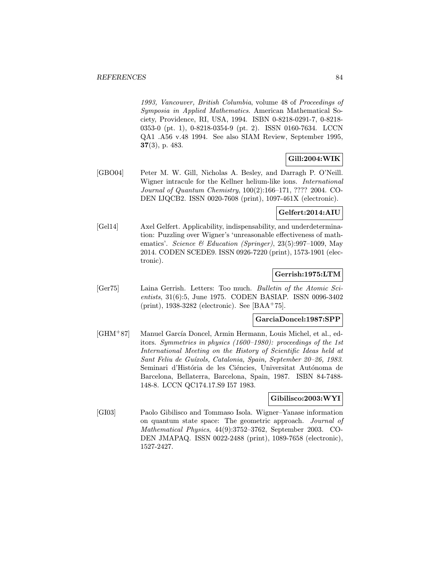1993, Vancouver, British Columbia, volume 48 of Proceedings of Symposia in Applied Mathematics. American Mathematical Society, Providence, RI, USA, 1994. ISBN 0-8218-0291-7, 0-8218- 0353-0 (pt. 1), 0-8218-0354-9 (pt. 2). ISSN 0160-7634. LCCN QA1 .A56 v.48 1994. See also SIAM Review, September 1995, 37(3), p. 483.

## Gill:2004:WIK

[GBO04] Peter M. W. Gill, Nicholas A. Besley, and Darragh P. O'Neill. Wigner intracule for the Kellner helium-like ions. International Journal of Quantum Chemistry, 100(2):166–171, ???? 2004. CO-DEN IJQCB2. ISSN 0020-7608 (print), 1097-461X (electronic).

# Gelfert:2014:AIU

[Gel14] Axel Gelfert. Applicability, indispensability, and underdetermination: Puzzling over Wigner's 'unreasonable effectiveness of mathematics'. Science & Education (Springer), 23(5):997-1009, May 2014. CODEN SCEDE9. ISSN 0926-7220 (print), 1573-1901 (electronic).

## Gerrish:1975:LTM

[Ger75] Laina Gerrish. Letters: Too much. Bulletin of the Atomic Scientists, 31(6):5, June 1975. CODEN BASIAP. ISSN 0096-3402 (print), 1938-3282 (electronic). See [BAA<sup>+</sup>75].

## GarciaDoncel:1987:SPP

[GHM+87] Manuel García Doncel, Armin Hermann, Louis Michel, et al., editors. Symmetries in physics (1600–1980): proceedings of the 1st International Meeting on the History of Scientific Ideas held at Sant Feliu de Guíxols, Catalonia, Spain, September 20–26, 1983. Seminari d'História de les Ciéncies, Universitat Autónoma de Barcelona, Bellaterra, Barcelona, Spain, 1987. ISBN 84-7488- 148-8. LCCN QC174.17.S9 I57 1983.

## Gibilisco:2003:WYI

[GI03] Paolo Gibilisco and Tommaso Isola. Wigner–Yanase information on quantum state space: The geometric approach. Journal of Mathematical Physics, 44(9):3752–3762, September 2003. CO-DEN JMAPAQ. ISSN 0022-2488 (print), 1089-7658 (electronic), 1527-2427.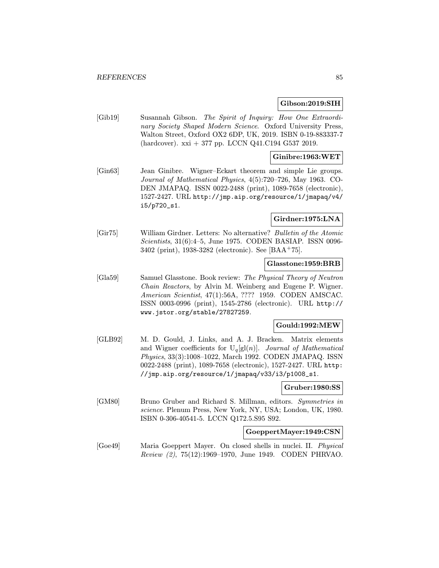#### Gibson:2019:SIH

[Gib19] Susannah Gibson. The Spirit of Inquiry: How One Extraordinary Society Shaped Modern Science. Oxford University Press, Walton Street, Oxford OX2 6DP, UK, 2019. ISBN 0-19-883337-7  $(hardcover)$ . xxi + 377 pp. LCCN Q41.C194 G537 2019.

## Ginibre:1963:WET

[Gin63] Jean Ginibre. Wigner–Eckart theorem and simple Lie groups. Journal of Mathematical Physics, 4(5):720–726, May 1963. CO-DEN JMAPAQ. ISSN 0022-2488 (print), 1089-7658 (electronic), 1527-2427. URL http://jmp.aip.org/resource/1/jmapaq/v4/ i5/p720\_s1.

## Girdner:1975:LNA

[Gir75] William Girdner. Letters: No alternative? Bulletin of the Atomic Scientists, 31(6):4–5, June 1975. CODEN BASIAP. ISSN 0096- 3402 (print), 1938-3282 (electronic). See [BAA<sup>+</sup>75].

#### Glasstone:1959:BRB

[Gla59] Samuel Glasstone. Book review: The Physical Theory of Neutron Chain Reactors, by Alvin M. Weinberg and Eugene P. Wigner. American Scientist, 47(1):56A, ???? 1959. CODEN AMSCAC. ISSN 0003-0996 (print), 1545-2786 (electronic). URL http:// www.jstor.org/stable/27827259.

## Gould:1992:MEW

[GLB92] M. D. Gould, J. Links, and A. J. Bracken. Matrix elements and Wigner coefficients for  $U_q[g(n)]$ . Journal of Mathematical Physics, 33(3):1008–1022, March 1992. CODEN JMAPAQ. ISSN 0022-2488 (print), 1089-7658 (electronic), 1527-2427. URL http: //jmp.aip.org/resource/1/jmapaq/v33/i3/p1008\_s1.

#### Gruber:1980:SS

[GM80] Bruno Gruber and Richard S. Millman, editors. Symmetries in science. Plenum Press, New York, NY, USA; London, UK, 1980. ISBN 0-306-40541-5. LCCN Q172.5.S95 S92.

## GoeppertMayer:1949:CSN

[Goe49] Maria Goeppert Mayer. On closed shells in nuclei. II. Physical Review (2), 75(12):1969–1970, June 1949. CODEN PHRVAO.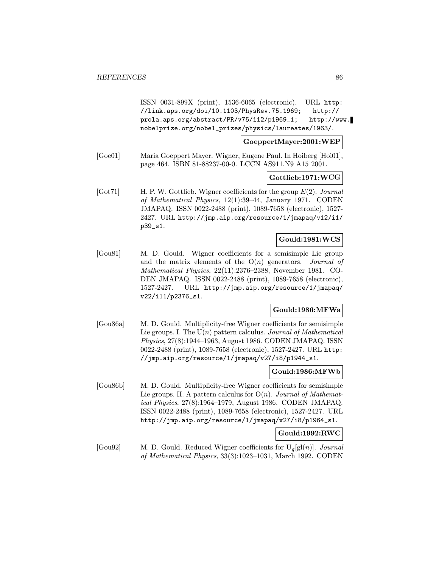ISSN 0031-899X (print), 1536-6065 (electronic). URL http: //link.aps.org/doi/10.1103/PhysRev.75.1969; http:// prola.aps.org/abstract/PR/v75/i12/p1969\_1; http://www. nobelprize.org/nobel\_prizes/physics/laureates/1963/.

GoeppertMayer:2001:WEP

[Goe01] Maria Goeppert Mayer. Wigner, Eugene Paul. In Hoiberg [Hoi01], page 464. ISBN 81-88237-00-0. LCCN AS911.N9 A15 2001.

## Gottlieb:1971:WCG

[Got71] H. P. W. Gottlieb. Wigner coefficients for the group  $E(2)$ . Journal of Mathematical Physics, 12(1):39–44, January 1971. CODEN JMAPAQ. ISSN 0022-2488 (print), 1089-7658 (electronic), 1527- 2427. URL http://jmp.aip.org/resource/1/jmapaq/v12/i1/ p39\_s1.

## Gould:1981:WCS

[Gou81] M. D. Gould. Wigner coefficients for a semisimple Lie group and the matrix elements of the  $O(n)$  generators. Journal of Mathematical Physics, 22(11):2376–2388, November 1981. CO-DEN JMAPAQ. ISSN 0022-2488 (print), 1089-7658 (electronic), 1527-2427. URL http://jmp.aip.org/resource/1/jmapaq/ v22/i11/p2376\_s1.

## Gould:1986:MFWa

[Gou86a] M. D. Gould. Multiplicity-free Wigner coefficients for semisimple Lie groups. I. The  $U(n)$  pattern calculus. Journal of Mathematical Physics, 27(8):1944–1963, August 1986. CODEN JMAPAQ. ISSN 0022-2488 (print), 1089-7658 (electronic), 1527-2427. URL http: //jmp.aip.org/resource/1/jmapaq/v27/i8/p1944\_s1.

## Gould:1986:MFWb

[Gou86b] M. D. Gould. Multiplicity-free Wigner coefficients for semisimple Lie groups. II. A pattern calculus for  $O(n)$ . Journal of Mathematical Physics, 27(8):1964–1979, August 1986. CODEN JMAPAQ. ISSN 0022-2488 (print), 1089-7658 (electronic), 1527-2427. URL http://jmp.aip.org/resource/1/jmapaq/v27/i8/p1964\_s1.

## Gould:1992:RWC

[Gou92] M. D. Gould. Reduced Wigner coefficients for  $U_q[g](n)$ ]. Journal of Mathematical Physics, 33(3):1023–1031, March 1992. CODEN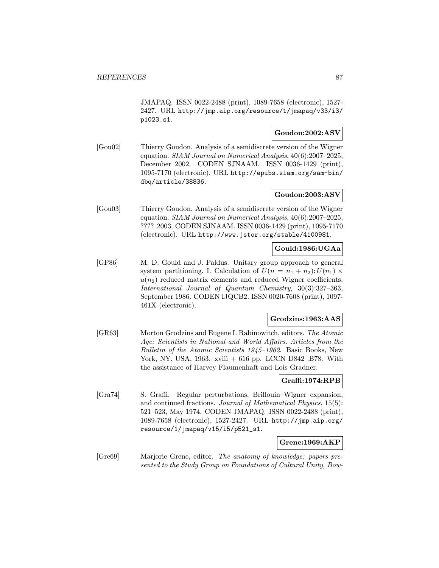JMAPAQ. ISSN 0022-2488 (print), 1089-7658 (electronic), 1527- 2427. URL http://jmp.aip.org/resource/1/jmapaq/v33/i3/ p1023\_s1.

# Goudon:2002:ASV

[Gou02] Thierry Goudon. Analysis of a semidiscrete version of the Wigner equation. SIAM Journal on Numerical Analysis, 40(6):2007–2025, December 2002. CODEN SJNAAM. ISSN 0036-1429 (print), 1095-7170 (electronic). URL http://epubs.siam.org/sam-bin/ dbq/article/38836.

## Goudon:2003:ASV

[Gou03] Thierry Goudon. Analysis of a semidiscrete version of the Wigner equation. SIAM Journal on Numerical Analysis, 40(6):2007–2025, ???? 2003. CODEN SJNAAM. ISSN 0036-1429 (print), 1095-7170 (electronic). URL http://www.jstor.org/stable/4100981.

# Gould:1986:UGAa

[GP86] M. D. Gould and J. Paldus. Unitary group approach to general system partitioning. I. Calculation of  $U(n = n_1 + n_2): U(n_1) \times$  $u(n_2)$  reduced matrix elements and reduced Wigner coefficients. International Journal of Quantum Chemistry, 30(3):327–363, September 1986. CODEN IJQCB2. ISSN 0020-7608 (print), 1097- 461X (electronic).

## Grodzins:1963:AAS

[GR63] Morton Grodzins and Eugene I. Rabinowitch, editors. The Atomic Age: Scientists in National and World Affairs. Articles from the Bulletin of the Atomic Scientists 1945–1962. Basic Books, New York, NY, USA, 1963. xviii + 616 pp. LCCN D842 .B78. With the assistance of Harvey Flaumenhaft and Lois Gradner.

## Graffi:1974:RPB

[Gra74] S. Graffi. Regular perturbations, Brillouin–Wigner expansion, and continued fractions. Journal of Mathematical Physics, 15(5): 521–523, May 1974. CODEN JMAPAQ. ISSN 0022-2488 (print), 1089-7658 (electronic), 1527-2427. URL http://jmp.aip.org/ resource/1/jmapaq/v15/i5/p521\_s1.

## Grene:1969:AKP

[Gre69] Marjorie Grene, editor. The anatomy of knowledge: papers presented to the Study Group on Foundations of Cultural Unity, Bow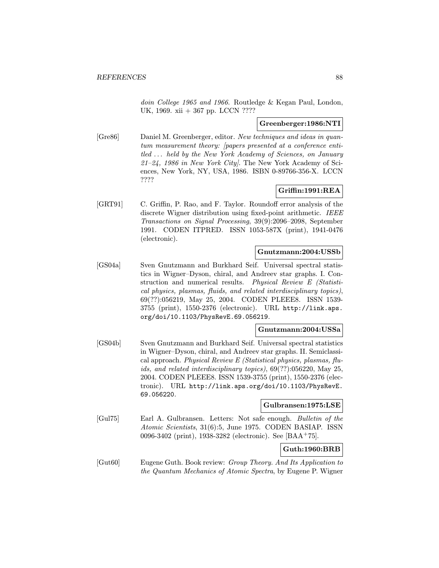doin College 1965 and 1966. Routledge & Kegan Paul, London, UK, 1969. xii + 367 pp. LCCN ????

# Greenberger:1986:NTI

[Gre86] Daniel M. Greenberger, editor. New techniques and ideas in quantum measurement theory: [papers presented at a conference entitled ... held by the New York Academy of Sciences, on January 21–24, 1986 in New York City]. The New York Academy of Sciences, New York, NY, USA, 1986. ISBN 0-89766-356-X. LCCN ????

## Griffin:1991:REA

[GRT91] C. Griffin, P. Rao, and F. Taylor. Roundoff error analysis of the discrete Wigner distribution using fixed-point arithmetic. IEEE Transactions on Signal Processing, 39(9):2096–2098, September 1991. CODEN ITPRED. ISSN 1053-587X (print), 1941-0476 (electronic).

## Gnutzmann:2004:USSb

[GS04a] Sven Gnutzmann and Burkhard Seif. Universal spectral statistics in Wigner–Dyson, chiral, and Andreev star graphs. I. Construction and numerical results. Physical Review E (Statistical physics, plasmas, fluids, and related interdisciplinary topics), 69(??):056219, May 25, 2004. CODEN PLEEE8. ISSN 1539- 3755 (print), 1550-2376 (electronic). URL http://link.aps. org/doi/10.1103/PhysRevE.69.056219.

#### Gnutzmann:2004:USSa

[GS04b] Sven Gnutzmann and Burkhard Seif. Universal spectral statistics in Wigner–Dyson, chiral, and Andreev star graphs. II. Semiclassical approach. Physical Review E (Statistical physics, plasmas,  $flu$ ids, and related interdisciplinary topics), 69(??):056220, May 25, 2004. CODEN PLEEE8. ISSN 1539-3755 (print), 1550-2376 (electronic). URL http://link.aps.org/doi/10.1103/PhysRevE. 69.056220.

## Gulbransen:1975:LSE

[Gul75] Earl A. Gulbransen. Letters: Not safe enough. Bulletin of the Atomic Scientists, 31(6):5, June 1975. CODEN BASIAP. ISSN 0096-3402 (print), 1938-3282 (electronic). See [BAA<sup>+</sup>75].

## Guth:1960:BRB

[Gut60] Eugene Guth. Book review: Group Theory. And Its Application to the Quantum Mechanics of Atomic Spectra, by Eugene P. Wigner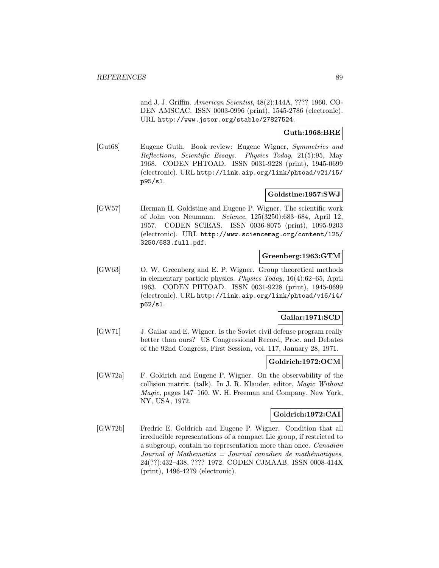and J. J. Griffin. American Scientist, 48(2):144A, ???? 1960. CO-DEN AMSCAC. ISSN 0003-0996 (print), 1545-2786 (electronic). URL http://www.jstor.org/stable/27827524.

## Guth:1968:BRE

[Gut68] Eugene Guth. Book review: Eugene Wigner, Symmetries and Reflections, Scientific Essays. Physics Today, 21(5):95, May 1968. CODEN PHTOAD. ISSN 0031-9228 (print), 1945-0699 (electronic). URL http://link.aip.org/link/phtoad/v21/i5/ p95/s1.

## Goldstine:1957:SWJ

[GW57] Herman H. Goldstine and Eugene P. Wigner. The scientific work of John von Neumann. Science, 125(3250):683–684, April 12, 1957. CODEN SCIEAS. ISSN 0036-8075 (print), 1095-9203 (electronic). URL http://www.sciencemag.org/content/125/ 3250/683.full.pdf.

## Greenberg:1963:GTM

[GW63] O. W. Greenberg and E. P. Wigner. Group theoretical methods in elementary particle physics. Physics Today, 16(4):62–65, April 1963. CODEN PHTOAD. ISSN 0031-9228 (print), 1945-0699 (electronic). URL http://link.aip.org/link/phtoad/v16/i4/ p62/s1.

## Gailar:1971:SCD

[GW71] J. Gailar and E. Wigner. Is the Soviet civil defense program really better than ours? US Congressional Record, Proc. and Debates of the 92nd Congress, First Session, vol. 117, January 28, 1971.

# Goldrich:1972:OCM

[GW72a] F. Goldrich and Eugene P. Wigner. On the observability of the collision matrix. (talk). In J. R. Klauder, editor, Magic Without Magic, pages 147–160. W. H. Freeman and Company, New York, NY, USA, 1972.

# Goldrich:1972:CAI

[GW72b] Fredric E. Goldrich and Eugene P. Wigner. Condition that all irreducible representations of a compact Lie group, if restricted to a subgroup, contain no representation more than once. Canadian Journal of Mathematics  $=$  Journal canadien de mathématiques, 24(??):432–438, ???? 1972. CODEN CJMAAB. ISSN 0008-414X (print), 1496-4279 (electronic).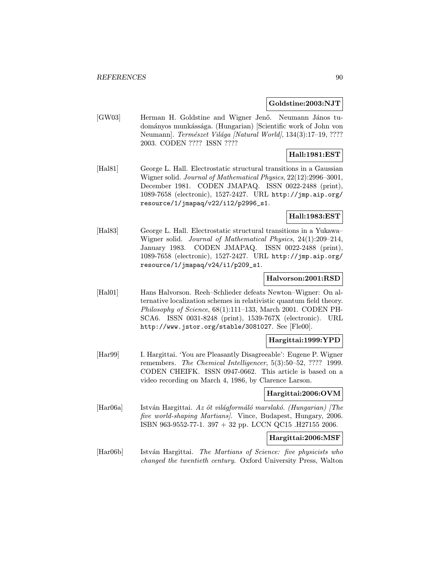#### Goldstine:2003:NJT

[GW03] Herman H. Goldstine and Wigner Jenő. Neumann János tudom´anyos munk´ass´aga. (Hungarian) [Scientific work of John von Neumann]. Természet Világa [Natural World], 134(3):17–19, ???? 2003. CODEN ???? ISSN ????

# Hall:1981:EST

[Hal81] George L. Hall. Electrostatic structural transitions in a Gaussian Wigner solid. Journal of Mathematical Physics, 22(12):2996–3001, December 1981. CODEN JMAPAQ. ISSN 0022-2488 (print), 1089-7658 (electronic), 1527-2427. URL http://jmp.aip.org/ resource/1/jmapaq/v22/i12/p2996\_s1.

# Hall:1983:EST

[Hal83] George L. Hall. Electrostatic structural transitions in a Yukawa– Wigner solid. Journal of Mathematical Physics, 24(1):209–214, January 1983. CODEN JMAPAQ. ISSN 0022-2488 (print), 1089-7658 (electronic), 1527-2427. URL http://jmp.aip.org/ resource/1/jmapaq/v24/i1/p209\_s1.

### Halvorson:2001:RSD

[Hal01] Hans Halvorson. Reeh–Schlieder defeats Newton–Wigner: On alternative localization schemes in relativistic quantum field theory. Philosophy of Science, 68(1):111–133, March 2001. CODEN PH-SCA6. ISSN 0031-8248 (print), 1539-767X (electronic). URL http://www.jstor.org/stable/3081027. See [Fle00].

## Hargittai:1999:YPD

[Har99] I. Hargittai. 'You are Pleasantly Disagreeable': Eugene P. Wigner remembers. The Chemical Intelligencer, 5(3):50–52, ???? 1999. CODEN CHEIFK. ISSN 0947-0662. This article is based on a video recording on March 4, 1986, by Clarence Larson.

## Hargittai:2006:OVM

 $[Har06a]$  István Hargittai. Az öt világformáló marslakó. (Hungarian) [The five world-shaping Martians]. Vince, Budapest, Hungary, 2006. ISBN 963-9552-77-1. 397 + 32 pp. LCCN QC15 .H27155 2006.

#### Hargittai:2006:MSF

[Har06b] István Hargittai. The Martians of Science: five physicists who changed the twentieth century. Oxford University Press, Walton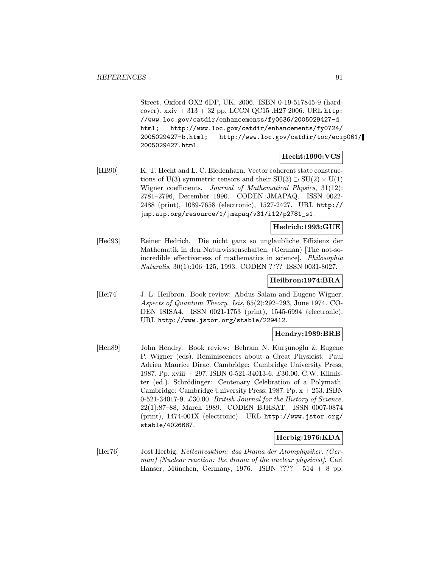Street, Oxford OX2 6DP, UK, 2006. ISBN 0-19-517845-9 (hardcover).  $xxiv + 313 + 32$  pp. LCCN QC15 .H27 2006. URL http: //www.loc.gov/catdir/enhancements/fy0636/2005029427-d. html; http://www.loc.gov/catdir/enhancements/fy0724/ 2005029427-b.html; http://www.loc.gov/catdir/toc/ecip061/ 2005029427.html.

## Hecht:1990:VCS

[HB90] K. T. Hecht and L. C. Biedenharn. Vector coherent state constructions of U(3) symmetric tensors and their  $SU(3) \supset SU(2) \times U(1)$ Wigner coefficients. Journal of Mathematical Physics, 31(12): 2781–2796, December 1990. CODEN JMAPAQ. ISSN 0022- 2488 (print), 1089-7658 (electronic), 1527-2427. URL http:// jmp.aip.org/resource/1/jmapaq/v31/i12/p2781\_s1.

### Hedrich:1993:GUE

[Hed93] Reiner Hedrich. Die nicht ganz so unglaubliche Effizienz der Mathematik in den Naturwissenschaften. (German) [The not-soincredible effectiveness of mathematics in science]. Philosophia Naturalis, 30(1):106–125, 1993. CODEN ???? ISSN 0031-8027.

### Heilbron:1974:BRA

[Hei74] J. L. Heilbron. Book review: Abdus Salam and Eugene Wigner, Aspects of Quantum Theory. Isis, 65(2):292–293, June 1974. CO-DEN ISISA4. ISSN 0021-1753 (print), 1545-6994 (electronic). URL http://www.jstor.org/stable/229412.

## Hendry:1989:BRB

[Hen89] John Hendry. Book review: Behram N. Kurşunoğlu & Eugene P. Wigner (eds). Reminiscences about a Great Physicist: Paul Adrien Maurice Dirac. Cambridge: Cambridge University Press, 1987. Pp. xviii + 297. ISBN 0-521-34013-6. £30.00. C.W. Kilmister (ed.). Schrödinger: Centenary Celebration of a Polymath. Cambridge: Cambridge University Press, 1987. Pp. x + 253. ISBN 0-521-34017-9.  $\pounds 30.00$ . British Journal for the History of Science, 22(1):87–88, March 1989. CODEN BJHSAT. ISSN 0007-0874 (print), 1474-001X (electronic). URL http://www.jstor.org/ stable/4026687.

## Herbig:1976:KDA

[Her76] Jost Herbig. Kettenreaktion: das Drama der Atomphysiker. (German) [Nuclear reaction: the drama of the nuclear physicist]. Carl Hanser, München, Germany, 1976. ISBN ????  $514 + 8$  pp.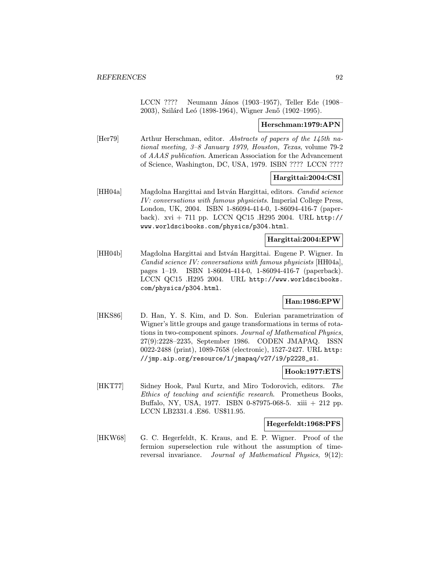LCCN ???? Neumann János (1903–1957), Teller Ede (1908– 2003), Szilárd Leó (1898-1964), Wigner Jenő (1902–1995).

### Herschman:1979:APN

[Her79] Arthur Herschman, editor. Abstracts of papers of the 145th national meeting, 3–8 January 1979, Houston, Texas, volume 79-2 of AAAS publication. American Association for the Advancement of Science, Washington, DC, USA, 1979. ISBN ???? LCCN ????

## Hargittai:2004:CSI

[HH04a] Magdolna Hargittai and István Hargittai, editors. *Candid science* IV: conversations with famous physicists. Imperial College Press, London, UK, 2004. ISBN 1-86094-414-0, 1-86094-416-7 (paperback). xvi + 711 pp. LCCN QC15 .H295 2004. URL http:// www.worldscibooks.com/physics/p304.html.

#### Hargittai:2004:EPW

[HH04b] Magdolna Hargittai and Istv´an Hargittai. Eugene P. Wigner. In Candid science IV: conversations with famous physicists [HH04a], pages 1–19. ISBN 1-86094-414-0, 1-86094-416-7 (paperback). LCCN QC15 .H295 2004. URL http://www.worldscibooks. com/physics/p304.html.

## Han:1986:EPW

[HKS86] D. Han, Y. S. Kim, and D. Son. Eulerian parametrization of Wigner's little groups and gauge transformations in terms of rotations in two-component spinors. Journal of Mathematical Physics, 27(9):2228–2235, September 1986. CODEN JMAPAQ. ISSN 0022-2488 (print), 1089-7658 (electronic), 1527-2427. URL http: //jmp.aip.org/resource/1/jmapaq/v27/i9/p2228\_s1.

### Hook:1977:ETS

[HKT77] Sidney Hook, Paul Kurtz, and Miro Todorovich, editors. The Ethics of teaching and scientific research. Prometheus Books, Buffalo, NY, USA, 1977. ISBN 0-87975-068-5. xiii + 212 pp. LCCN LB2331.4 .E86. US\$11.95.

#### Hegerfeldt:1968:PFS

[HKW68] G. C. Hegerfeldt, K. Kraus, and E. P. Wigner. Proof of the fermion superselection rule without the assumption of timereversal invariance. Journal of Mathematical Physics, 9(12):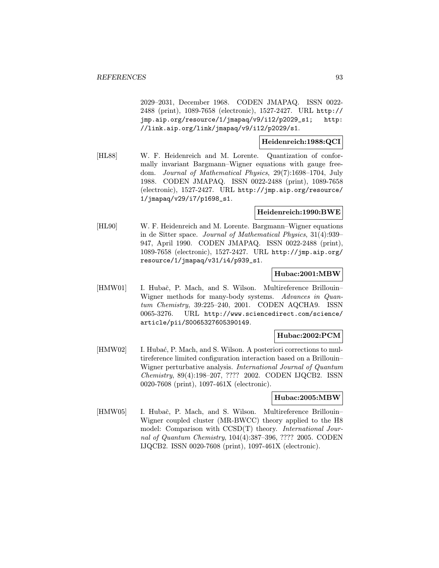2029–2031, December 1968. CODEN JMAPAQ. ISSN 0022- 2488 (print), 1089-7658 (electronic), 1527-2427. URL http:// jmp.aip.org/resource/1/jmapaq/v9/i12/p2029\_s1; http: //link.aip.org/link/jmapaq/v9/i12/p2029/s1.

Heidenreich:1988:QCI

[HL88] W. F. Heidenreich and M. Lorente. Quantization of conformally invariant Bargmann–Wigner equations with gauge freedom. Journal of Mathematical Physics, 29(7):1698–1704, July 1988. CODEN JMAPAQ. ISSN 0022-2488 (print), 1089-7658 (electronic), 1527-2427. URL http://jmp.aip.org/resource/ 1/jmapaq/v29/i7/p1698\_s1.

# Heidenreich:1990:BWE

[HL90] W. F. Heidenreich and M. Lorente. Bargmann–Wigner equations in de Sitter space. Journal of Mathematical Physics, 31(4):939– 947, April 1990. CODEN JMAPAQ. ISSN 0022-2488 (print), 1089-7658 (electronic), 1527-2427. URL http://jmp.aip.org/ resource/1/jmapaq/v31/i4/p939\_s1.

#### Hubac:2001:MBW

[HMW01] I. Hubač, P. Mach, and S. Wilson. Multireference Brillouin– Wigner methods for many-body systems. Advances in Quantum Chemistry, 39:225–240, 2001. CODEN AQCHA9. ISSN 0065-3276. URL http://www.sciencedirect.com/science/ article/pii/S0065327605390149.

## Hubac:2002:PCM

[HMW02] I. Hubać, P. Mach, and S. Wilson. A posteriori corrections to multireference limited configuration interaction based on a Brillouin– Wigner perturbative analysis. International Journal of Quantum Chemistry, 89(4):198–207, ???? 2002. CODEN IJQCB2. ISSN 0020-7608 (print), 1097-461X (electronic).

## Hubac:2005:MBW

[HMW05] I. Hubač, P. Mach, and S. Wilson. Multireference Brillouin– Wigner coupled cluster (MR-BWCC) theory applied to the H8 model: Comparison with CCSD(T) theory. International Journal of Quantum Chemistry, 104(4):387–396, ???? 2005. CODEN IJQCB2. ISSN 0020-7608 (print), 1097-461X (electronic).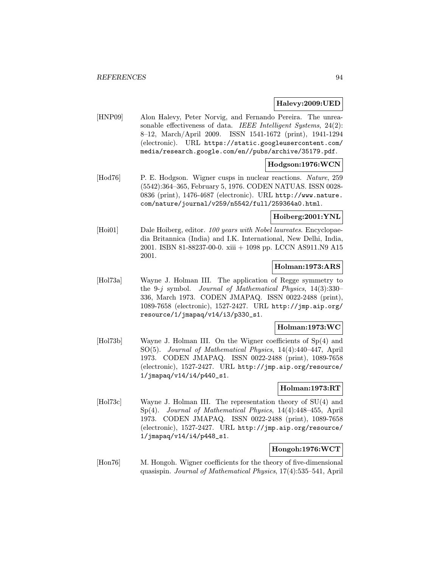## Halevy:2009:UED

[HNP09] Alon Halevy, Peter Norvig, and Fernando Pereira. The unreasonable effectiveness of data. IEEE Intelligent Systems, 24(2): 8–12, March/April 2009. ISSN 1541-1672 (print), 1941-1294 (electronic). URL https://static.googleusercontent.com/ media/research.google.com/en//pubs/archive/35179.pdf.

## Hodgson:1976:WCN

[Hod76] P. E. Hodgson. Wigner cusps in nuclear reactions. Nature, 259 (5542):364–365, February 5, 1976. CODEN NATUAS. ISSN 0028- 0836 (print), 1476-4687 (electronic). URL http://www.nature. com/nature/journal/v259/n5542/full/259364a0.html.

## Hoiberg:2001:YNL

[Hoi01] Dale Hoiberg, editor. 100 years with Nobel laureates. Encyclopaedia Britannica (India) and I.K. International, New Delhi, India, 2001. ISBN 81-88237-00-0. xiii + 1098 pp. LCCN AS911.N9 A15 2001.

## Holman:1973:ARS

[Hol73a] Wayne J. Holman III. The application of Regge symmetry to the 9-j symbol. Journal of Mathematical Physics, 14(3):330– 336, March 1973. CODEN JMAPAQ. ISSN 0022-2488 (print), 1089-7658 (electronic), 1527-2427. URL http://jmp.aip.org/ resource/1/jmapaq/v14/i3/p330\_s1.

### Holman:1973:WC

[Hol73b] Wayne J. Holman III. On the Wigner coefficients of Sp(4) and SO(5). Journal of Mathematical Physics, 14(4):440–447, April 1973. CODEN JMAPAQ. ISSN 0022-2488 (print), 1089-7658 (electronic), 1527-2427. URL http://jmp.aip.org/resource/ 1/jmapaq/v14/i4/p440\_s1.

## Holman:1973:RT

[Hol73c] Wayne J. Holman III. The representation theory of SU(4) and Sp(4). Journal of Mathematical Physics, 14(4):448–455, April 1973. CODEN JMAPAQ. ISSN 0022-2488 (print), 1089-7658 (electronic), 1527-2427. URL http://jmp.aip.org/resource/ 1/jmapaq/v14/i4/p448\_s1.

## Hongoh:1976:WCT

[Hon76] M. Hongoh. Wigner coefficients for the theory of five-dimensional quasispin. Journal of Mathematical Physics, 17(4):535–541, April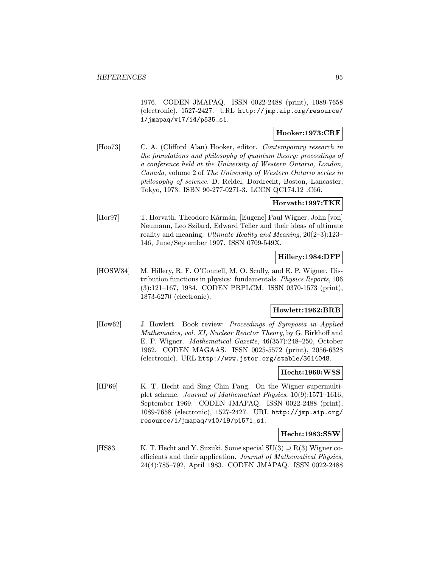1976. CODEN JMAPAQ. ISSN 0022-2488 (print), 1089-7658 (electronic), 1527-2427. URL http://jmp.aip.org/resource/ 1/jmapaq/v17/i4/p535\_s1.

## Hooker:1973:CRF

[Hoo73] C. A. (Clifford Alan) Hooker, editor. Contemporary research in the foundations and philosophy of quantum theory; proceedings of a conference held at the University of Western Ontario, London, Canada, volume 2 of The University of Western Ontario series in philosophy of science. D. Reidel, Dordrecht, Boston, Lancaster, Tokyo, 1973. ISBN 90-277-0271-3. LCCN QC174.12 .C66.

### Horvath:1997:TKE

[Hor97] T. Horvath. Theodore Kármán, [Eugene] Paul Wigner, John [von] Neumann, Leo Szilard, Edward Teller and their ideas of ultimate reality and meaning. Ultimate Reality and Meaning, 20(2–3):123– 146, June/September 1997. ISSN 0709-549X.

## Hillery:1984:DFP

[HOSW84] M. Hillery, R. F. O'Connell, M. O. Scully, and E. P. Wigner. Distribution functions in physics: fundamentals. Physics Reports, 106 (3):121–167, 1984. CODEN PRPLCM. ISSN 0370-1573 (print), 1873-6270 (electronic).

## Howlett:1962:BRB

[How62] J. Howlett. Book review: Proceedings of Symposia in Applied Mathematics, vol. XI, Nuclear Reactor Theory, by G. Birkhoff and E. P. Wigner. Mathematical Gazette, 46(357):248–250, October 1962. CODEN MAGAAS. ISSN 0025-5572 (print), 2056-6328 (electronic). URL http://www.jstor.org/stable/3614048.

#### Hecht:1969:WSS

[HP69] K. T. Hecht and Sing Chin Pang. On the Wigner supermultiplet scheme. Journal of Mathematical Physics, 10(9):1571–1616, September 1969. CODEN JMAPAQ. ISSN 0022-2488 (print), 1089-7658 (electronic), 1527-2427. URL http://jmp.aip.org/ resource/1/jmapaq/v10/i9/p1571\_s1.

### Hecht:1983:SSW

[HS83] K. T. Hecht and Y. Suzuki. Some special SU(3)  $\supseteq$  R(3) Wigner coefficients and their application. Journal of Mathematical Physics, 24(4):785–792, April 1983. CODEN JMAPAQ. ISSN 0022-2488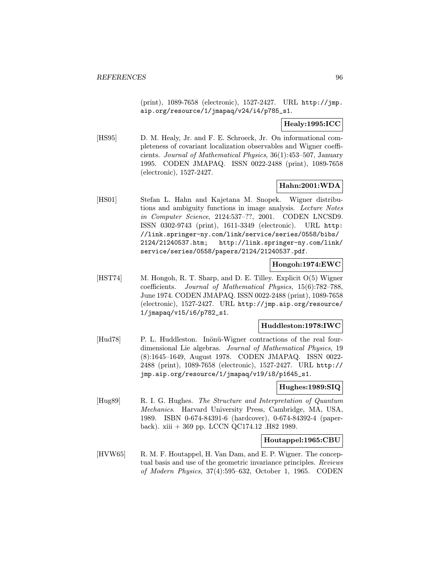(print), 1089-7658 (electronic), 1527-2427. URL http://jmp. aip.org/resource/1/jmapaq/v24/i4/p785\_s1.

Healy:1995:ICC

[HS95] D. M. Healy, Jr. and F. E. Schroeck, Jr. On informational completeness of covariant localization observables and Wigner coefficients. Journal of Mathematical Physics, 36(1):453–507, January 1995. CODEN JMAPAQ. ISSN 0022-2488 (print), 1089-7658 (electronic), 1527-2427.

## Hahn:2001:WDA

[HS01] Stefan L. Hahn and Kajetana M. Snopek. Wigner distributions and ambiguity functions in image analysis. Lecture Notes in Computer Science, 2124:537–??, 2001. CODEN LNCSD9. ISSN 0302-9743 (print), 1611-3349 (electronic). URL http: //link.springer-ny.com/link/service/series/0558/bibs/ 2124/21240537.htm; http://link.springer-ny.com/link/ service/series/0558/papers/2124/21240537.pdf.

## Hongoh:1974:EWC

[HST74] M. Hongoh, R. T. Sharp, and D. E. Tilley. Explicit O(5) Wigner coefficients. Journal of Mathematical Physics, 15(6):782–788, June 1974. CODEN JMAPAQ. ISSN 0022-2488 (print), 1089-7658 (electronic), 1527-2427. URL http://jmp.aip.org/resource/ 1/jmapaq/v15/i6/p782\_s1.

#### Huddleston:1978:IWC

[Hud78] P. L. Huddleston. Inönü-Wigner contractions of the real fourdimensional Lie algebras. Journal of Mathematical Physics, 19 (8):1645–1649, August 1978. CODEN JMAPAQ. ISSN 0022- 2488 (print), 1089-7658 (electronic), 1527-2427. URL http:// jmp.aip.org/resource/1/jmapaq/v19/i8/p1645\_s1.

## Hughes:1989:SIQ

[Hug89] R. I. G. Hughes. The Structure and Interpretation of Quantum Mechanics. Harvard University Press, Cambridge, MA, USA, 1989. ISBN 0-674-84391-6 (hardcover), 0-674-84392-4 (paperback). xiii + 369 pp. LCCN QC174.12 .H82 1989.

# Houtappel:1965:CBU

[HVW65] R. M. F. Houtappel, H. Van Dam, and E. P. Wigner. The conceptual basis and use of the geometric invariance principles. Reviews of Modern Physics, 37(4):595–632, October 1, 1965. CODEN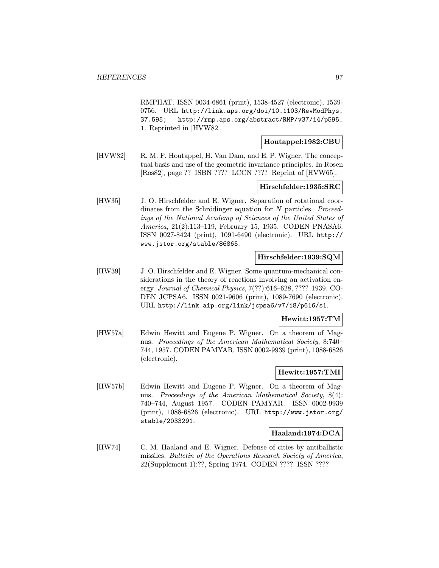RMPHAT. ISSN 0034-6861 (print), 1538-4527 (electronic), 1539- 0756. URL http://link.aps.org/doi/10.1103/RevModPhys. 37.595; http://rmp.aps.org/abstract/RMP/v37/i4/p595\_ 1. Reprinted in [HVW82].

## Houtappel:1982:CBU

[HVW82] R. M. F. Houtappel, H. Van Dam, and E. P. Wigner. The conceptual basis and use of the geometric invariance principles. In Rosen [Ros82], page ?? ISBN ???? LCCN ???? Reprint of [HVW65].

## Hirschfelder:1935:SRC

[HW35] J. O. Hirschfelder and E. Wigner. Separation of rotational coordinates from the Schrödinger equation for  $N$  particles. Proceedings of the National Academy of Sciences of the United States of America, 21(2):113–119, February 15, 1935. CODEN PNASA6. ISSN 0027-8424 (print), 1091-6490 (electronic). URL http:// www.jstor.org/stable/86865.

### Hirschfelder:1939:SQM

[HW39] J. O. Hirschfelder and E. Wigner. Some quantum-mechanical considerations in the theory of reactions involving an activation energy. Journal of Chemical Physics, 7(??):616–628, ???? 1939. CO-DEN JCPSA6. ISSN 0021-9606 (print), 1089-7690 (electronic). URL http://link.aip.org/link/jcpsa6/v7/i8/p616/s1.

## Hewitt:1957:TM

[HW57a] Edwin Hewitt and Eugene P. Wigner. On a theorem of Magnus. Proceedings of the American Mathematical Society, 8:740– 744, 1957. CODEN PAMYAR. ISSN 0002-9939 (print), 1088-6826 (electronic).

## Hewitt:1957:TMI

[HW57b] Edwin Hewitt and Eugene P. Wigner. On a theorem of Magnus. Proceedings of the American Mathematical Society, 8(4): 740–744, August 1957. CODEN PAMYAR. ISSN 0002-9939 (print), 1088-6826 (electronic). URL http://www.jstor.org/ stable/2033291.

## Haaland:1974:DCA

[HW74] C. M. Haaland and E. Wigner. Defense of cities by antiballistic missiles. Bulletin of the Operations Research Society of America, 22(Supplement 1):??, Spring 1974. CODEN ???? ISSN ????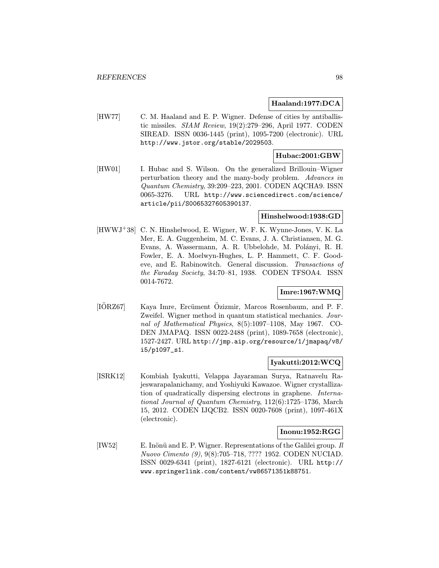## Haaland:1977:DCA

[HW77] C. M. Haaland and E. P. Wigner. Defense of cities by antiballistic missiles. SIAM Review, 19(2):279–296, April 1977. CODEN SIREAD. ISSN 0036-1445 (print), 1095-7200 (electronic). URL http://www.jstor.org/stable/2029503.

## Hubac:2001:GBW

[HW01] I. Hubac and S. Wilson. On the generalized Brillouin–Wigner perturbation theory and the many-body problem. Advances in Quantum Chemistry, 39:209–223, 2001. CODEN AQCHA9. ISSN 0065-3276. URL http://www.sciencedirect.com/science/ article/pii/S0065327605390137.

## Hinshelwood:1938:GD

[HWWJ<sup>+</sup>38] C. N. Hinshelwood, E. Wigner, W. F. K. Wynne-Jones, V. K. La Mer, E. A. Guggenheim, M. C. Evans, J. A. Christiansen, M. G. Evans, A. Wassermann, A. R. Ubbelohde, M. Polányi, R. H. Fowler, E. A. Moelwyn-Hughes, L. P. Hammett, C. F. Goodeve, and E. Rabinowitch. General discussion. Transactions of the Faraday Society, 34:70–81, 1938. CODEN TFSOA4. ISSN 0014-7672.

# Imre:1967:WMQ

[IORZ67] Kaya Imre, Ercüment Özizmir, Marcos Rosenbaum, and P. F. Zweifel. Wigner method in quantum statistical mechanics. Journal of Mathematical Physics, 8(5):1097–1108, May 1967. CO-DEN JMAPAQ. ISSN 0022-2488 (print), 1089-7658 (electronic), 1527-2427. URL http://jmp.aip.org/resource/1/jmapaq/v8/ i5/p1097\_s1.

## Iyakutti:2012:WCQ

[ISRK12] Kombiah Iyakutti, Velappa Jayaraman Surya, Ratnavelu Rajeswarapalanichamy, and Yoshiyuki Kawazoe. Wigner crystallization of quadratically dispersing electrons in graphene. International Journal of Quantum Chemistry, 112(6):1725–1736, March 15, 2012. CODEN IJQCB2. ISSN 0020-7608 (print), 1097-461X (electronic).

## Inonu:1952:RGG

[IW52] E. Inönü and E. P. Wigner. Representations of the Galilei group.  $Il$ Nuovo Cimento (9), 9(8):705–718, ???? 1952. CODEN NUCIAD. ISSN 0029-6341 (print), 1827-6121 (electronic). URL http:// www.springerlink.com/content/vw86571351k88751.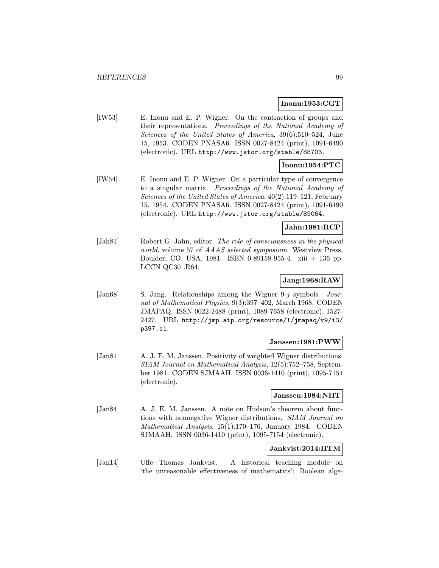### Inonu:1953:CGT

[IW53] E. Inonu and E. P. Wigner. On the contraction of groups and their representations. Proceedings of the National Academy of Sciences of the United States of America, 39(6):510–524, June 15, 1953. CODEN PNASA6. ISSN 0027-8424 (print), 1091-6490 (electronic). URL http://www.jstor.org/stable/88703.

# Inonu:1954:PTC

[IW54] E. Inonu and E. P. Wigner. On a particular type of convergence to a singular matrix. Proceedings of the National Academy of Sciences of the United States of America, 40(2):119–121, February 15, 1954. CODEN PNASA6. ISSN 0027-8424 (print), 1091-6490 (electronic). URL http://www.jstor.org/stable/89064.

### Jahn:1981:RCP

[Jah81] Robert G. Jahn, editor. The role of consciousness in the physical world, volume 57 of AAAS selected symposium. Westview Press, Boulder, CO, USA, 1981. ISBN 0-89158-955-4. xiii + 136 pp. LCCN QC30 .R64.

## Jang:1968:RAW

[Jan68] S. Jang. Relationships among the Wigner 9-j symbols. Journal of Mathematical Physics, 9(3):397–402, March 1968. CODEN JMAPAQ. ISSN 0022-2488 (print), 1089-7658 (electronic), 1527- 2427. URL http://jmp.aip.org/resource/1/jmapaq/v9/i3/ p397\_s1.

## Janssen:1981:PWW

[Jan81] A. J. E. M. Janssen. Positivity of weighted Wigner distributions. SIAM Journal on Mathematical Analysis, 12(5):752–758, September 1981. CODEN SJMAAH. ISSN 0036-1410 (print), 1095-7154 (electronic).

## Janssen:1984:NHT

[Jan84] A. J. E. M. Janssen. A note on Hudson's theorem about functions with nonnegative Wigner distributions. SIAM Journal on Mathematical Analysis, 15(1):170–176, January 1984. CODEN SJMAAH. ISSN 0036-1410 (print), 1095-7154 (electronic).

# Jankvist:2014:HTM

[Jan14] Uffe Thomas Jankvist. A historical teaching module on 'the unreasonable effectiveness of mathematics': Boolean alge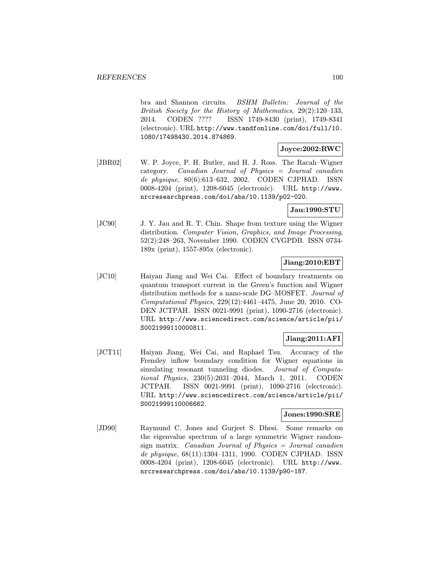bra and Shannon circuits. BSHM Bulletin: Journal of the British Society for the History of Mathematics, 29(2):120–133, 2014. CODEN ???? ISSN 1749-8430 (print), 1749-8341 (electronic). URL http://www.tandfonline.com/doi/full/10. 1080/17498430.2014.874869.

# Joyce:2002:RWC

[JBR02] W. P. Joyce, P. H. Butler, and H. J. Ross. The Racah–Wigner category. Canadian Journal of Physics = Journal canadien de physique, 80(6):613–632, 2002. CODEN CJPHAD. ISSN 0008-4204 (print), 1208-6045 (electronic). URL http://www. nrcresearchpress.com/doi/abs/10.1139/p02-020.

## Jau:1990:STU

[JC90] J. Y. Jau and R. T. Chin. Shape from texture using the Wigner distribution. Computer Vision, Graphics, and Image Processing, 52(2):248–263, November 1990. CODEN CVGPDB. ISSN 0734- 189x (print), 1557-895x (electronic).

# Jiang:2010:EBT

[JC10] Haiyan Jiang and Wei Cai. Effect of boundary treatments on quantum transport current in the Green's function and Wigner distribution methods for a nano-scale DG–MOSFET. Journal of Computational Physics, 229(12):4461–4475, June 20, 2010. CO-DEN JCTPAH. ISSN 0021-9991 (print), 1090-2716 (electronic). URL http://www.sciencedirect.com/science/article/pii/ S0021999110000811.

# Jiang:2011:AFI

[JCT11] Haiyan Jiang, Wei Cai, and Raphael Tsu. Accuracy of the Frensley inflow boundary condition for Wigner equations in simulating resonant tunneling diodes. Journal of Computational Physics, 230(5):2031–2044, March 1, 2011. CODEN JCTPAH. ISSN 0021-9991 (print), 1090-2716 (electronic). URL http://www.sciencedirect.com/science/article/pii/ S0021999110006662.

## Jones:1990:SRE

[JD90] Raymund C. Jones and Gurjeet S. Dhesi. Some remarks on the eigenvalue spectrum of a large symmetric Wigner randomsign matrix. Canadian Journal of Physics  $=$  Journal canadien de physique, 68(11):1304–1311, 1990. CODEN CJPHAD. ISSN 0008-4204 (print), 1208-6045 (electronic). URL http://www. nrcresearchpress.com/doi/abs/10.1139/p90-187.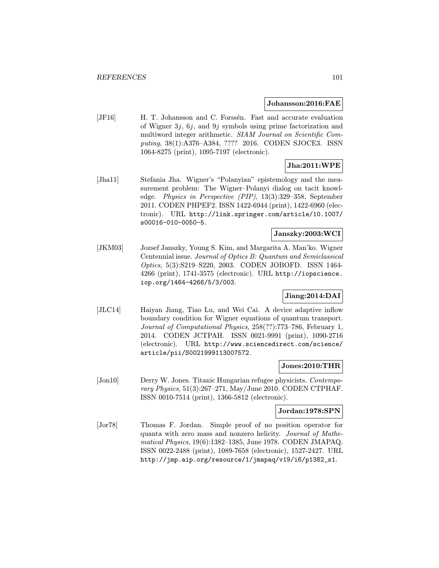#### Johansson:2016:FAE

[JF16] H. T. Johansson and C. Forssén. Fast and accurate evaluation of Wigner 3j, 6j, and 9j symbols using prime factorization and multiword integer arithmetic. SIAM Journal on Scientific Computing, 38(1):A376–A384, ???? 2016. CODEN SJOCE3. ISSN 1064-8275 (print), 1095-7197 (electronic).

# Jha:2011:WPE

[Jha11] Stefania Jha. Wigner's "Polanyian" epistemology and the measurement problem: The Wigner–Polanyi dialog on tacit knowledge. Physics in Perspective (PIP), 13(3):329–358, September 2011. CODEN PHPEF2. ISSN 1422-6944 (print), 1422-6960 (electronic). URL http://link.springer.com/article/10.1007/ s00016-010-0050-5.

# Janszky:2003:WCI

[JKM03] Jozsef Janszky, Young S. Kim, and Margarita A. Man'ko. Wigner Centennial issue. Journal of Optics B: Quantum and Semiclassical Optics, 5(3):S219–S220, 2003. CODEN JOBOFD. ISSN 1464- 4266 (print), 1741-3575 (electronic). URL http://iopscience. iop.org/1464-4266/5/3/003.

## Jiang:2014:DAI

[JLC14] Haiyan Jiang, Tiao Lu, and Wei Cai. A device adaptive inflow boundary condition for Wigner equations of quantum transport. Journal of Computational Physics, 258(??):773–786, February 1, 2014. CODEN JCTPAH. ISSN 0021-9991 (print), 1090-2716 (electronic). URL http://www.sciencedirect.com/science/ article/pii/S0021999113007572.

# Jones:2010:THR

[Jon10] Derry W. Jones. Titanic Hungarian refugee physicists. *Contempo*rary Physics, 51(3):267–271, May/June 2010. CODEN CTPHAF. ISSN 0010-7514 (print), 1366-5812 (electronic).

## Jordan:1978:SPN

[Jor78] Thomas F. Jordan. Simple proof of no position operator for quanta with zero mass and nonzero helicity. Journal of Mathematical Physics, 19(6):1382–1385, June 1978. CODEN JMAPAQ. ISSN 0022-2488 (print), 1089-7658 (electronic), 1527-2427. URL http://jmp.aip.org/resource/1/jmapaq/v19/i6/p1382\_s1.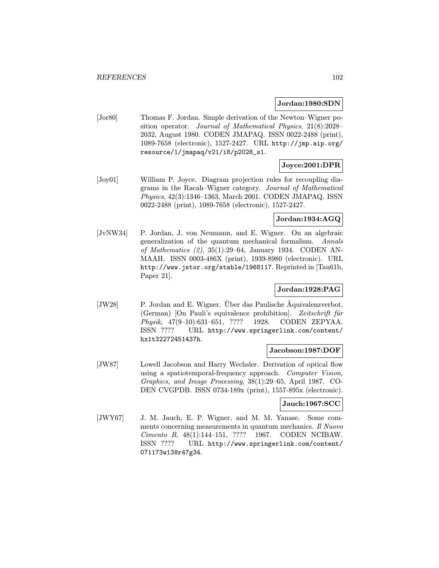#### Jordan:1980:SDN

[Jor80] Thomas F. Jordan. Simple derivation of the Newton–Wigner position operator. Journal of Mathematical Physics, 21(8):2028– 2032, August 1980. CODEN JMAPAQ. ISSN 0022-2488 (print), 1089-7658 (electronic), 1527-2427. URL http://jmp.aip.org/ resource/1/jmapaq/v21/i8/p2028\_s1.

# Joyce:2001:DPR

[Joy01] William P. Joyce. Diagram projection rules for recoupling diagrams in the Racah–Wigner category. Journal of Mathematical Physics, 42(3):1346–1363, March 2001. CODEN JMAPAQ. ISSN 0022-2488 (print), 1089-7658 (electronic), 1527-2427.

## Jordan:1934:AGQ

[JvNW34] P. Jordan, J. von Neumann, and E. Wigner. On an algebraic generalization of the quantum mechanical formalism. Annals of Mathematics (2), 35(1):29–64, January 1934. CODEN AN-MAAH. ISSN 0003-486X (print), 1939-8980 (electronic). URL http://www.jstor.org/stable/1968117. Reprinted in [Tau61b, Paper 21].

## Jordan:1928:PAG

[JW28] P. Jordan and E. Wigner. Uber das Paulische Aquivalenzverbot.  $(German)$  [On Pauli's equivalence prohibition]. Zeitschrift für Physik, 47(9–10):631–651, ???? 1928. CODEN ZEPYAA. ISSN ???? URL http://www.springerlink.com/content/ hx1t32272451437h.

## Jacobson:1987:DOF

[JW87] Lowell Jacobson and Harry Wechsler. Derivation of optical flow using a spatiotemporal-frequency approach. Computer Vision, Graphics, and Image Processing, 38(1):29–65, April 1987. CO-DEN CVGPDB. ISSN 0734-189x (print), 1557-895x (electronic).

## Jauch:1967:SCC

[JWY67] J. M. Jauch, E. P. Wigner, and M. M. Yanase. Some comments concerning measurements in quantum mechanics. Il Nuovo Cimento B, 48(1):144–151, ???? 1967. CODEN NCIBAW. ISSN ???? URL http://www.springerlink.com/content/ 071173w138r47g34.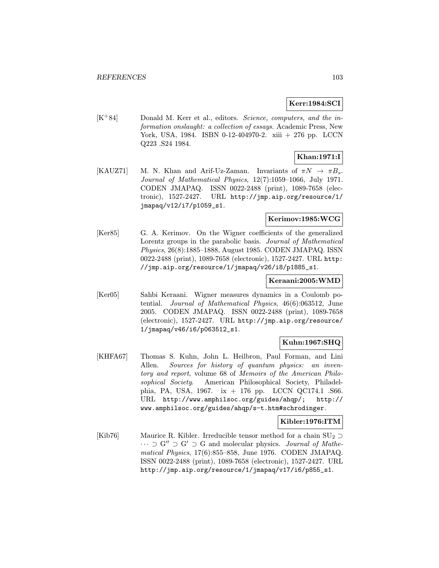## Kerr:1984:SCI

 $[K^+84]$  Donald M. Kerr et al., editors. Science, computers, and the information onslaught: a collection of essays. Academic Press, New York, USA, 1984. ISBN 0-12-404970-2. xiii + 276 pp. LCCN Q223 .S24 1984.

# Khan:1971:I

[KAUZ71] M. N. Khan and Arif-Uz-Zaman. Invariants of  $\pi N \to \pi B_s$ . Journal of Mathematical Physics, 12(7):1059–1066, July 1971. CODEN JMAPAQ. ISSN 0022-2488 (print), 1089-7658 (electronic), 1527-2427. URL http://jmp.aip.org/resource/1/ jmapaq/v12/i7/p1059\_s1.

## Kerimov:1985:WCG

[Ker85] G. A. Kerimov. On the Wigner coefficients of the generalized Lorentz groups in the parabolic basis. Journal of Mathematical Physics, 26(8):1885–1888, August 1985. CODEN JMAPAQ. ISSN 0022-2488 (print), 1089-7658 (electronic), 1527-2427. URL http: //jmp.aip.org/resource/1/jmapaq/v26/i8/p1885\_s1.

## Keraani:2005:WMD

[Ker05] Sahbi Keraani. Wigner measures dynamics in a Coulomb potential. Journal of Mathematical Physics, 46(6):063512, June 2005. CODEN JMAPAQ. ISSN 0022-2488 (print), 1089-7658 (electronic), 1527-2427. URL http://jmp.aip.org/resource/ 1/jmapaq/v46/i6/p063512\_s1.

# Kuhn:1967:SHQ

[KHFA67] Thomas S. Kuhn, John L. Heilbron, Paul Forman, and Lini Allen. Sources for history of quantum physics: an inventory and report, volume 68 of Memoirs of the American Philosophical Society. American Philosophical Society, Philadelphia, PA, USA, 1967. ix + 176 pp. LCCN QC174.1 .S66. URL http://www.amphilsoc.org/guides/ahqp/; http:// www.amphilsoc.org/guides/ahqp/s-t.htm#schrodinger.

## Kibler:1976:ITM

[Kib76] Maurice R. Kibler. Irreducible tensor method for a chain  $SU_2 \supset$  $\cdots \supset G'' \supset G' \supset G$  and molecular physics. *Journal of Mathe*matical Physics, 17(6):855–858, June 1976. CODEN JMAPAQ. ISSN 0022-2488 (print), 1089-7658 (electronic), 1527-2427. URL http://jmp.aip.org/resource/1/jmapaq/v17/i6/p855\_s1.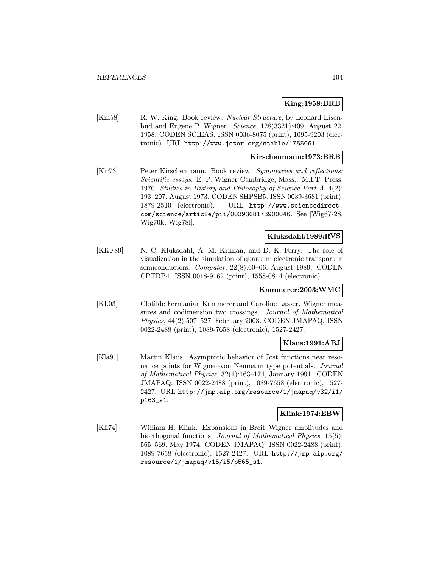## King:1958:BRB

[Kin58] R. W. King. Book review: *Nuclear Structure*, by Leonard Eisenbud and Eugene P. Wigner. Science, 128(3321):409, August 22, 1958. CODEN SCIEAS. ISSN 0036-8075 (print), 1095-9203 (electronic). URL http://www.jstor.org/stable/1755061.

## Kirschenmann:1973:BRB

[Kir73] Peter Kirschenmann. Book review: Symmetries and reflections: Scientific essays: E. P. Wigner Cambridge, Mass.: M.I.T. Press, 1970. Studies in History and Philosophy of Science Part A, 4(2): 193–207, August 1973. CODEN SHPSB5. ISSN 0039-3681 (print), 1879-2510 (electronic). URL http://www.sciencedirect. com/science/article/pii/0039368173900046. See [Wig67-28, Wig70k, Wig78l].

## Kluksdahl:1989:RVS

[KKF89] N. C. Kluksdahl, A. M. Kriman, and D. K. Ferry. The role of visualization in the simulation of quantum electronic transport in semiconductors. Computer, 22(8):60-66, August 1989. CODEN CPTRB4. ISSN 0018-9162 (print), 1558-0814 (electronic).

## Kammerer:2003:WMC

[KL03] Clotilde Fermanian Kammerer and Caroline Lasser. Wigner measures and codimension two crossings. Journal of Mathematical Physics, 44(2):507–527, February 2003. CODEN JMAPAQ. ISSN 0022-2488 (print), 1089-7658 (electronic), 1527-2427.

## Klaus:1991:ABJ

[Kla91] Martin Klaus. Asymptotic behavior of Jost functions near resonance points for Wigner–von Neumann type potentials. Journal of Mathematical Physics, 32(1):163–174, January 1991. CODEN JMAPAQ. ISSN 0022-2488 (print), 1089-7658 (electronic), 1527- 2427. URL http://jmp.aip.org/resource/1/jmapaq/v32/i1/ p163\_s1.

## Klink:1974:EBW

[Kli74] William H. Klink. Expansions in Breit–Wigner amplitudes and biorthogonal functions. Journal of Mathematical Physics, 15(5): 565–569, May 1974. CODEN JMAPAQ. ISSN 0022-2488 (print), 1089-7658 (electronic), 1527-2427. URL http://jmp.aip.org/ resource/1/jmapaq/v15/i5/p565\_s1.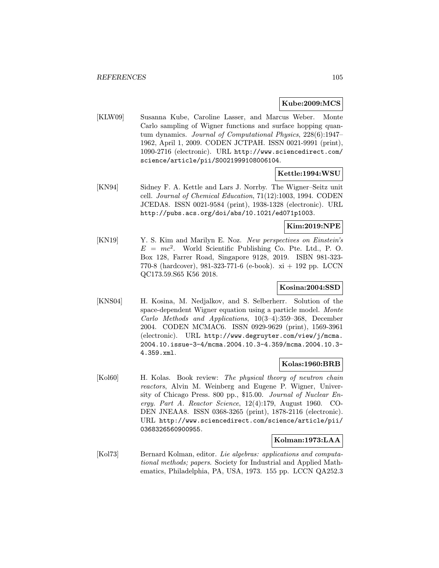## Kube:2009:MCS

[KLW09] Susanna Kube, Caroline Lasser, and Marcus Weber. Monte Carlo sampling of Wigner functions and surface hopping quantum dynamics. Journal of Computational Physics, 228(6):1947– 1962, April 1, 2009. CODEN JCTPAH. ISSN 0021-9991 (print), 1090-2716 (electronic). URL http://www.sciencedirect.com/ science/article/pii/S0021999108006104.

## Kettle:1994:WSU

[KN94] Sidney F. A. Kettle and Lars J. Norrby. The Wigner–Seitz unit cell. Journal of Chemical Education, 71(12):1003, 1994. CODEN JCEDA8. ISSN 0021-9584 (print), 1938-1328 (electronic). URL http://pubs.acs.org/doi/abs/10.1021/ed071p1003.

## Kim:2019:NPE

[KN19] Y. S. Kim and Marilyn E. Noz. New perspectives on Einstein's  $E = mc^2$ . World Scientific Publishing Co. Pte. Ltd., P. O. Box 128, Farrer Road, Singapore 9128, 2019. ISBN 981-323- 770-8 (hardcover), 981-323-771-6 (e-book). xi + 192 pp. LCCN QC173.59.S65 K56 2018.

## Kosina:2004:SSD

[KNS04] H. Kosina, M. Nedjalkov, and S. Selberherr. Solution of the space-dependent Wigner equation using a particle model. Monte Carlo Methods and Applications, 10(3–4):359–368, December 2004. CODEN MCMAC6. ISSN 0929-9629 (print), 1569-3961 (electronic). URL http://www.degruyter.com/view/j/mcma. 2004.10.issue-3-4/mcma.2004.10.3-4.359/mcma.2004.10.3- 4.359.xml.

## Kolas:1960:BRB

[Kol60] H. Kolas. Book review: The physical theory of neutron chain reactors, Alvin M. Weinberg and Eugene P. Wigner, University of Chicago Press. 800 pp., \$15.00. Journal of Nuclear Energy. Part A. Reactor Science, 12(4):179, August 1960. CO-DEN JNEAA8. ISSN 0368-3265 (print), 1878-2116 (electronic). URL http://www.sciencedirect.com/science/article/pii/ 0368326560900955.

## Kolman:1973:LAA

[Kol73] Bernard Kolman, editor. Lie algebras: applications and computational methods; papers. Society for Industrial and Applied Mathematics, Philadelphia, PA, USA, 1973. 155 pp. LCCN QA252.3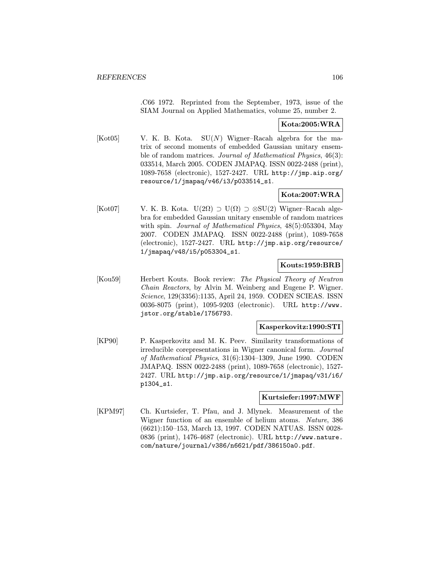.C66 1972. Reprinted from the September, 1973, issue of the SIAM Journal on Applied Mathematics, volume 25, number 2.

## Kota:2005:WRA

 $[Kot05]$  V. K. B. Kota.  $SU(N)$  Wigner–Racah algebra for the matrix of second moments of embedded Gaussian unitary ensemble of random matrices. Journal of Mathematical Physics, 46(3): 033514, March 2005. CODEN JMAPAQ. ISSN 0022-2488 (print), 1089-7658 (electronic), 1527-2427. URL http://jmp.aip.org/ resource/1/jmapaq/v46/i3/p033514\_s1.

# Kota:2007:WRA

[Kot07] V. K. B. Kota.  $U(2\Omega) \supset U(\Omega) \supset \otimes SU(2)$  Wigner–Racah algebra for embedded Gaussian unitary ensemble of random matrices with spin. Journal of Mathematical Physics, 48(5):053304, May 2007. CODEN JMAPAQ. ISSN 0022-2488 (print), 1089-7658 (electronic), 1527-2427. URL http://jmp.aip.org/resource/ 1/jmapaq/v48/i5/p053304\_s1.

## Kouts:1959:BRB

[Kou59] Herbert Kouts. Book review: The Physical Theory of Neutron Chain Reactors, by Alvin M. Weinberg and Eugene P. Wigner. Science, 129(3356):1135, April 24, 1959. CODEN SCIEAS. ISSN 0036-8075 (print), 1095-9203 (electronic). URL http://www. jstor.org/stable/1756793.

## Kasperkovitz:1990:STI

[KP90] P. Kasperkovitz and M. K. Peev. Similarity transformations of irreducible corepresentations in Wigner canonical form. Journal of Mathematical Physics, 31(6):1304–1309, June 1990. CODEN JMAPAQ. ISSN 0022-2488 (print), 1089-7658 (electronic), 1527- 2427. URL http://jmp.aip.org/resource/1/jmapaq/v31/i6/ p1304\_s1.

## Kurtsiefer:1997:MWF

[KPM97] Ch. Kurtsiefer, T. Pfau, and J. Mlynek. Measurement of the Wigner function of an ensemble of helium atoms. Nature, 386 (6621):150–153, March 13, 1997. CODEN NATUAS. ISSN 0028- 0836 (print), 1476-4687 (electronic). URL http://www.nature. com/nature/journal/v386/n6621/pdf/386150a0.pdf.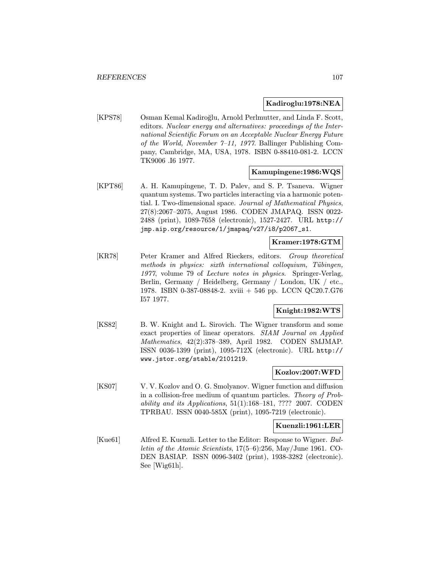## Kadiroglu:1978:NEA

[KPS78] Osman Kemal Kadiroğlu, Arnold Perlmutter, and Linda F. Scott, editors. Nuclear energy and alternatives: proceedings of the International Scientific Forum on an Acceptable Nuclear Energy Future of the World, November 7–11, 1977. Ballinger Publishing Company, Cambridge, MA, USA, 1978. ISBN 0-88410-081-2. LCCN TK9006 .I6 1977.

## Kamupingene:1986:WQS

[KPT86] A. H. Kamupingene, T. D. Palev, and S. P. Tsaneva. Wigner quantum systems. Two particles interacting via a harmonic potential. I. Two-dimensional space. Journal of Mathematical Physics, 27(8):2067–2075, August 1986. CODEN JMAPAQ. ISSN 0022- 2488 (print), 1089-7658 (electronic), 1527-2427. URL http:// jmp.aip.org/resource/1/jmapaq/v27/i8/p2067\_s1.

## Kramer:1978:GTM

[KR78] Peter Kramer and Alfred Rieckers, editors. Group theoretical methods in physics: sixth international colloquium, Tübingen, 1977, volume 79 of Lecture notes in physics. Springer-Verlag, Berlin, Germany / Heidelberg, Germany / London, UK / etc., 1978. ISBN 0-387-08848-2. xviii + 546 pp. LCCN QC20.7.G76 I57 1977.

## Knight:1982:WTS

[KS82] B. W. Knight and L. Sirovich. The Wigner transform and some exact properties of linear operators. SIAM Journal on Applied Mathematics, 42(2):378–389, April 1982. CODEN SMJMAP. ISSN 0036-1399 (print), 1095-712X (electronic). URL http:// www.jstor.org/stable/2101219.

## Kozlov:2007:WFD

[KS07] V. V. Kozlov and O. G. Smolyanov. Wigner function and diffusion in a collision-free medium of quantum particles. Theory of Probability and its Applications, 51(1):168–181, ???? 2007. CODEN TPRBAU. ISSN 0040-585X (print), 1095-7219 (electronic).

## Kuenzli:1961:LER

[Kue61] Alfred E. Kuenzli. Letter to the Editor: Response to Wigner. Bulletin of the Atomic Scientists, 17(5–6):256, May/June 1961. CO-DEN BASIAP. ISSN 0096-3402 (print), 1938-3282 (electronic). See [Wig61h].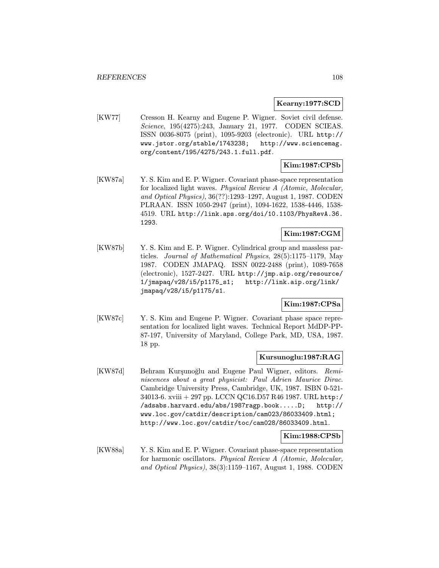### Kearny:1977:SCD

[KW77] Cresson H. Kearny and Eugene P. Wigner. Soviet civil defense. Science, 195(4275):243, January 21, 1977. CODEN SCIEAS. ISSN 0036-8075 (print), 1095-9203 (electronic). URL http:// www.jstor.org/stable/1743238; http://www.sciencemag. org/content/195/4275/243.1.full.pdf.

# Kim:1987:CPSb

[KW87a] Y. S. Kim and E. P. Wigner. Covariant phase-space representation for localized light waves. Physical Review A (Atomic, Molecular, and Optical Physics), 36(??):1293–1297, August 1, 1987. CODEN PLRAAN. ISSN 1050-2947 (print), 1094-1622, 1538-4446, 1538- 4519. URL http://link.aps.org/doi/10.1103/PhysRevA.36. 1293.

# Kim:1987:CGM

[KW87b] Y. S. Kim and E. P. Wigner. Cylindrical group and massless particles. Journal of Mathematical Physics, 28(5):1175–1179, May 1987. CODEN JMAPAQ. ISSN 0022-2488 (print), 1089-7658 (electronic), 1527-2427. URL http://jmp.aip.org/resource/ 1/jmapaq/v28/i5/p1175\_s1; http://link.aip.org/link/ jmapaq/v28/i5/p1175/s1.

## Kim:1987:CPSa

[KW87c] Y. S. Kim and Eugene P. Wigner. Covariant phase space representation for localized light waves. Technical Report MdDP-PP-87-197, University of Maryland, College Park, MD, USA, 1987. 18 pp.

## Kursunoglu:1987:RAG

[KW87d] Behram Kurşunoğlu and Eugene Paul Wigner, editors. Reminiscences about a great physicist: Paul Adrien Maurice Dirac. Cambridge University Press, Cambridge, UK, 1987. ISBN 0-521- 34013-6. xviii + 297 pp. LCCN QC16.D57 R46 1987. URL http:/ /adsabs.harvard.edu/abs/1987ragp.book.....D; http:// www.loc.gov/catdir/description/cam023/86033409.html; http://www.loc.gov/catdir/toc/cam028/86033409.html.

#### Kim:1988:CPSb

[KW88a] Y. S. Kim and E. P. Wigner. Covariant phase-space representation for harmonic oscillators. Physical Review A (Atomic, Molecular, and Optical Physics), 38(3):1159–1167, August 1, 1988. CODEN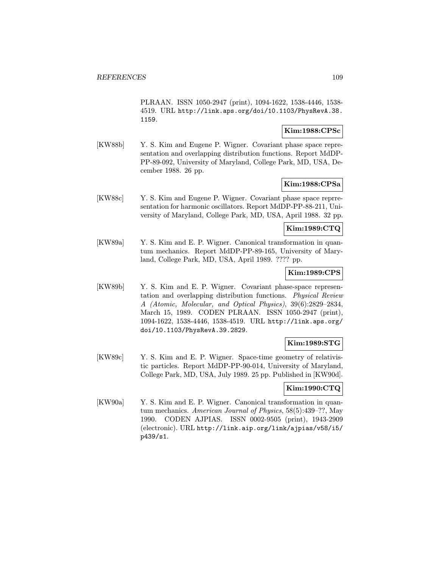PLRAAN. ISSN 1050-2947 (print), 1094-1622, 1538-4446, 1538- 4519. URL http://link.aps.org/doi/10.1103/PhysRevA.38. 1159.

## Kim:1988:CPSc

[KW88b] Y. S. Kim and Eugene P. Wigner. Covariant phase space representation and overlapping distribution functions. Report MdDP-PP-89-092, University of Maryland, College Park, MD, USA, December 1988. 26 pp.

### Kim:1988:CPSa

[KW88c] Y. S. Kim and Eugene P. Wigner. Covariant phase space reprresentation for harmonic oscillators. Report MdDP-PP-88-211, University of Maryland, College Park, MD, USA, April 1988. 32 pp.

# Kim:1989:CTQ

[KW89a] Y. S. Kim and E. P. Wigner. Canonical transformation in quantum mechanics. Report MdDP-PP-89-165, University of Maryland, College Park, MD, USA, April 1989. ???? pp.

## Kim:1989:CPS

[KW89b] Y. S. Kim and E. P. Wigner. Covariant phase-space representation and overlapping distribution functions. Physical Review A (Atomic, Molecular, and Optical Physics), 39(6):2829–2834, March 15, 1989. CODEN PLRAAN. ISSN 1050-2947 (print), 1094-1622, 1538-4446, 1538-4519. URL http://link.aps.org/ doi/10.1103/PhysRevA.39.2829.

# Kim:1989:STG

[KW89c] Y. S. Kim and E. P. Wigner. Space-time geometry of relativistic particles. Report MdDP-PP-90-014, University of Maryland, College Park, MD, USA, July 1989. 25 pp. Published in [KW90d].

## Kim:1990:CTQ

[KW90a] Y. S. Kim and E. P. Wigner. Canonical transformation in quantum mechanics. American Journal of Physics, 58(5):439–??, May 1990. CODEN AJPIAS. ISSN 0002-9505 (print), 1943-2909 (electronic). URL http://link.aip.org/link/ajpias/v58/i5/ p439/s1.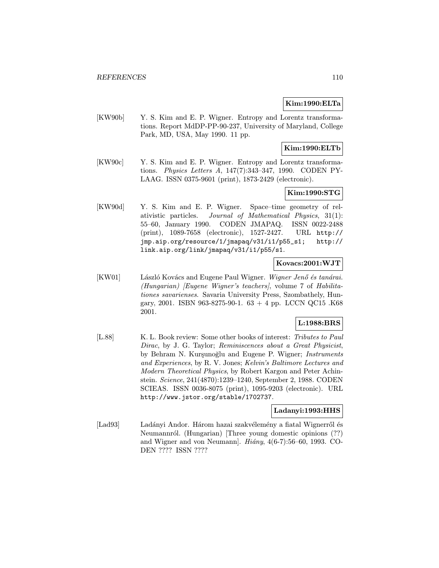## Kim:1990:ELTa

[KW90b] Y. S. Kim and E. P. Wigner. Entropy and Lorentz transformations. Report MdDP-PP-90-237, University of Maryland, College Park, MD, USA, May 1990. 11 pp.

# Kim:1990:ELTb

[KW90c] Y. S. Kim and E. P. Wigner. Entropy and Lorentz transformations. Physics Letters A, 147(7):343–347, 1990. CODEN PY-LAAG. ISSN 0375-9601 (print), 1873-2429 (electronic).

# Kim:1990:STG

[KW90d] Y. S. Kim and E. P. Wigner. Space–time geometry of relativistic particles. Journal of Mathematical Physics, 31(1): 55–60, January 1990. CODEN JMAPAQ. ISSN 0022-2488 (print), 1089-7658 (electronic), 1527-2427. URL http:// jmp.aip.org/resource/1/jmapaq/v31/i1/p55\_s1; http:// link.aip.org/link/jmapaq/v31/i1/p55/s1.

## Kovacs:2001:WJT

[KW01] László Kovács and Eugene Paul Wigner. Wigner Jenő és tanárai. (Hungarian) [Eugene Wigner's teachers], volume 7 of Habilitationes savarienses. Savaria University Press, Szombathely, Hungary, 2001. ISBN 963-8275-90-1.  $63 + 4$  pp. LCCN QC15 .K68 2001.

# L:1988:BRS

[L.88] K. L. Book review: Some other books of interest: Tributes to Paul Dirac, by J. G. Taylor; Reminiscences about a Great Physicist, by Behram N. Kurşunoğlu and Eugene P. Wigner; Instruments and Experiences, by R. V. Jones; Kelvin's Baltimore Lectures and Modern Theoretical Physics, by Robert Kargon and Peter Achinstein. Science, 241(4870):1239–1240, September 2, 1988. CODEN SCIEAS. ISSN 0036-8075 (print), 1095-9203 (electronic). URL http://www.jstor.org/stable/1702737.

## Ladanyi:1993:HHS

[Lad93] Ladányi Andor. Három hazai szakvélemény a fiatal Wignerről és Neumannról. (Hungarian) [Three young domestic opinions (??) and Wigner and von Neumann. Hiány,  $4(6-7)$ :56–60, 1993. CO-DEN ???? ISSN ????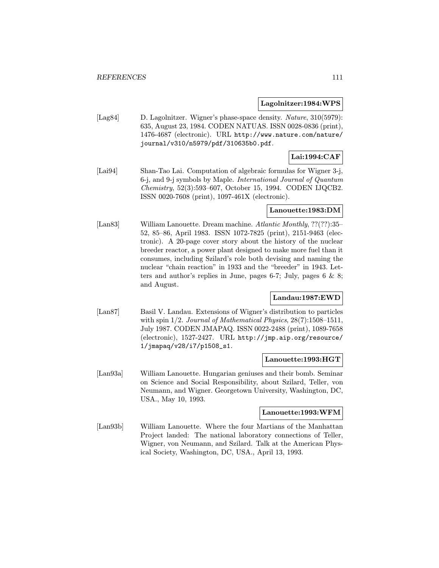#### Lagolnitzer:1984:WPS

[Lag84] D. Lagolnitzer. Wigner's phase-space density. *Nature*, 310(5979): 635, August 23, 1984. CODEN NATUAS. ISSN 0028-0836 (print), 1476-4687 (electronic). URL http://www.nature.com/nature/ journal/v310/n5979/pdf/310635b0.pdf.

# Lai:1994:CAF

[Lai94] Shan-Tao Lai. Computation of algebraic formulas for Wigner 3-j, 6-j, and 9-j symbols by Maple. International Journal of Quantum Chemistry, 52(3):593–607, October 15, 1994. CODEN IJQCB2. ISSN 0020-7608 (print), 1097-461X (electronic).

# Lanouette:1983:DM

[Lan83] William Lanouette. Dream machine. Atlantic Monthly, ??(??):35– 52, 85–86, April 1983. ISSN 1072-7825 (print), 2151-9463 (electronic). A 20-page cover story about the history of the nuclear breeder reactor, a power plant designed to make more fuel than it consumes, including Szilard's role both devising and naming the nuclear "chain reaction" in 1933 and the "breeder" in 1943. Letters and author's replies in June, pages 6-7; July, pages 6 & 8; and August.

# Landau:1987:EWD

[Lan87] Basil V. Landau. Extensions of Wigner's distribution to particles with spin  $1/2$ . Journal of Mathematical Physics,  $28(7)$ :1508-1511, July 1987. CODEN JMAPAQ. ISSN 0022-2488 (print), 1089-7658 (electronic), 1527-2427. URL http://jmp.aip.org/resource/ 1/jmapaq/v28/i7/p1508\_s1.

#### Lanouette:1993:HGT

[Lan93a] William Lanouette. Hungarian geniuses and their bomb. Seminar on Science and Social Responsibility, about Szilard, Teller, von Neumann, and Wigner. Georgetown University, Washington, DC, USA., May 10, 1993.

## Lanouette:1993:WFM

[Lan93b] William Lanouette. Where the four Martians of the Manhattan Project landed: The national laboratory connections of Teller, Wigner, von Neumann, and Szilard. Talk at the American Physical Society, Washington, DC, USA., April 13, 1993.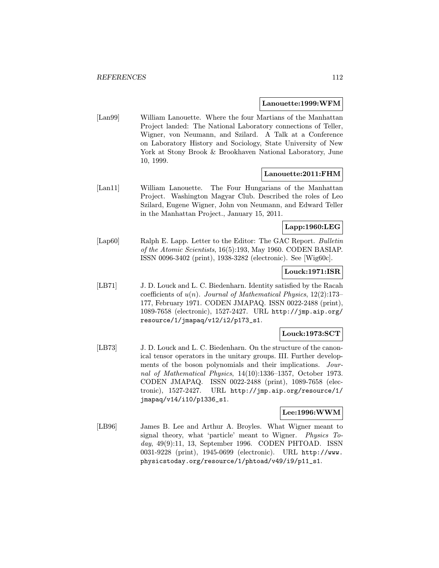#### Lanouette:1999:WFM

[Lan99] William Lanouette. Where the four Martians of the Manhattan Project landed: The National Laboratory connections of Teller, Wigner, von Neumann, and Szilard. A Talk at a Conference on Laboratory History and Sociology, State University of New York at Stony Brook & Brookhaven National Laboratory, June 10, 1999.

## Lanouette:2011:FHM

[Lan11] William Lanouette. The Four Hungarians of the Manhattan Project. Washington Magyar Club. Described the roles of Leo Szilard, Eugene Wigner, John von Neumann, and Edward Teller in the Manhattan Project., January 15, 2011.

## Lapp:1960:LEG

[Lap60] Ralph E. Lapp. Letter to the Editor: The GAC Report. Bulletin of the Atomic Scientists, 16(5):193, May 1960. CODEN BASIAP. ISSN 0096-3402 (print), 1938-3282 (electronic). See [Wig60c].

## Louck:1971:ISR

[LB71] J. D. Louck and L. C. Biedenharn. Identity satisfied by the Racah coefficients of  $u(n)$ . Journal of Mathematical Physics, 12(2):173– 177, February 1971. CODEN JMAPAQ. ISSN 0022-2488 (print), 1089-7658 (electronic), 1527-2427. URL http://jmp.aip.org/ resource/1/jmapaq/v12/i2/p173\_s1.

## Louck:1973:SCT

[LB73] J. D. Louck and L. C. Biedenharn. On the structure of the canonical tensor operators in the unitary groups. III. Further developments of the boson polynomials and their implications. Journal of Mathematical Physics, 14(10):1336–1357, October 1973. CODEN JMAPAQ. ISSN 0022-2488 (print), 1089-7658 (electronic), 1527-2427. URL http://jmp.aip.org/resource/1/ jmapaq/v14/i10/p1336\_s1.

## Lee:1996:WWM

[LB96] James B. Lee and Arthur A. Broyles. What Wigner meant to signal theory, what 'particle' meant to Wigner. Physics Today, 49(9):11, 13, September 1996. CODEN PHTOAD. ISSN 0031-9228 (print), 1945-0699 (electronic). URL http://www. physicstoday.org/resource/1/phtoad/v49/i9/p11\_s1.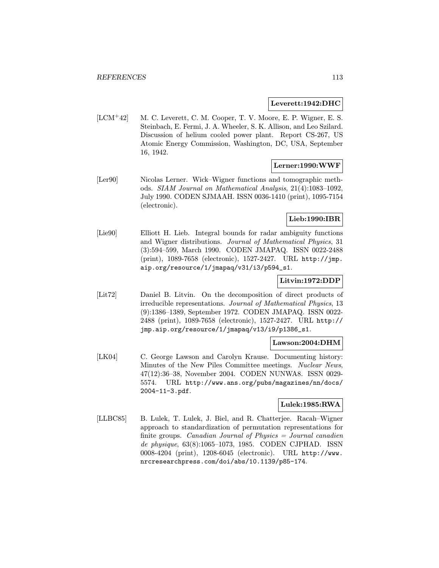#### Leverett:1942:DHC

[LCM<sup>+</sup>42] M. C. Leverett, C. M. Cooper, T. V. Moore, E. P. Wigner, E. S. Steinbach, E. Fermi, J. A. Wheeler, S. K. Allison, and Leo Szilard. Discussion of helium cooled power plant. Report CS-267, US Atomic Energy Commission, Washington, DC, USA, September 16, 1942.

# Lerner:1990:WWF

[Ler90] Nicolas Lerner. Wick–Wigner functions and tomographic methods. SIAM Journal on Mathematical Analysis, 21(4):1083–1092, July 1990. CODEN SJMAAH. ISSN 0036-1410 (print), 1095-7154 (electronic).

# Lieb:1990:IBR

[Lie90] Elliott H. Lieb. Integral bounds for radar ambiguity functions and Wigner distributions. Journal of Mathematical Physics, 31 (3):594–599, March 1990. CODEN JMAPAQ. ISSN 0022-2488 (print), 1089-7658 (electronic), 1527-2427. URL http://jmp. aip.org/resource/1/jmapaq/v31/i3/p594\_s1.

# Litvin:1972:DDP

[Lit72] Daniel B. Litvin. On the decomposition of direct products of irreducible representations. Journal of Mathematical Physics, 13 (9):1386–1389, September 1972. CODEN JMAPAQ. ISSN 0022- 2488 (print), 1089-7658 (electronic), 1527-2427. URL http:// jmp.aip.org/resource/1/jmapaq/v13/i9/p1386\_s1.

## Lawson:2004:DHM

[LK04] C. George Lawson and Carolyn Krause. Documenting history: Minutes of the New Piles Committee meetings. Nuclear News, 47(12):36–38, November 2004. CODEN NUNWA8. ISSN 0029- 5574. URL http://www.ans.org/pubs/magazines/nn/docs/ 2004-11-3.pdf.

# Lulek:1985:RWA

[LLBC85] B. Lulek, T. Lulek, J. Biel, and R. Chatterjee. Racah–Wigner approach to standardization of permutation representations for finite groups. Canadian Journal of Physics = Journal canadien de physique, 63(8):1065–1073, 1985. CODEN CJPHAD. ISSN 0008-4204 (print), 1208-6045 (electronic). URL http://www. nrcresearchpress.com/doi/abs/10.1139/p85-174.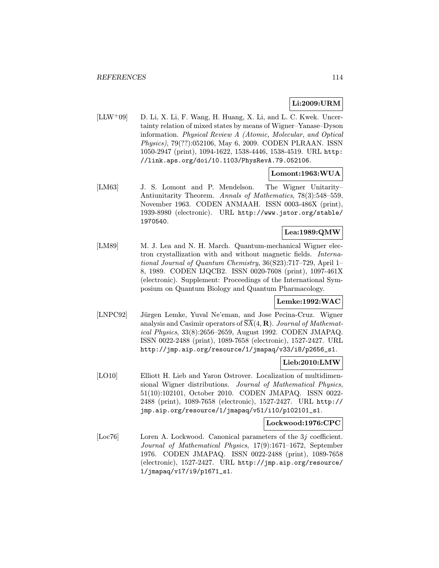# Li:2009:URM

 $[LLW^+09]$  D. Li, X. Li, F. Wang, H. Huang, X. Li, and L. C. Kwek. Uncertainty relation of mixed states by means of Wigner–Yanase–Dyson information. Physical Review A (Atomic, Molecular, and Optical Physics), 79(??):052106, May 6, 2009. CODEN PLRAAN. ISSN 1050-2947 (print), 1094-1622, 1538-4446, 1538-4519. URL http: //link.aps.org/doi/10.1103/PhysRevA.79.052106.

# Lomont:1963:WUA

[LM63] J. S. Lomont and P. Mendelson. The Wigner Unitarity– Antiunitarity Theorem. Annals of Mathematics, 78(3):548–559, November 1963. CODEN ANMAAH. ISSN 0003-486X (print), 1939-8980 (electronic). URL http://www.jstor.org/stable/ 1970540.

# Lea:1989:QMW

[LM89] M. J. Lea and N. H. March. Quantum-mechanical Wigner electron crystallization with and without magnetic fields. International Journal of Quantum Chemistry, 36(S23):717–729, April 1– 8, 1989. CODEN IJQCB2. ISSN 0020-7608 (print), 1097-461X (electronic). Supplement: Proceedings of the International Symposium on Quantum Biology and Quantum Pharmacology.

## Lemke:1992:WAC

[LNPC92] Jürgen Lemke, Yuval Ne'eman, and Jose Pecina-Cruz. Wigner analysis and Casimir operators of  $SA(4, \mathbf{R})$ . Journal of Mathematical Physics, 33(8):2656–2659, August 1992. CODEN JMAPAQ. ISSN 0022-2488 (print), 1089-7658 (electronic), 1527-2427. URL http://jmp.aip.org/resource/1/jmapaq/v33/i8/p2656\_s1.

## Lieb:2010:LMW

[LO10] Elliott H. Lieb and Yaron Ostrover. Localization of multidimensional Wigner distributions. Journal of Mathematical Physics, 51(10):102101, October 2010. CODEN JMAPAQ. ISSN 0022- 2488 (print), 1089-7658 (electronic), 1527-2427. URL http:// jmp.aip.org/resource/1/jmapaq/v51/i10/p102101\_s1.

# Lockwood:1976:CPC

[Loc76] Loren A. Lockwood. Canonical parameters of the 3j coefficient. Journal of Mathematical Physics, 17(9):1671–1672, September 1976. CODEN JMAPAQ. ISSN 0022-2488 (print), 1089-7658 (electronic), 1527-2427. URL http://jmp.aip.org/resource/ 1/jmapaq/v17/i9/p1671\_s1.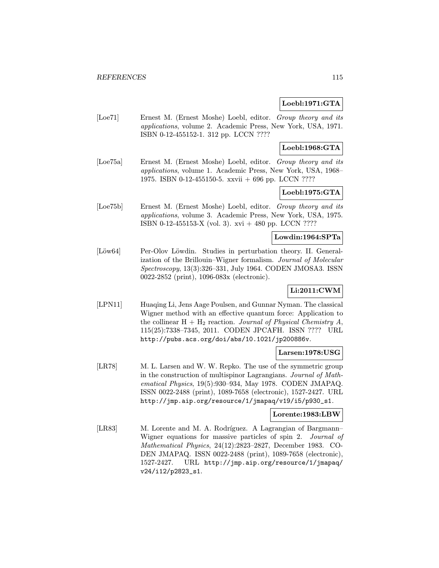# Loebl:1971:GTA

[Loe71] Ernest M. (Ernest Moshe) Loebl, editor. Group theory and its applications, volume 2. Academic Press, New York, USA, 1971. ISBN 0-12-455152-1. 312 pp. LCCN ????

# Loebl:1968:GTA

[Loe75a] Ernest M. (Ernest Moshe) Loebl, editor. Group theory and its applications, volume 1. Academic Press, New York, USA, 1968– 1975. ISBN 0-12-455150-5. xxvii + 696 pp. LCCN ????

# Loebl:1975:GTA

[Loe75b] Ernest M. (Ernest Moshe) Loebl, editor. Group theory and its applications, volume 3. Academic Press, New York, USA, 1975. ISBN 0-12-455153-X (vol. 3). xvi + 480 pp. LCCN ????

# Lowdin:1964:SPTa

[Löw64] Per-Olov Löwdin. Studies in perturbation theory. II. Generalization of the Brillouin–Wigner formalism. Journal of Molecular Spectroscopy, 13(3):326–331, July 1964. CODEN JMOSA3. ISSN 0022-2852 (print), 1096-083x (electronic).

# Li:2011:CWM

[LPN11] Huaqing Li, Jens Aage Poulsen, and Gunnar Nyman. The classical Wigner method with an effective quantum force: Application to the collinear  $H + H_2$  reaction. Journal of Physical Chemistry A, 115(25):7338–7345, 2011. CODEN JPCAFH. ISSN ???? URL http://pubs.acs.org/doi/abs/10.1021/jp200886v.

## Larsen:1978:USG

[LR78] M. L. Larsen and W. W. Repko. The use of the symmetric group in the construction of multispinor Lagrangians. Journal of Mathematical Physics, 19(5):930–934, May 1978. CODEN JMAPAQ. ISSN 0022-2488 (print), 1089-7658 (electronic), 1527-2427. URL http://jmp.aip.org/resource/1/jmapaq/v19/i5/p930\_s1.

## Lorente:1983:LBW

[LR83] M. Lorente and M. A. Rodríguez. A Lagrangian of Bargmann– Wigner equations for massive particles of spin 2. Journal of Mathematical Physics, 24(12):2823–2827, December 1983. CO-DEN JMAPAQ. ISSN 0022-2488 (print), 1089-7658 (electronic), 1527-2427. URL http://jmp.aip.org/resource/1/jmapaq/ v24/i12/p2823\_s1.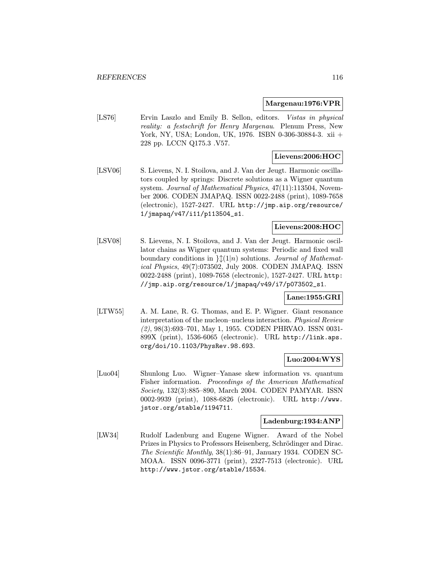#### Margenau:1976:VPR

[LS76] Ervin Laszlo and Emily B. Sellon, editors. Vistas in physical reality: a festschrift for Henry Margenau. Plenum Press, New York, NY, USA; London, UK, 1976. ISBN 0-306-30884-3. xii + 228 pp. LCCN Q175.3 .V57.

## Lievens:2006:HOC

[LSV06] S. Lievens, N. I. Stoilova, and J. Van der Jeugt. Harmonic oscillators coupled by springs: Discrete solutions as a Wigner quantum system. Journal of Mathematical Physics, 47(11):113504, November 2006. CODEN JMAPAQ. ISSN 0022-2488 (print), 1089-7658 (electronic), 1527-2427. URL http://jmp.aip.org/resource/ 1/jmapaq/v47/i11/p113504\_s1.

# Lievens:2008:HOC

[LSV08] S. Lievens, N. I. Stoilova, and J. Van der Jeugt. Harmonic oscillator chains as Wigner quantum systems: Periodic and fixed wall boundary conditions in  $\int (1|n)$  solutions. Journal of Mathematical Physics, 49(7):073502, July 2008. CODEN JMAPAQ. ISSN 0022-2488 (print), 1089-7658 (electronic), 1527-2427. URL http: //jmp.aip.org/resource/1/jmapaq/v49/i7/p073502\_s1.

# Lane:1955:GRI

[LTW55] A. M. Lane, R. G. Thomas, and E. P. Wigner. Giant resonance interpretation of the nucleon–nucleus interaction. Physical Review (2), 98(3):693–701, May 1, 1955. CODEN PHRVAO. ISSN 0031- 899X (print), 1536-6065 (electronic). URL http://link.aps. org/doi/10.1103/PhysRev.98.693.

#### Luo:2004:WYS

[Luo04] Shunlong Luo. Wigner–Yanase skew information vs. quantum Fisher information. Proceedings of the American Mathematical Society, 132(3):885–890, March 2004. CODEN PAMYAR. ISSN 0002-9939 (print), 1088-6826 (electronic). URL http://www. jstor.org/stable/1194711.

#### Ladenburg:1934:ANP

[LW34] Rudolf Ladenburg and Eugene Wigner. Award of the Nobel Prizes in Physics to Professors Heisenberg, Schrödinger and Dirac. The Scientific Monthly, 38(1):86–91, January 1934. CODEN SC-MOAA. ISSN 0096-3771 (print), 2327-7513 (electronic). URL http://www.jstor.org/stable/15534.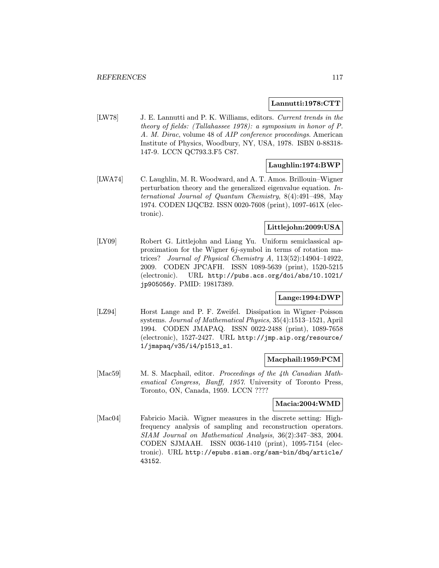## Lannutti:1978:CTT

[LW78] J. E. Lannutti and P. K. Williams, editors. Current trends in the theory of fields: (Tallahassee 1978): a symposium in honor of P. A. M. Dirac, volume 48 of AIP conference proceedings. American Institute of Physics, Woodbury, NY, USA, 1978. ISBN 0-88318- 147-9. LCCN QC793.3.F5 C87.

# Laughlin:1974:BWP

[LWA74] C. Laughlin, M. R. Woodward, and A. T. Amos. Brillouin–Wigner perturbation theory and the generalized eigenvalue equation. International Journal of Quantum Chemistry, 8(4):491–498, May 1974. CODEN IJQCB2. ISSN 0020-7608 (print), 1097-461X (electronic).

# Littlejohn:2009:USA

[LY09] Robert G. Littlejohn and Liang Yu. Uniform semiclassical approximation for the Wigner  $6j$ -symbol in terms of rotation matrices? Journal of Physical Chemistry A, 113(52):14904–14922, 2009. CODEN JPCAFH. ISSN 1089-5639 (print), 1520-5215 (electronic). URL http://pubs.acs.org/doi/abs/10.1021/ jp905056y. PMID: 19817389.

# Lange:1994:DWP

[LZ94] Horst Lange and P. F. Zweifel. Dissipation in Wigner–Poisson systems. Journal of Mathematical Physics, 35(4):1513–1521, April 1994. CODEN JMAPAQ. ISSN 0022-2488 (print), 1089-7658 (electronic), 1527-2427. URL http://jmp.aip.org/resource/ 1/jmapaq/v35/i4/p1513\_s1.

#### Macphail:1959:PCM

[Mac59] M. S. Macphail, editor. Proceedings of the 4th Canadian Mathematical Congress, Banff, 1957. University of Toronto Press, Toronto, ON, Canada, 1959. LCCN ????

## Macia:2004:WMD

[Mac04] Fabricio Macià. Wigner measures in the discrete setting: Highfrequency analysis of sampling and reconstruction operators. SIAM Journal on Mathematical Analysis, 36(2):347–383, 2004. CODEN SJMAAH. ISSN 0036-1410 (print), 1095-7154 (electronic). URL http://epubs.siam.org/sam-bin/dbq/article/ 43152.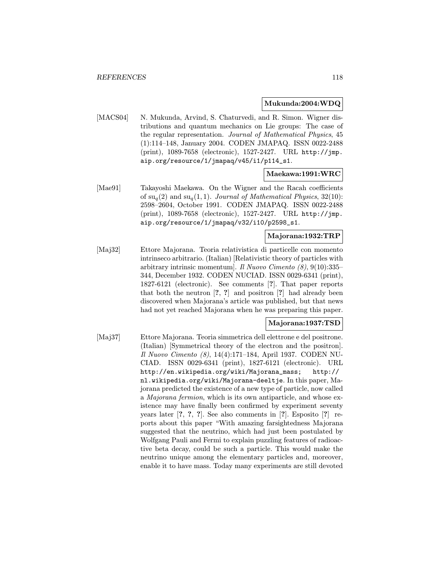#### Mukunda:2004:WDQ

[MACS04] N. Mukunda, Arvind, S. Chaturvedi, and R. Simon. Wigner distributions and quantum mechanics on Lie groups: The case of the regular representation. Journal of Mathematical Physics, 45 (1):114–148, January 2004. CODEN JMAPAQ. ISSN 0022-2488 (print), 1089-7658 (electronic), 1527-2427. URL http://jmp. aip.org/resource/1/jmapaq/v45/i1/p114\_s1.

#### Maekawa:1991:WRC

[Mae91] Takayoshi Maekawa. On the Wigner and the Racah coefficients of  $su_q(2)$  and  $su_q(1, 1)$ . Journal of Mathematical Physics, 32(10): 2598–2604, October 1991. CODEN JMAPAQ. ISSN 0022-2488 (print), 1089-7658 (electronic), 1527-2427. URL http://jmp. aip.org/resource/1/jmapaq/v32/i10/p2598\_s1.

# Majorana:1932:TRP

[Maj32] Ettore Majorana. Teoria relativistica di particelle con momento intrinseco arbitrario. (Italian) [Relativistic theory of particles with arbitrary intrinsic momentum]. Il Nuovo Cimento  $(8)$ , 9(10):335– 344, December 1932. CODEN NUCIAD. ISSN 0029-6341 (print), 1827-6121 (electronic). See comments [?]. That paper reports that both the neutron [?, ?] and positron [?] had already been discovered when Majorana's article was published, but that news had not yet reached Majorana when he was preparing this paper.

#### Majorana:1937:TSD

[Maj37] Ettore Majorana. Teoria simmetrica dell elettrone e del positrone. (Italian) [Symmetrical theory of the electron and the positron]. Il Nuovo Cimento (8), 14(4):171–184, April 1937. CODEN NU-CIAD. ISSN 0029-6341 (print), 1827-6121 (electronic). URL http://en.wikipedia.org/wiki/Majorana\_mass; http:// nl.wikipedia.org/wiki/Majorana-deeltje. In this paper, Majorana predicted the existence of a new type of particle, now called a Majorana fermion, which is its own antiparticle, and whose existence may have finally been confirmed by experiment seventy years later [?, ?, ?]. See also comments in [?]. Esposito [?] reports about this paper "With amazing farsightedness Majorana suggested that the neutrino, which had just been postulated by Wolfgang Pauli and Fermi to explain puzzling features of radioactive beta decay, could be such a particle. This would make the neutrino unique among the elementary particles and, moreover, enable it to have mass. Today many experiments are still devoted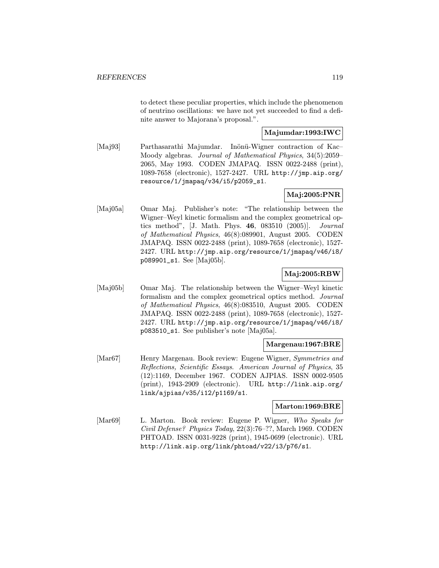to detect these peculiar properties, which include the phenomenon of neutrino oscillations: we have not yet succeeded to find a definite answer to Majorana's proposal.".

# Majumdar:1993:IWC

[Maj93] Parthasarathi Majumdar. Inönü-Wigner contraction of Kac– Moody algebras. Journal of Mathematical Physics, 34(5):2059– 2065, May 1993. CODEN JMAPAQ. ISSN 0022-2488 (print), 1089-7658 (electronic), 1527-2427. URL http://jmp.aip.org/ resource/1/jmapaq/v34/i5/p2059\_s1.

# Maj:2005:PNR

[Maj05a] Omar Maj. Publisher's note: "The relationship between the Wigner–Weyl kinetic formalism and the complex geometrical optics method", [J. Math. Phys. 46, 083510 (2005)]. Journal of Mathematical Physics, 46(8):089901, August 2005. CODEN JMAPAQ. ISSN 0022-2488 (print), 1089-7658 (electronic), 1527- 2427. URL http://jmp.aip.org/resource/1/jmapaq/v46/i8/ p089901\_s1. See [Maj05b].

# Maj:2005:RBW

[Maj05b] Omar Maj. The relationship between the Wigner–Weyl kinetic formalism and the complex geometrical optics method. Journal of Mathematical Physics, 46(8):083510, August 2005. CODEN JMAPAQ. ISSN 0022-2488 (print), 1089-7658 (electronic), 1527- 2427. URL http://jmp.aip.org/resource/1/jmapaq/v46/i8/ p083510\_s1. See publisher's note [Maj05a].

## Margenau:1967:BRE

[Mar67] Henry Margenau. Book review: Eugene Wigner, Symmetries and Reflections, Scientific Essays. American Journal of Physics, 35 (12):1169, December 1967. CODEN AJPIAS. ISSN 0002-9505 (print), 1943-2909 (electronic). URL http://link.aip.org/ link/ajpias/v35/i12/p1169/s1.

#### Marton:1969:BRE

[Mar69] L. Marton. Book review: Eugene P. Wigner, Who Speaks for Civil Defense? Physics Today, 22(3):76–??, March 1969. CODEN PHTOAD. ISSN 0031-9228 (print), 1945-0699 (electronic). URL http://link.aip.org/link/phtoad/v22/i3/p76/s1.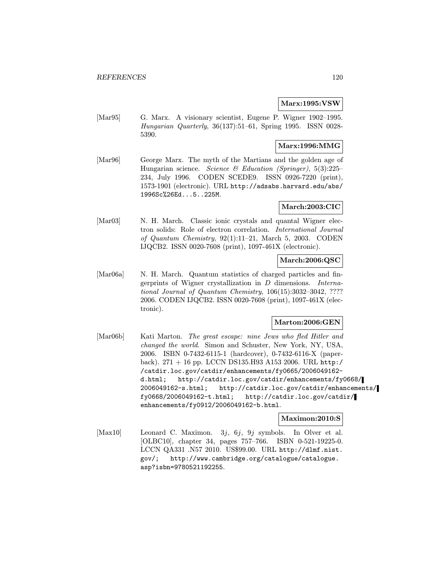#### Marx:1995:VSW

[Mar95] G. Marx. A visionary scientist, Eugene P. Wigner 1902-1995. Hungarian Quarterly, 36(137):51–61, Spring 1995. ISSN 0028- 5390.

# Marx:1996:MMG

[Mar96] George Marx. The myth of the Martians and the golden age of Hungarian science. Science & Education (Springer),  $5(3):225-$ 234, July 1996. CODEN SCEDE9. ISSN 0926-7220 (print), 1573-1901 (electronic). URL http://adsabs.harvard.edu/abs/ 1996Sc%26Ed...5..225M.

# March:2003:CIC

[Mar03] N. H. March. Classic ionic crystals and quantal Wigner electron solids: Role of electron correlation. International Journal of Quantum Chemistry, 92(1):11–21, March 5, 2003. CODEN IJQCB2. ISSN 0020-7608 (print), 1097-461X (electronic).

# March:2006:QSC

[Mar06a] N. H. March. Quantum statistics of charged particles and fingerprints of Wigner crystallization in D dimensions. International Journal of Quantum Chemistry, 106(15):3032–3042, ???? 2006. CODEN IJQCB2. ISSN 0020-7608 (print), 1097-461X (electronic).

# Marton:2006:GEN

[Mar06b] Kati Marton. The great escape: nine Jews who fled Hitler and changed the world. Simon and Schuster, New York, NY, USA, 2006. ISBN 0-7432-6115-1 (hardcover), 0-7432-6116-X (paperback). 271 + 16 pp. LCCN DS135.H93 A153 2006. URL http:/ /catdir.loc.gov/catdir/enhancements/fy0665/2006049162 d.html; http://catdir.loc.gov/catdir/enhancements/fy0668/ 2006049162-s.html; http://catdir.loc.gov/catdir/enhancements/ fy0668/2006049162-t.html; http://catdir.loc.gov/catdir/ enhancements/fy0912/2006049162-b.html.

#### Maximon:2010:S

[Max10] Leonard C. Maximon. 3j, 6j, 9j symbols. In Olver et al. [OLBC10], chapter 34, pages 757–766. ISBN 0-521-19225-0. LCCN QA331 .N57 2010. US\$99.00. URL http://dlmf.nist. gov/; http://www.cambridge.org/catalogue/catalogue. asp?isbn=9780521192255.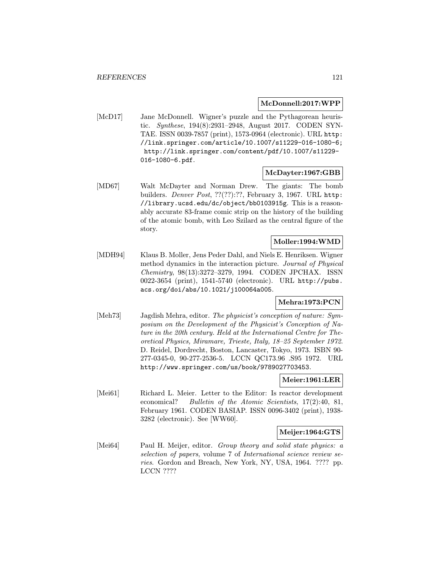## McDonnell:2017:WPP

[McD17] Jane McDonnell. Wigner's puzzle and the Pythagorean heuristic. Synthese, 194(8):2931–2948, August 2017. CODEN SYN-TAE. ISSN 0039-7857 (print), 1573-0964 (electronic). URL http: //link.springer.com/article/10.1007/s11229-016-1080-6; http://link.springer.com/content/pdf/10.1007/s11229- 016-1080-6.pdf.

# McDayter:1967:GBB

[MD67] Walt McDayter and Norman Drew. The giants: The bomb builders. *Denver Post*, ??(??):??, February 3, 1967. URL http: //library.ucsd.edu/dc/object/bb0103915g. This is a reasonably accurate 83-frame comic strip on the history of the building of the atomic bomb, with Leo Szilard as the central figure of the story.

#### Moller:1994:WMD

[MDH94] Klaus B. Moller, Jens Peder Dahl, and Niels E. Henriksen. Wigner method dynamics in the interaction picture. Journal of Physical Chemistry, 98(13):3272–3279, 1994. CODEN JPCHAX. ISSN 0022-3654 (print), 1541-5740 (electronic). URL http://pubs. acs.org/doi/abs/10.1021/j100064a005.

# Mehra:1973:PCN

[Meh73] Jagdish Mehra, editor. The physicist's conception of nature: Symposium on the Development of the Physicist's Conception of Nature in the 20th century. Held at the International Centre for Theoretical Physics, Miramare, Trieste, Italy, 18–25 September 1972. D. Reidel, Dordrecht, Boston, Lancaster, Tokyo, 1973. ISBN 90- 277-0345-0, 90-277-2536-5. LCCN QC173.96 .S95 1972. URL http://www.springer.com/us/book/9789027703453.

#### Meier:1961:LER

[Mei61] Richard L. Meier. Letter to the Editor: Is reactor development economical? Bulletin of the Atomic Scientists, 17(2):40, 81, February 1961. CODEN BASIAP. ISSN 0096-3402 (print), 1938- 3282 (electronic). See [WW60].

## Meijer:1964:GTS

[Mei64] Paul H. Meijer, editor. Group theory and solid state physics: a selection of papers, volume 7 of International science review series. Gordon and Breach, New York, NY, USA, 1964. ???? pp. LCCN ????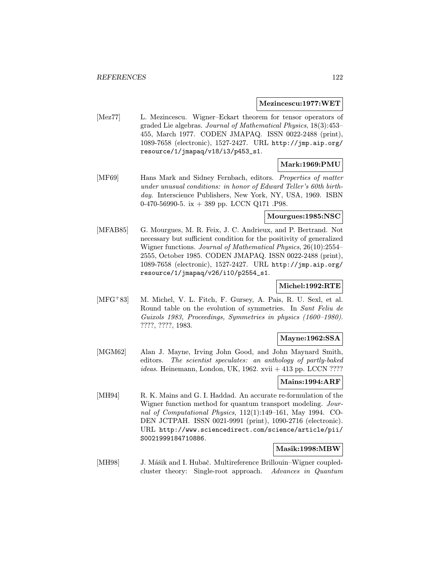#### Mezincescu:1977:WET

[Mez77] L. Mezincescu. Wigner–Eckart theorem for tensor operators of graded Lie algebras. Journal of Mathematical Physics, 18(3):453– 455, March 1977. CODEN JMAPAQ. ISSN 0022-2488 (print), 1089-7658 (electronic), 1527-2427. URL http://jmp.aip.org/ resource/1/jmapaq/v18/i3/p453\_s1.

# Mark:1969:PMU

[MF69] Hans Mark and Sidney Fernbach, editors. Properties of matter under unusual conditions: in honor of Edward Teller's 60th birthday. Interscience Publishers, New York, NY, USA, 1969. ISBN 0-470-56990-5. ix  $+$  389 pp. LCCN Q171 .P98.

# Mourgues:1985:NSC

[MFAB85] G. Mourgues, M. R. Feix, J. C. Andrieux, and P. Bertrand. Not necessary but sufficient condition for the positivity of generalized Wigner functions. Journal of Mathematical Physics, 26(10):2554– 2555, October 1985. CODEN JMAPAQ. ISSN 0022-2488 (print), 1089-7658 (electronic), 1527-2427. URL http://jmp.aip.org/ resource/1/jmapaq/v26/i10/p2554\_s1.

# Michel:1992:RTE

[MFG<sup>+</sup>83] M. Michel, V. L. Fitch, F. Gursey, A. Pais, R. U. Sexl, et al. Round table on the evolution of symmetries. In Sant Feliu de Guixols 1983, Proceedings, Symmetries in physics (1600–1980). ????, ????, 1983.

## Mayne:1962:SSA

[MGM62] Alan J. Mayne, Irving John Good, and John Maynard Smith, editors. The scientist speculates: an anthology of partly-baked *ideas.* Heinemann, London, UK, 1962. xvii  $+$  413 pp. LCCN ????

## Mains:1994:ARF

[MH94] R. K. Mains and G. I. Haddad. An accurate re-formulation of the Wigner function method for quantum transport modeling. Journal of Computational Physics, 112(1):149–161, May 1994. CO-DEN JCTPAH. ISSN 0021-9991 (print), 1090-2716 (electronic). URL http://www.sciencedirect.com/science/article/pii/ S0021999184710886.

# Masik:1998:MBW

[MH98] J. Mášik and I. Hubač. Multireference Brillouin–Wigner coupledcluster theory: Single-root approach. Advances in Quantum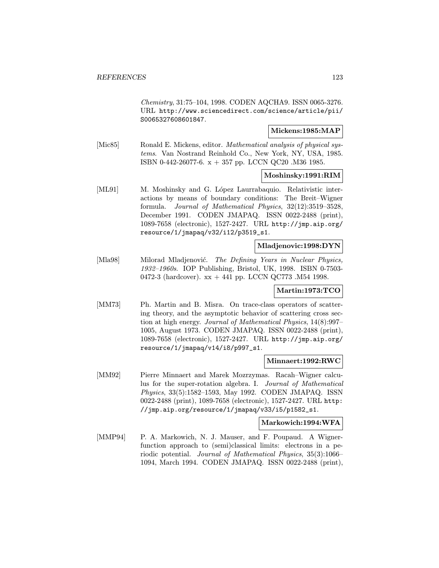Chemistry, 31:75–104, 1998. CODEN AQCHA9. ISSN 0065-3276. URL http://www.sciencedirect.com/science/article/pii/ S0065327608601847.

# Mickens:1985:MAP

[Mic85] Ronald E. Mickens, editor. *Mathematical analysis of physical sys*tems. Van Nostrand Reinhold Co., New York, NY, USA, 1985. ISBN 0-442-26077-6. x + 357 pp. LCCN QC20 .M36 1985.

### Moshinsky:1991:RIM

[ML91] M. Moshinsky and G. López Laurrabaquio. Relativistic interactions by means of boundary conditions: The Breit–Wigner formula. Journal of Mathematical Physics, 32(12):3519–3528, December 1991. CODEN JMAPAQ. ISSN 0022-2488 (print), 1089-7658 (electronic), 1527-2427. URL http://jmp.aip.org/ resource/1/jmapaq/v32/i12/p3519\_s1.

#### Mladjenovic:1998:DYN

[Mla98] Milorad Mladjenović. The Defining Years in Nuclear Physics, 1932–1960s. IOP Publishing, Bristol, UK, 1998. ISBN 0-7503- 0472-3 (hardcover). xx + 441 pp. LCCN QC773 .M54 1998.

## Martin:1973:TCO

[MM73] Ph. Martin and B. Misra. On trace-class operators of scattering theory, and the asymptotic behavior of scattering cross section at high energy. Journal of Mathematical Physics, 14(8):997– 1005, August 1973. CODEN JMAPAQ. ISSN 0022-2488 (print), 1089-7658 (electronic), 1527-2427. URL http://jmp.aip.org/ resource/1/jmapaq/v14/i8/p997\_s1.

#### Minnaert:1992:RWC

[MM92] Pierre Minnaert and Marek Mozrzymas. Racah–Wigner calculus for the super-rotation algebra. I. Journal of Mathematical Physics, 33(5):1582–1593, May 1992. CODEN JMAPAQ. ISSN 0022-2488 (print), 1089-7658 (electronic), 1527-2427. URL http: //jmp.aip.org/resource/1/jmapaq/v33/i5/p1582\_s1.

#### Markowich:1994:WFA

[MMP94] P. A. Markowich, N. J. Mauser, and F. Poupaud. A Wignerfunction approach to (semi)classical limits: electrons in a periodic potential. Journal of Mathematical Physics, 35(3):1066– 1094, March 1994. CODEN JMAPAQ. ISSN 0022-2488 (print),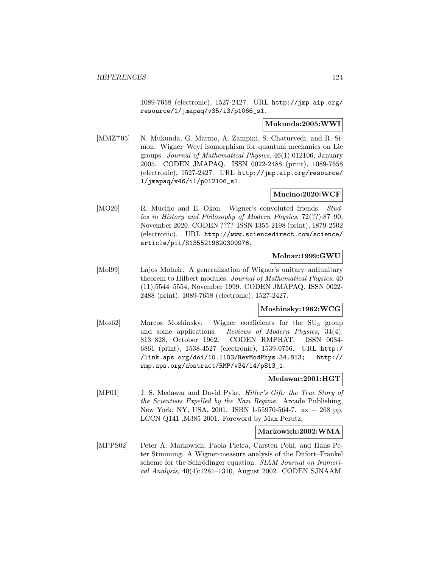1089-7658 (electronic), 1527-2427. URL http://jmp.aip.org/ resource/1/jmapaq/v35/i3/p1066\_s1.

## Mukunda:2005:WWI

[MMZ<sup>+</sup>05] N. Mukunda, G. Marmo, A. Zampini, S. Chaturvedi, and R. Simon. Wigner–Weyl isomorphism for quantum mechanics on Lie groups. Journal of Mathematical Physics, 46(1):012106, January 2005. CODEN JMAPAQ. ISSN 0022-2488 (print), 1089-7658 (electronic), 1527-2427. URL http://jmp.aip.org/resource/ 1/jmapaq/v46/i1/p012106\_s1.

# Mucino:2020:WCF

[MO20] R. Muciño and E. Okon. Wigner's convoluted friends. Studies in History and Philosophy of Modern Physics, 72(??):87–90, November 2020. CODEN ???? ISSN 1355-2198 (print), 1879-2502 (electronic). URL http://www.sciencedirect.com/science/ article/pii/S1355219820300976.

# Molnar:1999:GWU

[Mol99] Lajos Molnár. A generalization of Wigner's unitary–antiunitary theorem to Hilbert modules. Journal of Mathematical Physics, 40 (11):5544–5554, November 1999. CODEN JMAPAQ. ISSN 0022- 2488 (print), 1089-7658 (electronic), 1527-2427.

# Moshinsky:1962:WCG

[Mos62] Marcos Moshinsky. Wigner coefficients for the SU<sub>3</sub> group and some applications. Reviews of Modern Physics, 34(4): 813–828, October 1962. CODEN RMPHAT. ISSN 0034- 6861 (print), 1538-4527 (electronic), 1539-0756. URL http:/ /link.aps.org/doi/10.1103/RevModPhys.34.813; http:// rmp.aps.org/abstract/RMP/v34/i4/p813\_1.

## Medawar:2001:HGT

[MP01] J. S. Medawar and David Pyke. *Hitler's Gift: the True Story of* the Scientists Expelled by the Nazi Regime. Arcade Publishing, New York, NY, USA, 2001. ISBN 1-55970-564-7. xx + 268 pp. LCCN Q141 .M385 2001. Foreword by Max Perutz.

## Markowich:2002:WMA

[MPPS02] Peter A. Markowich, Paola Pietra, Carsten Pohl, and Hans Peter Stimming. A Wigner-measure analysis of the Dufort–Frankel scheme for the Schrödinger equation. SIAM Journal on Numerical Analysis, 40(4):1281–1310, August 2002. CODEN SJNAAM.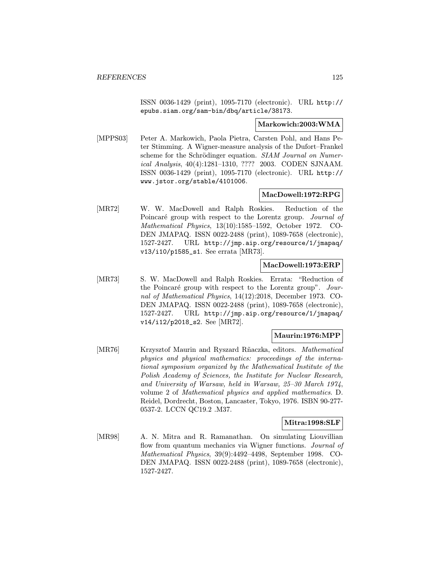ISSN 0036-1429 (print), 1095-7170 (electronic). URL http:// epubs.siam.org/sam-bin/dbq/article/38173.

#### Markowich:2003:WMA

[MPPS03] Peter A. Markowich, Paola Pietra, Carsten Pohl, and Hans Peter Stimming. A Wigner-measure analysis of the Dufort–Frankel scheme for the Schrödinger equation. SIAM Journal on Numerical Analysis, 40(4):1281–1310, ???? 2003. CODEN SJNAAM. ISSN 0036-1429 (print), 1095-7170 (electronic). URL http:// www.jstor.org/stable/4101006.

# MacDowell:1972:RPG

[MR72] W. W. MacDowell and Ralph Roskies. Reduction of the Poincaré group with respect to the Lorentz group. Journal of Mathematical Physics, 13(10):1585–1592, October 1972. CO-DEN JMAPAQ. ISSN 0022-2488 (print), 1089-7658 (electronic), 1527-2427. URL http://jmp.aip.org/resource/1/jmapaq/ v13/i10/p1585\_s1. See errata [MR73].

# MacDowell:1973:ERP

[MR73] S. W. MacDowell and Ralph Roskies. Errata: "Reduction of the Poincaré group with respect to the Lorentz group".  $Jour$ nal of Mathematical Physics, 14(12):2018, December 1973. CO-DEN JMAPAQ. ISSN 0022-2488 (print), 1089-7658 (electronic), 1527-2427. URL http://jmp.aip.org/resource/1/jmapaq/ v14/i12/p2018\_s2. See [MR72].

## Maurin:1976:MPP

[MR76] Krzysztof Maurin and Ryszard Rñaczka, editors. *Mathematical* physics and physical mathematics: proceedings of the international symposium organized by the Mathematical Institute of the Polish Academy of Sciences, the Institute for Nuclear Research, and University of Warsaw, held in Warsaw, 25–30 March 1974, volume 2 of Mathematical physics and applied mathematics. D. Reidel, Dordrecht, Boston, Lancaster, Tokyo, 1976. ISBN 90-277- 0537-2. LCCN QC19.2 .M37.

## Mitra:1998:SLF

[MR98] A. N. Mitra and R. Ramanathan. On simulating Liouvillian flow from quantum mechanics via Wigner functions. Journal of Mathematical Physics, 39(9):4492–4498, September 1998. CO-DEN JMAPAQ. ISSN 0022-2488 (print), 1089-7658 (electronic), 1527-2427.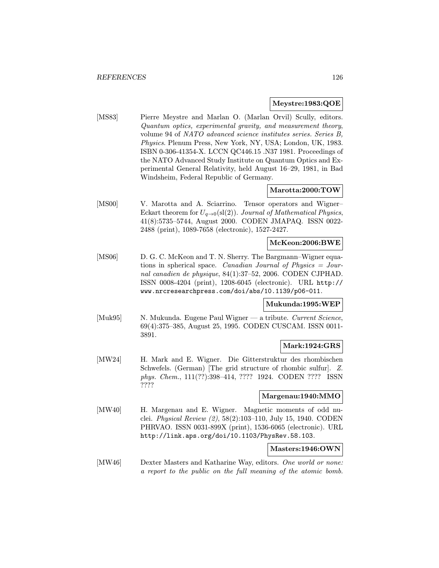## Meystre:1983:QOE

[MS83] Pierre Meystre and Marlan O. (Marlan Orvil) Scully, editors. Quantum optics, experimental gravity, and measurement theory, volume 94 of NATO advanced science institutes series. Series B, Physics. Plenum Press, New York, NY, USA; London, UK, 1983. ISBN 0-306-41354-X. LCCN QC446.15 .N37 1981. Proceedings of the NATO Advanced Study Institute on Quantum Optics and Experimental General Relativity, held August 16–29, 1981, in Bad Windsheim, Federal Republic of Germany.

# Marotta:2000:TOW

[MS00] V. Marotta and A. Sciarrino. Tensor operators and Wigner– Eckart theorem for  $U_{q\rightarrow 0}(\text{sl}(2))$ . Journal of Mathematical Physics, 41(8):5735–5744, August 2000. CODEN JMAPAQ. ISSN 0022- 2488 (print), 1089-7658 (electronic), 1527-2427.

#### McKeon:2006:BWE

[MS06] D. G. C. McKeon and T. N. Sherry. The Bargmann–Wigner equations in spherical space. Canadian Journal of Physics  $=$  Journal canadien de physique, 84(1):37–52, 2006. CODEN CJPHAD. ISSN 0008-4204 (print), 1208-6045 (electronic). URL http:// www.nrcresearchpress.com/doi/abs/10.1139/p06-011.

#### Mukunda:1995:WEP

[Muk95] N. Mukunda. Eugene Paul Wigner — a tribute. Current Science, 69(4):375–385, August 25, 1995. CODEN CUSCAM. ISSN 0011- 3891.

## Mark:1924:GRS

[MW24] H. Mark and E. Wigner. Die Gitterstruktur des rhombischen Schwefels. (German) [The grid structure of rhombic sulfur]. Z. phys. Chem., 111(??):398–414, ???? 1924. CODEN ???? ISSN ????

# Margenau:1940:MMO

[MW40] H. Margenau and E. Wigner. Magnetic moments of odd nuclei. Physical Review (2), 58(2):103–110, July 15, 1940. CODEN PHRVAO. ISSN 0031-899X (print), 1536-6065 (electronic). URL http://link.aps.org/doi/10.1103/PhysRev.58.103.

## Masters:1946:OWN

[MW46] Dexter Masters and Katharine Way, editors. One world or none: a report to the public on the full meaning of the atomic bomb.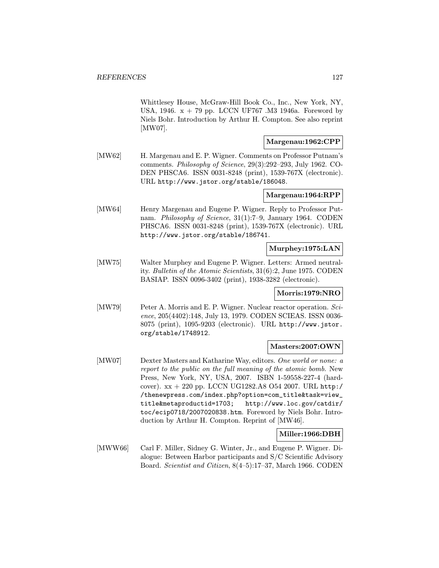Whittlesey House, McGraw-Hill Book Co., Inc., New York, NY, USA, 1946.  $x + 79$  pp. LCCN UF767 .M3 1946a. Foreword by Niels Bohr. Introduction by Arthur H. Compton. See also reprint [MW07].

### Margenau:1962:CPP

[MW62] H. Margenau and E. P. Wigner. Comments on Professor Putnam's comments. Philosophy of Science, 29(3):292–293, July 1962. CO-DEN PHSCA6. ISSN 0031-8248 (print), 1539-767X (electronic). URL http://www.jstor.org/stable/186048.

## Margenau:1964:RPP

[MW64] Henry Margenau and Eugene P. Wigner. Reply to Professor Putnam. Philosophy of Science, 31(1):7–9, January 1964. CODEN PHSCA6. ISSN 0031-8248 (print), 1539-767X (electronic). URL http://www.jstor.org/stable/186741.

# Murphey:1975:LAN

[MW75] Walter Murphey and Eugene P. Wigner. Letters: Armed neutrality. Bulletin of the Atomic Scientists, 31(6):2, June 1975. CODEN BASIAP. ISSN 0096-3402 (print), 1938-3282 (electronic).

#### Morris:1979:NRO

[MW79] Peter A. Morris and E. P. Wigner. Nuclear reactor operation. Science, 205(4402):148, July 13, 1979. CODEN SCIEAS. ISSN 0036- 8075 (print), 1095-9203 (electronic). URL http://www.jstor. org/stable/1748912.

#### Masters:2007:OWN

[MW07] Dexter Masters and Katharine Way, editors. One world or none: a report to the public on the full meaning of the atomic bomb. New Press, New York, NY, USA, 2007. ISBN 1-59558-227-4 (hardcover). xx + 220 pp. LCCN UG1282.A8 O54 2007. URL http:/ /thenewpress.com/index.php?option=com\_title&task=view\_ title&metaproductid=1703; http://www.loc.gov/catdir/ toc/ecip0718/2007020838.htm. Foreword by Niels Bohr. Introduction by Arthur H. Compton. Reprint of [MW46].

## Miller:1966:DBH

[MWW66] Carl F. Miller, Sidney G. Winter, Jr., and Eugene P. Wigner. Dialogue: Between Harbor participants and S/C Scientific Advisory Board. Scientist and Citizen, 8(4–5):17–37, March 1966. CODEN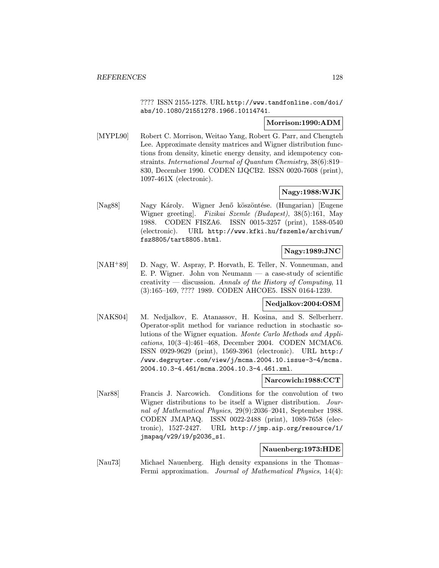???? ISSN 2155-1278. URL http://www.tandfonline.com/doi/ abs/10.1080/21551278.1966.10114741.

# Morrison:1990:ADM

[MYPL90] Robert C. Morrison, Weitao Yang, Robert G. Parr, and Chengteh Lee. Approximate density matrices and Wigner distribution functions from density, kinetic energy density, and idempotency constraints. International Journal of Quantum Chemistry, 38(6):819– 830, December 1990. CODEN IJQCB2. ISSN 0020-7608 (print), 1097-461X (electronic).

# Nagy:1988:WJK

[Nag88] Nagy Károly. Wigner Jenő köszöntése. (Hungarian) [Eugene Wigner greeting]. Fizikai Szemle (Budapest), 38(5):161, May 1988. CODEN FISZA6. ISSN 0015-3257 (print), 1588-0540 (electronic). URL http://www.kfki.hu/fszemle/archivum/ fsz8805/tart8805.html.

# Nagy:1989:JNC

[NAH<sup>+</sup>89] D. Nagy, W. Aspray, P. Horvath, E. Teller, N. Vonneuman, and E. P. Wigner. John von Neumann — a case-study of scientific creativity — discussion. Annals of the History of Computing,  $11$ (3):165–169, ???? 1989. CODEN AHCOE5. ISSN 0164-1239.

## Nedjalkov:2004:OSM

[NAKS04] M. Nedjalkov, E. Atanassov, H. Kosina, and S. Selberherr. Operator-split method for variance reduction in stochastic solutions of the Wigner equation. Monte Carlo Methods and Applications, 10(3–4):461–468, December 2004. CODEN MCMAC6. ISSN 0929-9629 (print), 1569-3961 (electronic). URL http:/ /www.degruyter.com/view/j/mcma.2004.10.issue-3-4/mcma. 2004.10.3-4.461/mcma.2004.10.3-4.461.xml.

## Narcowich:1988:CCT

[Nar88] Francis J. Narcowich. Conditions for the convolution of two Wigner distributions to be itself a Wigner distribution. Journal of Mathematical Physics, 29(9):2036–2041, September 1988. CODEN JMAPAQ. ISSN 0022-2488 (print), 1089-7658 (electronic), 1527-2427. URL http://jmp.aip.org/resource/1/ jmapaq/v29/i9/p2036\_s1.

## Nauenberg:1973:HDE

[Nau73] Michael Nauenberg. High density expansions in the Thomas– Fermi approximation. *Journal of Mathematical Physics*, 14(4):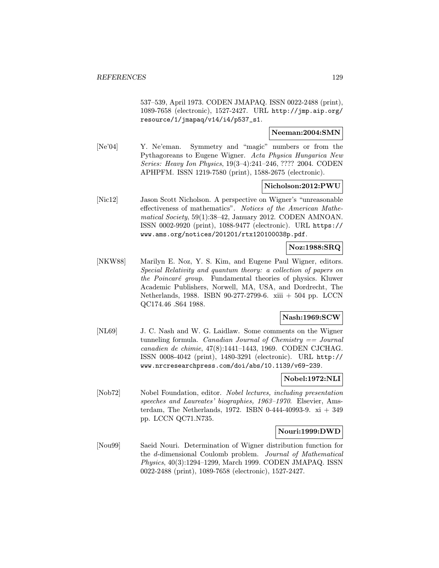537–539, April 1973. CODEN JMAPAQ. ISSN 0022-2488 (print), 1089-7658 (electronic), 1527-2427. URL http://jmp.aip.org/ resource/1/jmapaq/v14/i4/p537\_s1.

## Neeman:2004:SMN

[Ne'04] Y. Ne'eman. Symmetry and "magic" numbers or from the Pythagoreans to Eugene Wigner. Acta Physica Hungarica New Series: Heavy Ion Physics, 19(3–4):241–246, ???? 2004. CODEN APHPFM. ISSN 1219-7580 (print), 1588-2675 (electronic).

## Nicholson:2012:PWU

[Nic12] Jason Scott Nicholson. A perspective on Wigner's "unreasonable effectiveness of mathematics". Notices of the American Mathematical Society, 59(1):38–42, January 2012. CODEN AMNOAN. ISSN 0002-9920 (print), 1088-9477 (electronic). URL https:// www.ams.org/notices/201201/rtx120100038p.pdf.

# Noz:1988:SRQ

[NKW88] Marilyn E. Noz, Y. S. Kim, and Eugene Paul Wigner, editors. Special Relativity and quantum theory: a collection of papers on the Poincaré group. Fundamental theories of physics. Kluwer Academic Publishers, Norwell, MA, USA, and Dordrecht, The Netherlands, 1988. ISBN 90-277-2799-6. xiii + 504 pp. LCCN QC174.46 .S64 1988.

## Nash:1969:SCW

[NL69] J. C. Nash and W. G. Laidlaw. Some comments on the Wigner tunneling formula. Canadian Journal of Chemistry  $==$  Journal canadien de chimie, 47(8):1441–1443, 1969. CODEN CJCHAG. ISSN 0008-4042 (print), 1480-3291 (electronic). URL http:// www.nrcresearchpress.com/doi/abs/10.1139/v69-239.

## Nobel:1972:NLI

[Nob72] Nobel Foundation, editor. Nobel lectures, including presentation speeches and Laureates' biographies, 1963–1970. Elsevier, Amsterdam, The Netherlands, 1972. ISBN 0-444-40993-9.  $xi + 349$ pp. LCCN QC71.N735.

## Nouri:1999:DWD

[Nou99] Saeid Nouri. Determination of Wigner distribution function for the d-dimensional Coulomb problem. Journal of Mathematical Physics, 40(3):1294–1299, March 1999. CODEN JMAPAQ. ISSN 0022-2488 (print), 1089-7658 (electronic), 1527-2427.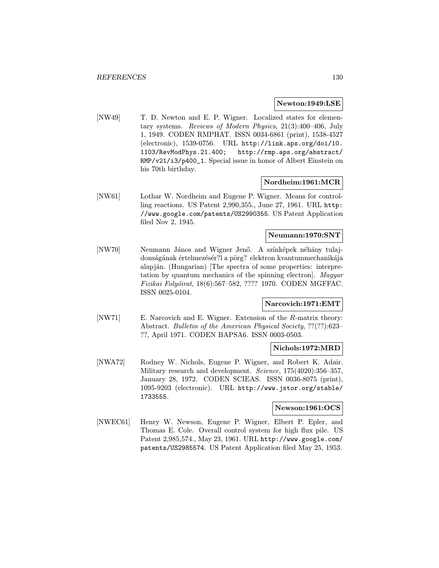#### Newton:1949:LSE

[NW49] T. D. Newton and E. P. Wigner. Localized states for elementary systems. Reviews of Modern Physics, 21(3):400–406, July 1, 1949. CODEN RMPHAT. ISSN 0034-6861 (print), 1538-4527 (electronic), 1539-0756. URL http://link.aps.org/doi/10. 1103/RevModPhys.21.400; http://rmp.aps.org/abstract/ RMP/v21/i3/p400\_1. Special issue in honor of Albert Einstein on his 70th birthday.

## Nordheim:1961:MCR

[NW61] Lothar W. Nordheim and Eugene P. Wigner. Means for controlling reactions. US Patent 2,990,355., June 27, 1961. URL http: //www.google.com/patents/US2990355. US Patent Application filed Nov 2, 1945.

# Neumann:1970:SNT

[NW70] Neumann János and Wigner Jenő. A színképek néhány tulajdonságának értelmezésér?l a pörg? elektron kvantummechanikája alapján. (Hungarian) [The spectra of some properties: interpretation by quantum mechanics of the spinning electron]. Magyar Fizikai Folyóirat, 18(6):567-582, ???? 1970. CODEN MGFFAC. ISSN 0025-0104.

## Narcovich:1971:EMT

[NW71] E. Narcovich and E. Wigner. Extension of the R-matrix theory: Abstract. Bulletin of the American Physical Society, ??(??):623– ??, April 1971. CODEN BAPSA6. ISSN 0003-0503.

#### Nichols:1972:MRD

[NWA72] Rodney W. Nichols, Eugene P. Wigner, and Robert K. Adair. Military research and development. Science, 175(4020):356-357, January 28, 1972. CODEN SCIEAS. ISSN 0036-8075 (print), 1095-9203 (electronic). URL http://www.jstor.org/stable/ 1733555.

#### Newson:1961:OCS

[NWEC61] Henry W. Newson, Eugene P. Wigner, Elbert P. Epler, and Thomas E. Cole. Overall control system for high flux pile. US Patent 2,985,574., May 23, 1961. URL http://www.google.com/ patents/US2985574. US Patent Application filed May 25, 1953.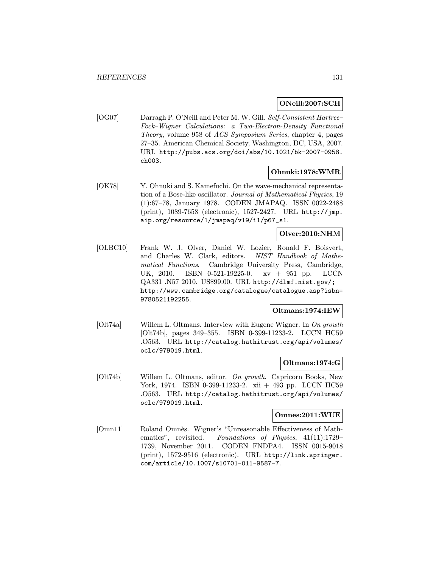## ONeill:2007:SCH

[OG07] Darragh P. O'Neill and Peter M. W. Gill. Self-Consistent Hartree– Fock–Wigner Calculations: a Two-Electron-Density Functional Theory, volume 958 of ACS Symposium Series, chapter 4, pages 27–35. American Chemical Society, Washington, DC, USA, 2007. URL http://pubs.acs.org/doi/abs/10.1021/bk-2007-0958. ch003.

## Ohnuki:1978:WMR

[OK78] Y. Ohnuki and S. Kamefuchi. On the wave-mechanical representation of a Bose-like oscillator. Journal of Mathematical Physics, 19 (1):67–78, January 1978. CODEN JMAPAQ. ISSN 0022-2488 (print), 1089-7658 (electronic), 1527-2427. URL http://jmp. aip.org/resource/1/jmapaq/v19/i1/p67\_s1.

## Olver:2010:NHM

[OLBC10] Frank W. J. Olver, Daniel W. Lozier, Ronald F. Boisvert, and Charles W. Clark, editors. NIST Handbook of Mathematical Functions. Cambridge University Press, Cambridge, UK, 2010. ISBN 0-521-19225-0. xv + 951 pp. LCCN QA331 .N57 2010. US\$99.00. URL http://dlmf.nist.gov/; http://www.cambridge.org/catalogue/catalogue.asp?isbn= 9780521192255.

## Oltmans:1974:IEW

[Olt74a] Willem L. Oltmans. Interview with Eugene Wigner. In On growth [Olt74b], pages 349–355. ISBN 0-399-11233-2. LCCN HC59 .O563. URL http://catalog.hathitrust.org/api/volumes/ oclc/979019.html.

## Oltmans:1974:G

[Olt74b] Willem L. Oltmans, editor. On growth. Capricorn Books, New York, 1974. ISBN 0-399-11233-2. xii + 493 pp. LCCN HC59 .O563. URL http://catalog.hathitrust.org/api/volumes/ oclc/979019.html.

# Omnes:2011:WUE

[Omn11] Roland Omnès. Wigner's "Unreasonable Effectiveness of Mathematics", revisited. Foundations of Physics, 41(11):1729– 1739, November 2011. CODEN FNDPA4. ISSN 0015-9018 (print), 1572-9516 (electronic). URL http://link.springer. com/article/10.1007/s10701-011-9587-7.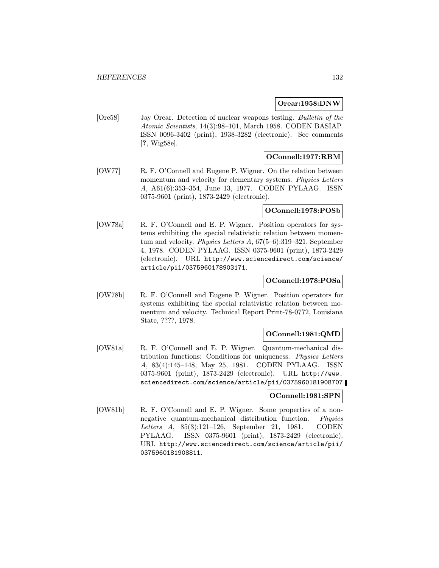#### Orear:1958:DNW

[Ore58] Jay Orear. Detection of nuclear weapons testing. Bulletin of the Atomic Scientists, 14(3):98–101, March 1958. CODEN BASIAP. ISSN 0096-3402 (print), 1938-3282 (electronic). See comments [?, Wig58e].

# OConnell:1977:RBM

[OW77] R. F. O'Connell and Eugene P. Wigner. On the relation between momentum and velocity for elementary systems. *Physics Letters* A, A61(6):353–354, June 13, 1977. CODEN PYLAAG. ISSN 0375-9601 (print), 1873-2429 (electronic).

# OConnell:1978:POSb

[OW78a] R. F. O'Connell and E. P. Wigner. Position operators for systems exhibiting the special relativistic relation between momentum and velocity. Physics Letters A, 67(5–6):319–321, September 4, 1978. CODEN PYLAAG. ISSN 0375-9601 (print), 1873-2429 (electronic). URL http://www.sciencedirect.com/science/ article/pii/0375960178903171.

## OConnell:1978:POSa

[OW78b] R. F. O'Connell and Eugene P. Wigner. Position operators for systems exhibiting the special relativistic relation between momentum and velocity. Technical Report Print-78-0772, Louisiana State, ????, 1978.

## OConnell:1981:QMD

[OW81a] R. F. O'Connell and E. P. Wigner. Quantum-mechanical distribution functions: Conditions for uniqueness. Physics Letters A, 83(4):145–148, May 25, 1981. CODEN PYLAAG. ISSN 0375-9601 (print), 1873-2429 (electronic). URL http://www. sciencedirect.com/science/article/pii/0375960181908707.

#### OConnell:1981:SPN

[OW81b] R. F. O'Connell and E. P. Wigner. Some properties of a nonnegative quantum-mechanical distribution function. Physics Letters A, 85(3):121–126, September 21, 1981. CODEN PYLAAG. ISSN 0375-9601 (print), 1873-2429 (electronic). URL http://www.sciencedirect.com/science/article/pii/ 0375960181908811.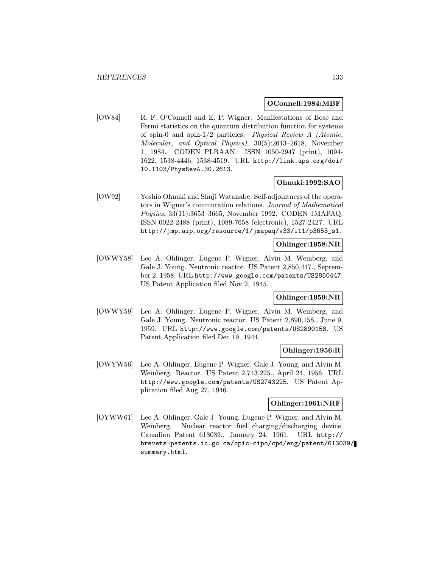#### OConnell:1984:MBF

[OW84] R. F. O'Connell and E. P. Wigner. Manifestations of Bose and Fermi statistics on the quantum distribution function for systems of spin-0 and spin-1/2 particles. Physical Review A (Atomic, Molecular, and Optical Physics), 30(5):2613–2618, November 1, 1984. CODEN PLRAAN. ISSN 1050-2947 (print), 1094- 1622, 1538-4446, 1538-4519. URL http://link.aps.org/doi/ 10.1103/PhysRevA.30.2613.

## Ohnuki:1992:SAO

[OW92] Yoshio Ohnuki and Shuji Watanabe. Self-adjointness of the operators in Wigner's commutation relations. Journal of Mathematical Physics, 33(11):3653–3665, November 1992. CODEN JMAPAQ. ISSN 0022-2488 (print), 1089-7658 (electronic), 1527-2427. URL http://jmp.aip.org/resource/1/jmapaq/v33/i11/p3653\_s1.

# Ohlinger:1958:NR

[OWWY58] Leo A. Ohlinger, Eugene P. Wigner, Alvin M. Weinberg, and Gale J. Young. Neutronic reactor. US Patent 2,850,447., September 2, 1958. URL http://www.google.com/patents/US2850447. US Patent Application filed Nov 2, 1945.

# Ohlinger:1959:NR

[OWWY59] Leo A. Ohlinger, Eugene P. Wigner, Alvin M. Weinberg, and Gale J. Young. Neutronic reactor. US Patent 2,890,158., June 9, 1959. URL http://www.google.com/patents/US2890158. US Patent Application filed Dec 19, 1944.

# Ohlinger:1956:R

[OWYW56] Leo A. Ohlinger, Eugene P. Wigner, Gale J. Young, and Alvin M. Weinberg. Reactor. US Patent 2,743,225., April 24, 1956. URL http://www.google.com/patents/US2743225. US Patent Application filed Aug 27, 1946.

# Ohlinger:1961:NRF

[OYWW61] Leo A. Ohlinger, Gale J. Young, Eugene P. Wigner, and Alvin M. Weinberg. Nuclear reactor fuel charging/discharging device. Canadian Patent 613039., January 24, 1961. URL http:// brevets-patents.ic.gc.ca/opic-cipo/cpd/eng/patent/613039/ summary.html.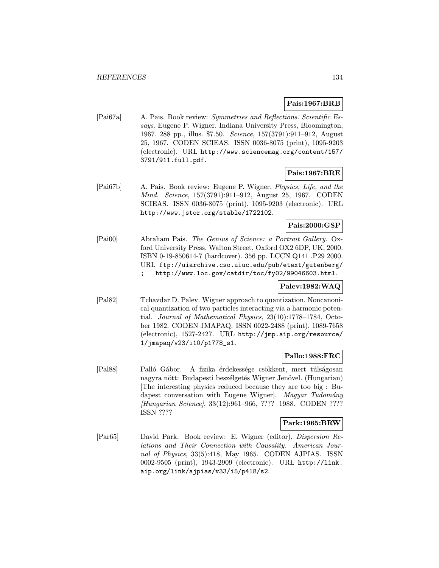# Pais:1967:BRB

[Pai67a] A. Pais. Book review: Symmetries and Reflections. Scientific Essays. Eugene P. Wigner. Indiana University Press, Bloomington, 1967. 288 pp., illus. \$7.50. Science, 157(3791):911–912, August 25, 1967. CODEN SCIEAS. ISSN 0036-8075 (print), 1095-9203 (electronic). URL http://www.sciencemag.org/content/157/ 3791/911.full.pdf.

# Pais:1967:BRE

[Pai67b] A. Pais. Book review: Eugene P. Wigner, Physics, Life, and the Mind. Science, 157(3791):911–912, August 25, 1967. CODEN SCIEAS. ISSN 0036-8075 (print), 1095-9203 (electronic). URL http://www.jstor.org/stable/1722102.

# Pais:2000:GSP

[Pai00] Abraham Pais. The Genius of Science: a Portrait Gallery. Oxford University Press, Walton Street, Oxford OX2 6DP, UK, 2000. ISBN 0-19-850614-7 (hardcover). 356 pp. LCCN Q141 .P29 2000. URL ftp://uiarchive.cso.uiuc.edu/pub/etext/gutenberg/ ; http://www.loc.gov/catdir/toc/fy02/99046603.html.

# Palev:1982:WAQ

[Pal82] Tchavdar D. Palev. Wigner approach to quantization. Noncanonical quantization of two particles interacting via a harmonic potential. Journal of Mathematical Physics, 23(10):1778–1784, October 1982. CODEN JMAPAQ. ISSN 0022-2488 (print), 1089-7658 (electronic), 1527-2427. URL http://jmp.aip.org/resource/ 1/jmapaq/v23/i10/p1778\_s1.

## Pallo:1988:FRC

[Pal88] Palló Gábor. A fizika érdekessége csökkent, mert túlságosan nagyra nött: Budapesti beszélgetés Wigner Jenövel. (Hungarian) [The interesting physics reduced because they are too big : Budapest conversation with Eugene Wigner. Magyar Tudomány [Hungarian Science], 33(12):961–966, ???? 1988. CODEN ???? ISSN ????

## Park:1965:BRW

[Par65] David Park. Book review: E. Wigner (editor), Dispersion Relations and Their Connection with Causality. American Journal of Physics, 33(5):418, May 1965. CODEN AJPIAS. ISSN 0002-9505 (print), 1943-2909 (electronic). URL http://link. aip.org/link/ajpias/v33/i5/p418/s2.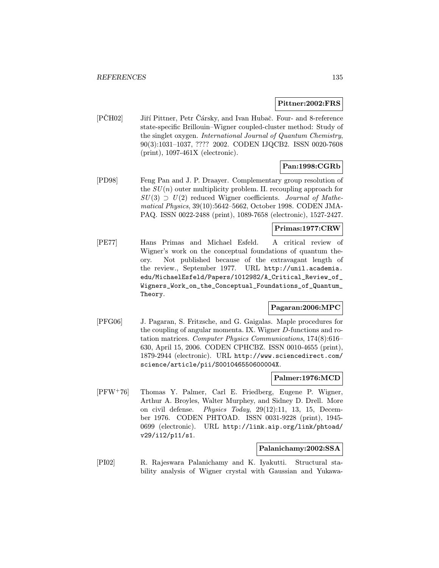#### Pittner:2002:FRS

[PČH02] Jiří Pittner, Petr Čársky, and Ivan Hubač. Four- and 8-reference state-specific Brillouin–Wigner coupled-cluster method: Study of the singlet oxygen. International Journal of Quantum Chemistry, 90(3):1031–1037, ???? 2002. CODEN IJQCB2. ISSN 0020-7608 (print), 1097-461X (electronic).

# Pan:1998:CGRb

[PD98] Feng Pan and J. P. Draayer. Complementary group resolution of the  $SU(n)$  outer multiplicity problem. II. recoupling approach for  $SU(3) \supset U(2)$  reduced Wigner coefficients. Journal of Mathematical Physics, 39(10):5642–5662, October 1998. CODEN JMA-PAQ. ISSN 0022-2488 (print), 1089-7658 (electronic), 1527-2427.

#### Primas:1977:CRW

[PE77] Hans Primas and Michael Esfeld. A critical review of Wigner's work on the conceptual foundations of quantum theory. Not published because of the extravagant length of the review., September 1977. URL http://unil.academia. edu/MichaelEsfeld/Papers/1012982/A\_Critical\_Review\_of\_ Wigners\_Work\_on\_the\_Conceptual\_Foundations\_of\_Quantum\_ Theory.

# Pagaran:2006:MPC

[PFG06] J. Pagaran, S. Fritzsche, and G. Gaigalas. Maple procedures for the coupling of angular momenta. IX. Wigner D-functions and rotation matrices. Computer Physics Communications, 174(8):616– 630, April 15, 2006. CODEN CPHCBZ. ISSN 0010-4655 (print), 1879-2944 (electronic). URL http://www.sciencedirect.com/ science/article/pii/S001046550600004X.

# Palmer:1976:MCD

[PFW<sup>+</sup>76] Thomas Y. Palmer, Carl E. Friedberg, Eugene P. Wigner, Arthur A. Broyles, Walter Murphey, and Sidney D. Drell. More on civil defense. Physics Today, 29(12):11, 13, 15, December 1976. CODEN PHTOAD. ISSN 0031-9228 (print), 1945- 0699 (electronic). URL http://link.aip.org/link/phtoad/ v29/i12/p11/s1.

#### Palanichamy:2002:SSA

[PI02] R. Rajeswara Palanichamy and K. Iyakutti. Structural stability analysis of Wigner crystal with Gaussian and Yukawa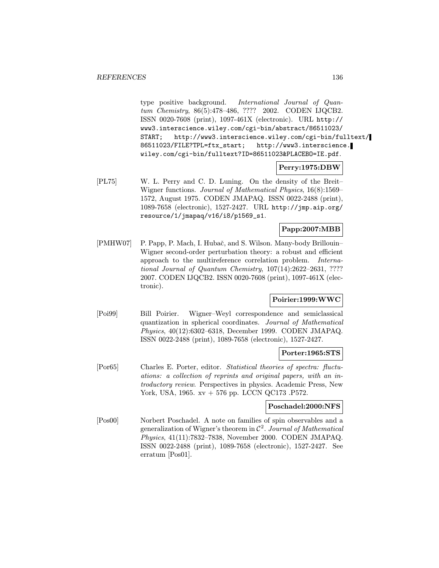type positive background. International Journal of Quantum Chemistry, 86(5):478–486, ???? 2002. CODEN IJQCB2. ISSN 0020-7608 (print), 1097-461X (electronic). URL http:// www3.interscience.wiley.com/cgi-bin/abstract/86511023/ START; http://www3.interscience.wiley.com/cgi-bin/fulltext/ 86511023/FILE?TPL=ftx\_start; http://www3.interscience. wiley.com/cgi-bin/fulltext?ID=86511023&PLACEBO=IE.pdf.

# Perry:1975:DBW

[PL75] W. L. Perry and C. D. Luning. On the density of the Breit– Wigner functions. Journal of Mathematical Physics, 16(8):1569– 1572, August 1975. CODEN JMAPAQ. ISSN 0022-2488 (print), 1089-7658 (electronic), 1527-2427. URL http://jmp.aip.org/ resource/1/jmapaq/v16/i8/p1569\_s1.

# Papp:2007:MBB

[PMHW07] P. Papp, P. Mach, I. Hubač, and S. Wilson. Many-body Brillouin– Wigner second-order perturbation theory: a robust and efficient approach to the multireference correlation problem. International Journal of Quantum Chemistry, 107(14):2622–2631, ???? 2007. CODEN IJQCB2. ISSN 0020-7608 (print), 1097-461X (electronic).

# Poirier:1999:WWC

[Poi99] Bill Poirier. Wigner–Weyl correspondence and semiclassical quantization in spherical coordinates. Journal of Mathematical Physics, 40(12):6302–6318, December 1999. CODEN JMAPAQ. ISSN 0022-2488 (print), 1089-7658 (electronic), 1527-2427.

## Porter:1965:STS

[Por65] Charles E. Porter, editor. Statistical theories of spectra: fluctuations: a collection of reprints and original papers, with an introductory review. Perspectives in physics. Academic Press, New York, USA, 1965. xv + 576 pp. LCCN QC173 .P572.

## Poschadel:2000:NFS

[Pos00] Norbert Poschadel. A note on families of spin observables and a generalization of Wigner's theorem in  $\mathcal{C}^2$ . Journal of Mathematical Physics, 41(11):7832–7838, November 2000. CODEN JMAPAQ. ISSN 0022-2488 (print), 1089-7658 (electronic), 1527-2427. See erratum [Pos01].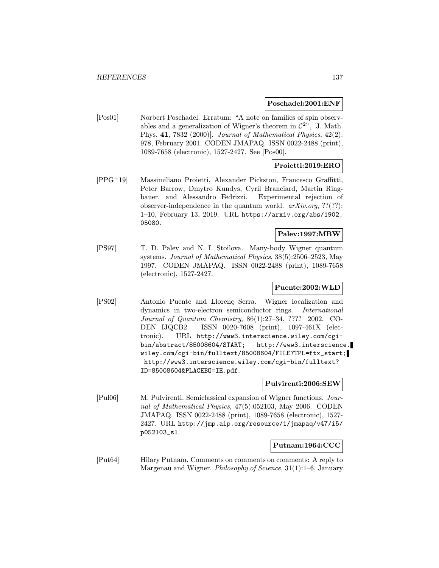#### Poschadel:2001:ENF

[Pos01] Norbert Poschadel. Erratum: "A note on families of spin observables and a generalization of Wigner's theorem in  $\mathcal{C}^{2n}$ , [J. Math. Phys. 41, 7832 (2000)]. Journal of Mathematical Physics, 42(2): 978, February 2001. CODEN JMAPAQ. ISSN 0022-2488 (print), 1089-7658 (electronic), 1527-2427. See [Pos00].

# Proietti:2019:ERO

[PPG<sup>+</sup>19] Massimiliano Proietti, Alexander Pickston, Francesco Graffitti, Peter Barrow, Dmytro Kundys, Cyril Branciard, Martin Ringbauer, and Alessandro Fedrizzi. Experimental rejection of observer-independence in the quantum world.  $arXiv.org$ , ??(??): 1–10, February 13, 2019. URL https://arxiv.org/abs/1902. 05080.

#### Palev:1997:MBW

[PS97] T. D. Palev and N. I. Stoilova. Many-body Wigner quantum systems. Journal of Mathematical Physics, 38(5):2506–2523, May 1997. CODEN JMAPAQ. ISSN 0022-2488 (print), 1089-7658 (electronic), 1527-2427.

# Puente:2002:WLD

[PS02] Antonio Puente and Llorenç Serra. Wigner localization and dynamics in two-electron semiconductor rings. International Journal of Quantum Chemistry, 86(1):27–34, ???? 2002. CO-DEN IJQCB2. ISSN 0020-7608 (print), 1097-461X (electronic). URL http://www3.interscience.wiley.com/cgibin/abstract/85008604/START; http://www3.interscience. wiley.com/cgi-bin/fulltext/85008604/FILE?TPL=ftx\_start; http://www3.interscience.wiley.com/cgi-bin/fulltext? ID=85008604&PLACEBO=IE.pdf.

## Pulvirenti:2006:SEW

[Pul06] M. Pulvirenti. Semiclassical expansion of Wigner functions. Journal of Mathematical Physics, 47(5):052103, May 2006. CODEN JMAPAQ. ISSN 0022-2488 (print), 1089-7658 (electronic), 1527- 2427. URL http://jmp.aip.org/resource/1/jmapaq/v47/i5/ p052103\_s1.

## Putnam:1964:CCC

[Put64] Hilary Putnam. Comments on comments on comments: A reply to Margenau and Wigner. Philosophy of Science, 31(1):1–6, January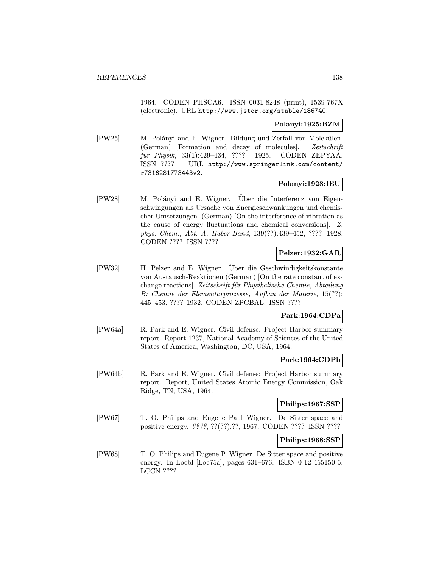1964. CODEN PHSCA6. ISSN 0031-8248 (print), 1539-767X (electronic). URL http://www.jstor.org/stable/186740.

# Polanyi:1925:BZM

[PW25] M. Polányi and E. Wigner. Bildung und Zerfall von Molekülen. (German) [Formation and decay of molecules]. Zeitschrift für Physik, 33(1):429-434, ???? 1925. CODEN ZEPYAA. ISSN ???? URL http://www.springerlink.com/content/ r7316281773443v2.

# Polanyi:1928:IEU

[PW28] M. Polányi and E. Wigner. Über die Interferenz von Eigenschwingungen als Ursache von Energieschwankungen und chemischer Umsetzungen. (German) [On the interference of vibration as the cause of energy fluctuations and chemical conversions]. Z. phys. Chem., Abt. A. Haber-Band, 139(??):439–452, ???? 1928. CODEN ???? ISSN ????

# Pelzer:1932:GAR

[PW32] H. Pelzer and E. Wigner. Uber die Geschwindigkeitskonstante von Austausch-Reaktionen (German) [On the rate constant of exchange reactions. Zeitschrift für Physikalische Chemie, Abteilung B: Chemie der Elementarprozesse, Aufbau der Materie, 15(??): 445–453, ???? 1932. CODEN ZPCBAL. ISSN ????

# Park:1964:CDPa

[PW64a] R. Park and E. Wigner. Civil defense: Project Harbor summary report. Report 1237, National Academy of Sciences of the United States of America, Washington, DC, USA, 1964.

## Park:1964:CDPb

[PW64b] R. Park and E. Wigner. Civil defense: Project Harbor summary report. Report, United States Atomic Energy Commission, Oak Ridge, TN, USA, 1964.

# Philips:1967:SSP

[PW67] T. O. Philips and Eugene Paul Wigner. De Sitter space and positive energy. ????, ??(??):??, 1967. CODEN ???? ISSN ????

## Philips:1968:SSP

[PW68] T. O. Philips and Eugene P. Wigner. De Sitter space and positive energy. In Loebl [Loe75a], pages 631–676. ISBN 0-12-455150-5. LCCN ????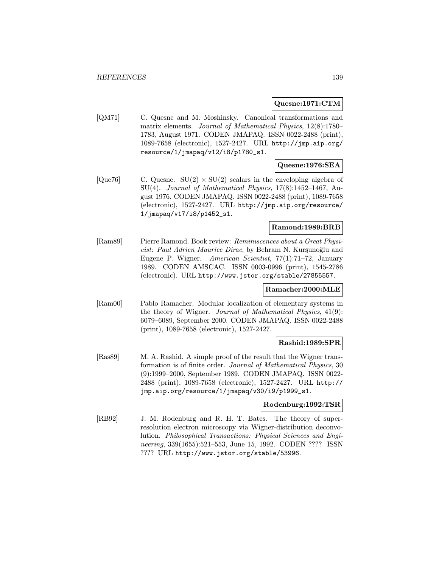#### Quesne:1971:CTM

[QM71] C. Quesne and M. Moshinsky. Canonical transformations and matrix elements. Journal of Mathematical Physics, 12(8):1780– 1783, August 1971. CODEN JMAPAQ. ISSN 0022-2488 (print), 1089-7658 (electronic), 1527-2427. URL http://jmp.aip.org/ resource/1/jmapaq/v12/i8/p1780\_s1.

# Quesne:1976:SEA

 $[Que76]$  C. Quesne.  $SU(2) \times SU(2)$  scalars in the enveloping algebra of SU(4). Journal of Mathematical Physics,  $17(8):1452-1467$ , August 1976. CODEN JMAPAQ. ISSN 0022-2488 (print), 1089-7658 (electronic), 1527-2427. URL http://jmp.aip.org/resource/ 1/jmapaq/v17/i8/p1452\_s1.

# Ramond:1989:BRB

[Ram89] Pierre Ramond. Book review: Reminiscences about a Great Physicist: Paul Adrien Maurice Dirac, by Behram N. Kurşunoğlu and Eugene P. Wigner. American Scientist, 77(1):71–72, January 1989. CODEN AMSCAC. ISSN 0003-0996 (print), 1545-2786 (electronic). URL http://www.jstor.org/stable/27855557.

## Ramacher:2000:MLE

[Ram00] Pablo Ramacher. Modular localization of elementary systems in the theory of Wigner. Journal of Mathematical Physics, 41(9): 6079–6089, September 2000. CODEN JMAPAQ. ISSN 0022-2488 (print), 1089-7658 (electronic), 1527-2427.

# Rashid:1989:SPR

[Ras89] M. A. Rashid. A simple proof of the result that the Wigner transformation is of finite order. Journal of Mathematical Physics, 30 (9):1999–2000, September 1989. CODEN JMAPAQ. ISSN 0022- 2488 (print), 1089-7658 (electronic), 1527-2427. URL http:// jmp.aip.org/resource/1/jmapaq/v30/i9/p1999\_s1.

#### Rodenburg:1992:TSR

[RB92] J. M. Rodenburg and R. H. T. Bates. The theory of superresolution electron microscopy via Wigner-distribution deconvolution. Philosophical Transactions: Physical Sciences and Engineering, 339(1655):521–553, June 15, 1992. CODEN ???? ISSN ???? URL http://www.jstor.org/stable/53996.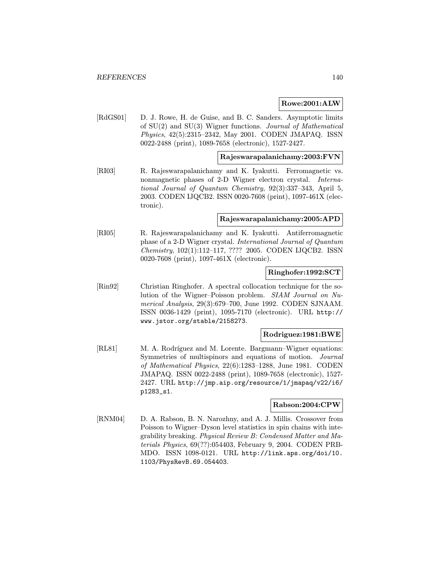## Rowe:2001:ALW

[RdGS01] D. J. Rowe, H. de Guise, and B. C. Sanders. Asymptotic limits of SU(2) and SU(3) Wigner functions. Journal of Mathematical Physics, 42(5):2315–2342, May 2001. CODEN JMAPAQ. ISSN 0022-2488 (print), 1089-7658 (electronic), 1527-2427.

#### Rajeswarapalanichamy:2003:FVN

[RI03] R. Rajeswarapalanichamy and K. Iyakutti. Ferromagnetic vs. nonmagnetic phases of 2-D Wigner electron crystal. *Interna*tional Journal of Quantum Chemistry, 92(3):337–343, April 5, 2003. CODEN IJQCB2. ISSN 0020-7608 (print), 1097-461X (electronic).

#### Rajeswarapalanichamy:2005:APD

[RI05] R. Rajeswarapalanichamy and K. Iyakutti. Antiferromagnetic phase of a 2-D Wigner crystal. International Journal of Quantum Chemistry, 102(1):112–117, ???? 2005. CODEN IJQCB2. ISSN 0020-7608 (print), 1097-461X (electronic).

#### Ringhofer:1992:SCT

[Rin92] Christian Ringhofer. A spectral collocation technique for the solution of the Wigner–Poisson problem. SIAM Journal on Numerical Analysis, 29(3):679–700, June 1992. CODEN SJNAAM. ISSN 0036-1429 (print), 1095-7170 (electronic). URL http:// www.jstor.org/stable/2158273.

## Rodriguez:1981:BWE

[RL81] M. A. Rodríguez and M. Lorente. Bargmann–Wigner equations: Symmetries of multispinors and equations of motion. Journal of Mathematical Physics, 22(6):1283–1288, June 1981. CODEN JMAPAQ. ISSN 0022-2488 (print), 1089-7658 (electronic), 1527- 2427. URL http://jmp.aip.org/resource/1/jmapaq/v22/i6/ p1283\_s1.

## Rabson:2004:CPW

[RNM04] D. A. Rabson, B. N. Narozhny, and A. J. Millis. Crossover from Poisson to Wigner–Dyson level statistics in spin chains with integrability breaking. Physical Review B: Condensed Matter and Materials Physics, 69(??):054403, February 9, 2004. CODEN PRB-MDO. ISSN 1098-0121. URL http://link.aps.org/doi/10. 1103/PhysRevB.69.054403.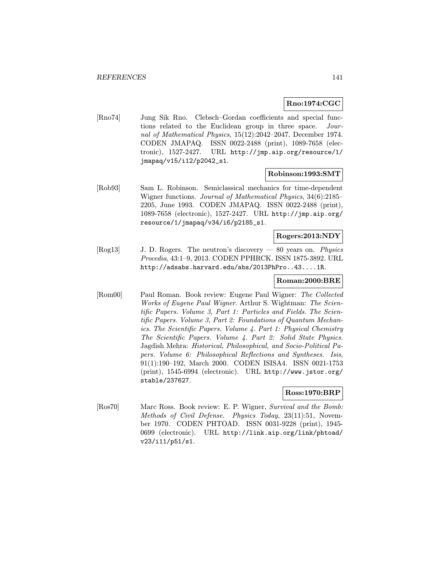# Rno:1974:CGC

[Rno74] Jung Sik Rno. Clebsch–Gordan coefficients and special functions related to the Euclidean group in three space. Journal of Mathematical Physics, 15(12):2042–2047, December 1974. CODEN JMAPAQ. ISSN 0022-2488 (print), 1089-7658 (electronic), 1527-2427. URL http://jmp.aip.org/resource/1/ jmapaq/v15/i12/p2042\_s1.

#### Robinson:1993:SMT

[Rob93] Sam L. Robinson. Semiclassical mechanics for time-dependent Wigner functions. Journal of Mathematical Physics, 34(6):2185– 2205, June 1993. CODEN JMAPAQ. ISSN 0022-2488 (print), 1089-7658 (electronic), 1527-2427. URL http://jmp.aip.org/ resource/1/jmapaq/v34/i6/p2185\_s1.

# Rogers:2013:NDY

[Rog13] J. D. Rogers. The neutron's discovery — 80 years on. Physics Procedia, 43:1–9, 2013. CODEN PPHRCK. ISSN 1875-3892. URL http://adsabs.harvard.edu/abs/2013PhPro..43....1R.

#### Roman:2000:BRE

[Rom00] Paul Roman. Book review: Eugene Paul Wigner: The Collected Works of Eugene Paul Wigner. Arthur S. Wightman: The Scientific Papers. Volume 3, Part 1: Particles and Fields. The Scientific Papers. Volume 3, Part 2: Foundations of Quantum Mechanics. The Scientific Papers. Volume 4. Part 1: Physical Chemistry The Scientific Papers. Volume 4. Part 2: Solid State Physics. Jagdish Mehra: Historical, Philosophical, and Socio-Political Papers. Volume 6: Philosophical Reflections and Syntheses. Isis, 91(1):190–192, March 2000. CODEN ISISA4. ISSN 0021-1753 (print), 1545-6994 (electronic). URL http://www.jstor.org/ stable/237627.

## Ross:1970:BRP

[Ros70] Marc Ross. Book review: E. P. Wigner, Survival and the Bomb: Methods of Civil Defense. Physics Today, 23(11):51, November 1970. CODEN PHTOAD. ISSN 0031-9228 (print), 1945- 0699 (electronic). URL http://link.aip.org/link/phtoad/ v23/i11/p51/s1.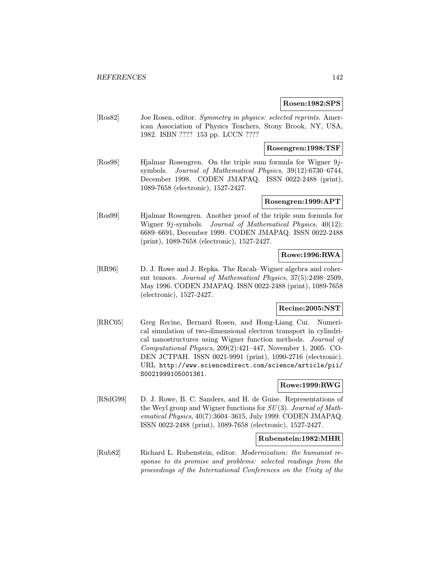#### Rosen:1982:SPS

[Ros82] Joe Rosen, editor. Symmetry in physics: selected reprints. American Association of Physics Teachers, Stony Brook, NY, USA, 1982. ISBN ???? 153 pp. LCCN ????

## Rosengren:1998:TSF

[Ros98] Hjalmar Rosengren. On the triple sum formula for Wigner 9jsymbols. Journal of Mathematical Physics, 39(12):6730–6744, December 1998. CODEN JMAPAQ. ISSN 0022-2488 (print), 1089-7658 (electronic), 1527-2427.

# Rosengren:1999:APT

[Ros99] Hjalmar Rosengren. Another proof of the triple sum formula for Wigner 9j-symbols. Journal of Mathematical Physics, 40(12): 6689–6691, December 1999. CODEN JMAPAQ. ISSN 0022-2488 (print), 1089-7658 (electronic), 1527-2427.

# Rowe:1996:RWA

[RR96] D. J. Rowe and J. Repka. The Racah–Wigner algebra and coherent tensors. Journal of Mathematical Physics, 37(5):2498–2509, May 1996. CODEN JMAPAQ. ISSN 0022-2488 (print), 1089-7658 (electronic), 1527-2427.

# Recine:2005:NST

[RRC05] Greg Recine, Bernard Rosen, and Hong-Liang Cui. Numerical simulation of two-dimensional electron transport in cylindrical nanostructures using Wigner function methods. Journal of Computational Physics, 209(2):421–447, November 1, 2005. CO-DEN JCTPAH. ISSN 0021-9991 (print), 1090-2716 (electronic). URL http://www.sciencedirect.com/science/article/pii/ S0021999105001361.

# Rowe:1999:RWG

[RSdG99] D. J. Rowe, B. C. Sanders, and H. de Guise. Representations of the Weyl group and Wigner functions for  $SU(3)$ . Journal of Mathematical Physics, 40(7):3604–3615, July 1999. CODEN JMAPAQ. ISSN 0022-2488 (print), 1089-7658 (electronic), 1527-2427.

## Rubenstein:1982:MHR

[Rub82] Richard L. Rubenstein, editor. Modernization: the humanist response to its promise and problems: selected readings from the proceedings of the International Conferences on the Unity of the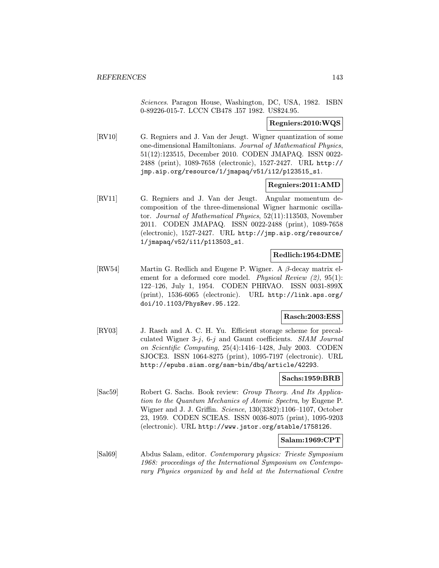Sciences. Paragon House, Washington, DC, USA, 1982. ISBN 0-89226-015-7. LCCN CB478 .I57 1982. US\$24.95.

### Regniers:2010:WQS

[RV10] G. Regniers and J. Van der Jeugt. Wigner quantization of some one-dimensional Hamiltonians. Journal of Mathematical Physics, 51(12):123515, December 2010. CODEN JMAPAQ. ISSN 0022- 2488 (print), 1089-7658 (electronic), 1527-2427. URL http:// jmp.aip.org/resource/1/jmapaq/v51/i12/p123515\_s1.

#### Regniers:2011:AMD

[RV11] G. Regniers and J. Van der Jeugt. Angular momentum decomposition of the three-dimensional Wigner harmonic oscillator. Journal of Mathematical Physics, 52(11):113503, November 2011. CODEN JMAPAQ. ISSN 0022-2488 (print), 1089-7658 (electronic), 1527-2427. URL http://jmp.aip.org/resource/ 1/jmapaq/v52/i11/p113503\_s1.

# Redlich:1954:DME

[RW54] Martin G. Redlich and Eugene P. Wigner. A β-decay matrix element for a deformed core model. *Physical Review (2)*, 95(1): 122–126, July 1, 1954. CODEN PHRVAO. ISSN 0031-899X (print), 1536-6065 (electronic). URL http://link.aps.org/ doi/10.1103/PhysRev.95.122.

## Rasch:2003:ESS

[RY03] J. Rasch and A. C. H. Yu. Efficient storage scheme for precalculated Wigner 3-j,  $6-j$  and Gaunt coefficients. SIAM Journal on Scientific Computing, 25(4):1416–1428, July 2003. CODEN SJOCE3. ISSN 1064-8275 (print), 1095-7197 (electronic). URL http://epubs.siam.org/sam-bin/dbq/article/42293.

# Sachs:1959:BRB

[Sac59] Robert G. Sachs. Book review: Group Theory. And Its Application to the Quantum Mechanics of Atomic Spectra, by Eugene P. Wigner and J. J. Griffin. Science, 130(3382):1106–1107, October 23, 1959. CODEN SCIEAS. ISSN 0036-8075 (print), 1095-9203 (electronic). URL http://www.jstor.org/stable/1758126.

#### Salam:1969:CPT

[Sal69] Abdus Salam, editor. Contemporary physics: Trieste Symposium 1968: proceedings of the International Symposium on Contemporary Physics organized by and held at the International Centre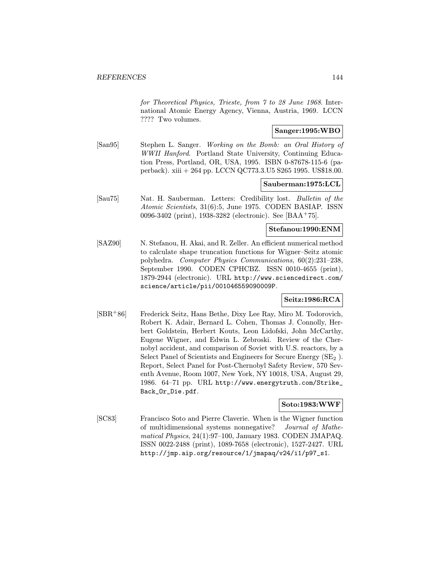for Theoretical Physics, Trieste, from 7 to 28 June 1968. International Atomic Energy Agency, Vienna, Austria, 1969. LCCN ???? Two volumes.

# Sanger:1995:WBO

[San95] Stephen L. Sanger. Working on the Bomb: an Oral History of WWII Hanford. Portland State University, Continuing Education Press, Portland, OR, USA, 1995. ISBN 0-87678-115-6 (paperback). xiii + 264 pp. LCCN QC773.3.U5 S265 1995. US\$18.00.

#### Sauberman:1975:LCL

[Sau75] Nat. H. Sauberman. Letters: Credibility lost. Bulletin of the Atomic Scientists, 31(6):5, June 1975. CODEN BASIAP. ISSN 0096-3402 (print), 1938-3282 (electronic). See [BAA<sup>+</sup>75].

#### Stefanou:1990:ENM

[SAZ90] N. Stefanou, H. Akai, and R. Zeller. An efficient numerical method to calculate shape truncation functions for Wigner–Seitz atomic polyhedra. Computer Physics Communications, 60(2):231–238, September 1990. CODEN CPHCBZ. ISSN 0010-4655 (print), 1879-2944 (electronic). URL http://www.sciencedirect.com/ science/article/pii/001046559090009P.

# Seitz:1986:RCA

[SBR<sup>+</sup>86] Frederick Seitz, Hans Bethe, Dixy Lee Ray, Miro M. Todorovich, Robert K. Adair, Bernard L. Cohen, Thomas J. Connolly, Herbert Goldstein, Herbert Kouts, Leon Lidofski, John McCarthy, Eugene Wigner, and Edwin L. Zebroski. Review of the Chernobyl accident, and comparison of Soviet with U.S. reactors, by a Select Panel of Scientists and Engineers for Secure Energy  $(SE<sub>2</sub>)$ . Report, Select Panel for Post-Chernobyl Safety Review, 570 Seventh Avenue, Room 1007, New York, NY 10018, USA, August 29, 1986. 64–71 pp. URL http://www.energytruth.com/Strike\_ Back\_Or\_Die.pdf.

#### Soto:1983:WWF

[SC83] Francisco Soto and Pierre Claverie. When is the Wigner function of multidimensional systems nonnegative? Journal of Mathematical Physics, 24(1):97–100, January 1983. CODEN JMAPAQ. ISSN 0022-2488 (print), 1089-7658 (electronic), 1527-2427. URL http://jmp.aip.org/resource/1/jmapaq/v24/i1/p97\_s1.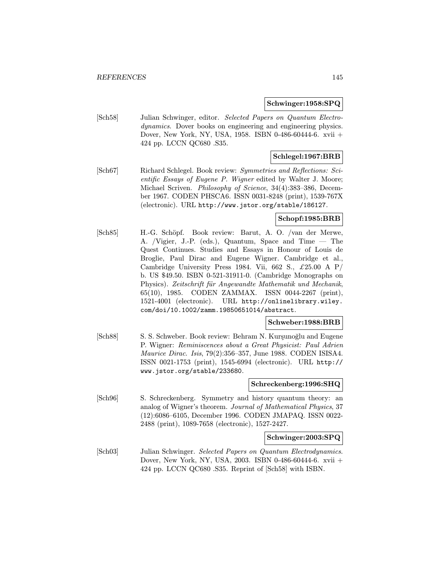#### Schwinger:1958:SPQ

[Sch58] Julian Schwinger, editor. Selected Papers on Quantum Electrodynamics. Dover books on engineering and engineering physics. Dover, New York, NY, USA, 1958. ISBN 0-486-60444-6. xvii + 424 pp. LCCN QC680 .S35.

## Schlegel:1967:BRB

[Sch67] Richard Schlegel. Book review: Symmetries and Reflections: Scientific Essays of Eugene P. Wigner edited by Walter J. Moore; Michael Scriven. Philosophy of Science, 34(4):383–386, December 1967. CODEN PHSCA6. ISSN 0031-8248 (print), 1539-767X (electronic). URL http://www.jstor.org/stable/186127.

### Schopf:1985:BRB

[Sch85] H.-G. Schöpf. Book review: Barut, A. O. /van der Merwe, A. /Vigier, J.-P. (eds.), Quantum, Space and Time — The Quest Continues. Studies and Essays in Honour of Louis de Broglie, Paul Dirac and Eugene Wigner. Cambridge et al., Cambridge University Press 1984. Vii, 662 S.,  $\pounds 25.00 \text{ A P}/$ b. US \$49.50. ISBN 0-521-31911-0. (Cambridge Monographs on Physics). Zeitschrift für Angewandte Mathematik und Mechanik, 65(10), 1985. CODEN ZAMMAX. ISSN 0044-2267 (print), 1521-4001 (electronic). URL http://onlinelibrary.wiley. com/doi/10.1002/zamm.19850651014/abstract.

#### Schweber:1988:BRB

[Sch88] S. S. Schweber. Book review: Behram N. Kursunoğlu and Eugene P. Wigner: Reminiscences about a Great Physicist: Paul Adrien Maurice Dirac. Isis, 79(2):356–357, June 1988. CODEN ISISA4. ISSN 0021-1753 (print), 1545-6994 (electronic). URL http:// www.jstor.org/stable/233680.

#### Schreckenberg:1996:SHQ

[Sch96] S. Schreckenberg. Symmetry and history quantum theory: an analog of Wigner's theorem. Journal of Mathematical Physics, 37 (12):6086–6105, December 1996. CODEN JMAPAQ. ISSN 0022- 2488 (print), 1089-7658 (electronic), 1527-2427.

### Schwinger:2003:SPQ

[Sch03] Julian Schwinger. Selected Papers on Quantum Electrodynamics. Dover, New York, NY, USA, 2003. ISBN 0-486-60444-6. xvii + 424 pp. LCCN QC680 .S35. Reprint of [Sch58] with ISBN.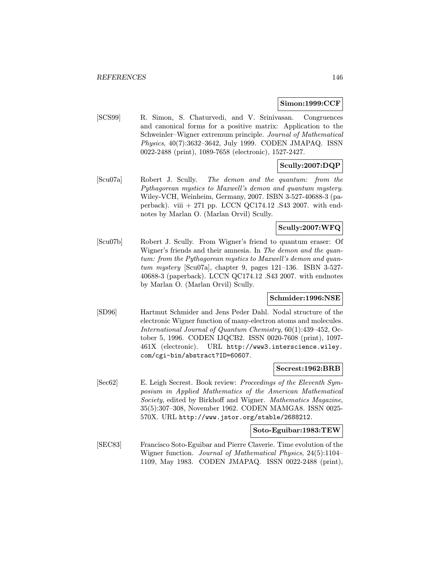#### Simon:1999:CCF

[SCS99] R. Simon, S. Chaturvedi, and V. Srinivasan. Congruences and canonical forms for a positive matrix: Application to the Schweinler–Wigner extremum principle. Journal of Mathematical Physics, 40(7):3632–3642, July 1999. CODEN JMAPAQ. ISSN 0022-2488 (print), 1089-7658 (electronic), 1527-2427.

# Scully:2007:DQP

[Scu07a] Robert J. Scully. The demon and the quantum: from the Pythagorean mystics to Maxwell's demon and quantum mystery. Wiley-VCH, Weinheim, Germany, 2007. ISBN 3-527-40688-3 (paperback). viii  $+271$  pp. LCCN QC174.12 .S43 2007. with endnotes by Marlan O. (Marlan Orvil) Scully.

## Scully:2007:WFQ

[Scu07b] Robert J. Scully. From Wigner's friend to quantum eraser: Of Wigner's friends and their amnesia. In The demon and the quantum: from the Pythagorean mystics to Maxwell's demon and quantum mystery [Scu07a], chapter 9, pages 121–136. ISBN 3-527- 40688-3 (paperback). LCCN QC174.12 .S43 2007. with endnotes by Marlan O. (Marlan Orvil) Scully.

### Schmider:1996:NSE

[SD96] Hartmut Schmider and Jens Peder Dahl. Nodal structure of the electronic Wigner function of many-electron atoms and molecules. International Journal of Quantum Chemistry, 60(1):439–452, October 5, 1996. CODEN IJQCB2. ISSN 0020-7608 (print), 1097- 461X (electronic). URL http://www3.interscience.wiley. com/cgi-bin/abstract?ID=60607.

#### Secrest:1962:BRB

[Sec62] E. Leigh Secrest. Book review: Proceedings of the Eleventh Symposium in Applied Mathematics of the American Mathematical Society, edited by Birkhoff and Wigner. Mathematics Magazine, 35(5):307–308, November 1962. CODEN MAMGA8. ISSN 0025- 570X. URL http://www.jstor.org/stable/2688212.

#### Soto-Eguibar:1983:TEW

[SEC83] Francisco Soto-Eguibar and Pierre Claverie. Time evolution of the Wigner function. Journal of Mathematical Physics, 24(5):1104– 1109, May 1983. CODEN JMAPAQ. ISSN 0022-2488 (print),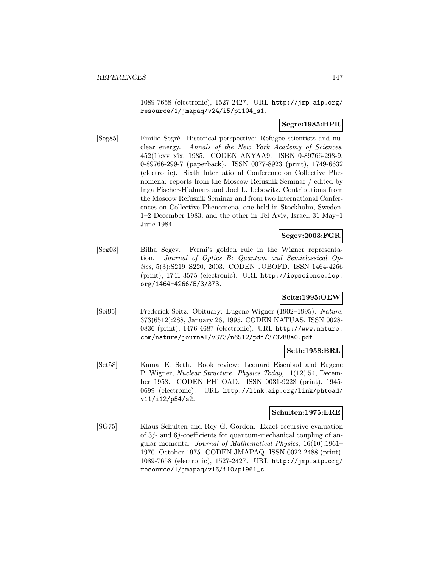1089-7658 (electronic), 1527-2427. URL http://jmp.aip.org/ resource/1/jmapaq/v24/i5/p1104\_s1.

# Segre:1985:HPR

[Seg85] Emilio Segrè. Historical perspective: Refugee scientists and nuclear energy. Annals of the New York Academy of Sciences, 452(1):xv–xix, 1985. CODEN ANYAA9. ISBN 0-89766-298-9, 0-89766-299-7 (paperback). ISSN 0077-8923 (print), 1749-6632 (electronic). Sixth International Conference on Collective Phenomena: reports from the Moscow Refusnik Seminar / edited by Inga Fischer-Hjalmars and Joel L. Lebowitz. Contributions from the Moscow Refusnik Seminar and from two International Conferences on Collective Phenomena, one held in Stockholm, Sweden, 1–2 December 1983, and the other in Tel Aviv, Israel, 31 May–1 June 1984.

# Segev:2003:FGR

[Seg03] Bilha Segev. Fermi's golden rule in the Wigner representation. Journal of Optics B: Quantum and Semiclassical Optics, 5(3):S219–S220, 2003. CODEN JOBOFD. ISSN 1464-4266 (print), 1741-3575 (electronic). URL http://iopscience.iop. org/1464-4266/5/3/373.

## Seitz:1995:OEW

[Sei95] Frederick Seitz. Obituary: Eugene Wigner (1902–1995). Nature, 373(6512):288, January 26, 1995. CODEN NATUAS. ISSN 0028- 0836 (print), 1476-4687 (electronic). URL http://www.nature. com/nature/journal/v373/n6512/pdf/373288a0.pdf.

## Seth:1958:BRL

[Set58] Kamal K. Seth. Book review: Leonard Eisenbud and Eugene P. Wigner, Nuclear Structure. Physics Today, 11(12):54, December 1958. CODEN PHTOAD. ISSN 0031-9228 (print), 1945- 0699 (electronic). URL http://link.aip.org/link/phtoad/ v11/i12/p54/s2.

### Schulten:1975:ERE

[SG75] Klaus Schulten and Roy G. Gordon. Exact recursive evaluation of 3j- and 6j-coefficients for quantum-mechanical coupling of angular momenta. Journal of Mathematical Physics, 16(10):1961– 1970, October 1975. CODEN JMAPAQ. ISSN 0022-2488 (print), 1089-7658 (electronic), 1527-2427. URL http://jmp.aip.org/ resource/1/jmapaq/v16/i10/p1961\_s1.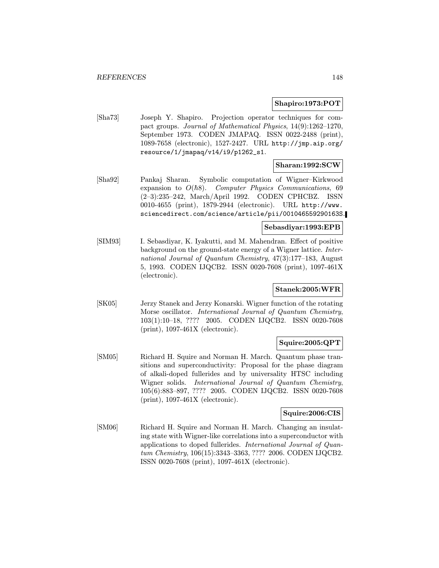#### Shapiro:1973:POT

[Sha73] Joseph Y. Shapiro. Projection operator techniques for compact groups. Journal of Mathematical Physics, 14(9):1262–1270, September 1973. CODEN JMAPAQ. ISSN 0022-2488 (print), 1089-7658 (electronic), 1527-2427. URL http://jmp.aip.org/ resource/1/jmapaq/v14/i9/p1262\_s1.

## Sharan:1992:SCW

[Sha92] Pankaj Sharan. Symbolic computation of Wigner–Kirkwood expansion to  $O(\hbar 8)$ . Computer Physics Communications, 69 (2–3):235–242, March/April 1992. CODEN CPHCBZ. ISSN 0010-4655 (print), 1879-2944 (electronic). URL http://www. sciencedirect.com/science/article/pii/001046559290163S.

#### Sebasdiyar:1993:EPB

[SIM93] I. Sebasdiyar, K. Iyakutti, and M. Mahendran. Effect of positive background on the ground-state energy of a Wigner lattice. International Journal of Quantum Chemistry, 47(3):177–183, August 5, 1993. CODEN IJQCB2. ISSN 0020-7608 (print), 1097-461X (electronic).

### Stanek:2005:WFR

[SK05] Jerzy Stanek and Jerzy Konarski. Wigner function of the rotating Morse oscillator. International Journal of Quantum Chemistry, 103(1):10–18, ???? 2005. CODEN IJQCB2. ISSN 0020-7608 (print), 1097-461X (electronic).

## Squire:2005:QPT

[SM05] Richard H. Squire and Norman H. March. Quantum phase transitions and superconductivity: Proposal for the phase diagram of alkali-doped fullerides and by universality HTSC including Wigner solids. International Journal of Quantum Chemistry, 105(6):883–897, ???? 2005. CODEN IJQCB2. ISSN 0020-7608 (print), 1097-461X (electronic).

### Squire:2006:CIS

[SM06] Richard H. Squire and Norman H. March. Changing an insulating state with Wigner-like correlations into a superconductor with applications to doped fullerides. International Journal of Quantum Chemistry, 106(15):3343–3363, ???? 2006. CODEN IJQCB2. ISSN 0020-7608 (print), 1097-461X (electronic).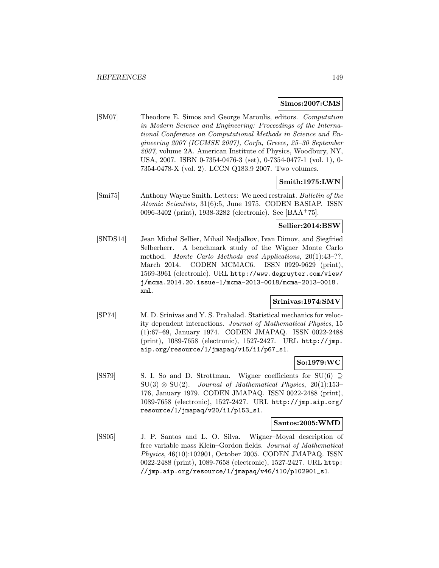#### Simos:2007:CMS

[SM07] Theodore E. Simos and George Maroulis, editors. Computation in Modern Science and Engineering: Proceedings of the International Conference on Computational Methods in Science and Engineering 2007 (ICCMSE 2007), Corfu, Greece, 25–30 September 2007, volume 2A. American Institute of Physics, Woodbury, NY, USA, 2007. ISBN 0-7354-0476-3 (set), 0-7354-0477-1 (vol. 1), 0- 7354-0478-X (vol. 2). LCCN Q183.9 2007. Two volumes.

## Smith:1975:LWN

[Smi75] Anthony Wayne Smith. Letters: We need restraint. Bulletin of the Atomic Scientists, 31(6):5, June 1975. CODEN BASIAP. ISSN 0096-3402 (print), 1938-3282 (electronic). See [BAA<sup>+</sup>75].

## Sellier:2014:BSW

[SNDS14] Jean Michel Sellier, Mihail Nedjalkov, Ivan Dimov, and Siegfried Selberherr. A benchmark study of the Wigner Monte Carlo method. Monte Carlo Methods and Applications, 20(1):43-??, March 2014. CODEN MCMAC6. ISSN 0929-9629 (print), 1569-3961 (electronic). URL http://www.degruyter.com/view/ j/mcma.2014.20.issue-1/mcma-2013-0018/mcma-2013-0018. xml.

### Srinivas:1974:SMV

[SP74] M. D. Srinivas and Y. S. Prahalad. Statistical mechanics for velocity dependent interactions. Journal of Mathematical Physics, 15 (1):67–69, January 1974. CODEN JMAPAQ. ISSN 0022-2488 (print), 1089-7658 (electronic), 1527-2427. URL http://jmp. aip.org/resource/1/jmapaq/v15/i1/p67\_s1.

## So:1979:WC

[SS79] S. I. So and D. Strottman. Wigner coefficients for SU(6)  $\supseteq$  $SU(3) \otimes SU(2)$ . Journal of Mathematical Physics, 20(1):153– 176, January 1979. CODEN JMAPAQ. ISSN 0022-2488 (print), 1089-7658 (electronic), 1527-2427. URL http://jmp.aip.org/ resource/1/jmapaq/v20/i1/p153\_s1.

#### Santos:2005:WMD

[SS05] J. P. Santos and L. O. Silva. Wigner–Moyal description of free variable mass Klein–Gordon fields. Journal of Mathematical Physics, 46(10):102901, October 2005. CODEN JMAPAQ. ISSN 0022-2488 (print), 1089-7658 (electronic), 1527-2427. URL http: //jmp.aip.org/resource/1/jmapaq/v46/i10/p102901\_s1.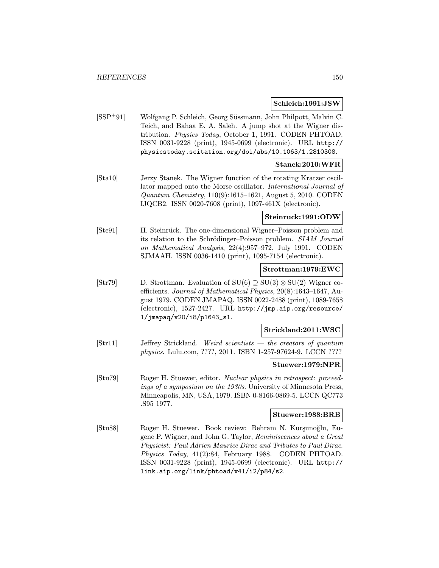#### Schleich:1991:JSW

[SSP<sup>+</sup>91] Wolfgang P. Schleich, Georg Süssmann, John Philpott, Malvin C. Teich, and Bahaa E. A. Saleh. A jump shot at the Wigner distribution. Physics Today, October 1, 1991. CODEN PHTOAD. ISSN 0031-9228 (print), 1945-0699 (electronic). URL http:// physicstoday.scitation.org/doi/abs/10.1063/1.2810308.

# Stanek:2010:WFR

[Sta10] Jerzy Stanek. The Wigner function of the rotating Kratzer oscillator mapped onto the Morse oscillator. International Journal of Quantum Chemistry, 110(9):1615–1621, August 5, 2010. CODEN IJQCB2. ISSN 0020-7608 (print), 1097-461X (electronic).

## Steinruck:1991:ODW

[Ste91] H. Steinrück. The one-dimensional Wigner–Poisson problem and its relation to the Schrödinger–Poisson problem. SIAM Journal on Mathematical Analysis, 22(4):957–972, July 1991. CODEN SJMAAH. ISSN 0036-1410 (print), 1095-7154 (electronic).

### Strottman:1979:EWC

[Str79] D. Strottman. Evaluation of  $SU(6) \supseteq SU(3) \otimes SU(2)$  Wigner coefficients. Journal of Mathematical Physics, 20(8):1643–1647, August 1979. CODEN JMAPAQ. ISSN 0022-2488 (print), 1089-7658 (electronic), 1527-2427. URL http://jmp.aip.org/resource/ 1/jmapaq/v20/i8/p1643\_s1.

#### Strickland:2011:WSC

[Str11] Jeffrey Strickland. Weird scientists — the creators of quantum physics. Lulu.com, ????, 2011. ISBN 1-257-97624-9. LCCN ????

#### Stuewer:1979:NPR

[Stu79] Roger H. Stuewer, editor. Nuclear physics in retrospect: proceedings of a symposium on the 1930s. University of Minnesota Press, Minneapolis, MN, USA, 1979. ISBN 0-8166-0869-5. LCCN QC773 .S95 1977.

## Stuewer:1988:BRB

[Stu88] Roger H. Stuewer. Book review: Behram N. Kurşunoğlu, Eugene P. Wigner, and John G. Taylor, Reminiscences about a Great Physicist: Paul Adrien Maurice Dirac and Tributes to Paul Dirac. Physics Today, 41(2):84, February 1988. CODEN PHTOAD. ISSN 0031-9228 (print), 1945-0699 (electronic). URL http:// link.aip.org/link/phtoad/v41/i2/p84/s2.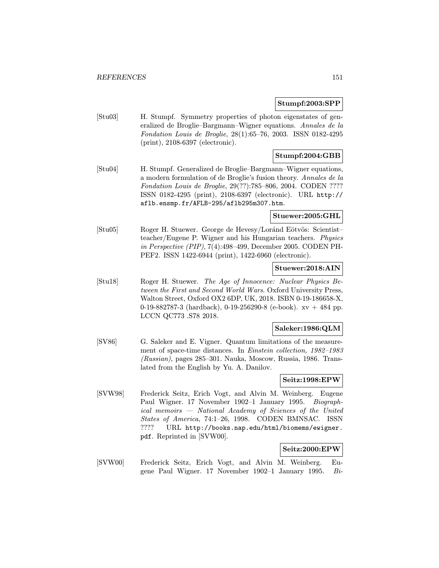#### Stumpf:2003:SPP

[Stu03] H. Stumpf. Symmetry properties of photon eigenstates of generalized de Broglie–Bargmann–Wigner equations. Annales de la Fondation Louis de Broglie, 28(1):65–76, 2003. ISSN 0182-4295 (print), 2108-6397 (electronic).

## Stumpf:2004:GBB

[Stu04] H. Stumpf. Generalized de Broglie–Bargmann–Wigner equations, a modern formulation of de Broglie's fusion theory. Annales de la Fondation Louis de Broglie, 29(??):785–806, 2004. CODEN ???? ISSN 0182-4295 (print), 2108-6397 (electronic). URL http:// aflb.ensmp.fr/AFLB-295/aflb295m307.htm.

## Stuewer:2005:GHL

[Stu05] Roger H. Stuewer. George de Hevesy/Loránd Eötvös: Scientist– teacher/Eugene P. Wigner and his Hungarian teachers. Physics in Perspective (PIP), 7(4):498–499, December 2005. CODEN PH-PEF2. ISSN 1422-6944 (print), 1422-6960 (electronic).

#### Stuewer:2018:AIN

[Stu18] Roger H. Stuewer. The Age of Innocence: Nuclear Physics Between the First and Second World Wars. Oxford University Press, Walton Street, Oxford OX2 6DP, UK, 2018. ISBN 0-19-186658-X, 0-19-882787-3 (hardback), 0-19-256290-8 (e-book).  $xy + 484$  pp. LCCN QC773 .S78 2018.

#### Saleker:1986:QLM

[SV86] G. Saleker and E. Vigner. Quantum limitations of the measurement of space-time distances. In Einstein collection, 1982–1983 (Russian), pages 285–301. Nauka, Moscow, Russia, 1986. Translated from the English by Yu. A. Danilov.

### Seitz:1998:EPW

[SVW98] Frederick Seitz, Erich Vogt, and Alvin M. Weinberg. Eugene Paul Wigner. 17 November 1902–1 January 1995. Biographical memoirs — National Academy of Sciences of the United States of America, 74:1–26, 1998. CODEN BMNSAC. ISSN ???? URL http://books.nap.edu/html/biomems/ewigner. pdf. Reprinted in [SVW00].

### Seitz:2000:EPW

[SVW00] Frederick Seitz, Erich Vogt, and Alvin M. Weinberg. Eugene Paul Wigner. 17 November 1902–1 January 1995. Bi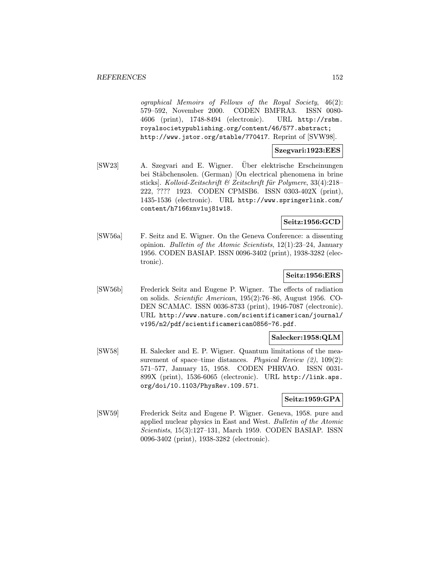ographical Memoirs of Fellows of the Royal Society, 46(2): 579–592, November 2000. CODEN BMFRA3. ISSN 0080- 4606 (print), 1748-8494 (electronic). URL http://rsbm. royalsocietypublishing.org/content/46/577.abstract; http://www.jstor.org/stable/770417. Reprint of [SVW98].

### Szegvari:1923:EES

[SW23] A. Szegvari and E. Wigner. Über elektrische Erscheinungen bei Stäbchensolen. (German) [On electrical phenomena in brine sticks]. Kolloid-Zeitschrift & Zeitschrift für Polymere, 33(4):218– 222, ???? 1923. CODEN CPMSB6. ISSN 0303-402X (print), 1435-1536 (electronic). URL http://www.springerlink.com/ content/h7166xnv1uj81w18.

### Seitz:1956:GCD

[SW56a] F. Seitz and E. Wigner. On the Geneva Conference: a dissenting opinion. Bulletin of the Atomic Scientists, 12(1):23–24, January 1956. CODEN BASIAP. ISSN 0096-3402 (print), 1938-3282 (electronic).

## Seitz:1956:ERS

[SW56b] Frederick Seitz and Eugene P. Wigner. The effects of radiation on solids. Scientific American, 195(2):76–86, August 1956. CO-DEN SCAMAC. ISSN 0036-8733 (print), 1946-7087 (electronic). URL http://www.nature.com/scientificamerican/journal/ v195/n2/pdf/scientificamerican0856-76.pdf.

## Salecker:1958:QLM

[SW58] H. Salecker and E. P. Wigner. Quantum limitations of the measurement of space–time distances. *Physical Review*  $(2)$ , 109 $(2)$ : 571–577, January 15, 1958. CODEN PHRVAO. ISSN 0031- 899X (print), 1536-6065 (electronic). URL http://link.aps. org/doi/10.1103/PhysRev.109.571.

### Seitz:1959:GPA

[SW59] Frederick Seitz and Eugene P. Wigner. Geneva, 1958. pure and applied nuclear physics in East and West. Bulletin of the Atomic Scientists, 15(3):127–131, March 1959. CODEN BASIAP. ISSN 0096-3402 (print), 1938-3282 (electronic).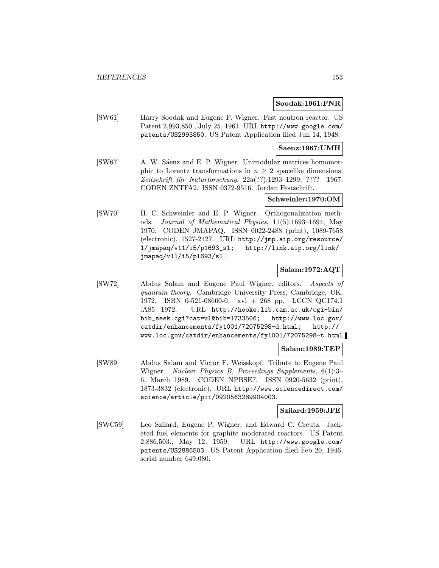#### Soodak:1961:FNR

[SW61] Harry Soodak and Eugene P. Wigner. Fast neutron reactor. US Patent 2,993,850., July 25, 1961. URL http://www.google.com/ patents/US2993850. US Patent Application filed Jun 14, 1948.

## Saenz:1967:UMH

[SW67] A. W. Sáenz and E. P. Wigner. Unimodular matrices homomorphic to Lorentz transformations in  $n \geq 2$  spacelike dimensions.  $Zeitschrift$  für Naturforschung,  $22a(??):1293-1299, ???? 1967.$ CODEN ZNTFA2. ISSN 0372-9516. Jordan Festschrift.

## Schweinler:1970:OM

[SW70] H. C. Schweinler and E. P. Wigner. Orthogonalization methods. Journal of Mathematical Physics, 11(5):1693–1694, May 1970. CODEN JMAPAQ. ISSN 0022-2488 (print), 1089-7658 (electronic), 1527-2427. URL http://jmp.aip.org/resource/ 1/jmapaq/v11/i5/p1693\_s1; http://link.aip.org/link/ jmapaq/v11/i5/p1693/s1.

### Salam:1972:AQT

[SW72] Abdus Salam and Eugene Paul Wigner, editors. Aspects of quantum theory. Cambridge University Press, Cambridge, UK, 1972. ISBN 0-521-08600-0. xvi + 268 pp. LCCN QC174.1 .A85 1972. URL http://hooke.lib.cam.ac.uk/cgi-bin/ bib\_seek.cgi?cat=ul&bib=1733506; http://www.loc.gov/ catdir/enhancements/fy1001/72075298-d.html; http:// www.loc.gov/catdir/enhancements/fy1001/72075298-t.html.

### Salam:1989:TEP

[SW89] Abdus Salam and Victor F. Weisskopf. Tribute to Eugene Paul Wigner. Nuclear Physics B, Proceedings Supplements, 6(1):3– 6, March 1989. CODEN NPBSE7. ISSN 0920-5632 (print), 1873-3832 (electronic). URL http://www.sciencedirect.com/ science/article/pii/0920563289904003.

### Szilard:1959:JFE

[SWC59] Leo Szilard, Eugene P. Wigner, and Edward C. Creutz. Jacketed fuel elements for graphite moderated reactors. US Patent 2,886,503., May 12, 1959. URL http://www.google.com/ patents/US2886503. US Patent Application filed Feb 20, 1946, serial number 649,080.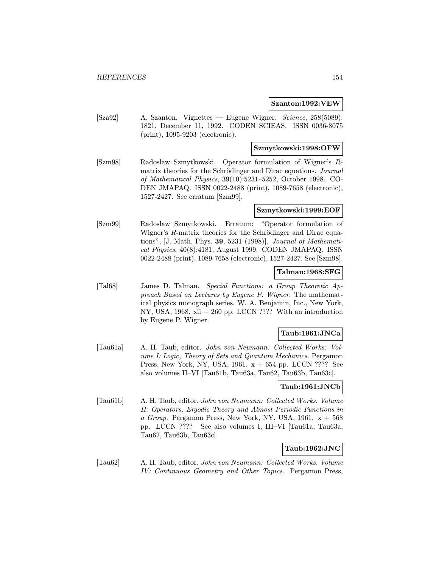#### Szanton:1992:VEW

[Sza92] A. Szanton. Vignettes — Eugene Wigner. Science, 258(5089): 1821, December 11, 1992. CODEN SCIEAS. ISSN 0036-8075 (print), 1095-9203 (electronic).

### Szmytkowski:1998:OFW

[Szm98] Radosław Szmytkowski. Operator formulation of Wigner's Rmatrix theories for the Schrödinger and Dirac equations. Journal of Mathematical Physics, 39(10):5231–5252, October 1998. CO-DEN JMAPAQ. ISSN 0022-2488 (print), 1089-7658 (electronic), 1527-2427. See erratum [Szm99].

#### Szmytkowski:1999:EOF

[Szm99] Radosław Szmytkowski. Erratum: "Operator formulation of Wigner's  $R$ -matrix theories for the Schrödinger and Dirac equations", [J. Math. Phys. 39, 5231 (1998)]. Journal of Mathematical Physics, 40(8):4181, August 1999. CODEN JMAPAQ. ISSN 0022-2488 (print), 1089-7658 (electronic), 1527-2427. See [Szm98].

#### Talman:1968:SFG

[Tal68] James D. Talman. Special Functions: a Group Theoretic Approach Based on Lectures by Eugene P. Wigner. The mathematical physics monograph series. W. A. Benjamin, Inc., New York, NY, USA, 1968. xii + 260 pp. LCCN ???? With an introduction by Eugene P. Wigner.

### Taub:1961:JNCa

[Tau61a] A. H. Taub, editor. John von Neumann: Collected Works: Volume I: Logic, Theory of Sets and Quantum Mechanics. Pergamon Press, New York, NY, USA, 1961.  $x + 654$  pp. LCCN ???? See also volumes II–VI [Tau61b, Tau63a, Tau62, Tau63b, Tau63c].

#### Taub:1961:JNCb

[Tau61b] A. H. Taub, editor. John von Neumann: Collected Works. Volume II: Operators, Ergodic Theory and Almost Periodic Functions in a Group. Pergamon Press, New York, NY, USA, 1961.  $x + 568$ pp. LCCN ???? See also volumes I, III–VI [Tau61a, Tau63a, Tau62, Tau63b, Tau63c].

### Taub:1962:JNC

[Tau62] A. H. Taub, editor. John von Neumann: Collected Works. Volume IV: Continuous Geometry and Other Topics. Pergamon Press,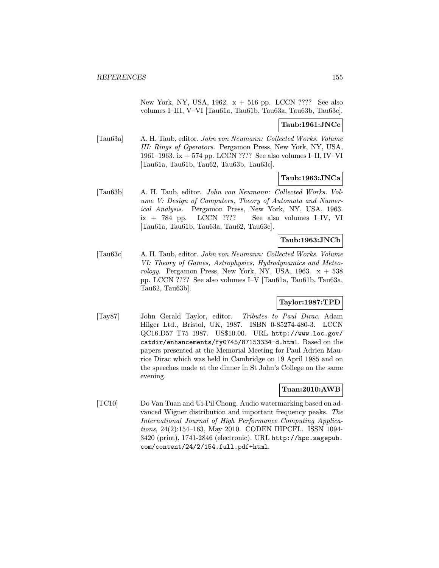New York, NY, USA,  $1962. x + 516$  pp. LCCN ???? See also volumes I–III, V–VI [Tau61a, Tau61b, Tau63a, Tau63b, Tau63c].

## Taub:1961:JNCc

[Tau63a] A. H. Taub, editor. John von Neumann: Collected Works. Volume III: Rings of Operators. Pergamon Press, New York, NY, USA, 1961–1963. ix + 574 pp. LCCN ???? See also volumes I–II, IV–VI [Tau61a, Tau61b, Tau62, Tau63b, Tau63c].

## Taub:1963:JNCa

[Tau63b] A. H. Taub, editor. John von Neumann: Collected Works. Volume V: Design of Computers, Theory of Automata and Numerical Analysis. Pergamon Press, New York, NY, USA, 1963.  $ix + 784$  pp. LCCN ???? See also volumes I–IV, VI [Tau61a, Tau61b, Tau63a, Tau62, Tau63c].

### Taub:1963:JNCb

[Tau63c] A. H. Taub, editor. John von Neumann: Collected Works. Volume VI: Theory of Games, Astrophysics, Hydrodynamics and Meteorology. Pergamon Press, New York, NY, USA, 1963.  $x + 538$ pp. LCCN ???? See also volumes I–V [Tau61a, Tau61b, Tau63a, Tau62, Tau63b].

## Taylor:1987:TPD

[Tay87] John Gerald Taylor, editor. Tributes to Paul Dirac. Adam Hilger Ltd., Bristol, UK, 1987. ISBN 0-85274-480-3. LCCN QC16.D57 T75 1987. US\$10.00. URL http://www.loc.gov/ catdir/enhancements/fy0745/87153334-d.html. Based on the papers presented at the Memorial Meeting for Paul Adrien Maurice Dirac which was held in Cambridge on 19 April 1985 and on the speeches made at the dinner in St John's College on the same evening.

## Tuan:2010:AWB

[TC10] Do Van Tuan and Ui-Pil Chong. Audio watermarking based on advanced Wigner distribution and important frequency peaks. The International Journal of High Performance Computing Applications, 24(2):154–163, May 2010. CODEN IHPCFL. ISSN 1094- 3420 (print), 1741-2846 (electronic). URL http://hpc.sagepub. com/content/24/2/154.full.pdf+html.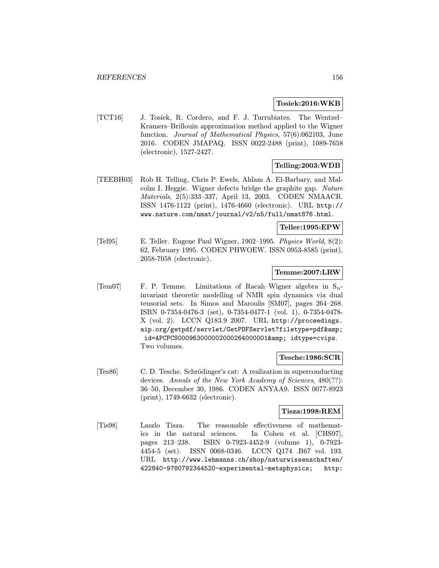#### Tosiek:2016:WKB

[TCT16] J. Tosiek, R. Cordero, and F. J. Turrubiates. The Wentzel– Kramers–Brillouin approximation method applied to the Wigner function. Journal of Mathematical Physics, 57(6):062103, June 2016. CODEN JMAPAQ. ISSN 0022-2488 (print), 1089-7658 (electronic), 1527-2427.

# Telling:2003:WDB

[TEEBH03] Rob H. Telling, Chris P. Ewels, Ahlam A. El-Barbary, and Malcolm I. Heggie. Wigner defects bridge the graphite gap. Nature Materials, 2(5):333–337, April 13, 2003. CODEN NMAACR. ISSN 1476-1122 (print), 1476-4660 (electronic). URL http:// www.nature.com/nmat/journal/v2/n5/full/nmat876.html.

## Teller:1995:EPW

[Tel95] E. Teller. Eugene Paul Wigner, 1902–1995. Physics World, 8(2): 62, February 1995. CODEN PHWOEW. ISSN 0953-8585 (print), 2058-7058 (electronic).

## Temme:2007:LRW

[Tem07] F. P. Temme. Limitations of Racah–Wigner algebra in  $S_n$ invariant theoretic modelling of NMR spin dynamics via dual tensorial sets. In Simos and Maroulis [SM07], pages 264–268. ISBN 0-7354-0476-3 (set), 0-7354-0477-1 (vol. 1), 0-7354-0478- X (vol. 2). LCCN Q183.9 2007. URL http://proceedings. aip.org/getpdf/servlet/GetPDFServlet?filetype=pdf& id=APCPCS000963000002000264000001& idtype=cvips. Two volumes.

#### Tesche:1986:SCR

[Tes86] C. D. Tesche. Schrödinger's cat: A realization in superconducting devices. Annals of the New York Academy of Sciences, 480(??): 36–50, December 30, 1986. CODEN ANYAA9. ISSN 0077-8923 (print), 1749-6632 (electronic).

### Tisza:1998:REM

[Tis98] Laszlo Tisza. The reasonable effectiveness of mathematics in the natural sciences. In Cohen et al. [CHS97], pages 213–238. ISBN 0-7923-4452-9 (volume 1), 0-7923- 4454-5 (set). ISSN 0068-0346. LCCN Q174 .B67 vol. 193. URL http://www.lehmanns.ch/shop/naturwissenschaften/ 422840-9780792344520-experimental-metaphysics; http: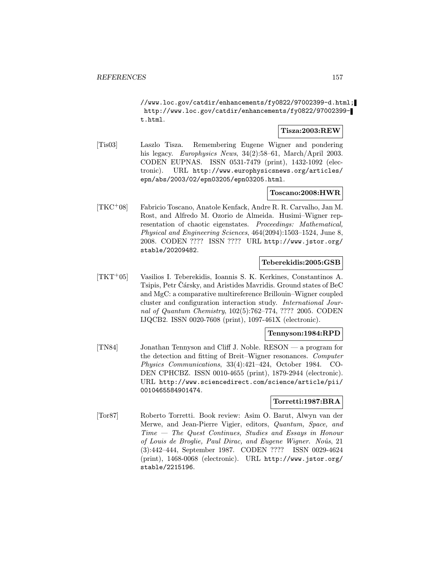//www.loc.gov/catdir/enhancements/fy0822/97002399-d.html; http://www.loc.gov/catdir/enhancements/fy0822/97002399 t.html.

## Tisza:2003:REW

[Tis03] Laszlo Tisza. Remembering Eugene Wigner and pondering his legacy. Europhysics News, 34(2):58-61, March/April 2003. CODEN EUPNAS. ISSN 0531-7479 (print), 1432-1092 (electronic). URL http://www.europhysicsnews.org/articles/ epn/abs/2003/02/epn03205/epn03205.html.

## Toscano:2008:HWR

[TKC<sup>+</sup>08] Fabricio Toscano, Anatole Kenfack, Andre R. R. Carvalho, Jan M. Rost, and Alfredo M. Ozorio de Almeida. Husimi–Wigner representation of chaotic eigenstates. Proceedings: Mathematical, Physical and Engineering Sciences, 464(2094):1503–1524, June 8, 2008. CODEN ???? ISSN ???? URL http://www.jstor.org/ stable/20209482.

## Teberekidis:2005:GSB

[TKT<sup>+</sup>05] Vasilios I. Teberekidis, Ioannis S. K. Kerkines, Constantinos A. Tsipis, Petr Cársky, and Aristides Mavridis. Ground states of BeC and MgC: a comparative multireference Brillouin–Wigner coupled cluster and configuration interaction study. International Journal of Quantum Chemistry, 102(5):762–774, ???? 2005. CODEN IJQCB2. ISSN 0020-7608 (print), 1097-461X (electronic).

### Tennyson:1984:RPD

[TN84] Jonathan Tennyson and Cliff J. Noble. RESON — a program for the detection and fitting of Breit–Wigner resonances. Computer Physics Communications, 33(4):421–424, October 1984. CO-DEN CPHCBZ. ISSN 0010-4655 (print), 1879-2944 (electronic). URL http://www.sciencedirect.com/science/article/pii/ 0010465584901474.

## Torretti:1987:BRA

[Tor87] Roberto Torretti. Book review: Asim O. Barut, Alwyn van der Merwe, and Jean-Pierre Vigier, editors, Quantum, Space, and Time — The Quest Continues, Studies and Essays in Honour of Louis de Broglie, Paul Dirac, and Eugene Wigner. Noûs, 21 (3):442–444, September 1987. CODEN ???? ISSN 0029-4624 (print), 1468-0068 (electronic). URL http://www.jstor.org/ stable/2215196.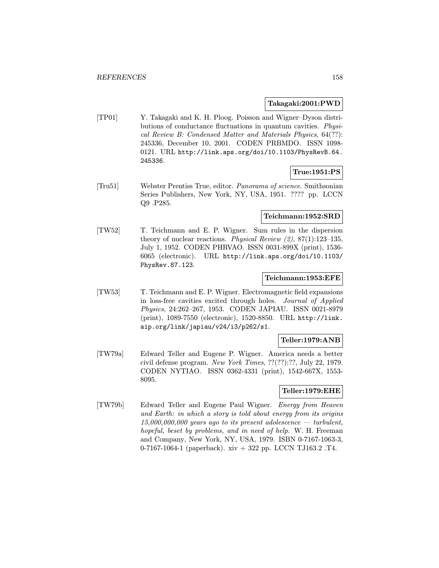#### Takagaki:2001:PWD

[TP01] Y. Takagaki and K. H. Ploog. Poisson and Wigner–Dyson distributions of conductance fluctuations in quantum cavities. Physical Review B: Condensed Matter and Materials Physics, 64(??): 245336, December 10, 2001. CODEN PRBMDO. ISSN 1098- 0121. URL http://link.aps.org/doi/10.1103/PhysRevB.64. 245336.

# True:1951:PS

[Tru51] Webster Prentiss True, editor. Panorama of science. Smithsonian Series Publishers, New York, NY, USA, 1951. ???? pp. LCCN Q9 .P285.

# Teichmann:1952:SRD

[TW52] T. Teichmann and E. P. Wigner. Sum rules in the dispersion theory of nuclear reactions. Physical Review  $(2)$ , 87 $(1)$ :123–135, July 1, 1952. CODEN PHRVAO. ISSN 0031-899X (print), 1536- 6065 (electronic). URL http://link.aps.org/doi/10.1103/ PhysRev.87.123.

#### Teichmann:1953:EFE

[TW53] T. Teichmann and E. P. Wigner. Electromagnetic field expansions in loss-free cavities excited through holes. Journal of Applied Physics, 24:262–267, 1953. CODEN JAPIAU. ISSN 0021-8979 (print), 1089-7550 (electronic), 1520-8850. URL http://link. aip.org/link/japiau/v24/i3/p262/s1.

### Teller:1979:ANB

[TW79a] Edward Teller and Eugene P. Wigner. America needs a better civil defense program. New York Times, ??(??):??, July 22, 1979. CODEN NYTIAO. ISSN 0362-4331 (print), 1542-667X, 1553- 8095.

## Teller:1979:EHE

[TW79b] Edward Teller and Eugene Paul Wigner. Energy from Heaven and Earth: in which a story is told about energy from its origins  $15,000,000,000$  years ago to its present adolescence — turbulent, hopeful, beset by problems, and in need of help. W. H. Freeman and Company, New York, NY, USA, 1979. ISBN 0-7167-1063-3, 0-7167-1064-1 (paperback). xiv + 322 pp. LCCN TJ163.2 .T4.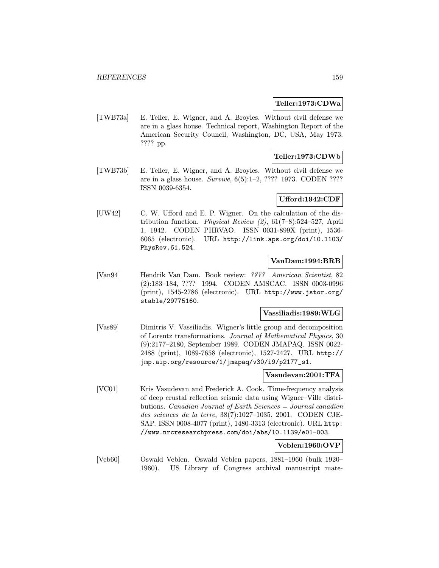#### Teller:1973:CDWa

[TWB73a] E. Teller, E. Wigner, and A. Broyles. Without civil defense we are in a glass house. Technical report, Washington Report of the American Security Council, Washington, DC, USA, May 1973. ???? pp.

## Teller:1973:CDWb

[TWB73b] E. Teller, E. Wigner, and A. Broyles. Without civil defense we are in a glass house. Survive, 6(5):1–2, ???? 1973. CODEN ???? ISSN 0039-6354.

## Ufford:1942:CDF

[UW42] C. W. Ufford and E. P. Wigner. On the calculation of the distribution function. *Physical Review (2)*,  $61(7-8):524-527$ , April 1, 1942. CODEN PHRVAO. ISSN 0031-899X (print), 1536- 6065 (electronic). URL http://link.aps.org/doi/10.1103/ PhysRev.61.524.

## VanDam:1994:BRB

[Van94] Hendrik Van Dam. Book review: ???? American Scientist, 82 (2):183–184, ???? 1994. CODEN AMSCAC. ISSN 0003-0996 (print), 1545-2786 (electronic). URL http://www.jstor.org/ stable/29775160.

#### Vassiliadis:1989:WLG

[Vas89] Dimitris V. Vassiliadis. Wigner's little group and decomposition of Lorentz transformations. Journal of Mathematical Physics, 30 (9):2177–2180, September 1989. CODEN JMAPAQ. ISSN 0022- 2488 (print), 1089-7658 (electronic), 1527-2427. URL http:// jmp.aip.org/resource/1/jmapaq/v30/i9/p2177\_s1.

#### Vasudevan:2001:TFA

[VC01] Kris Vasudevan and Frederick A. Cook. Time-frequency analysis of deep crustal reflection seismic data using Wigner–Ville distributions. Canadian Journal of Earth Sciences = Journal canadien des sciences de la terre, 38(7):1027–1035, 2001. CODEN CJE-SAP. ISSN 0008-4077 (print), 1480-3313 (electronic). URL http: //www.nrcresearchpress.com/doi/abs/10.1139/e01-003.

# Veblen:1960:OVP

[Veb60] Oswald Veblen. Oswald Veblen papers, 1881–1960 (bulk 1920– 1960). US Library of Congress archival manuscript mate-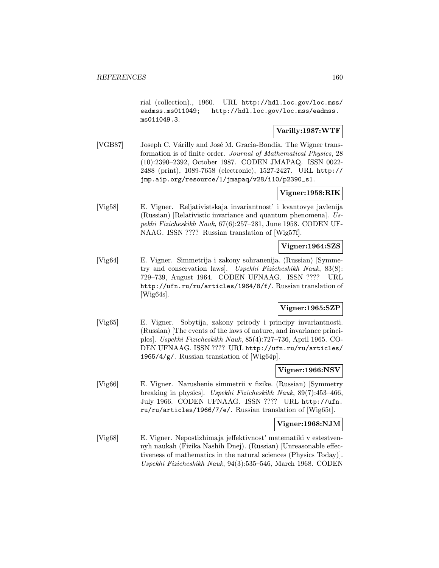rial (collection)., 1960. URL http://hdl.loc.gov/loc.mss/ eadmss.ms011049; http://hdl.loc.gov/loc.mss/eadmss. ms011049.3.

# Varilly:1987:WTF

[VGB87] Joseph C. Várilly and José M. Gracia-Bondía. The Wigner transformation is of finite order. Journal of Mathematical Physics, 28 (10):2390–2392, October 1987. CODEN JMAPAQ. ISSN 0022- 2488 (print), 1089-7658 (electronic), 1527-2427. URL http:// jmp.aip.org/resource/1/jmapaq/v28/i10/p2390\_s1.

# Vigner:1958:RIK

[Vig58] E. Vigner. Reljativistskaja invariantnost' i kvantovye javlenija (Russian) [Relativistic invariance and quantum phenomena]. Uspekhi Fizicheskikh Nauk, 67(6):257–281, June 1958. CODEN UF-NAAG. ISSN ???? Russian translation of [Wig57f].

# Vigner:1964:SZS

[Vig64] E. Vigner. Simmetrija i zakony sohranenija. (Russian) [Symmetry and conservation laws]. Uspekhi Fizicheskikh Nauk, 83(8): 729–739, August 1964. CODEN UFNAAG. ISSN ???? URL http://ufn.ru/ru/articles/1964/8/f/. Russian translation of [Wig64s].

## Vigner:1965:SZP

[Vig65] E. Vigner. Sobytija, zakony prirody i principy invariantnosti. (Russian) [The events of the laws of nature, and invariance principles]. Uspekhi Fizicheskikh Nauk, 85(4):727–736, April 1965. CO-DEN UFNAAG. ISSN ???? URL http://ufn.ru/ru/articles/ 1965/4/g/. Russian translation of [Wig64p].

#### Vigner:1966:NSV

[Vig66] E. Vigner. Narushenie simmetrii v fizike. (Russian) [Symmetry breaking in physics]. Uspekhi Fizicheskikh Nauk, 89(7):453–466, July 1966. CODEN UFNAAG. ISSN ???? URL http://ufn. ru/ru/articles/1966/7/e/. Russian translation of [Wig65t].

### Vigner:1968:NJM

[Vig68] E. Vigner. Nepostizhimaja jeffektivnost' matematiki v estestvennyh naukah (Fizika Nashih Dnej). (Russian) [Unreasonable effectiveness of mathematics in the natural sciences (Physics Today)]. Uspekhi Fizicheskikh Nauk, 94(3):535–546, March 1968. CODEN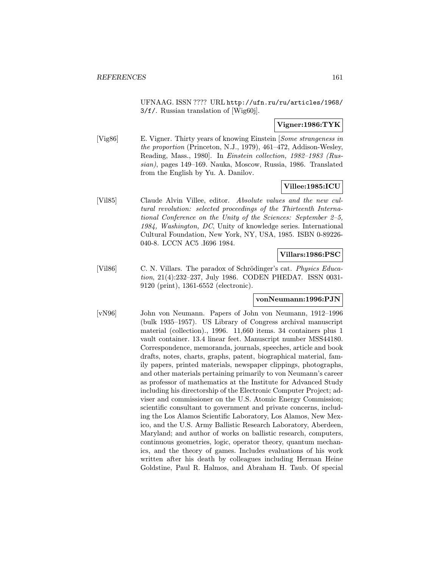UFNAAG. ISSN ???? URL http://ufn.ru/ru/articles/1968/ 3/f/. Russian translation of [Wig60j].

## Vigner:1986:TYK

[Vig86] E. Vigner. Thirty years of knowing Einstein [Some strangeness in the proportion (Princeton, N.J., 1979), 461–472, Addison-Wesley, Reading, Mass., 1980]. In Einstein collection, 1982–1983 (Russian), pages 149–169. Nauka, Moscow, Russia, 1986. Translated from the English by Yu. A. Danilov.

### Villee:1985:ICU

[Vil85] Claude Alvin Villee, editor. Absolute values and the new cultural revolution: selected proceedings of the Thirteenth International Conference on the Unity of the Sciences: September 2–5, 1984, Washington, DC, Unity of knowledge series. International Cultural Foundation, New York, NY, USA, 1985. ISBN 0-89226- 040-8. LCCN AC5 .I696 1984.

Villars:1986:PSC

[Vil86] C. N. Villars. The paradox of Schrödinger's cat. Physics Education, 21(4):232–237, July 1986. CODEN PHEDA7. ISSN 0031- 9120 (print), 1361-6552 (electronic).

## vonNeumann:1996:PJN

[vN96] John von Neumann. Papers of John von Neumann, 1912–1996 (bulk 1935–1957). US Library of Congress archival manuscript material (collection)., 1996. 11,660 items. 34 containers plus 1 vault container. 13.4 linear feet. Manuscript number MSS44180. Correspondence, memoranda, journals, speeches, article and book drafts, notes, charts, graphs, patent, biographical material, family papers, printed materials, newspaper clippings, photographs, and other materials pertaining primarily to von Neumann's career as professor of mathematics at the Institute for Advanced Study including his directorship of the Electronic Computer Project; adviser and commissioner on the U.S. Atomic Energy Commission; scientific consultant to government and private concerns, including the Los Alamos Scientific Laboratory, Los Alamos, New Mexico, and the U.S. Army Ballistic Research Laboratory, Aberdeen, Maryland; and author of works on ballistic research, computers, continuous geometries, logic, operator theory, quantum mechanics, and the theory of games. Includes evaluations of his work written after his death by colleagues including Herman Heine Goldstine, Paul R. Halmos, and Abraham H. Taub. Of special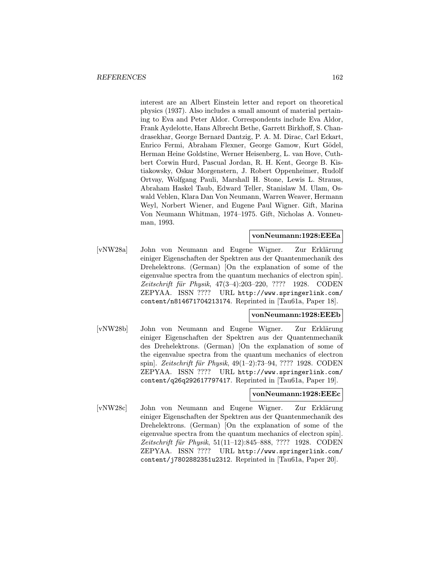interest are an Albert Einstein letter and report on theoretical physics (1937). Also includes a small amount of material pertaining to Eva and Peter Aldor. Correspondents include Eva Aldor, Frank Aydelotte, Hans Albrecht Bethe, Garrett Birkhoff, S. Chandrasekhar, George Bernard Dantzig, P. A. M. Dirac, Carl Eckart, Enrico Fermi, Abraham Flexner, George Gamow, Kurt Gödel, Herman Heine Goldstine, Werner Heisenberg, L. van Hove, Cuthbert Corwin Hurd, Pascual Jordan, R. H. Kent, George B. Kistiakowsky, Oskar Morgenstern, J. Robert Oppenheimer, Rudolf Ortvay, Wolfgang Pauli, Marshall H. Stone, Lewis L. Strauss, Abraham Haskel Taub, Edward Teller, Stanislaw M. Ulam, Oswald Veblen, Klara Dan Von Neumann, Warren Weaver, Hermann Weyl, Norbert Wiener, and Eugene Paul Wigner. Gift, Marina Von Neumann Whitman, 1974–1975. Gift, Nicholas A. Vonneuman, 1993.

## vonNeumann:1928:EEEa

[vNW28a] John von Neumann and Eugene Wigner. Zur Erklärung einiger Eigenschaften der Spektren aus der Quantenmechanik des Drehelektrons. (German) [On the explanation of some of the eigenvalue spectra from the quantum mechanics of electron spin]. Zeitschrift für Physik, 47(3-4):203-220, ???? 1928. CODEN ZEPYAA. ISSN ???? URL http://www.springerlink.com/ content/n814671704213174. Reprinted in [Tau61a, Paper 18].

### vonNeumann:1928:EEEb

[vNW28b] John von Neumann and Eugene Wigner. Zur Erklärung einiger Eigenschaften der Spektren aus der Quantenmechanik des Drehelektrons. (German) [On the explanation of some of the eigenvalue spectra from the quantum mechanics of electron spin]. Zeitschrift für Physik, 49(1–2):73–94, ???? 1928. CODEN ZEPYAA. ISSN ???? URL http://www.springerlink.com/ content/q26q292617797417. Reprinted in [Tau61a, Paper 19].

### vonNeumann:1928:EEEc

[vNW28c] John von Neumann and Eugene Wigner. Zur Erklärung einiger Eigenschaften der Spektren aus der Quantenmechanik des Drehelektrons. (German) [On the explanation of some of the eigenvalue spectra from the quantum mechanics of electron spin]. Zeitschrift für Physik, 51(11–12):845–888, ???? 1928. CODEN ZEPYAA. ISSN ???? URL http://www.springerlink.com/ content/j7802882351u2312. Reprinted in [Tau61a, Paper 20].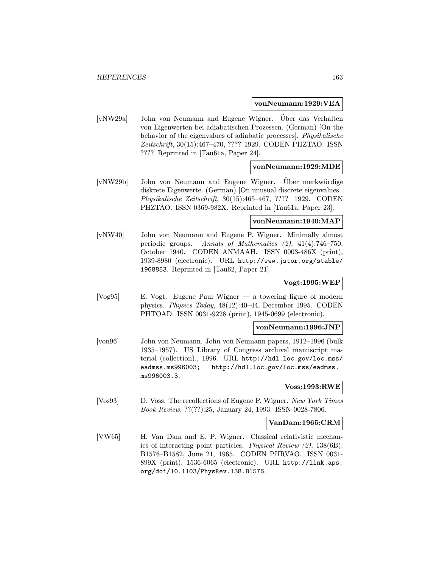#### vonNeumann:1929:VEA

[vNW29a] John von Neumann and Eugene Wigner. Uber das Verhalten ¨ von Eigenwerten bei adiabatischen Prozessen. (German) [On the behavior of the eigenvalues of adiabatic processes]. Physikalische Zeitschrift, 30(15):467–470, ???? 1929. CODEN PHZTAO. ISSN ???? Reprinted in [Tau61a, Paper 24].

## vonNeumann:1929:MDE

[vNW29b] John von Neumann and Eugene Wigner. Über merkwürdige diskrete Eigenwerte. (German) [On unusual discrete eigenvalues]. Physikalische Zeitschrift, 30(15):465–467, ???? 1929. CODEN PHZTAO. ISSN 0369-982X. Reprinted in [Tau61a, Paper 23].

## vonNeumann:1940:MAP

[vNW40] John von Neumann and Eugene P. Wigner. Minimally almost periodic groups. Annals of Mathematics (2), 41(4):746–750, October 1940. CODEN ANMAAH. ISSN 0003-486X (print), 1939-8980 (electronic). URL http://www.jstor.org/stable/ 1968853. Reprinted in [Tau62, Paper 21].

## Vogt:1995:WEP

[Vog95] E. Vogt. Eugene Paul Wigner — a towering figure of modern physics. Physics Today, 48(12):40–44, December 1995. CODEN PHTOAD. ISSN 0031-9228 (print), 1945-0699 (electronic).

#### vonNeumann:1996:JNP

[von96] John von Neumann. John von Neumann papers, 1912–1996 (bulk 1935–1957). US Library of Congress archival manuscript material (collection)., 1996. URL http://hdl.loc.gov/loc.mss/ eadmss.ms996003; http://hdl.loc.gov/loc.mss/eadmss. ms996003.3.

### Voss:1993:RWE

[Vos93] D. Voss. The recollections of Eugene P. Wigner. New York Times Book Review, ??(??):25, January 24, 1993. ISSN 0028-7806.

#### VanDam:1965:CRM

[VW65] H. Van Dam and E. P. Wigner. Classical relativistic mechanics of interacting point particles. Physical Review (2), 138(6B): B1576–B1582, June 21, 1965. CODEN PHRVAO. ISSN 0031- 899X (print), 1536-6065 (electronic). URL http://link.aps. org/doi/10.1103/PhysRev.138.B1576.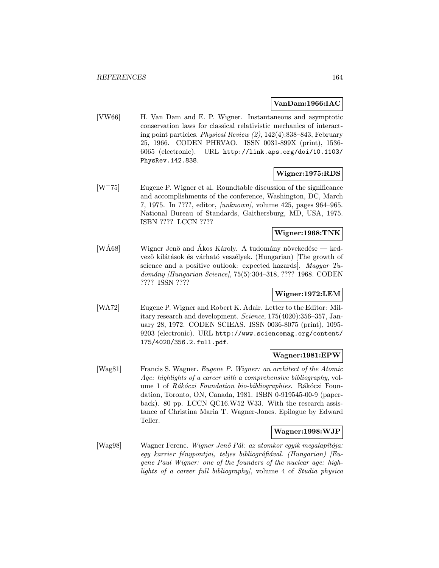## VanDam:1966:IAC

[VW66] H. Van Dam and E. P. Wigner. Instantaneous and asymptotic conservation laws for classical relativistic mechanics of interacting point particles. Physical Review (2), 142(4):838–843, February 25, 1966. CODEN PHRVAO. ISSN 0031-899X (print), 1536- 6065 (electronic). URL http://link.aps.org/doi/10.1103/ PhysRev.142.838.

## Wigner:1975:RDS

 $[W^+75]$  Eugene P. Wigner et al. Roundtable discussion of the significance and accomplishments of the conference, Washington, DC, March 7, 1975. In ????, editor, [unknown], volume 425, pages 964–965. National Bureau of Standards, Gaithersburg, MD, USA, 1975. ISBN ???? LCCN ????

# Wigner:1968:TNK

[WA68] Wigner Jenő and Akos Károly. A tudomány növekedése — kedvező kilátások és várható veszélyek. (Hungarian) [The growth of science and a positive outlook: expected hazards]. Magyar Tudomány *[Hungarian Science]*, 75(5):304–318, ???? 1968. CODEN ???? ISSN ????

# Wigner:1972:LEM

[WA72] Eugene P. Wigner and Robert K. Adair. Letter to the Editor: Military research and development. Science, 175(4020):356–357, January 28, 1972. CODEN SCIEAS. ISSN 0036-8075 (print), 1095- 9203 (electronic). URL http://www.sciencemag.org/content/ 175/4020/356.2.full.pdf.

## Wagner:1981:EPW

[Wag81] Francis S. Wagner. Eugene P. Wigner: an architect of the Atomic Age: highlights of a career with a comprehensive bibliography, volume 1 of Rákóczi Foundation bio-bibliographies. Rákóczi Foundation, Toronto, ON, Canada, 1981. ISBN 0-919545-00-9 (paperback). 80 pp. LCCN QC16.W52 W33. With the research assistance of Christina Maria T. Wagner-Jones. Epilogue by Edward Teller.

### Wagner:1998:WJP

[Wag98] Wagner Ferenc. Wigner Jenő Pál: az atomkor egyik megalapítója: egy karrier fénypontjai, teljes bibliográfiával. (Hungarian)  $|Eu$ gene Paul Wigner: one of the founders of the nuclear age: highlights of a career full bibliography], volume 4 of Studia physica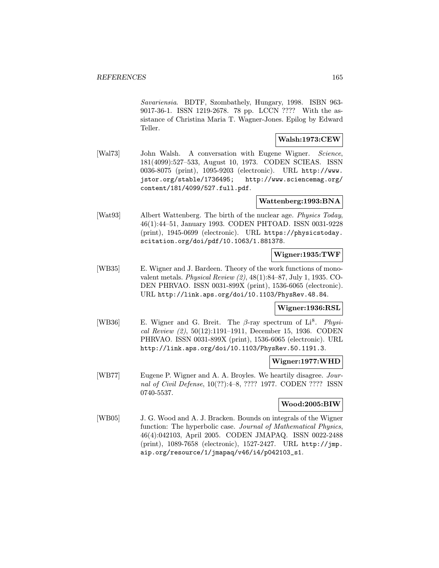Savariensia. BDTF, Szombathely, Hungary, 1998. ISBN 963- 9017-36-1. ISSN 1219-2678. 78 pp. LCCN ???? With the assistance of Christina Maria T. Wagner-Jones. Epilog by Edward Teller.

#### Walsh:1973:CEW

[Wal73] John Walsh. A conversation with Eugene Wigner. Science, 181(4099):527–533, August 10, 1973. CODEN SCIEAS. ISSN 0036-8075 (print), 1095-9203 (electronic). URL http://www. jstor.org/stable/1736495; http://www.sciencemag.org/ content/181/4099/527.full.pdf.

## Wattenberg:1993:BNA

[Wat93] Albert Wattenberg. The birth of the nuclear age. *Physics Today*, 46(1):44–51, January 1993. CODEN PHTOAD. ISSN 0031-9228 (print), 1945-0699 (electronic). URL https://physicstoday. scitation.org/doi/pdf/10.1063/1.881378.

### Wigner:1935:TWF

[WB35] E. Wigner and J. Bardeen. Theory of the work functions of monovalent metals. Physical Review (2), 48(1):84–87, July 1, 1935. CO-DEN PHRVAO. ISSN 0031-899X (print), 1536-6065 (electronic). URL http://link.aps.org/doi/10.1103/PhysRev.48.84.

## Wigner:1936:RSL

[WB36] E. Wigner and G. Breit. The  $\beta$ -ray spectrum of Li<sup>8</sup>. Physical Review (2), 50(12):1191–1911, December 15, 1936. CODEN PHRVAO. ISSN 0031-899X (print), 1536-6065 (electronic). URL http://link.aps.org/doi/10.1103/PhysRev.50.1191.3.

### Wigner:1977:WHD

[WB77] Eugene P. Wigner and A. A. Broyles. We heartily disagree. Journal of Civil Defense, 10(??):4–8, ???? 1977. CODEN ???? ISSN 0740-5537.

## Wood:2005:BIW

[WB05] J. G. Wood and A. J. Bracken. Bounds on integrals of the Wigner function: The hyperbolic case. Journal of Mathematical Physics, 46(4):042103, April 2005. CODEN JMAPAQ. ISSN 0022-2488 (print), 1089-7658 (electronic), 1527-2427. URL http://jmp. aip.org/resource/1/jmapaq/v46/i4/p042103\_s1.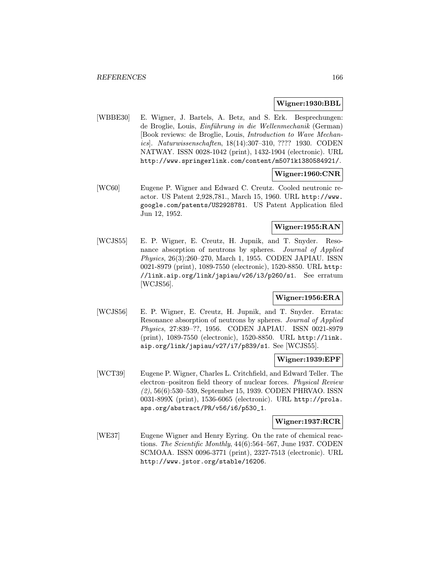#### Wigner:1930:BBL

[WBBE30] E. Wigner, J. Bartels, A. Betz, and S. Erk. Besprechungen: de Broglie, Louis, Einführung in die Wellenmechanik (German) [Book reviews: de Broglie, Louis, Introduction to Wave Mechanics]. Naturwissenschaften, 18(14):307–310, ???? 1930. CODEN NATWAY. ISSN 0028-1042 (print), 1432-1904 (electronic). URL http://www.springerlink.com/content/m5071k1380584921/.

### Wigner:1960:CNR

[WC60] Eugene P. Wigner and Edward C. Creutz. Cooled neutronic reactor. US Patent 2,928,781., March 15, 1960. URL http://www. google.com/patents/US2928781. US Patent Application filed Jun 12, 1952.

## Wigner:1955:RAN

[WCJS55] E. P. Wigner, E. Creutz, H. Jupnik, and T. Snyder. Resonance absorption of neutrons by spheres. Journal of Applied Physics, 26(3):260–270, March 1, 1955. CODEN JAPIAU. ISSN 0021-8979 (print), 1089-7550 (electronic), 1520-8850. URL http: //link.aip.org/link/japiau/v26/i3/p260/s1. See erratum [WCJS56].

# Wigner:1956:ERA

[WCJS56] E. P. Wigner, E. Creutz, H. Jupnik, and T. Snyder. Errata: Resonance absorption of neutrons by spheres. Journal of Applied Physics, 27:839–??, 1956. CODEN JAPIAU. ISSN 0021-8979 (print), 1089-7550 (electronic), 1520-8850. URL http://link. aip.org/link/japiau/v27/i7/p839/s1. See [WCJS55].

### Wigner:1939:EPF

[WCT39] Eugene P. Wigner, Charles L. Critchfield, and Edward Teller. The electron–positron field theory of nuclear forces. Physical Review (2), 56(6):530–539, September 15, 1939. CODEN PHRVAO. ISSN 0031-899X (print), 1536-6065 (electronic). URL http://prola. aps.org/abstract/PR/v56/i6/p530\_1.

#### Wigner:1937:RCR

[WE37] Eugene Wigner and Henry Eyring. On the rate of chemical reactions. The Scientific Monthly, 44(6):564–567, June 1937. CODEN SCMOAA. ISSN 0096-3771 (print), 2327-7513 (electronic). URL http://www.jstor.org/stable/16206.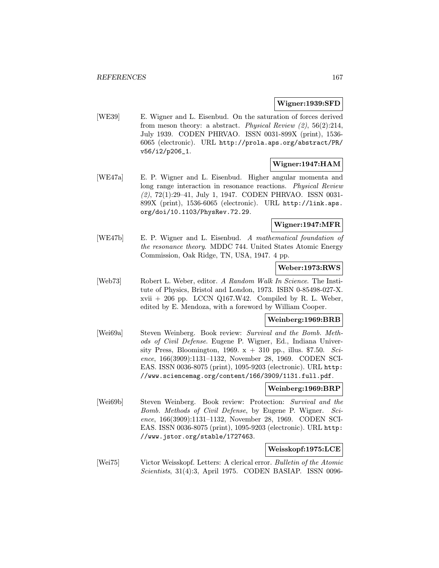## Wigner:1939:SFD

[WE39] E. Wigner and L. Eisenbud. On the saturation of forces derived from meson theory: a abstract. Physical Review (2), 56(2):214, July 1939. CODEN PHRVAO. ISSN 0031-899X (print), 1536- 6065 (electronic). URL http://prola.aps.org/abstract/PR/ v56/i2/p206\_1.

## Wigner:1947:HAM

[WE47a] E. P. Wigner and L. Eisenbud. Higher angular momenta and long range interaction in resonance reactions. Physical Review (2), 72(1):29–41, July 1, 1947. CODEN PHRVAO. ISSN 0031- 899X (print), 1536-6065 (electronic). URL http://link.aps. org/doi/10.1103/PhysRev.72.29.

## Wigner:1947:MFR

[WE47b] E. P. Wigner and L. Eisenbud. A mathematical foundation of the resonance theory. MDDC 744. United States Atomic Energy Commission, Oak Ridge, TN, USA, 1947. 4 pp.

## Weber:1973:RWS

[Web73] Robert L. Weber, editor. A Random Walk In Science. The Institute of Physics, Bristol and London, 1973. ISBN 0-85498-027-X.  $xvii + 206$  pp. LCCN Q167.W42. Compiled by R. L. Weber, edited by E. Mendoza, with a foreword by William Cooper.

# Weinberg:1969:BRB

[Wei69a] Steven Weinberg. Book review: Survival and the Bomb. Methods of Civil Defense. Eugene P. Wigner, Ed., Indiana University Press, Bloomington, 1969.  $x + 310$  pp., illus. \$7.50. Science, 166(3909):1131–1132, November 28, 1969. CODEN SCI-EAS. ISSN 0036-8075 (print), 1095-9203 (electronic). URL http: //www.sciencemag.org/content/166/3909/1131.full.pdf.

#### Weinberg:1969:BRP

[Wei69b] Steven Weinberg. Book review: Protection: Survival and the Bomb. Methods of Civil Defense, by Eugene P. Wigner. Science, 166(3909):1131–1132, November 28, 1969. CODEN SCI-EAS. ISSN 0036-8075 (print), 1095-9203 (electronic). URL http: //www.jstor.org/stable/1727463.

#### Weisskopf:1975:LCE

[Wei75] Victor Weisskopf. Letters: A clerical error. Bulletin of the Atomic Scientists, 31(4):3, April 1975. CODEN BASIAP. ISSN 0096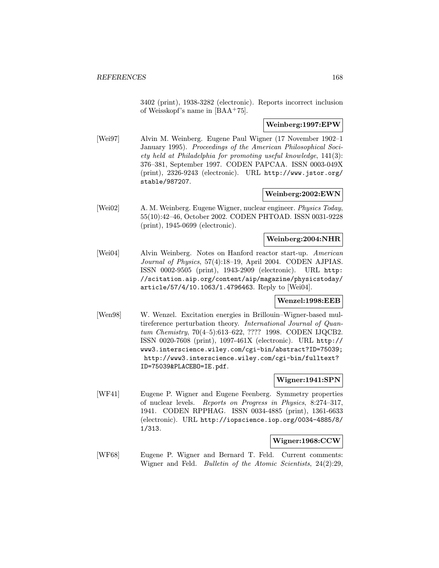3402 (print), 1938-3282 (electronic). Reports incorrect inclusion of Weisskopf's name in [BAA<sup>+</sup>75].

## Weinberg:1997:EPW

[Wei97] Alvin M. Weinberg. Eugene Paul Wigner (17 November 1902–1 January 1995). Proceedings of the American Philosophical Society held at Philadelphia for promoting useful knowledge, 141(3): 376–381, September 1997. CODEN PAPCAA. ISSN 0003-049X (print), 2326-9243 (electronic). URL http://www.jstor.org/ stable/987207.

## Weinberg:2002:EWN

[Wei02] A. M. Weinberg. Eugene Wigner, nuclear engineer. Physics Today, 55(10):42–46, October 2002. CODEN PHTOAD. ISSN 0031-9228 (print), 1945-0699 (electronic).

## Weinberg:2004:NHR

[Wei04] Alvin Weinberg. Notes on Hanford reactor start-up. American Journal of Physics, 57(4):18–19, April 2004. CODEN AJPIAS. ISSN 0002-9505 (print), 1943-2909 (electronic). URL http: //scitation.aip.org/content/aip/magazine/physicstoday/ article/57/4/10.1063/1.4796463. Reply to [Wei04].

#### Wenzel:1998:EEB

[Wen98] W. Wenzel. Excitation energies in Brillouin–Wigner-based multireference perturbation theory. International Journal of Quantum Chemistry, 70(4–5):613–622, ???? 1998. CODEN IJQCB2. ISSN 0020-7608 (print), 1097-461X (electronic). URL http:// www3.interscience.wiley.com/cgi-bin/abstract?ID=75039; http://www3.interscience.wiley.com/cgi-bin/fulltext? ID=75039&PLACEBO=IE.pdf.

## Wigner:1941:SPN

[WF41] Eugene P. Wigner and Eugene Feenberg. Symmetry properties of nuclear levels. Reports on Progress in Physics, 8:274–317, 1941. CODEN RPPHAG. ISSN 0034-4885 (print), 1361-6633 (electronic). URL http://iopscience.iop.org/0034-4885/8/ 1/313.

#### Wigner:1968:CCW

[WF68] Eugene P. Wigner and Bernard T. Feld. Current comments: Wigner and Feld. Bulletin of the Atomic Scientists, 24(2):29,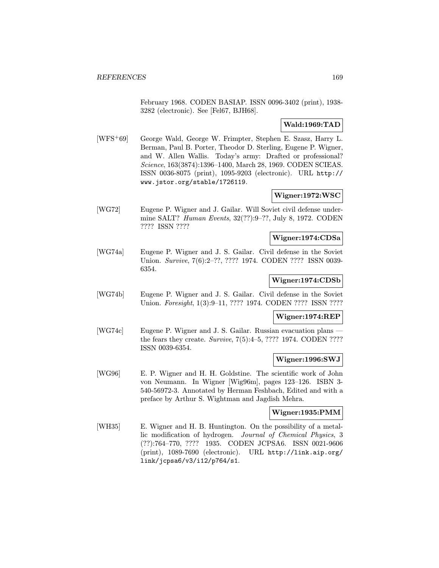February 1968. CODEN BASIAP. ISSN 0096-3402 (print), 1938- 3282 (electronic). See [Fel67, BJH68].

## Wald:1969:TAD

[WFS<sup>+</sup>69] George Wald, George W. Frimpter, Stephen E. Szasz, Harry L. Berman, Paul B. Porter, Theodor D. Sterling, Eugene P. Wigner, and W. Allen Wallis. Today's army: Drafted or professional? Science, 163(3874):1396–1400, March 28, 1969. CODEN SCIEAS. ISSN 0036-8075 (print), 1095-9203 (electronic). URL http:// www.jstor.org/stable/1726119.

## Wigner:1972:WSC

[WG72] Eugene P. Wigner and J. Gailar. Will Soviet civil defense undermine SALT? Human Events, 32(??):9–??, July 8, 1972. CODEN ???? ISSN ????

### Wigner:1974:CDSa

[WG74a] Eugene P. Wigner and J. S. Gailar. Civil defense in the Soviet Union. Survive, 7(6):2–??, ???? 1974. CODEN ???? ISSN 0039- 6354.

### Wigner:1974:CDSb

[WG74b] Eugene P. Wigner and J. S. Gailar. Civil defense in the Soviet Union. *Foresight*, 1(3):9–11, ???? 1974. CODEN ???? ISSN ????

### Wigner:1974:REP

[WG74c] Eugene P. Wigner and J. S. Gailar. Russian evacuation plans the fears they create. Survive, 7(5):4–5, ???? 1974. CODEN ???? ISSN 0039-6354.

### Wigner:1996:SWJ

[WG96] E. P. Wigner and H. H. Goldstine. The scientific work of John von Neumann. In Wigner [Wig96m], pages 123–126. ISBN 3- 540-56972-3. Annotated by Herman Feshbach, Edited and with a preface by Arthur S. Wightman and Jagdish Mehra.

## Wigner:1935:PMM

[WH35] E. Wigner and H. B. Huntington. On the possibility of a metallic modification of hydrogen. Journal of Chemical Physics, 3 (??):764–770, ???? 1935. CODEN JCPSA6. ISSN 0021-9606 (print), 1089-7690 (electronic). URL http://link.aip.org/ link/jcpsa6/v3/i12/p764/s1.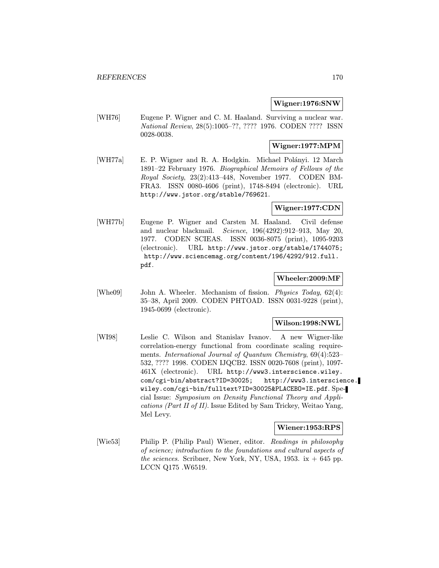#### Wigner:1976:SNW

[WH76] Eugene P. Wigner and C. M. Haaland. Surviving a nuclear war. National Review, 28(5):1005–??, ???? 1976. CODEN ???? ISSN 0028-0038.

# Wigner:1977:MPM

[WH77a] E. P. Wigner and R. A. Hodgkin. Michael Polányi. 12 March 1891–22 February 1976. Biographical Memoirs of Fellows of the Royal Society, 23(2):413–448, November 1977. CODEN BM-FRA3. ISSN 0080-4606 (print), 1748-8494 (electronic). URL http://www.jstor.org/stable/769621.

## Wigner:1977:CDN

[WH77b] Eugene P. Wigner and Carsten M. Haaland. Civil defense and nuclear blackmail. Science, 196(4292):912–913, May 20, 1977. CODEN SCIEAS. ISSN 0036-8075 (print), 1095-9203 (electronic). URL http://www.jstor.org/stable/1744075; http://www.sciencemag.org/content/196/4292/912.full. pdf.

## Wheeler:2009:MF

[Whe09] John A. Wheeler. Mechanism of fission. *Physics Today*, 62(4): 35–38, April 2009. CODEN PHTOAD. ISSN 0031-9228 (print), 1945-0699 (electronic).

## Wilson:1998:NWL

[WI98] Leslie C. Wilson and Stanislav Ivanov. A new Wigner-like correlation-energy functional from coordinate scaling requirements. International Journal of Quantum Chemistry, 69(4):523– 532, ???? 1998. CODEN IJQCB2. ISSN 0020-7608 (print), 1097- 461X (electronic). URL http://www3.interscience.wiley. com/cgi-bin/abstract?ID=30025; http://www3.interscience. wiley.com/cgi-bin/fulltext?ID=30025&PLACEBO=IE.pdf. Special Issue: Symposium on Density Functional Theory and Applications (Part II of II). Issue Edited by Sam Trickey, Weitao Yang, Mel Levy.

### Wiener:1953:RPS

[Wie53] Philip P. (Philip Paul) Wiener, editor. Readings in philosophy of science; introduction to the foundations and cultural aspects of the sciences. Scribner, New York, NY, USA, 1953. ix  $+$  645 pp. LCCN Q175 .W6519.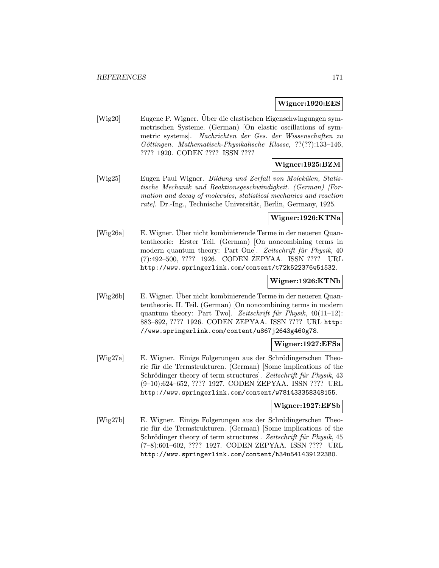#### Wigner:1920:EES

[Wig20] Eugene P. Wigner. Über die elastischen Eigenschwingungen symmetrischen Systeme. (German) [On elastic oscillations of symmetric systems]. Nachrichten der Ges. der Wissenschaften zu Göttingen. Mathematisch-Physikalische Klasse, ??(??):133-146, ???? 1920. CODEN ???? ISSN ????

## Wigner:1925:BZM

[Wig25] Eugen Paul Wigner. Bildung und Zerfall von Molekülen, Statistische Mechanik und Reaktionsgeschwindigkeit. (German) [Formation and decay of molecules, statistical mechanics and reaction  $rate$ . Dr.-Ing., Technische Universität, Berlin, Germany, 1925.

## Wigner:1926:KTNa

[Wig26a] E. Wigner. Über nicht kombinierende Terme in der neueren Quantentheorie: Erster Teil. (German) [On noncombining terms in modern quantum theory: Part One]. Zeitschrift für Physik, 40 (7):492–500, ???? 1926. CODEN ZEPYAA. ISSN ???? URL http://www.springerlink.com/content/t72k522376w51532.

## Wigner:1926:KTNb

[Wig26b] E. Wigner. Uber nicht kombinierende Terme in der neueren Quantentheorie. II. Teil. (German) [On noncombining terms in modern quantum theory: Part Two]. Zeitschrift für Physik,  $40(11-12)$ : 883–892, ???? 1926. CODEN ZEPYAA. ISSN ???? URL http: //www.springerlink.com/content/u867j2643g460g78.

#### Wigner:1927:EFSa

[Wig27a] E. Wigner. Einige Folgerungen aus der Schrödingerschen Theorie für die Termstrukturen. (German) [Some implications of the Schrödinger theory of term structures]. Zeitschrift für Physik, 43 (9–10):624–652, ???? 1927. CODEN ZEPYAA. ISSN ???? URL http://www.springerlink.com/content/w781433358348155.

#### Wigner:1927:EFSb

[Wig27b] E. Wigner. Einige Folgerungen aus der Schrödingerschen Theorie für die Termstrukturen. (German) [Some implications of the Schrödinger theory of term structures]. Zeitschrift für Physik, 45 (7–8):601–602, ???? 1927. CODEN ZEPYAA. ISSN ???? URL http://www.springerlink.com/content/h34u54l439122380.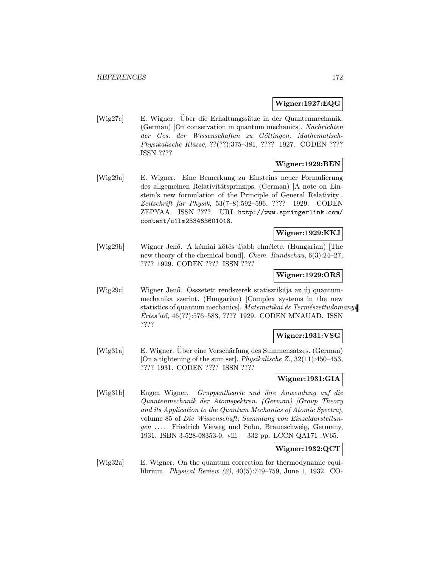### Wigner:1927:EQG

[Wig27c] E. Wigner. Uber die Erhaltungssätze in der Quantenmechanik. (German) [On conservation in quantum mechanics]. Nachrichten der Ges. der Wissenschaften zu Göttingen. Mathematisch-Physikalische Klasse, ??(??):375–381, ???? 1927. CODEN ???? ISSN ????

## Wigner:1929:BEN

[Wig29a] E. Wigner. Eine Bemerkung zu Einsteins neuer Formulierung des allgemeinen Relativitätsprinzips. (German) [A note on Einstein's new formulation of the Principle of General Relativity]. Zeitschrift für Physik, 53(7–8):592–596, ???? 1929. CODEN ZEPYAA. ISSN ???? URL http://www.springerlink.com/ content/u1lm233463601018.

# Wigner:1929:KKJ

[Wig29b] Wigner Jenő. A kémiai kötés újabb elmélete. (Hungarian) [The new theory of the chemical bond]. Chem. Rundschau, 6(3):24–27, ???? 1929. CODEN ???? ISSN ????

## Wigner:1929:ORS

[Wig29c] Wigner Jenő. Osszetett rendszerek statisztikája az új quantummechanika szerint. (Hungarian) [Complex systems in the new statistics of quantum mechanics]. Matematikai és Természettudomanyi  $E$ rtes'itő, 46(??):576–583, ???? 1929. CODEN MNAUAD. ISSN ????

# Wigner:1931:VSG

[Wig31a] E. Wigner. Über eine Verschärfung des Summensatzes. (German) [On a tightening of the sum set]. Physikalische Z., 32(11):450–453, ???? 1931. CODEN ???? ISSN ????

# Wigner:1931:GIA

[Wig31b] Eugen Wigner. Gruppentheorie und ihre Anwendung auf die Quantenmechanik der Atomspektren. (German) [Group Theory and its Application to the Quantum Mechanics of Atomic Spectra], volume 85 of Die Wissenschaft; Sammlung von Einzeldarstellungen ... . Friedrich Vieweg und Sohn, Braunschweig, Germany, 1931. ISBN 3-528-08353-0. viii + 332 pp. LCCN QA171 .W65.

# Wigner:1932:QCT

[Wig32a] E. Wigner. On the quantum correction for thermodynamic equilibrium. Physical Review (2), 40(5):749–759, June 1, 1932. CO-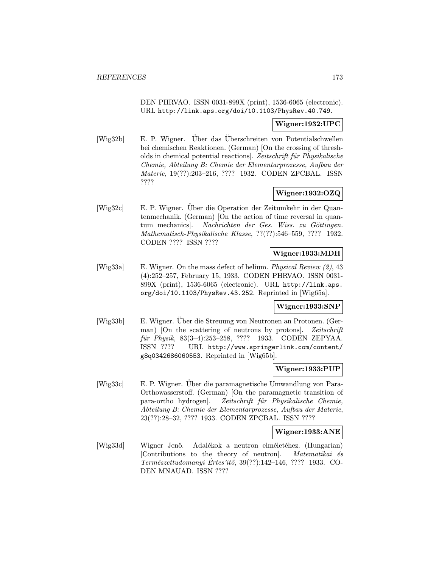DEN PHRVAO. ISSN 0031-899X (print), 1536-6065 (electronic). URL http://link.aps.org/doi/10.1103/PhysRev.40.749.

### Wigner:1932:UPC

[Wig32b] E. P. Wigner. Uber das Uberschreiten von Potentialschwellen bei chemischen Reaktionen. (German) [On the crossing of thresholds in chemical potential reactions]. Zeitschrift für Physikalische Chemie, Abteilung B: Chemie der Elementarprozesse, Aufbau der Materie, 19(??):203–216, ???? 1932. CODEN ZPCBAL. ISSN ????

# Wigner:1932:OZQ

[Wig32c] E. P. Wigner. Über die Operation der Zeitumkehr in der Quantenmechanik. (German) [On the action of time reversal in quantum mechanics]. Nachrichten der Ges. Wiss. zu Göttingen. Mathematisch-Physikalische Klasse, ??(??):546–559, ???? 1932. CODEN ???? ISSN ????

### Wigner:1933:MDH

[Wig33a] E. Wigner. On the mass defect of helium. Physical Review (2), 43 (4):252–257, February 15, 1933. CODEN PHRVAO. ISSN 0031- 899X (print), 1536-6065 (electronic). URL http://link.aps. org/doi/10.1103/PhysRev.43.252. Reprinted in [Wig65a].

## Wigner:1933:SNP

[Wig33b] E. Wigner. Uber die Streuung von Neutronen an Protonen. (German) [On the scattering of neutrons by protons]. Zeitschrift für Physik, 83(3-4):253-258, ???? 1933. CODEN ZEPYAA. ISSN ???? URL http://www.springerlink.com/content/ g8q0342686060553. Reprinted in [Wig65b].

### Wigner:1933:PUP

[Wig33c] E. P. Wigner. Uber die paramagnetische Umwandlung von Para- ¨ Orthowasserstoff. (German) [On the paramagnetic transition of para-ortho hydrogen]. Zeitschrift für Physikalische Chemie, Abteilung B: Chemie der Elementarprozesse, Aufbau der Materie, 23(??):28–32, ???? 1933. CODEN ZPCBAL. ISSN ????

### Wigner:1933:ANE

[Wig33d] Wigner Jenő. Adalékok a neutron elméletéhez. (Hungarian) [Contributions to the theory of neutron]. Matematikai és Természettudomanyi Értes'itő, 39(??):142–146, ???? 1933. CO-DEN MNAUAD. ISSN ????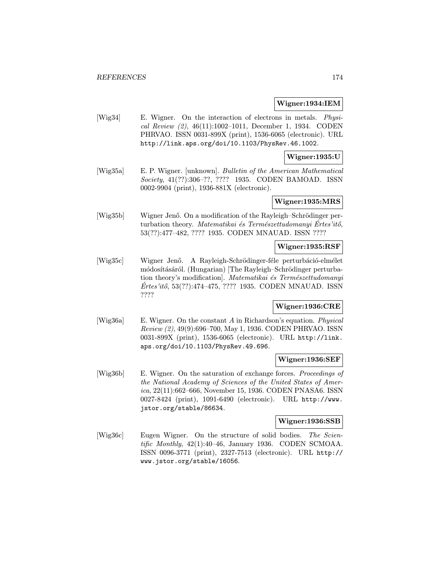#### Wigner:1934:IEM

[Wig34] E. Wigner. On the interaction of electrons in metals. Physical Review (2), 46(11):1002–1011, December 1, 1934. CODEN PHRVAO. ISSN 0031-899X (print), 1536-6065 (electronic). URL http://link.aps.org/doi/10.1103/PhysRev.46.1002.

#### Wigner:1935:U

[Wig35a] E. P. Wigner. [unknown]. Bulletin of the American Mathematical Society, 41(??):306–??, ???? 1935. CODEN BAMOAD. ISSN 0002-9904 (print), 1936-881X (electronic).

## Wigner:1935:MRS

[Wig35b] Wigner Jenő. On a modification of the Rayleigh–Schrödinger perturbation theory. Matematikai és Természettudomanyi Értes'itő, 53(??):477–482, ???? 1935. CODEN MNAUAD. ISSN ????

## Wigner:1935:RSF

[Wig35c] Wigner Jenő. A Rayleigh-Schrödinger-féle perturbáció-elmélet módosításáról. (Hungarian) [The Rayleigh–Schrödinger perturbation theory's modification. Matematikai és Természettudomanyi  $E$ rtes'itő, 53 $(??)$ :474–475, ???? 1935. CODEN MNAUAD. ISSN ????

#### Wigner:1936:CRE

[Wig36a] E. Wigner. On the constant A in Richardson's equation. Physical Review (2), 49(9):696–700, May 1, 1936. CODEN PHRVAO. ISSN 0031-899X (print), 1536-6065 (electronic). URL http://link. aps.org/doi/10.1103/PhysRev.49.696.

#### Wigner:1936:SEF

[Wig36b] E. Wigner. On the saturation of exchange forces. Proceedings of the National Academy of Sciences of the United States of America, 22(11):662–666, November 15, 1936. CODEN PNASA6. ISSN 0027-8424 (print), 1091-6490 (electronic). URL http://www. jstor.org/stable/86634.

#### Wigner:1936:SSB

[Wig36c] Eugen Wigner. On the structure of solid bodies. The Scientific Monthly, 42(1):40–46, January 1936. CODEN SCMOAA. ISSN 0096-3771 (print), 2327-7513 (electronic). URL http:// www.jstor.org/stable/16056.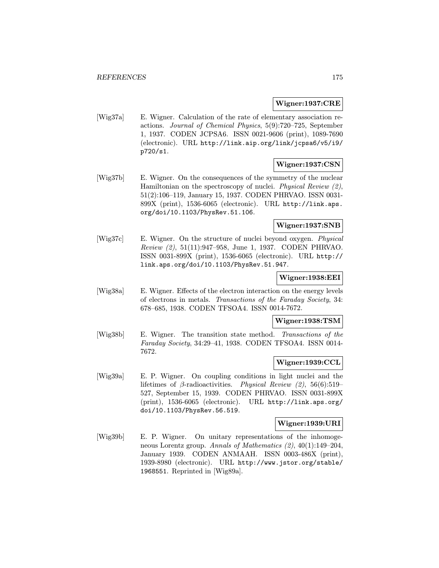#### Wigner:1937:CRE

[Wig37a] E. Wigner. Calculation of the rate of elementary association reactions. Journal of Chemical Physics, 5(9):720–725, September 1, 1937. CODEN JCPSA6. ISSN 0021-9606 (print), 1089-7690 (electronic). URL http://link.aip.org/link/jcpsa6/v5/i9/ p720/s1.

## Wigner:1937:CSN

[Wig37b] E. Wigner. On the consequences of the symmetry of the nuclear Hamiltonian on the spectroscopy of nuclei. Physical Review (2), 51(2):106–119, January 15, 1937. CODEN PHRVAO. ISSN 0031- 899X (print), 1536-6065 (electronic). URL http://link.aps. org/doi/10.1103/PhysRev.51.106.

## Wigner:1937:SNB

[Wig37c] E. Wigner. On the structure of nuclei beyond oxygen. Physical Review (2), 51(11):947–958, June 1, 1937. CODEN PHRVAO. ISSN 0031-899X (print), 1536-6065 (electronic). URL http:// link.aps.org/doi/10.1103/PhysRev.51.947.

## Wigner:1938:EEI

[Wig38a] E. Wigner. Effects of the electron interaction on the energy levels of electrons in metals. Transactions of the Faraday Society, 34: 678–685, 1938. CODEN TFSOA4. ISSN 0014-7672.

## Wigner:1938:TSM

[Wig38b] E. Wigner. The transition state method. Transactions of the Faraday Society, 34:29–41, 1938. CODEN TFSOA4. ISSN 0014- 7672.

#### Wigner:1939:CCL

[Wig39a] E. P. Wigner. On coupling conditions in light nuclei and the lifetimes of  $\beta$ -radioactivities. Physical Review (2), 56(6):519– 527, September 15, 1939. CODEN PHRVAO. ISSN 0031-899X (print), 1536-6065 (electronic). URL http://link.aps.org/ doi/10.1103/PhysRev.56.519.

#### Wigner:1939:URI

[Wig39b] E. P. Wigner. On unitary representations of the inhomogeneous Lorentz group. Annals of Mathematics (2), 40(1):149–204, January 1939. CODEN ANMAAH. ISSN 0003-486X (print), 1939-8980 (electronic). URL http://www.jstor.org/stable/ 1968551. Reprinted in [Wig89a].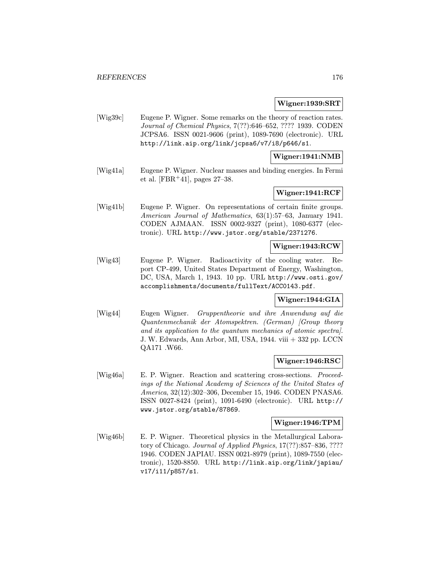#### Wigner:1939:SRT

[Wig39c] Eugene P. Wigner. Some remarks on the theory of reaction rates. Journal of Chemical Physics, 7(??):646–652, ???? 1939. CODEN JCPSA6. ISSN 0021-9606 (print), 1089-7690 (electronic). URL http://link.aip.org/link/jcpsa6/v7/i8/p646/s1.

### Wigner:1941:NMB

[Wig41a] Eugene P. Wigner. Nuclear masses and binding energies. In Fermi et al. [FBR+41], pages  $27-38$ .

## Wigner:1941:RCF

[Wig41b] Eugene P. Wigner. On representations of certain finite groups. American Journal of Mathematics, 63(1):57–63, January 1941. CODEN AJMAAN. ISSN 0002-9327 (print), 1080-6377 (electronic). URL http://www.jstor.org/stable/2371276.

#### Wigner:1943:RCW

[Wig43] Eugene P. Wigner. Radioactivity of the cooling water. Report CP-499, United States Department of Energy, Washington, DC, USA, March 1, 1943. 10 pp. URL http://www.osti.gov/ accomplishments/documents/fullText/ACC0143.pdf.

## Wigner:1944:GIA

[Wig44] Eugen Wigner. Gruppentheorie und ihre Anwendung auf die Quantenmechanik der Atomspektren. (German) [Group theory and its application to the quantum mechanics of atomic spectra]. J. W. Edwards, Ann Arbor, MI, USA, 1944. viii + 332 pp. LCCN QA171 .W66.

#### Wigner:1946:RSC

[Wig46a] E. P. Wigner. Reaction and scattering cross-sections. Proceedings of the National Academy of Sciences of the United States of America, 32(12):302–306, December 15, 1946. CODEN PNASA6. ISSN 0027-8424 (print), 1091-6490 (electronic). URL http:// www.jstor.org/stable/87869.

#### Wigner:1946:TPM

[Wig46b] E. P. Wigner. Theoretical physics in the Metallurgical Laboratory of Chicago. Journal of Applied Physics, 17(??):857–836, ???? 1946. CODEN JAPIAU. ISSN 0021-8979 (print), 1089-7550 (electronic), 1520-8850. URL http://link.aip.org/link/japiau/ v17/i11/p857/s1.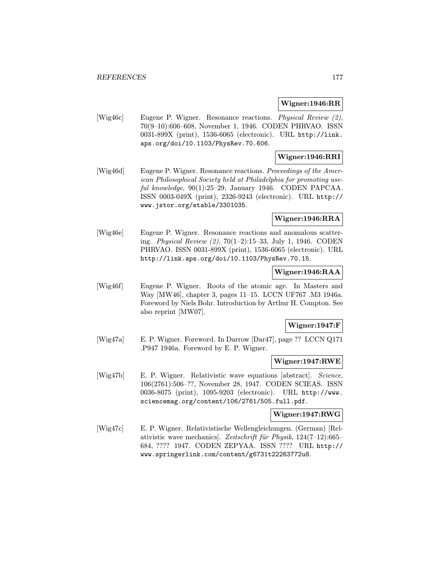#### Wigner:1946:RR

[Wig46c] Eugene P. Wigner. Resonance reactions. Physical Review (2), 70(9–10):606–608, November 1, 1946. CODEN PHRVAO. ISSN 0031-899X (print), 1536-6065 (electronic). URL http://link. aps.org/doi/10.1103/PhysRev.70.606.

## Wigner:1946:RRI

[Wig46d] Eugene P. Wigner. Resonance reactions. Proceedings of the American Philosophical Society held at Philadelphia for promoting useful knowledge, 90(1):25-29, January 1946. CODEN PAPCAA. ISSN 0003-049X (print), 2326-9243 (electronic). URL http:// www.jstor.org/stable/3301035.

## Wigner:1946:RRA

[Wig46e] Eugene P. Wigner. Resonance reactions and anomalous scattering. Physical Review (2), 70(1–2):15–33, July 1, 1946. CODEN PHRVAO. ISSN 0031-899X (print), 1536-6065 (electronic). URL http://link.aps.org/doi/10.1103/PhysRev.70.15.

## Wigner:1946:RAA

[Wig46f] Eugene P. Wigner. Roots of the atomic age. In Masters and Way [MW46], chapter 3, pages 11–15. LCCN UF767 .M3 1946a. Foreword by Niels Bohr. Introduction by Arthur H. Compton. See also reprint [MW07].

## Wigner:1947:F

[Wig47a] E. P. Wigner. Foreword. In Darrow [Dar47], page ?? LCCN Q171 .P947 1946a. Foreword by E. P. Wigner.

### Wigner:1947:RWE

[Wig47b] E. P. Wigner. Relativistic wave equations [abstract]. Science, 106(2761):506–??, November 28, 1947. CODEN SCIEAS. ISSN 0036-8075 (print), 1095-9203 (electronic). URL http://www. sciencemag.org/content/106/2761/505.full.pdf.

## Wigner:1947:RWG

[Wig47c] E. P. Wigner. Relativistische Wellengleichungen. (German) [Relativistic wave mechanics]. Zeitschrift für Physik,  $124(7-12):665-$ 684, ???? 1947. CODEN ZEPYAA. ISSN ???? URL http:// www.springerlink.com/content/g6731t22263772u8.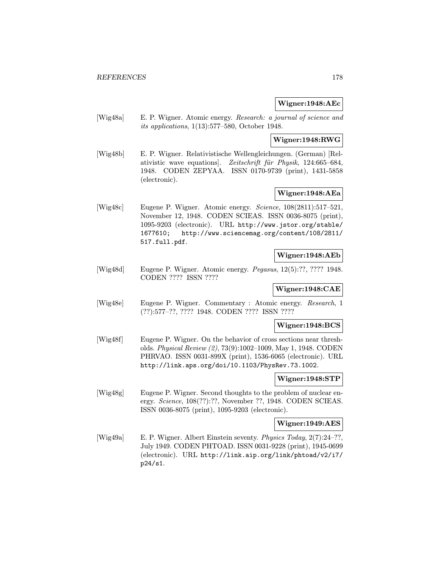### Wigner:1948:AEc

[Wig48a] E. P. Wigner. Atomic energy. Research: a journal of science and its applications, 1(13):577–580, October 1948.

### Wigner:1948:RWG

[Wig48b] E. P. Wigner. Relativistische Wellengleichungen. (German) [Relativistic wave equations. Zeitschrift für Physik, 124:665–684, 1948. CODEN ZEPYAA. ISSN 0170-9739 (print), 1431-5858 (electronic).

## Wigner:1948:AEa

[Wig48c] Eugene P. Wigner. Atomic energy. Science, 108(2811):517–521, November 12, 1948. CODEN SCIEAS. ISSN 0036-8075 (print), 1095-9203 (electronic). URL http://www.jstor.org/stable/ 1677610; http://www.sciencemag.org/content/108/2811/ 517.full.pdf.

## Wigner:1948:AEb

[Wig48d] Eugene P. Wigner. Atomic energy. Pegasus, 12(5):??, ???? 1948. CODEN ???? ISSN ????

## Wigner:1948:CAE

[Wig48e] Eugene P. Wigner. Commentary : Atomic energy. Research, 1 (??):577–??, ???? 1948. CODEN ???? ISSN ????

### Wigner:1948:BCS

[Wig48f] Eugene P. Wigner. On the behavior of cross sections near thresholds. Physical Review (2), 73(9):1002–1009, May 1, 1948. CODEN PHRVAO. ISSN 0031-899X (print), 1536-6065 (electronic). URL http://link.aps.org/doi/10.1103/PhysRev.73.1002.

## Wigner:1948:STP

[Wig48g] Eugene P. Wigner. Second thoughts to the problem of nuclear energy. Science, 108(??):??, November ??, 1948. CODEN SCIEAS. ISSN 0036-8075 (print), 1095-9203 (electronic).

#### Wigner:1949:AES

[Wig49a] E. P. Wigner. Albert Einstein seventy. Physics Today, 2(7):24–??, July 1949. CODEN PHTOAD. ISSN 0031-9228 (print), 1945-0699 (electronic). URL http://link.aip.org/link/phtoad/v2/i7/ p24/s1.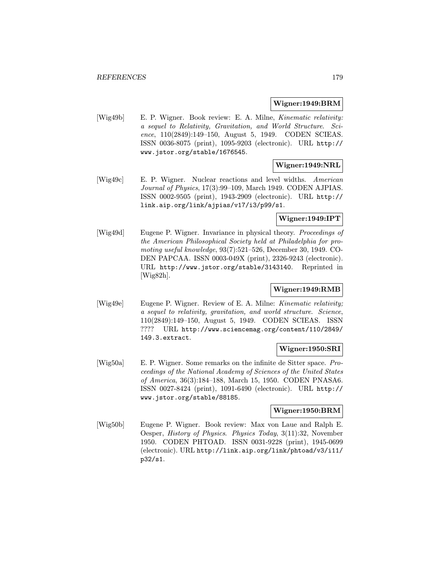#### Wigner:1949:BRM

[Wig49b] E. P. Wigner. Book review: E. A. Milne, Kinematic relativity: a sequel to Relativity, Gravitation, and World Structure. Science, 110(2849):149–150, August 5, 1949. CODEN SCIEAS. ISSN 0036-8075 (print), 1095-9203 (electronic). URL http:// www.jstor.org/stable/1676545.

# Wigner:1949:NRL

[Wig49c] E. P. Wigner. Nuclear reactions and level widths. American Journal of Physics, 17(3):99–109, March 1949. CODEN AJPIAS. ISSN 0002-9505 (print), 1943-2909 (electronic). URL http:// link.aip.org/link/ajpias/v17/i3/p99/s1.

# Wigner:1949:IPT

[Wig49d] Eugene P. Wigner. Invariance in physical theory. Proceedings of the American Philosophical Society held at Philadelphia for promoting useful knowledge, 93(7):521–526, December 30, 1949. CO-DEN PAPCAA. ISSN 0003-049X (print), 2326-9243 (electronic). URL http://www.jstor.org/stable/3143140. Reprinted in [Wig82h].

## Wigner:1949:RMB

[Wig49e] Eugene P. Wigner. Review of E. A. Milne: *Kinematic relativity*; a sequel to relativity, gravitation, and world structure. Science, 110(2849):149–150, August 5, 1949. CODEN SCIEAS. ISSN ???? URL http://www.sciencemag.org/content/110/2849/ 149.3.extract.

## Wigner:1950:SRI

[Wig50a] E. P. Wigner. Some remarks on the infinite de Sitter space. Proceedings of the National Academy of Sciences of the United States of America, 36(3):184–188, March 15, 1950. CODEN PNASA6. ISSN 0027-8424 (print), 1091-6490 (electronic). URL http:// www.jstor.org/stable/88185.

## Wigner:1950:BRM

[Wig50b] Eugene P. Wigner. Book review: Max von Laue and Ralph E. Oesper, History of Physics. Physics Today, 3(11):32, November 1950. CODEN PHTOAD. ISSN 0031-9228 (print), 1945-0699 (electronic). URL http://link.aip.org/link/phtoad/v3/i11/ p32/s1.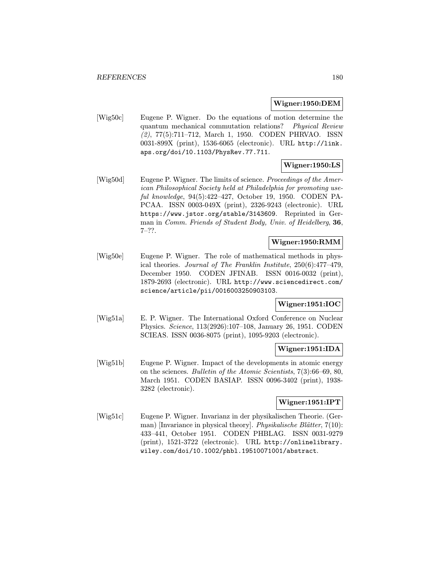#### Wigner:1950:DEM

[Wig50c] Eugene P. Wigner. Do the equations of motion determine the quantum mechanical commutation relations? Physical Review (2), 77(5):711–712, March 1, 1950. CODEN PHRVAO. ISSN 0031-899X (print), 1536-6065 (electronic). URL http://link. aps.org/doi/10.1103/PhysRev.77.711.

# Wigner:1950:LS

[Wig50d] Eugene P. Wigner. The limits of science. *Proceedings of the Amer*ican Philosophical Society held at Philadelphia for promoting useful knowledge, 94(5):422–427, October 19, 1950. CODEN PA-PCAA. ISSN 0003-049X (print), 2326-9243 (electronic). URL https://www.jstor.org/stable/3143609. Reprinted in German in Comm. Friends of Student Body, Univ. of Heidelberg, 36,  $7-??$ .

## Wigner:1950:RMM

[Wig50e] Eugene P. Wigner. The role of mathematical methods in physical theories. Journal of The Franklin Institute, 250(6):477–479, December 1950. CODEN JFINAB. ISSN 0016-0032 (print), 1879-2693 (electronic). URL http://www.sciencedirect.com/ science/article/pii/0016003250903103.

### Wigner:1951:IOC

[Wig51a] E. P. Wigner. The International Oxford Conference on Nuclear Physics. Science, 113(2926):107–108, January 26, 1951. CODEN SCIEAS. ISSN 0036-8075 (print), 1095-9203 (electronic).

## Wigner:1951:IDA

[Wig51b] Eugene P. Wigner. Impact of the developments in atomic energy on the sciences. Bulletin of the Atomic Scientists, 7(3):66–69, 80, March 1951. CODEN BASIAP. ISSN 0096-3402 (print), 1938- 3282 (electronic).

# Wigner:1951:IPT

[Wig51c] Eugene P. Wigner. Invarianz in der physikalischen Theorie. (German) [Invariance in physical theory]. Physikalische Blätter,  $7(10)$ : 433–441, October 1951. CODEN PHBLAG. ISSN 0031-9279 (print), 1521-3722 (electronic). URL http://onlinelibrary. wiley.com/doi/10.1002/phbl.19510071001/abstract.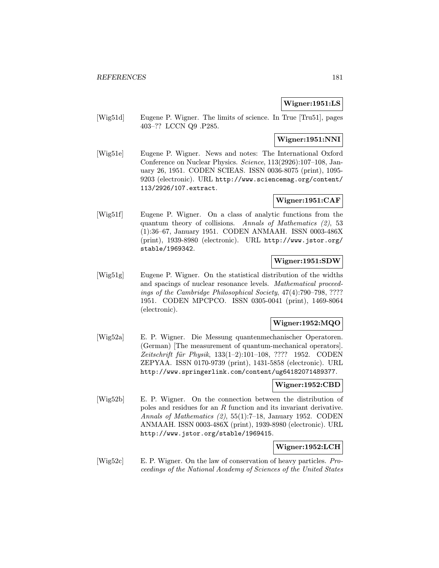# Wigner:1951:LS

[Wig51d] Eugene P. Wigner. The limits of science. In True [Tru51], pages 403–?? LCCN Q9 .P285.

## Wigner:1951:NNI

[Wig51e] Eugene P. Wigner. News and notes: The International Oxford Conference on Nuclear Physics. Science, 113(2926):107–108, January 26, 1951. CODEN SCIEAS. ISSN 0036-8075 (print), 1095- 9203 (electronic). URL http://www.sciencemag.org/content/ 113/2926/107.extract.

## Wigner:1951:CAF

[Wig51f] Eugene P. Wigner. On a class of analytic functions from the quantum theory of collisions. Annals of Mathematics (2), 53 (1):36–67, January 1951. CODEN ANMAAH. ISSN 0003-486X (print), 1939-8980 (electronic). URL http://www.jstor.org/ stable/1969342.

## Wigner:1951:SDW

[Wig51g] Eugene P. Wigner. On the statistical distribution of the widths and spacings of nuclear resonance levels. Mathematical proceedings of the Cambridge Philosophical Society, 47(4):790–798, ???? 1951. CODEN MPCPCO. ISSN 0305-0041 (print), 1469-8064 (electronic).

# Wigner:1952:MQO

[Wig52a] E. P. Wigner. Die Messung quantenmechanischer Operatoren. (German) [The measurement of quantum-mechanical operators]. Zeitschrift für Physik, 133(1-2):101-108, ???? 1952. CODEN ZEPYAA. ISSN 0170-9739 (print), 1431-5858 (electronic). URL http://www.springerlink.com/content/ug64182071489377.

#### Wigner:1952:CBD

[Wig52b] E. P. Wigner. On the connection between the distribution of poles and residues for an R function and its invariant derivative. Annals of Mathematics (2), 55(1):7–18, January 1952. CODEN ANMAAH. ISSN 0003-486X (print), 1939-8980 (electronic). URL http://www.jstor.org/stable/1969415.

#### Wigner:1952:LCH

[Wig52c] E. P. Wigner. On the law of conservation of heavy particles. Proceedings of the National Academy of Sciences of the United States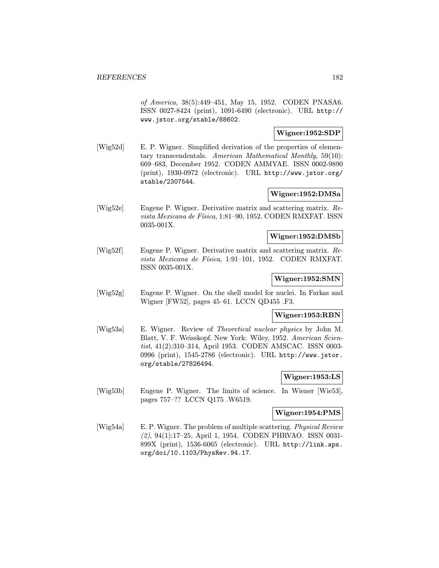of America, 38(5):449–451, May 15, 1952. CODEN PNASA6. ISSN 0027-8424 (print), 1091-6490 (electronic). URL http:// www.jstor.org/stable/88602.

## Wigner:1952:SDP

[Wig52d] E. P. Wigner. Simplified derivation of the properties of elementary transcendentals. American Mathematical Monthly, 59(10): 669–683, December 1952. CODEN AMMYAE. ISSN 0002-9890 (print), 1930-0972 (electronic). URL http://www.jstor.org/ stable/2307544.

## Wigner:1952:DMSa

[Wig52e] Eugene P. Wigner. Derivative matrix and scattering matrix. Revista Mexicana de Física, 1:81-90, 1952. CODEN RMXFAT. ISSN 0035-001X.

#### Wigner:1952:DMSb

[Wig52f] Eugene P. Wigner. Derivative matrix and scattering matrix. Revista Mexicana de Física, 1:91-101, 1952. CODEN RMXFAT. ISSN 0035-001X.

#### Wigner:1952:SMN

[Wig52g] Eugene P. Wigner. On the shell model for nuclei. In Farkas and Wigner [FW52], pages 45–61. LCCN QD455 .F3.

#### Wigner:1953:RBN

[Wig53a] E. Wigner. Review of Theoretical nuclear physics by John M. Blatt, V. F. Weisskopf. New York: Wiley, 1952. American Scientist, 41(2):310–314, April 1953. CODEN AMSCAC. ISSN 0003- 0996 (print), 1545-2786 (electronic). URL http://www.jstor. org/stable/27826494.

#### Wigner:1953:LS

[Wig53b] Eugene P. Wigner. The limits of science. In Wiener [Wie53], pages 757–?? LCCN Q175 .W6519.

## Wigner:1954:PMS

[Wig54a] E. P. Wigner. The problem of multiple scattering. Physical Review (2), 94(1):17–25, April 1, 1954. CODEN PHRVAO. ISSN 0031- 899X (print), 1536-6065 (electronic). URL http://link.aps. org/doi/10.1103/PhysRev.94.17.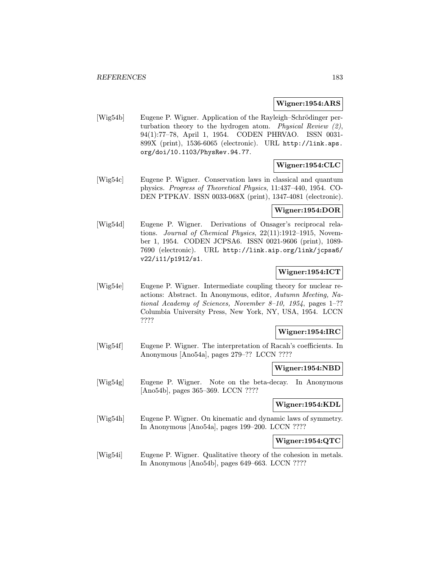#### Wigner:1954:ARS

[Wig54b] Eugene P. Wigner. Application of the Rayleigh–Schrödinger perturbation theory to the hydrogen atom. Physical Review (2), 94(1):77–78, April 1, 1954. CODEN PHRVAO. ISSN 0031- 899X (print), 1536-6065 (electronic). URL http://link.aps. org/doi/10.1103/PhysRev.94.77.

## Wigner:1954:CLC

[Wig54c] Eugene P. Wigner. Conservation laws in classical and quantum physics. Progress of Theoretical Physics, 11:437–440, 1954. CO-DEN PTPKAV. ISSN 0033-068X (print), 1347-4081 (electronic).

#### Wigner:1954:DOR

[Wig54d] Eugene P. Wigner. Derivations of Onsager's reciprocal relations. Journal of Chemical Physics, 22(11):1912–1915, November 1, 1954. CODEN JCPSA6. ISSN 0021-9606 (print), 1089- 7690 (electronic). URL http://link.aip.org/link/jcpsa6/ v22/i11/p1912/s1.

## Wigner:1954:ICT

[Wig54e] Eugene P. Wigner. Intermediate coupling theory for nuclear reactions: Abstract. In Anonymous, editor, Autumn Meeting, National Academy of Sciences, November 8–10, 1954, pages 1–?? Columbia University Press, New York, NY, USA, 1954. LCCN ????

## Wigner:1954:IRC

[Wig54f] Eugene P. Wigner. The interpretation of Racah's coefficients. In Anonymous [Ano54a], pages 279–?? LCCN ????

Wigner:1954:NBD

[Wig54g] Eugene P. Wigner. Note on the beta-decay. In Anonymous [Ano54b], pages 365–369. LCCN ????

## Wigner:1954:KDL

[Wig54h] Eugene P. Wigner. On kinematic and dynamic laws of symmetry. In Anonymous [Ano54a], pages 199–200. LCCN ????

Wigner:1954:QTC

[Wig54i] Eugene P. Wigner. Qualitative theory of the cohesion in metals. In Anonymous [Ano54b], pages 649–663. LCCN ????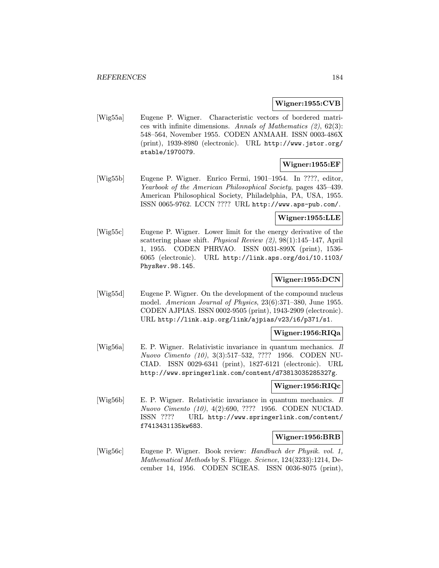#### Wigner:1955:CVB

[Wig55a] Eugene P. Wigner. Characteristic vectors of bordered matrices with infinite dimensions. Annals of Mathematics  $(2)$ , 62 $(3)$ : 548–564, November 1955. CODEN ANMAAH. ISSN 0003-486X (print), 1939-8980 (electronic). URL http://www.jstor.org/ stable/1970079.

## Wigner:1955:EF

[Wig55b] Eugene P. Wigner. Enrico Fermi, 1901–1954. In ????, editor, Yearbook of the American Philosophical Society, pages 435–439. American Philosophical Society, Philadelphia, PA, USA, 1955. ISSN 0065-9762. LCCN ???? URL http://www.aps-pub.com/.

#### Wigner:1955:LLE

[Wig55c] Eugene P. Wigner. Lower limit for the energy derivative of the scattering phase shift. Physical Review (2), 98(1):145–147, April 1, 1955. CODEN PHRVAO. ISSN 0031-899X (print), 1536- 6065 (electronic). URL http://link.aps.org/doi/10.1103/ PhysRev.98.145.

# Wigner:1955:DCN

[Wig55d] Eugene P. Wigner. On the development of the compound nucleus model. American Journal of Physics, 23(6):371–380, June 1955. CODEN AJPIAS. ISSN 0002-9505 (print), 1943-2909 (electronic). URL http://link.aip.org/link/ajpias/v23/i6/p371/s1.

#### Wigner:1956:RIQa

[Wig56a] E. P. Wigner. Relativistic invariance in quantum mechanics. Il Nuovo Cimento (10), 3(3):517–532, ???? 1956. CODEN NU-CIAD. ISSN 0029-6341 (print), 1827-6121 (electronic). URL http://www.springerlink.com/content/d738l3035285327g.

#### Wigner:1956:RIQc

[Wig56b] E. P. Wigner. Relativistic invariance in quantum mechanics. Il Nuovo Cimento (10), 4(2):690, ???? 1956. CODEN NUCIAD. ISSN ???? URL http://www.springerlink.com/content/ f7413431135kw683.

#### Wigner:1956:BRB

[Wig56c] Eugene P. Wigner. Book review: Handbuch der Physik. vol. 1, Mathematical Methods by S. Flügge. Science, 124(3233):1214, December 14, 1956. CODEN SCIEAS. ISSN 0036-8075 (print),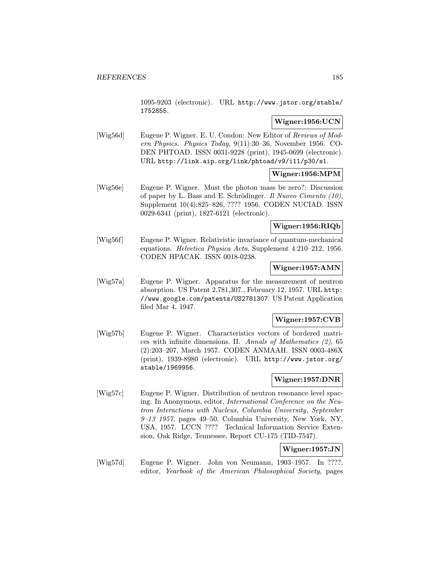1095-9203 (electronic). URL http://www.jstor.org/stable/ 1752855.

# Wigner:1956:UCN

[Wig56d] Eugene P. Wigner. E. U. Condon: New Editor of Reviews of Modern Physics. Physics Today, 9(11):30–36, November 1956. CO-DEN PHTOAD. ISSN 0031-9228 (print), 1945-0699 (electronic). URL http://link.aip.org/link/phtoad/v9/i11/p30/s1.

## Wigner:1956:MPM

[Wig56e] Eugene P. Wigner. Must the photon mass be zero?: Discussion of paper by L. Bass and E. Schrödinger. Il Nuovo Cimento  $(10)$ , Supplement 10(4):825–826, ???? 1956. CODEN NUCIAD. ISSN 0029-6341 (print), 1827-6121 (electronic).

## Wigner:1956:RIQb

[Wig56f] Eugene P. Wigner. Relativistic invariance of quantum-mechanical equations. Helvetica Physica Acta, Supplement 4:210–212, 1956. CODEN HPACAK. ISSN 0018-0238.

#### Wigner:1957:AMN

[Wig57a] Eugene P. Wigner. Apparatus for the measurement of neutron absorption. US Patent 2,781,307., February 12, 1957. URL http: //www.google.com/patents/US2781307. US Patent Application filed Mar 4, 1947.

## Wigner:1957:CVB

[Wig57b] Eugene P. Wigner. Characteristics vectors of bordered matrices with infinite dimensions. II. Annals of Mathematics (2), 65 (2):203–207, March 1957. CODEN ANMAAH. ISSN 0003-486X (print), 1939-8980 (electronic). URL http://www.jstor.org/ stable/1969956.

# Wigner:1957:DNR

[Wig57c] Eugene P. Wigner. Distribution of neutron resonance level spacing. In Anonymous, editor, International Conference on the Neutron Interactions with Nucleus, Columbia University, September  $9-13$  1957, pages 49–50. Columbia University, New York, NY, USA, 1957. LCCN ???? Technical Information Service Extension, Oak Ridge, Tennessee, Report CU-175 (TID-7547).

# Wigner:1957:JN

[Wig57d] Eugene P. Wigner. John von Neumann, 1903–1957. In ????, editor, Yearbook of the American Philosophical Society, pages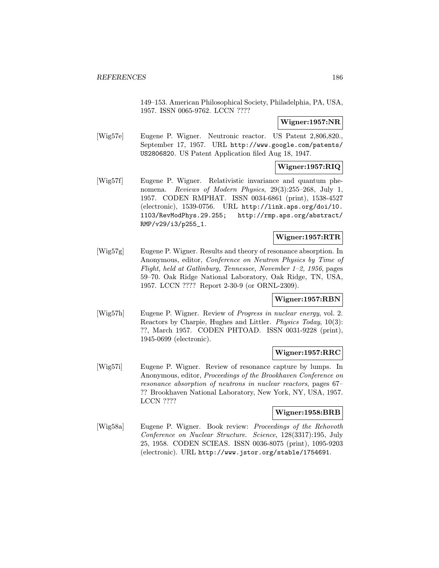149–153. American Philosophical Society, Philadelphia, PA, USA, 1957. ISSN 0065-9762. LCCN ????

# Wigner:1957:NR

[Wig57e] Eugene P. Wigner. Neutronic reactor. US Patent 2,806,820., September 17, 1957. URL http://www.google.com/patents/ US2806820. US Patent Application filed Aug 18, 1947.

# Wigner:1957:RIQ

[Wig57f] Eugene P. Wigner. Relativistic invariance and quantum phenomena. Reviews of Modern Physics, 29(3):255–268, July 1, 1957. CODEN RMPHAT. ISSN 0034-6861 (print), 1538-4527 (electronic), 1539-0756. URL http://link.aps.org/doi/10. 1103/RevModPhys.29.255; http://rmp.aps.org/abstract/ RMP/v29/i3/p255\_1.

# Wigner:1957:RTR

[Wig57g] Eugene P. Wigner. Results and theory of resonance absorption. In Anonymous, editor, Conference on Neutron Physics by Time of Flight, held at Gatlinburg, Tennessee, November 1–2, 1956, pages 59–70. Oak Ridge National Laboratory, Oak Ridge, TN, USA, 1957. LCCN ???? Report 2-30-9 (or ORNL-2309).

# Wigner:1957:RBN

[Wig57h] Eugene P. Wigner. Review of Progress in nuclear energy, vol. 2. Reactors by Charpie, Hughes and Littler. Physics Today, 10(3): ??, March 1957. CODEN PHTOAD. ISSN 0031-9228 (print), 1945-0699 (electronic).

#### Wigner:1957:RRC

[Wig57i] Eugene P. Wigner. Review of resonance capture by lumps. In Anonymous, editor, Proceedings of the Brookhaven Conference on resonance absorption of neutrons in nuclear reactors, pages 67– ?? Brookhaven National Laboratory, New York, NY, USA, 1957. LCCN ????

## Wigner:1958:BRB

[Wig58a] Eugene P. Wigner. Book review: Proceedings of the Rehovoth Conference on Nuclear Structure. Science, 128(3317):195, July 25, 1958. CODEN SCIEAS. ISSN 0036-8075 (print), 1095-9203 (electronic). URL http://www.jstor.org/stable/1754691.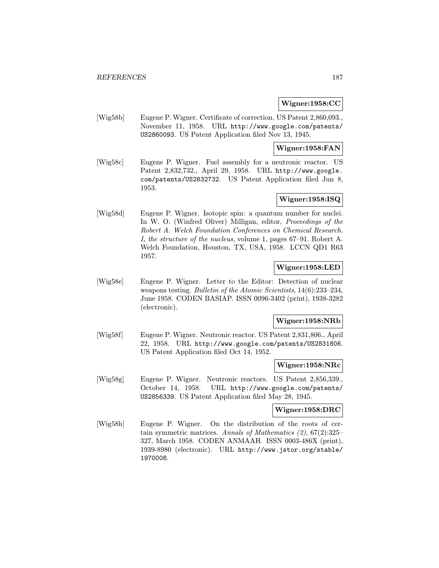### Wigner:1958:CC

[Wig58b] Eugene P. Wigner. Certificate of correction. US Patent 2,860,093., November 11, 1958. URL http://www.google.com/patents/ US2860093. US Patent Application filed Nov 13, 1945.

#### Wigner:1958:FAN

[Wig58c] Eugene P. Wigner. Fuel assembly for a neutronic reactor. US Patent 2,832,732., April 29, 1958. URL http://www.google. com/patents/US2832732. US Patent Application filed Jun 8, 1953.

# Wigner:1958:ISQ

[Wig58d] Eugene P. Wigner. Isotopic spin: a quantum number for nuclei. In W. O. (Winfred Oliver) Milligan, editor, Proceedings of the Robert A. Welch Foundation Conferences on Chemical Research. I, the structure of the nucleus, volume 1, pages 67–91. Robert A. Welch Foundation, Houston, TX, USA, 1958. LCCN QD1 R63 1957.

## Wigner:1958:LED

[Wig58e] Eugene P. Wigner. Letter to the Editor: Detection of nuclear weapons testing. Bulletin of the Atomic Scientists, 14(6):233-234, June 1958. CODEN BASIAP. ISSN 0096-3402 (print), 1938-3282 (electronic).

# Wigner:1958:NRb

[Wig58f] Eugene P. Wigner. Neutronic reactor. US Patent 2,831,806., April 22, 1958. URL http://www.google.com/patents/US2831806. US Patent Application filed Oct 14, 1952.

# Wigner:1958:NRc

[Wig58g] Eugene P. Wigner. Neutronic reactors. US Patent 2,856,339., October 14, 1958. URL http://www.google.com/patents/ US2856339. US Patent Application filed May 28, 1945.

## Wigner:1958:DRC

[Wig58h] Eugene P. Wigner. On the distribution of the roots of certain symmetric matrices. Annals of Mathematics (2), 67(2):325– 327, March 1958. CODEN ANMAAH. ISSN 0003-486X (print), 1939-8980 (electronic). URL http://www.jstor.org/stable/ 1970008.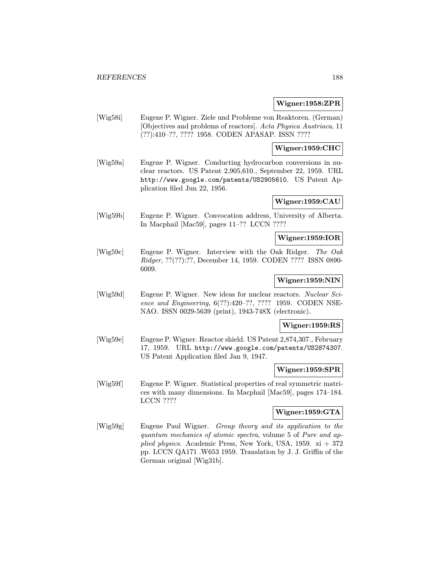#### Wigner:1958:ZPR

[Wig58i] Eugene P. Wigner. Ziele und Probleme von Reaktoren. (German) [Objectives and problems of reactors]. Acta Physica Austriaca, 11 (??):410–??, ???? 1958. CODEN APASAP. ISSN ????

## Wigner:1959:CHC

[Wig59a] Eugene P. Wigner. Conducting hydrocarbon conversions in nuclear reactors. US Patent 2,905,610., September 22, 1959. URL http://www.google.com/patents/US2905610. US Patent Application filed Jun 22, 1956.

## Wigner:1959:CAU

[Wig59b] Eugene P. Wigner. Convocation address, University of Alberta. In Macphail [Mac59], pages 11–?? LCCN ????

## Wigner:1959:IOR

[Wig59c] Eugene P. Wigner. Interview with the Oak Ridger. The Oak Ridger, ??(??):??, December 14, 1959. CODEN ???? ISSN 0890- 6009.

#### Wigner:1959:NIN

[Wig59d] Eugene P. Wigner. New ideas for nuclear reactors. Nuclear Science and Engineering, 6(??):420–??, ???? 1959. CODEN NSE-NAO. ISSN 0029-5639 (print), 1943-748X (electronic).

#### Wigner:1959:RS

[Wig59e] Eugene P. Wigner. Reactor shield. US Patent 2,874,307., February 17, 1959. URL http://www.google.com/patents/US2874307. US Patent Application filed Jan 9, 1947.

#### Wigner:1959:SPR

[Wig59f] Eugene P. Wigner. Statistical properties of real symmetric matrices with many dimensions. In Macphail [Mac59], pages 174–184. LCCN ????

## Wigner:1959:GTA

[Wig59g] Eugene Paul Wigner. Group theory and its application to the quantum mechanics of atomic spectra, volume 5 of Pure and applied physics. Academic Press, New York, USA, 1959.  $xi + 372$ pp. LCCN QA171 .W653 1959. Translation by J. J. Griffin of the German original [Wig31b].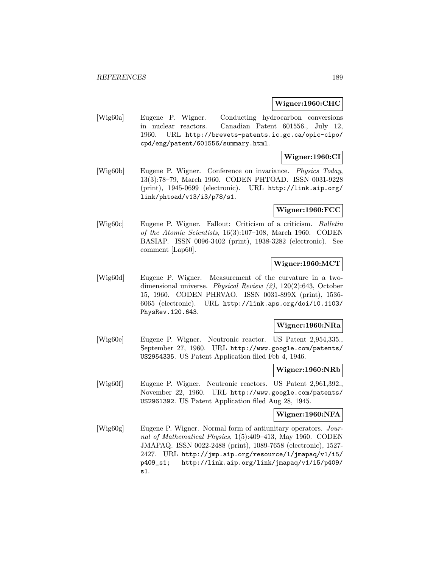#### Wigner:1960:CHC

[Wig60a] Eugene P. Wigner. Conducting hydrocarbon conversions in nuclear reactors. Canadian Patent 601556., July 12, 1960. URL http://brevets-patents.ic.gc.ca/opic-cipo/ cpd/eng/patent/601556/summary.html.

## Wigner:1960:CI

[Wig60b] Eugene P. Wigner. Conference on invariance. Physics Today, 13(3):78–79, March 1960. CODEN PHTOAD. ISSN 0031-9228 (print), 1945-0699 (electronic). URL http://link.aip.org/ link/phtoad/v13/i3/p78/s1.

#### Wigner:1960:FCC

[Wig60c] Eugene P. Wigner. Fallout: Criticism of a criticism. Bulletin of the Atomic Scientists, 16(3):107–108, March 1960. CODEN BASIAP. ISSN 0096-3402 (print), 1938-3282 (electronic). See comment [Lap60].

# Wigner:1960:MCT

[Wig60d] Eugene P. Wigner. Measurement of the curvature in a twodimensional universe. Physical Review (2), 120(2):643, October 15, 1960. CODEN PHRVAO. ISSN 0031-899X (print), 1536- 6065 (electronic). URL http://link.aps.org/doi/10.1103/ PhysRev.120.643.

#### Wigner:1960:NRa

[Wig60e] Eugene P. Wigner. Neutronic reactor. US Patent 2,954,335., September 27, 1960. URL http://www.google.com/patents/ US2954335. US Patent Application filed Feb 4, 1946.

#### Wigner:1960:NRb

[Wig60f] Eugene P. Wigner. Neutronic reactors. US Patent 2,961,392., November 22, 1960. URL http://www.google.com/patents/ US2961392. US Patent Application filed Aug 28, 1945.

# Wigner:1960:NFA

[Wig60g] Eugene P. Wigner. Normal form of antiunitary operators. Journal of Mathematical Physics, 1(5):409–413, May 1960. CODEN JMAPAQ. ISSN 0022-2488 (print), 1089-7658 (electronic), 1527- 2427. URL http://jmp.aip.org/resource/1/jmapaq/v1/i5/ p409\_s1; http://link.aip.org/link/jmapaq/v1/i5/p409/ s1.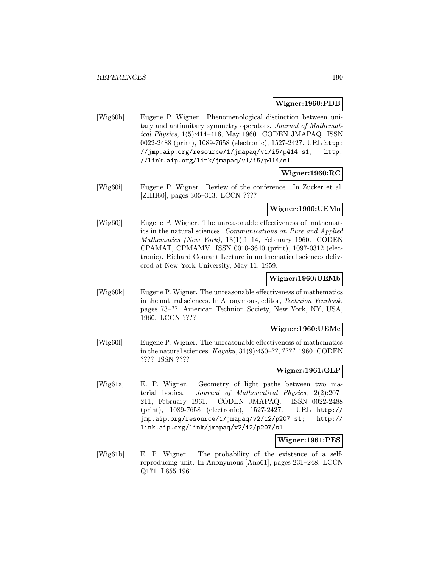#### Wigner:1960:PDB

[Wig60h] Eugene P. Wigner. Phenomenological distinction between unitary and antiunitary symmetry operators. Journal of Mathematical Physics, 1(5):414–416, May 1960. CODEN JMAPAQ. ISSN 0022-2488 (print), 1089-7658 (electronic), 1527-2427. URL http: //jmp.aip.org/resource/1/jmapaq/v1/i5/p414\_s1; http: //link.aip.org/link/jmapaq/v1/i5/p414/s1.

## Wigner:1960:RC

[Wig60i] Eugene P. Wigner. Review of the conference. In Zucker et al. [ZHH60], pages 305–313. LCCN ????

## Wigner:1960:UEMa

[Wig60j] Eugene P. Wigner. The unreasonable effectiveness of mathematics in the natural sciences. Communications on Pure and Applied Mathematics (New York), 13(1):1–14, February 1960. CODEN CPAMAT, CPMAMV. ISSN 0010-3640 (print), 1097-0312 (electronic). Richard Courant Lecture in mathematical sciences delivered at New York University, May 11, 1959.

#### Wigner:1960:UEMb

[Wig60k] Eugene P. Wigner. The unreasonable effectiveness of mathematics in the natural sciences. In Anonymous, editor, Technion Yearbook, pages 73–?? American Technion Society, New York, NY, USA, 1960. LCCN ????

#### Wigner:1960:UEMc

[Wig60l] Eugene P. Wigner. The unreasonable effectiveness of mathematics in the natural sciences. Kayaku, 31(9):450–??, ???? 1960. CODEN ???? ISSN ????

# Wigner:1961:GLP

[Wig61a] E. P. Wigner. Geometry of light paths between two material bodies. Journal of Mathematical Physics, 2(2):207– 211, February 1961. CODEN JMAPAQ. ISSN 0022-2488 (print), 1089-7658 (electronic), 1527-2427. URL http:// jmp.aip.org/resource/1/jmapaq/v2/i2/p207\_s1; http:// link.aip.org/link/jmapaq/v2/i2/p207/s1.

#### Wigner:1961:PES

[Wig61b] E. P. Wigner. The probability of the existence of a selfreproducing unit. In Anonymous [Ano61], pages 231–248. LCCN Q171 .L855 1961.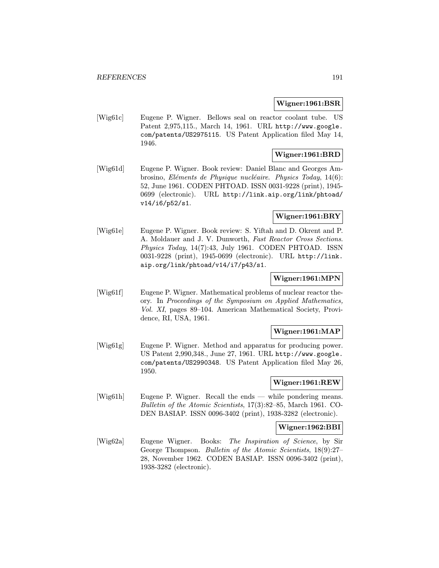#### Wigner:1961:BSR

[Wig61c] Eugene P. Wigner. Bellows seal on reactor coolant tube. US Patent 2,975,115., March 14, 1961. URL http://www.google. com/patents/US2975115. US Patent Application filed May 14, 1946.

# Wigner:1961:BRD

[Wig61d] Eugene P. Wigner. Book review: Daniel Blanc and Georges Ambrosino, Eléments de Physique nucléaire. Physics Today, 14(6): 52, June 1961. CODEN PHTOAD. ISSN 0031-9228 (print), 1945- 0699 (electronic). URL http://link.aip.org/link/phtoad/ v14/i6/p52/s1.

# Wigner:1961:BRY

[Wig61e] Eugene P. Wigner. Book review: S. Yiftah and D. Okrent and P. A. Moldauer and J. V. Dunworth, Fast Reactor Cross Sections. Physics Today, 14(7):43, July 1961. CODEN PHTOAD. ISSN 0031-9228 (print), 1945-0699 (electronic). URL http://link. aip.org/link/phtoad/v14/i7/p43/s1.

#### Wigner:1961:MPN

[Wig61f] Eugene P. Wigner. Mathematical problems of nuclear reactor theory. In Proceedings of the Symposium on Applied Mathematics, Vol. XI, pages 89–104. American Mathematical Society, Providence, RI, USA, 1961.

## Wigner:1961:MAP

[Wig61g] Eugene P. Wigner. Method and apparatus for producing power. US Patent 2,990,348., June 27, 1961. URL http://www.google. com/patents/US2990348. US Patent Application filed May 26, 1950.

#### Wigner:1961:REW

[Wig61h] Eugene P. Wigner. Recall the ends — while pondering means. Bulletin of the Atomic Scientists, 17(3):82–85, March 1961. CO-DEN BASIAP. ISSN 0096-3402 (print), 1938-3282 (electronic).

#### Wigner:1962:BBI

[Wig62a] Eugene Wigner. Books: The Inspiration of Science, by Sir George Thompson. Bulletin of the Atomic Scientists, 18(9):27– 28, November 1962. CODEN BASIAP. ISSN 0096-3402 (print), 1938-3282 (electronic).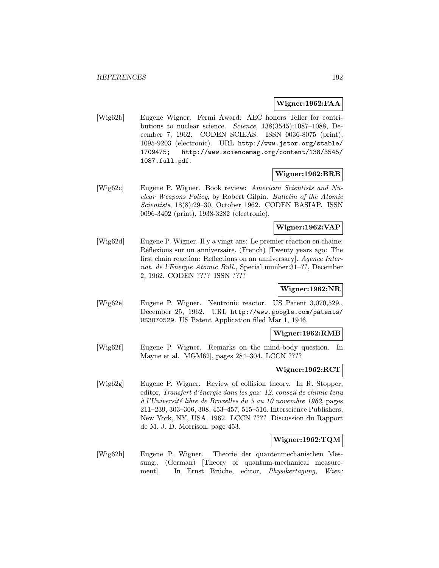#### Wigner:1962:FAA

[Wig62b] Eugene Wigner. Fermi Award: AEC honors Teller for contributions to nuclear science. Science, 138(3545):1087–1088, December 7, 1962. CODEN SCIEAS. ISSN 0036-8075 (print), 1095-9203 (electronic). URL http://www.jstor.org/stable/ 1709475; http://www.sciencemag.org/content/138/3545/ 1087.full.pdf.

#### Wigner:1962:BRB

[Wig62c] Eugene P. Wigner. Book review: American Scientists and Nuclear Weapons Policy, by Robert Gilpin. Bulletin of the Atomic Scientists, 18(8):29–30, October 1962. CODEN BASIAP. ISSN 0096-3402 (print), 1938-3282 (electronic).

# Wigner:1962:VAP

 $[Wig62d]$  Eugene P. Wigner. Il y a vingt ans: Le premier réaction en chaine: Réflexions sur un anniversaire. (French) [Twenty years ago: The first chain reaction: Reflections on an anniversary]. Agence Internat. de l'Energie Atomic Bull., Special number:31–??, December 2, 1962. CODEN ???? ISSN ????

# Wigner:1962:NR

[Wig62e] Eugene P. Wigner. Neutronic reactor. US Patent 3,070,529., December 25, 1962. URL http://www.google.com/patents/ US3070529. US Patent Application filed Mar 1, 1946.

#### Wigner:1962:RMB

[Wig62f] Eugene P. Wigner. Remarks on the mind-body question. In Mayne et al. [MGM62], pages 284–304. LCCN ????

#### Wigner:1962:RCT

[Wig62g] Eugene P. Wigner. Review of collision theory. In R. Stopper, editor, Transfert d'énergie dans les gaz: 12. conseil de chimie tenu  $\dot{a}$  l'Université libre de Bruxelles du 5 au 10 novembre 1962, pages 211–239, 303–306, 308, 453–457, 515–516. Interscience Publishers, New York, NY, USA, 1962. LCCN ???? Discussion du Rapport de M. J. D. Morrison, page 453.

#### Wigner:1962:TQM

[Wig62h] Eugene P. Wigner. Theorie der quantenmechanischen Messung.. (German) [Theory of quantum-mechanical measurement]. In Ernst Brüche, editor, *Physikertagung*, Wien: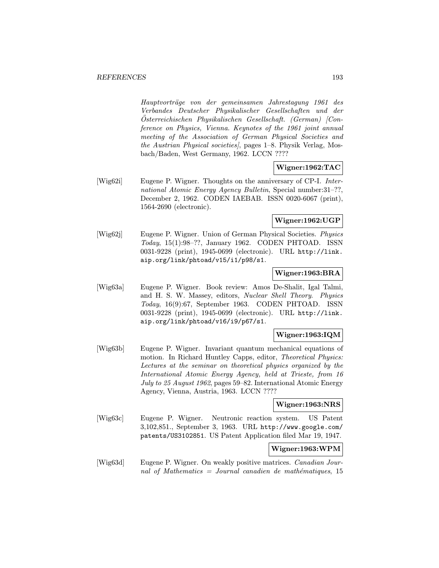Hauptvorträge von der gemeinsamen Jahrestagung 1961 des Verbandes Deutscher Physikalischer Gesellschaften und der  $Österreichischen Physikalischen Gesellschaft. (German) [Con$ ference on Physics, Vienna. Keynotes of the 1961 joint annual meeting of the Association of German Physical Societies and the Austrian Physical societies], pages 1–8. Physik Verlag, Mosbach/Baden, West Germany, 1962. LCCN ????

#### Wigner:1962:TAC

[Wig62i] Eugene P. Wigner. Thoughts on the anniversary of CP-I. International Atomic Energy Agency Bulletin, Special number:31–??, December 2, 1962. CODEN IAEBAB. ISSN 0020-6067 (print), 1564-2690 (electronic).

## Wigner:1962:UGP

[Wig62j] Eugene P. Wigner. Union of German Physical Societies. Physics Today, 15(1):98–??, January 1962. CODEN PHTOAD. ISSN 0031-9228 (print), 1945-0699 (electronic). URL http://link. aip.org/link/phtoad/v15/i1/p98/s1.

#### Wigner:1963:BRA

[Wig63a] Eugene P. Wigner. Book review: Amos De-Shalit, Igal Talmi, and H. S. W. Massey, editors, Nuclear Shell Theory. Physics Today, 16(9):67, September 1963. CODEN PHTOAD. ISSN 0031-9228 (print), 1945-0699 (electronic). URL http://link. aip.org/link/phtoad/v16/i9/p67/s1.

#### Wigner:1963:IQM

[Wig63b] Eugene P. Wigner. Invariant quantum mechanical equations of motion. In Richard Huntley Capps, editor, Theoretical Physics: Lectures at the seminar on theoretical physics organized by the International Atomic Energy Agency, held at Trieste, from 16 July to 25 August 1962, pages 59–82. International Atomic Energy Agency, Vienna, Austria, 1963. LCCN ????

#### Wigner:1963:NRS

[Wig63c] Eugene P. Wigner. Neutronic reaction system. US Patent 3,102,851., September 3, 1963. URL http://www.google.com/ patents/US3102851. US Patent Application filed Mar 19, 1947.

# Wigner:1963:WPM

[Wig63d] Eugene P. Wigner. On weakly positive matrices. Canadian Journal of Mathematics  $=$  Journal canadien de mathématiques, 15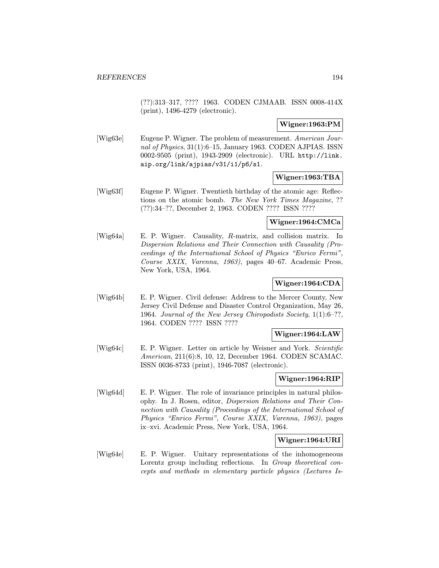(??):313–317, ???? 1963. CODEN CJMAAB. ISSN 0008-414X (print), 1496-4279 (electronic).

## Wigner:1963:PM

[Wig63e] Eugene P. Wigner. The problem of measurement. American Journal of Physics, 31(1):6–15, January 1963. CODEN AJPIAS. ISSN 0002-9505 (print), 1943-2909 (electronic). URL http://link. aip.org/link/ajpias/v31/i1/p6/s1.

## Wigner:1963:TBA

[Wig63f] Eugene P. Wigner. Twentieth birthday of the atomic age: Reflections on the atomic bomb. The New York Times Magazine, ?? (??):34–??, December 2, 1963. CODEN ???? ISSN ????

## Wigner:1964:CMCa

[Wig64a] E. P. Wigner. Causality, R-matrix, and collision matrix. In Dispersion Relations and Their Connection with Causality (Proceedings of the International School of Physics "Enrico Fermi", Course XXIX, Varenna, 1963), pages 40–67. Academic Press, New York, USA, 1964.

# Wigner:1964:CDA

[Wig64b] E. P. Wigner. Civil defense: Address to the Mercer County, New Jersey Civil Defense and Disaster Control Organization, May 26, 1964. Journal of the New Jersey Chiropodists Society, 1(1):6–??, 1964. CODEN ???? ISSN ????

## Wigner:1964:LAW

[Wig64c] E. P. Wigner. Letter on article by Weisner and York. Scientific American, 211(6):8, 10, 12, December 1964. CODEN SCAMAC. ISSN 0036-8733 (print), 1946-7087 (electronic).

#### Wigner:1964:RIP

[Wig64d] E. P. Wigner. The role of invariance principles in natural philosophy. In J. Rosen, editor, Dispersion Relations and Their Connection with Causality (Proceedings of the International School of Physics "Enrico Fermi", Course XXIX, Varenna, 1963), pages ix–xvi. Academic Press, New York, USA, 1964.

#### Wigner:1964:URI

[Wig64e] E. P. Wigner. Unitary representations of the inhomogeneous Lorentz group including reflections. In *Group theoretical con*cepts and methods in elementary particle physics (Lectures Is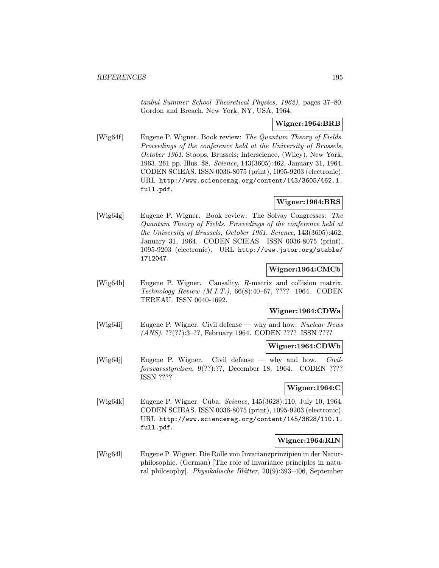tanbul Summer School Theoretical Physics, 1962), pages 37–80. Gordon and Breach, New York, NY, USA, 1964.

# Wigner:1964:BRB

[Wig64f] Eugene P. Wigner. Book review: The Quantum Theory of Fields. Proceedings of the conference held at the University of Brussels, October 1961. Stoops, Brussels; Interscience, (Wiley), New York, 1963. 261 pp. Illus. \$8. Science, 143(3605):462, January 31, 1964. CODEN SCIEAS. ISSN 0036-8075 (print), 1095-9203 (electronic). URL http://www.sciencemag.org/content/143/3605/462.1. full.pdf.

## Wigner:1964:BRS

[Wig64g] Eugene P. Wigner. Book review: The Solvay Congresses: The Quantum Theory of Fields. Proceedings of the conference held at the University of Brussels, October 1961. Science, 143(3605):462, January 31, 1964. CODEN SCIEAS. ISSN 0036-8075 (print), 1095-9203 (electronic). URL http://www.jstor.org/stable/ 1712047.

#### Wigner:1964:CMCb

[Wig64h] Eugene P. Wigner. Causality, R-matrix and collision matrix. Technology Review (M.I.T.), 66(8):40–67, ???? 1964. CODEN TEREAU. ISSN 0040-1692.

## Wigner:1964:CDWa

[Wig64i] Eugene P. Wigner. Civil defense — why and how. Nuclear News (ANS), ??(??):3–??, February 1964. CODEN ???? ISSN ????

#### Wigner:1964:CDWb

[Wig64j] Eugene P. Wigner. Civil defense — why and how. Civilforsvarsstyrelsen, 9(??):??, December 18, 1964. CODEN ???? ISSN ????

#### Wigner:1964:C

[Wig64k] Eugene P. Wigner. Cuba. Science, 145(3628):110, July 10, 1964. CODEN SCIEAS. ISSN 0036-8075 (print), 1095-9203 (electronic). URL http://www.sciencemag.org/content/145/3628/110.1. full.pdf.

#### Wigner:1964:RIN

[Wig64l] Eugene P. Wigner. Die Rolle von Invarianzprinzipien in der Naturphilosophie. (German) [The role of invariance principles in natural philosophy]. Physikalische Blätter,  $20(9):393-406$ , September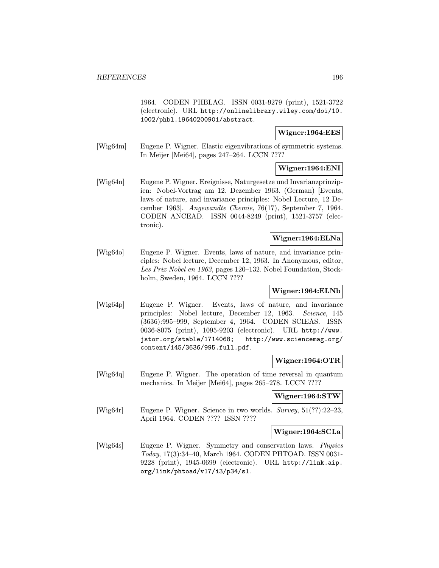1964. CODEN PHBLAG. ISSN 0031-9279 (print), 1521-3722 (electronic). URL http://onlinelibrary.wiley.com/doi/10. 1002/phbl.19640200901/abstract.

## Wigner:1964:EES

[Wig64m] Eugene P. Wigner. Elastic eigenvibrations of symmetric systems. In Meijer [Mei64], pages 247–264. LCCN ????

## Wigner:1964:ENI

[Wig64n] Eugene P. Wigner. Ereignisse, Naturgesetze und Invarianzprinzipien: Nobel-Vortrag am 12. Dezember 1963. (German) [Events, laws of nature, and invariance principles: Nobel Lecture, 12 December 1963]. Angewandte Chemie, 76(17), September 7, 1964. CODEN ANCEAD. ISSN 0044-8249 (print), 1521-3757 (electronic).

### Wigner:1964:ELNa

[Wig64o] Eugene P. Wigner. Events, laws of nature, and invariance principles: Nobel lecture, December 12, 1963. In Anonymous, editor, Les Prix Nobel en 1963, pages 120–132. Nobel Foundation, Stockholm, Sweden, 1964. LCCN ????

#### Wigner:1964:ELNb

[Wig64p] Eugene P. Wigner. Events, laws of nature, and invariance principles: Nobel lecture, December 12, 1963. Science, 145 (3636):995–999, September 4, 1964. CODEN SCIEAS. ISSN 0036-8075 (print), 1095-9203 (electronic). URL http://www. jstor.org/stable/1714068; http://www.sciencemag.org/ content/145/3636/995.full.pdf.

#### Wigner:1964:OTR

[Wig64q] Eugene P. Wigner. The operation of time reversal in quantum mechanics. In Meijer [Mei64], pages 265–278. LCCN ????

# Wigner:1964:STW

[Wig64r] Eugene P. Wigner. Science in two worlds. Survey, 51(??):22–23, April 1964. CODEN ???? ISSN ????

#### Wigner:1964:SCLa

[Wig64s] Eugene P. Wigner. Symmetry and conservation laws. Physics Today, 17(3):34–40, March 1964. CODEN PHTOAD. ISSN 0031- 9228 (print), 1945-0699 (electronic). URL http://link.aip. org/link/phtoad/v17/i3/p34/s1.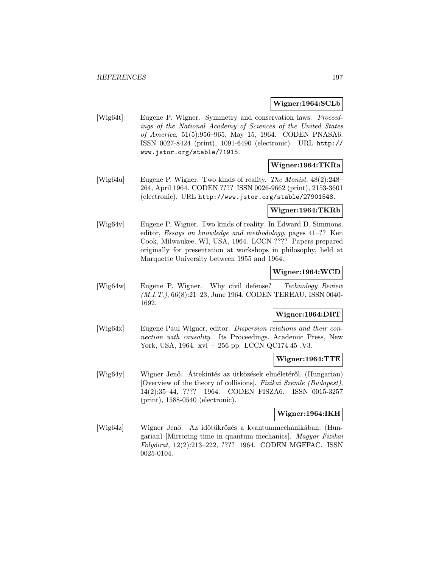#### Wigner:1964:SCLb

[Wig64t] Eugene P. Wigner. Symmetry and conservation laws. Proceedings of the National Academy of Sciences of the United States of America, 51(5):956–965, May 15, 1964. CODEN PNASA6. ISSN 0027-8424 (print), 1091-6490 (electronic). URL http:// www.jstor.org/stable/71915.

# Wigner:1964:TKRa

[Wig64u] Eugene P. Wigner. Two kinds of reality. The Monist, 48(2):248– 264, April 1964. CODEN ???? ISSN 0026-9662 (print), 2153-3601 (electronic). URL http://www.jstor.org/stable/27901548.

## Wigner:1964:TKRb

[Wig64v] Eugene P. Wigner. Two kinds of reality. In Edward D. Simmons, editor, Essays on knowledge and methodology, pages 41–?? Ken Cook, Milwaukee, WI, USA, 1964. LCCN ???? Papers prepared originally for presentation at workshops in philosophy, held at Marquette University between 1955 and 1964.

# Wigner:1964:WCD

[Wig64w] Eugene P. Wigner. Why civil defense? Technology Review (M.I.T.), 66(8):21–23, June 1964. CODEN TEREAU. ISSN 0040- 1692.

## Wigner:1964:DRT

[Wig64x] Eugene Paul Wigner, editor. Dispersion relations and their connection with causality. Its Proceedings. Academic Press, New York, USA, 1964. xvi + 256 pp. LCCN QC174.45 .V3.

## Wigner:1964:TTE

[Wig64y] Wigner Jenő. Áttekintés az ütközések elméletéről. (Hungarian) [Overview of the theory of collisions]. Fizikai Szemle (Budapest), 14(2):35–44, ???? 1964. CODEN FISZA6. ISSN 0015-3257 (print), 1588-0540 (electronic).

## Wigner:1964:IKH

[Wig64z] Wigner Jenő. Az időtükrözés a kvantummechanikában. (Hungarian) [Mirroring time in quantum mechanics]. Magyar Fizikai Folyóirat, 12(2):213-222, ???? 1964. CODEN MGFFAC. ISSN 0025-0104.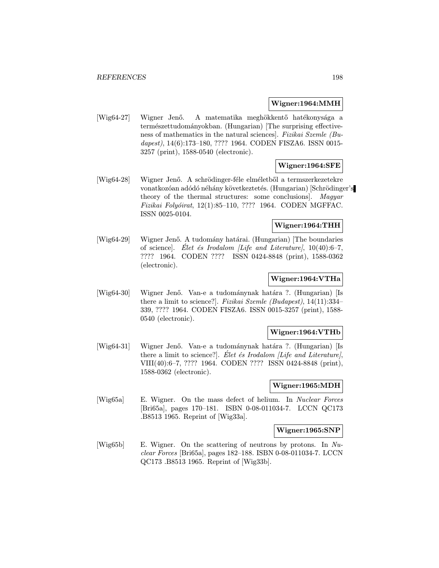## Wigner:1964:MMH

[Wig64-27] Wigner Jenő. A matematika meghökkentő hatékonysága a természettudományokban. (Hungarian) [The surprising effectiveness of mathematics in the natural sciences]. Fizikai Szemle (Budapest), 14(6):173-180, ???? 1964. CODEN FISZA6. ISSN 0015-3257 (print), 1588-0540 (electronic).

## Wigner:1964:SFE

[Wig64-28] Wigner Jenő. A schrödinger-féle elméletből a termszerkezetekre vonatkozóan adódó néhány következtetés. (Hungarian) [Schrödinger's theory of the thermal structures: some conclusions]. Magyar Fizikai Folyóirat, 12(1):85-110, ???? 1964. CODEN MGFFAC. ISSN 0025-0104.

## Wigner:1964:THH

[Wig64-29] Wigner Jenő. A tudomány határai. (Hungarian) [The boundaries of science]. Elet és Irodalom *[Life and Literature]*,  $10(40):6-7$ , ???? 1964. CODEN ???? ISSN 0424-8848 (print), 1588-0362 (electronic).

## Wigner:1964:VTHa

[Wig64-30] Wigner Jenő. Van-e a tudománynak határa ?. (Hungarian) [Is there a limit to science?]. Fizikai Szemle (Budapest), 14(11):334– 339, ???? 1964. CODEN FISZA6. ISSN 0015-3257 (print), 1588- 0540 (electronic).

#### Wigner:1964:VTHb

[Wig64-31] Wigner Jenő. Van-e a tudománynak határa ?. (Hungarian) [Is there a limit to science?  $\vert$ . Elet és Irodalom *[Life and Literature]*, VIII(40):6–7, ???? 1964. CODEN ???? ISSN 0424-8848 (print), 1588-0362 (electronic).

#### Wigner:1965:MDH

[Wig65a] E. Wigner. On the mass defect of helium. In Nuclear Forces [Bri65a], pages 170–181. ISBN 0-08-011034-7. LCCN QC173 .B8513 1965. Reprint of [Wig33a].

#### Wigner:1965:SNP

[Wig65b] E. Wigner. On the scattering of neutrons by protons. In Nuclear Forces [Bri65a], pages 182–188. ISBN 0-08-011034-7. LCCN QC173 .B8513 1965. Reprint of [Wig33b].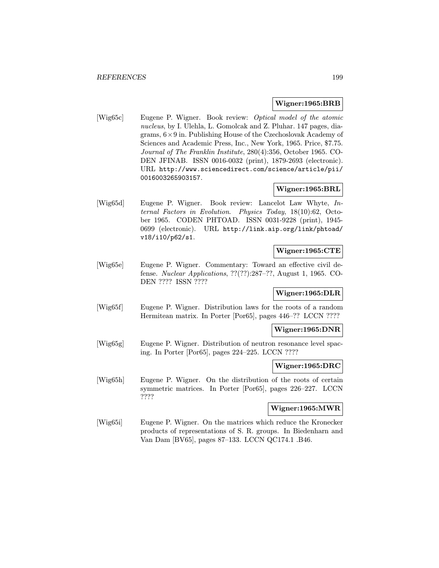#### Wigner:1965:BRB

[Wig65c] Eugene P. Wigner. Book review: Optical model of the atomic nucleus, by I. Ulehla, L. Gomolcak and Z. Pluhar. 147 pages, diagrams,  $6 \times 9$  in. Publishing House of the Czechoslovak Academy of Sciences and Academic Press, Inc., New York, 1965. Price, \$7.75. Journal of The Franklin Institute, 280(4):356, October 1965. CO-DEN JFINAB. ISSN 0016-0032 (print), 1879-2693 (electronic). URL http://www.sciencedirect.com/science/article/pii/ 0016003265903157.

# Wigner:1965:BRL

[Wig65d] Eugene P. Wigner. Book review: Lancelot Law Whyte, Internal Factors in Evolution. Physics Today, 18(10):62, October 1965. CODEN PHTOAD. ISSN 0031-9228 (print), 1945- 0699 (electronic). URL http://link.aip.org/link/phtoad/ v18/i10/p62/s1.

# Wigner:1965:CTE

[Wig65e] Eugene P. Wigner. Commentary: Toward an effective civil defense. Nuclear Applications, ??(??):287–??, August 1, 1965. CO-DEN ???? ISSN ????

## Wigner:1965:DLR

[Wig65f] Eugene P. Wigner. Distribution laws for the roots of a random Hermitean matrix. In Porter [Por65], pages 446–?? LCCN ????

#### Wigner:1965:DNR

[Wig65g] Eugene P. Wigner. Distribution of neutron resonance level spacing. In Porter [Por65], pages 224–225. LCCN ????

## Wigner:1965:DRC

[Wig65h] Eugene P. Wigner. On the distribution of the roots of certain symmetric matrices. In Porter [Por65], pages 226–227. LCCN ????

#### Wigner:1965:MWR

[Wig65i] Eugene P. Wigner. On the matrices which reduce the Kronecker products of representations of S. R. groups. In Biedenharn and Van Dam [BV65], pages 87–133. LCCN QC174.1 .B46.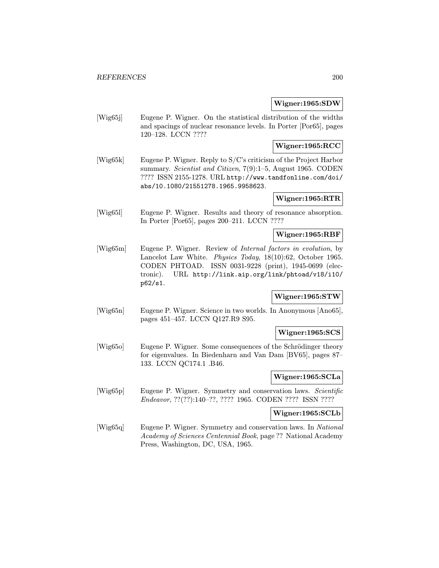#### Wigner:1965:SDW

[Wig65j] Eugene P. Wigner. On the statistical distribution of the widths and spacings of nuclear resonance levels. In Porter [Por65], pages 120–128. LCCN ????

### Wigner:1965:RCC

[Wig65k] Eugene P. Wigner. Reply to S/C's criticism of the Project Harbor summary. Scientist and Citizen, 7(9):1–5, August 1965. CODEN ???? ISSN 2155-1278. URL http://www.tandfonline.com/doi/ abs/10.1080/21551278.1965.9958623.

## Wigner:1965:RTR

[Wig65l] Eugene P. Wigner. Results and theory of resonance absorption. In Porter [Por65], pages 200–211. LCCN ????

## Wigner:1965:RBF

[Wig65m] Eugene P. Wigner. Review of Internal factors in evolution, by Lancelot Law White. Physics Today, 18(10):62, October 1965. CODEN PHTOAD. ISSN 0031-9228 (print), 1945-0699 (electronic). URL http://link.aip.org/link/phtoad/v18/i10/ p62/s1.

## Wigner:1965:STW

[Wig65n] Eugene P. Wigner. Science in two worlds. In Anonymous [Ano65], pages 451–457. LCCN Q127.R9 S95.

#### Wigner:1965:SCS

[Wig65o] Eugene P. Wigner. Some consequences of the Schrödinger theory for eigenvalues. In Biedenharn and Van Dam [BV65], pages 87– 133. LCCN QC174.1 .B46.

## Wigner:1965:SCLa

[Wig65p] Eugene P. Wigner. Symmetry and conservation laws. Scientific Endeavor, ??(??):140–??, ???? 1965. CODEN ???? ISSN ????

## Wigner:1965:SCLb

[Wig65q] Eugene P. Wigner. Symmetry and conservation laws. In National Academy of Sciences Centennial Book, page ?? National Academy Press, Washington, DC, USA, 1965.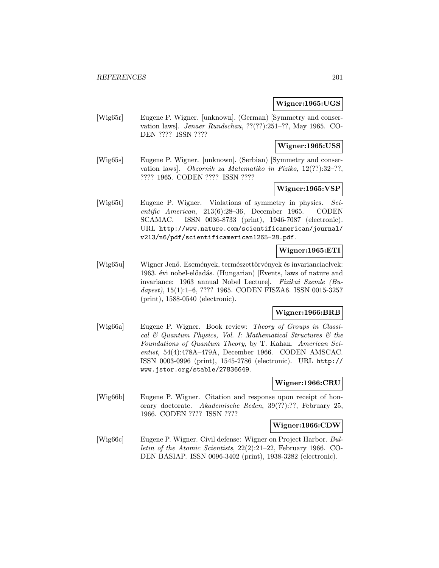#### Wigner:1965:UGS

[Wig65r] Eugene P. Wigner. [unknown]. (German) [Symmetry and conservation laws]. Jenaer Rundschau, ??(??):251–??, May 1965. CO-DEN ???? ISSN ????

# Wigner:1965:USS

[Wig65s] Eugene P. Wigner. [unknown]. (Serbian) [Symmetry and conservation laws]. Obzornik za Matematiko in Fiziko, 12(??):32–??, ???? 1965. CODEN ???? ISSN ????

# Wigner:1965:VSP

[Wig65t] Eugene P. Wigner. Violations of symmetry in physics. Scientific American, 213(6):28–36, December 1965. CODEN SCAMAC. ISSN 0036-8733 (print), 1946-7087 (electronic). URL http://www.nature.com/scientificamerican/journal/ v213/n6/pdf/scientificamerican1265-28.pdf.

## Wigner:1965:ETI

[Wig65u] Wigner Jenő. Események, természettörvények és invarianciaelvek: 1963. évi nobel-előadás. (Hungarian) [Events, laws of nature and invariance: 1963 annual Nobel Lecture]. Fizikai Szemle (Budapest), 15(1):1–6, ???? 1965. CODEN FISZA6. ISSN 0015-3257 (print), 1588-0540 (electronic).

## Wigner:1966:BRB

[Wig66a] Eugene P. Wigner. Book review: Theory of Groups in Classical  $\mathcal B$  Quantum Physics, Vol. I: Mathematical Structures  $\mathcal B$  the Foundations of Quantum Theory, by T. Kahan. American Scientist, 54(4):478A–479A, December 1966. CODEN AMSCAC. ISSN 0003-0996 (print), 1545-2786 (electronic). URL http:// www.jstor.org/stable/27836649.

## Wigner:1966:CRU

[Wig66b] Eugene P. Wigner. Citation and response upon receipt of honorary doctorate. Akademische Reden, 39(??):??, February 25, 1966. CODEN ???? ISSN ????

# Wigner:1966:CDW

[Wig66c] Eugene P. Wigner. Civil defense: Wigner on Project Harbor. Bulletin of the Atomic Scientists, 22(2):21–22, February 1966. CO-DEN BASIAP. ISSN 0096-3402 (print), 1938-3282 (electronic).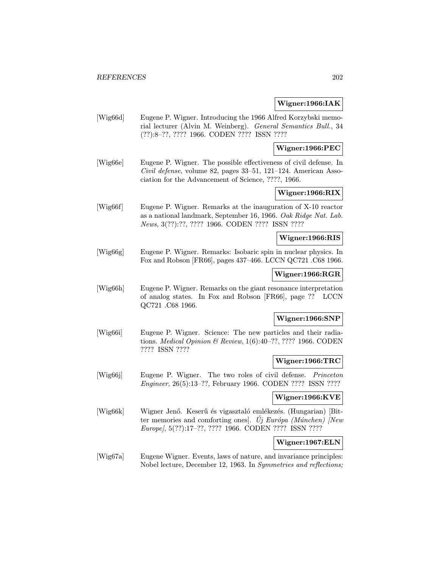### Wigner:1966:IAK

[Wig66d] Eugene P. Wigner. Introducing the 1966 Alfred Korzybski memorial lecturer (Alvin M. Weinberg). General Semantics Bull., 34 (??):8–??, ???? 1966. CODEN ???? ISSN ????

## Wigner:1966:PEC

[Wig66e] Eugene P. Wigner. The possible effectiveness of civil defense. In Civil defense, volume 82, pages 33–51, 121–124. American Association for the Advancement of Science, ????, 1966.

# Wigner:1966:RIX

[Wig66f] Eugene P. Wigner. Remarks at the inauguration of X-10 reactor as a national landmark, September 16, 1966. Oak Ridge Nat. Lab. News, 3(??):??, ???? 1966. CODEN ???? ISSN ????

#### Wigner:1966:RIS

[Wig66g] Eugene P. Wigner. Remarks: Isobaric spin in nuclear physics. In Fox and Robson [FR66], pages 437–466. LCCN QC721 .C68 1966.

## Wigner:1966:RGR

[Wig66h] Eugene P. Wigner. Remarks on the giant resonance interpretation of analog states. In Fox and Robson [FR66], page ?? LCCN QC721 .C68 1966.

# Wigner:1966:SNP

[Wig66i] Eugene P. Wigner. Science: The new particles and their radiations. Medical Opinion & Review, 1(6):40–??, ???? 1966. CODEN ???? ISSN ????

#### Wigner:1966:TRC

[Wig66j] Eugene P. Wigner. The two roles of civil defense. Princeton Engineer, 26(5):13–??, February 1966. CODEN ???? ISSN ????

## Wigner:1966:KVE

[Wig66k] Wigner Jenő. Keserű és vigasztaló emlékezés. (Hungarian) [Bitter memories and comforting ones]. Uj Európa (Múnchen) [New Europe], 5(??):17–??, ???? 1966. CODEN ???? ISSN ????

# Wigner:1967:ELN

[Wig67a] Eugene Wigner. Events, laws of nature, and invariance principles: Nobel lecture, December 12, 1963. In Symmetries and reflections;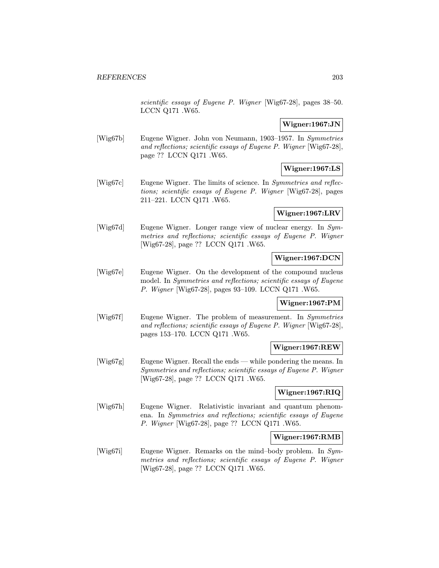scientific essays of Eugene P. Wigner [Wig67-28], pages 38–50. LCCN Q171 .W65.

# Wigner:1967:JN

[Wig67b] Eugene Wigner. John von Neumann, 1903–1957. In Symmetries and reflections; scientific essays of Eugene P. Wigner [Wig67-28], page ?? LCCN Q171 .W65.

# Wigner:1967:LS

[Wig67c] Eugene Wigner. The limits of science. In *Symmetries and reflec*tions; scientific essays of Eugene P. Wigner [Wig67-28], pages 211–221. LCCN Q171 .W65.

# Wigner:1967:LRV

[Wig67d] Eugene Wigner. Longer range view of nuclear energy. In Symmetries and reflections; scientific essays of Eugene P. Wigner [Wig67-28], page ?? LCCN Q171 .W65.

## Wigner:1967:DCN

[Wig67e] Eugene Wigner. On the development of the compound nucleus model. In Symmetries and reflections; scientific essays of Eugene P. Wigner [Wig67-28], pages 93–109. LCCN Q171 .W65.

## Wigner:1967:PM

[Wig67f] Eugene Wigner. The problem of measurement. In Symmetries and reflections; scientific essays of Eugene P. Wigner [Wig67-28], pages 153–170. LCCN Q171 .W65.

# Wigner:1967:REW

[Wig67g] Eugene Wigner. Recall the ends — while pondering the means. In Symmetries and reflections; scientific essays of Eugene P. Wigner [Wig67-28], page ?? LCCN Q171 .W65.

# Wigner:1967:RIQ

[Wig67h] Eugene Wigner. Relativistic invariant and quantum phenomena. In Symmetries and reflections; scientific essays of Eugene P. Wigner [Wig67-28], page ?? LCCN Q171 .W65.

## Wigner:1967:RMB

[Wig67i] Eugene Wigner. Remarks on the mind–body problem. In Symmetries and reflections; scientific essays of Eugene P. Wigner [Wig67-28], page ?? LCCN Q171 .W65.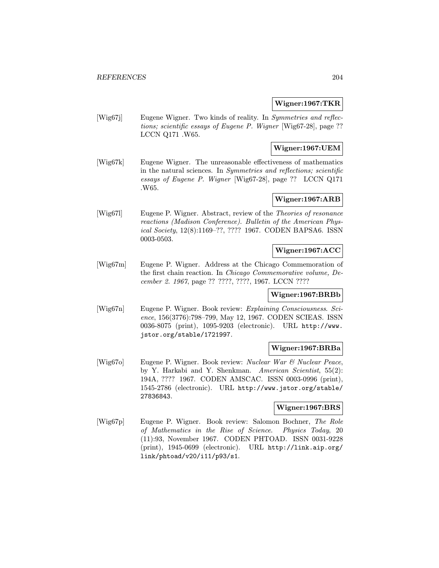### Wigner:1967:TKR

[Wig67j] Eugene Wigner. Two kinds of reality. In Symmetries and reflections; scientific essays of Eugene P. Wigner [Wig67-28], page ?? LCCN Q171 .W65.

## Wigner:1967:UEM

[Wig67k] Eugene Wigner. The unreasonable effectiveness of mathematics in the natural sciences. In Symmetries and reflections; scientific essays of Eugene P. Wigner [Wig67-28], page ?? LCCN Q171 .W65.

# Wigner:1967:ARB

[Wig67l] Eugene P. Wigner. Abstract, review of the Theories of resonance reactions (Madison Conference). Bulletin of the American Physical Society, 12(8):1169–??, ???? 1967. CODEN BAPSA6. ISSN 0003-0503.

## Wigner:1967:ACC

[Wig67m] Eugene P. Wigner. Address at the Chicago Commemoration of the first chain reaction. In Chicago Commemorative volume, December 2. 1967, page ?? ????, ????, 1967. LCCN ????

# Wigner:1967:BRBb

[Wig67n] Eugene P. Wigner. Book review: Explaining Consciousness. Science, 156(3776):798–799, May 12, 1967. CODEN SCIEAS. ISSN 0036-8075 (print), 1095-9203 (electronic). URL http://www. jstor.org/stable/1721997.

## Wigner:1967:BRBa

[Wig67o] Eugene P. Wigner. Book review: Nuclear War & Nuclear Peace, by Y. Harkabi and Y. Shenkman. American Scientist, 55(2): 194A, ???? 1967. CODEN AMSCAC. ISSN 0003-0996 (print), 1545-2786 (electronic). URL http://www.jstor.org/stable/ 27836843.

### Wigner:1967:BRS

[Wig67p] Eugene P. Wigner. Book review: Salomon Bochner, The Role of Mathematics in the Rise of Science. Physics Today, 20 (11):93, November 1967. CODEN PHTOAD. ISSN 0031-9228 (print), 1945-0699 (electronic). URL http://link.aip.org/ link/phtoad/v20/i11/p93/s1.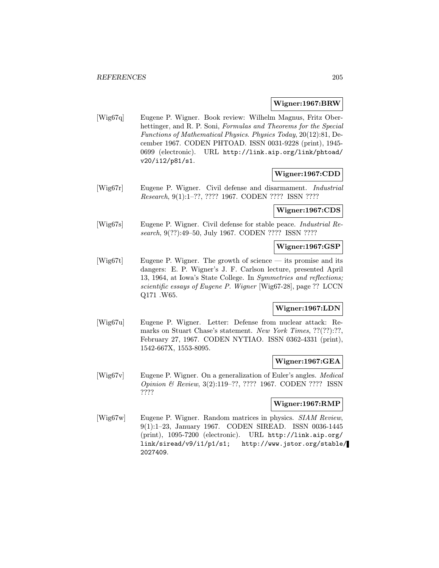#### Wigner:1967:BRW

[Wig67q] Eugene P. Wigner. Book review: Wilhelm Magnus, Fritz Oberhettinger, and R. P. Soni, Formulas and Theorems for the Special Functions of Mathematical Physics. Physics Today, 20(12):81, December 1967. CODEN PHTOAD. ISSN 0031-9228 (print), 1945- 0699 (electronic). URL http://link.aip.org/link/phtoad/ v20/i12/p81/s1.

## Wigner:1967:CDD

[Wig67r] Eugene P. Wigner. Civil defense and disarmament. Industrial Research, 9(1):1–??, ???? 1967. CODEN ???? ISSN ????

#### Wigner:1967:CDS

[Wig67s] Eugene P. Wigner. Civil defense for stable peace. Industrial Research, 9(??):49–50, July 1967. CODEN ???? ISSN ????

## Wigner:1967:GSP

[Wig67t] Eugene P. Wigner. The growth of science — its promise and its dangers: E. P. Wigner's J. F. Carlson lecture, presented April 13, 1964, at Iowa's State College. In Symmetries and reflections; scientific essays of Eugene P. Wigner [Wig67-28], page ?? LCCN Q171 .W65.

# Wigner:1967:LDN

[Wig67u] Eugene P. Wigner. Letter: Defense from nuclear attack: Remarks on Stuart Chase's statement. New York Times, ??(??):??, February 27, 1967. CODEN NYTIAO. ISSN 0362-4331 (print), 1542-667X, 1553-8095.

#### Wigner:1967:GEA

[Wig67v] Eugene P. Wigner. On a generalization of Euler's angles. Medical Opinion & Review, 3(2):119–??, ???? 1967. CODEN ???? ISSN ????

## Wigner:1967:RMP

[Wig67w] Eugene P. Wigner. Random matrices in physics. SIAM Review, 9(1):1–23, January 1967. CODEN SIREAD. ISSN 0036-1445 (print), 1095-7200 (electronic). URL http://link.aip.org/ link/siread/v9/i1/p1/s1; http://www.jstor.org/stable/ 2027409.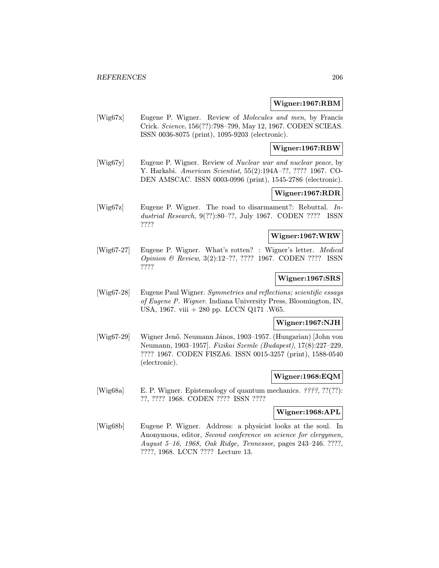#### Wigner:1967:RBM

[Wig67x] Eugene P. Wigner. Review of Molecules and men, by Francis Crick. Science, 156(??):798–799, May 12, 1967. CODEN SCIEAS. ISSN 0036-8075 (print), 1095-9203 (electronic).

#### Wigner:1967:RBW

[Wig67y] Eugene P. Wigner. Review of Nuclear war and nuclear peace, by Y. Harkabi. American Scientist, 55(2):194A–??, ???? 1967. CO-DEN AMSCAC. ISSN 0003-0996 (print), 1545-2786 (electronic).

# Wigner:1967:RDR

[Wig67z] Eugene P. Wigner. The road to disarmament?: Rebuttal. Industrial Research, 9(??):80–??, July 1967. CODEN ???? ISSN ????

# Wigner:1967:WRW

[Wig67-27] Eugene P. Wigner. What's rotten? : Wigner's letter. Medical Opinion & Review, 3(2):12–??, ???? 1967. CODEN ???? ISSN ????

## Wigner:1967:SRS

[Wig67-28] Eugene Paul Wigner. Symmetries and reflections; scientific essays of Eugene P. Wigner. Indiana University Press, Bloomington, IN, USA, 1967. viii + 280 pp. LCCN Q171 .W65.

#### Wigner:1967:NJH

[Wig67-29] Wigner Jenő. Neumann János, 1903–1957. (Hungarian) [John von Neumann, 1903–1957]. Fizikai Szemle (Budapest), 17(8):227–229, ???? 1967. CODEN FISZA6. ISSN 0015-3257 (print), 1588-0540 (electronic).

#### Wigner:1968:EQM

[Wig68a] E. P. Wigner. Epistemology of quantum mechanics. ????, ??(??): ??, ???? 1968. CODEN ???? ISSN ????

## Wigner:1968:APL

[Wig68b] Eugene P. Wigner. Address: a physicist looks at the soul. In Anonymous, editor, Second conference on science for clergymen, August 5–16, 1968, Oak Ridge, Tennessee, pages 243–246. ????, ????, 1968. LCCN ???? Lecture 13.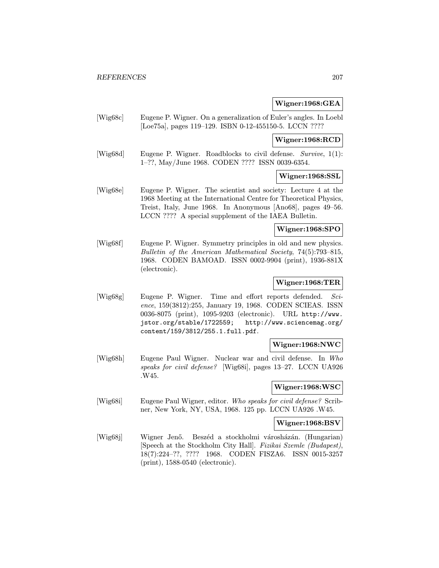# Wigner:1968:GEA

|                                                               | $\bf{W}$ igher; i $\bf{y}$ 00; GEA                                                                                                                                                                                                                                                                                                                                                                                                                                                                                                                                                                                                                                                                                                                                                                                                                                                                                                                                                                                                                                                                                                                                                                                                                                                                                          |
|---------------------------------------------------------------|-----------------------------------------------------------------------------------------------------------------------------------------------------------------------------------------------------------------------------------------------------------------------------------------------------------------------------------------------------------------------------------------------------------------------------------------------------------------------------------------------------------------------------------------------------------------------------------------------------------------------------------------------------------------------------------------------------------------------------------------------------------------------------------------------------------------------------------------------------------------------------------------------------------------------------------------------------------------------------------------------------------------------------------------------------------------------------------------------------------------------------------------------------------------------------------------------------------------------------------------------------------------------------------------------------------------------------|
|                                                               |                                                                                                                                                                                                                                                                                                                                                                                                                                                                                                                                                                                                                                                                                                                                                                                                                                                                                                                                                                                                                                                                                                                                                                                                                                                                                                                             |
|                                                               | Wigner:1968:RCD                                                                                                                                                                                                                                                                                                                                                                                                                                                                                                                                                                                                                                                                                                                                                                                                                                                                                                                                                                                                                                                                                                                                                                                                                                                                                                             |
|                                                               |                                                                                                                                                                                                                                                                                                                                                                                                                                                                                                                                                                                                                                                                                                                                                                                                                                                                                                                                                                                                                                                                                                                                                                                                                                                                                                                             |
|                                                               | Wigner:1968:SSL                                                                                                                                                                                                                                                                                                                                                                                                                                                                                                                                                                                                                                                                                                                                                                                                                                                                                                                                                                                                                                                                                                                                                                                                                                                                                                             |
|                                                               |                                                                                                                                                                                                                                                                                                                                                                                                                                                                                                                                                                                                                                                                                                                                                                                                                                                                                                                                                                                                                                                                                                                                                                                                                                                                                                                             |
|                                                               | Wigner:1968:SPO                                                                                                                                                                                                                                                                                                                                                                                                                                                                                                                                                                                                                                                                                                                                                                                                                                                                                                                                                                                                                                                                                                                                                                                                                                                                                                             |
| (electronic).                                                 |                                                                                                                                                                                                                                                                                                                                                                                                                                                                                                                                                                                                                                                                                                                                                                                                                                                                                                                                                                                                                                                                                                                                                                                                                                                                                                                             |
|                                                               | Wigner:1968:TER                                                                                                                                                                                                                                                                                                                                                                                                                                                                                                                                                                                                                                                                                                                                                                                                                                                                                                                                                                                                                                                                                                                                                                                                                                                                                                             |
| jstor.org/stable/1722559;<br>content/159/3812/255.1.full.pdf. | $Sci$ -<br>http://www.sciencemag.org/                                                                                                                                                                                                                                                                                                                                                                                                                                                                                                                                                                                                                                                                                                                                                                                                                                                                                                                                                                                                                                                                                                                                                                                                                                                                                       |
|                                                               | Wigner:1968:NWC                                                                                                                                                                                                                                                                                                                                                                                                                                                                                                                                                                                                                                                                                                                                                                                                                                                                                                                                                                                                                                                                                                                                                                                                                                                                                                             |
| .W45.                                                         | $\ln$ Who                                                                                                                                                                                                                                                                                                                                                                                                                                                                                                                                                                                                                                                                                                                                                                                                                                                                                                                                                                                                                                                                                                                                                                                                                                                                                                                   |
|                                                               | Wigner:1968:WSC                                                                                                                                                                                                                                                                                                                                                                                                                                                                                                                                                                                                                                                                                                                                                                                                                                                                                                                                                                                                                                                                                                                                                                                                                                                                                                             |
|                                                               |                                                                                                                                                                                                                                                                                                                                                                                                                                                                                                                                                                                                                                                                                                                                                                                                                                                                                                                                                                                                                                                                                                                                                                                                                                                                                                                             |
|                                                               | Wigner:1968:BSV                                                                                                                                                                                                                                                                                                                                                                                                                                                                                                                                                                                                                                                                                                                                                                                                                                                                                                                                                                                                                                                                                                                                                                                                                                                                                                             |
| Wigner Jenő.<br>$(print), 1588-0540$ (electronic).            |                                                                                                                                                                                                                                                                                                                                                                                                                                                                                                                                                                                                                                                                                                                                                                                                                                                                                                                                                                                                                                                                                                                                                                                                                                                                                                                             |
|                                                               | Eugene P. Wigner. On a generalization of Euler's angles. In Loebl<br>[Loe75a], pages 119–129. ISBN 0-12-455150-5. LCCN ????<br>Eugene P. Wigner. Roadblocks to civil defense. Survive, $1(1)$ :<br>1-??, May/June 1968. CODEN ???? ISSN 0039-6354.<br>Eugene P. Wigner. The scientist and society: Lecture 4 at the<br>1968 Meeting at the International Centre for Theoretical Physics,<br>Treist, Italy, June 1968. In Anonymous [Ano68], pages 49–56.<br>LCCN ???? A special supplement of the IAEA Bulletin.<br>Eugene P. Wigner. Symmetry principles in old and new physics.<br>Bulletin of the American Mathematical Society, 74(5):793-815,<br>1968. CODEN BAMOAD. ISSN 0002-9904 (print), 1936-881X<br>Eugene P. Wigner. Time and effort reports defended.<br>ence, 159(3812):255, January 19, 1968. CODEN SCIEAS. ISSN<br>0036-8075 (print), 1095-9203 (electronic). URL http://www.<br>Eugene Paul Wigner. Nuclear war and civil defense.<br>speaks for civil defense? [Wig68i], pages 13-27. LCCN UA926<br>Eugene Paul Wigner, editor. Who speaks for civil defense? Scrib-<br>ner, New York, NY, USA, 1968. 125 pp. LCCN UA926 .W45.<br>Beszéd a stockholmi városházán. (Hungarian)<br>[Speech at the Stockholm City Hall]. Fizikai Szemle (Budapest),<br>18(7):224-??, ???? 1968. CODEN FISZA6. ISSN 0015-3257 |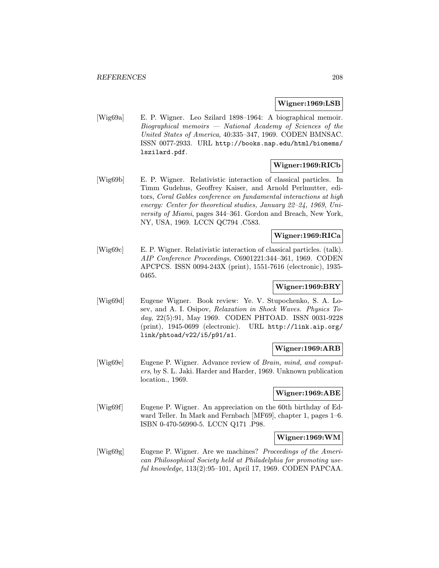#### Wigner:1969:LSB

[Wig69a] E. P. Wigner. Leo Szilard 1898–1964: A biographical memoir. Biographical memoirs — National Academy of Sciences of the United States of America, 40:335–347, 1969. CODEN BMNSAC. ISSN 0077-2933. URL http://books.nap.edu/html/biomems/ lszilard.pdf.

#### Wigner:1969:RICb

[Wig69b] E. P. Wigner. Relativistic interaction of classical particles. In Timm Gudehus, Geoffrey Kaiser, and Arnold Perlmutter, editors, Coral Gables conference on fundamental interactions at high energy: Center for theoretical studies, January 22–24, 1969, University of Miami, pages 344–361. Gordon and Breach, New York, NY, USA, 1969. LCCN QC794 .C583.

## Wigner:1969:RICa

[Wig69c] E. P. Wigner. Relativistic interaction of classical particles. (talk). AIP Conference Proceedings, C6901221:344–361, 1969. CODEN APCPCS. ISSN 0094-243X (print), 1551-7616 (electronic), 1935- 0465.

## Wigner:1969:BRY

[Wig69d] Eugene Wigner. Book review: Ye. V. Stupochenko, S. A. Losev, and A. I. Osipov, Relaxation in Shock Waves. Physics Today, 22(5):91, May 1969. CODEN PHTOAD. ISSN 0031-9228 (print), 1945-0699 (electronic). URL http://link.aip.org/ link/phtoad/v22/i5/p91/s1.

## Wigner:1969:ARB

[Wig69e] Eugene P. Wigner. Advance review of Brain, mind, and computers, by S. L. Jaki. Harder and Harder, 1969. Unknown publication location., 1969.

#### Wigner:1969:ABE

[Wig69f] Eugene P. Wigner. An appreciation on the 60th birthday of Edward Teller. In Mark and Fernbach [MF69], chapter 1, pages 1–6. ISBN 0-470-56990-5. LCCN Q171 .P98.

## Wigner:1969:WM

[Wig69g] Eugene P. Wigner. Are we machines? Proceedings of the American Philosophical Society held at Philadelphia for promoting useful knowledge, 113(2):95–101, April 17, 1969. CODEN PAPCAA.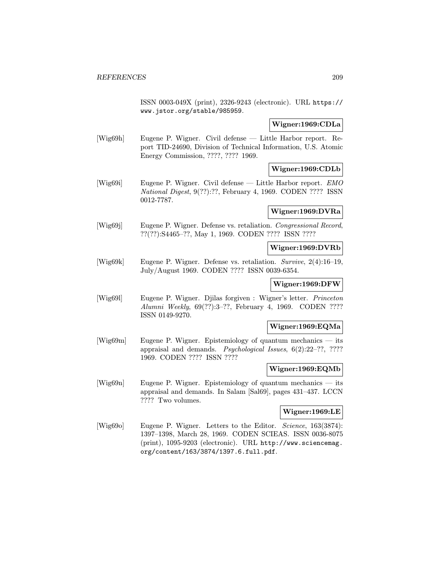ISSN 0003-049X (print), 2326-9243 (electronic). URL https:// www.jstor.org/stable/985959.

## Wigner:1969:CDLa

[Wig69h] Eugene P. Wigner. Civil defense — Little Harbor report. Report TID-24690, Division of Technical Information, U.S. Atomic Energy Commission, ????, ???? 1969.

# Wigner:1969:CDLb

[Wig69i] Eugene P. Wigner. Civil defense — Little Harbor report. EMO National Digest, 9(??):??, February 4, 1969. CODEN ???? ISSN 0012-7787.

Wigner:1969:DVRa

[Wig69j] Eugene P. Wigner. Defense vs. retaliation. *Congressional Record*, ??(??):S4465–??, May 1, 1969. CODEN ???? ISSN ????

Wigner:1969:DVRb

[Wig69k] Eugene P. Wigner. Defense vs. retaliation. Survive, 2(4):16–19, July/August 1969. CODEN ???? ISSN 0039-6354.

Wigner:1969:DFW

[Wig69l] Eugene P. Wigner. Djilas forgiven : Wigner's letter. Princeton Alumni Weekly, 69(??):3–??, February 4, 1969. CODEN ???? ISSN 0149-9270.

#### Wigner:1969:EQMa

[Wig69m] Eugene P. Wigner. Epistemiology of quantum mechanics — its appraisal and demands. Psychological Issues, 6(2):22–??, ???? 1969. CODEN ???? ISSN ????

## Wigner:1969:EQMb

[Wig69n] Eugene P. Wigner. Epistemiology of quantum mechanics — its appraisal and demands. In Salam [Sal69], pages 431–437. LCCN ???? Two volumes.

#### Wigner:1969:LE

[Wig69o] Eugene P. Wigner. Letters to the Editor. Science, 163(3874): 1397–1398, March 28, 1969. CODEN SCIEAS. ISSN 0036-8075 (print), 1095-9203 (electronic). URL http://www.sciencemag. org/content/163/3874/1397.6.full.pdf.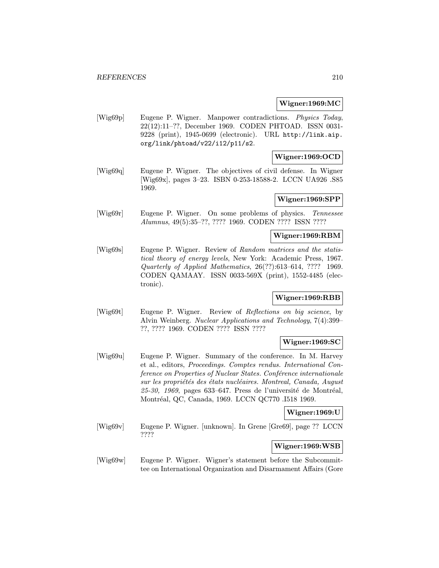#### Wigner:1969:MC

[Wig69p] Eugene P. Wigner. Manpower contradictions. Physics Today, 22(12):11–??, December 1969. CODEN PHTOAD. ISSN 0031- 9228 (print), 1945-0699 (electronic). URL http://link.aip. org/link/phtoad/v22/i12/p11/s2.

#### Wigner:1969:OCD

[Wig69q] Eugene P. Wigner. The objectives of civil defense. In Wigner [Wig69x], pages 3–23. ISBN 0-253-18588-2. LCCN UA926 .S85 1969.

#### Wigner:1969:SPP

[Wig69r] Eugene P. Wigner. On some problems of physics. Tennessee Alumnus, 49(5):35–??, ???? 1969. CODEN ???? ISSN ????

## Wigner:1969:RBM

[Wig69s] Eugene P. Wigner. Review of Random matrices and the statistical theory of energy levels, New York: Academic Press, 1967. Quarterly of Applied Mathematics, 26(??):613–614, ???? 1969. CODEN QAMAAY. ISSN 0033-569X (print), 1552-4485 (electronic).

# Wigner:1969:RBB

[Wig69t] Eugene P. Wigner. Review of Reflections on big science, by Alvin Weinberg. Nuclear Applications and Technology, 7(4):399– ??, ???? 1969. CODEN ???? ISSN ????

## Wigner:1969:SC

[Wig69u] Eugene P. Wigner. Summary of the conference. In M. Harvey et al., editors, Proceedings. Comptes rendus. International Conference on Properties of Nuclear States. Conférence internationale sur les propriétés des états nucléaires. Montreal, Canada, August  $25-30$ ,  $1969$ , pages  $633-647$ . Press de l'université de Montréal, Montréal, QC, Canada, 1969. LCCN QC770 .I518 1969.

#### Wigner:1969:U

[Wig69v] Eugene P. Wigner. [unknown]. In Grene [Gre69], page ?? LCCN ????

## Wigner:1969:WSB

[Wig69w] Eugene P. Wigner. Wigner's statement before the Subcommittee on International Organization and Disarmament Affairs (Gore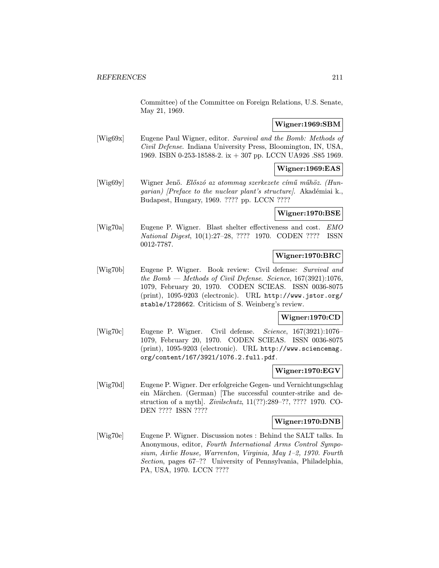Committee) of the Committee on Foreign Relations, U.S. Senate, May 21, 1969.

## Wigner:1969:SBM

[Wig69x] Eugene Paul Wigner, editor. Survival and the Bomb: Methods of Civil Defense. Indiana University Press, Bloomington, IN, USA, 1969. ISBN 0-253-18588-2. ix + 307 pp. LCCN UA926 .S85 1969.

## Wigner:1969:EAS

[Wig69y] Wigner Jenő. Előszó az atommag szerkezete című műhöz. (Hun $qarian)$  [Preface to the nuclear plant's structure]. Akadémiai k., Budapest, Hungary, 1969. ???? pp. LCCN ????

## Wigner:1970:BSE

[Wig70a] Eugene P. Wigner. Blast shelter effectiveness and cost. EMO National Digest, 10(1):27–28, ???? 1970. CODEN ???? ISSN 0012-7787.

## Wigner:1970:BRC

[Wig70b] Eugene P. Wigner. Book review: Civil defense: Survival and the Bomb — Methods of Civil Defense. Science,  $167(3921):1076$ , 1079, February 20, 1970. CODEN SCIEAS. ISSN 0036-8075 (print), 1095-9203 (electronic). URL http://www.jstor.org/ stable/1728662. Criticism of S. Weinberg's review.

#### Wigner:1970:CD

[Wig70c] Eugene P. Wigner. Civil defense. Science, 167(3921):1076– 1079, February 20, 1970. CODEN SCIEAS. ISSN 0036-8075 (print), 1095-9203 (electronic). URL http://www.sciencemag. org/content/167/3921/1076.2.full.pdf.

#### Wigner:1970:EGV

[Wig70d] Eugene P. Wigner. Der erfolgreiche Gegen- und Vernichtungschlag ein Märchen. (German) [The successful counter-strike and destruction of a myth]. Zivilschutz, 11(??):289–??, ???? 1970. CO-DEN ???? ISSN ????

#### Wigner:1970:DNB

[Wig70e] Eugene P. Wigner. Discussion notes : Behind the SALT talks. In Anonymous, editor, Fourth International Arms Control Symposium, Airlie House, Warrenton, Virginia, May 1–2, 1970. Fourth Section, pages 67–?? University of Pennsylvania, Philadelphia, PA, USA, 1970. LCCN ????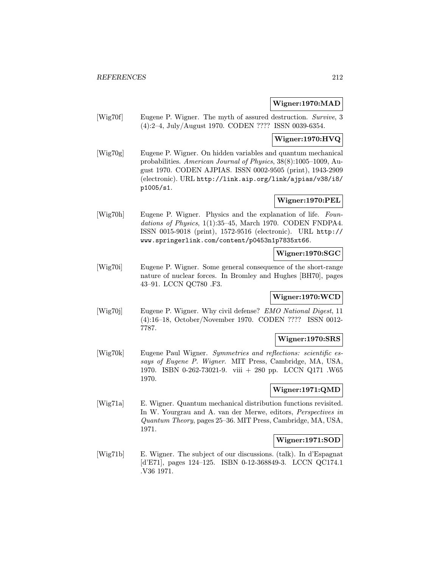### Wigner:1970:MAD

[Wig70f] Eugene P. Wigner. The myth of assured destruction. Survive, 3 (4):2–4, July/August 1970. CODEN ???? ISSN 0039-6354.

# Wigner:1970:HVQ

[Wig70g] Eugene P. Wigner. On hidden variables and quantum mechanical probabilities. American Journal of Physics, 38(8):1005–1009, August 1970. CODEN AJPIAS. ISSN 0002-9505 (print), 1943-2909 (electronic). URL http://link.aip.org/link/ajpias/v38/i8/ p1005/s1.

# Wigner:1970:PEL

[Wig70h] Eugene P. Wigner. Physics and the explanation of life. Foundations of Physics,  $1(1):35-45$ , March 1970. CODEN FNDPA4. ISSN 0015-9018 (print), 1572-9516 (electronic). URL http:// www.springerlink.com/content/p0453n1p7835xt66.

#### Wigner:1970:SGC

[Wig70i] Eugene P. Wigner. Some general consequence of the short-range nature of nuclear forces. In Bromley and Hughes [BH70], pages 43–91. LCCN QC780 .F3.

#### Wigner:1970:WCD

[Wig70j] Eugene P. Wigner. Why civil defense? EMO National Digest, 11 (4):16–18, October/November 1970. CODEN ???? ISSN 0012- 7787.

# Wigner:1970:SRS

[Wig70k] Eugene Paul Wigner. Symmetries and reflections: scientific essays of Eugene P. Wigner. MIT Press, Cambridge, MA, USA, 1970. ISBN 0-262-73021-9. viii + 280 pp. LCCN Q171 .W65 1970.

# Wigner:1971:QMD

[Wig71a] E. Wigner. Quantum mechanical distribution functions revisited. In W. Yourgrau and A. van der Merwe, editors, Perspectives in Quantum Theory, pages 25–36. MIT Press, Cambridge, MA, USA, 1971.

## Wigner:1971:SOD

[Wig71b] E. Wigner. The subject of our discussions. (talk). In d'Espagnat [d'E71], pages 124–125. ISBN 0-12-368849-3. LCCN QC174.1 .V36 1971.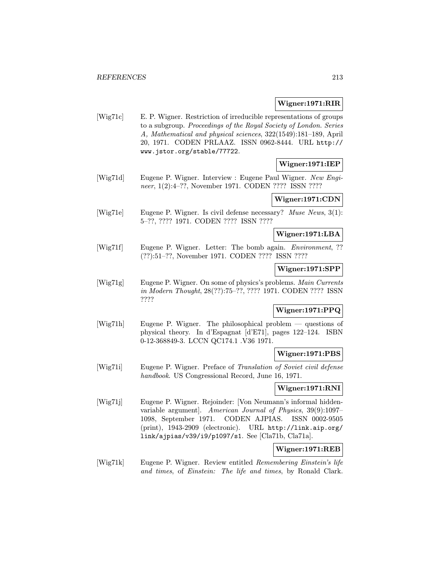#### Wigner:1971:RIR

[Wig71c] E. P. Wigner. Restriction of irreducible representations of groups to a subgroup. Proceedings of the Royal Society of London. Series A, Mathematical and physical sciences, 322(1549):181–189, April 20, 1971. CODEN PRLAAZ. ISSN 0962-8444. URL http:// www.jstor.org/stable/77722.

#### Wigner:1971:IEP

[Wig71d] Eugene P. Wigner. Interview : Eugene Paul Wigner. New Engineer, 1(2):4–??, November 1971. CODEN ???? ISSN ????

## Wigner:1971:CDN

[Wig71e] Eugene P. Wigner. Is civil defense necessary? Muse News, 3(1): 5–??, ???? 1971. CODEN ???? ISSN ????

## Wigner:1971:LBA

[Wig71f] Eugene P. Wigner. Letter: The bomb again. *Environment*, ?? (??):51–??, November 1971. CODEN ???? ISSN ????

#### Wigner:1971:SPP

[Wig71g] Eugene P. Wigner. On some of physics's problems. Main Currents in Modern Thought, 28(??):75–??, ???? 1971. CODEN ???? ISSN ????

# Wigner:1971:PPQ

[Wig71h] Eugene P. Wigner. The philosophical problem — questions of physical theory. In d'Espagnat [d'E71], pages 122–124. ISBN 0-12-368849-3. LCCN QC174.1 .V36 1971.

### Wigner:1971:PBS

[Wig71i] Eugene P. Wigner. Preface of Translation of Soviet civil defense handbook. US Congressional Record, June 16, 1971.

#### Wigner:1971:RNI

[Wig71j] Eugene P. Wigner. Rejoinder: [Von Neumann's informal hiddenvariable argument]. American Journal of Physics, 39(9):1097– 1098, September 1971. CODEN AJPIAS. ISSN 0002-9505 (print), 1943-2909 (electronic). URL http://link.aip.org/ link/ajpias/v39/i9/p1097/s1. See [Cla71b, Cla71a].

## Wigner:1971:REB

[Wig71k] Eugene P. Wigner. Review entitled Remembering Einstein's life and times, of Einstein: The life and times, by Ronald Clark.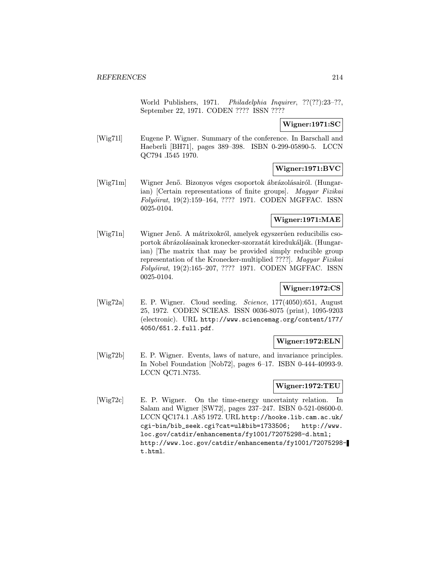World Publishers, 1971. Philadelphia Inquirer, ??(??):23–??, September 22, 1971. CODEN ???? ISSN ????

# Wigner:1971:SC

[Wig71l] Eugene P. Wigner. Summary of the conference. In Barschall and Haeberli [BH71], pages 389–398. ISBN 0-299-05890-5. LCCN QC794 .I545 1970.

# Wigner:1971:BVC

[Wig71m] Wigner Jenő. Bizonyos véges csoportok ábrázolásairól. (Hungarian) [Certain representations of finite groups]. Magyar Fizikai Folyóirat, 19(2):159-164, ???? 1971. CODEN MGFFAC. ISSN 0025-0104.

## Wigner:1971:MAE

[Wig71n] Wigner Jenő. A mátrixokról, amelyek egyszerûen reducibilis csoportok ábrázolásainak kronecker-szorzatát kiredukálják. (Hungarian) [The matrix that may be provided simply reducible group representation of the Kronecker-multiplied ????]. Magyar Fizikai Folyóirat, 19(2):165-207, ???? 1971. CODEN MGFFAC. ISSN 0025-0104.

# Wigner:1972:CS

[Wig72a] E. P. Wigner. Cloud seeding. Science, 177(4050):651, August 25, 1972. CODEN SCIEAS. ISSN 0036-8075 (print), 1095-9203 (electronic). URL http://www.sciencemag.org/content/177/ 4050/651.2.full.pdf.

#### Wigner:1972:ELN

[Wig72b] E. P. Wigner. Events, laws of nature, and invariance principles. In Nobel Foundation [Nob72], pages 6–17. ISBN 0-444-40993-9. LCCN QC71.N735.

#### Wigner:1972:TEU

[Wig72c] E. P. Wigner. On the time-energy uncertainty relation. In Salam and Wigner [SW72], pages 237–247. ISBN 0-521-08600-0. LCCN QC174.1 .A85 1972. URL http://hooke.lib.cam.ac.uk/ cgi-bin/bib\_seek.cgi?cat=ul&bib=1733506; http://www. loc.gov/catdir/enhancements/fy1001/72075298-d.html; http://www.loc.gov/catdir/enhancements/fy1001/72075298 t.html.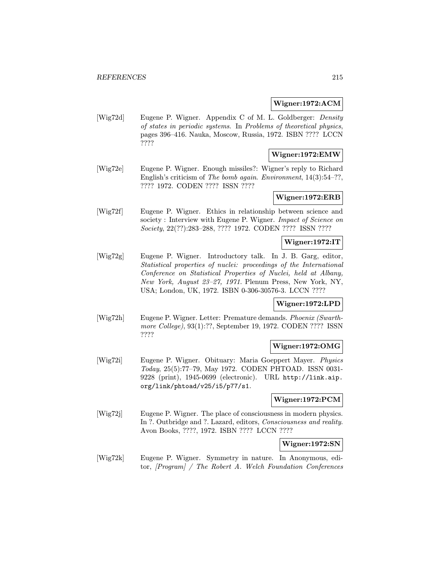#### Wigner:1972:ACM

[Wig72d] Eugene P. Wigner. Appendix C of M. L. Goldberger: Density of states in periodic systems. In Problems of theoretical physics, pages 396–416. Nauka, Moscow, Russia, 1972. ISBN ???? LCCN ????

# Wigner:1972:EMW

[Wig72e] Eugene P. Wigner. Enough missiles?: Wigner's reply to Richard English's criticism of The bomb again. Environment, 14(3):54–??, ???? 1972. CODEN ???? ISSN ????

## Wigner:1972:ERB

[Wig72f] Eugene P. Wigner. Ethics in relationship between science and society : Interview with Eugene P. Wigner. Impact of Science on Society, 22(??):283–288, ???? 1972. CODEN ???? ISSN ????

#### Wigner:1972:IT

[Wig72g] Eugene P. Wigner. Introductory talk. In J. B. Garg, editor, Statistical properties of nuclei: proceedings of the International Conference on Statistical Properties of Nuclei, held at Albany, New York, August 23–27, 1971. Plenum Press, New York, NY, USA; London, UK, 1972. ISBN 0-306-30576-3. LCCN ????

#### Wigner:1972:LPD

[Wig72h] Eugene P. Wigner. Letter: Premature demands. Phoenix (Swarthmore College), 93(1):??, September 19, 1972. CODEN ???? ISSN ????

## Wigner:1972:OMG

[Wig72i] Eugene P. Wigner. Obituary: Maria Goeppert Mayer. Physics Today, 25(5):77–79, May 1972. CODEN PHTOAD. ISSN 0031- 9228 (print), 1945-0699 (electronic). URL http://link.aip. org/link/phtoad/v25/i5/p77/s1.

#### Wigner:1972:PCM

[Wig72j] Eugene P. Wigner. The place of consciousness in modern physics. In ?. Outbridge and ?. Lazard, editors, Consciousness and reality. Avon Books, ????, 1972. ISBN ???? LCCN ????

#### Wigner:1972:SN

[Wig72k] Eugene P. Wigner. Symmetry in nature. In Anonymous, editor, [Program] / The Robert A. Welch Foundation Conferences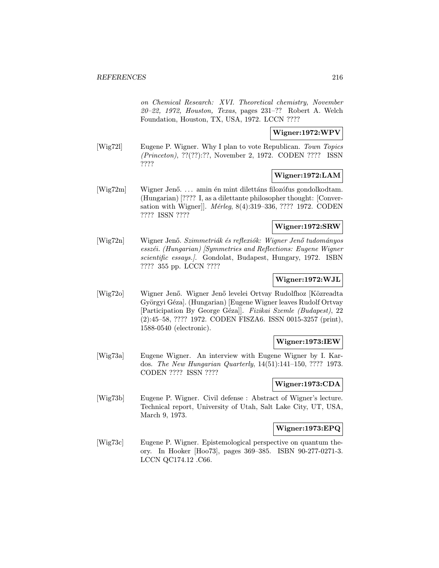on Chemical Research: XVI. Theoretical chemistry, November 20–22, 1972, Houston, Texas, pages 231–?? Robert A. Welch Foundation, Houston, TX, USA, 1972. LCCN ????

## Wigner:1972:WPV

[Wig72l] Eugene P. Wigner. Why I plan to vote Republican. Town Topics (Princeton), ??(??):??, November 2, 1972. CODEN ???? ISSN ????

# Wigner:1972:LAM

 $[Wig72m]$  Wigner Jenő.... amin én mint dilettáns filozófus gondolkodtam. (Hungarian) [???? I, as a dilettante philosopher thought: [Conversation with Wigner]]. *Mérleg*, 8(4):319–336, ???? 1972. CODEN ???? ISSN ????

## Wigner:1972:SRW

[Wig72n] Wigner Jenő. Szimmetriák és reflexiók: Wigner Jenő tudományos  $\emph{essz\'ei.}$  (Hungarian) [Symmetries and Reflections: Eugene Wigner scientific essays.]. Gondolat, Budapest, Hungary, 1972. ISBN ???? 355 pp. LCCN ????

## Wigner:1972:WJL

[Wig72o] Wigner Jenő. Wigner Jenő levelei Ortvay Rudolfhoz [Közreadta Györgyi Géza]. (Hungarian) [Eugene Wigner leaves Rudolf Ortvay [Participation By George Géza]]. Fizikai Szemle (Budapest), 22 (2):45–58, ???? 1972. CODEN FISZA6. ISSN 0015-3257 (print), 1588-0540 (electronic).

## Wigner:1973:IEW

[Wig73a] Eugene Wigner. An interview with Eugene Wigner by I. Kardos. The New Hungarian Quarterly, 14(51):141–150, ???? 1973. CODEN ???? ISSN ????

# Wigner:1973:CDA

[Wig73b] Eugene P. Wigner. Civil defense : Abstract of Wigner's lecture. Technical report, University of Utah, Salt Lake City, UT, USA, March 9, 1973.

## Wigner:1973:EPQ

[Wig73c] Eugene P. Wigner. Epistemological perspective on quantum theory. In Hooker [Hoo73], pages 369–385. ISBN 90-277-0271-3. LCCN QC174.12 .C66.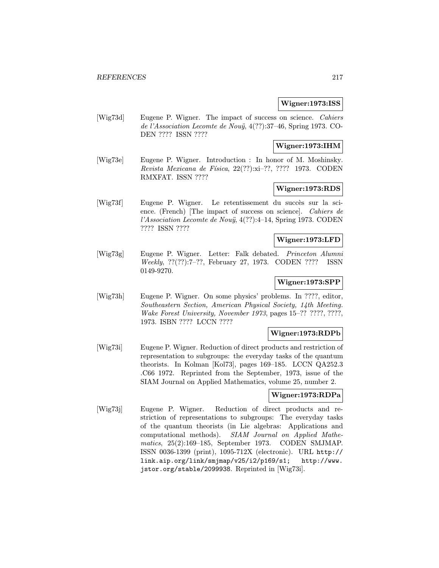### Wigner:1973:ISS

[Wig73d] Eugene P. Wigner. The impact of success on science. Cahiers de l'Association Lecomte de Nou $\ddot{y}$ , 4(??):37-46, Spring 1973. CO-DEN ???? ISSN ????

### Wigner:1973:IHM

[Wig73e] Eugene P. Wigner. Introduction : In honor of M. Moshinsky. Revista Mexicana de Física, 22(??):xi-??, ???? 1973. CODEN RMXFAT. ISSN ????

# Wigner:1973:RDS

[Wig73f] Eugene P. Wigner. Le retentissement du succès sur la science. (French) [The impact of success on science]. Cahiers de l'Association Lecomte de Nouÿ,  $4(??)!$ :4-14, Spring 1973. CODEN ???? ISSN ????

# Wigner:1973:LFD

[Wig73g] Eugene P. Wigner. Letter: Falk debated. Princeton Alumni Weekly, ??(??):7–??, February 27, 1973. CODEN ???? ISSN 0149-9270.

### Wigner:1973:SPP

[Wig73h] Eugene P. Wigner. On some physics' problems. In ????, editor, Southeastern Section, American Physical Society, 14th Meeting. Wake Forest University, November 1973, pages 15–?? ????, ????, 1973. ISBN ???? LCCN ????

## Wigner:1973:RDPb

[Wig73i] Eugene P. Wigner. Reduction of direct products and restriction of representation to subgroups: the everyday tasks of the quantum theorists. In Kolman [Kol73], pages 169–185. LCCN QA252.3 .C66 1972. Reprinted from the September, 1973, issue of the SIAM Journal on Applied Mathematics, volume 25, number 2.

### Wigner:1973:RDPa

[Wig73j] Eugene P. Wigner. Reduction of direct products and restriction of representations to subgroups: The everyday tasks of the quantum theorists (in Lie algebras: Applications and computational methods). SIAM Journal on Applied Mathematics, 25(2):169–185, September 1973. CODEN SMJMAP. ISSN 0036-1399 (print), 1095-712X (electronic). URL http:// link.aip.org/link/smjmap/v25/i2/p169/s1; http://www. jstor.org/stable/2099938. Reprinted in [Wig73i].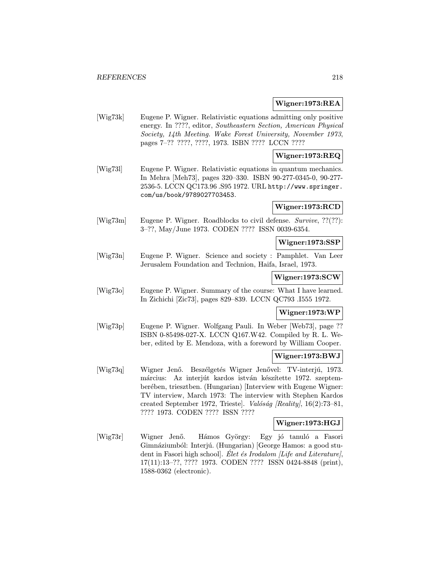### Wigner:1973:REA

[Wig73k] Eugene P. Wigner. Relativistic equations admitting only positive energy. In ????, editor, Southeastern Section, American Physical Society, 14th Meeting. Wake Forest University, November 1973, pages 7–?? ????, ????, 1973. ISBN ???? LCCN ????

### Wigner:1973:REQ

[Wig73l] Eugene P. Wigner. Relativistic equations in quantum mechanics. In Mehra [Meh73], pages 320–330. ISBN 90-277-0345-0, 90-277- 2536-5. LCCN QC173.96 .S95 1972. URL http://www.springer. com/us/book/9789027703453.

# Wigner:1973:RCD

[Wig73m] Eugene P. Wigner. Roadblocks to civil defense. Survive, ??(??): 3–??, May/June 1973. CODEN ???? ISSN 0039-6354.

### Wigner:1973:SSP

[Wig73n] Eugene P. Wigner. Science and society : Pamphlet. Van Leer Jerusalem Foundation and Technion, Haifa, Israel, 1973.

### Wigner:1973:SCW

[Wig73o] Eugene P. Wigner. Summary of the course: What I have learned. In Zichichi [Zic73], pages 829–839. LCCN QC793 .I555 1972.

### Wigner:1973:WP

[Wig73p] Eugene P. Wigner. Wolfgang Pauli. In Weber [Web73], page ?? ISBN 0-85498-027-X. LCCN Q167.W42. Compiled by R. L. Weber, edited by E. Mendoza, with a foreword by William Cooper.

### Wigner:1973:BWJ

[Wig73q] Wigner Jenő. Beszélgetés Wigner Jenővel: TV-interjú, 1973. március: Az interjút kardos istván készítette 1972. szeptemberében, triesztben. (Hungarian) [Interview with Eugene Wigner: TV interview, March 1973: The interview with Stephen Kardos created September 1972, Triestel. Valóság [Reality],  $16(2)$ :73–81, ???? 1973. CODEN ???? ISSN ????

### Wigner:1973:HGJ

[Wig73r] Wigner Jenő. Hámos György: Egy jó tanuló a Fasori Gimnáziumból: Interjú. (Hungarian) [George Hamos: a good student in Fasori high school]. Elet és Irodalom [Life and Literature], 17(11):13–??, ???? 1973. CODEN ???? ISSN 0424-8848 (print), 1588-0362 (electronic).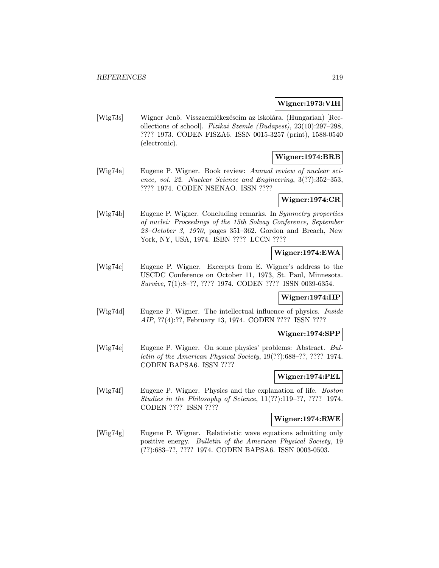### Wigner:1973:VIH

[Wig73s] Wigner Jenő. Visszaemlékezéseim az iskolára. (Hungarian) [Recollections of school]. Fizikai Szemle (Budapest), 23(10):297–298, ???? 1973. CODEN FISZA6. ISSN 0015-3257 (print), 1588-0540 (electronic).

### Wigner:1974:BRB

[Wig74a] Eugene P. Wigner. Book review: Annual review of nuclear science, vol. 22. Nuclear Science and Engineering, 3(??):352–353, ???? 1974. CODEN NSENAO. ISSN ????

# Wigner:1974:CR

[Wig74b] Eugene P. Wigner. Concluding remarks. In Symmetry properties of nuclei: Proceedings of the 15th Solvay Conference, September  $28-October$  3, 1970, pages 351–362. Gordon and Breach, New York, NY, USA, 1974. ISBN ???? LCCN ????

# Wigner:1974:EWA

[Wig74c] Eugene P. Wigner. Excerpts from E. Wigner's address to the USCDC Conference on October 11, 1973, St. Paul, Minnesota. Survive, 7(1):8–??, ???? 1974. CODEN ???? ISSN 0039-6354.

### Wigner:1974:IIP

[Wig74d] Eugene P. Wigner. The intellectual influence of physics. Inside AIP, ??(4):??, February 13, 1974. CODEN ???? ISSN ????

#### Wigner:1974:SPP

[Wig74e] Eugene P. Wigner. On some physics' problems: Abstract. Bulletin of the American Physical Society, 19(??):688–??, ???? 1974. CODEN BAPSA6. ISSN ????

### Wigner:1974:PEL

[Wig74f] Eugene P. Wigner. Physics and the explanation of life. Boston Studies in the Philosophy of Science, 11(??):119–??, ???? 1974. CODEN ???? ISSN ????

# Wigner:1974:RWE

[Wig74g] Eugene P. Wigner. Relativistic wave equations admitting only positive energy. Bulletin of the American Physical Society, 19 (??):683–??, ???? 1974. CODEN BAPSA6. ISSN 0003-0503.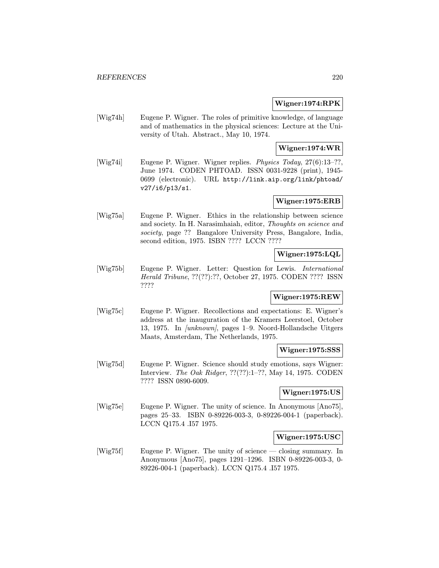### Wigner:1974:RPK

[Wig74h] Eugene P. Wigner. The roles of primitive knowledge, of language and of mathematics in the physical sciences: Lecture at the University of Utah. Abstract., May 10, 1974.

# Wigner:1974:WR

[Wig74i] Eugene P. Wigner. Wigner replies. Physics Today, 27(6):13–??, June 1974. CODEN PHTOAD. ISSN 0031-9228 (print), 1945- 0699 (electronic). URL http://link.aip.org/link/phtoad/ v27/i6/p13/s1.

# Wigner:1975:ERB

[Wig75a] Eugene P. Wigner. Ethics in the relationship between science and society. In H. Narasimhaiah, editor, Thoughts on science and society, page ?? Bangalore University Press, Bangalore, India, second edition, 1975. ISBN ???? LCCN ????

# Wigner:1975:LQL

[Wig75b] Eugene P. Wigner. Letter: Question for Lewis. International Herald Tribune, ??(??):??, October 27, 1975. CODEN ???? ISSN ????

# Wigner:1975:REW

[Wig75c] Eugene P. Wigner. Recollections and expectations: E. Wigner's address at the inauguration of the Kramers Leerstoel, October 13, 1975. In [unknown], pages 1–9. Noord-Hollandsche Uitgers Maats, Amsterdam, The Netherlands, 1975.

# Wigner:1975:SSS

[Wig75d] Eugene P. Wigner. Science should study emotions, says Wigner: Interview. The Oak Ridger, ??(??):1–??, May 14, 1975. CODEN ???? ISSN 0890-6009.

# Wigner:1975:US

[Wig75e] Eugene P. Wigner. The unity of science. In Anonymous [Ano75], pages 25–33. ISBN 0-89226-003-3, 0-89226-004-1 (paperback). LCCN Q175.4 .I57 1975.

### Wigner:1975:USC

[Wig75f] Eugene P. Wigner. The unity of science — closing summary. In Anonymous [Ano75], pages 1291–1296. ISBN 0-89226-003-3, 0- 89226-004-1 (paperback). LCCN Q175.4 .I57 1975.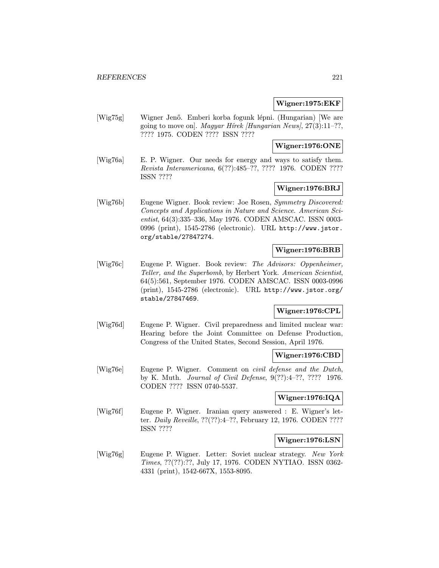### Wigner:1975:EKF

[Wig75g] Wigner Jenő. Emberi korba fogunk lépni. (Hungarian) [We are going to move on]. Magyar Hírek [Hungarian News],  $27(3):11-??$ , ???? 1975. CODEN ???? ISSN ????

### Wigner:1976:ONE

[Wig76a] E. P. Wigner. Our needs for energy and ways to satisfy them. Revista Interamericana, 6(??):485–??, ???? 1976. CODEN ???? ISSN ????

# Wigner:1976:BRJ

[Wig76b] Eugene Wigner. Book review: Joe Rosen, Symmetry Discovered: Concepts and Applications in Nature and Science. American Scientist, 64(3):335–336, May 1976. CODEN AMSCAC. ISSN 0003- 0996 (print), 1545-2786 (electronic). URL http://www.jstor. org/stable/27847274.

### Wigner:1976:BRB

[Wig76c] Eugene P. Wigner. Book review: The Advisors: Oppenheimer, Teller, and the Superbomb, by Herbert York. American Scientist, 64(5):561, September 1976. CODEN AMSCAC. ISSN 0003-0996 (print), 1545-2786 (electronic). URL http://www.jstor.org/ stable/27847469.

# Wigner:1976:CPL

[Wig76d] Eugene P. Wigner. Civil preparedness and limited nuclear war: Hearing before the Joint Committee on Defense Production, Congress of the United States, Second Session, April 1976.

### Wigner:1976:CBD

[Wig76e] Eugene P. Wigner. Comment on civil defense and the Dutch, by K. Muth. Journal of Civil Defense, 9(??):4–??, ???? 1976. CODEN ???? ISSN 0740-5537.

# Wigner:1976:IQA

[Wig76f] Eugene P. Wigner. Iranian query answered : E. Wigner's letter. Daily Reveille, ??(??):4-??, February 12, 1976. CODEN ???? ISSN ????

#### Wigner:1976:LSN

[Wig76g] Eugene P. Wigner. Letter: Soviet nuclear strategy. New York Times, ??(??):??, July 17, 1976. CODEN NYTIAO. ISSN 0362- 4331 (print), 1542-667X, 1553-8095.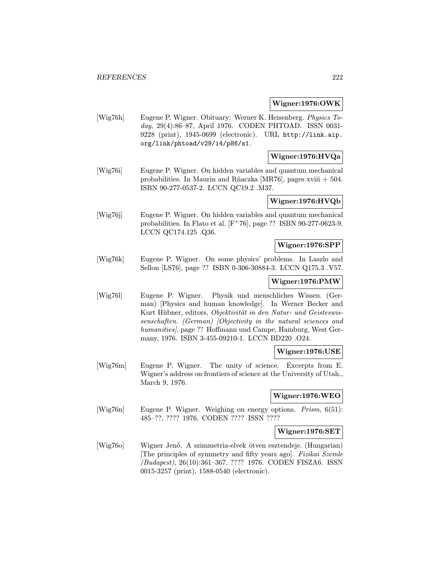#### Wigner:1976:OWK

[Wig76h] Eugene P. Wigner. Obituary: Werner K. Heisenberg. Physics Today, 29(4):86–87, April 1976. CODEN PHTOAD. ISSN 0031- 9228 (print), 1945-0699 (electronic). URL http://link.aip. org/link/phtoad/v29/i4/p86/s1.

# Wigner:1976:HVQa

[Wig76i] Eugene P. Wigner. On hidden variables and quantum mechanical probabilities. In Maurin and Rñaczka [MR76], pages xviii  $+ 504$ . ISBN 90-277-0537-2. LCCN QC19.2 .M37.

# Wigner:1976:HVQb

[Wig76j] Eugene P. Wigner. On hidden variables and quantum mechanical probabilities. In Flato et al. [F<sup>+</sup>76], page ?? ISBN 90-277-0623-9. LCCN QC174.125 .Q36.

# Wigner:1976:SPP

[Wig76k] Eugene P. Wigner. On some physics' problems. In Laszlo and Sellon [LS76], page ?? ISBN 0-306-30884-3. LCCN Q175.3 .V57.

## Wigner:1976:PMW

[Wig76l] Eugene P. Wigner. Physik und menschliches Wissen. (German) [Physics and human knowledge]. In Werner Becker and Kurt Hübner, editors, Objektivität in den Natur- und Geisteswissenschaften. (German) [Objectivity in the natural sciences and humanities, page ?? Hoffmann und Campe, Hamburg, West Germany, 1976. ISBN 3-455-09210-1. LCCN BD220 .O24.

#### Wigner:1976:USE

[Wig76m] Eugene P. Wigner. The unity of science. Excerpts from E. Wigner's address on frontiers of science at the University of Utah., March 9, 1976.

### Wigner:1976:WEO

[Wig76n] Eugene P. Wigner. Weighing on energy options. Prism, 6(51): 485–??, ???? 1976. CODEN ???? ISSN ????

#### Wigner:1976:SET

[Wig76o] Wigner Jenő. A szimmetria-elvek ötven esztendeje. (Hungarian) [The principles of symmetry and fifty years ago]. Fizikai Szemle (Budapest), 26(10):361–367, ???? 1976. CODEN FISZA6. ISSN 0015-3257 (print), 1588-0540 (electronic).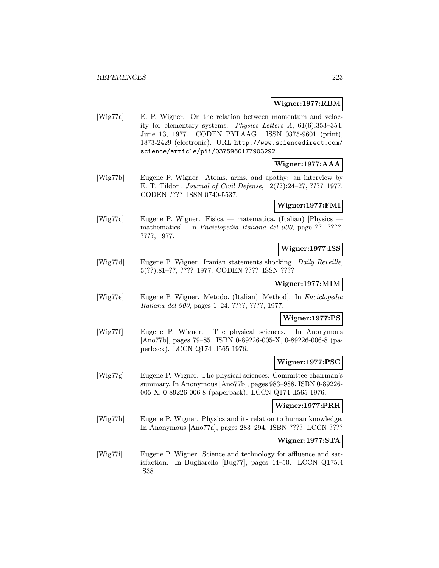### Wigner:1977:RBM

[Wig77a] E. P. Wigner. On the relation between momentum and velocity for elementary systems. Physics Letters A, 61(6):353–354, June 13, 1977. CODEN PYLAAG. ISSN 0375-9601 (print), 1873-2429 (electronic). URL http://www.sciencedirect.com/ science/article/pii/0375960177903292.

# Wigner:1977:AAA

[Wig77b] Eugene P. Wigner. Atoms, arms, and apathy: an interview by E. T. Tildon. Journal of Civil Defense, 12(??):24–27, ???? 1977. CODEN ???? ISSN 0740-5537.

# Wigner:1977:FMI

[Wig77c] Eugene P. Wigner. Fisica — matematica. (Italian) [Physics mathematics]. In Enciclopedia Italiana del 900, page ?? ????, ????, 1977.

# Wigner:1977:ISS

[Wig77d] Eugene P. Wigner. Iranian statements shocking. Daily Reveille, 5(??):81–??, ???? 1977. CODEN ???? ISSN ????

# Wigner:1977:MIM

[Wig77e] Eugene P. Wigner. Metodo. (Italian) [Method]. In Enciclopedia Italiana del 900, pages 1–24. ????, ????, 1977.

# Wigner:1977:PS

[Wig77f] Eugene P. Wigner. The physical sciences. In Anonymous [Ano77b], pages 79–85. ISBN 0-89226-005-X, 0-89226-006-8 (paperback). LCCN Q174 .I565 1976.

### Wigner:1977:PSC

[Wig77g] Eugene P. Wigner. The physical sciences: Committee chairman's summary. In Anonymous [Ano77b], pages 983–988. ISBN 0-89226- 005-X, 0-89226-006-8 (paperback). LCCN Q174 .I565 1976.

### Wigner:1977:PRH

[Wig77h] Eugene P. Wigner. Physics and its relation to human knowledge. In Anonymous [Ano77a], pages 283–294. ISBN ???? LCCN ????

#### Wigner:1977:STA

[Wig77i] Eugene P. Wigner. Science and technology for affluence and satisfaction. In Bugliarello [Bug77], pages 44–50. LCCN Q175.4 .S38.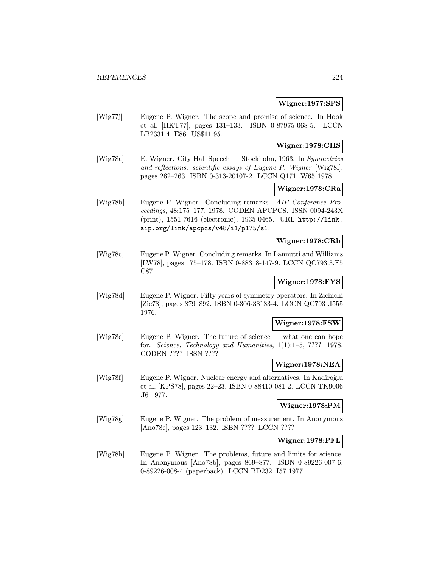### Wigner:1977:SPS

[Wig77j] Eugene P. Wigner. The scope and promise of science. In Hook et al. [HKT77], pages 131–133. ISBN 0-87975-068-5. LCCN LB2331.4 .E86. US\$11.95.

## Wigner:1978:CHS

[Wig78a] E. Wigner. City Hall Speech — Stockholm, 1963. In Symmetries and reflections: scientific essays of Eugene P. Wigner [Wig78l], pages 262–263. ISBN 0-313-20107-2. LCCN Q171 .W65 1978.

# Wigner:1978:CRa

[Wig78b] Eugene P. Wigner. Concluding remarks. AIP Conference Proceedings, 48:175–177, 1978. CODEN APCPCS. ISSN 0094-243X (print), 1551-7616 (electronic), 1935-0465. URL http://link. aip.org/link/apcpcs/v48/i1/p175/s1.

# Wigner:1978:CRb

[Wig78c] Eugene P. Wigner. Concluding remarks. In Lannutti and Williams [LW78], pages 175–178. ISBN 0-88318-147-9. LCCN QC793.3.F5 C87.

# Wigner:1978:FYS

[Wig78d] Eugene P. Wigner. Fifty years of symmetry operators. In Zichichi [Zic78], pages 879–892. ISBN 0-306-38183-4. LCCN QC793 .I555 1976.

### Wigner:1978:FSW

[Wig78e] Eugene P. Wigner. The future of science — what one can hope for. Science, Technology and Humanities,  $1(1):1-5$ , ???? 1978. CODEN ???? ISSN ????

#### Wigner:1978:NEA

[Wig78f] Eugene P. Wigner. Nuclear energy and alternatives. In Kadiroğlu et al. [KPS78], pages 22–23. ISBN 0-88410-081-2. LCCN TK9006 .I6 1977.

# Wigner:1978:PM

[Wig78g] Eugene P. Wigner. The problem of measurement. In Anonymous [Ano78c], pages 123–132. ISBN ???? LCCN ????

### Wigner:1978:PFL

[Wig78h] Eugene P. Wigner. The problems, future and limits for science. In Anonymous [Ano78b], pages 869–877. ISBN 0-89226-007-6, 0-89226-008-4 (paperback). LCCN BD232 .I57 1977.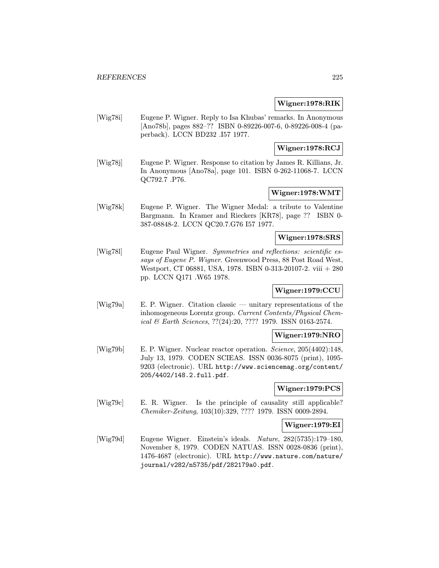#### Wigner:1978:RIK

[Wig78i] Eugene P. Wigner. Reply to Isa Khubas' remarks. In Anonymous [Ano78b], pages 882–?? ISBN 0-89226-007-6, 0-89226-008-4 (paperback). LCCN BD232 .I57 1977.

# Wigner:1978:RCJ

[Wig78j] Eugene P. Wigner. Response to citation by James R. Killians, Jr. In Anonymous [Ano78a], page 101. ISBN 0-262-11068-7. LCCN QC792.7 .P76.

# Wigner:1978:WMT

[Wig78k] Eugene P. Wigner. The Wigner Medal: a tribute to Valentine Bargmann. In Kramer and Rieckers [KR78], page ?? ISBN 0- 387-08848-2. LCCN QC20.7.G76 I57 1977.

# Wigner:1978:SRS

[Wig78l] Eugene Paul Wigner. Symmetries and reflections: scientific essays of Eugene P. Wigner. Greenwood Press, 88 Post Road West, Westport, CT 06881, USA, 1978. ISBN 0-313-20107-2. viii + 280 pp. LCCN Q171 .W65 1978.

# Wigner:1979:CCU

[Wig79a] E. P. Wigner. Citation classic — unitary representations of the inhomogeneous Lorentz group. Current Contents/Physical Chemical & Earth Sciences, ??(24):20, ???? 1979. ISSN 0163-2574.

# Wigner:1979:NRO

[Wig79b] E. P. Wigner. Nuclear reactor operation. Science, 205(4402):148, July 13, 1979. CODEN SCIEAS. ISSN 0036-8075 (print), 1095- 9203 (electronic). URL http://www.sciencemag.org/content/ 205/4402/148.2.full.pdf.

# Wigner:1979:PCS

[Wig79c] E. R. Wigner. Is the principle of causality still applicable? Chemiker-Zeitung, 103(10):329, ???? 1979. ISSN 0009-2894.

#### Wigner:1979:EI

[Wig79d] Eugene Wigner. Einstein's ideals. Nature, 282(5735):179–180, November 8, 1979. CODEN NATUAS. ISSN 0028-0836 (print), 1476-4687 (electronic). URL http://www.nature.com/nature/ journal/v282/n5735/pdf/282179a0.pdf.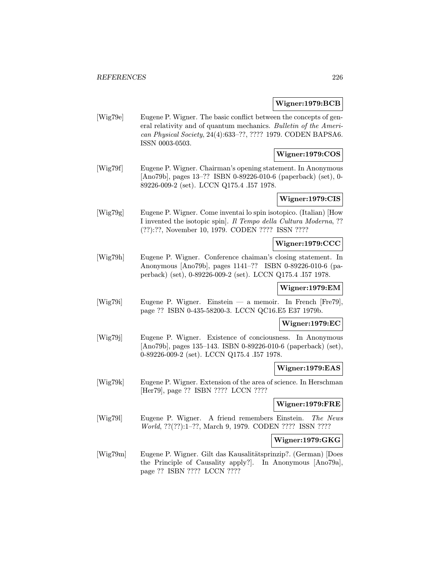### Wigner:1979:BCB

[Wig79e] Eugene P. Wigner. The basic conflict between the concepts of general relativity and of quantum mechanics. Bulletin of the American Physical Society, 24(4):633–??, ???? 1979. CODEN BAPSA6. ISSN 0003-0503.

# Wigner:1979:COS

[Wig79f] Eugene P. Wigner. Chairman's opening statement. In Anonymous [Ano79b], pages 13–?? ISBN 0-89226-010-6 (paperback) (set), 0- 89226-009-2 (set). LCCN Q175.4 .I57 1978.

# Wigner:1979:CIS

[Wig79g] Eugene P. Wigner. Come inventai lo spin isotopico. (Italian) [How I invented the isotopic spin]. Il Tempo della Cultura Moderna, ?? (??):??, November 10, 1979. CODEN ???? ISSN ????

#### Wigner:1979:CCC

[Wig79h] Eugene P. Wigner. Conference chaiman's closing statement. In Anonymous [Ano79b], pages 1141–?? ISBN 0-89226-010-6 (paperback) (set), 0-89226-009-2 (set). LCCN Q175.4 .I57 1978.

## Wigner:1979:EM

[Wig79i] Eugene P. Wigner. Einstein — a memoir. In French [Fre79], page ?? ISBN 0-435-58200-3. LCCN QC16.E5 E37 1979b.

#### Wigner:1979:EC

[Wig79j] Eugene P. Wigner. Existence of conciousness. In Anonymous [Ano79b], pages 135–143. ISBN 0-89226-010-6 (paperback) (set), 0-89226-009-2 (set). LCCN Q175.4 .I57 1978.

#### Wigner:1979:EAS

[Wig79k] Eugene P. Wigner. Extension of the area of science. In Herschman [Her79], page ?? ISBN ???? LCCN ????

### Wigner:1979:FRE

[Wig79l] Eugene P. Wigner. A friend remembers Einstein. The News World, ??(??):1-??, March 9, 1979. CODEN ???? ISSN ????

## Wigner:1979:GKG

[Wig79m] Eugene P. Wigner. Gilt das Kausalitätsprinzip?. (German) [Does the Principle of Causality apply?]. In Anonymous [Ano79a], page ?? ISBN ???? LCCN ????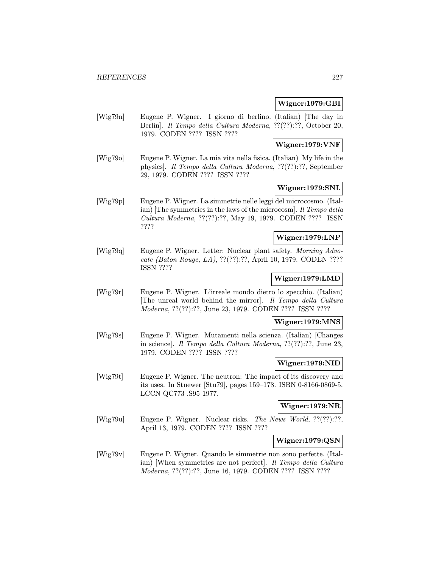### Wigner:1979:GBI

[Wig79n] Eugene P. Wigner. I giorno di berlino. (Italian) [The day in Berlin]. Il Tempo della Cultura Moderna, ??(??):??, October 20, 1979. CODEN ???? ISSN ????

# Wigner:1979:VNF

[Wig79o] Eugene P. Wigner. La mia vita nella fisica. (Italian) [My life in the physics]. Il Tempo della Cultura Moderna, ??(??):??, September 29, 1979. CODEN ???? ISSN ????

### Wigner:1979:SNL

[Wig79p] Eugene P. Wigner. La simmetrie nelle leggi del microcosmo. (Italian) [The symmetries in the laws of the microcosm]. Il Tempo della Cultura Moderna, ??(??):??, May 19, 1979. CODEN ???? ISSN ????

# Wigner:1979:LNP

[Wig79q] Eugene P. Wigner. Letter: Nuclear plant safety. Morning Advocate (Baton Rouge, LA), ??(??):??, April 10, 1979. CODEN ???? ISSN ????

### Wigner:1979:LMD

[Wig79r] Eugene P. Wigner. L'irreale mondo dietro lo specchio. (Italian) [The unreal world behind the mirror]. Il Tempo della Cultura Moderna, ??(??):??, June 23, 1979. CODEN ???? ISSN ????

### Wigner:1979:MNS

[Wig79s] Eugene P. Wigner. Mutamenti nella scienza. (Italian) [Changes in science]. Il Tempo della Cultura Moderna, ??(??):??, June 23, 1979. CODEN ???? ISSN ????

#### Wigner:1979:NID

[Wig79t] Eugene P. Wigner. The neutron: The impact of its discovery and its uses. In Stuewer [Stu79], pages 159–178. ISBN 0-8166-0869-5. LCCN QC773 .S95 1977.

# Wigner:1979:NR

[Wig79u] Eugene P. Wigner. Nuclear risks. The News World, ??(??):??, April 13, 1979. CODEN ???? ISSN ????

### Wigner:1979:QSN

[Wig79v] Eugene P. Wigner. Quando le simmetrie non sono perfette. (Italian) [When symmetries are not perfect]. Il Tempo della Cultura Moderna, ??(??):??, June 16, 1979. CODEN ???? ISSN ????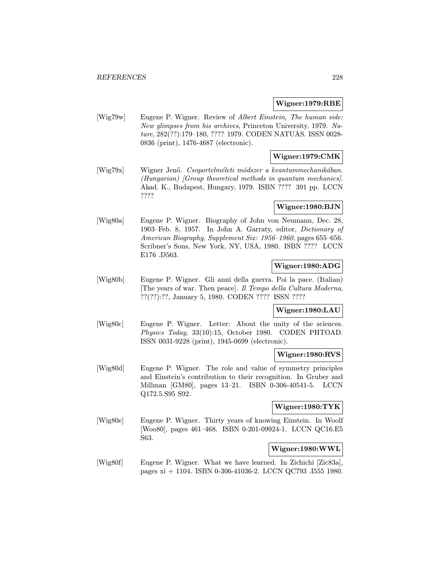#### Wigner:1979:RBE

[Wig79w] Eugene P. Wigner. Review of Albert Einstein, The human side: New glimpses from his archives, Princeton University, 1979. Nature, 282(??):179–180, ???? 1979. CODEN NATUAS. ISSN 0028- 0836 (print), 1476-4687 (electronic).

## Wigner:1979:CMK

[Wig79x] Wigner Jenő. Csoportelméleti módszer a kvantummechanikában. (Hungarian) [Group theoretical methods in quantum mechanics]. Akad. K., Budapest, Hungary, 1979. ISBN ???? 391 pp. LCCN ????

# Wigner:1980:BJN

[Wig80a] Eugene P. Wigner. Biography of John von Neumann, Dec. 28, 1903–Feb. 8, 1957. In John A. Garraty, editor, Dictionary of American Biography, Supplement Six: 1956–1960, pages 655–656. Scribner's Sons, New York, NY, USA, 1980. ISBN ???? LCCN E176 .D563.

# Wigner:1980:ADG

[Wig80b] Eugene P. Wigner. Gli anni della guerra. Poi la pace. (Italian) [The years of war. Then peace]. Il Tempo della Cultura Moderna, ??(??):??, January 5, 1980. CODEN ???? ISSN ????

# Wigner:1980:LAU

[Wig80c] Eugene P. Wigner. Letter: About the unity of the sciences. Physics Today, 33(10):15, October 1980. CODEN PHTOAD. ISSN 0031-9228 (print), 1945-0699 (electronic).

# Wigner:1980:RVS

[Wig80d] Eugene P. Wigner. The role and value of symmetry principles and Einstein's contribution to their recognition. In Gruber and Millman [GM80], pages 13–21. ISBN 0-306-40541-5. LCCN Q172.5.S95 S92.

### Wigner:1980:TYK

[Wig80e] Eugene P. Wigner. Thirty years of knowing Einstein. In Woolf [Woo80], pages 461–468. ISBN 0-201-09924-1. LCCN QC16.E5 S63.

# Wigner:1980:WWL

[Wig80f] Eugene P. Wigner. What we have learned. In Zichichi [Zic83a], pages xi + 1104. ISBN 0-306-41036-2. LCCN QC793 .I555 1980.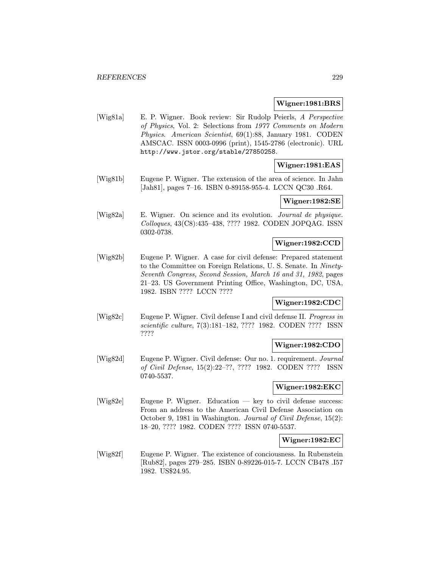#### Wigner:1981:BRS

[Wig81a] E. P. Wigner. Book review: Sir Rudolp Peierls, A Perspective of Physics, Vol. 2: Selections from 1977 Comments on Modern Physics. American Scientist, 69(1):88, January 1981. CODEN AMSCAC. ISSN 0003-0996 (print), 1545-2786 (electronic). URL http://www.jstor.org/stable/27850258.

# Wigner:1981:EAS

[Wig81b] Eugene P. Wigner. The extension of the area of science. In Jahn [Jah81], pages 7–16. ISBN 0-89158-955-4. LCCN QC30 .R64.

### Wigner:1982:SE

[Wig82a] E. Wigner. On science and its evolution. Journal de physique. Colloques, 43(C8):435–438, ???? 1982. CODEN JOPQAG. ISSN 0302-0738.

### Wigner:1982:CCD

[Wig82b] Eugene P. Wigner. A case for civil defense: Prepared statement to the Committee on Foreign Relations, U. S. Senate. In Ninety-Seventh Congress, Second Session, March 16 and 31, 1982, pages 21–23. US Government Printing Office, Washington, DC, USA, 1982. ISBN ???? LCCN ????

### Wigner:1982:CDC

[Wig82c] Eugene P. Wigner. Civil defense I and civil defense II. Progress in scientific culture, 7(3):181–182, ???? 1982. CODEN ???? ISSN ????

### Wigner:1982:CDO

[Wig82d] Eugene P. Wigner. Civil defense: Our no. 1. requirement. Journal of Civil Defense, 15(2):22–??, ???? 1982. CODEN ???? ISSN 0740-5537.

#### Wigner:1982:EKC

[Wig82e] Eugene P. Wigner. Education — key to civil defense success: From an address to the American Civil Defense Association on October 9, 1981 in Washington. Journal of Civil Defense, 15(2): 18–20, ???? 1982. CODEN ???? ISSN 0740-5537.

#### Wigner:1982:EC

[Wig82f] Eugene P. Wigner. The existence of conciousness. In Rubenstein [Rub82], pages 279–285. ISBN 0-89226-015-7. LCCN CB478 .I57 1982. US\$24.95.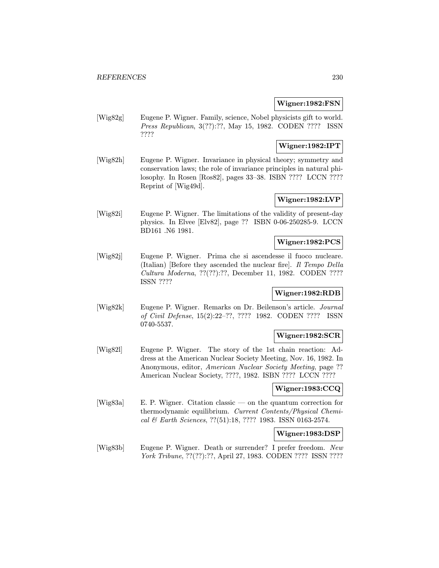### Wigner:1982:FSN

[Wig82g] Eugene P. Wigner. Family, science, Nobel physicists gift to world. Press Republican, 3(??):??, May 15, 1982. CODEN ???? ISSN ????

# Wigner:1982:IPT

[Wig82h] Eugene P. Wigner. Invariance in physical theory; symmetry and conservation laws; the role of invariance principles in natural philosophy. In Rosen [Ros82], pages 33–38. ISBN ???? LCCN ???? Reprint of [Wig49d].

## Wigner:1982:LVP

[Wig82i] Eugene P. Wigner. The limitations of the validity of present-day physics. In Elvee [Elv82], page ?? ISBN 0-06-250285-9. LCCN BD161 .N6 1981.

#### Wigner:1982:PCS

[Wig82j] Eugene P. Wigner. Prima che si ascendesse il fuoco nucleare. (Italian) [Before they ascended the nuclear fire]. Il Tempo Della Cultura Moderna, ??(??):??, December 11, 1982. CODEN ???? ISSN ????

### Wigner:1982:RDB

[Wig82k] Eugene P. Wigner. Remarks on Dr. Beilenson's article. Journal of Civil Defense, 15(2):22–??, ???? 1982. CODEN ???? ISSN 0740-5537.

# Wigner:1982:SCR

[Wig82l] Eugene P. Wigner. The story of the 1st chain reaction: Address at the American Nuclear Society Meeting, Nov. 16, 1982. In Anonymous, editor, American Nuclear Society Meeting, page ?? American Nuclear Society, ????, 1982. ISBN ???? LCCN ????

# Wigner:1983:CCQ

[Wig83a] E. P. Wigner. Citation classic — on the quantum correction for thermodynamic equilibrium. Current Contents/Physical Chemical & Earth Sciences, ??(51):18, ???? 1983. ISSN 0163-2574.

#### Wigner:1983:DSP

[Wig83b] Eugene P. Wigner. Death or surrender? I prefer freedom. New York Tribune, ??(??):??, April 27, 1983. CODEN ???? ISSN ????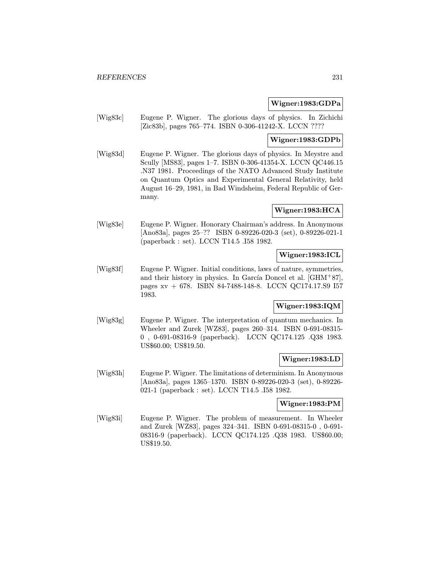## Wigner:1983:GDPa

[Wig83c] Eugene P. Wigner. The glorious days of physics. In Zichichi [Zic83b], pages 765–774. ISBN 0-306-41242-X. LCCN ????

# Wigner:1983:GDPb

[Wig83d] Eugene P. Wigner. The glorious days of physics. In Meystre and Scully [MS83], pages 1–7. ISBN 0-306-41354-X. LCCN QC446.15 .N37 1981. Proceedings of the NATO Advanced Study Institute on Quantum Optics and Experimental General Relativity, held August 16–29, 1981, in Bad Windsheim, Federal Republic of Germany.

### Wigner:1983:HCA

[Wig83e] Eugene P. Wigner. Honorary Chairman's address. In Anonymous [Ano83a], pages 25–?? ISBN 0-89226-020-3 (set), 0-89226-021-1 (paperback : set). LCCN T14.5 .I58 1982.

# Wigner:1983:ICL

[Wig83f] Eugene P. Wigner. Initial conditions, laws of nature, symmetries, and their history in physics. In García Doncel et al.  $[GHM+87]$ , pages xv + 678. ISBN 84-7488-148-8. LCCN QC174.17.S9 I57 1983.

### Wigner:1983:IQM

[Wig83g] Eugene P. Wigner. The interpretation of quantum mechanics. In Wheeler and Zurek [WZ83], pages 260–314. ISBN 0-691-08315- 0 , 0-691-08316-9 (paperback). LCCN QC174.125 .Q38 1983. US\$60.00; US\$19.50.

### Wigner:1983:LD

[Wig83h] Eugene P. Wigner. The limitations of determinism. In Anonymous [Ano83a], pages 1365–1370. ISBN 0-89226-020-3 (set), 0-89226- 021-1 (paperback : set). LCCN T14.5 .I58 1982.

### Wigner:1983:PM

[Wig83i] Eugene P. Wigner. The problem of measurement. In Wheeler and Zurek [WZ83], pages 324–341. ISBN 0-691-08315-0 , 0-691- 08316-9 (paperback). LCCN QC174.125 .Q38 1983. US\$60.00; US\$19.50.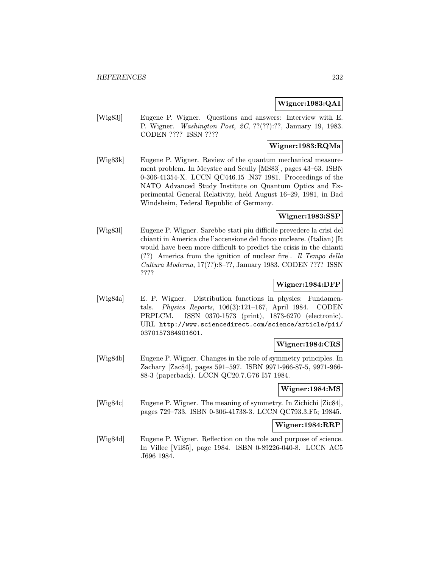### Wigner:1983:QAI

[Wig83j] Eugene P. Wigner. Questions and answers: Interview with E. P. Wigner. Washington Post, 2C, ??(??):??, January 19, 1983. CODEN ???? ISSN ????

# Wigner:1983:RQMa

[Wig83k] Eugene P. Wigner. Review of the quantum mechanical measurement problem. In Meystre and Scully [MS83], pages 43–63. ISBN 0-306-41354-X. LCCN QC446.15 .N37 1981. Proceedings of the NATO Advanced Study Institute on Quantum Optics and Experimental General Relativity, held August 16–29, 1981, in Bad Windsheim, Federal Republic of Germany.

# Wigner:1983:SSP

[Wig83l] Eugene P. Wigner. Sarebbe stati piu difficile prevedere la crisi del chianti in America che l'accensione del fuoco nucleare. (Italian) [It would have been more difficult to predict the crisis in the chianti (??) America from the ignition of nuclear fire]. Il Tempo della Cultura Moderna, 17(??):8–??, January 1983. CODEN ???? ISSN ????

# Wigner:1984:DFP

[Wig84a] E. P. Wigner. Distribution functions in physics: Fundamentals. Physics Reports, 106(3):121–167, April 1984. CODEN PRPLCM. ISSN 0370-1573 (print), 1873-6270 (electronic). URL http://www.sciencedirect.com/science/article/pii/ 0370157384901601.

### Wigner:1984:CRS

[Wig84b] Eugene P. Wigner. Changes in the role of symmetry principles. In Zachary [Zac84], pages 591–597. ISBN 9971-966-87-5, 9971-966- 88-3 (paperback). LCCN QC20.7.G76 I57 1984.

### Wigner:1984:MS

[Wig84c] Eugene P. Wigner. The meaning of symmetry. In Zichichi [Zic84], pages 729–733. ISBN 0-306-41738-3. LCCN QC793.3.F5; 19845.

# Wigner:1984:RRP

[Wig84d] Eugene P. Wigner. Reflection on the role and purpose of science. In Villee [Vil85], page 1984. ISBN 0-89226-040-8. LCCN AC5 .I696 1984.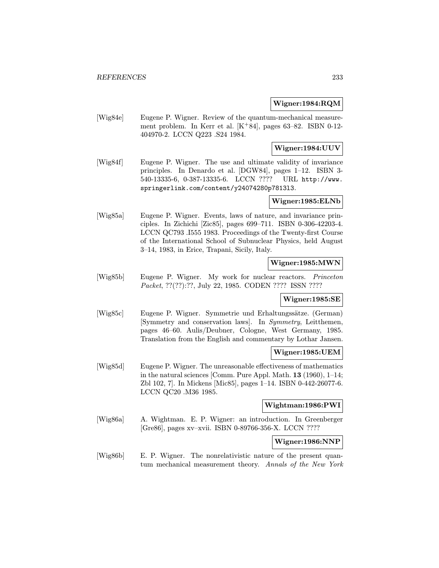### Wigner:1984:RQM

[Wig84e] Eugene P. Wigner. Review of the quantum-mechanical measurement problem. In Kerr et al.  $[K+84]$ , pages 63–82. ISBN 0-12-404970-2. LCCN Q223 .S24 1984.

# Wigner:1984:UUV

[Wig84f] Eugene P. Wigner. The use and ultimate validity of invariance principles. In Denardo et al. [DGW84], pages 1–12. ISBN 3- 540-13335-6, 0-387-13335-6. LCCN ???? URL http://www. springerlink.com/content/y24074280p7813l3.

# Wigner:1985:ELNb

[Wig85a] Eugene P. Wigner. Events, laws of nature, and invariance principles. In Zichichi [Zic85], pages 699–711. ISBN 0-306-42203-4. LCCN QC793 .I555 1983. Proceedings of the Twenty-first Course of the International School of Subnuclear Physics, held August 3–14, 1983, in Erice, Trapani, Sicily, Italy.

# Wigner:1985:MWN

[Wig85b] Eugene P. Wigner. My work for nuclear reactors. Princeton Packet, ??(??):??, July 22, 1985. CODEN ???? ISSN ????

### Wigner:1985:SE

[Wig85c] Eugene P. Wigner. Symmetrie und Erhaltungssätze. (German) [Symmetry and conservation laws]. In Symmetry, Leitthemen, pages 46–60. Aulis/Deubner, Cologne, West Germany, 1985. Translation from the English and commentary by Lothar Jansen.

#### Wigner:1985:UEM

[Wig85d] Eugene P. Wigner. The unreasonable effectiveness of mathematics in the natural sciences [Comm. Pure Appl. Math. 13 (1960), 1–14; Zbl 102, 7]. In Mickens [Mic85], pages 1–14. ISBN 0-442-26077-6. LCCN QC20 .M36 1985.

### Wightman:1986:PWI

[Wig86a] A. Wightman. E. P. Wigner: an introduction. In Greenberger [Gre86], pages xv–xvii. ISBN 0-89766-356-X. LCCN ????

### Wigner:1986:NNP

[Wig86b] E. P. Wigner. The nonrelativistic nature of the present quantum mechanical measurement theory. Annals of the New York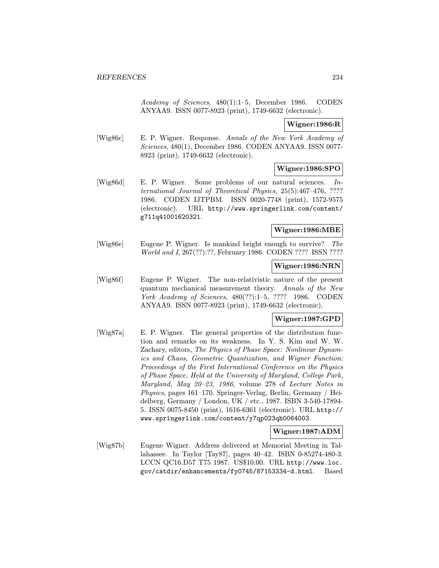Academy of Sciences, 480(1):1–5, December 1986. CODEN ANYAA9. ISSN 0077-8923 (print), 1749-6632 (electronic).

### Wigner:1986:R

[Wig86c] E. P. Wigner. Response. Annals of the New York Academy of Sciences, 480(1), December 1986. CODEN ANYAA9. ISSN 0077- 8923 (print), 1749-6632 (electronic).

### Wigner:1986:SPO

[Wig86d] E. P. Wigner. Some problems of our natural sciences. International Journal of Theoretical Physics, 25(5):467–476, ???? 1986. CODEN IJTPBM. ISSN 0020-7748 (print), 1572-9575 (electronic). URL http://www.springerlink.com/content/ g711q41001620321.

# Wigner:1986:MBE

[Wig86e] Eugene P. Wigner. Is mankind bright enough to survive? The World and I, 267(??):??, February 1986. CODEN ???? ISSN ????

#### Wigner:1986:NRN

[Wig86f] Eugene P. Wigner. The non-relativistic nature of the present quantum mechanical measurement theory. Annals of the New York Academy of Sciences, 480(??):1–5, ???? 1986. CODEN ANYAA9. ISSN 0077-8923 (print), 1749-6632 (electronic).

# Wigner:1987:GPD

[Wig87a] E. P. Wigner. The general properties of the distribution function and remarks on its weakness. In Y. S. Kim and W. W. Zachary, editors, The Physics of Phase Space: Nonlinear Dynamics and Chaos, Geometric Quantization, and Wigner Function: Proceedings of the First International Conference on the Physics of Phase Space, Held at the University of Maryland, College Park, Maryland, May 20–23, 1986, volume 278 of Lecture Notes in Physics, pages 161–170. Springer-Verlag, Berlin, Germany / Heidelberg, Germany / London, UK / etc., 1987. ISBN 3-540-17894- 5. ISSN 0075-8450 (print), 1616-6361 (electronic). URL http:// www.springerlink.com/content/y7qp023qh0064003.

#### Wigner:1987:ADM

[Wig87b] Eugene Wigner. Address delivered at Memorial Meeting in Tallahassee. In Taylor [Tay87], pages 40–42. ISBN 0-85274-480-3. LCCN QC16.D57 T75 1987. US\$10.00. URL http://www.loc. gov/catdir/enhancements/fy0745/87153334-d.html. Based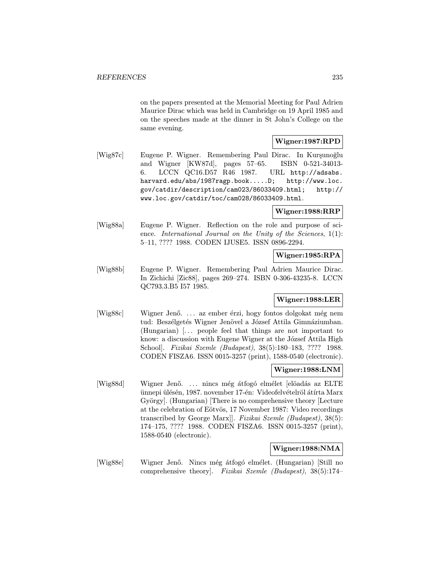on the papers presented at the Memorial Meeting for Paul Adrien Maurice Dirac which was held in Cambridge on 19 April 1985 and on the speeches made at the dinner in St John's College on the same evening.

# Wigner:1987:RPD

[Wig87c] Eugene P. Wigner. Remembering Paul Dirac. In Kurşunoğlu and Wigner [KW87d], pages 57–65. ISBN 0-521-34013- 6. LCCN QC16.D57 R46 1987. URL http://adsabs. harvard.edu/abs/1987ragp.book.....D; http://www.loc. gov/catdir/description/cam023/86033409.html; http:// www.loc.gov/catdir/toc/cam028/86033409.html.

### Wigner:1988:RRP

[Wig88a] Eugene P. Wigner. Reflection on the role and purpose of science. International Journal on the Unity of the Sciences, 1(1): 5–11, ???? 1988. CODEN IJUSE5. ISSN 0896-2294.

### Wigner:1985:RPA

[Wig88b] Eugene P. Wigner. Remembering Paul Adrien Maurice Dirac. In Zichichi [Zic88], pages 269–274. ISBN 0-306-43235-8. LCCN QC793.3.B5 I57 1985.

# Wigner:1988:LER

[Wig88c] Wigner Jenő.... az ember érzi, hogy fontos dolgokat még nem tud: Beszélgetés Wigner Jenövel a József Attila Gimnáziumban. (Hungarian) [... people feel that things are not important to know: a discussion with Eugene Wigner at the József Attila High School]. Fizikai Szemle (Budapest), 38(5):180–183, ???? 1988. CODEN FISZA6. ISSN 0015-3257 (print), 1588-0540 (electronic).

# Wigner:1988:LNM

[Wig88d] Wigner Jenő.... nincs még átfogó elmélet [elöadás az ELTE] ünnepi ülésén, 1987. november 17-én: Videofelvételröl átírta Marx György]. (Hungarian) [There is no comprehensive theory [Lecture at the celebration of Eötvös, 17 November 1987: Video recordings transcribed by George Marx]]. Fizikai Szemle (Budapest), 38(5): 174–175, ???? 1988. CODEN FISZA6. ISSN 0015-3257 (print), 1588-0540 (electronic).

# Wigner:1988:NMA

[Wig88e] Wigner Jenő. Nincs még átfogó elmélet. (Hungarian) [Still no comprehensive theory]. Fizikai Szemle (Budapest), 38(5):174–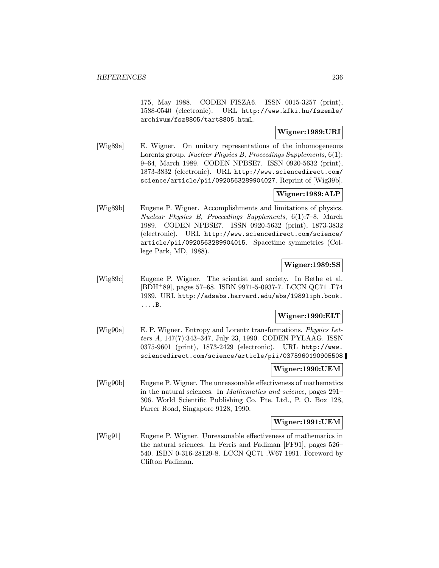175, May 1988. CODEN FISZA6. ISSN 0015-3257 (print), 1588-0540 (electronic). URL http://www.kfki.hu/fszemle/ archivum/fsz8805/tart8805.html.

## Wigner:1989:URI

[Wig89a] E. Wigner. On unitary representations of the inhomogeneous Lorentz group. Nuclear Physics B, Proceedings Supplements, 6(1): 9–64, March 1989. CODEN NPBSE7. ISSN 0920-5632 (print), 1873-3832 (electronic). URL http://www.sciencedirect.com/ science/article/pii/0920563289904027. Reprint of [Wig39b].

## Wigner:1989:ALP

[Wig89b] Eugene P. Wigner. Accomplishments and limitations of physics. Nuclear Physics B, Proceedings Supplements, 6(1):7–8, March 1989. CODEN NPBSE7. ISSN 0920-5632 (print), 1873-3832 (electronic). URL http://www.sciencedirect.com/science/ article/pii/0920563289904015. Spacetime symmetries (College Park, MD, 1988).

### Wigner:1989:SS

[Wig89c] Eugene P. Wigner. The scientist and society. In Bethe et al. [BDH<sup>+</sup>89], pages 57–68. ISBN 9971-5-0937-7. LCCN QC71 .F74 1989. URL http://adsabs.harvard.edu/abs/1989liph.book. ....B.

### Wigner:1990:ELT

[Wig90a] E. P. Wigner. Entropy and Lorentz transformations. Physics Letters A, 147(7):343–347, July 23, 1990. CODEN PYLAAG. ISSN 0375-9601 (print), 1873-2429 (electronic). URL http://www. sciencedirect.com/science/article/pii/0375960190905508.

## Wigner:1990:UEM

[Wig90b] Eugene P. Wigner. The unreasonable effectiveness of mathematics in the natural sciences. In Mathematics and science, pages 291– 306. World Scientific Publishing Co. Pte. Ltd., P. O. Box 128, Farrer Road, Singapore 9128, 1990.

#### Wigner:1991:UEM

[Wig91] Eugene P. Wigner. Unreasonable effectiveness of mathematics in the natural sciences. In Ferris and Fadiman [FF91], pages 526– 540. ISBN 0-316-28129-8. LCCN QC71 .W67 1991. Foreword by Clifton Fadiman.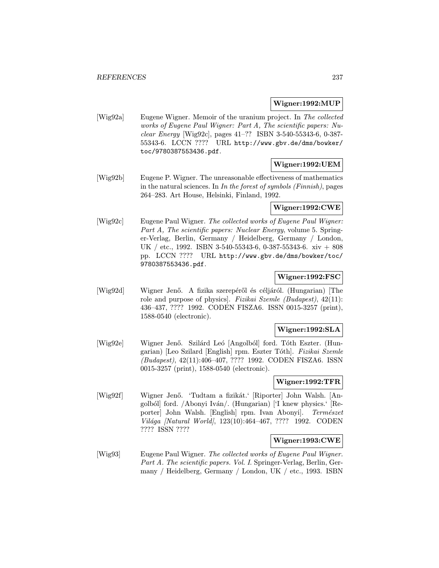#### Wigner:1992:MUP

[Wig92a] Eugene Wigner. Memoir of the uranium project. In The collected works of Eugene Paul Wigner: Part A, The scientific papers: Nuclear Energy [Wig92c], pages 41–?? ISBN 3-540-55343-6, 0-387- 55343-6. LCCN ???? URL http://www.gbv.de/dms/bowker/ toc/9780387553436.pdf.

### Wigner:1992:UEM

[Wig92b] Eugene P. Wigner. The unreasonable effectiveness of mathematics in the natural sciences. In In the forest of symbols (Finnish), pages 264–283. Art House, Helsinki, Finland, 1992.

### Wigner:1992:CWE

[Wig92c] Eugene Paul Wigner. The collected works of Eugene Paul Wigner: Part A, The scientific papers: Nuclear Energy, volume 5. Springer-Verlag, Berlin, Germany / Heidelberg, Germany / London, UK / etc., 1992. ISBN 3-540-55343-6, 0-387-55343-6. xiv + 808 pp. LCCN ???? URL http://www.gbv.de/dms/bowker/toc/ 9780387553436.pdf.

# Wigner:1992:FSC

[Wig92d] Wigner Jenő. A fizika szerepéről és céljáról. (Hungarian) [The role and purpose of physics]. Fizikai Szemle (Budapest), 42(11): 436–437, ???? 1992. CODEN FISZA6. ISSN 0015-3257 (print), 1588-0540 (electronic).

# Wigner:1992:SLA

[Wig92e] Wigner Jenő. Szilárd Leó [Angolból] ford. Tóth Eszter. (Hungarian) [Leo Szilard [English] rpm. Eszter Tóth]. Fizikai Szemle (Budapest), 42(11):406–407, ???? 1992. CODEN FISZA6. ISSN 0015-3257 (print), 1588-0540 (electronic).

### Wigner:1992:TFR

[Wig92f] Wigner Jenő. 'Tudtam a fizikát.' [Riporter] John Walsh. [Angolból] ford. /Abonyi Iván/. (Hungarian) ['I knew physics.' [Reporter] John Walsh. [English] rpm. Ivan Abonyi]. Természet Világa [Natural World], 123(10):464-467, ???? 1992. CODEN ???? ISSN ????

### Wigner:1993:CWE

[Wig93] Eugene Paul Wigner. The collected works of Eugene Paul Wigner. Part A. The scientific papers. Vol. I. Springer-Verlag, Berlin, Germany / Heidelberg, Germany / London, UK / etc., 1993. ISBN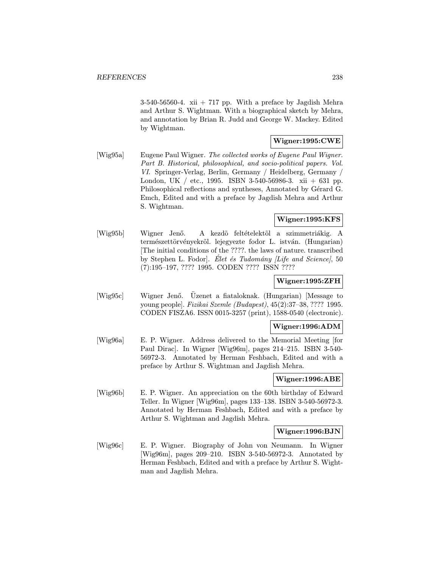3-540-56560-4. xii + 717 pp. With a preface by Jagdish Mehra and Arthur S. Wightman. With a biographical sketch by Mehra, and annotation by Brian R. Judd and George W. Mackey. Edited by Wightman.

# Wigner:1995:CWE

[Wig95a] Eugene Paul Wigner. The collected works of Eugene Paul Wigner. Part B. Historical, philosophical, and socio-political papers. Vol. VI. Springer-Verlag, Berlin, Germany / Heidelberg, Germany / London, UK / etc., 1995. ISBN 3-540-56986-3. xii + 631 pp. Philosophical reflections and syntheses, Annotated by Gérard G. Emch, Edited and with a preface by Jagdish Mehra and Arthur S. Wightman.

# Wigner:1995:KFS

[Wig95b] Wigner Jenő. A kezdő feltételektől a szimmetriákig. A természettörvényekről. lejegyezte fodor L. istván. (Hungarian) [The initial conditions of the ????. the laws of nature. transcribed by Stephen L. Fodor]. Elet és Tudomány *[Life and Science]*, 50 (7):195–197, ???? 1995. CODEN ???? ISSN ????

## Wigner:1995:ZFH

[Wig95c] Wigner Jenő. Üzenet a fiataloknak. (Hungarian) [Message to young people]. Fizikai Szemle (Budapest), 45(2):37–38, ???? 1995. CODEN FISZA6. ISSN 0015-3257 (print), 1588-0540 (electronic).

# Wigner:1996:ADM

[Wig96a] E. P. Wigner. Address delivered to the Memorial Meeting [for Paul Dirac]. In Wigner [Wig96m], pages 214–215. ISBN 3-540- 56972-3. Annotated by Herman Feshbach, Edited and with a preface by Arthur S. Wightman and Jagdish Mehra.

### Wigner:1996:ABE

[Wig96b] E. P. Wigner. An appreciation on the 60th birthday of Edward Teller. In Wigner [Wig96m], pages 133–138. ISBN 3-540-56972-3. Annotated by Herman Feshbach, Edited and with a preface by Arthur S. Wightman and Jagdish Mehra.

### Wigner:1996:BJN

[Wig96c] E. P. Wigner. Biography of John von Neumann. In Wigner [Wig96m], pages 209–210. ISBN 3-540-56972-3. Annotated by Herman Feshbach, Edited and with a preface by Arthur S. Wightman and Jagdish Mehra.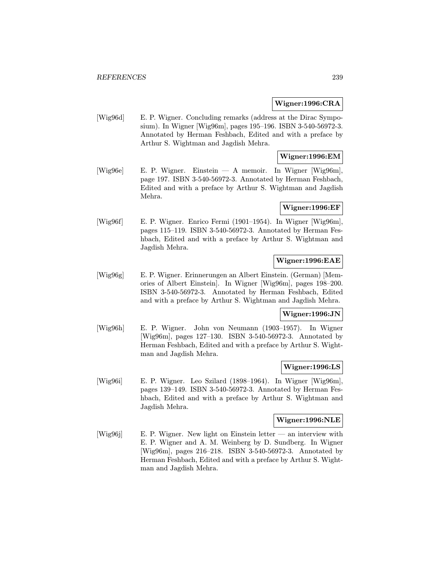#### Wigner:1996:CRA

[Wig96d] E. P. Wigner. Concluding remarks (address at the Dirac Symposium). In Wigner [Wig96m], pages 195–196. ISBN 3-540-56972-3. Annotated by Herman Feshbach, Edited and with a preface by Arthur S. Wightman and Jagdish Mehra.

## Wigner:1996:EM

[Wig96e] E. P. Wigner. Einstein — A memoir. In Wigner [Wig96m], page 197. ISBN 3-540-56972-3. Annotated by Herman Feshbach, Edited and with a preface by Arthur S. Wightman and Jagdish Mehra.

# Wigner:1996:EF

[Wig96f] E. P. Wigner. Enrico Fermi (1901–1954). In Wigner [Wig96m], pages 115–119. ISBN 3-540-56972-3. Annotated by Herman Feshbach, Edited and with a preface by Arthur S. Wightman and Jagdish Mehra.

# Wigner:1996:EAE

[Wig96g] E. P. Wigner. Erinnerungen an Albert Einstein. (German) [Memories of Albert Einstein]. In Wigner [Wig96m], pages 198–200. ISBN 3-540-56972-3. Annotated by Herman Feshbach, Edited and with a preface by Arthur S. Wightman and Jagdish Mehra.

# Wigner:1996:JN

[Wig96h] E. P. Wigner. John von Neumann (1903–1957). In Wigner [Wig96m], pages 127–130. ISBN 3-540-56972-3. Annotated by Herman Feshbach, Edited and with a preface by Arthur S. Wightman and Jagdish Mehra.

### Wigner:1996:LS

[Wig96i] E. P. Wigner. Leo Szilard (1898–1964). In Wigner [Wig96m], pages 139–149. ISBN 3-540-56972-3. Annotated by Herman Feshbach, Edited and with a preface by Arthur S. Wightman and Jagdish Mehra.

### Wigner:1996:NLE

[Wig96j] E. P. Wigner. New light on Einstein letter — an interview with E. P. Wigner and A. M. Weinberg by D. Sundberg. In Wigner [Wig96m], pages 216–218. ISBN 3-540-56972-3. Annotated by Herman Feshbach, Edited and with a preface by Arthur S. Wightman and Jagdish Mehra.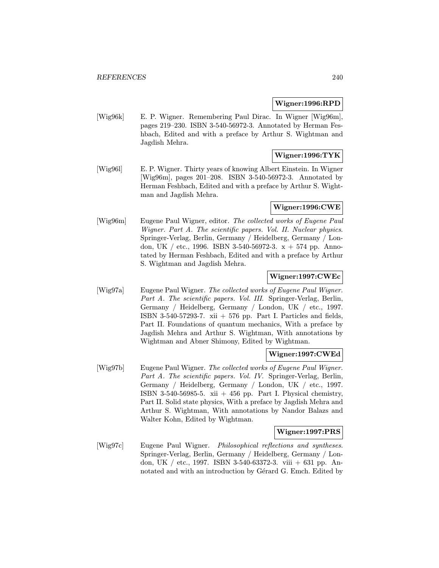#### Wigner:1996:RPD

[Wig96k] E. P. Wigner. Remembering Paul Dirac. In Wigner [Wig96m], pages 219–230. ISBN 3-540-56972-3. Annotated by Herman Feshbach, Edited and with a preface by Arthur S. Wightman and Jagdish Mehra.

# Wigner:1996:TYK

[Wig96l] E. P. Wigner. Thirty years of knowing Albert Einstein. In Wigner [Wig96m], pages 201–208. ISBN 3-540-56972-3. Annotated by Herman Feshbach, Edited and with a preface by Arthur S. Wightman and Jagdish Mehra.

### Wigner:1996:CWE

[Wig96m] Eugene Paul Wigner, editor. The collected works of Eugene Paul Wigner. Part A. The scientific papers. Vol. II. Nuclear physics. Springer-Verlag, Berlin, Germany / Heidelberg, Germany / London, UK / etc., 1996. ISBN 3-540-56972-3.  $x + 574$  pp. Annotated by Herman Feshbach, Edited and with a preface by Arthur S. Wightman and Jagdish Mehra.

# Wigner:1997:CWEc

[Wig97a] Eugene Paul Wigner. The collected works of Eugene Paul Wigner. Part A. The scientific papers. Vol. III. Springer-Verlag, Berlin, Germany / Heidelberg, Germany / London, UK / etc., 1997. ISBN 3-540-57293-7. xii  $+$  576 pp. Part I. Particles and fields, Part II. Foundations of quantum mechanics, With a preface by Jagdish Mehra and Arthur S. Wightman, With annotations by Wightman and Abner Shimony, Edited by Wightman.

# Wigner:1997:CWEd

[Wig97b] Eugene Paul Wigner. The collected works of Eugene Paul Wigner. Part A. The scientific papers. Vol. IV. Springer-Verlag, Berlin, Germany / Heidelberg, Germany / London, UK / etc., 1997. ISBN 3-540-56985-5. xii  $+456$  pp. Part I. Physical chemistry, Part II. Solid state physics, With a preface by Jagdish Mehra and Arthur S. Wightman, With annotations by Nandor Balazs and Walter Kohn, Edited by Wightman.

## Wigner:1997:PRS

[Wig97c] Eugene Paul Wigner. Philosophical reflections and syntheses. Springer-Verlag, Berlin, Germany / Heidelberg, Germany / London, UK / etc., 1997. ISBN 3-540-63372-3. viii + 631 pp. Annotated and with an introduction by Gérard G. Emch. Edited by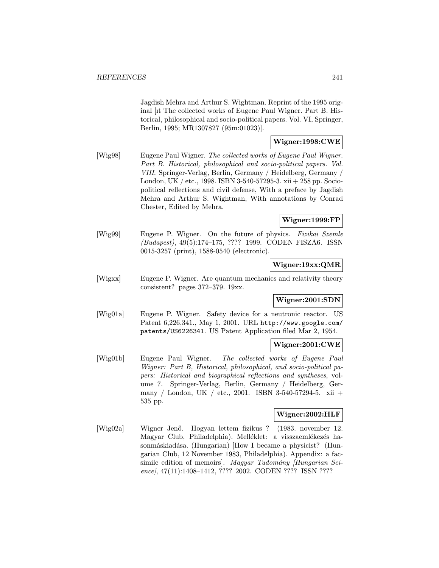Jagdish Mehra and Arthur S. Wightman. Reprint of the 1995 original [ıt The collected works of Eugene Paul Wigner. Part B. Historical, philosophical and socio-political papers. Vol. VI, Springer, Berlin, 1995; MR1307827 (95m:01023)].

## Wigner:1998:CWE

[Wig98] Eugene Paul Wigner. The collected works of Eugene Paul Wigner. Part B. Historical, philosophical and socio-political papers. Vol. VIII. Springer-Verlag, Berlin, Germany / Heidelberg, Germany / London, UK / etc., 1998. ISBN 3-540-57295-3. xii + 258 pp. Sociopolitical reflections and civil defense, With a preface by Jagdish Mehra and Arthur S. Wightman, With annotations by Conrad Chester, Edited by Mehra.

# Wigner:1999:FP

[Wig99] Eugene P. Wigner. On the future of physics. Fizikai Szemle (Budapest), 49(5):174–175, ???? 1999. CODEN FISZA6. ISSN 0015-3257 (print), 1588-0540 (electronic).

# Wigner:19xx:QMR

[Wigxx] Eugene P. Wigner. Are quantum mechanics and relativity theory consistent? pages 372–379. 19xx.

# Wigner:2001:SDN

[Wig01a] Eugene P. Wigner. Safety device for a neutronic reactor. US Patent 6,226,341., May 1, 2001. URL http://www.google.com/ patents/US6226341. US Patent Application filed Mar 2, 1954.

# Wigner:2001:CWE

[Wig01b] Eugene Paul Wigner. The collected works of Eugene Paul Wigner: Part B, Historical, philosophical, and socio-political papers: Historical and biographical reflections and syntheses, volume 7. Springer-Verlag, Berlin, Germany / Heidelberg, Germany / London, UK / etc., 2001. ISBN 3-540-57294-5. xii + 535 pp.

# Wigner:2002:HLF

[Wig02a] Wigner Jenő. Hogyan lettem fizikus ? (1983. november 12. Magyar Club, Philadelphia). Melléklet: a visszaemlékezés hasonmáskiadása. (Hungarian) [How I became a physicist? (Hungarian Club, 12 November 1983, Philadelphia). Appendix: a facsimile edition of memoirs]. Magyar Tudomány [Hungarian Science], 47(11):1408-1412, ???? 2002. CODEN ???? ISSN ????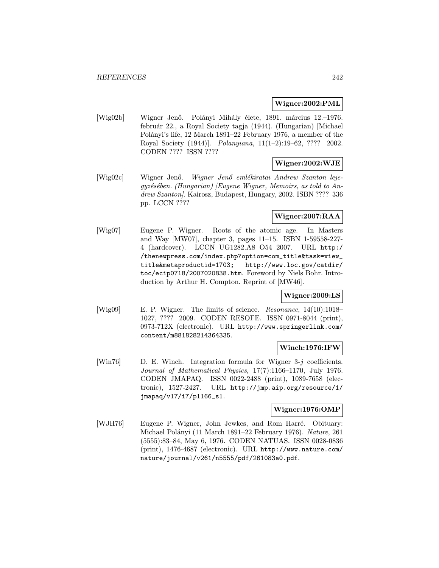### Wigner:2002:PML

[Wig02b] Wigner Jenő. Polányi Mihály élete, 1891. március 12.–1976. febru´ar 22., a Royal Society tagja (1944). (Hungarian) [Michael Polányi's life, 12 March 1891–22 February 1976, a member of the Royal Society (1944)]. Polanyiana, 11(1–2):19–62, ???? 2002. CODEN ???? ISSN ????

## Wigner:2002:WJE

[Wig02c] Wigner Jenő. Wigner Jenő emlékiratai Andrew Szanton leje $gyz$ ésében. (Hungarian) [Eugene Wigner, Memoirs, as told to Andrew Szanton. Kairosz, Budapest, Hungary, 2002. ISBN ???? 336 pp. LCCN ????

# Wigner:2007:RAA

[Wig07] Eugene P. Wigner. Roots of the atomic age. In Masters and Way [MW07], chapter 3, pages 11–15. ISBN 1-59558-227- 4 (hardcover). LCCN UG1282.A8 O54 2007. URL http:/ /thenewpress.com/index.php?option=com\_title&task=view\_ title&metaproductid=1703; http://www.loc.gov/catdir/ toc/ecip0718/2007020838.htm. Foreword by Niels Bohr. Introduction by Arthur H. Compton. Reprint of [MW46].

# Wigner:2009:LS

[Wig09] E. P. Wigner. The limits of science. Resonance, 14(10):1018– 1027, ???? 2009. CODEN RESOFE. ISSN 0971-8044 (print), 0973-712X (electronic). URL http://www.springerlink.com/ content/m881828214364335.

### Winch:1976:IFW

[Win76] D. E. Winch. Integration formula for Wigner  $3-j$  coefficients. Journal of Mathematical Physics, 17(7):1166–1170, July 1976. CODEN JMAPAQ. ISSN 0022-2488 (print), 1089-7658 (electronic), 1527-2427. URL http://jmp.aip.org/resource/1/ jmapaq/v17/i7/p1166\_s1.

### Wigner:1976:OMP

[WJH76] Eugene P. Wigner, John Jewkes, and Rom Harré. Obituary: Michael Polányi (11 March 1891–22 February 1976). Nature, 261 (5555):83–84, May 6, 1976. CODEN NATUAS. ISSN 0028-0836 (print), 1476-4687 (electronic). URL http://www.nature.com/ nature/journal/v261/n5555/pdf/261083a0.pdf.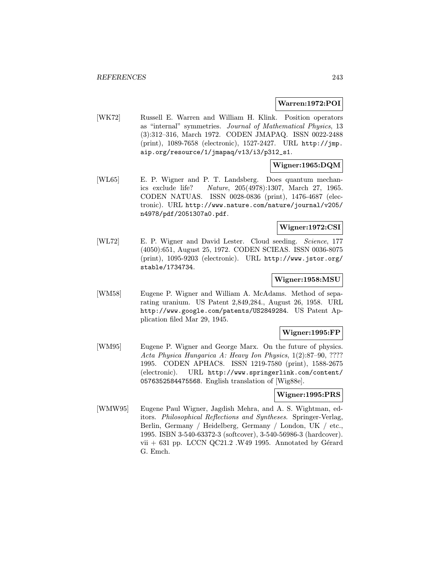### Warren:1972:POI

[WK72] Russell E. Warren and William H. Klink. Position operators as "internal" symmetries. Journal of Mathematical Physics, 13 (3):312–316, March 1972. CODEN JMAPAQ. ISSN 0022-2488 (print), 1089-7658 (electronic), 1527-2427. URL http://jmp. aip.org/resource/1/jmapaq/v13/i3/p312\_s1.

### Wigner:1965:DQM

[WL65] E. P. Wigner and P. T. Landsberg. Does quantum mechanics exclude life? Nature, 205(4978):1307, March 27, 1965. CODEN NATUAS. ISSN 0028-0836 (print), 1476-4687 (electronic). URL http://www.nature.com/nature/journal/v205/ n4978/pdf/2051307a0.pdf.

# Wigner:1972:CSI

[WL72] E. P. Wigner and David Lester. Cloud seeding. Science, 177 (4050):651, August 25, 1972. CODEN SCIEAS. ISSN 0036-8075 (print), 1095-9203 (electronic). URL http://www.jstor.org/ stable/1734734.

# Wigner:1958:MSU

[WM58] Eugene P. Wigner and William A. McAdams. Method of separating uranium. US Patent 2,849,284., August 26, 1958. URL http://www.google.com/patents/US2849284. US Patent Application filed Mar 29, 1945.

### Wigner:1995:FP

[WM95] Eugene P. Wigner and George Marx. On the future of physics. Acta Physica Hungarica A: Heavy Ion Physics, 1(2):87–90, ???? 1995. CODEN APHAC8. ISSN 1219-7580 (print), 1588-2675 (electronic). URL http://www.springerlink.com/content/ 0576352584475568. English translation of [Wig88e].

# Wigner:1995:PRS

[WMW95] Eugene Paul Wigner, Jagdish Mehra, and A. S. Wightman, editors. Philosophical Reflections and Syntheses. Springer-Verlag, Berlin, Germany / Heidelberg, Germany / London, UK / etc., 1995. ISBN 3-540-63372-3 (softcover), 3-540-56986-3 (hardcover). vii  $+ 631$  pp. LCCN QC21.2 .W49 1995. Annotated by Gérard G. Emch.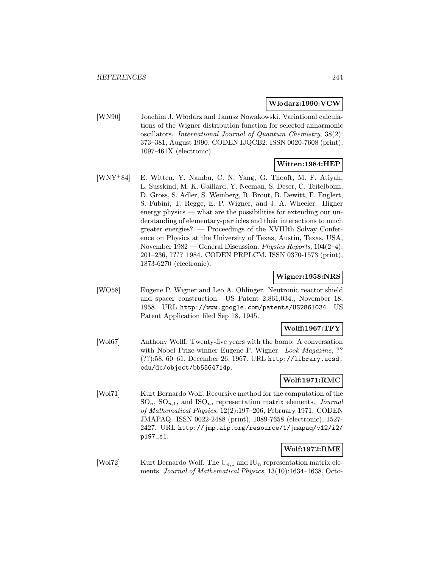#### Wlodarz:1990:VCW

[WN90] Joachim J. W lodarz and Janusz Nowakowski. Variational calculations of the Wigner distribution function for selected anharmonic oscillators. International Journal of Quantum Chemistry, 38(2): 373–381, August 1990. CODEN IJQCB2. ISSN 0020-7608 (print), 1097-461X (electronic).

# Witten:1984:HEP

[WNY<sup>+</sup>84] E. Witten, Y. Nambu, C. N. Yang, G. Thooft, M. F. Atiyah, L. Susskind, M. K. Gaillard, Y. Neeman, S. Deser, C. Teitelboim, D. Gross, S. Adler, S. Weinberg, R. Brout, B. Dewitt, F. Englert, S. Fubini, T. Regge, E. P. Wigner, and J. A. Wheeler. Higher energy physics — what are the possibilities for extending our understanding of elementary-particles and their interactions to much greater energies? — Proceedings of the XVIIIth Solvay Conference on Physics at the University of Texas, Austin, Texas, USA, November 1982 — General Discussion. Physics Reports, 104(2–4): 201–236, ???? 1984. CODEN PRPLCM. ISSN 0370-1573 (print), 1873-6270 (electronic).

### Wigner:1958:NRS

[WO58] Eugene P. Wigner and Leo A. Ohlinger. Neutronic reactor shield and spacer construction. US Patent 2,861,034., November 18, 1958. URL http://www.google.com/patents/US2861034. US Patent Application filed Sep 18, 1945.

### Wolff:1967:TFY

[Wol67] Anthony Wolff. Twenty-five years with the bomb: A conversation with Nobel Prize-winner Eugene P. Wigner. Look Magazine, ?? (??):58, 60–61, December 26, 1967. URL http://library.ucsd. edu/dc/object/bb5564714p.

# Wolf:1971:RMC

[Wol71] Kurt Bernardo Wolf. Recursive method for the computation of the  $SO_n, SO_{n,1}$ , and  $ISO_n$ , representation matrix elements. Journal of Mathematical Physics, 12(2):197–206, February 1971. CODEN JMAPAQ. ISSN 0022-2488 (print), 1089-7658 (electronic), 1527- 2427. URL http://jmp.aip.org/resource/1/jmapaq/v12/i2/ p197\_s1.

# Wolf:1972:RME

[Wol72] Kurt Bernardo Wolf. The  $U_{n,1}$  and  $IU_n$  representation matrix elements. Journal of Mathematical Physics, 13(10):1634–1638, Octo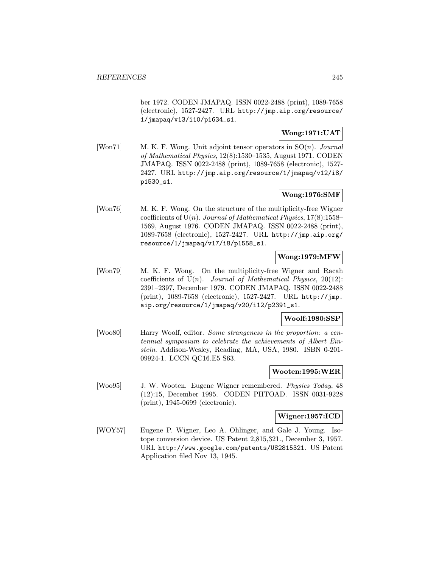ber 1972. CODEN JMAPAQ. ISSN 0022-2488 (print), 1089-7658 (electronic), 1527-2427. URL http://jmp.aip.org/resource/ 1/jmapaq/v13/i10/p1634\_s1.

# Wong:1971:UAT

[Won71] M. K. F. Wong. Unit adjoint tensor operators in  $SO(n)$ . *Journal* of Mathematical Physics, 12(8):1530–1535, August 1971. CODEN JMAPAQ. ISSN 0022-2488 (print), 1089-7658 (electronic), 1527- 2427. URL http://jmp.aip.org/resource/1/jmapaq/v12/i8/ p1530\_s1.

# Wong:1976:SMF

[Won76] M. K. F. Wong. On the structure of the multiplicity-free Wigner coefficients of  $U(n)$ . Journal of Mathematical Physics, 17(8):1558– 1569, August 1976. CODEN JMAPAQ. ISSN 0022-2488 (print), 1089-7658 (electronic), 1527-2427. URL http://jmp.aip.org/ resource/1/jmapaq/v17/i8/p1558\_s1.

## Wong:1979:MFW

[Won79] M. K. F. Wong. On the multiplicity-free Wigner and Racah coefficients of  $U(n)$ . Journal of Mathematical Physics, 20(12): 2391–2397, December 1979. CODEN JMAPAQ. ISSN 0022-2488 (print), 1089-7658 (electronic), 1527-2427. URL http://jmp. aip.org/resource/1/jmapaq/v20/i12/p2391\_s1.

# Woolf:1980:SSP

[Woo80] Harry Woolf, editor. Some strangeness in the proportion: a centennial symposium to celebrate the achievements of Albert Einstein. Addison-Wesley, Reading, MA, USA, 1980. ISBN 0-201- 09924-1. LCCN QC16.E5 S63.

# Wooten:1995:WER

[Woo95] J. W. Wooten. Eugene Wigner remembered. Physics Today, 48 (12):15, December 1995. CODEN PHTOAD. ISSN 0031-9228 (print), 1945-0699 (electronic).

### Wigner:1957:ICD

[WOY57] Eugene P. Wigner, Leo A. Ohlinger, and Gale J. Young. Isotope conversion device. US Patent 2,815,321., December 3, 1957. URL http://www.google.com/patents/US2815321. US Patent Application filed Nov 13, 1945.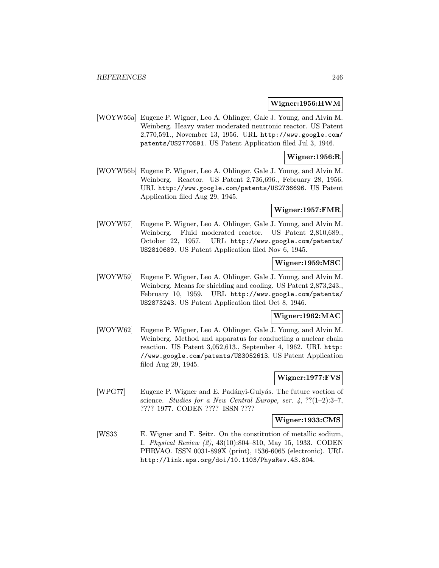### Wigner:1956:HWM

[WOYW56a] Eugene P. Wigner, Leo A. Ohlinger, Gale J. Young, and Alvin M. Weinberg. Heavy water moderated neutronic reactor. US Patent 2,770,591., November 13, 1956. URL http://www.google.com/ patents/US2770591. US Patent Application filed Jul 3, 1946.

#### Wigner:1956:R

[WOYW56b] Eugene P. Wigner, Leo A. Ohlinger, Gale J. Young, and Alvin M. Weinberg. Reactor. US Patent 2,736,696., February 28, 1956. URL http://www.google.com/patents/US2736696. US Patent Application filed Aug 29, 1945.

### Wigner:1957:FMR

[WOYW57] Eugene P. Wigner, Leo A. Ohlinger, Gale J. Young, and Alvin M. Weinberg. Fluid moderated reactor. US Patent 2,810,689., October 22, 1957. URL http://www.google.com/patents/ US2810689. US Patent Application filed Nov 6, 1945.

### Wigner:1959:MSC

[WOYW59] Eugene P. Wigner, Leo A. Ohlinger, Gale J. Young, and Alvin M. Weinberg. Means for shielding and cooling. US Patent 2,873,243., February 10, 1959. URL http://www.google.com/patents/ US2873243. US Patent Application filed Oct 8, 1946.

## Wigner:1962:MAC

[WOYW62] Eugene P. Wigner, Leo A. Ohlinger, Gale J. Young, and Alvin M. Weinberg. Method and apparatus for conducting a nuclear chain reaction. US Patent 3,052,613., September 4, 1962. URL http: //www.google.com/patents/US3052613. US Patent Application filed Aug 29, 1945.

### Wigner:1977:FVS

[WPG77] Eugene P. Wigner and E. Padányi-Gulyás. The future voction of science. Studies for a New Central Europe, ser.  $4, ?$ ?(1-2):3-7, ???? 1977. CODEN ???? ISSN ????

#### Wigner:1933:CMS

[WS33] E. Wigner and F. Seitz. On the constitution of metallic sodium, I. Physical Review (2), 43(10):804–810, May 15, 1933. CODEN PHRVAO. ISSN 0031-899X (print), 1536-6065 (electronic). URL http://link.aps.org/doi/10.1103/PhysRev.43.804.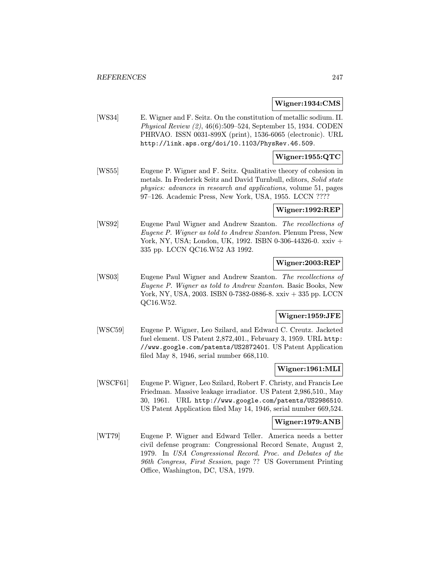#### Wigner:1934:CMS

[WS34] E. Wigner and F. Seitz. On the constitution of metallic sodium. II. Physical Review (2), 46(6):509–524, September 15, 1934. CODEN PHRVAO. ISSN 0031-899X (print), 1536-6065 (electronic). URL http://link.aps.org/doi/10.1103/PhysRev.46.509.

# Wigner:1955:QTC

[WS55] Eugene P. Wigner and F. Seitz. Qualitative theory of cohesion in metals. In Frederick Seitz and David Turnbull, editors, Solid state physics: advances in research and applications, volume 51, pages 97–126. Academic Press, New York, USA, 1955. LCCN ????

#### Wigner:1992:REP

[WS92] Eugene Paul Wigner and Andrew Szanton. The recollections of Eugene P. Wigner as told to Andrew Szanton. Plenum Press, New York, NY, USA; London, UK, 1992. ISBN 0-306-44326-0. xxiv + 335 pp. LCCN QC16.W52 A3 1992.

## Wigner:2003:REP

[WS03] Eugene Paul Wigner and Andrew Szanton. The recollections of Eugene P. Wigner as told to Andrew Szanton. Basic Books, New York, NY, USA, 2003. ISBN 0-7382-0886-8. xxiv + 335 pp. LCCN QC16.W52.

### Wigner:1959:JFE

[WSC59] Eugene P. Wigner, Leo Szilard, and Edward C. Creutz. Jacketed fuel element. US Patent 2,872,401., February 3, 1959. URL http: //www.google.com/patents/US2872401. US Patent Application filed May 8, 1946, serial number 668,110.

# Wigner:1961:MLI

[WSCF61] Eugene P. Wigner, Leo Szilard, Robert F. Christy, and Francis Lee Friedman. Massive leakage irradiator. US Patent 2,986,510., May 30, 1961. URL http://www.google.com/patents/US2986510. US Patent Application filed May 14, 1946, serial number 669,524.

### Wigner:1979:ANB

[WT79] Eugene P. Wigner and Edward Teller. America needs a better civil defense program: Congressional Record Senate, August 2, 1979. In USA Congressional Record. Proc. and Debates of the 96th Congress, First Session, page ?? US Government Printing Office, Washington, DC, USA, 1979.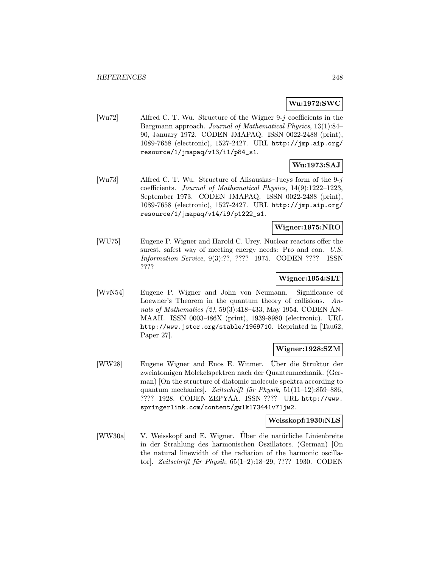# Wu:1972:SWC

[Wu72] Alfred C. T. Wu. Structure of the Wigner 9-j coefficients in the Bargmann approach. Journal of Mathematical Physics, 13(1):84– 90, January 1972. CODEN JMAPAQ. ISSN 0022-2488 (print), 1089-7658 (electronic), 1527-2427. URL http://jmp.aip.org/ resource/1/jmapaq/v13/i1/p84\_s1.

# Wu:1973:SAJ

[Wu73] Alfred C. T. Wu. Structure of Alisauskas–Jucys form of the 9-j coefficients. Journal of Mathematical Physics, 14(9):1222–1223, September 1973. CODEN JMAPAQ. ISSN 0022-2488 (print), 1089-7658 (electronic), 1527-2427. URL http://jmp.aip.org/ resource/1/jmapaq/v14/i9/p1222\_s1.

### Wigner:1975:NRO

[WU75] Eugene P. Wigner and Harold C. Urey. Nuclear reactors offer the surest, safest way of meeting energy needs: Pro and con. U.S. Information Service, 9(3):??, ???? 1975. CODEN ???? ISSN ????

### Wigner:1954:SLT

[WvN54] Eugene P. Wigner and John von Neumann. Significance of Loewner's Theorem in the quantum theory of collisions. Annals of Mathematics (2), 59(3):418–433, May 1954. CODEN AN-MAAH. ISSN 0003-486X (print), 1939-8980 (electronic). URL http://www.jstor.org/stable/1969710. Reprinted in [Tau62, Paper 27].

### Wigner:1928:SZM

[WW28] Eugene Wigner and Enos E. Witmer. Über die Struktur der zweiatomigen Molekelspektren nach der Quantenmechanik. (German) [On the structure of diatomic molecule spektra according to quantum mechanics]. Zeitschrift für Physik,  $51(11-12):859-886$ , ???? 1928. CODEN ZEPYAA. ISSN ???? URL http://www. springerlink.com/content/gw1k173441v71jw2.

#### Weisskopf:1930:NLS

[WW30a] V. Weisskopf and E. Wigner. Uber die natürliche Linienbreite in der Strahlung des harmonischen Oszillators. (German) [On the natural linewidth of the radiation of the harmonic oscillator]. Zeitschrift für Physik, 65(1-2):18-29, ???? 1930. CODEN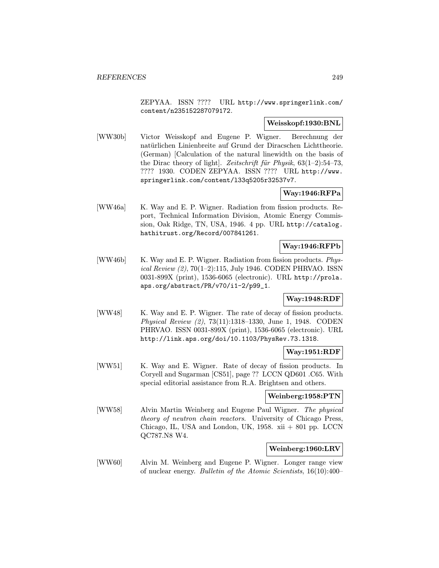ZEPYAA. ISSN ???? URL http://www.springerlink.com/ content/n235152287079172.

### Weisskopf:1930:BNL

[WW30b] Victor Weisskopf and Eugene P. Wigner. Berechnung der natürlichen Linienbreite auf Grund der Diracschen Lichttheorie. (German) [Calculation of the natural linewidth on the basis of the Dirac theory of light. Zeitschrift für Physik,  $63(1-2):54-73$ , ???? 1930. CODEN ZEPYAA. ISSN ???? URL http://www. springerlink.com/content/l33q5205r32537v7.

# Way:1946:RFPa

[WW46a] K. Way and E. P. Wigner. Radiation from fission products. Report, Technical Information Division, Atomic Energy Commission, Oak Ridge, TN, USA, 1946. 4 pp. URL http://catalog. hathitrust.org/Record/007841261.

# Way:1946:RFPb

[WW46b] K. Way and E. P. Wigner. Radiation from fission products. Physical Review (2), 70(1–2):115, July 1946. CODEN PHRVAO. ISSN 0031-899X (print), 1536-6065 (electronic). URL http://prola. aps.org/abstract/PR/v70/i1-2/p99\_1.

# Way:1948:RDF

[WW48] K. Way and E. P. Wigner. The rate of decay of fission products. Physical Review (2), 73(11):1318–1330, June 1, 1948. CODEN PHRVAO. ISSN 0031-899X (print), 1536-6065 (electronic). URL http://link.aps.org/doi/10.1103/PhysRev.73.1318.

### Way:1951:RDF

[WW51] K. Way and E. Wigner. Rate of decay of fission products. In Coryell and Sugarman [CS51], page ?? LCCN QD601 .C65. With special editorial assistance from R.A. Brightsen and others.

### Weinberg:1958:PTN

[WW58] Alvin Martin Weinberg and Eugene Paul Wigner. The physical theory of neutron chain reactors. University of Chicago Press, Chicago, IL, USA and London, UK,  $1958$ . xii  $+801$  pp. LCCN QC787.N8 W4.

## Weinberg:1960:LRV

[WW60] Alvin M. Weinberg and Eugene P. Wigner. Longer range view of nuclear energy. Bulletin of the Atomic Scientists, 16(10):400–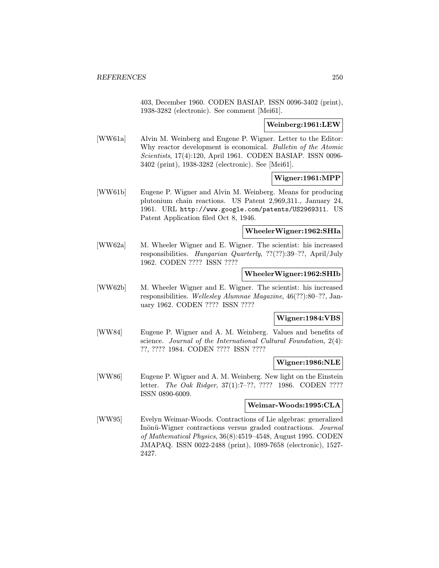403, December 1960. CODEN BASIAP. ISSN 0096-3402 (print), 1938-3282 (electronic). See comment [Mei61].

### Weinberg:1961:LEW

[WW61a] Alvin M. Weinberg and Eugene P. Wigner. Letter to the Editor: Why reactor development is economical. Bulletin of the Atomic Scientists, 17(4):120, April 1961. CODEN BASIAP. ISSN 0096- 3402 (print), 1938-3282 (electronic). See [Mei61].

### Wigner:1961:MPP

[WW61b] Eugene P. Wigner and Alvin M. Weinberg. Means for producing plutonium chain reactions. US Patent 2,969,311., January 24, 1961. URL http://www.google.com/patents/US2969311. US Patent Application filed Oct 8, 1946.

### WheelerWigner:1962:SHIa

[WW62a] M. Wheeler Wigner and E. Wigner. The scientist: his increased responsibilities. Hungarian Quarterly, ??(??):39–??, April/July 1962. CODEN ???? ISSN ????

### WheelerWigner:1962:SHIb

[WW62b] M. Wheeler Wigner and E. Wigner. The scientist: his increased responsibilities. Wellesley Alumnae Magazine, 46(??):80–??, January 1962. CODEN ???? ISSN ????

### Wigner:1984:VBS

[WW84] Eugene P. Wigner and A. M. Weinberg. Values and benefits of science. Journal of the International Cultural Foundation, 2(4): ??, ???? 1984. CODEN ???? ISSN ????

### Wigner:1986:NLE

[WW86] Eugene P. Wigner and A. M. Weinberg. New light on the Einstein letter. The Oak Ridger, 37(1):7–??, ???? 1986. CODEN ???? ISSN 0890-6009.

### Weimar-Woods:1995:CLA

[WW95] Evelyn Weimar-Woods. Contractions of Lie algebras: generalized Inönü-Wigner contractions versus graded contractions. Journal of Mathematical Physics, 36(8):4519–4548, August 1995. CODEN JMAPAQ. ISSN 0022-2488 (print), 1089-7658 (electronic), 1527- 2427.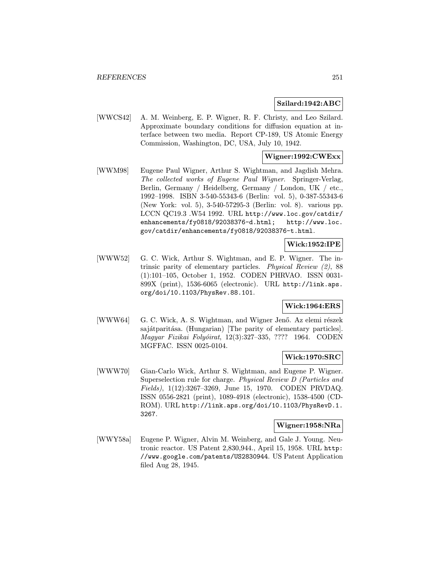#### Szilard:1942:ABC

[WWCS42] A. M. Weinberg, E. P. Wigner, R. F. Christy, and Leo Szilard. Approximate boundary conditions for diffusion equation at interface between two media. Report CP-189, US Atomic Energy Commission, Washington, DC, USA, July 10, 1942.

### Wigner:1992:CWExx

[WWM98] Eugene Paul Wigner, Arthur S. Wightman, and Jagdish Mehra. The collected works of Eugene Paul Wigner. Springer-Verlag, Berlin, Germany / Heidelberg, Germany / London, UK / etc., 1992–1998. ISBN 3-540-55343-6 (Berlin: vol. 5), 0-387-55343-6 (New York: vol. 5), 3-540-57295-3 (Berlin: vol. 8). various pp. LCCN QC19.3 .W54 1992. URL http://www.loc.gov/catdir/ enhancements/fy0818/92038376-d.html; http://www.loc. gov/catdir/enhancements/fy0818/92038376-t.html.

### Wick:1952:IPE

[WWW52] G. C. Wick, Arthur S. Wightman, and E. P. Wigner. The intrinsic parity of elementary particles. Physical Review (2), 88 (1):101–105, October 1, 1952. CODEN PHRVAO. ISSN 0031- 899X (print), 1536-6065 (electronic). URL http://link.aps. org/doi/10.1103/PhysRev.88.101.

#### Wick:1964:ERS

[WWW64] G. C. Wick, A. S. Wightman, and Wigner Jenő. Az elemi részek sajátparitása. (Hungarian) [The parity of elementary particles]. Magyar Fizikai Folyóirat, 12(3):327-335, ???? 1964. CODEN MGFFAC. ISSN 0025-0104.

### Wick:1970:SRC

[WWW70] Gian-Carlo Wick, Arthur S. Wightman, and Eugene P. Wigner. Superselection rule for charge. Physical Review D (Particles and Fields), 1(12):3267–3269, June 15, 1970. CODEN PRVDAQ. ISSN 0556-2821 (print), 1089-4918 (electronic), 1538-4500 (CD-ROM). URL http://link.aps.org/doi/10.1103/PhysRevD.1. 3267.

### Wigner:1958:NRa

[WWY58a] Eugene P. Wigner, Alvin M. Weinberg, and Gale J. Young. Neutronic reactor. US Patent 2,830,944., April 15, 1958. URL http: //www.google.com/patents/US2830944. US Patent Application filed Aug 28, 1945.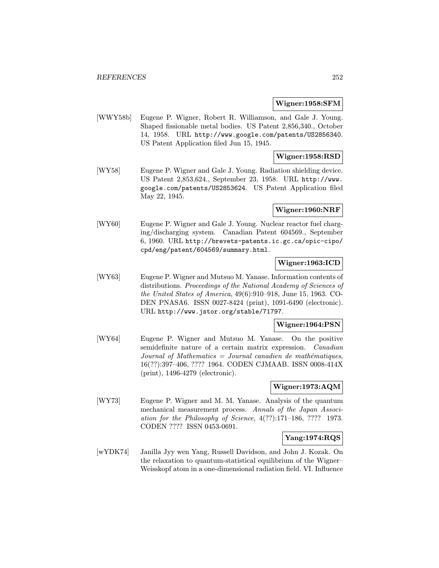#### Wigner:1958:SFM

[WWY58b] Eugene P. Wigner, Robert R. Williamson, and Gale J. Young. Shaped fissionable metal bodies. US Patent 2,856,340., October 14, 1958. URL http://www.google.com/patents/US2856340. US Patent Application filed Jun 15, 1945.

### Wigner:1958:RSD

[WY58] Eugene P. Wigner and Gale J. Young. Radiation shielding device. US Patent 2,853,624., September 23, 1958. URL http://www. google.com/patents/US2853624. US Patent Application filed May 22, 1945.

#### Wigner:1960:NRF

[WY60] Eugene P. Wigner and Gale J. Young. Nuclear reactor fuel charging/discharging system. Canadian Patent 604569., September 6, 1960. URL http://brevets-patents.ic.gc.ca/opic-cipo/ cpd/eng/patent/604569/summary.html.

## Wigner:1963:ICD

[WY63] Eugene P. Wigner and Mutsuo M. Yanase. Information contents of distributions. Proceedings of the National Academy of Sciences of the United States of America, 49(6):910–918, June 15, 1963. CO-DEN PNASA6. ISSN 0027-8424 (print), 1091-6490 (electronic). URL http://www.jstor.org/stable/71797.

## Wigner:1964:PSN

[WY64] Eugene P. Wigner and Mutsuo M. Yanase. On the positive semidefinite nature of a certain matrix expression. Canadian  $Journal of Mathematics = Journal canadien de mathématiques,$ 16(??):397–406, ???? 1964. CODEN CJMAAB. ISSN 0008-414X (print), 1496-4279 (electronic).

#### Wigner:1973:AQM

[WY73] Eugene P. Wigner and M. M. Yanase. Analysis of the quantum mechanical measurement process. Annals of the Japan Association for the Philosophy of Science, 4(??):171–186, ???? 1973. CODEN ???? ISSN 0453-0691.

### Yang:1974:RQS

[wYDK74] Janilla Jyy wen Yang, Russell Davidson, and John J. Kozak. On the relaxation to quantum-statistical equilibrium of the Wigner– Weisskopf atom in a one-dimensional radiation field. VI. Influence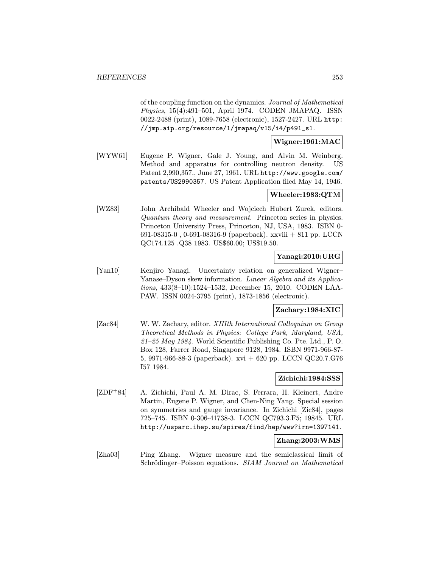of the coupling function on the dynamics. Journal of Mathematical Physics, 15(4):491–501, April 1974. CODEN JMAPAQ. ISSN 0022-2488 (print), 1089-7658 (electronic), 1527-2427. URL http: //jmp.aip.org/resource/1/jmapaq/v15/i4/p491\_s1.

# Wigner:1961:MAC

[WYW61] Eugene P. Wigner, Gale J. Young, and Alvin M. Weinberg. Method and apparatus for controlling neutron density. US Patent 2,990,357., June 27, 1961. URL http://www.google.com/ patents/US2990357. US Patent Application filed May 14, 1946.

#### Wheeler:1983:QTM

[WZ83] John Archibald Wheeler and Wojciech Hubert Zurek, editors. Quantum theory and measurement. Princeton series in physics. Princeton University Press, Princeton, NJ, USA, 1983. ISBN 0- 691-08315-0 , 0-691-08316-9 (paperback). xxviii + 811 pp. LCCN QC174.125 .Q38 1983. US\$60.00; US\$19.50.

#### Yanagi:2010:URG

[Yan10] Kenjiro Yanagi. Uncertainty relation on generalized Wigner– Yanase–Dyson skew information. Linear Algebra and its Applications, 433(8–10):1524–1532, December 15, 2010. CODEN LAA-PAW. ISSN 0024-3795 (print), 1873-1856 (electronic).

#### Zachary:1984:XIC

[Zac84] W. W. Zachary, editor. XIIIth International Colloquium on Group Theoretical Methods in Physics: College Park, Maryland, USA,  $21-25$  May 1984. World Scientific Publishing Co. Pte. Ltd., P. O. Box 128, Farrer Road, Singapore 9128, 1984. ISBN 9971-966-87- 5, 9971-966-88-3 (paperback). xvi + 620 pp. LCCN QC20.7.G76 I57 1984.

#### Zichichi:1984:SSS

[ZDF<sup>+</sup>84] A. Zichichi, Paul A. M. Dirac, S. Ferrara, H. Kleinert, Andre Martin, Eugene P. Wigner, and Chen-Ning Yang. Special session on symmetries and gauge invariance. In Zichichi [Zic84], pages 725–745. ISBN 0-306-41738-3. LCCN QC793.3.F5; 19845. URL http://usparc.ihep.su/spires/find/hep/www?irn=1397141.

## Zhang:2003:WMS

[Zha03] Ping Zhang. Wigner measure and the semiclassical limit of Schrödinger-Poisson equations. SIAM Journal on Mathematical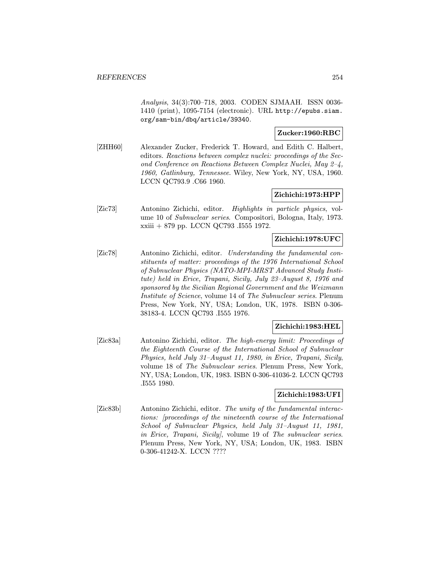Analysis, 34(3):700–718, 2003. CODEN SJMAAH. ISSN 0036- 1410 (print), 1095-7154 (electronic). URL http://epubs.siam. org/sam-bin/dbq/article/39340.

### Zucker:1960:RBC

[ZHH60] Alexander Zucker, Frederick T. Howard, and Edith C. Halbert, editors. Reactions between complex nuclei: proceedings of the Second Conference on Reactions Between Complex Nuclei, May 2–4, 1960, Gatlinburg, Tennessee. Wiley, New York, NY, USA, 1960. LCCN QC793.9 .C66 1960.

## Zichichi:1973:HPP

[Zic73] Antonino Zichichi, editor. Highlights in particle physics, volume 10 of Subnuclear series. Compositori, Bologna, Italy, 1973. xxiii + 879 pp. LCCN QC793 .I555 1972.

### Zichichi:1978:UFC

[Zic78] Antonino Zichichi, editor. Understanding the fundamental constituents of matter: proceedings of the 1976 International School of Subnuclear Physics (NATO-MPI-MRST Advanced Study Institute) held in Erice, Trapani, Sicily, July 23–August 8, 1976 and sponsored by the Sicilian Regional Government and the Weizmann Institute of Science, volume 14 of The Subnuclear series. Plenum Press, New York, NY, USA; London, UK, 1978. ISBN 0-306- 38183-4. LCCN QC793 .I555 1976.

#### Zichichi:1983:HEL

[Zic83a] Antonino Zichichi, editor. The high-energy limit: Proceedings of the Eighteenth Course of the International School of Subnuclear Physics, held July 31–August 11, 1980, in Erice, Trapani, Sicily, volume 18 of The Subnuclear series. Plenum Press, New York, NY, USA; London, UK, 1983. ISBN 0-306-41036-2. LCCN QC793 .I555 1980.

## Zichichi:1983:UFI

[Zic83b] Antonino Zichichi, editor. The unity of the fundamental interactions: [proceedings of the nineteenth course of the International School of Subnuclear Physics, held July 31–August 11, 1981, in Erice, Trapani, Sicily], volume 19 of The subnuclear series. Plenum Press, New York, NY, USA; London, UK, 1983. ISBN 0-306-41242-X. LCCN ????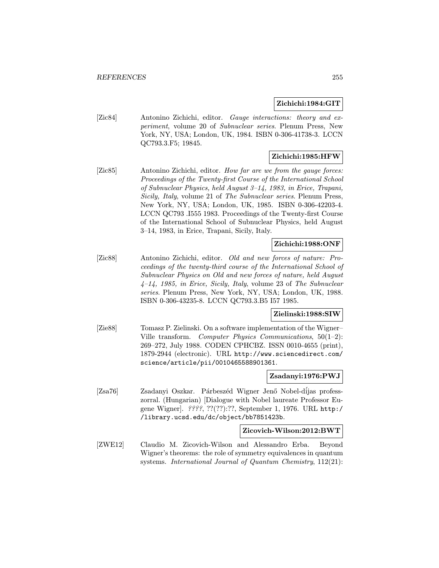#### Zichichi:1984:GIT

[Zic84] Antonino Zichichi, editor. Gauge interactions: theory and experiment, volume 20 of Subnuclear series. Plenum Press, New York, NY, USA; London, UK, 1984. ISBN 0-306-41738-3. LCCN QC793.3.F5; 19845.

## Zichichi:1985:HFW

[Zic85] Antonino Zichichi, editor. How far are we from the gauge forces: Proceedings of the Twenty-first Course of the International School of Subnuclear Physics, held August 3–14, 1983, in Erice, Trapani, Sicily, Italy, volume 21 of The Subnuclear series. Plenum Press, New York, NY, USA; London, UK, 1985. ISBN 0-306-42203-4. LCCN QC793 .I555 1983. Proceedings of the Twenty-first Course of the International School of Subnuclear Physics, held August 3–14, 1983, in Erice, Trapani, Sicily, Italy.

## Zichichi:1988:ONF

[Zic88] Antonino Zichichi, editor. Old and new forces of nature: Proceedings of the twenty-third course of the International School of Subnuclear Physics on Old and new forces of nature, held August 4–14, 1985, in Erice, Sicily, Italy, volume 23 of The Subnuclear series. Plenum Press, New York, NY, USA; London, UK, 1988. ISBN 0-306-43235-8. LCCN QC793.3.B5 I57 1985.

#### Zielinski:1988:SIW

[Zie88] Tomasz P. Zielinski. On a software implementation of the Wigner– Ville transform. Computer Physics Communications, 50(1–2): 269–272, July 1988. CODEN CPHCBZ. ISSN 0010-4655 (print), 1879-2944 (electronic). URL http://www.sciencedirect.com/ science/article/pii/0010465588901361.

#### Zsadanyi:1976:PWJ

[Zsa76] Zsadanyi Oszkar. Párbeszéd Wigner Jenő Nobel-díjas professzorral. (Hungarian) [Dialogue with Nobel laureate Professor Eugene Wigner]. ????, ??(??):??, September 1, 1976. URL http:/ /library.ucsd.edu/dc/object/bb7851423b.

#### Zicovich-Wilson:2012:BWT

[ZWE12] Claudio M. Zicovich-Wilson and Alessandro Erba. Beyond Wigner's theorems: the role of symmetry equivalences in quantum systems. International Journal of Quantum Chemistry, 112(21):